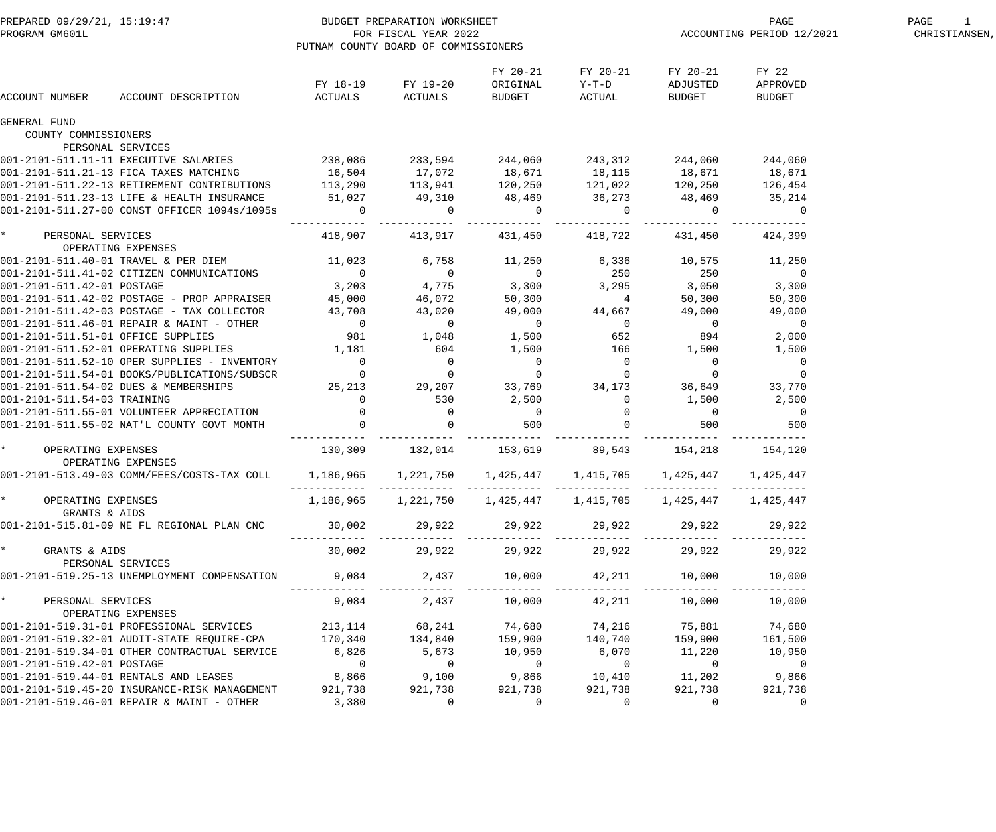| PREPARED 09/29/21, 15:19:47<br>PROGRAM GM601L |                                              |                     | BUDGET PREPARATION WORKSHEET<br>FOR FISCAL YEAR 2022<br>PUTNAM COUNTY BOARD OF COMMISSIONERS |                                |                               | PAGE<br>ACCOUNTING PERIOD 12/2021 | PAGE<br>1<br>CHRISTIANSEN,         |  |
|-----------------------------------------------|----------------------------------------------|---------------------|----------------------------------------------------------------------------------------------|--------------------------------|-------------------------------|-----------------------------------|------------------------------------|--|
| ACCOUNT NUMBER                                | ACCOUNT DESCRIPTION                          | FY 18-19<br>ACTUALS | FY 19-20<br>ACTUALS                                                                          | FY 20-21<br>ORIGINAL<br>BUDGET | FY 20-21<br>$Y-T-D$<br>ACTUAL | FY 20-21<br>ADJUSTED<br>BUDGET    | FY 22<br>APPROVED<br><b>BUDGET</b> |  |
| <b>GENERAL FUND</b><br>COUNTY COMMISSIONERS   |                                              |                     |                                                                                              |                                |                               |                                   |                                    |  |
|                                               | PERSONAL SERVICES                            |                     |                                                                                              |                                |                               |                                   |                                    |  |
|                                               | 001-2101-511.11-11 EXECUTIVE SALARIES        | 238,086             | 233,594 244,060 243,312                                                                      |                                |                               | 244,060                           | 244,060                            |  |
|                                               | 001-2101-511.21-13 FICA TAXES MATCHING       | 16,504              | 17,072                                                                                       | 18,671                         | 18, 115                       | 18,671                            | 18,671                             |  |
|                                               | 001-2101-511.22-13 RETIREMENT CONTRIBUTIONS  | 113,290             | 113,941                                                                                      | 120,250                        | 121,022                       | 120,250                           | 126,454                            |  |
|                                               | 001-2101-511.23-13 LIFE & HEALTH INSURANCE   | 51,027              | 49,310                                                                                       | 48,469                         | 36,273                        | 48,469                            | 35,214                             |  |
|                                               | 001-2101-511.27-00 CONST OFFICER 1094s/1095s | $\overline{0}$      | $\Omega$<br>---------- ------------- -------------                                           | $\overline{0}$                 | $\overline{0}$                | $\overline{0}$                    | $\overline{0}$                     |  |
| $\star$<br>PERSONAL SERVICES                  | OPERATING EXPENSES                           | 418,907             | 413,917                                                                                      | 431,450                        | 418,722                       | 431,450                           | 424,399                            |  |
|                                               | 001-2101-511.40-01 TRAVEL & PER DIEM         | 11,023              | 6,758                                                                                        | 11,250                         | 6,336                         | 10,575                            | 11,250                             |  |
|                                               | 001-2101-511.41-02 CITIZEN COMMUNICATIONS    | $\overline{0}$      | $\overline{0}$                                                                               | $\overline{0}$                 | 250                           | 250                               | $\overline{0}$                     |  |
| 001-2101-511.42-01 POSTAGE                    |                                              | 3,203               | 4,775                                                                                        | 3,300                          | 3,295                         | 3,050                             | 3,300                              |  |
|                                               | 001-2101-511.42-02 POSTAGE - PROP APPRAISER  | 45,000              | 46,072                                                                                       | 50,300                         | 4                             | 50,300                            | 50,300                             |  |
|                                               | 001-2101-511.42-03 POSTAGE - TAX COLLECTOR   | 43,708              | 43,020                                                                                       | 49,000                         | 44,667                        | 49,000                            | 49,000                             |  |
|                                               | 001-2101-511.46-01 REPAIR & MAINT - OTHER    | $\overline{0}$      | $\overline{0}$                                                                               | $\overline{0}$                 | $\overline{0}$                | $\overline{0}$                    | $\overline{0}$                     |  |
| 001-2101-511.51-01 OFFICE SUPPLIES            |                                              | 981                 | 1,048                                                                                        | 1,500                          | 652                           | 894                               | 2,000                              |  |
|                                               | 001-2101-511.52-01 OPERATING SUPPLIES        | 1,181               | 604                                                                                          | 1,500                          | 166                           | 1,500                             | 1,500                              |  |
|                                               | 001-2101-511.52-10 OPER SUPPLIES - INVENTORY | $\overline{0}$      | $\mathbf 0$                                                                                  | $\overline{0}$                 | $\overline{\phantom{0}}$      | $\overline{0}$                    | $\overline{0}$                     |  |
|                                               | 001-2101-511.54-01 BOOKS/PUBLICATIONS/SUBSCR | $\overline{0}$      | $\overline{0}$                                                                               | $\overline{0}$                 | $\overline{0}$                | $\overline{0}$                    | $\overline{0}$                     |  |
|                                               | 001-2101-511.54-02 DUES & MEMBERSHIPS        | 25,213              | 29,207                                                                                       | 33,769                         | 34,173                        | 36,649                            | 33,770                             |  |
| 001-2101-511.54-03 TRAINING                   |                                              | 0                   | 530                                                                                          | 2,500                          | $\overline{0}$                | 1,500                             | 2,500                              |  |
|                                               | 001-2101-511.55-01 VOLUNTEER APPRECIATION    | $\overline{0}$      | $\overline{0}$                                                                               | $\overline{0}$                 |                               | 0                                 | $\overline{0}$                     |  |
|                                               | 001-2101-511.55-02 NAT'L COUNTY GOVT MONTH   |                     | $\overline{0}$<br>_________________________________                                          | 500                            | 0<br>.                        | 500                               | 500                                |  |
| $\star$<br>OPERATING EXPENSES                 |                                              | 130,309             | 132,014 153,619                                                                              |                                | 89,543                        | 154,218                           | 154,120                            |  |
|                                               | OPERATING EXPENSES                           |                     |                                                                                              |                                |                               |                                   |                                    |  |
|                                               | 001-2101-513.49-03 COMM/FEES/COSTS-TAX COLL  | 1,186,965           | 1,221,750                                                                                    | 1,425,447                      | 1,415,705                     | 1,425,447                         | 1,425,447                          |  |
| OPERATING EXPENSES<br>GRANTS & AIDS           |                                              | 1,186,965           | 1,221,750                                                                                    | 1,425,447                      | 1,415,705                     | 1,425,447                         | 1,425,447                          |  |
|                                               | 001-2101-515.81-09 NE FL REGIONAL PLAN CNC   | 30,002              | 29,922                                                                                       | 29,922                         | 29,922                        | 29,922                            | 29,922                             |  |
| $\star$<br>GRANTS & AIDS                      | PERSONAL SERVICES                            | 30,002              | 29,922                                                                                       | 29,922                         | 29,922                        | 29,922                            | 29,922                             |  |
|                                               | 001-2101-519.25-13 UNEMPLOYMENT COMPENSATION | 9,084               | 2,437                                                                                        | 10,000                         | 42,211                        | 10,000                            | 10,000                             |  |
| $\star$<br>PERSONAL SERVICES                  | OPERATING EXPENSES                           | 9,084               | 2,437                                                                                        | 10,000                         | 42,211                        | 10,000                            | 10,000                             |  |
|                                               | 001-2101-519.31-01 PROFESSIONAL SERVICES     | 213,114             | 68,241                                                                                       | 74,680                         | 74,216                        | 75,881                            | 74,680                             |  |
|                                               | 001-2101-519.32-01 AUDIT-STATE REQUIRE-CPA   | 170,340             | 134,840                                                                                      | 159,900                        | 140,740                       | 159,900                           | 161,500                            |  |
|                                               | 001-2101-519.34-01 OTHER CONTRACTUAL SERVICE | 6,826               | 5,673                                                                                        | 10,950                         | 6,070                         | 11,220                            | 10,950                             |  |
| 001-2101-519.42-01 POSTAGE                    |                                              | $\overline{0}$      | $\overline{0}$                                                                               | $\overline{0}$                 | $\overline{0}$                | $\overline{0}$                    | $\overline{0}$                     |  |
|                                               | 001-2101-519.44-01 RENTALS AND LEASES        | 8,866               | 9,100                                                                                        | 9,866                          | 10,410                        | 11,202                            | 9,866                              |  |
|                                               | 001-2101-519.45-20 INSURANCE-RISK MANAGEMENT | 921,738             | 921,738                                                                                      | 921,738                        | 921,738                       | 921,738                           | 921,738                            |  |
|                                               | 001-2101-519.46-01 REPAIR & MAINT - OTHER    | 3,380               | $\Omega$                                                                                     | $\mathbf{0}$                   | $\Omega$                      | $\Omega$                          | $\overline{0}$                     |  |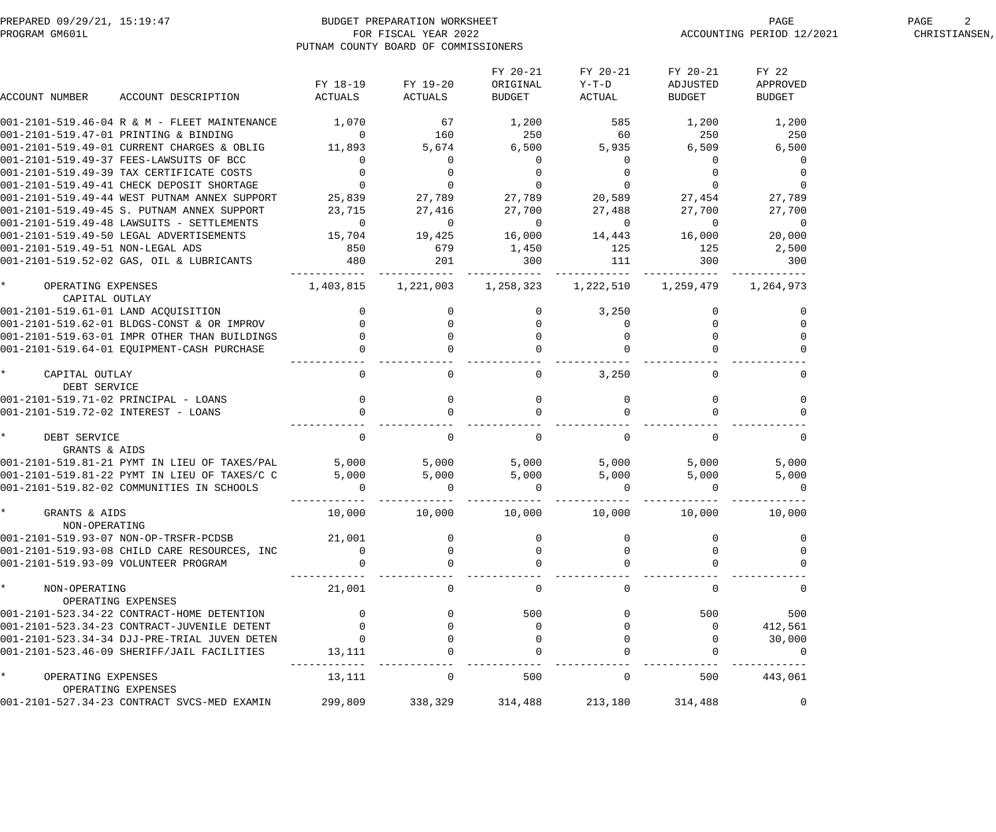| PREPARED 09/29/21, 15:19:47<br>PROGRAM GM601L |                                                                                     |                                                              | BUDGET PREPARATION WORKSHEET<br>FOR FISCAL YEAR 2022<br>PUTNAM COUNTY BOARD OF COMMISSIONERS |                                |                                   | PAGE<br>ACCOUNTING PERIOD 12/2021 | PAGE<br>CHRISTIANSEN,              |  |
|-----------------------------------------------|-------------------------------------------------------------------------------------|--------------------------------------------------------------|----------------------------------------------------------------------------------------------|--------------------------------|-----------------------------------|-----------------------------------|------------------------------------|--|
| ACCOUNT NUMBER                                | ACCOUNT DESCRIPTION                                                                 | FY 18-19<br>ACTUALS                                          | FY 19-20<br>ACTUALS                                                                          | FY 20-21<br>ORIGINAL<br>BUDGET | FY 20-21<br>$Y-T-D$<br>ACTUAL     | FY 20-21<br>ADJUSTED<br>BUDGET    | FY 22<br>APPROVED<br><b>BUDGET</b> |  |
|                                               |                                                                                     |                                                              |                                                                                              |                                |                                   |                                   |                                    |  |
|                                               | 001-2101-519.46-04 R & M - FLEET MAINTENANCE                                        | 1,070                                                        | 67                                                                                           | 1,200                          | 585                               | 1,200                             | 1,200                              |  |
| 001-2101-519.47-01 PRINTING & BINDING         |                                                                                     | $\overline{0}$                                               | 160                                                                                          | 250                            | 60                                | 250                               | 250                                |  |
|                                               | 001-2101-519.49-01 CURRENT CHARGES & OBLIG                                          | 11,893                                                       | 5,674                                                                                        | 6,500                          | 5,935                             | 6,509                             | 6,500                              |  |
|                                               | 001-2101-519.49-37 FEES-LAWSUITS OF BCC                                             | $\overline{0}$                                               | $\mathbf 0$                                                                                  | $\overline{0}$                 | $\overline{0}$                    | $\overline{0}$                    |                                    |  |
|                                               | 001-2101-519.49-39 TAX CERTIFICATE COSTS                                            | $\overline{0}$                                               | $\mathbf 0$                                                                                  | $\overline{0}$                 | $\overline{0}$                    | $\overline{0}$                    |                                    |  |
|                                               | 001-2101-519.49-41 CHECK DEPOSIT SHORTAGE                                           | $\overline{0}$                                               | $\overline{0}$                                                                               | $\overline{0}$                 | $\overline{0}$                    | $\overline{0}$                    |                                    |  |
|                                               | 001-2101-519.49-44 WEST PUTNAM ANNEX SUPPORT                                        | $0$ 0<br>25,839 27,789                                       |                                                                                              |                                | 27,789 20,589                     | 27,454                            | 27,789                             |  |
|                                               | 001-2101-519.49-45 S. PUTNAM ANNEX SUPPORT                                          | 23,715                                                       | 27,416                                                                                       | 27,700                         | 27,488                            | 27,700                            | 27,700                             |  |
|                                               | 001-2101-519.49-48 LAWSUITS - SETTLEMENTS                                           | $\overline{0}$                                               | $\overline{0}$                                                                               | $\overline{0}$                 | $\overline{\phantom{0}}$          | $\overline{0}$                    | $\overline{0}$                     |  |
|                                               | 001-2101-519.49-50 LEGAL ADVERTISEMENTS                                             | 15,704                                                       | 19,425                                                                                       | 16,000                         | 14,443                            | 16,000                            | 20,000                             |  |
| 001-2101-519.49-51 NON-LEGAL ADS              |                                                                                     | 850                                                          | 679                                                                                          | 1,450                          | 125                               | 125                               | 2,500                              |  |
|                                               | 001-2101-519.52-02 GAS, OIL & LUBRICANTS                                            | 480                                                          | 201<br>________________________________                                                      | 300                            | 111<br>------------- ------------ | 300                               | 300                                |  |
| OPERATING EXPENSES<br>CAPITAL OUTLAY          |                                                                                     | 1,403,815                                                    |                                                                                              | 1, 221, 003 1, 258, 323        | 1,222,510                         | 1,259,479 1,264,973               |                                    |  |
| 001-2101-519.61-01 LAND ACQUISITION           |                                                                                     |                                                              |                                                                                              |                                | 3,250                             | $\overline{0}$                    |                                    |  |
|                                               | 001-2101-519.62-01 BLDGS-CONST & OR IMPROV                                          |                                                              | $\mathbf 0$                                                                                  | $\overline{0}$                 | $\overline{0}$                    | $\mathbf{0}$                      |                                    |  |
|                                               | 001-2101-519.63-01 IMPR OTHER THAN BUILDINGS                                        |                                                              | $\overline{0}$                                                                               | $\overline{0}$                 | $\overline{0}$                    | $\overline{0}$                    |                                    |  |
|                                               | 001-2101-519.64-01 EQUIPMENT-CASH PURCHASE                                          |                                                              | $\mathbf 0$                                                                                  |                                | $\Omega$                          |                                   |                                    |  |
|                                               |                                                                                     |                                                              |                                                                                              |                                |                                   |                                   |                                    |  |
| CAPITAL OUTLAY                                |                                                                                     | $\mathbf 0$                                                  | $\mathbf{0}$                                                                                 | $\overline{0}$                 | 3,250                             | $\Omega$                          | 0                                  |  |
| DEBT SERVICE                                  |                                                                                     |                                                              |                                                                                              |                                |                                   |                                   |                                    |  |
| 001-2101-519.71-02 PRINCIPAL - LOANS          |                                                                                     | $\begin{array}{c} 0 \\ 0 \end{array}$                        | $\mathbf 0$                                                                                  | $\overline{0}$                 | $\mathbf 0$                       | $\mathbf 0$                       | $\mathbf{0}$                       |  |
| 001-2101-519.72-02 INTEREST - LOANS           |                                                                                     |                                                              | $\mathbf 0$                                                                                  | $\overline{0}$                 | $\mathbf 0$                       | $\mathbf{0}$                      |                                    |  |
| DEBT SERVICE                                  |                                                                                     | $\overline{0}$                                               | $\overline{0}$                                                                               | $\overline{0}$                 | $\mathbf 0$                       | $\overline{0}$                    | 0                                  |  |
| GRANTS & AIDS                                 |                                                                                     |                                                              |                                                                                              |                                |                                   |                                   |                                    |  |
|                                               | 001-2101-519.81-21 PYMT IN LIEU OF TAXES/PAL                                        | 5,000                                                        | 5,000                                                                                        | 5,000                          | 5,000                             | 5,000                             | 5,000                              |  |
|                                               | 001-2101-519.81-22 PYMT IN LIEU OF TAXES/C C                                        | 5,000                                                        | 5,000                                                                                        | 5,000                          | 5,000                             | 5,000                             | 5,000                              |  |
|                                               | 001-2101-519.82-02 COMMUNITIES IN SCHOOLS                                           |                                                              |                                                                                              |                                |                                   |                                   |                                    |  |
| * GRANTS & AIDS<br>NON-OPERATING              |                                                                                     |                                                              | $10,000$ $10,000$ $10,000$ $10,000$ $10,000$ $10,000$                                        |                                |                                   |                                   | 10,000                             |  |
|                                               | 001-2101-519.93-07 NON-OP-TRSFR-PCDSB                                               | 21,001                                                       |                                                                                              |                                |                                   |                                   |                                    |  |
|                                               | 001-2101-519.93-08 CHILD CARE RESOURCES, INC                                        |                                                              |                                                                                              |                                |                                   |                                   |                                    |  |
| 001-2101-519.93-09 VOLUNTEER PROGRAM          |                                                                                     | $\begin{matrix} 0 \\ 0 \end{matrix}$                         |                                                                                              | $\overline{0}$                 |                                   |                                   |                                    |  |
| * NON-OPERATING<br>OPERATING EXPENSES         |                                                                                     | 21,001                                                       | 0                                                                                            | 0                              | $\Omega$                          | $\Omega$                          |                                    |  |
|                                               | 001-2101-523.34-22 CONTRACT-HOME DETENTION                                          |                                                              |                                                                                              | 500                            |                                   | 500                               | 500                                |  |
|                                               | 001-2101-523.34-23 CONTRACT-JUVENILE DETENT                                         |                                                              |                                                                                              | $\overline{0}$                 |                                   | $\overline{0}$                    | 412,561                            |  |
|                                               | 001-2101-523.34-34 DJJ-PRE-TRIAL JUVEN DETEN                                        |                                                              |                                                                                              |                                |                                   |                                   | 30,000                             |  |
|                                               | 001-2101-523.46-09 SHERIFF/JAIL FACILITIES                                          | $\begin{smallmatrix}&&&\cup\&\&0\&13\,,111\end{smallmatrix}$ |                                                                                              |                                |                                   |                                   | $\Omega$                           |  |
| * OPERATING EXPENSES<br>OPERATING EXPENSES    |                                                                                     | 13,111                                                       | $\overline{0}$                                                                               | 500                            | $\overline{0}$                    | 500                               | 443,061                            |  |
|                                               | 001-2101-527.34-23 CONTRACT SVCS-MED EXAMIN 299,809 338,329 314,488 213,180 314,488 |                                                              |                                                                                              |                                |                                   |                                   |                                    |  |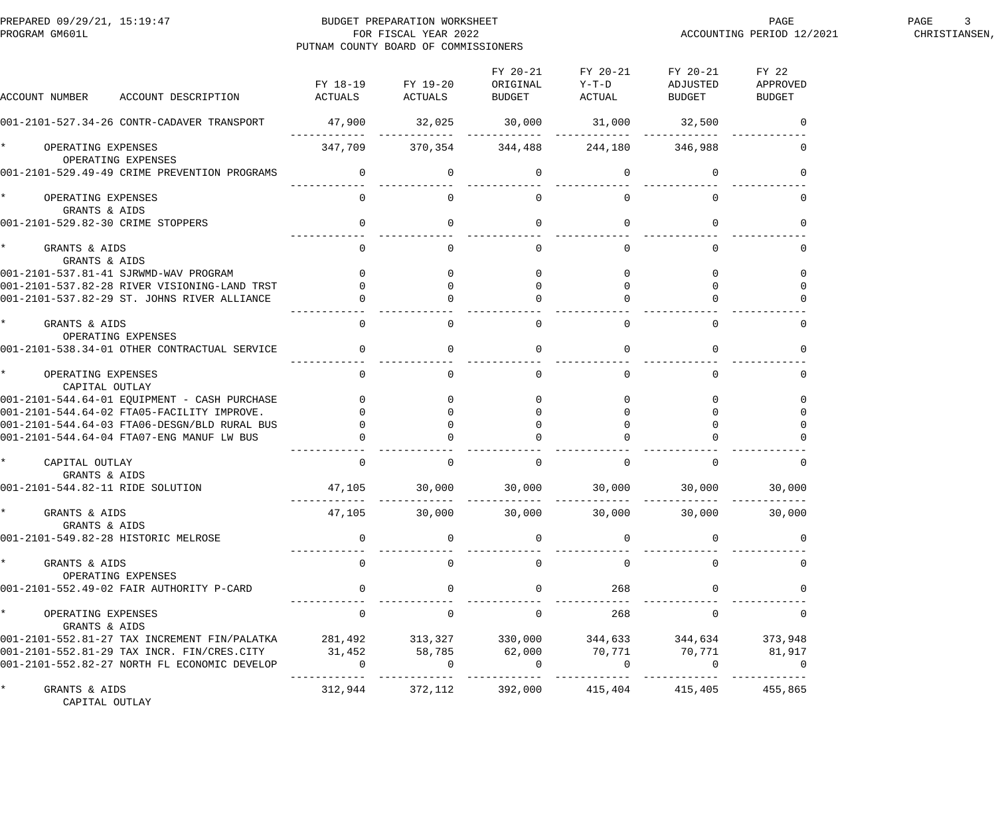| PREPARED 09/29/21, 15:19:47<br>PROGRAM GM601L                                                                                                                                                   | PUTNAM COUNTY BOARD OF COMMISSIONERS                           | BUDGET PREPARATION WORKSHEET<br>FOR FISCAL YEAR 2022 |                           |                                         |                                                             | PAGE<br>ACCOUNTING PERIOD 12/2021 | PAGE<br>CHRISTIANSEN, |
|-------------------------------------------------------------------------------------------------------------------------------------------------------------------------------------------------|----------------------------------------------------------------|------------------------------------------------------|---------------------------|-----------------------------------------|-------------------------------------------------------------|-----------------------------------|-----------------------|
| ACCOUNT DESCRIPTION ACTUALS<br>ACCOUNT NUMBER                                                                                                                                                   |                                                                | FY 18-19 FY 19-20<br><b>ACTUALS</b>                  | ORIGINAL<br><b>BUDGET</b> | FY 20-21 FY 20-21<br>$Y-T-D$<br>ACTUAL  | FY 20-21 FY 22<br>ADJUSTED APPROVED<br><b>BUDGET</b>        | BUDGET                            |                       |
| 001-2101-527.34-26 CONTR-CADAVER TRANSPORT                                                                                                                                                      | $47,900$ $32,025$ $30,000$ $31,000$ $32,500$                   |                                                      |                           |                                         |                                                             |                                   |                       |
| OPERATING EXPENSES<br>OPERATING EXPENSES                                                                                                                                                        |                                                                |                                                      |                           | 347,709 370,354 344,488 244,180 346,988 |                                                             |                                   |                       |
| 001-2101-529.49-49 CRIME PREVENTION PROGRAMS                                                                                                                                                    | $0 \qquad \qquad 0 \qquad \qquad 0 \qquad \qquad 0$            |                                                      |                           |                                         |                                                             |                                   |                       |
| OPERATING EXPENSES<br>GRANTS & AIDS                                                                                                                                                             |                                                                | $\Omega$                                             | $\Omega$                  | $\Omega$                                |                                                             |                                   |                       |
| 001-2101-529.82-30 CRIME STOPPERS                                                                                                                                                               | $\begin{array}{ccc} & & & 0 & \quad & & 0 \end{array}$         |                                                      |                           | $\begin{matrix} 0 & 0 \end{matrix}$     |                                                             |                                   |                       |
| GRANTS & AIDS<br>GRANTS & AIDS                                                                                                                                                                  |                                                                |                                                      | $\Omega$                  | $\Omega$                                |                                                             |                                   |                       |
|                                                                                                                                                                                                 |                                                                |                                                      |                           |                                         |                                                             |                                   |                       |
|                                                                                                                                                                                                 |                                                                |                                                      |                           |                                         | $\overline{0}$                                              |                                   |                       |
|                                                                                                                                                                                                 |                                                                |                                                      |                           |                                         |                                                             |                                   |                       |
| GRANTS & AIDS<br>OPERATING EXPENSES                                                                                                                                                             |                                                                |                                                      | $\Omega$                  | $\Omega$                                |                                                             |                                   |                       |
| 001-2101-538.34-01 OTHER CONTRACTUAL SERVICE                                                                                                                                                    |                                                                | $\begin{matrix} 0 & 0 \\ 0 & 0 \end{matrix}$         | $\overline{0}$            | $\Omega$                                |                                                             |                                   |                       |
| OPERATING EXPENSES<br>CAPITAL OUTLAY                                                                                                                                                            |                                                                | $\Omega$                                             | $\Omega$                  | $\Omega$                                |                                                             |                                   |                       |
|                                                                                                                                                                                                 |                                                                |                                                      |                           |                                         |                                                             |                                   |                       |
|                                                                                                                                                                                                 |                                                                |                                                      |                           |                                         |                                                             |                                   |                       |
|                                                                                                                                                                                                 |                                                                |                                                      |                           |                                         |                                                             |                                   |                       |
| 001-2101-544.64-01 EQUIPMENT - CASH PURCHASE 0<br>001-2101-544.64-02 FTA05-FACILITY IMPROVE. 0<br>001-2101-544.64-03 FTA06-DESGN/BLD RURAL BUS 0<br>001-2101-544.64-04 FTA07-ENG MANUF LW BUS 0 |                                                                |                                                      |                           |                                         |                                                             |                                   |                       |
| CAPITAL OUTLAY<br>GRANTS & AIDS                                                                                                                                                                 | $\overline{0}$                                                 | $\Omega$                                             | $\overline{0}$            | $\Omega$                                | $\Omega$                                                    |                                   |                       |
| 001-2101-544.82-11 RIDE SOLUTION                                                                                                                                                                | $47,105$ $30,000$ $30,000$ $30,000$ $30,000$ $30,000$ $30,000$ |                                                      |                           |                                         |                                                             |                                   |                       |
| GRANTS & AIDS<br>GRANTS & AIDS                                                                                                                                                                  |                                                                |                                                      |                           |                                         | $47,105$ $30,000$ $30,000$ $30,000$ $30,000$ $30,000$       | 30,000                            |                       |
| 001-2101-549.82-28 HISTORIC MELROSE                                                                                                                                                             | $\overline{0}$                                                 | $\mathbf 0$                                          | $\mathbf 0$               | $\overline{0}$                          | $\mathbf 0$                                                 |                                   |                       |
| GRANTS & AIDS<br>OPERATING EXPENSES                                                                                                                                                             | $\overline{0}$                                                 | $\Omega$                                             | $\mathbf 0$               | $\overline{0}$                          | $\Omega$                                                    | 0                                 |                       |
| 001-2101-552.49-02 FAIR AUTHORITY P-CARD                                                                                                                                                        |                                                                |                                                      | $\mathbf 0$               | 268                                     |                                                             |                                   |                       |
| OPERATING EXPENSES<br>GRANTS & AIDS                                                                                                                                                             | $\overline{0}$                                                 | $\overline{0}$                                       | $\overline{0}$            | 268                                     | $\overline{0}$                                              | 0                                 |                       |
| 001-2101-552.81-27 TAX INCREMENT FIN/PALATKA 281,492 313,327 330,000 344,633 344,634 373,948                                                                                                    |                                                                |                                                      |                           |                                         |                                                             |                                   |                       |
| 001-2101-552.81-29 TAX INCR. FIN/CRES.CITY 31,452                                                                                                                                               |                                                                | 58,785 62,000                                        |                           |                                         | 70,771 70,771 81,917                                        |                                   |                       |
| 001-2101-552.82-27 NORTH FL ECONOMIC DEVELOP                                                                                                                                                    | $\mathbf{0}$<br>- - - - - - - - - - - -                        | $\overline{0}$                                       | $\overline{0}$            | $\overline{0}$                          | $\overline{0}$                                              | $\overline{0}$                    |                       |
| GRANTS & AIDS<br>CAPITAL OUTLAY                                                                                                                                                                 |                                                                |                                                      |                           |                                         | $312,944$ $372,112$ $392,000$ $415,404$ $415,405$ $455,865$ |                                   |                       |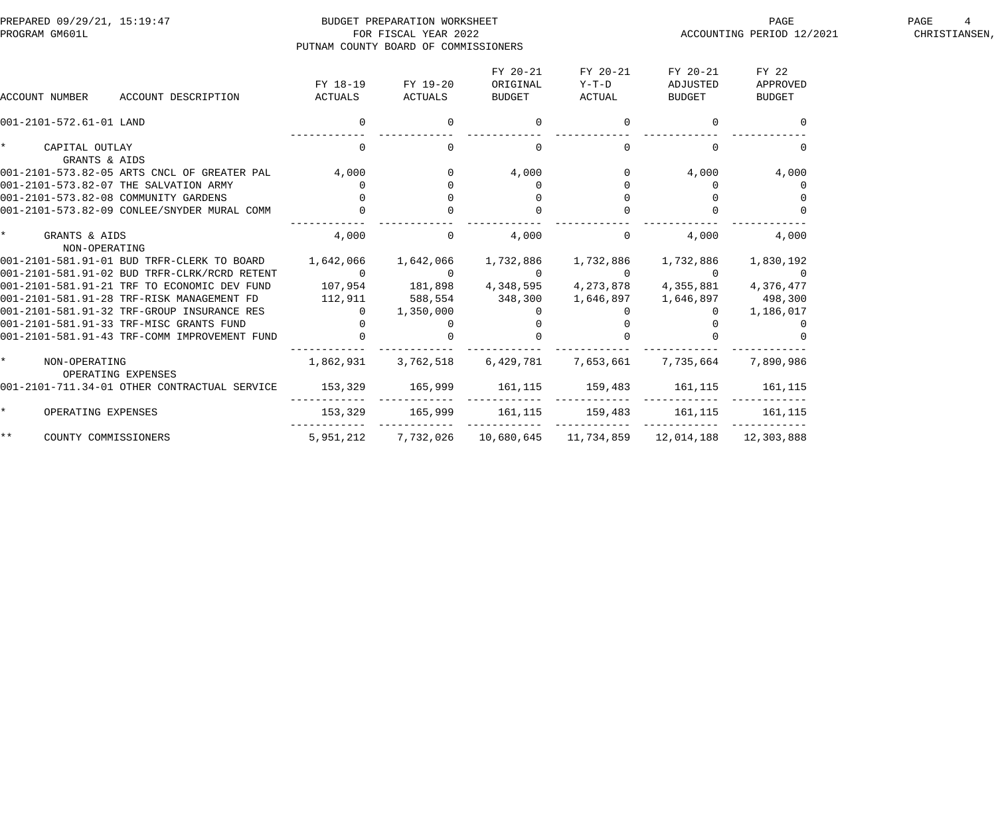| PREPARED 09/29/21, 15:19:47<br>PROGRAM GM601L              | PUTNAM COUNTY BOARD OF COMMISSIONERS | BUDGET PREPARATION WORKSHEET<br>FOR FISCAL YEAR 2022 |                                |                             |                                                           | PAGE<br>ACCOUNTING PERIOD 12/2021 | PAGE<br>CHRISTIANSEN, |
|------------------------------------------------------------|--------------------------------------|------------------------------------------------------|--------------------------------|-----------------------------|-----------------------------------------------------------|-----------------------------------|-----------------------|
| ACCOUNT NUMBER<br>ACCOUNT DESCRIPTION                      | FY 18-19<br>ACTUALS                  | FY 19-20<br>ACTUALS                                  | FY 20-21<br>ORIGINAL<br>BUDGET | FY 20-21<br>Y-T-D<br>ACTUAL | FY 20-21<br>ADJUSTED<br>BUDGET                            | FY 22<br>APPROVED<br>BUDGET       |                       |
| 001-2101-572.61-01 LAND                                    |                                      | $\overline{0}$                                       | $\overline{0}$                 | $\overline{0}$              | $\overline{0}$                                            |                                   |                       |
| * CAPITAL OUTLAY<br>GRANTS & AIDS                          | $\Omega$                             | $\Omega$                                             | $\overline{0}$                 | $\Omega$                    | $\Omega$                                                  |                                   |                       |
| 001-2101-573.82-05 ARTS CNCL OF GREATER PAL 4,000          |                                      |                                                      | 4,000                          | $\mathbf 0$                 | 4,000                                                     | 4,000                             |                       |
| 001-2101-573.82-07 THE SALVATION ARMY                      |                                      |                                                      | $\Omega$                       | $\Omega$                    | $\Omega$                                                  |                                   |                       |
| 001-2101-573.82-08 COMMUNITY GARDENS                       |                                      |                                                      |                                | $\Omega$                    | $\overline{0}$                                            |                                   |                       |
| 001-2101-573.82-09 CONLEE/SNYDER MURAL COMM                |                                      |                                                      |                                |                             |                                                           |                                   |                       |
| * GRANTS & AIDS<br>NON-OPERATING                           | 4,000                                | $\overline{0}$                                       | 4,000                          | $\Omega$                    | 4,000                                                     | 4,000                             |                       |
| 001-2101-581.91-01 BUD TRFR-CLERK TO BOARD 1,642,066       |                                      | 1,642,066                                            | 1,732,886                      |                             |                                                           | 1,830,192                         |                       |
| 001-2101-581.91-02 BUD TRFR-CLRK/RCRD RETENT               | $\overline{0}$                       | $\overline{0}$                                       | $\overline{0}$                 | $\overline{a}$              | $\overline{0}$                                            | $\sim$ 0                          |                       |
| 001-2101-581.91-21 TRF TO ECONOMIC DEV FUND 107,954        |                                      |                                                      |                                |                             | 181,898  4,348,595  4,273,878  4,355,881  4,376,477       |                                   |                       |
| 001-2101-581.91-28 TRF-RISK MANAGEMENT FD 112,911          |                                      | 588,554                                              |                                |                             | 348,300    1,646,897    1,646,897    498,300              |                                   |                       |
| 001-2101-581.91-32 TRF-GROUP INSURANCE RES                 |                                      | 1,350,000                                            |                                |                             |                                                           | 1,186,017                         |                       |
| 001-2101-581.91-33 TRF-MISC GRANTS FUND                    |                                      |                                                      |                                |                             |                                                           |                                   |                       |
| 001-2101-581.91-43 TRF-COMM IMPROVEMENT FUND               |                                      |                                                      |                                |                             |                                                           |                                   |                       |
| $\star$ and $\star$<br>NON-OPERATING<br>OPERATING EXPENSES | 1,862,931                            | 3,762,518                                            | 6,429,781                      | 7,653,661 7,735,664         |                                                           | 7,890,986                         |                       |
| 001-2101-711.34-01 OTHER CONTRACTUAL SERVICE               | 153,329                              | 165,999                                              | 161, 115                       | 159,483                     | 161,115                                                   | 161, 115                          |                       |
| $\star$<br>OPERATING EXPENSES                              | 153,329                              |                                                      | 165,999 161,115 159,483        |                             | 161,115                                                   | 161,115                           |                       |
| $***$<br>COUNTY COMMISSIONERS                              | 5,951,212                            |                                                      |                                |                             | 7,732,026  10,680,645  11,734,859  12,014,188  12,303,888 |                                   |                       |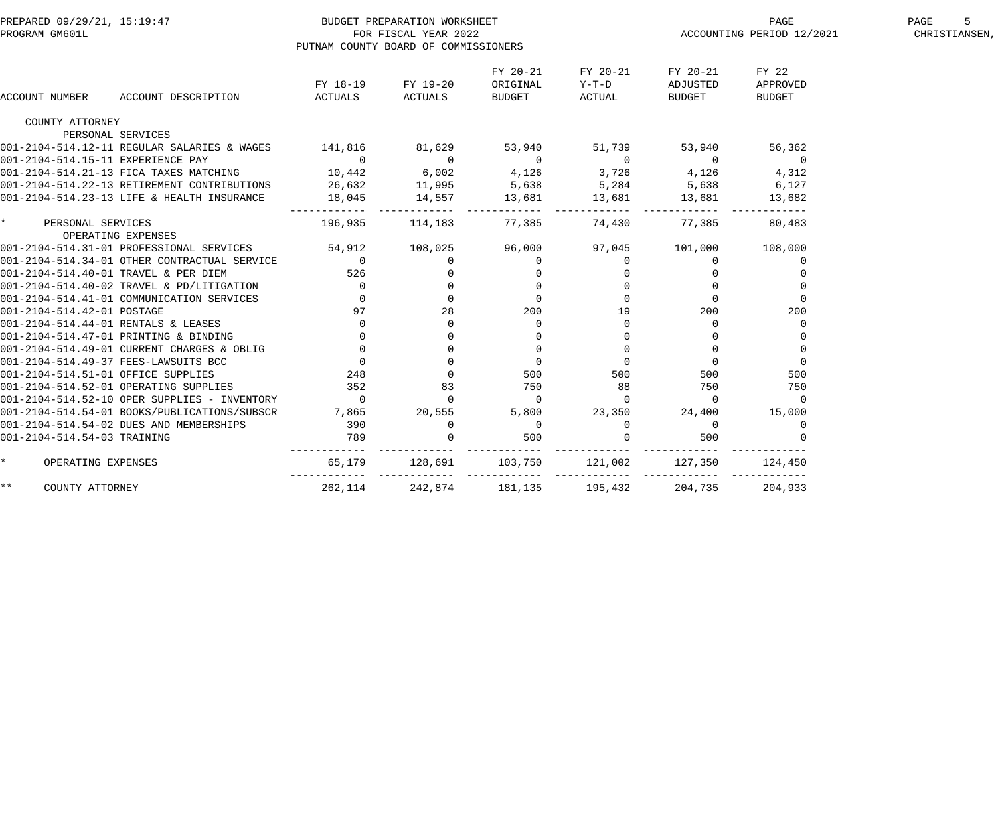| PREPARED 09/29/21, 15:19:47<br>PROGRAM GM601L |                                                   |                     | BUDGET PREPARATION WORKSHEET<br>FOR FISCAL YEAR 2022<br>PUTNAM COUNTY BOARD OF COMMISSIONERS |                                |                             |                                | PAGE<br>ACCOUNTING PERIOD 12/2021  | PAGE<br>5<br>CHRISTIANSEN, |
|-----------------------------------------------|---------------------------------------------------|---------------------|----------------------------------------------------------------------------------------------|--------------------------------|-----------------------------|--------------------------------|------------------------------------|----------------------------|
| ACCOUNT NUMBER                                | ACCOUNT DESCRIPTION                               | FY 18-19<br>ACTUALS | FY 19-20<br>ACTUALS                                                                          | FY 20-21<br>ORIGINAL<br>BUDGET | FY 20-21<br>Y-T-D<br>ACTUAL | FY 20-21<br>ADJUSTED<br>BUDGET | FY 22<br>APPROVED<br><b>BUDGET</b> |                            |
| COUNTY ATTORNEY                               |                                                   |                     |                                                                                              |                                |                             |                                |                                    |                            |
|                                               | PERSONAL SERVICES                                 |                     |                                                                                              |                                |                             |                                |                                    |                            |
|                                               | 001-2104-514.12-11 REGULAR SALARIES & WAGES       | 141,816             | 81,629                                                                                       | 53,940                         | 51,739                      | 53,940                         | 56,362                             |                            |
| 001-2104-514.15-11 EXPERIENCE PAY             |                                                   | $\overline{0}$      | $\overline{0}$                                                                               | $\overline{0}$                 | $\overline{0}$              | $\overline{0}$                 | $\overline{0}$                     |                            |
|                                               | 001-2104-514.21-13 FICA TAXES MATCHING            | 10,442              | 6,002                                                                                        | 4,126                          | 3,726                       | 4,126                          | 4,312                              |                            |
|                                               | 001-2104-514.22-13 RETIREMENT CONTRIBUTIONS       | 26,632              | 11,995                                                                                       | 5,638                          | 5,284                       | 5,638                          | 6,127                              |                            |
|                                               | 001-2104-514.23-13 LIFE & HEALTH INSURANCE        | 18,045              | 14,557                                                                                       | 13,681                         | 13,681                      | 13,681                         | 13,682                             |                            |
| $\star$<br>PERSONAL SERVICES                  | OPERATING EXPENSES                                | 196,935             | 114,183                                                                                      | 77,385                         | 74,430                      | 77,385                         | 80,483                             |                            |
|                                               | 001-2104-514.31-01 PROFESSIONAL SERVICES          | 54,912              | 108,025                                                                                      | 96,000                         | 97,045                      | 101,000                        | 108,000                            |                            |
|                                               | 001-2104-514.34-01 OTHER CONTRACTUAL SERVICE      | $\overline{0}$      | $\overline{0}$                                                                               | 0                              | $\mathbf 0$                 | $\mathbf 0$                    | $\overline{0}$                     |                            |
| 001-2104-514.40-01 TRAVEL & PER DIEM          |                                                   | 526                 | $\overline{0}$                                                                               | $\mathbf 0$                    | $\overline{0}$              | $\mathbf{0}$                   |                                    |                            |
|                                               | 001-2104-514.40-02 TRAVEL & PD/LITIGATION         | $\overline{0}$      | $\overline{0}$                                                                               | $\mathbf 0$                    | $\mathbf{0}$                | $\Omega$                       | $\overline{0}$                     |                            |
|                                               | 001-2104-514.41-01 COMMUNICATION SERVICES         | $\overline{0}$      | $\mathbf 0$                                                                                  | $\mathbf{0}$                   | $\overline{0}$              | $\Omega$                       | $\mathbf 0$                        |                            |
| 001-2104-514.42-01 POSTAGE                    |                                                   | 97                  | 28                                                                                           | 200                            | 19                          | 200                            | 200                                |                            |
| 001-2104-514.44-01 RENTALS & LEASES           |                                                   | $\circ$             | $\mathbf 0$                                                                                  | $\overline{0}$                 | $\Omega$                    | $\Omega$                       | $\Omega$                           |                            |
|                                               | 001-2104-514.47-01 PRINTING & BINDING             |                     |                                                                                              | $\mathbf 0$                    | $\Omega$                    |                                |                                    |                            |
|                                               | 001-2104-514.49-01 CURRENT CHARGES & OBLIG        |                     | $\Omega$                                                                                     | $\overline{0}$                 | $\Omega$                    | $\Omega$                       | $\Omega$                           |                            |
| 001-2104-514.49-37 FEES-LAWSUITS BCC          |                                                   | $\overline{0}$      | $\Omega$                                                                                     | $\overline{0}$                 | $\Omega$                    | $\overline{0}$                 | $\Omega$                           |                            |
| 001-2104-514.51-01 OFFICE SUPPLIES            |                                                   | 248                 | $\Omega$                                                                                     | 500                            | 500                         | 500                            | 500                                |                            |
|                                               | 001-2104-514.52-01 OPERATING SUPPLIES             | 352                 | 83                                                                                           | 750                            | 88                          | 750                            | 750                                |                            |
|                                               | $ 001-2104-514.52-10$ OPER SUPPLIES - INVENTORY 0 |                     | $\mathbf 0$                                                                                  | $\overline{0}$                 | $\Omega$                    | $\Omega$                       | $\Omega$                           |                            |
|                                               | 001-2104-514.54-01 BOOKS/PUBLICATIONS/SUBSCR      | 7,865               | 20,555                                                                                       | 5,800                          | 23,350                      | 24,400                         | 15,000                             |                            |
|                                               | 001-2104-514.54-02 DUES AND MEMBERSHIPS           | 390<br>789          | $\mathbf 0$                                                                                  | $\overline{0}$                 | $\mathbf 0$                 | $\overline{0}$                 | 0                                  |                            |
| 001-2104-514.54-03 TRAINING                   |                                                   | 789                 |                                                                                              | 500                            |                             | 500                            |                                    |                            |
| $\star$<br>OPERATING EXPENSES                 |                                                   | 65,179              | 128,691                                                                                      | 103,750                        | 121,002                     | 127,350                        | 124,450                            |                            |
| $\star \star$<br>COUNTY ATTORNEY              |                                                   | 262,114             | 242,874                                                                                      | 181,135                        | 195,432                     | 204,735                        | 204,933                            |                            |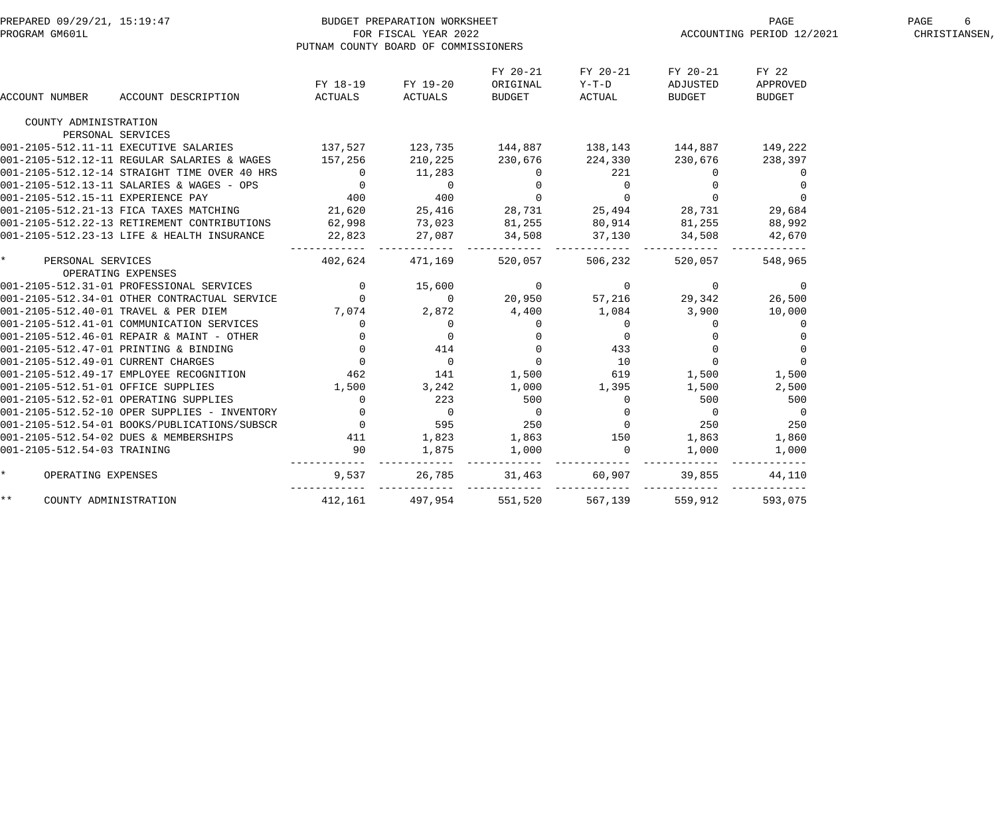| PREPARED 09/29/21, 15:19:47<br>PROGRAM GM601L | BUDGET PREPARATION WORKSHEET                                                                                                                                                    | PUTNAM COUNTY BOARD OF COMMISSIONERS | FOR FISCAL YEAR 2022                                                                                                                                   |                                                    |                                                                                           |                                  | ACCOUNTING PERIOD 12/2021          | PAGE<br>6<br>CHRISTIANSEN, |
|-----------------------------------------------|---------------------------------------------------------------------------------------------------------------------------------------------------------------------------------|--------------------------------------|--------------------------------------------------------------------------------------------------------------------------------------------------------|----------------------------------------------------|-------------------------------------------------------------------------------------------|----------------------------------|------------------------------------|----------------------------|
| ACCOUNT NUMBER                                | ACCOUNT DESCRIPTION                                                                                                                                                             | FY 18-19<br>ACTUALS                  | FY 19-20<br>ACTUALS                                                                                                                                    | FY 20-21<br>ORIGINAL<br><b>BUDGET</b>              | FY 20-21<br>$Y-T-D$<br>ACTUAL                                                             | FY 20-21<br>ADJUSTED<br>BUDGET   | FY 22<br>APPROVED<br><b>BUDGET</b> |                            |
|                                               |                                                                                                                                                                                 |                                      |                                                                                                                                                        |                                                    |                                                                                           |                                  |                                    |                            |
| COUNTY ADMINISTRATION                         |                                                                                                                                                                                 |                                      |                                                                                                                                                        |                                                    |                                                                                           |                                  |                                    |                            |
|                                               | PERSONAL SERVICES                                                                                                                                                               |                                      |                                                                                                                                                        |                                                    |                                                                                           |                                  |                                    |                            |
|                                               | 001-2105-512.11-11 EXECUTIVE SALARIES                                                                                                                                           |                                      | $137,527$ $123,735$ $144,887$ $138,143$ $144,887$ $149,222$                                                                                            |                                                    |                                                                                           |                                  |                                    |                            |
|                                               | 001-2105-512.12-11 REGULAR SALARIES & WAGES 157,256                                                                                                                             |                                      | 210,225                                                                                                                                                | 230,676                                            | 224,330                                                                                   | 230,676                          | 238,397                            |                            |
|                                               | 001-2105-512.12-14 STRAIGHT TIME OVER 40 HRS 001-2105-512.13-11 SALARIES & WAGES - OPS 0<br>001-2105-512.13-11 SALARIES & WAGES - OPS 001-2105-512.15-11 EXPERIENCE PAY 400 400 |                                      |                                                                                                                                                        | $\begin{matrix}0&&&&221\0&&&&0\0&&&&0\end{matrix}$ |                                                                                           | $\overline{0}$                   | $\overline{0}$                     |                            |
|                                               |                                                                                                                                                                                 |                                      |                                                                                                                                                        |                                                    |                                                                                           | $\overline{0}$<br>$\overline{0}$ | $\overline{0}$                     |                            |
|                                               | 001-2105-512.21-13 FICA TAXES MATCHING 21,620                                                                                                                                   |                                      | 25,416 28,731 25,494                                                                                                                                   |                                                    |                                                                                           | 28,731                           | $\Omega$<br>29,684                 |                            |
|                                               | 001-2105-512.22-13 RETIREMENT CONTRIBUTIONS                                                                                                                                     |                                      |                                                                                                                                                        |                                                    |                                                                                           |                                  |                                    |                            |
|                                               | 001-2105-512.23-13 LIFE & HEALTH INSURANCE                                                                                                                                      | 62,998                               | 73,023 81,255 80,914                                                                                                                                   |                                                    |                                                                                           | 81,255<br>34,508                 | 88,992                             |                            |
|                                               |                                                                                                                                                                                 | 22,823                               | 27,087 34,508                                                                                                                                          |                                                    | 37,130                                                                                    | --------                         | 42,670                             |                            |
| $\star$<br>PERSONAL SERVICES                  |                                                                                                                                                                                 | 402,624                              | 471,169                                                                                                                                                | 520,057                                            | 506,232                                                                                   | 520,057                          | 548,965                            |                            |
|                                               | OPERATING EXPENSES                                                                                                                                                              |                                      |                                                                                                                                                        |                                                    |                                                                                           |                                  |                                    |                            |
|                                               | 001-2105-512.31-01 PROFESSIONAL SERVICES                                                                                                                                        |                                      | $\begin{array}{ccccccc} 0 & & & 15\, , 600 & & & 0 & & & 0 & & 0 \ 0 & & & & 0 & & & 20\, , 950 & & & 57\, , 216 & & & 29\, , 342 & & & & \end{array}$ |                                                    |                                                                                           |                                  | $\overline{0}$                     |                            |
|                                               | 001-2105-512.34-01 OTHER CONTRACTUAL SERVICE                                                                                                                                    | $\overline{0}$ 0                     |                                                                                                                                                        |                                                    |                                                                                           |                                  | 26,500                             |                            |
| 001-2105-512.40-01 TRAVEL & PER DIEM          |                                                                                                                                                                                 | 7,074 2,872                          |                                                                                                                                                        |                                                    | 4,400 1,084 3,900                                                                         |                                  | 10,000                             |                            |
|                                               | 001-2105-512.41-01 COMMUNICATION SERVICES 0                                                                                                                                     |                                      |                                                                                                                                                        |                                                    | $\begin{matrix} 0 & & & & 0 \\ 0 & & & & 0 \\ 0 & & & & 433 \\ 0 & & & & 10 \end{matrix}$ | $\overline{0}$                   | 0                                  |                            |
|                                               | 001-2105-512.46-01 REPAIR & MAINT - OTHER                                                                                                                                       |                                      |                                                                                                                                                        |                                                    |                                                                                           | $\overline{0}$                   | $\overline{0}$                     |                            |
|                                               | 001-2105-512.47-01 PRINTING & BINDING                                                                                                                                           |                                      |                                                                                                                                                        |                                                    | $\begin{array}{ccc} & 0 & & 433 \\ & 0 & & 10 \\ 1\, , 500 & & 619 \end{array}$           | $\overline{0}$                   | $\overline{0}$                     |                            |
| 001-2105-512.49-01 CURRENT CHARGES            |                                                                                                                                                                                 |                                      |                                                                                                                                                        |                                                    |                                                                                           | $\overline{0}$                   | $\overline{0}$                     |                            |
|                                               | 001-2105-512.49-17 EMPLOYEE RECOGNITION                                                                                                                                         |                                      |                                                                                                                                                        |                                                    |                                                                                           | 1,500                            | 1,500                              |                            |
| 001-2105-512.51-01 OFFICE SUPPLIES            |                                                                                                                                                                                 | 1,500 3,242                          |                                                                                                                                                        |                                                    | 1,000 1,395                                                                               | 1,500                            | 2,500                              |                            |
|                                               | 001-2105-512.52-01 OPERATING SUPPLIES                                                                                                                                           | $\overline{0}$                       | 223                                                                                                                                                    | 500                                                | $\overline{0}$                                                                            | 500                              | 500                                |                            |
|                                               | 001-2105-512.52-10 OPER SUPPLIES - INVENTORY                                                                                                                                    |                                      | $\overline{0}$                                                                                                                                         |                                                    | $\overline{0}$ 0                                                                          | $\overline{0}$                   | $\overline{\phantom{0}}$           |                            |
|                                               | 001-2105-512.54-01 BOOKS/PUBLICATIONS/SUBSCR                                                                                                                                    | $\sim$ 0 595                         |                                                                                                                                                        | 250                                                | $\sim$ 0 250                                                                              |                                  | 250                                |                            |
|                                               | 001-2105-512.54-02 DUES & MEMBERSHIPS                                                                                                                                           |                                      | 1,823 1,863 150 1,863                                                                                                                                  |                                                    |                                                                                           |                                  | 1,860                              |                            |
| 001-2105-512.54-03 TRAINING                   |                                                                                                                                                                                 | $\frac{411}{90}$                     | 1,875                                                                                                                                                  | 1,000                                              | $\overline{0}$                                                                            | 1,000                            | 1,000                              |                            |
| $\star$<br>OPERATING EXPENSES                 |                                                                                                                                                                                 | 9,537                                | 26,785                                                                                                                                                 | 31,463                                             | 60,907                                                                                    | 39,855                           | 44,110                             |                            |
| $***$<br>COUNTY ADMINISTRATION                |                                                                                                                                                                                 |                                      | 412,161 497,954                                                                                                                                        | 551,520                                            | 567,139                                                                                   | 559,912                          | 593,075                            |                            |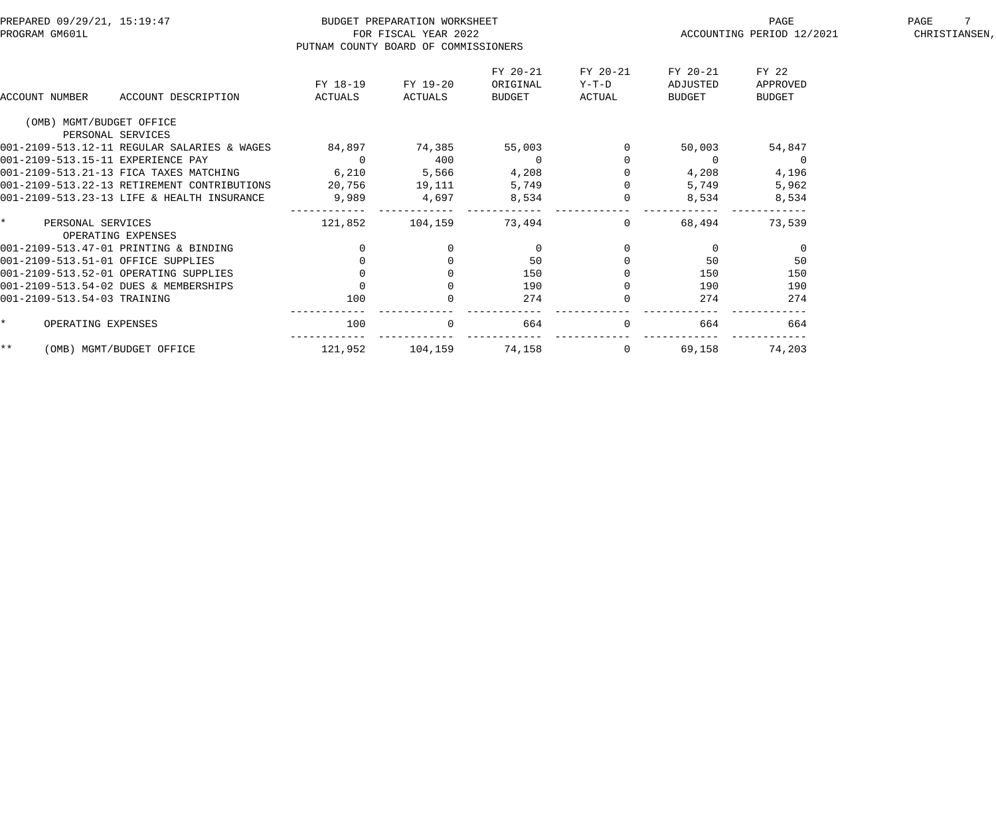| PREPARED 09/29/21, 15:19:47<br>PROGRAM GM601L |                                                                  | PUTNAM COUNTY BOARD OF COMMISSIONERS | BUDGET PREPARATION WORKSHEET<br>FOR FISCAL YEAR 2022 |                                       |                             | PAGE<br>ACCOUNTING PERIOD 12/2021     | PAGE<br>CHRISTIANSEN               |  |
|-----------------------------------------------|------------------------------------------------------------------|--------------------------------------|------------------------------------------------------|---------------------------------------|-----------------------------|---------------------------------------|------------------------------------|--|
| ACCOUNT NUMBER                                | ACCOUNT DESCRIPTION                                              | FY 18-19<br>ACTUALS                  | FY 19-20<br>ACTUALS                                  | FY 20-21<br>ORIGINAL<br><b>BUDGET</b> | FY 20-21<br>Y-T-D<br>ACTUAL | FY 20-21<br>ADJUSTED<br><b>BUDGET</b> | FY 22<br>APPROVED<br><b>BUDGET</b> |  |
| (OMB) MGMT/BUDGET OFFICE                      |                                                                  |                                      |                                                      |                                       |                             |                                       |                                    |  |
|                                               | PERSONAL SERVICES<br>001-2109-513.12-11 REGULAR SALARIES & WAGES |                                      |                                                      |                                       |                             |                                       |                                    |  |
|                                               |                                                                  | 84,897                               | 74,385                                               | 55,003                                |                             | 50,003                                | 54,847                             |  |
| 001-2109-513.15-11 EXPERIENCE PAY             |                                                                  | $\Omega$                             | 400                                                  | $\Omega$                              |                             | $\Omega$                              | $\Omega$                           |  |
|                                               | 001-2109-513.21-13 FICA TAXES MATCHING                           | 6,210                                | 5,566                                                | 4,208                                 |                             | 4,208                                 | 4,196                              |  |
|                                               | 001-2109-513.22-13 RETIREMENT CONTRIBUTIONS                      | 20,756                               | 19,111                                               | 5,749                                 |                             | 5,749                                 | 5,962                              |  |
|                                               | 001-2109-513.23-13 LIFE & HEALTH INSURANCE                       | 9,989                                | 4,697                                                | 8,534                                 |                             | 8,534                                 | 8,534                              |  |
| $\star$<br>PERSONAL SERVICES                  | OPERATING EXPENSES                                               | 121,852                              | 104,159                                              | 73,494                                | $\Omega$                    | 68,494                                | 73,539                             |  |
|                                               | 001-2109-513.47-01 PRINTING & BINDING                            | $\mathbf 0$                          | $\overline{0}$                                       | $\overline{0}$                        |                             | $\overline{0}$                        | $\overline{0}$                     |  |
| 001-2109-513.51-01 OFFICE SUPPLIES            |                                                                  | $\mathbf 0$                          | $\mathbf 0$                                          | 50                                    |                             | 50                                    | 50                                 |  |
|                                               | 001-2109-513.52-01 OPERATING SUPPLIES                            |                                      | $\Omega$                                             | 150                                   |                             | 150                                   | 150                                |  |
|                                               | 001-2109-513.54-02 DUES & MEMBERSHIPS                            | $\Omega$                             |                                                      | 190                                   |                             | 190                                   | 190                                |  |
| 001-2109-513.54-03 TRAINING                   |                                                                  | 100                                  |                                                      | 274                                   |                             | 274                                   | 274                                |  |
| OPERATING EXPENSES<br>$\star$                 |                                                                  | 100                                  | $\Omega$                                             | 664                                   | $\Omega$                    | 664                                   | 664                                |  |
| $***$                                         | (OMB) MGMT/BUDGET OFFICE                                         | 121,952                              | 104,159                                              | 74,158                                | 0                           | 69,158                                | 74,203                             |  |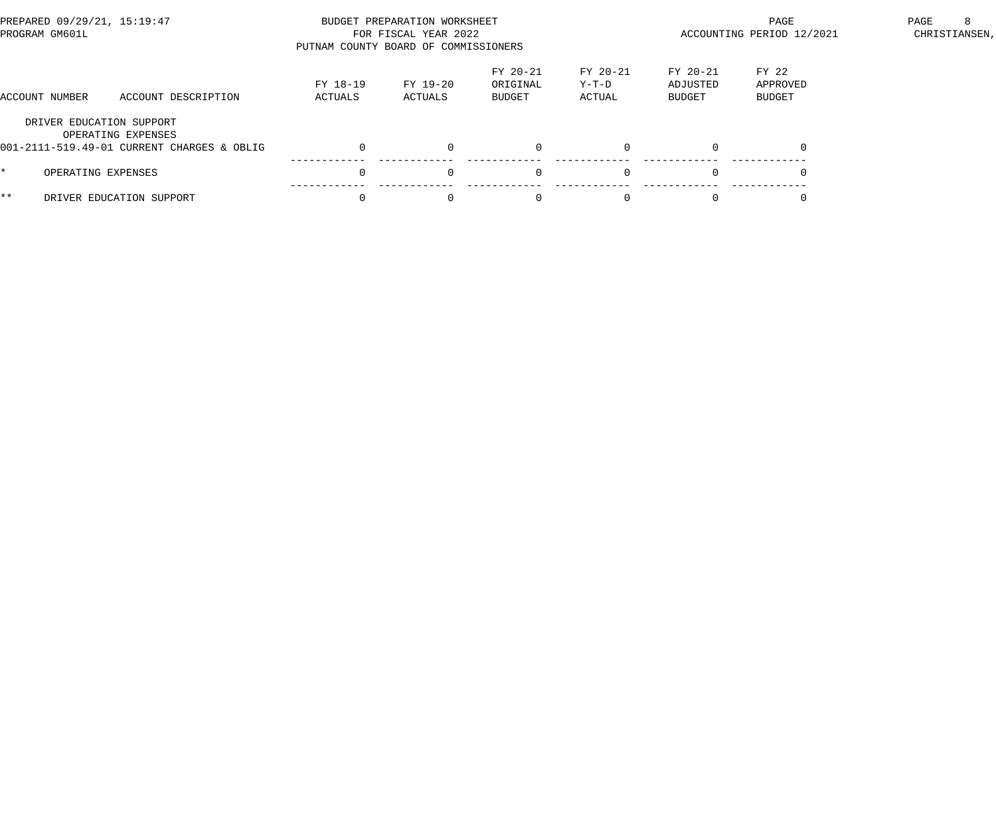| PREPARED 09/29/21, 15:19:47<br>PROGRAM GM601L |                                                                                              | PUTNAM COUNTY BOARD OF COMMISSIONERS | BUDGET PREPARATION WORKSHEET<br>FOR FISCAL YEAR 2022                                                                                      |          |          | PAGE<br>ACCOUNTING PERIOD 12/2021 | -8<br>PAGE<br>CHRISTIANSEN, |  |
|-----------------------------------------------|----------------------------------------------------------------------------------------------|--------------------------------------|-------------------------------------------------------------------------------------------------------------------------------------------|----------|----------|-----------------------------------|-----------------------------|--|
| ACCOUNT NUMBER                                | ACCOUNT DESCRIPTION                                                                          | FY 18-19<br>ACTUALS                  | FY 20-21<br>FY 20-21<br>FY 22<br>FY 20-21<br>FY 19-20<br>ORIGINAL<br>Y-T-D<br>ADJUSTED<br>BUDGET<br>ACTUALS<br>BUDGET<br>ACTUAL<br>BUDGET |          |          |                                   | APPROVED                    |  |
|                                               | DRIVER EDUCATION SUPPORT<br>OPERATING EXPENSES<br>001-2111-519.49-01 CURRENT CHARGES & OBLIG |                                      | $\Omega$                                                                                                                                  |          | $\Omega$ |                                   |                             |  |
|                                               | OPERATING EXPENSES                                                                           |                                      | $\Omega$                                                                                                                                  | $\Omega$ | $\Omega$ | $\Omega$                          |                             |  |
| * *                                           | DRIVER EDUCATION SUPPORT                                                                     |                                      | $\Omega$                                                                                                                                  |          | $\Omega$ |                                   |                             |  |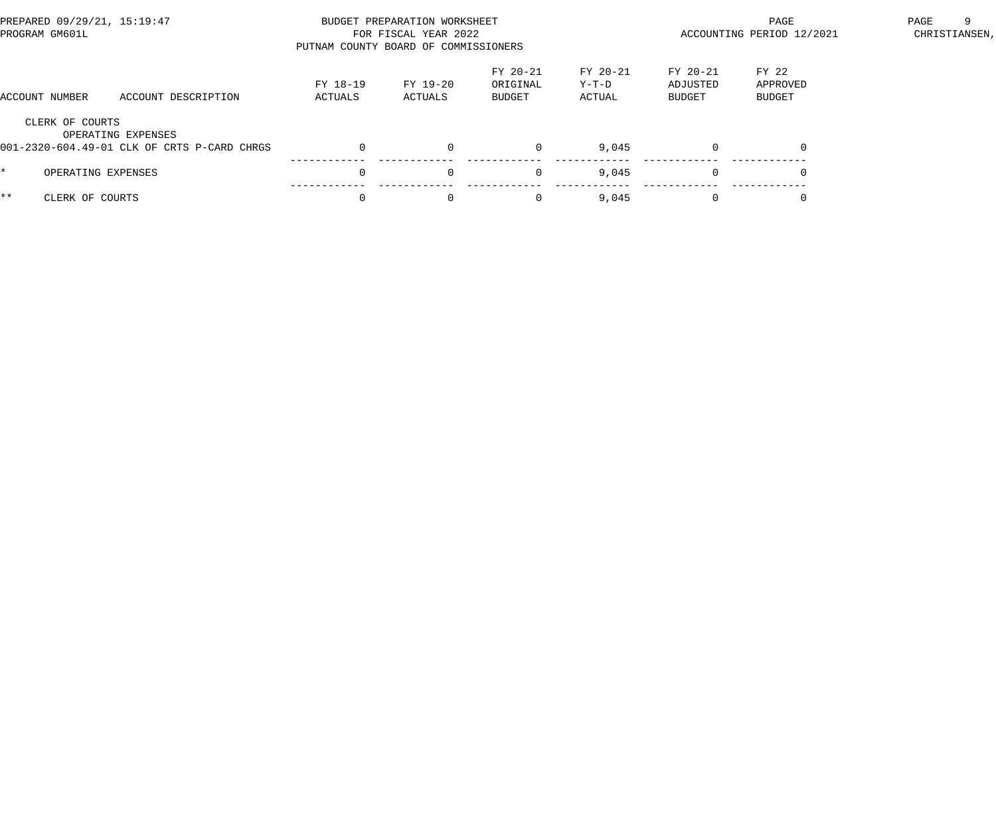| PREPARED 09/29/21, 15:19:47<br>PROGRAM GM601L |                                                                   | PUTNAM COUNTY BOARD OF COMMISSIONERS | BUDGET PREPARATION WORKSHEET<br>FOR FISCAL YEAR 2022 |                                |                             |                                | PAGE<br>ACCOUNTING PERIOD 12/2021 | PAGE<br>-9<br>CHRISTIANSEN, |
|-----------------------------------------------|-------------------------------------------------------------------|--------------------------------------|------------------------------------------------------|--------------------------------|-----------------------------|--------------------------------|-----------------------------------|-----------------------------|
| ACCOUNT NUMBER                                | ACCOUNT DESCRIPTION                                               | FY 18-19<br>ACTUALS                  | FY 19-20<br>ACTUALS                                  | FY 20-21<br>ORIGINAL<br>BUDGET | FY 20-21<br>Y-T-D<br>ACTUAL | FY 20-21<br>ADJUSTED<br>BUDGET |                                   |                             |
| CLERK OF COURTS                               | OPERATING EXPENSES<br>001-2320-604.49-01 CLK OF CRTS P-CARD CHRGS | 0                                    | $\Omega$                                             |                                | 9,045                       | $\Omega$                       | $\Omega$                          |                             |
|                                               | OPERATING EXPENSES                                                | $\Omega$                             | $\Omega$                                             | $\mathbf 0$                    | 9,045                       | $\Omega$                       |                                   |                             |
| * *<br>CLERK OF COURTS                        |                                                                   |                                      | $\Omega$                                             | 0                              | 9,045                       | $\Omega$                       |                                   |                             |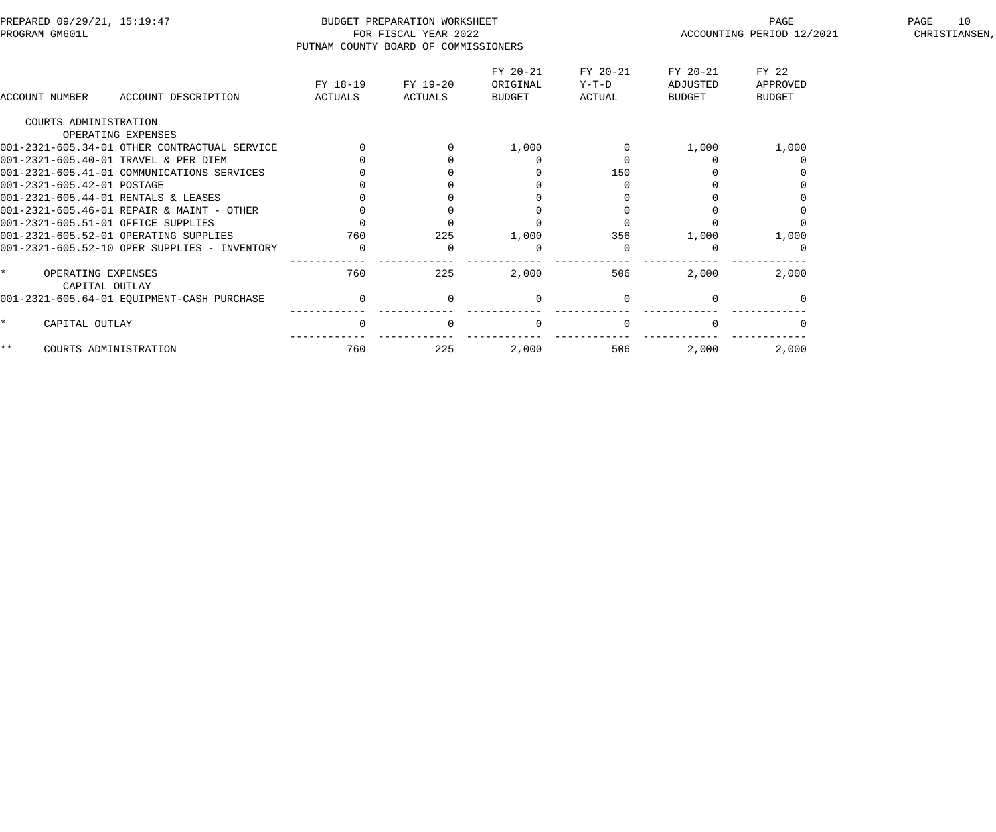| PREPARED 09/29/21, 15:19:47<br>PROGRAM GM601L   |                                              | PUTNAM COUNTY BOARD OF COMMISSIONERS | BUDGET PREPARATION WORKSHEET<br>FOR FISCAL YEAR 2022 |                                |                             | PAGE<br>ACCOUNTING PERIOD 12/2021     | 10<br>PAGE<br>CHRISTIANSEN,        |  |
|-------------------------------------------------|----------------------------------------------|--------------------------------------|------------------------------------------------------|--------------------------------|-----------------------------|---------------------------------------|------------------------------------|--|
| ACCOUNT NUMBER                                  | ACCOUNT DESCRIPTION                          | FY 18-19<br>ACTUALS                  | FY 19-20<br>ACTUALS                                  | FY 20-21<br>ORIGINAL<br>BUDGET | FY 20-21<br>Y-T-D<br>ACTUAL | FY 20-21<br>ADJUSTED<br><b>BUDGET</b> | FY 22<br>APPROVED<br><b>BUDGET</b> |  |
| COURTS ADMINISTRATION                           |                                              |                                      |                                                      |                                |                             |                                       |                                    |  |
|                                                 | OPERATING EXPENSES                           |                                      |                                                      |                                |                             |                                       |                                    |  |
|                                                 | 001-2321-605.34-01 OTHER CONTRACTUAL SERVICE |                                      |                                                      | 1,000                          |                             | 1,000                                 | 1,000                              |  |
|                                                 | 001-2321-605.40-01 TRAVEL & PER DIEM         |                                      |                                                      |                                |                             |                                       |                                    |  |
|                                                 | 001-2321-605.41-01 COMMUNICATIONS SERVICES   |                                      |                                                      |                                | 150                         |                                       |                                    |  |
| 001-2321-605.42-01 POSTAGE                      |                                              |                                      |                                                      |                                |                             |                                       |                                    |  |
|                                                 | 001-2321-605.44-01 RENTALS & LEASES          |                                      |                                                      |                                |                             |                                       |                                    |  |
|                                                 | 001-2321-605.46-01 REPAIR & MAINT - OTHER    |                                      |                                                      |                                |                             |                                       |                                    |  |
|                                                 | 001-2321-605.51-01 OFFICE SUPPLIES           |                                      |                                                      |                                |                             |                                       |                                    |  |
|                                                 | 001-2321-605.52-01 OPERATING SUPPLIES        | 760                                  | 225                                                  | 1,000                          | 356                         | 1,000                                 | 1,000                              |  |
|                                                 | 001-2321-605.52-10 OPER SUPPLIES - INVENTORY | 0                                    | $\Omega$                                             | $\Omega$                       |                             |                                       |                                    |  |
| $\star$<br>OPERATING EXPENSES<br>CAPITAL OUTLAY |                                              | 760                                  | 225                                                  | 2,000                          | 506                         | 2,000                                 | 2,000                              |  |
|                                                 | 001-2321-605.64-01 EQUIPMENT-CASH PURCHASE   | $\overline{0}$                       | $\Omega$                                             | $\Omega$                       |                             |                                       |                                    |  |
| CAPITAL OUTLAY<br>$\star$                       |                                              | $\mathbf 0$                          | $\Omega$                                             | $\mathbf{0}$                   |                             |                                       |                                    |  |
| $***$                                           | COURTS ADMINISTRATION                        | 760                                  | 225                                                  | 2,000                          | 506                         | 2,000                                 | 2,000                              |  |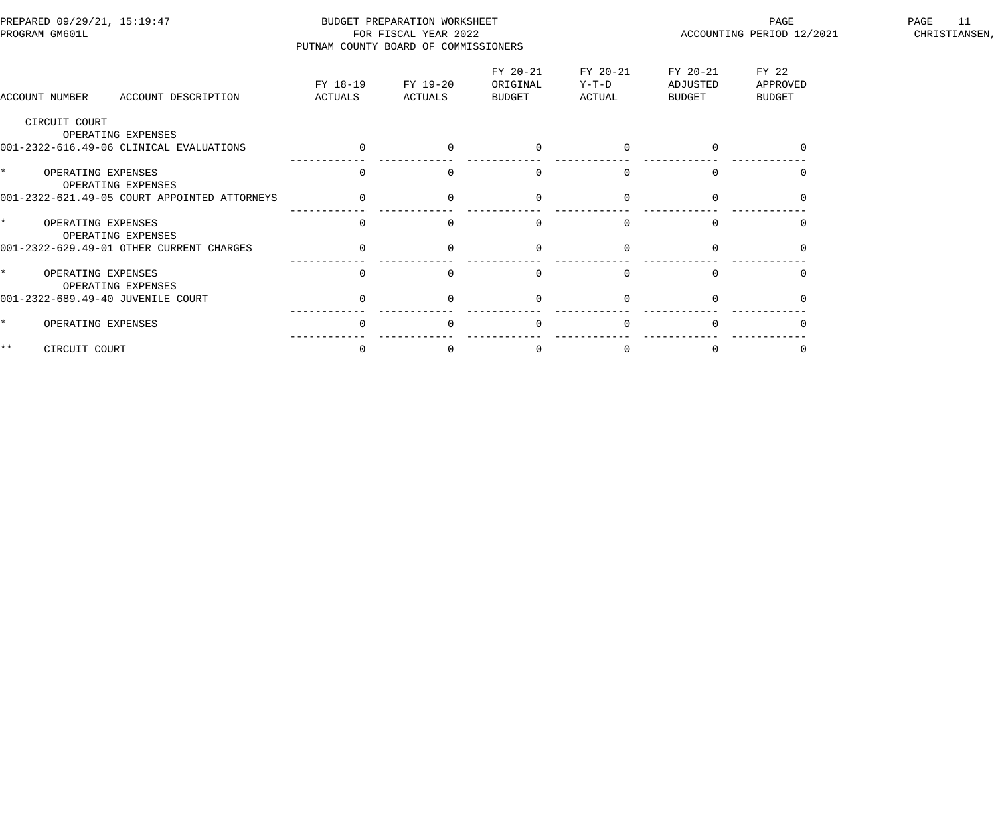| PREPARED 09/29/21, 15:19:47<br>PROGRAM GM601L       | PUTNAM COUNTY BOARD OF COMMISSIONERS | BUDGET PREPARATION WORKSHEET<br>FOR FISCAL YEAR 2022 |                                |                             |                                | PAGE<br>ACCOUNTING PERIOD 12/2021  | 11<br>PAGE<br>CHRISTIANSEN, |
|-----------------------------------------------------|--------------------------------------|------------------------------------------------------|--------------------------------|-----------------------------|--------------------------------|------------------------------------|-----------------------------|
| ACCOUNT DESCRIPTION<br>ACCOUNT NUMBER               | FY 18-19<br>ACTUALS                  | FY 19-20<br>ACTUALS                                  | FY 20-21<br>ORIGINAL<br>BUDGET | FY 20-21<br>Y-T-D<br>ACTUAL | FY 20-21<br>ADJUSTED<br>BUDGET | FY 22<br>APPROVED<br><b>BUDGET</b> |                             |
| CIRCUIT COURT<br>OPERATING EXPENSES                 |                                      |                                                      |                                |                             |                                |                                    |                             |
| 001-2322-616.49-06 CLINICAL EVALUATIONS             | $\overline{0}$                       | $\Omega$                                             | $\Omega$                       | $\Omega$                    |                                |                                    |                             |
| $\star$<br>OPERATING EXPENSES<br>OPERATING EXPENSES | $\Omega$                             | $\Omega$                                             | $\Omega$                       |                             |                                |                                    |                             |
| 001-2322-621.49-05 COURT APPOINTED ATTORNEYS        |                                      |                                                      |                                |                             |                                |                                    |                             |
| $\star$<br>OPERATING EXPENSES<br>OPERATING EXPENSES | $\Omega$                             | $\Omega$                                             | $\Omega$                       |                             |                                |                                    |                             |
| 001-2322-629.49-01 OTHER CURRENT CHARGES            | $\overline{0}$                       | $\Omega$                                             | $\mathbf 0$                    |                             |                                |                                    |                             |
| $\star$<br>OPERATING EXPENSES<br>OPERATING EXPENSES | $\Omega$                             |                                                      | $\cap$                         |                             |                                |                                    |                             |
| 001-2322-689.49-40 JUVENILE COURT                   | $\overline{0}$                       | $\Omega$                                             | $\Omega$                       |                             |                                |                                    |                             |
| OPERATING EXPENSES<br>$\star$                       | $\overline{0}$                       | $\Omega$                                             | $\Omega$                       | $\cap$                      |                                |                                    |                             |
| $***$<br>CIRCUIT COURT                              | $\mathbf 0$                          | 0                                                    | 0                              |                             |                                |                                    |                             |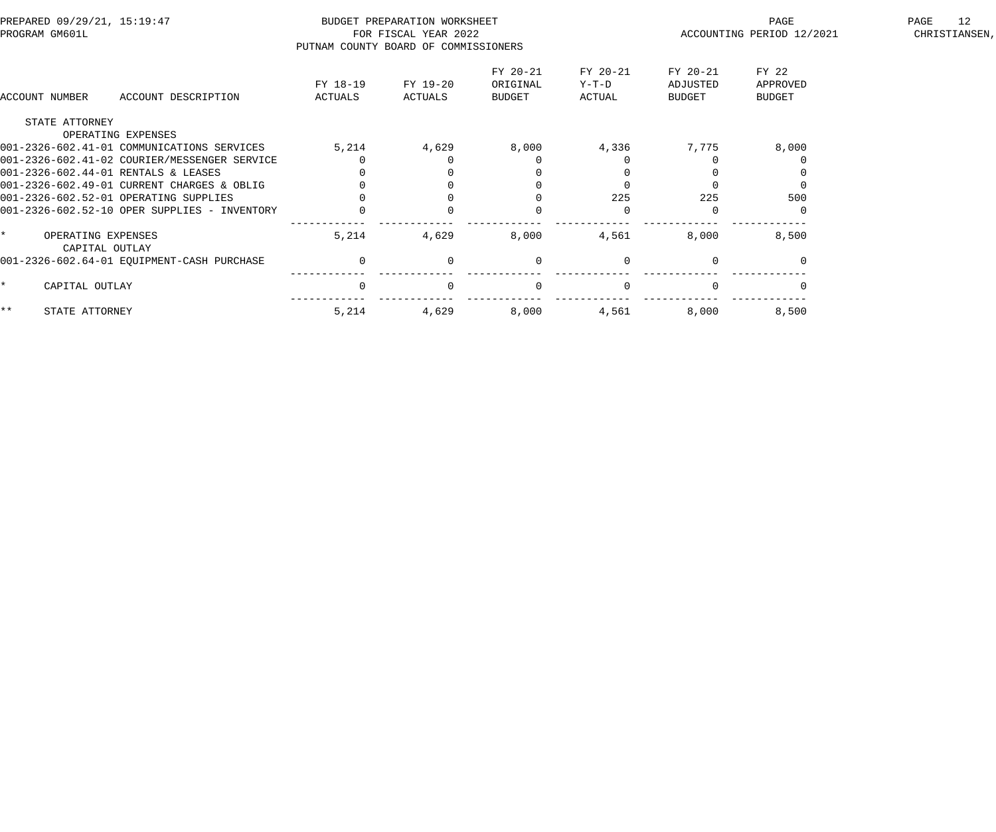| PREPARED 09/29/21, 15:19:47<br>PROGRAM GM601L |                                              | PUTNAM COUNTY BOARD OF COMMISSIONERS | BUDGET PREPARATION WORKSHEET<br>FOR FISCAL YEAR 2022 |                                |                             | PAGE<br>ACCOUNTING PERIOD 12/2021 | 12<br>PAGE<br>CHRISTIANSEN,        |  |
|-----------------------------------------------|----------------------------------------------|--------------------------------------|------------------------------------------------------|--------------------------------|-----------------------------|-----------------------------------|------------------------------------|--|
| ACCOUNT NUMBER                                | ACCOUNT DESCRIPTION                          | FY 18-19<br>ACTUALS                  | FY 19-20<br>ACTUALS                                  | FY 20-21<br>ORIGINAL<br>BUDGET | FY 20-21<br>Y-T-D<br>ACTUAL | FY 20-21<br>ADJUSTED<br>BUDGET    | FY 22<br>APPROVED<br><b>BUDGET</b> |  |
| STATE ATTORNEY                                |                                              |                                      |                                                      |                                |                             |                                   |                                    |  |
|                                               | OPERATING EXPENSES                           |                                      |                                                      |                                |                             |                                   |                                    |  |
|                                               | 001-2326-602.41-01 COMMUNICATIONS SERVICES   | 5,214                                | 4,629                                                | 8,000                          | 4,336                       | 7,775                             | 8,000                              |  |
|                                               | 001-2326-602.41-02 COURIER/MESSENGER SERVICE |                                      |                                                      |                                |                             |                                   |                                    |  |
| 001-2326-602.44-01 RENTALS & LEASES           |                                              |                                      |                                                      |                                |                             |                                   |                                    |  |
|                                               | 001-2326-602.49-01 CURRENT CHARGES & OBLIG   |                                      |                                                      |                                |                             |                                   |                                    |  |
|                                               | 001-2326-602.52-01 OPERATING SUPPLIES        |                                      |                                                      |                                | 225                         | 225                               | 500                                |  |
|                                               | 001-2326-602.52-10 OPER SUPPLIES - INVENTORY |                                      |                                                      |                                |                             |                                   |                                    |  |
| OPERATING EXPENSES<br>CAPITAL OUTLAY          |                                              | 5,214                                | 4,629                                                | 8,000                          | 4,561                       | 8,000                             | 8,500                              |  |
|                                               | 001-2326-602.64-01 EQUIPMENT-CASH PURCHASE   | $\Omega$                             | $\Omega$                                             | $\mathbf{0}$                   | $\Omega$                    |                                   |                                    |  |
| CAPITAL OUTLAY                                |                                              | $\Omega$                             | $\Omega$                                             | $\overline{0}$                 | $\Omega$                    |                                   |                                    |  |
| $***$<br>STATE ATTORNEY                       |                                              | 5,214                                | 4,629                                                | 8,000                          | 4,561                       | 8,000                             | 8,500                              |  |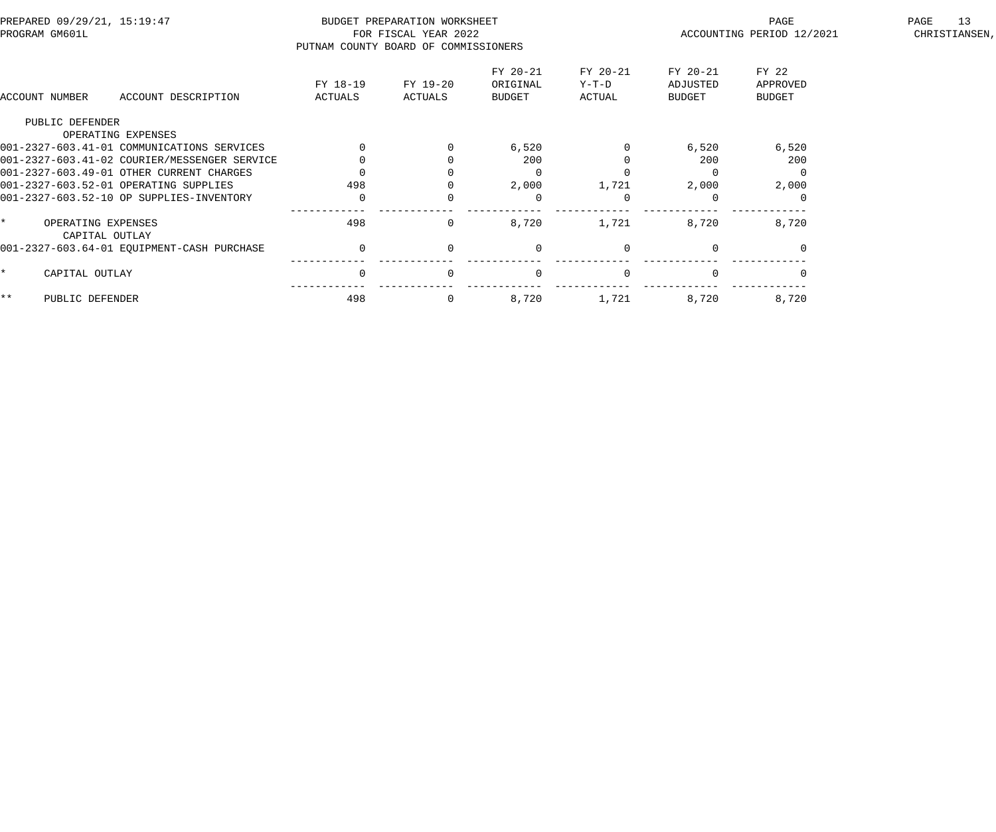| PREPARED 09/29/21, 15:19:47<br>PROGRAM GM601L |                                              | PUTNAM COUNTY BOARD OF COMMISSIONERS | BUDGET PREPARATION WORKSHEET<br>FOR FISCAL YEAR 2022 |                                       |                             | PAGE<br>ACCOUNTING PERIOD 12/2021 | 13<br>PAGE<br>CHRISTIANSEN,        |  |
|-----------------------------------------------|----------------------------------------------|--------------------------------------|------------------------------------------------------|---------------------------------------|-----------------------------|-----------------------------------|------------------------------------|--|
| ACCOUNT NUMBER                                | ACCOUNT DESCRIPTION                          | FY 18-19<br>ACTUALS                  | FY 19-20<br>ACTUALS                                  | FY 20-21<br>ORIGINAL<br><b>BUDGET</b> | FY 20-21<br>Y-T-D<br>ACTUAL | FY 20-21<br>ADJUSTED<br>BUDGET    | FY 22<br>APPROVED<br><b>BUDGET</b> |  |
| PUBLIC DEFENDER                               |                                              |                                      |                                                      |                                       |                             |                                   |                                    |  |
|                                               | OPERATING EXPENSES                           |                                      |                                                      |                                       |                             |                                   |                                    |  |
|                                               | 001-2327-603.41-01 COMMUNICATIONS SERVICES   |                                      |                                                      | 6,520                                 |                             | 6,520                             | 6,520                              |  |
|                                               | 001-2327-603.41-02 COURIER/MESSENGER SERVICE |                                      |                                                      | 200                                   |                             | 200                               | 200                                |  |
|                                               | 001-2327-603.49-01 OTHER CURRENT CHARGES     |                                      |                                                      |                                       |                             |                                   |                                    |  |
|                                               | 001-2327-603.52-01 OPERATING SUPPLIES        | 498                                  |                                                      | 2,000                                 | 1,721                       | 2,000                             | 2,000                              |  |
|                                               | 001-2327-603.52-10 OP SUPPLIES-INVENTORY     | 0                                    |                                                      | $\Omega$                              | $\Omega$                    |                                   |                                    |  |
| OPERATING EXPENSES                            | CAPITAL OUTLAY                               | 498                                  | $\Omega$                                             | 8,720                                 | 1,721                       | 8,720                             | 8,720                              |  |
|                                               | 001-2327-603.64-01 EQUIPMENT-CASH PURCHASE   | $\Omega$                             | $\Omega$                                             | $\Omega$                              | $\Omega$                    | $\Omega$                          |                                    |  |
| CAPITAL OUTLAY                                |                                              |                                      |                                                      | $\Omega$                              |                             |                                   |                                    |  |
| * *<br>PUBLIC DEFENDER                        |                                              | 498                                  |                                                      | 8,720                                 | 1,721                       | 8,720                             | 8,720                              |  |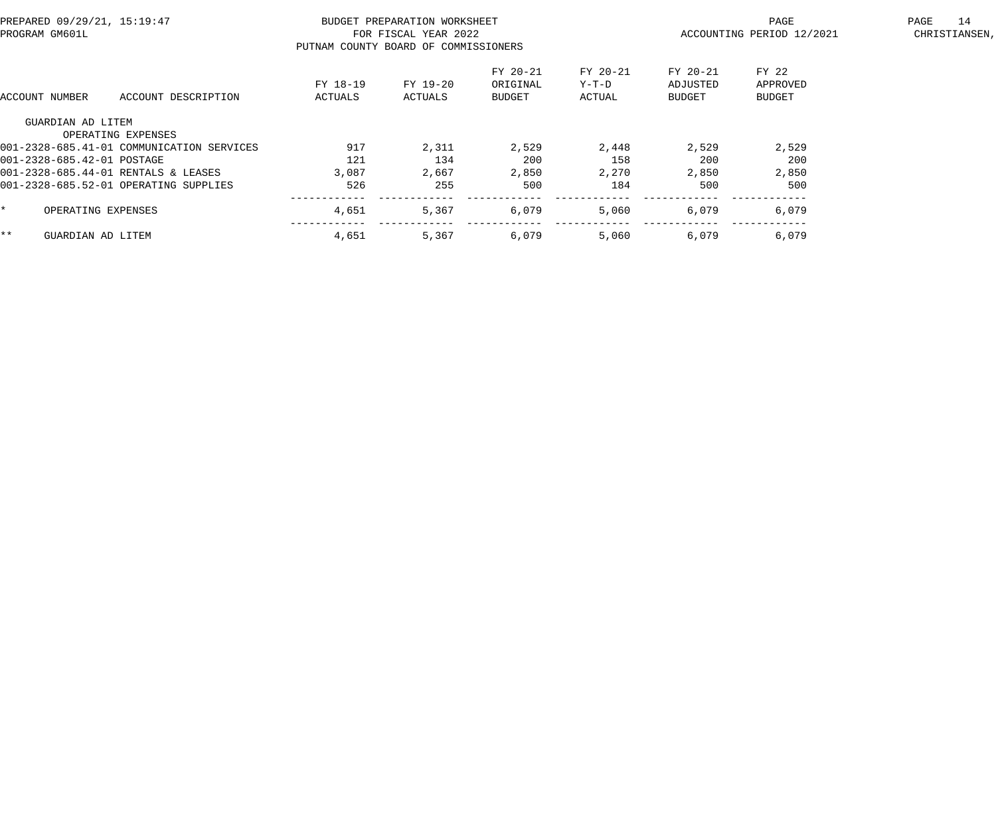| PREPARED 09/29/21, 15:19:47<br>PROGRAM GM601L |                                           | PUTNAM COUNTY BOARD OF COMMISSIONERS | BUDGET PREPARATION WORKSHEET<br>FOR FISCAL YEAR 2022 |                                       |                             | PAGE<br>ACCOUNTING PERIOD 12/2021     | 14<br>PAGE<br>CHRISTIANSEN,        |  |
|-----------------------------------------------|-------------------------------------------|--------------------------------------|------------------------------------------------------|---------------------------------------|-----------------------------|---------------------------------------|------------------------------------|--|
| ACCOUNT NUMBER                                | ACCOUNT DESCRIPTION                       | FY 18-19<br>ACTUALS                  | FY 19-20<br>ACTUALS                                  | FY 20-21<br>ORIGINAL<br><b>BUDGET</b> | FY 20-21<br>Y-T-D<br>ACTUAL | FY 20-21<br>ADJUSTED<br><b>BUDGET</b> | FY 22<br>APPROVED<br><b>BUDGET</b> |  |
| GUARDIAN AD LITEM                             |                                           |                                      |                                                      |                                       |                             |                                       |                                    |  |
|                                               | OPERATING EXPENSES                        |                                      |                                                      |                                       |                             |                                       |                                    |  |
|                                               | 001-2328-685.41-01 COMMUNICATION SERVICES | 917                                  | 2,311                                                | 2,529                                 | 2,448                       | 2,529                                 | 2,529                              |  |
| 001-2328-685.42-01 POSTAGE                    |                                           | 121                                  | 134                                                  | 200                                   | 158                         | 200                                   | 200                                |  |
|                                               | 001-2328-685.44-01 RENTALS & LEASES       | 3,087                                | 2,667                                                | 2,850                                 | 2,270                       | 2,850                                 | 2,850                              |  |
|                                               | 001-2328-685.52-01 OPERATING SUPPLIES     | 526                                  | 255                                                  | 500                                   | 184                         | 500                                   | 500                                |  |
|                                               | OPERATING EXPENSES                        | 4,651                                | 5,367                                                | 6,079                                 | 5,060                       | 6,079                                 | 6,079                              |  |
| * *<br>GUARDIAN AD LITEM                      |                                           | 4,651                                | 5,367                                                | 6,079                                 | 5,060                       | 6,079                                 | 6,079                              |  |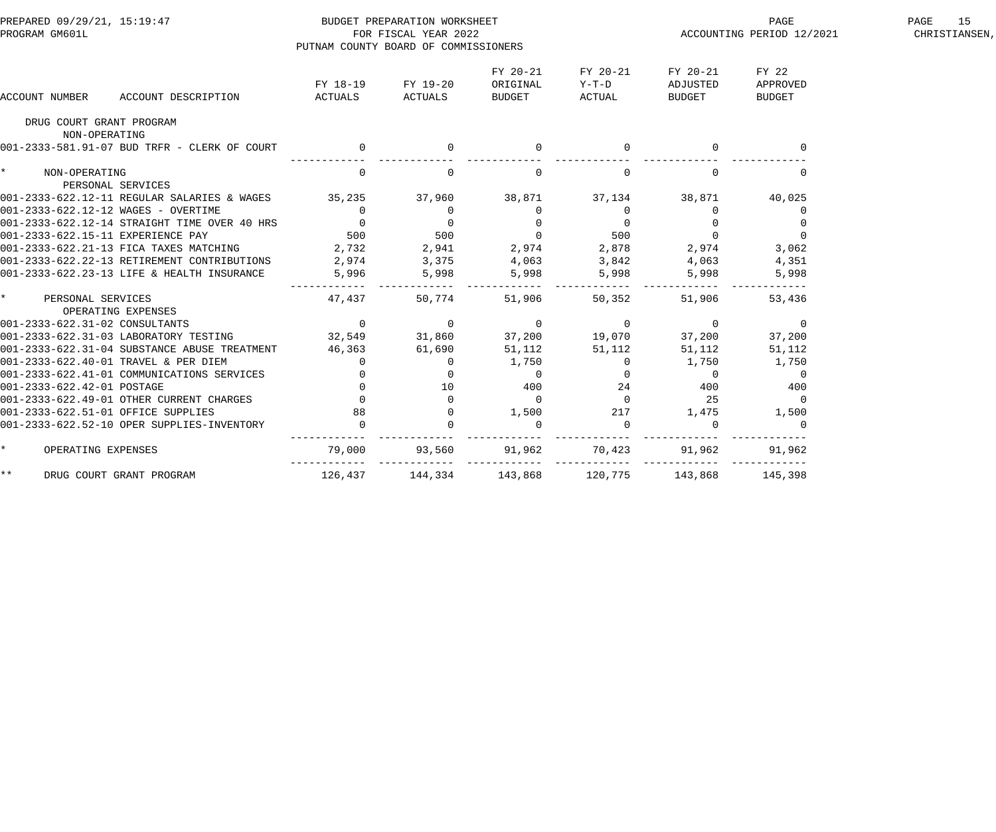| PREPARED 09/29/21, 15:19:47<br>PROGRAM GM601L                                                                                                                                                                                            | PUTNAM COUNTY BOARD OF COMMISSIONERS         | BUDGET PREPARATION WORKSHEET<br>FOR FISCAL YEAR 2022 |                                               |                                                                                           | ACCOUNTING PERIOD 12/2021                 | 15<br>PAGE<br>CHRISTIANSEN,                  |  |
|------------------------------------------------------------------------------------------------------------------------------------------------------------------------------------------------------------------------------------------|----------------------------------------------|------------------------------------------------------|-----------------------------------------------|-------------------------------------------------------------------------------------------|-------------------------------------------|----------------------------------------------|--|
| ACCOUNT DESCRIPTION<br>ACCOUNT NUMBER                                                                                                                                                                                                    | FY 18-19 FY 19-20<br>ACTUALS                 | ACTUALS                                              | FY 20-21<br>ORIGINAL<br>BUDGET                | FY 20-21<br>$Y-T-D$<br>ACTUAL                                                             | FY 20-21<br>ADJUSTED<br>BUDGET            | FY 22<br>APPROVED<br>BUDGET                  |  |
| DRUG COURT GRANT PROGRAM<br>NON-OPERATING                                                                                                                                                                                                |                                              |                                                      |                                               |                                                                                           |                                           |                                              |  |
| 001-2333-581.91-07 BUD TRFR - CLERK OF COURT                                                                                                                                                                                             | $\begin{matrix} 0 & 0 \\ 0 & 0 \end{matrix}$ |                                                      | $\mathbf 0$                                   |                                                                                           |                                           |                                              |  |
| $\star$<br>NON-OPERATING<br>PERSONAL SERVICES                                                                                                                                                                                            | $\overline{0}$                               | $\overline{0}$                                       | $\overline{0}$                                | $\overline{0}$                                                                            | $\mathbf{0}$                              | $\mathbf{0}$                                 |  |
| 001-2333-622.12-11 REGULAR SALARIES & WAGES 35,235 37,960 38,871 37,134 38,871                                                                                                                                                           |                                              |                                                      |                                               |                                                                                           |                                           | 40,025                                       |  |
|                                                                                                                                                                                                                                          |                                              |                                                      |                                               |                                                                                           | $\overline{0}$                            |                                              |  |
|                                                                                                                                                                                                                                          |                                              |                                                      |                                               |                                                                                           | $\begin{array}{c} 0 \\ 0 \end{array}$     | $\begin{array}{c}0\\0\\0\\3\ 062\end{array}$ |  |
|                                                                                                                                                                                                                                          |                                              |                                                      |                                               |                                                                                           |                                           |                                              |  |
|                                                                                                                                                                                                                                          |                                              |                                                      |                                               |                                                                                           | 2,974                                     |                                              |  |
|                                                                                                                                                                                                                                          |                                              |                                                      |                                               |                                                                                           |                                           | 4,351                                        |  |
| PERSONAL SERVICEL<br>101-2333-622.12-11 REGULAR SALARIES & WAGES<br>101-2333-622.12-12 WAGES - OVERTIME<br>1001-2333-622.12-14 STRAIGHT TIME OVER 40 HRS<br>1001-2333-622.15-11 EXPERIENCE PAY<br>1001-2333-622.21-13 FICA TAXES MATCHIN |                                              |                                                      |                                               | 0 $0$ 37,134<br>0 0 0 0<br>0 0 0<br>500 0 500<br>11 2,974 2,878<br>5 4,063 3,842<br>5,998 | $4,063$<br>5,998                          | 5,998                                        |  |
| $\star$<br>PERSONAL SERVICES<br>OPERATING EXPENSES                                                                                                                                                                                       | 47,437                                       | ------ ------------<br>50,774                        | 51,906                                        | . _ _ _ _ _ _ _ _ _<br>50,352                                                             | 51,906                                    | 53,436                                       |  |
|                                                                                                                                                                                                                                          |                                              |                                                      | $\overline{0}$                                |                                                                                           | $\overline{0}$                            | $\overline{0}$                               |  |
|                                                                                                                                                                                                                                          |                                              |                                                      |                                               | $0$ 0<br>37,200 19,070                                                                    | 37,200                                    | 37,200                                       |  |
| 001-2333-622.31-04 SUBSTANCE ABUSE TREATMENT 46,363 61,690                                                                                                                                                                               |                                              |                                                      | 51,112                                        | 51,112                                                                                    | 51,112                                    | 51,112                                       |  |
|                                                                                                                                                                                                                                          |                                              |                                                      | 1,750                                         |                                                                                           | 1,750                                     | 1,750                                        |  |
|                                                                                                                                                                                                                                          |                                              |                                                      |                                               |                                                                                           | $\overline{0}$                            |                                              |  |
|                                                                                                                                                                                                                                          |                                              |                                                      |                                               |                                                                                           | $\begin{array}{c}\n0 \\ 400\n\end{array}$ | $\begin{array}{c}0\\400\end{array}$          |  |
|                                                                                                                                                                                                                                          |                                              |                                                      | $\begin{bmatrix} 0 \\ 400 \\ 0 \end{bmatrix}$ |                                                                                           | 25                                        | $\overline{0}$                               |  |
|                                                                                                                                                                                                                                          |                                              |                                                      | 1,500                                         |                                                                                           | 1,475                                     | 1,500                                        |  |
| 001-2333-622.40-01 TRAVEL & PER DIEM 0<br>001-2333-622.41-01 COMMUNICATIONS SERVICES 0<br>001-2333-622.42-01 POSTAGE 0<br>001-2333-622.49-01 OTHER CURRENT CHARGES 0<br>001-2333-622.51-01 OFFICE SUPPLIES<br>001-2333-622.51-01 OFFICE  |                                              |                                                      | $\mathbf 0$                                   | $\begin{bmatrix} 0 & 0 \\ 0 & 0 \\ 24 & 0 \\ 217 & 0 \\ 0 & 0 \end{bmatrix}$              | $\Omega$                                  | $\overline{0}$                               |  |
| $\star$<br>OPERATING EXPENSES                                                                                                                                                                                                            | 79,000                                       | 93,560                                               |                                               | $91,962$ $70,423$                                                                         | 91,962                                    | 91,962                                       |  |
| $***$<br>DRUG COURT GRANT PROGRAM                                                                                                                                                                                                        | 126,437 144,334 143,868                      |                                                      |                                               | 120,775 143,868                                                                           |                                           | 145,398                                      |  |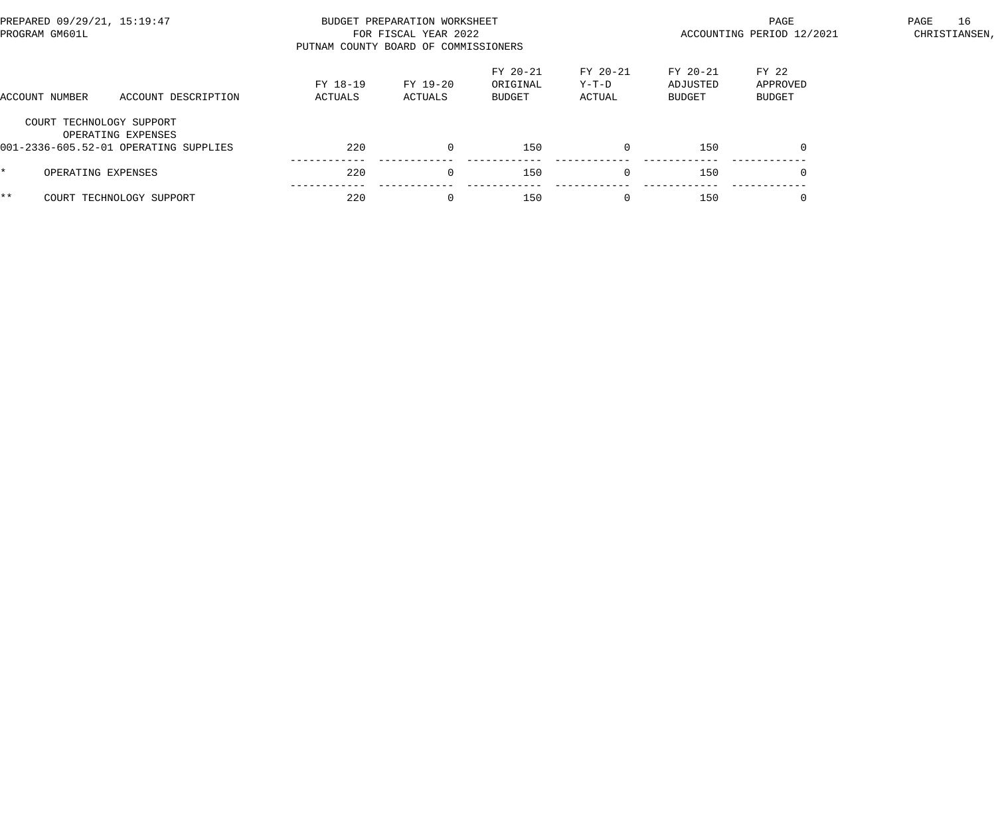| PREPARED 09/29/21, 15:19:47<br>PROGRAM GM601L |                                                             | PUTNAM COUNTY BOARD OF COMMISSIONERS | BUDGET PREPARATION WORKSHEET<br>FOR FISCAL YEAR 2022 |                                |                             | PAGE<br>ACCOUNTING PERIOD 12/2021 | 16<br>PAGE<br>CHRISTIANSEN, |  |
|-----------------------------------------------|-------------------------------------------------------------|--------------------------------------|------------------------------------------------------|--------------------------------|-----------------------------|-----------------------------------|-----------------------------|--|
| ACCOUNT NUMBER                                | ACCOUNT DESCRIPTION                                         | FY 18-19<br>ACTUALS                  | FY 19-20<br>ACTUALS                                  | FY 20-21<br>ORIGINAL<br>BUDGET | FY 20-21<br>Y-T-D<br>ACTUAL | $FY 20-21$<br>ADJUSTED<br>BUDGET  | FY 22<br>APPROVED<br>BUDGET |  |
| COURT TECHNOLOGY SUPPORT                      | OPERATING EXPENSES<br>001-2336-605.52-01 OPERATING SUPPLIES | 220                                  | $\Omega$                                             | 150                            | $\Omega$                    | 150                               | $\Omega$                    |  |
| OPERATING EXPENSES                            |                                                             | 220                                  | $\Omega$                                             | 150                            | $\Omega$                    | 150                               |                             |  |
| $***$                                         | COURT TECHNOLOGY SUPPORT                                    | 220                                  | $\Omega$                                             | 150                            |                             | 150                               |                             |  |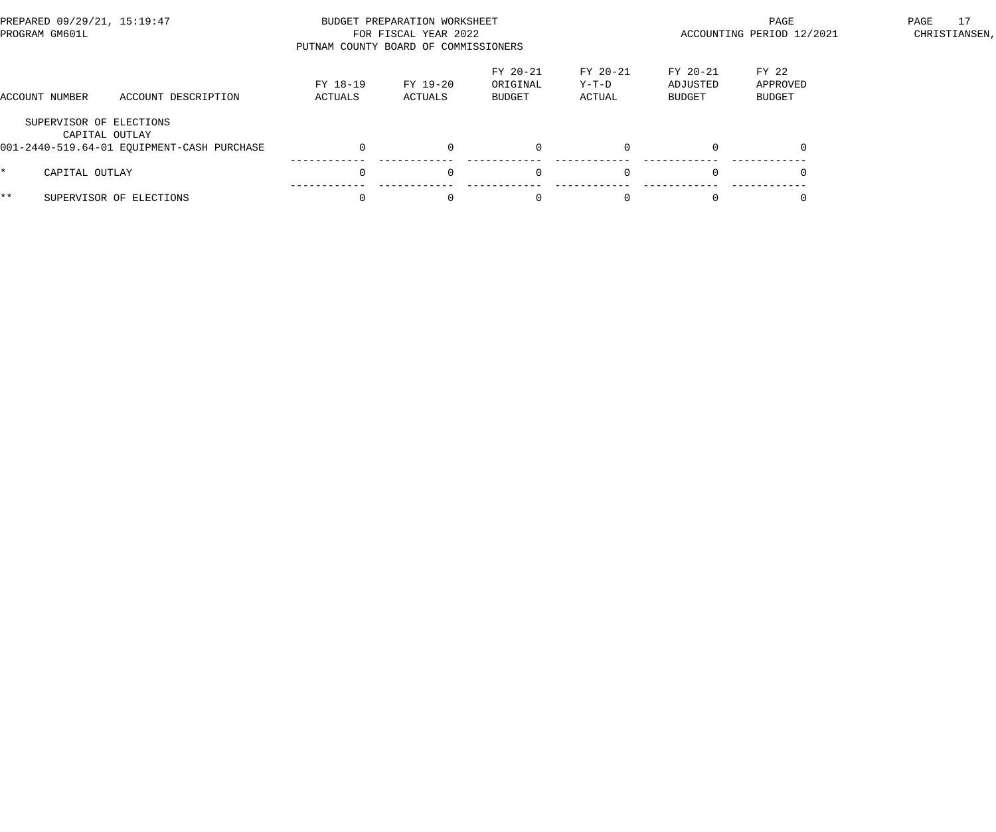| PREPARED 09/29/21, 15:19:47<br>PROGRAM GM601L |                                            | PUTNAM COUNTY BOARD OF COMMISSIONERS | BUDGET PREPARATION WORKSHEET<br>FOR FISCAL YEAR 2022 |                                |                             | PAGE<br>ACCOUNTING PERIOD 12/2021 | 17<br>PAGE<br>CHRISTIANSEN, |  |
|-----------------------------------------------|--------------------------------------------|--------------------------------------|------------------------------------------------------|--------------------------------|-----------------------------|-----------------------------------|-----------------------------|--|
| ACCOUNT NUMBER                                | ACCOUNT DESCRIPTION                        | FY 18-19<br>ACTUALS                  | FY 19-20<br>ACTUALS                                  | FY 20-21<br>ORIGINAL<br>BUDGET | FY 20-21<br>Y-T-D<br>ACTUAL | $FY 20-21$<br>ADJUSTED<br>BUDGET  | FY 22<br>APPROVED<br>BUDGET |  |
| SUPERVISOR OF ELECTIONS<br>CAPITAL OUTLAY     | 001-2440-519.64-01 EQUIPMENT-CASH PURCHASE |                                      | $\Omega$                                             | $\mathbf{0}$                   | $\Omega$                    |                                   |                             |  |
| CAPITAL OUTLAY                                |                                            |                                      | $\Omega$                                             | $\mathbf 0$                    | $\Omega$                    |                                   |                             |  |
| $***$                                         | SUPERVISOR OF ELECTIONS                    |                                      | $\Omega$                                             | $\Omega$                       |                             |                                   |                             |  |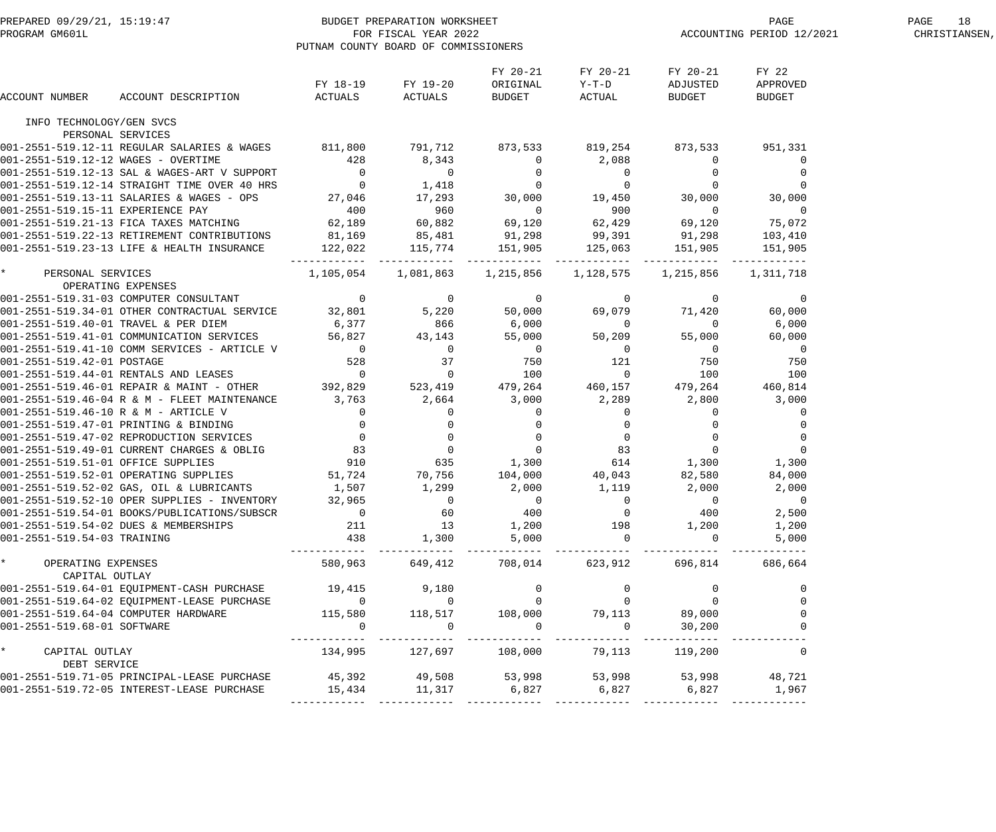| PREPARED 09/29/21, 15:19:47<br>PROGRAM GM601L PROGRAM COMBIC PREPARATION WORKSHEET<br>PUTNAM COUNTY BOARD OF COMMISSION                                                                                                                                                                                                                                                                                                               |                                                | PUTNAM COUNTY BOARD OF COMMISSIONERS |                                |                                                                                                                                                                                                                                                                                                                             | PAGE<br>ACCOUNTING PERIOD 12/2021        | 18<br>PAGE<br>CHRISTIANSEN,         |  |
|---------------------------------------------------------------------------------------------------------------------------------------------------------------------------------------------------------------------------------------------------------------------------------------------------------------------------------------------------------------------------------------------------------------------------------------|------------------------------------------------|--------------------------------------|--------------------------------|-----------------------------------------------------------------------------------------------------------------------------------------------------------------------------------------------------------------------------------------------------------------------------------------------------------------------------|------------------------------------------|-------------------------------------|--|
| ACCOUNT DESCRIPTION<br>ACCOUNT NUMBER                                                                                                                                                                                                                                                                                                                                                                                                 | FY 18-19 FY 19-20                              | ACTUALS ACTUALS                      | FY 20-21<br>ORIGINAL<br>BUDGET | FY 20-21<br>$Y-T-D$<br>ACTUAL                                                                                                                                                                                                                                                                                               | FY 20-21<br>ADJUSTED<br>BUDGET           | FY 22<br>APPROVED<br><b>BUDGET</b>  |  |
| INFO TECHNOLOGY/GEN SVCS                                                                                                                                                                                                                                                                                                                                                                                                              |                                                |                                      |                                |                                                                                                                                                                                                                                                                                                                             |                                          |                                     |  |
| PERSONAL SERVICES                                                                                                                                                                                                                                                                                                                                                                                                                     |                                                |                                      |                                |                                                                                                                                                                                                                                                                                                                             |                                          |                                     |  |
| 001-2551-519.12-11 REGULAR SALARIES & WAGES 811,800 791,712 873,533 819,254 873,533                                                                                                                                                                                                                                                                                                                                                   |                                                |                                      |                                |                                                                                                                                                                                                                                                                                                                             |                                          | 951,331                             |  |
|                                                                                                                                                                                                                                                                                                                                                                                                                                       |                                                |                                      | $\overline{0}$                 | 2,088                                                                                                                                                                                                                                                                                                                       | $\overline{0}$                           | $\overline{0}$                      |  |
| 001-2551-519.12-12 WAGES - OVERTIME<br>001-2551-519.12-13 SAL & WAGES-ART V SUPPORT<br>001-2551-519.12-14 STRAIGHT TIME OVER 40 HRS<br>001-2551-519.13-11 SALARIES & WAGES - OPS<br>001-2551-519.15-11 EXPERIENCE PAY<br>001-2551-519.15                                                                                                                                                                                              |                                                |                                      |                                |                                                                                                                                                                                                                                                                                                                             |                                          | $\overline{0}$                      |  |
|                                                                                                                                                                                                                                                                                                                                                                                                                                       |                                                |                                      |                                |                                                                                                                                                                                                                                                                                                                             |                                          | $\mathbf 0$                         |  |
|                                                                                                                                                                                                                                                                                                                                                                                                                                       |                                                |                                      |                                |                                                                                                                                                                                                                                                                                                                             |                                          | 30,000                              |  |
|                                                                                                                                                                                                                                                                                                                                                                                                                                       | $\begin{array}{c} 400 \\ 62,189 \end{array}$   |                                      |                                |                                                                                                                                                                                                                                                                                                                             |                                          | $\overline{0}$                      |  |
|                                                                                                                                                                                                                                                                                                                                                                                                                                       |                                                |                                      |                                |                                                                                                                                                                                                                                                                                                                             |                                          | 75,072                              |  |
| 001-2551-519.21-13 FICA TAXES MATCHING 62,189 60,882<br>001-2551-519.22-13 RETIREMENT CONTRIBUTIONS 81,169 85,481<br>001-2551-519.23-13 LIFE & HEALTH INSURANCE 122,022 115,774                                                                                                                                                                                                                                                       |                                                |                                      |                                |                                                                                                                                                                                                                                                                                                                             |                                          | 103,410<br>151,905                  |  |
|                                                                                                                                                                                                                                                                                                                                                                                                                                       |                                                | ------------- ------------           |                                | $\begin{array}{ccccccccc}\n 8,343 & & & 0 & & 2,088 & & & 0 \\  0 & & & 0 & & & 0 & & 0 \\  1,418 & & & 0 & & & 0 & & 0 \\  17,293 & & 30,000 & & 19,450 & & 30,000 & & & 0 \\  960 & & & 0 & & 900 & & & 0 & & 0 \\  60,882 & & 69,120 & & 62,429 & & 69,120 & & 85,481 & & 91,298 & & 99,391 & & 91,298 \\  115,774 & & $ | ---------                                |                                     |  |
| $\star$<br>PERSONAL SERVICES                                                                                                                                                                                                                                                                                                                                                                                                          | 1,105,054                                      |                                      | 1,081,863 1,215,856            | 1,128,575                                                                                                                                                                                                                                                                                                                   | 1,215,856                                | 1,311,718                           |  |
| OPERATING EXPENSES                                                                                                                                                                                                                                                                                                                                                                                                                    |                                                |                                      |                                |                                                                                                                                                                                                                                                                                                                             |                                          |                                     |  |
| 001-2551-519.31-03 COMPUTER CONSULTANT 0<br>001-2551-519.34-01 OTHER CONTRACTUAL SERVICE 32,801 5,220<br>1-2551-519.34-01 OTHER CONTRACTUAL LETTER<br>01-2551-519.41-01 COMMUNICATION SERVICES<br>1001-2551-519.41-01 COMMUNICATION SERVICES<br>56,827 43,143<br>1001-2551-519.41-10 COMM SERVICES - ARTICLE V<br>-------------------------------                                                                                     |                                                |                                      | $\overline{0}$                 | $\begin{matrix} & & & 0 & & & & 0 \ & 50 & 000 & & & & 69 & 079 \end{matrix}$                                                                                                                                                                                                                                               | $\overline{0}$                           | $\overline{0}$                      |  |
|                                                                                                                                                                                                                                                                                                                                                                                                                                       |                                                |                                      |                                | 69,079                                                                                                                                                                                                                                                                                                                      | 71,420                                   | 60,000                              |  |
|                                                                                                                                                                                                                                                                                                                                                                                                                                       |                                                |                                      | 6,000                          | $\begin{array}{c} 0 \\ 50 \, , 209 \end{array}$                                                                                                                                                                                                                                                                             | $\sim$ 0                                 | 6,000                               |  |
|                                                                                                                                                                                                                                                                                                                                                                                                                                       |                                                |                                      | 55,000                         |                                                                                                                                                                                                                                                                                                                             | 55,000                                   | 60,000                              |  |
| $\begin{array}{cccccccccccc} \texttt{1} & \texttt{2} & \texttt{3} & \texttt{3} & \texttt{0} & \texttt{0} & \texttt{0} & \texttt{0} & \texttt{0} & \texttt{0} & \texttt{0} & \texttt{0} & \texttt{0} & \texttt{0} & \texttt{0} & \texttt{0} & \texttt{0} & \texttt{0} & \texttt{0} & \texttt{0} & \texttt{0} & \texttt{0} & \texttt{0} & \texttt{0} & \texttt{0} & \texttt{0} & \texttt{0} & \texttt{0} & \texttt{0} & \texttt{0} & \$ |                                                |                                      |                                | $\overline{0}$                                                                                                                                                                                                                                                                                                              | $\begin{array}{c}0\\750\\100\end{array}$ | $\begin{array}{c}0\\750\end{array}$ |  |
|                                                                                                                                                                                                                                                                                                                                                                                                                                       |                                                |                                      |                                | 121                                                                                                                                                                                                                                                                                                                         |                                          |                                     |  |
|                                                                                                                                                                                                                                                                                                                                                                                                                                       |                                                |                                      |                                | $\overline{0}$<br>$479,264$ $460,157$ $479,264$ $460,814$                                                                                                                                                                                                                                                                   |                                          | 100                                 |  |
|                                                                                                                                                                                                                                                                                                                                                                                                                                       |                                                |                                      |                                | 2,289 2,800                                                                                                                                                                                                                                                                                                                 |                                          | 3,000                               |  |
|                                                                                                                                                                                                                                                                                                                                                                                                                                       |                                                |                                      |                                |                                                                                                                                                                                                                                                                                                                             |                                          |                                     |  |
|                                                                                                                                                                                                                                                                                                                                                                                                                                       |                                                |                                      |                                |                                                                                                                                                                                                                                                                                                                             |                                          |                                     |  |
| 001-2551-519.46-10 R & M - ARTICLE V<br>001-2551-519.47-01 PRINTING & BINDING<br>001-2551-519.47-02 REPRODUCTION SERVICES<br>001-2551-519.49-01 CURRENT CHARGES & OBLIG<br>001-2551-519.49-01 CURRENT CHARGES & OBLIG<br>001-2551-519.51                                                                                                                                                                                              |                                                |                                      |                                | $\begin{array}{cccc} 0 & 0 & 0 & 0 \\ 0 & 0 & 0 & 0 \\ 0 & 0 & 0 & 0 \\ 0 & 83 & 0 & 0 \\ 1,300 & 614 & 1,300 \\ 104,000 & 40,043 & 82,580 \end{array}$                                                                                                                                                                     |                                          |                                     |  |
|                                                                                                                                                                                                                                                                                                                                                                                                                                       |                                                |                                      |                                |                                                                                                                                                                                                                                                                                                                             |                                          | $\mathbf 0$                         |  |
|                                                                                                                                                                                                                                                                                                                                                                                                                                       |                                                |                                      | 1,300                          |                                                                                                                                                                                                                                                                                                                             |                                          | 1,300                               |  |
| 001-2551-519.52-01 OPERATING SUPPLIES                                                                                                                                                                                                                                                                                                                                                                                                 | 51,724                                         | 70,756                               |                                |                                                                                                                                                                                                                                                                                                                             |                                          | 84,000                              |  |
| 001-2551-519.52-02 GAS, OIL & LUBRICANTS                                                                                                                                                                                                                                                                                                                                                                                              | 1,507                                          | 1,299                                | 2,000                          | 1,119                                                                                                                                                                                                                                                                                                                       | 2,000                                    | 2,000                               |  |
| 001-2551-519.52-10 OPER SUPPLIES - INVENTORY                                                                                                                                                                                                                                                                                                                                                                                          | 32,965                                         | $\overline{0}$                       | $\overline{0}$                 | $\overline{\mathbf{0}}$                                                                                                                                                                                                                                                                                                     | $\overline{0}$                           | $\overline{0}$                      |  |
| 001-2551-519.54-01 BOOKS/PUBLICATIONS/SUBSCR                                                                                                                                                                                                                                                                                                                                                                                          | $\overline{0}$                                 | 60                                   | 400                            | $\mathbf 0$                                                                                                                                                                                                                                                                                                                 | 400                                      | 2,500                               |  |
| 001-2551-519.54-02 DUES & MEMBERSHIPS                                                                                                                                                                                                                                                                                                                                                                                                 | 211                                            | 13                                   | 1,200                          | 198                                                                                                                                                                                                                                                                                                                         | 1,200                                    | 1,200                               |  |
| 001-2551-519.54-03 TRAINING                                                                                                                                                                                                                                                                                                                                                                                                           | 438                                            | 1,300                                | 5,000                          | $\overline{0}$                                                                                                                                                                                                                                                                                                              | $\overline{0}$                           | 5,000                               |  |
| * OPERATING EXPENSES<br>CAPITAL OUTLAY                                                                                                                                                                                                                                                                                                                                                                                                | 580,963                                        | 649,412                              | 708,014                        | 623,912                                                                                                                                                                                                                                                                                                                     | 696,814                                  | 686,664                             |  |
| 001-2551-519.64-01 EQUIPMENT-CASH PURCHASE 19,415                                                                                                                                                                                                                                                                                                                                                                                     |                                                | 9,180                                | $\overline{0}$                 | $\overline{0}$                                                                                                                                                                                                                                                                                                              | $\overline{0}$                           |                                     |  |
| 001-2551-519.64-02 EQUIPMENT-LEASE PURCHASE                                                                                                                                                                                                                                                                                                                                                                                           | $\overline{0}$                                 | $\overline{0}$                       | $\overline{0}$                 | $\Omega$                                                                                                                                                                                                                                                                                                                    | $\overline{0}$                           |                                     |  |
| 001-2551-519.64-04 COMPUTER HARDWARE                                                                                                                                                                                                                                                                                                                                                                                                  | 115,580                                        | 118,517                              |                                | 108,000 79,113                                                                                                                                                                                                                                                                                                              | 89,000                                   |                                     |  |
| 001-2551-519.68-01 SOFTWARE                                                                                                                                                                                                                                                                                                                                                                                                           | $\Omega$                                       | $\overline{0}$                       | $\overline{0}$                 | $\overline{0}$                                                                                                                                                                                                                                                                                                              | 30,200                                   |                                     |  |
| * CAPITAL OUTLAY<br>DEBT SERVICE                                                                                                                                                                                                                                                                                                                                                                                                      | 134,995                                        |                                      | 127,697 108,000 79,113         |                                                                                                                                                                                                                                                                                                                             | 119,200                                  |                                     |  |
| 001-2551-519.71-05 PRINCIPAL-LEASE PURCHASE                                                                                                                                                                                                                                                                                                                                                                                           | 45,392 		 49,508 		 53,998 		 53,998 		 53,998 |                                      |                                |                                                                                                                                                                                                                                                                                                                             |                                          | 48,721                              |  |
| 001-2551-519.72-05 INTEREST-LEASE PURCHASE                                                                                                                                                                                                                                                                                                                                                                                            |                                                | 15,434 11,317                        | 6,827                          | 6,827                                                                                                                                                                                                                                                                                                                       | 6,827                                    | 1,967                               |  |
|                                                                                                                                                                                                                                                                                                                                                                                                                                       |                                                |                                      |                                |                                                                                                                                                                                                                                                                                                                             |                                          |                                     |  |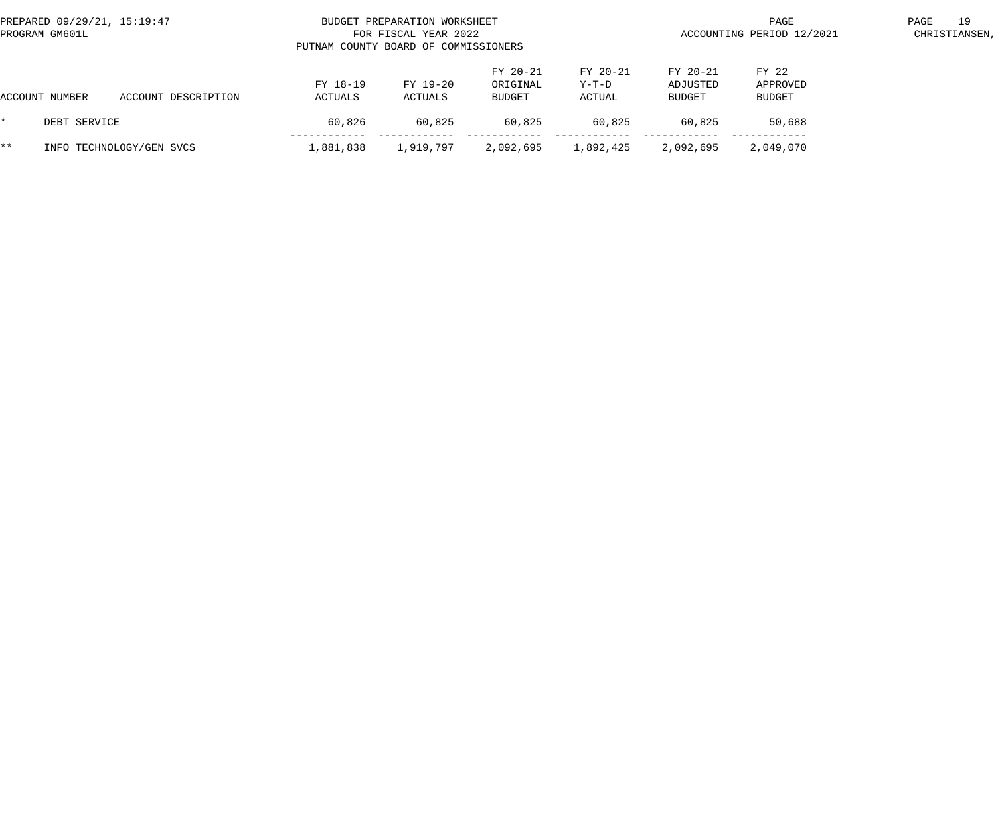| PREPARED 09/29/21, 15:19:47<br>PROGRAM GM601L |                     | BUDGET PREPARATION WORKSHEET<br>FOR FISCAL YEAR 2022<br>PUTNAM COUNTY BOARD OF COMMISSIONERS |                     |                                |                             |                                | PAGE<br>ACCOUNTING PERIOD 12/2021  |  |  |
|-----------------------------------------------|---------------------|----------------------------------------------------------------------------------------------|---------------------|--------------------------------|-----------------------------|--------------------------------|------------------------------------|--|--|
| ACCOUNT NUMBER                                | ACCOUNT DESCRIPTION | FY 18-19<br>ACTUALS                                                                          | FY 19-20<br>ACTUALS | FY 20-21<br>ORIGINAL<br>BUDGET | FY 20-21<br>Y-T-D<br>ACTUAL | FY 20-21<br>ADJUSTED<br>BUDGET | FY 22<br>APPROVED<br><b>BUDGET</b> |  |  |
| DEBT SERVICE                                  |                     | 60,826                                                                                       | 60,825              | 60,825                         | 60,825                      | 60,825                         | 50,688                             |  |  |
| * *<br>INFO TECHNOLOGY/GEN SVCS               |                     | 1,881,838                                                                                    | 1,919,797           | 2,092,695                      | 1,892,425                   | 2,092,695                      | 2,049,070                          |  |  |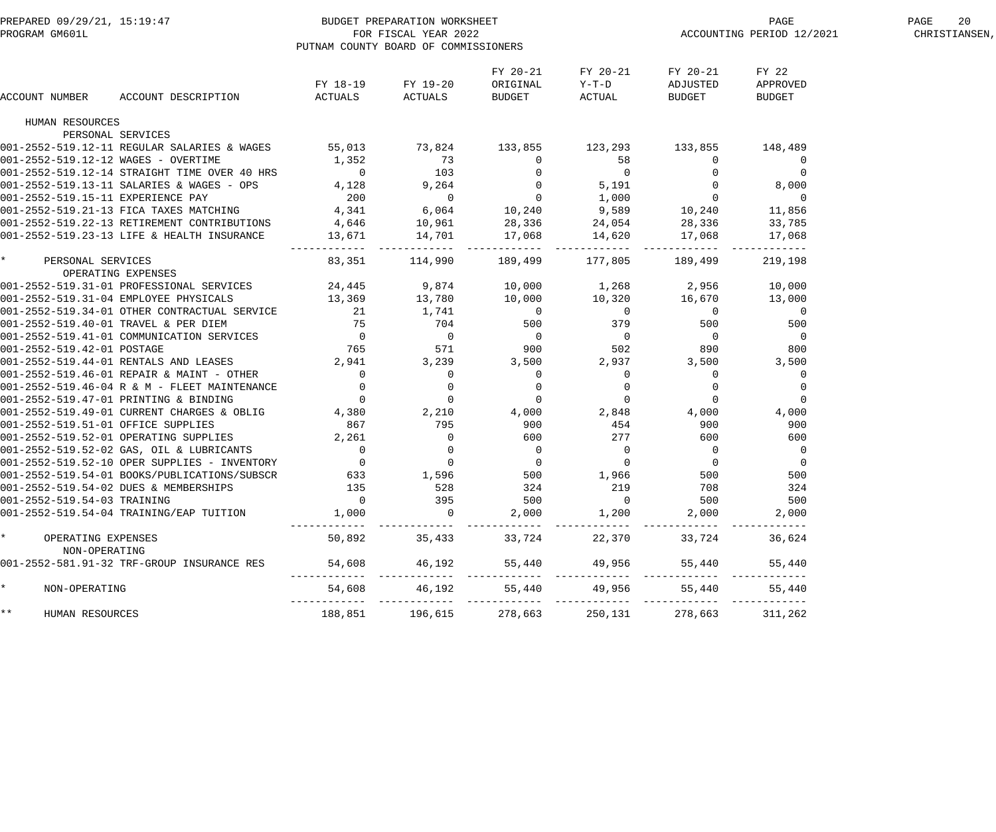| PREPARED 09/29/21, 15:19:47<br>PROGRAM GM601L |                                                                                        | BUDGET PREPARATION WORKSHEET<br>FOR FISCAL YEAR 2022<br>PUTNAM COUNTY BOARD OF COMMISSIONERS | ACCOUNTING PERIOD 12/2021             | PAGE<br>20<br>CHRISTIANSEN,                             |                                                                          |                                |                                                             |  |
|-----------------------------------------------|----------------------------------------------------------------------------------------|----------------------------------------------------------------------------------------------|---------------------------------------|---------------------------------------------------------|--------------------------------------------------------------------------|--------------------------------|-------------------------------------------------------------|--|
| ACCOUNT NUMBER                                | ACCOUNT DESCRIPTION                                                                    | ACTUALS                                                                                      | FY 18-19 FY 19-20<br>ACTUALS          | FY 20-21<br>ORIGINAL<br>BUDGET                          | FY 20-21<br>$Y-T-D$<br>ACTUAL                                            | FY 20-21<br>ADJUSTED<br>BUDGET | FY 22<br>APPROVED<br><b>BUDGET</b>                          |  |
| HUMAN RESOURCES                               |                                                                                        |                                                                                              |                                       |                                                         |                                                                          |                                |                                                             |  |
| PERSONAL SERVICES                             |                                                                                        |                                                                                              |                                       |                                                         |                                                                          |                                |                                                             |  |
|                                               | 001-2552-519.12-11 REGULAR SALARIES & WAGES 55,013 73,824                              |                                                                                              |                                       | 133,855 123,293                                         |                                                                          | 133,855                        | 148,489                                                     |  |
| 001-2552-519.12-12 WAGES - OVERTIME           |                                                                                        | 1,352                                                                                        | 73                                    | $\overline{0}$                                          | 58                                                                       | $\overline{0}$                 | $\overline{0}$                                              |  |
|                                               | 001-2552-519.12-14 STRAIGHT TIME OVER 40 HRS                                           |                                                                                              | $0$ 103                               |                                                         | $\begin{array}{ccc} & 0 & & 0 \\ 0 & & 5,191 \\ 0 & & 1,000 \end{array}$ | $\overline{0}$                 | $\begin{smallmatrix}&&&0\0&8\, ,\,0\,0\,0\end{smallmatrix}$ |  |
|                                               | 001-2552-519.13-11 SALARIES & WAGES - OPS 4,128 9,264                                  |                                                                                              |                                       |                                                         |                                                                          | $\overline{0}$                 |                                                             |  |
| 001-2552-519.15-11 EXPERIENCE PAY             |                                                                                        | 200                                                                                          | $\overline{0}$                        |                                                         |                                                                          | $\overline{0}$                 | $\overline{0}$                                              |  |
|                                               | 001-2552-519.21-13 FICA TAXES MATCHING                                                 | 4,341                                                                                        | 6,064                                 | 10,240 9,589                                            |                                                                          | 10,240                         | 11,856                                                      |  |
|                                               | 001-2552-519.22-13 RETIREMENT CONTRIBUTIONS                                            | 4,646                                                                                        | 10,961                                | 28,336                                                  | 24,054                                                                   | 28,336                         | 33,785                                                      |  |
|                                               | 001-2552-519.23-13 LIFE & HEALTH INSURANCE                                             | 13,671                                                                                       | 14,701                                | 17,068                                                  | 14,620                                                                   | 17,068                         | 17,068                                                      |  |
| * PERSONAL SERVICES                           |                                                                                        | 83,351                                                                                       |                                       | 114,990 189,499 177,805                                 |                                                                          | 189,499                        | 219,198                                                     |  |
| OPERATING EXPENSES                            |                                                                                        |                                                                                              |                                       |                                                         |                                                                          |                                |                                                             |  |
|                                               | 001-2552-519.31-01 PROFESSIONAL SERVICES                                               |                                                                                              | 24,445 9,874 10,000                   |                                                         | 1,268 2,956 10,000                                                       |                                |                                                             |  |
|                                               | 001-2552-519.31-04 EMPLOYEE PHYSICALS 13,369 13,780                                    |                                                                                              |                                       | 10,000                                                  | 10,320                                                                   | 16,670                         | 13,000                                                      |  |
|                                               | 001-2552-519.34-01 OTHER CONTRACTUAL SERVICE 21 21 1,741                               |                                                                                              |                                       | $\begin{array}{c}0\\500\end{array}$                     | $\overline{0}$                                                           | $\overline{0}$                 | $\overline{0}$                                              |  |
|                                               | 001-2552-519.40-01 TRAVEL & PER DIEM 75<br>001-2552-519.41-01 COMMUNICATION SERVICES 0 |                                                                                              |                                       |                                                         |                                                                          | 379 500                        | 500                                                         |  |
|                                               |                                                                                        |                                                                                              |                                       | $\begin{array}{c} 0 \\ 900 \end{array}$                 | $\overline{0}$                                                           | $\overline{0}$                 | $\overline{0}$                                              |  |
| 001-2552-519.42-01 POSTAGE                    |                                                                                        | 765 571                                                                                      |                                       |                                                         |                                                                          | 502 890                        | 800                                                         |  |
|                                               | 001-2552-519.44-01 RENTALS AND LEASES                                                  | 2,941 3,239                                                                                  |                                       | 3,500 2,937                                             |                                                                          | 3,500                          | 3,500                                                       |  |
|                                               | 001-2552-519.46-01 REPAIR & MAINT - OTHER                                              | $\overline{0}$                                                                               | $\overline{0}$                        | $\overline{0}$                                          | $\overline{0}$                                                           | $\overline{0}$                 | $\overline{0}$                                              |  |
|                                               | 001-2552-519.46-04 R & M - FLEET MAINTENANCE                                           | $\overline{0}$                                                                               | $\begin{array}{c} 0 \\ 0 \end{array}$ | $\overline{0}$<br>$\begin{array}{c} 0 \\ 0 \end{array}$ | $\mathbf 0$                                                              | $\overline{0}$                 |                                                             |  |
|                                               | 001-2552-519.47-01 PRINTING & BINDING                                                  | $\overline{0}$                                                                               |                                       |                                                         | $\overline{0}$                                                           | $\overline{0}$                 | $\overline{0}$                                              |  |
|                                               | 001-2552-519.49-01 CURRENT CHARGES & OBLIG 4,380 2,210                                 |                                                                                              |                                       | $4,000$ $2,848$ $4,000$                                 |                                                                          |                                | 4,000                                                       |  |
|                                               | 001-2552-519.51-01 OFFICE SUPPLIES                                                     | 867                                                                                          | 795                                   | 900                                                     | 454                                                                      | 900                            | 900                                                         |  |
|                                               | 001-2552-519.52-01 OPERATING SUPPLIES 2,261                                            |                                                                                              | $\overline{0}$                        | 600                                                     | 277                                                                      | 600                            | 600                                                         |  |
|                                               | 001-2552-519.52-02 GAS, OIL & LUBRICANTS                                               | $\overline{0}$                                                                               | $\begin{array}{c} 0 \\ 0 \end{array}$ | $\begin{matrix} 0 \\ 0 \end{matrix}$                    | $\overline{0}$                                                           | $\overline{\mathbf{0}}$        | - 0                                                         |  |
|                                               | 001-2552-519.52-10 OPER SUPPLIES - INVENTORY                                           |                                                                                              |                                       |                                                         | $\overline{0}$                                                           | $\overline{0}$                 | 0                                                           |  |
|                                               | 001-2552-519.54-01 BOOKS/PUBLICATIONS/SUBSCR                                           | 633                                                                                          | 1,596                                 | 500                                                     | 1,966                                                                    | 500                            | 500                                                         |  |
|                                               | 001-2552-519.54-02 DUES & MEMBERSHIPS                                                  | 135                                                                                          | 528                                   | 324                                                     | 219                                                                      | 708                            | 324                                                         |  |
| 001-2552-519.54-03 TRAINING                   |                                                                                        | $\Omega$                                                                                     | 395                                   | 500                                                     | $\Omega$                                                                 | 500                            | 500                                                         |  |
|                                               | 001-2552-519.54-04 TRAINING/EAP TUITION                                                | 1,000                                                                                        | $\Omega$                              | 2,000                                                   | 1,200                                                                    | 2,000                          | 2,000                                                       |  |
| OPERATING EXPENSES<br>NON-OPERATING           |                                                                                        | 50,892                                                                                       | 35,433                                | 33,724                                                  | 22,370                                                                   | 33,724                         | 36,624                                                      |  |
|                                               | 001-2552-581.91-32 TRF-GROUP INSURANCE RES                                             | 54,608                                                                                       | 46,192                                | 55,440                                                  | 49,956                                                                   | 55,440                         | 55,440                                                      |  |
| NON-OPERATING                                 |                                                                                        | 54,608                                                                                       | 46,192                                | 55,440                                                  | 49,956                                                                   | 55,440                         | 55,440                                                      |  |
| $\star\star$<br>HUMAN RESOURCES               |                                                                                        | 188,851                                                                                      | 196,615                               | 278,663                                                 | 250,131                                                                  | 278,663                        | 311,262                                                     |  |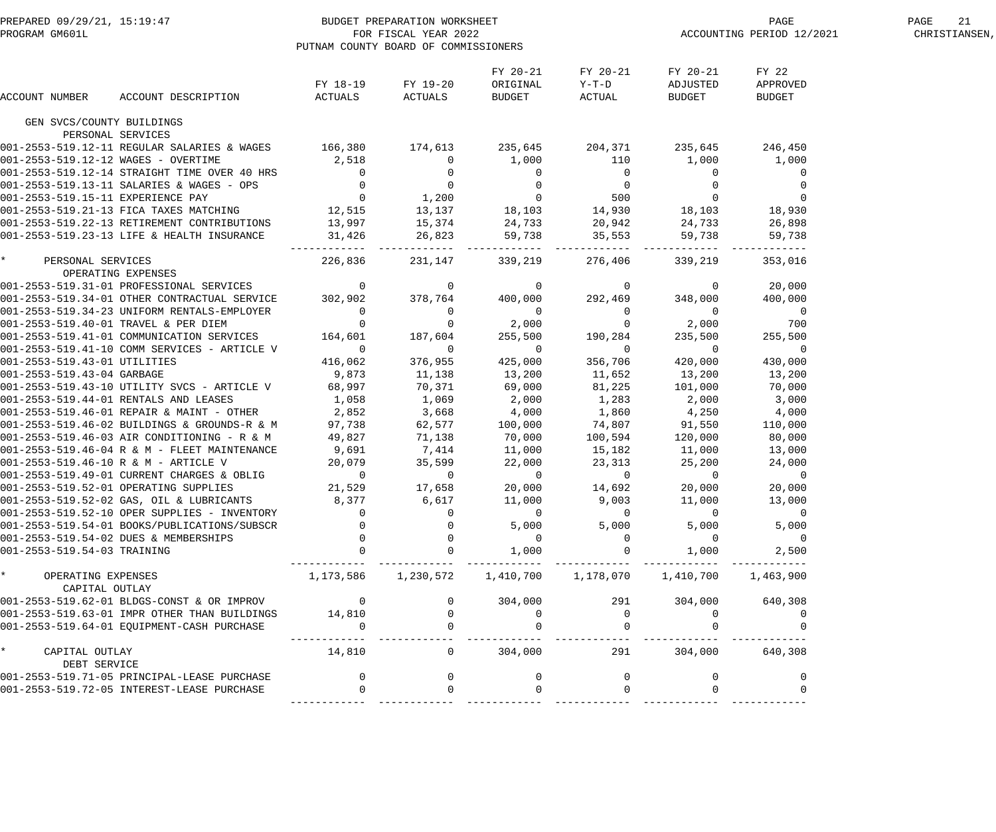| BUDGET PREPARATION WORKSHEET:<br>FOR FISCAL YEAR 2022<br>PITTNAM COINTY ROARD OF COMMISSION<br>PREPARED 09/29/21, 15:19:47<br>PROGRAM GM601L                                                                                            |                     | PUTNAM COUNTY BOARD OF COMMISSIONERS                                                                                                                                                                                                                                                 |                                |                                       | ACCOUNTING PERIOD 12/2021           | PAGE<br>21<br>CHRISTIANSEN,        |  |
|-----------------------------------------------------------------------------------------------------------------------------------------------------------------------------------------------------------------------------------------|---------------------|--------------------------------------------------------------------------------------------------------------------------------------------------------------------------------------------------------------------------------------------------------------------------------------|--------------------------------|---------------------------------------|-------------------------------------|------------------------------------|--|
| ACCOUNT DESCRIPTION<br>ACCOUNT NUMBER                                                                                                                                                                                                   | FY 18-19<br>ACTUALS | FY 19-20<br>ACTUALS                                                                                                                                                                                                                                                                  | FY 20-21<br>ORIGINAL<br>BUDGET | FY 20-21<br>$Y-T-D$<br>ACTUAL         | FY 20-21<br>ADJUSTED<br>BUDGET      | FY 22<br>APPROVED<br><b>BUDGET</b> |  |
| GEN SVCS/COUNTY BUILDINGS                                                                                                                                                                                                               |                     |                                                                                                                                                                                                                                                                                      |                                |                                       |                                     |                                    |  |
| PERSONAL SERVICES                                                                                                                                                                                                                       |                     |                                                                                                                                                                                                                                                                                      |                                |                                       |                                     |                                    |  |
| 001-2553-519.12-11 REGULAR SALARIES & WAGES 166,380 174,613 235,645 204,371 235,645                                                                                                                                                     |                     |                                                                                                                                                                                                                                                                                      |                                |                                       |                                     | 246,450                            |  |
| 001-2553-519.12-12 WAGES - OVERTIME                                                                                                                                                                                                     |                     |                                                                                                                                                                                                                                                                                      |                                |                                       | 1,000                               | 1,000                              |  |
| 001-2553-519.12-14 STRAIGHT TIME OVER 40 HRS                                                                                                                                                                                            |                     |                                                                                                                                                                                                                                                                                      |                                |                                       | $\begin{matrix}0\\0\\0\end{matrix}$ | 0                                  |  |
| 001-2553-519.13-11 SALARIES & WAGES - OPS                                                                                                                                                                                               |                     |                                                                                                                                                                                                                                                                                      |                                |                                       |                                     | 0                                  |  |
| 001-2553-519.15-11 EXPERIENCE PAY                                                                                                                                                                                                       |                     |                                                                                                                                                                                                                                                                                      |                                |                                       |                                     | $\overline{0}$                     |  |
| 001-2553-519.21-13 FICA TAXES MATCHING                                                                                                                                                                                                  |                     |                                                                                                                                                                                                                                                                                      |                                |                                       | 18,103                              | 18,930                             |  |
| 001-2553-519.22-13 RETIREMENT CONTRIBUTIONS                                                                                                                                                                                             |                     |                                                                                                                                                                                                                                                                                      |                                |                                       | 24,733                              | 26,898                             |  |
| 001-2553-519.23-13 LIFE & HEALTH INSURANCE                                                                                                                                                                                              |                     | $13,997$<br>31,426<br>31,426<br>31,426<br>35,553<br>35,553<br>35,553<br>35,553<br>35,553<br>35,553<br>35,553<br>35,553<br>35,553<br>35,553<br>35,000<br>35,000<br>35,000<br>35,000<br>35,000<br>35,000<br>35,000<br>35,000<br>35,000<br>35,000<br>35,000<br>35,000<br>35,000<br>35,0 |                                |                                       | 59,738<br>---------                 | 59,738                             |  |
| * PERSONAL SERVICES<br>OPERATING EXPENSES                                                                                                                                                                                               | 226,836             | 231,147                                                                                                                                                                                                                                                                              | 339,219                        | 276,406                               | 339,219                             | 353,016                            |  |
| 001-2553-519.31-01 PROFESSIONAL SERVICES<br>001-2553-519.34-01 OTHER CONTRACTUAL SERVICE 302,902<br>001-2553-519.34-22 INIEODM DRIFILE CONTRACTUAL SERVICE                                                                              |                     | $\begin{array}{ccc} & 0 & 0 & 0 \\ 378,764 & 400,000 \end{array}$                                                                                                                                                                                                                    |                                | $0$ 0<br>400,000 292,469              | $\overline{0}$                      | 20,000                             |  |
|                                                                                                                                                                                                                                         |                     |                                                                                                                                                                                                                                                                                      |                                |                                       | 348,000                             | 400,000                            |  |
|                                                                                                                                                                                                                                         |                     |                                                                                                                                                                                                                                                                                      | $\overline{0}$                 |                                       | $\overline{0}$                      | $\overline{0}$                     |  |
|                                                                                                                                                                                                                                         |                     | $\begin{array}{c} 0 \\ 0 \end{array}$                                                                                                                                                                                                                                                | 2,000                          | $\begin{array}{c} 0 \\ 0 \end{array}$ | 2,000                               | 700                                |  |
|                                                                                                                                                                                                                                         |                     | 187,604                                                                                                                                                                                                                                                                              | 255,500                        | 190,284                               | 235,500                             | 255,500                            |  |
| 0 125.34723 UNIFORM RENTALS-EMPLOYER<br>001-2553-519.40-01 TRAVEL & PER DIEM<br>001-2553-519.41-01 COMMUNICATION SERVICES 164,601<br>001-2553-519.41-10 COMM SERVICES ADELATION 164,601<br>001-2553-519.41-10 COMM SERVICES - ARTICLE V | $\overline{0}$      | $\overline{0}$                                                                                                                                                                                                                                                                       | $\overline{0}$                 | $\overline{0}$                        | $\overline{0}$                      | $\overline{0}$                     |  |
| 001-2553-519.43-01 UTILITIES                                                                                                                                                                                                            | 416,062             | 376,955                                                                                                                                                                                                                                                                              | 425,000                        | 356,706                               | 420,000                             | 430,000                            |  |
| 001-2553-519.43-04 GARBAGE                                                                                                                                                                                                              | 9,873               | 11,138                                                                                                                                                                                                                                                                               | 13,200                         | 11,652                                | 13,200                              | 13,200                             |  |
| 001-2553-519.43-10 UTILITY SVCS - ARTICLE V                                                                                                                                                                                             | 68,997              |                                                                                                                                                                                                                                                                                      | 69,000                         | 81,225                                | 101,000                             | 70,000                             |  |
| 001-2553-519.44-01 RENTALS AND LEASES                                                                                                                                                                                                   | 1,058               | $70,371$<br>$1,069$                                                                                                                                                                                                                                                                  | 2,000                          |                                       | 2,000                               | 3,000                              |  |
|                                                                                                                                                                                                                                         |                     | 3,668                                                                                                                                                                                                                                                                                | 4,000                          | $1,283$<br>$1,860$                    | 4,250                               | 4,000                              |  |
| 001-2553-519.46-01 REPAIR & MAINT - OTHER 2,852<br>001-2553-519.46-02 BUILDINGS & GROUNDS-R & M 97,738<br>001-2553-519.46-03 AIR CONDITIONING - R & M 49,827                                                                            |                     | 62,577                                                                                                                                                                                                                                                                               |                                | 100,000 74,807                        | 91,550                              | 110,000                            |  |
|                                                                                                                                                                                                                                         |                     | 71,138                                                                                                                                                                                                                                                                               | 70,000                         | 100,594                               | 120,000                             | 80,000                             |  |
| 001-2553-519.46-04 R & M - FLEET MAINTENANCE                                                                                                                                                                                            | 9,691               |                                                                                                                                                                                                                                                                                      | 11,000                         | 15,182                                | 11,000                              | 13,000                             |  |
| 001-2553-519.46-10 R & M - ARTICLE V                                                                                                                                                                                                    | 20,079              | 7,414<br>35,599                                                                                                                                                                                                                                                                      | 22,000                         | 23, 313                               | 25,200                              | 24,000                             |  |
| 001-2553-519.49-01 CURRENT CHARGES & OBLIG                                                                                                                                                                                              | $\overline{0}$      | $\overline{0}$                                                                                                                                                                                                                                                                       | $\overline{0}$                 | $\overline{0}$                        | $\overline{0}$                      |                                    |  |
| 001-2553-519.52-01 OPERATING SUPPLIES                                                                                                                                                                                                   | 21,529              | 17,658                                                                                                                                                                                                                                                                               | 20,000                         | 14,692                                | 20,000                              | 20,000                             |  |
| 001-2553-519.52-02 GAS, OIL & LUBRICANTS                                                                                                                                                                                                | 8,377               | 6,617                                                                                                                                                                                                                                                                                | 11,000                         | 9,003                                 | 11,000                              | 13,000                             |  |
| 001-2553-519.52-10 OPER SUPPLIES - INVENTORY                                                                                                                                                                                            | $\mathbf{0}$        |                                                                                                                                                                                                                                                                                      | $\overline{0}$                 | $\overline{0}$                        | $\overline{0}$                      | $\overline{0}$                     |  |
| 001-2553-519.54-01 BOOKS/PUBLICATIONS/SUBSCR                                                                                                                                                                                            |                     |                                                                                                                                                                                                                                                                                      | 5,000                          | 5,000                                 | 5,000                               | 5,000                              |  |
| 001-2553-519.54-02 DUES & MEMBERSHIPS                                                                                                                                                                                                   |                     |                                                                                                                                                                                                                                                                                      | $\overline{0}$                 |                                       | $\overline{0}$                      | $\overline{0}$                     |  |
| 001-2553-519.54-03 TRAINING                                                                                                                                                                                                             |                     |                                                                                                                                                                                                                                                                                      | 1,000                          |                                       | 1,000                               | 2,500                              |  |
| $\star$<br>OPERATING EXPENSES<br>CAPITAL OUTLAY                                                                                                                                                                                         | 1,173,586           |                                                                                                                                                                                                                                                                                      |                                |                                       | 1,410,700                           | 1,463,900                          |  |
| 001-2553-519.62-01 BLDGS-CONST & OR IMPROV                                                                                                                                                                                              | $\overline{0}$      |                                                                                                                                                                                                                                                                                      | 304,000                        | 291                                   | 304,000                             | 640,308                            |  |
| 001-2553-519.63-01 IMPR OTHER THAN BUILDINGS                                                                                                                                                                                            | 14,810              |                                                                                                                                                                                                                                                                                      | $\mathbf 0$                    |                                       | $\Omega$                            |                                    |  |
| 001-2553-519.64-01 EQUIPMENT-CASH PURCHASE                                                                                                                                                                                              | $\Omega$            |                                                                                                                                                                                                                                                                                      |                                |                                       |                                     |                                    |  |
| $\star$<br>CAPITAL OUTLAY                                                                                                                                                                                                               | 14,810              | $\mathbf{0}$                                                                                                                                                                                                                                                                         | 304,000                        | 291                                   | 304,000                             | 640,308                            |  |
| DEBT SERVICE                                                                                                                                                                                                                            |                     |                                                                                                                                                                                                                                                                                      |                                |                                       |                                     |                                    |  |
| 001-2553-519.71-05 PRINCIPAL-LEASE PURCHASE                                                                                                                                                                                             | $\mathbf 0$         |                                                                                                                                                                                                                                                                                      | $\Omega$                       |                                       | $\mathbf{0}$                        |                                    |  |
| 001-2553-519.72-05 INTEREST-LEASE PURCHASE                                                                                                                                                                                              |                     |                                                                                                                                                                                                                                                                                      |                                |                                       |                                     |                                    |  |
|                                                                                                                                                                                                                                         |                     |                                                                                                                                                                                                                                                                                      |                                |                                       |                                     |                                    |  |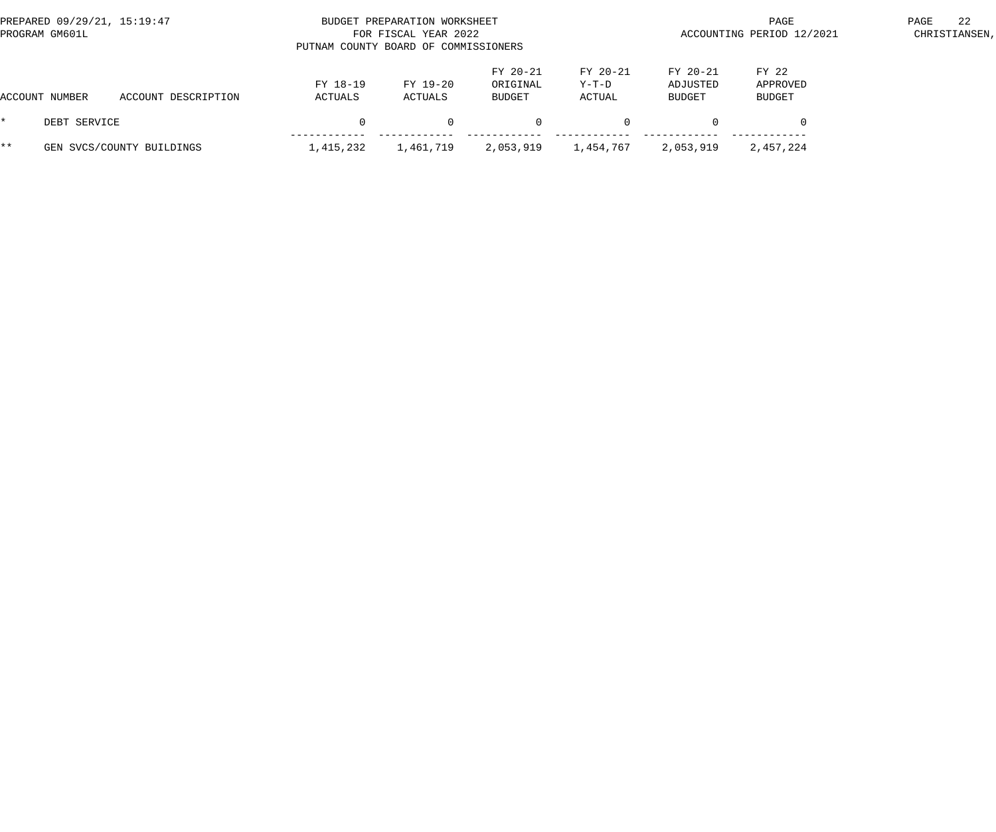| PREPARED 09/29/21, 15:19:47<br>PROGRAM GM601L |                |                           |                     | BUDGET PREPARATION WORKSHEET<br>FOR FISCAL YEAR 2022<br>PUTNAM COUNTY BOARD OF COMMISSIONERS |                                |                             | PAGE<br>ACCOUNTING PERIOD 12/2021 |                             |  |  |
|-----------------------------------------------|----------------|---------------------------|---------------------|----------------------------------------------------------------------------------------------|--------------------------------|-----------------------------|-----------------------------------|-----------------------------|--|--|
|                                               | ACCOUNT NUMBER | ACCOUNT DESCRIPTION       | FY 18-19<br>ACTUALS | FY 19-20<br>ACTUALS                                                                          | FY 20-21<br>ORIGINAL<br>BUDGET | FY 20-21<br>Y-T-D<br>ACTUAL | FY 20-21<br>ADJUSTED<br>BUDGET    | FY 22<br>APPROVED<br>BUDGET |  |  |
| *.                                            | DEBT SERVICE   |                           |                     | $\Omega$                                                                                     | $\Omega$                       |                             |                                   |                             |  |  |
| $***$                                         |                | GEN SVCS/COUNTY BUILDINGS | 1,415,232           | 1,461,719                                                                                    | 2,053,919                      | 1,454,767                   | 2,053,919                         | 2,457,224                   |  |  |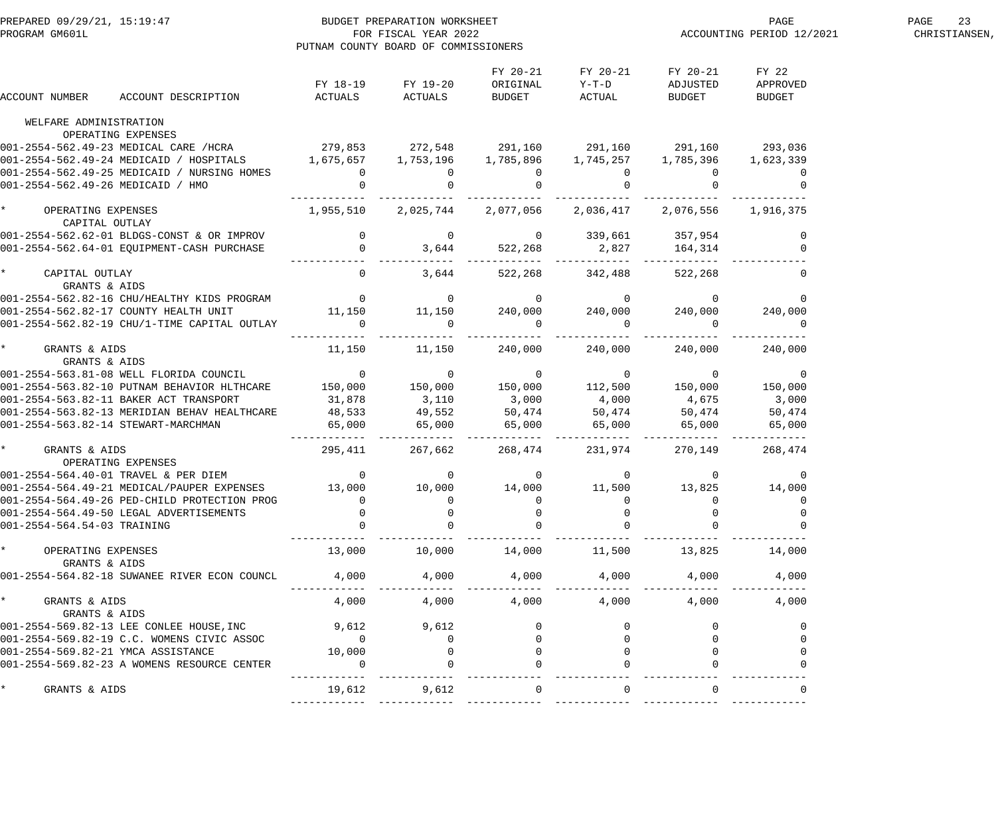| PREPARED 09/29/21, 15:19:47<br>PREPARATION WORKSHEET<br>PROGRAM GM6011.<br>FOR FISCAL YEAR 2022                                                                                                                                      |                 | PUTNAM COUNTY BOARD OF COMMISSIONERS               |                                |                                                             | PAGE<br>ACCOUNTING PERIOD 12/2021     | 23<br>PAGE<br>CHRISTIANSEN, |  |
|--------------------------------------------------------------------------------------------------------------------------------------------------------------------------------------------------------------------------------------|-----------------|----------------------------------------------------|--------------------------------|-------------------------------------------------------------|---------------------------------------|-----------------------------|--|
| ACCOUNT DESCRIPTION<br>ACCOUNT NUMBER                                                                                                                                                                                                | ACTUALS ACTUALS | FY 18-19 FY 19-20                                  | FY 20-21<br>ORIGINAL<br>BUDGET | FY 20-21<br>$Y-T-D$<br>ACTUAL                               | FY 20-21<br>ADJUSTED<br><b>BUDGET</b> | FY 22<br>APPROVED<br>BUDGET |  |
| WELFARE ADMINISTRATION                                                                                                                                                                                                               |                 |                                                    |                                |                                                             |                                       |                             |  |
| OPERATING EXPENSES                                                                                                                                                                                                                   |                 |                                                    |                                |                                                             |                                       |                             |  |
| 001-2554-562.49-23 MEDICAL CARE /HCRA  279,853  272,548  291,160  291,160  291,160  291,160  293,036                                                                                                                                 |                 |                                                    |                                |                                                             |                                       |                             |  |
| 001-2554-562.49-24 MEDICAID / HOSPITALS 1,675,657 1,753,196 1,785,896 1,745,257 1,785,396 1,623,339                                                                                                                                  |                 |                                                    |                                |                                                             |                                       |                             |  |
| 001-2554-562.49-25 MEDICAID / NURSING HOMES                                                                                                                                                                                          |                 | $\begin{matrix}0&&&&0\\ &&&0\\ 0&&&&0\end{matrix}$ |                                | $\overline{0}$                                              | $\begin{matrix} 0 \\ 0 \end{matrix}$  | $\overline{0}$              |  |
| 001-2554-562.49-26 MEDICAID / HMO                                                                                                                                                                                                    |                 |                                                    |                                |                                                             |                                       |                             |  |
| $\star$ . The set of $\star$<br>OPERATING EXPENSES<br>CAPITAL OUTLAY                                                                                                                                                                 |                 |                                                    |                                | 1,955,510 2,025,744 2,077,056 2,036,417 2,076,556 1,916,375 |                                       |                             |  |
|                                                                                                                                                                                                                                      |                 |                                                    |                                |                                                             |                                       |                             |  |
|                                                                                                                                                                                                                                      |                 |                                                    |                                |                                                             |                                       |                             |  |
| $\star$<br>CAPITAL OUTLAY<br>GRANTS & AIDS                                                                                                                                                                                           | $\overline{0}$  | 3,644                                              |                                | 522,268 342,488                                             | 522,268                               |                             |  |
| 001-2554-562.82-16 CHU/HEALTHY KIDS PROGRAM                                                                                                                                                                                          |                 |                                                    |                                |                                                             |                                       |                             |  |
| 001-2554-562.82-17 COUNTY HEALTH UNIT                                                                                                                                                                                                |                 |                                                    |                                |                                                             |                                       |                             |  |
| 001-2554-562.82-19 CHU/1-TIME CAPITAL OUTLAY                                                                                                                                                                                         | $\overline{0}$  | $\overline{0}$                                     | $\overline{0}$                 |                                                             |                                       | $\overline{0}$              |  |
| $\star$<br>GRANTS & AIDS                                                                                                                                                                                                             | 11,150          | 11,150                                             | 240,000                        | 240,000                                                     | 240,000                               | 240,000                     |  |
| GRANTS & AIDS                                                                                                                                                                                                                        |                 |                                                    |                                |                                                             |                                       |                             |  |
|                                                                                                                                                                                                                                      |                 |                                                    |                                |                                                             |                                       |                             |  |
|                                                                                                                                                                                                                                      |                 |                                                    |                                |                                                             |                                       |                             |  |
|                                                                                                                                                                                                                                      |                 |                                                    |                                |                                                             |                                       |                             |  |
| 6001-2554-563.82-10 PUTNAM BEHAVIOR HLTHCARE<br>001-2554-563.82-10 PUTNAM BEHAVIOR HLTHCARE<br>001-2554-563.82-11 BAKER ACT TRANSPORT 31,878 3,110 3,000 4,000 4,675 3,000<br>001-2554-563.82-11 BAKER ACT TRANSPORT 31,878 3,110 3, |                 |                                                    |                                |                                                             |                                       |                             |  |
| * GRANTS & AIDS<br>OPERATING EXPENSES                                                                                                                                                                                                |                 |                                                    |                                | $295,411$ $267,662$ $268,474$ $231,974$ $270,149$           |                                       | 268,474                     |  |
| 001-2554-564.40-01 TRAVEL & PER DIEM                                                                                                                                                                                                 | $\overline{a}$  |                                                    | $\overline{0}$                 | $\overline{0}$                                              | $\overline{0}$                        | $\overline{0}$              |  |
| 001-2554-564.49-21 MEDICAL/PAUPER EXPENSES                                                                                                                                                                                           | 13,000          | 10,000                                             | 14,000                         | 11,500                                                      | 13,825                                | 14,000                      |  |
| 001-2554-564.49-26 PED-CHILD PROTECTION PROG                                                                                                                                                                                         | $\Omega$        |                                                    |                                |                                                             |                                       |                             |  |
| 001-2554-564.49-50 LEGAL ADVERTISEMENTS                                                                                                                                                                                              |                 |                                                    |                                |                                                             |                                       |                             |  |
| 001-2554-564.54-03 TRAINING                                                                                                                                                                                                          |                 |                                                    |                                |                                                             |                                       |                             |  |
| $\star$<br>OPERATING EXPENSES<br>GRANTS & AIDS                                                                                                                                                                                       | 13,000          | 10,000                                             | 14,000                         | 11,500                                                      | 13,825                                | 14,000                      |  |
| 001-2554-564.82-18 SUWANEE RIVER ECON COUNCL                                                                                                                                                                                         | 4,000           | 4,000                                              | 4,000                          | 4,000                                                       | 4,000                                 | 4,000                       |  |
| $\star$<br>GRANTS & AIDS<br>GRANTS & AIDS                                                                                                                                                                                            | 4,000           | 4,000                                              | 4,000                          | 4,000                                                       | 4,000                                 | 4,000                       |  |
| 001-2554-569.82-13 LEE CONLEE HOUSE, INC                                                                                                                                                                                             | 9,612           | 9,612                                              |                                |                                                             |                                       |                             |  |
| 001-2554-569.82-19 C.C. WOMENS CIVIC ASSOC                                                                                                                                                                                           | $\overline{0}$  |                                                    |                                |                                                             |                                       |                             |  |
| 001-2554-569.82-21 YMCA ASSISTANCE                                                                                                                                                                                                   | 10,000          |                                                    |                                |                                                             |                                       |                             |  |
| 001-2554-569.82-23 A WOMENS RESOURCE CENTER                                                                                                                                                                                          | $\Omega$        |                                                    |                                |                                                             |                                       |                             |  |
| GRANTS & AIDS                                                                                                                                                                                                                        | 19,612          | 9,612                                              |                                |                                                             |                                       |                             |  |
|                                                                                                                                                                                                                                      |                 |                                                    |                                |                                                             |                                       |                             |  |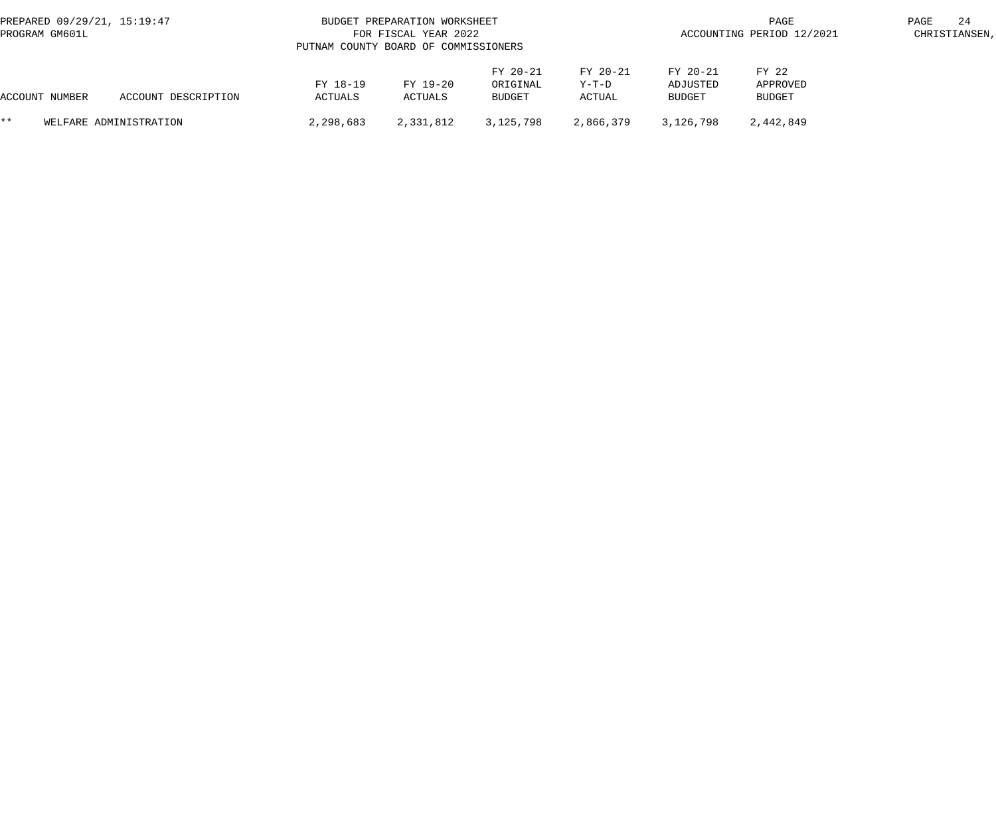| PREPARED 09/29/21, 15:19:47<br>PROGRAM GM601L |  |                     | PUTNAM COUNTY BOARD OF COMMISSIONERS | BUDGET PREPARATION WORKSHEET<br>FOR FISCAL YEAR 2022 |                                |                             | PAGE<br>ACCOUNTING PERIOD 12/2021     |                                    |  |  |
|-----------------------------------------------|--|---------------------|--------------------------------------|------------------------------------------------------|--------------------------------|-----------------------------|---------------------------------------|------------------------------------|--|--|
| ACCOUNT NUMBER                                |  | ACCOUNT DESCRIPTION | FY 18-19<br>ACTUALS                  | FY 19-20<br>ACTUALS                                  | FY 20-21<br>ORIGINAL<br>BUDGET | FY 20-21<br>Y-T-D<br>ACTUAL | FY 20-21<br>ADJUSTED<br><b>BUDGET</b> | FY 22<br>APPROVED<br><b>BUDGET</b> |  |  |
| $***$<br>WELFARE ADMINISTRATION               |  | 2,298,683           | 2,331,812                            | 3,125,798                                            | 2,866,379                      | 3,126,798                   | 2,442,849                             |                                    |  |  |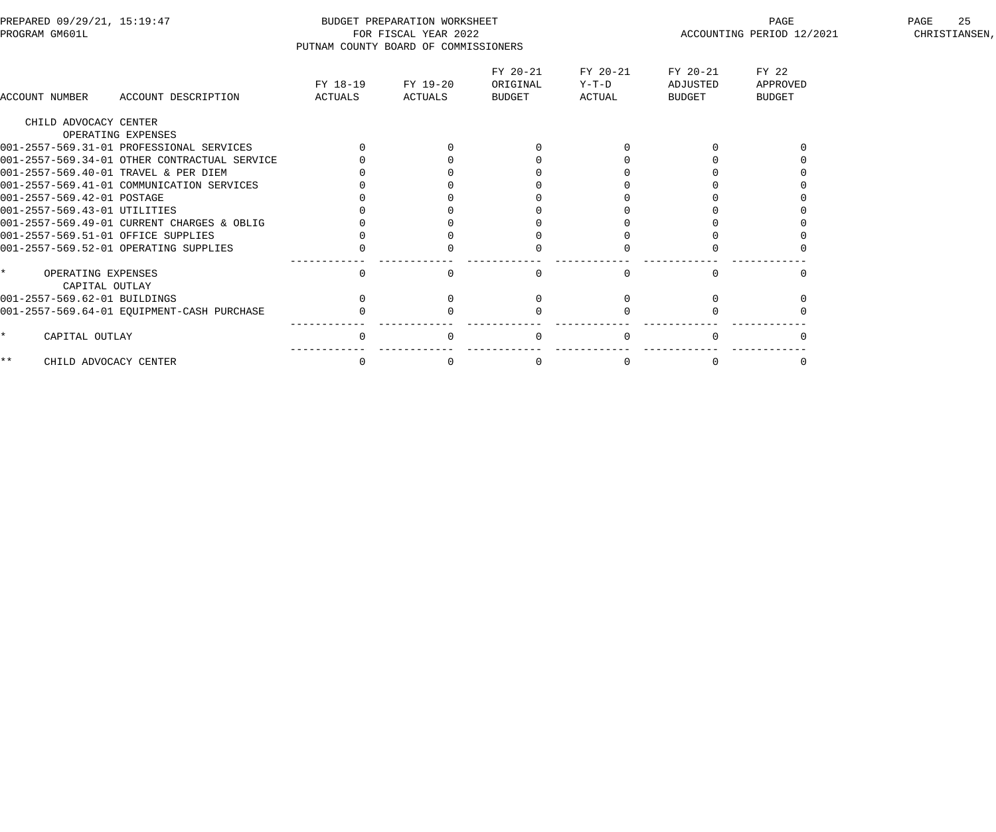| PREPARED 09/29/21, 15:19:47<br>PROGRAM GM601L   | PUTNAM COUNTY BOARD OF COMMISSIONERS | BUDGET PREPARATION WORKSHEET<br>FOR FISCAL YEAR 2022 |                                |                               | ACCOUNTING PERIOD 12/2021      | 25<br>PAGE<br>CHRISTIANSEN,        |  |
|-------------------------------------------------|--------------------------------------|------------------------------------------------------|--------------------------------|-------------------------------|--------------------------------|------------------------------------|--|
| ACCOUNT NUMBER<br>ACCOUNT DESCRIPTION           | FY 18-19<br>ACTUALS                  | FY 19-20<br>ACTUALS                                  | FY 20-21<br>ORIGINAL<br>BUDGET | FY 20-21<br>$Y-T-D$<br>ACTUAL | FY 20-21<br>ADJUSTED<br>BUDGET | FY 22<br>APPROVED<br><b>BUDGET</b> |  |
| CHILD ADVOCACY CENTER                           |                                      |                                                      |                                |                               |                                |                                    |  |
| OPERATING EXPENSES                              |                                      |                                                      |                                |                               |                                |                                    |  |
| 001-2557-569.31-01 PROFESSIONAL SERVICES        |                                      |                                                      |                                |                               |                                |                                    |  |
| 001-2557-569.34-01 OTHER CONTRACTUAL SERVICE    |                                      |                                                      |                                |                               |                                |                                    |  |
| 001-2557-569.40-01 TRAVEL & PER DIEM            |                                      |                                                      |                                |                               |                                |                                    |  |
| 001-2557-569.41-01 COMMUNICATION SERVICES       |                                      |                                                      |                                |                               |                                |                                    |  |
| 001-2557-569.42-01 POSTAGE                      |                                      |                                                      |                                |                               |                                |                                    |  |
| 001-2557-569.43-01 UTILITIES                    |                                      |                                                      |                                |                               |                                |                                    |  |
| 001-2557-569.49-01 CURRENT CHARGES & OBLIG      |                                      |                                                      |                                |                               |                                |                                    |  |
| 001-2557-569.51-01 OFFICE SUPPLIES              |                                      |                                                      |                                |                               |                                |                                    |  |
| 001-2557-569.52-01 OPERATING SUPPLIES           | 0                                    |                                                      |                                |                               |                                |                                    |  |
| $\star$<br>OPERATING EXPENSES<br>CAPITAL OUTLAY | $\mathsf{O}$                         |                                                      | $\Omega$                       |                               |                                |                                    |  |
| 001-2557-569.62-01 BUILDINGS                    | $\Omega$                             |                                                      |                                |                               |                                |                                    |  |
| 001-2557-569.64-01 EQUIPMENT-CASH PURCHASE      |                                      |                                                      |                                |                               |                                |                                    |  |
| CAPITAL OUTLAY<br>$\star$                       | $\Omega$                             |                                                      | $\Omega$                       |                               |                                |                                    |  |
| $***$<br>CHILD ADVOCACY CENTER                  | $\mathbf 0$                          | $\Omega$                                             | $\mathbf{0}$                   | $\Omega$                      | $\Omega$                       |                                    |  |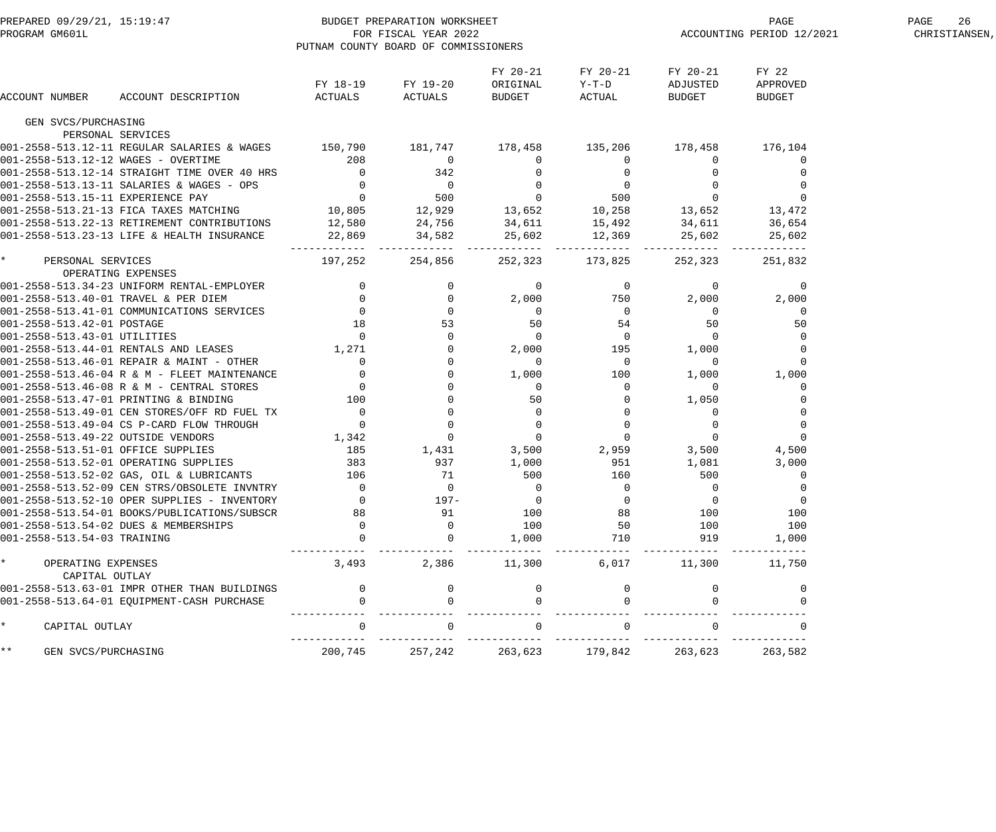| BUDGET PREPARATION WORKSHEET<br>FOR FISCAL YEAR 2022<br>ELEMENTAM COLDURY DOARD OF SCIENCE<br>PREPARED 09/29/21, 15:19:47<br>PROGRAM GM601L |                                                                                                                                                                                                                                              | PUTNAM COUNTY BOARD OF COMMISSIONERS |                   |                                        |                                    |                                        | ENGE<br>ACCOUNTING PERIOD 12/2021  | 26<br>PAGE<br>CHRISTIANSEN, |
|---------------------------------------------------------------------------------------------------------------------------------------------|----------------------------------------------------------------------------------------------------------------------------------------------------------------------------------------------------------------------------------------------|--------------------------------------|-------------------|----------------------------------------|------------------------------------|----------------------------------------|------------------------------------|-----------------------------|
| ACCOUNT NUMBER                                                                                                                              | ACCOUNT DESCRIPTION                                                                                                                                                                                                                          | ACTUALS ACTUALS                      | FY 18-19 FY 19-20 | FY 20-21<br>ORIGINAL<br>BUDGET         | FY 20-21<br>$Y-T-D$<br>ACTUAL      | FY 20-21<br>ADJUSTED<br>BUDGET         | FY 22<br>APPROVED<br><b>BUDGET</b> |                             |
|                                                                                                                                             |                                                                                                                                                                                                                                              |                                      |                   |                                        |                                    |                                        |                                    |                             |
| GEN SVCS/PURCHASING                                                                                                                         |                                                                                                                                                                                                                                              |                                      |                   |                                        |                                    |                                        |                                    |                             |
|                                                                                                                                             | PERSONAL SERVICES                                                                                                                                                                                                                            |                                      |                   |                                        |                                    |                                        |                                    |                             |
|                                                                                                                                             | 001-2558-513.12-11 REGULAR SALARIES & WAGES 150,790 181,747 178,458 135,206 178,458 178,458 176,104                                                                                                                                          |                                      |                   |                                        |                                    |                                        |                                    |                             |
|                                                                                                                                             |                                                                                                                                                                                                                                              |                                      |                   |                                        |                                    | $\mathbf 0$                            |                                    |                             |
|                                                                                                                                             |                                                                                                                                                                                                                                              |                                      |                   |                                        |                                    |                                        |                                    |                             |
|                                                                                                                                             |                                                                                                                                                                                                                                              |                                      |                   |                                        |                                    |                                        |                                    |                             |
|                                                                                                                                             |                                                                                                                                                                                                                                              |                                      |                   |                                        |                                    | $\overline{0}$<br>13,652               |                                    |                             |
|                                                                                                                                             |                                                                                                                                                                                                                                              |                                      |                   |                                        |                                    |                                        | 13,472                             |                             |
|                                                                                                                                             |                                                                                                                                                                                                                                              |                                      |                   |                                        |                                    | 34,611 36,654                          |                                    |                             |
|                                                                                                                                             | 001-2558-513.12-14 STRAIGHT TIME OVER 40 HRS<br>001-2558-513.12-14 STRAIGHT TIME OVER 40 HRS<br>001-2558-513.13-11 SALARIES & WAGES - OPS<br>001-2558-513.15-11 EXPERIENCE PAY<br>001-2558-513.22-13 RETIREMENT CONTRIBUTIONS<br>01-2558     |                                      |                   |                                        |                                    | 25,602<br>---------                    | 25,602                             |                             |
| $\star$<br>PERSONAL SERVICES<br>OPERATING EXPENSES                                                                                          |                                                                                                                                                                                                                                              | 197,252                              | 254,856           |                                        | 252,323 173,825                    | 252,323                                | 251,832                            |                             |
|                                                                                                                                             | 001-2558-513.40-01 TRAVEL & PER DIEM<br>001-2558-513.40-01 TRAVEL & PER DIEM<br>001-2558-513.41-01 COMMUNICATIONS SERVICES<br>01-2558-513.42-01 POSTAGE<br>18 5<br>01-2558-513.43-01 UTILITIES<br>01-2558-513.44-01 RENTALS AND LEASES<br>1, |                                      |                   | $\overline{0}$                         | $\overline{0}$                     | $\overline{0}$                         | $\mathbf 0$                        |                             |
|                                                                                                                                             |                                                                                                                                                                                                                                              |                                      | $\overline{0}$    | 2,000                                  | 750                                | 2,000                                  | 2,000                              |                             |
|                                                                                                                                             |                                                                                                                                                                                                                                              |                                      | $\overline{0}$    |                                        |                                    | $\overline{0}$                         | 0                                  |                             |
|                                                                                                                                             |                                                                                                                                                                                                                                              |                                      | 53                | $\begin{array}{c} 0 \\ 50 \end{array}$ | $\begin{array}{c}0\\54\end{array}$ | 50                                     | 50                                 |                             |
|                                                                                                                                             |                                                                                                                                                                                                                                              |                                      |                   | $\overline{0}$                         | $\overline{0}$                     |                                        |                                    |                             |
|                                                                                                                                             |                                                                                                                                                                                                                                              |                                      |                   | 2,000                                  | $\frac{1}{195}$                    | $\begin{bmatrix} 5 \\ 0 \end{bmatrix}$ |                                    |                             |
|                                                                                                                                             |                                                                                                                                                                                                                                              |                                      |                   | $\overline{\phantom{0}}$               | 0                                  | $\overline{0}$                         | $\mathbf 0$                        |                             |
|                                                                                                                                             |                                                                                                                                                                                                                                              |                                      |                   | 1,000                                  | 100                                | 1,000                                  | 1,000                              |                             |
|                                                                                                                                             |                                                                                                                                                                                                                                              |                                      |                   | $\overline{0}$                         | 0                                  | $\overline{0}$                         |                                    |                             |
|                                                                                                                                             |                                                                                                                                                                                                                                              |                                      |                   | 50                                     | $\overline{0}$                     | 1,050                                  |                                    |                             |
|                                                                                                                                             |                                                                                                                                                                                                                                              |                                      |                   | $\begin{matrix}0\\0\\0\end{matrix}$    | $\overline{0}$                     | $\overline{0}$                         |                                    |                             |
|                                                                                                                                             |                                                                                                                                                                                                                                              |                                      |                   |                                        | 0                                  | $\overline{0}$                         | $\mathbf 0$                        |                             |
|                                                                                                                                             |                                                                                                                                                                                                                                              |                                      |                   |                                        | $\overline{0}$                     | $\overline{0}$                         | $\mathbf 0$                        |                             |
|                                                                                                                                             |                                                                                                                                                                                                                                              |                                      |                   |                                        | $3,500$ $2,959$                    | 3,500                                  | 4,500                              |                             |
|                                                                                                                                             |                                                                                                                                                                                                                                              |                                      |                   | 1,000                                  | 951                                | 1,081                                  | 3,000                              |                             |
|                                                                                                                                             |                                                                                                                                                                                                                                              |                                      |                   | 500                                    | 160                                | 500                                    |                                    |                             |
|                                                                                                                                             | 001-2558-513.52-09 CEN STRS/OBSOLETE INVNTRY                                                                                                                                                                                                 |                                      | $\mathbf 0$       |                                        |                                    | $\Omega$                               |                                    |                             |
|                                                                                                                                             | 001-2558-513.52-10 OPER SUPPLIES - INVENTORY                                                                                                                                                                                                 |                                      | $197 -$           |                                        |                                    |                                        |                                    |                             |
|                                                                                                                                             | 001-2558-513.54-01 BOOKS/PUBLICATIONS/SUBSCR                                                                                                                                                                                                 | 88                                   | 91                | 100                                    | 88                                 | 100                                    | 100                                |                             |
|                                                                                                                                             | 001-2558-513.54-02 DUES & MEMBERSHIPS                                                                                                                                                                                                        |                                      |                   | 100                                    | 50                                 | 100                                    | 100                                |                             |
| 001-2558-513.54-03 TRAINING                                                                                                                 |                                                                                                                                                                                                                                              |                                      |                   | 1,000                                  | 710                                | 919                                    | 1,000                              |                             |
| $\star$<br>OPERATING EXPENSES<br>CAPITAL OUTLAY                                                                                             |                                                                                                                                                                                                                                              | 3,493                                | 2,386             | 11,300                                 | 6,017                              | 11,300                                 | 11,750                             |                             |
|                                                                                                                                             | 001-2558-513.63-01 IMPR OTHER THAN BUILDINGS                                                                                                                                                                                                 |                                      |                   |                                        |                                    |                                        |                                    |                             |
|                                                                                                                                             | 001-2558-513.64-01 EQUIPMENT-CASH PURCHASE                                                                                                                                                                                                   |                                      |                   |                                        |                                    |                                        |                                    |                             |
| $\star$<br>CAPITAL OUTLAY                                                                                                                   |                                                                                                                                                                                                                                              |                                      |                   |                                        |                                    |                                        |                                    |                             |
| $\star \star$<br>GEN SVCS/PURCHASING                                                                                                        |                                                                                                                                                                                                                                              | 200,745                              | 257,242           | 263,623                                | 179,842                            | 263,623                                | 263,582                            |                             |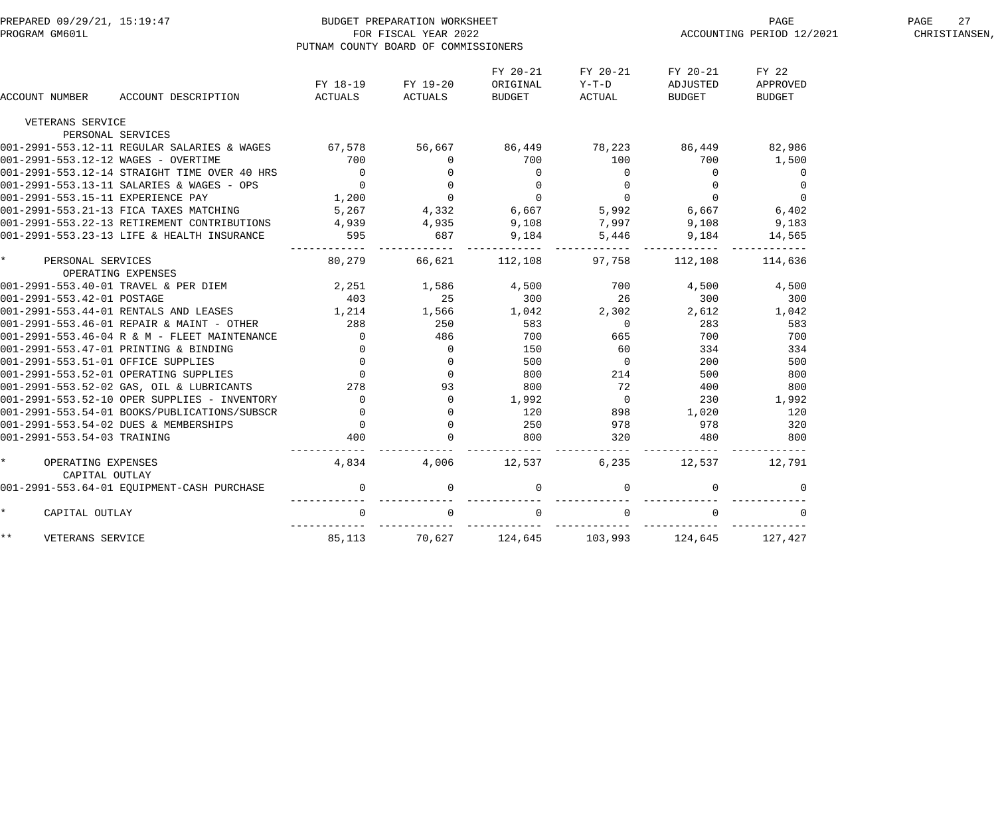| PREPARED 09/29/21, 15:19:47<br>PROGRAM GM601L   |                                              |                                     | BUDGET PREPARATION WORKSHEET<br>FOR FISCAL YEAR 2022<br>PUTNAM COUNTY BOARD OF COMMISSIONERS |                                |                               | ACCOUNTING PERIOD 12/2021      | 27<br>PAGE<br>CHRISTIANSEN,        |  |
|-------------------------------------------------|----------------------------------------------|-------------------------------------|----------------------------------------------------------------------------------------------|--------------------------------|-------------------------------|--------------------------------|------------------------------------|--|
| ACCOUNT NUMBER                                  | ACCOUNT DESCRIPTION                          | FY 18-19<br>ACTUALS                 | FY 19-20<br>ACTUALS                                                                          | FY 20-21<br>ORIGINAL<br>BUDGET | FY 20-21<br>$Y-T-D$<br>ACTUAL | FY 20-21<br>ADJUSTED<br>BUDGET | FY 22<br>APPROVED<br><b>BUDGET</b> |  |
| VETERANS SERVICE                                |                                              |                                     |                                                                                              |                                |                               |                                |                                    |  |
| PERSONAL SERVICES                               |                                              |                                     |                                                                                              |                                |                               |                                |                                    |  |
|                                                 | 001-2991-553.12-11 REGULAR SALARIES & WAGES  | 67,578                              | 56,667                                                                                       | 86,449                         | 78,223                        | 86,449                         | 82,986                             |  |
| 001-2991-553.12-12 WAGES - OVERTIME             |                                              | 700                                 | 0                                                                                            | 700                            | 100                           | 700                            | 1,500                              |  |
|                                                 | 001-2991-553.12-14 STRAIGHT TIME OVER 40 HRS | $\overline{0}$                      | $\mathbf 0$                                                                                  | $\mathbf 0$                    | $\overline{0}$                | $\overline{0}$                 | $\overline{0}$                     |  |
|                                                 | 001-2991-553.13-11 SALARIES & WAGES - OPS    | $\overline{0}$                      | $\overline{0}$                                                                               | $\mathbf 0$                    | $\overline{0}$                | $\Omega$                       | $\Omega$                           |  |
| 001-2991-553.15-11 EXPERIENCE PAY               |                                              | 1,200                               | $\overline{0}$                                                                               | $\overline{0}$                 | $\overline{0}$                | $\overline{0}$                 | $\overline{0}$                     |  |
|                                                 | 001-2991-553.21-13 FICA TAXES MATCHING       | 5,267                               | 4,332                                                                                        | 6,667                          | 5,992<br>7,997                | 6,667                          | 6,402                              |  |
|                                                 | 001-2991-553.22-13 RETIREMENT CONTRIBUTIONS  | 4,939                               | 4,935                                                                                        | 9,108                          | 7,997                         | 9,108                          | 9,183                              |  |
|                                                 | 001-2991-553.23-13 LIFE & HEALTH INSURANCE   | 595                                 | 687                                                                                          | 9,184                          | 5,446<br>. _ _ _ _ _ _        | 9,184                          | 14,565                             |  |
| PERSONAL SERVICES                               | OPERATING EXPENSES                           | ------------ ------------<br>80,279 | 66,621                                                                                       | 112,108                        | 97,758                        | ------------<br>112,108        | 114,636                            |  |
| 001-2991-553.40-01 TRAVEL & PER DIEM            |                                              | 2,251                               | 1,586                                                                                        | 4,500                          | 700                           | 4,500                          | 4,500                              |  |
| 001-2991-553.42-01 POSTAGE                      |                                              | 403                                 | 25                                                                                           | 300                            | 26                            | 300                            | 300                                |  |
|                                                 | 001-2991-553.44-01 RENTALS AND LEASES        | 1,214                               | 1,566                                                                                        | 1,042                          | 2,302                         | 2,612                          | 1,042                              |  |
|                                                 | 001-2991-553.46-01 REPAIR & MAINT - OTHER    | 288                                 | 250                                                                                          | 583                            | $\overline{0}$                | 283                            | 583                                |  |
|                                                 | 001-2991-553.46-04 R & M - FLEET MAINTENANCE | $\overline{0}$                      | 486                                                                                          | 700                            | 665                           | 700                            | 700                                |  |
|                                                 | 001-2991-553.47-01 PRINTING & BINDING        | $\overline{0}$                      | $\overline{0}$                                                                               | 150                            | 60                            | 334                            | 334                                |  |
| 001-2991-553.51-01 OFFICE SUPPLIES              |                                              | $\overline{0}$                      | $\overline{0}$                                                                               | 500                            | $\overline{0}$                | 200                            | 500                                |  |
|                                                 | 001-2991-553.52-01 OPERATING SUPPLIES        | $\overline{0}$                      | $\mathbf 0$                                                                                  | 800                            | 214                           | 500                            | 800                                |  |
|                                                 | 001-2991-553.52-02 GAS, OIL & LUBRICANTS     | 278                                 | 93                                                                                           | 800                            | 72                            | 400                            | 800                                |  |
|                                                 | 001-2991-553.52-10 OPER SUPPLIES - INVENTORY | $\Omega$                            | $\Omega$                                                                                     | 1,992                          | $\overline{0}$                | 230                            | 1,992                              |  |
|                                                 | 001-2991-553.54-01 BOOKS/PUBLICATIONS/SUBSCR | $\overline{0}$                      | $\mathbf 0$                                                                                  | 120                            | 898                           | 1,020                          | 120                                |  |
|                                                 | 001-2991-553.54-02 DUES & MEMBERSHIPS        | $\overline{0}$                      | $\Omega$                                                                                     | 250                            | 978                           | 978                            | 320                                |  |
| 001-2991-553.54-03 TRAINING                     |                                              | 400                                 |                                                                                              | 800                            | 320                           | 480                            | 800                                |  |
| $\star$<br>OPERATING EXPENSES<br>CAPITAL OUTLAY |                                              | ------------<br>4,834               | 4,006                                                                                        | 12,537                         | 6,235                         | 12,537                         | 12,791                             |  |
|                                                 | 001-2991-553.64-01 EQUIPMENT-CASH PURCHASE   | $\mathbf 0$                         | $\mathbf 0$                                                                                  | 0                              | $\mathbf 0$                   | $\overline{0}$                 | $\mathbf{0}$                       |  |
| $\star$<br>CAPITAL OUTLAY                       |                                              | $\overline{0}$                      | $\overline{0}$                                                                               | $\mathbf 0$                    | $\mathbf 0$                   | $\Omega$                       | $\mathbf{0}$                       |  |
| $***$<br>VETERANS SERVICE                       |                                              | 85,113                              | 70,627                                                                                       | 124,645                        | 103,993                       | 124,645                        | 127,427                            |  |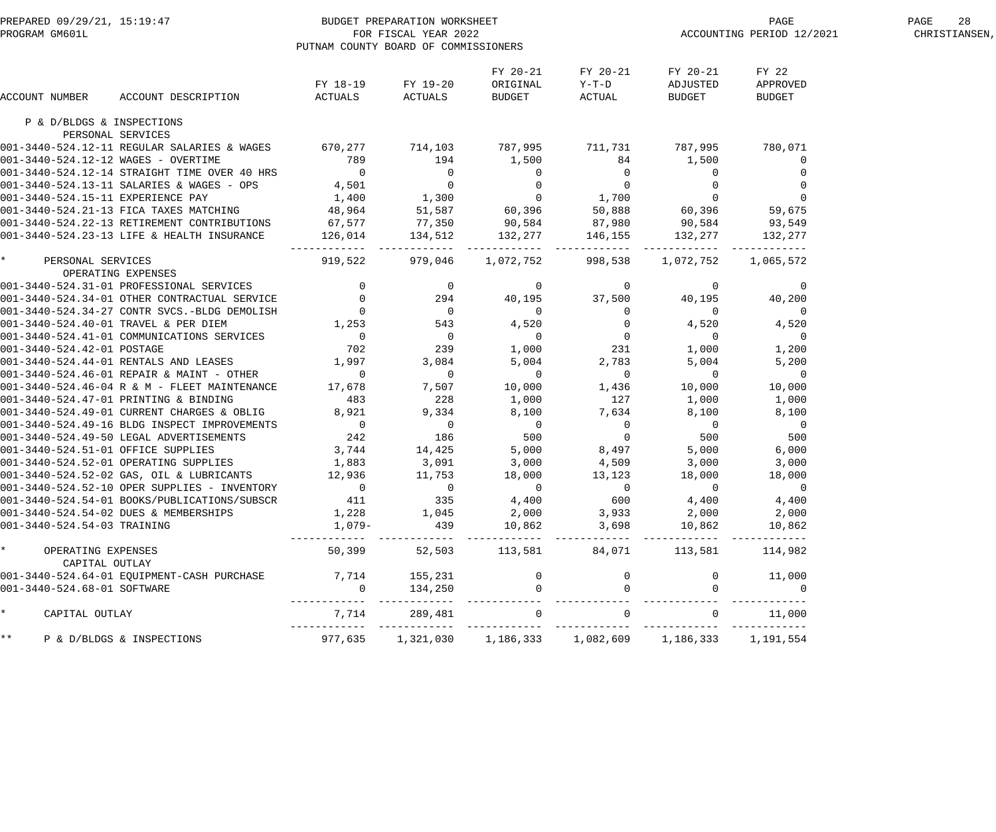|                                                 | PREPARED 09/29/21, 15:19:47<br>PROGRAM GM601L FOR FISCAL YEAR 2022<br>PROGRAM GM601L FOR FISCAL YEAR 2022                                                                           |                              | PUTNAM COUNTY BOARD OF COMMISSIONERS                                                                                                                                                                  |                           |                                  |                                                                                                         | PAGE<br>PAGE<br>ACCOUNTING PERIOD 12/2021 | 28<br>PAGE<br>CHRISTIANSEN, |
|-------------------------------------------------|-------------------------------------------------------------------------------------------------------------------------------------------------------------------------------------|------------------------------|-------------------------------------------------------------------------------------------------------------------------------------------------------------------------------------------------------|---------------------------|----------------------------------|---------------------------------------------------------------------------------------------------------|-------------------------------------------|-----------------------------|
|                                                 |                                                                                                                                                                                     |                              | FY 18-19 FY 19-20                                                                                                                                                                                     | FY 20-21<br>ORIGINAL      | FY 20-21<br>$Y-T-D$              | FY 20-21<br>ADJUSTED                                                                                    | FY 22<br>APPROVED                         |                             |
| ACCOUNT NUMBER                                  | ACCOUNT DESCRIPTION                                                                                                                                                                 | ACTUALS                      | ACTUALS                                                                                                                                                                                               | BUDGET                    | ACTUAL                           | BUDGET                                                                                                  | <b>BUDGET</b>                             |                             |
| P & D/BLDGS & INSPECTIONS<br>PERSONAL SERVICES  |                                                                                                                                                                                     |                              |                                                                                                                                                                                                       |                           |                                  |                                                                                                         |                                           |                             |
|                                                 | 001-3440-524.12-11 REGULAR SALARIES & WAGES 670,277 714,103 787,995 711,731 787,995 780,071                                                                                         |                              |                                                                                                                                                                                                       |                           |                                  |                                                                                                         |                                           |                             |
| 001-3440-524.12-12 WAGES - OVERTIME             |                                                                                                                                                                                     | 789                          | 194 1,500                                                                                                                                                                                             |                           | 84                               | 1,500                                                                                                   | 0                                         |                             |
|                                                 | 001-3440-524.12-14 STRAIGHT TIME OVER 40 HRS                                                                                                                                        | $\overline{0}$               |                                                                                                                                                                                                       |                           |                                  |                                                                                                         |                                           |                             |
|                                                 | 001-3440-524.13-11 SALARIES & WAGES - OPS                                                                                                                                           |                              |                                                                                                                                                                                                       |                           |                                  |                                                                                                         |                                           |                             |
| 001-3440-524.15-11 EXPERIENCE PAY               |                                                                                                                                                                                     |                              |                                                                                                                                                                                                       |                           |                                  |                                                                                                         |                                           |                             |
|                                                 | 001-3440-524.21-13 FICA TAXES MATCHING                                                                                                                                              |                              |                                                                                                                                                                                                       |                           |                                  |                                                                                                         |                                           |                             |
|                                                 | 001-3440-524.22-13 RETIREMENT CONTRIBUTIONS                                                                                                                                         |                              |                                                                                                                                                                                                       |                           |                                  |                                                                                                         |                                           |                             |
|                                                 | 001-3440-524.23-13 LIFE & HEALTH INSURANCE                                                                                                                                          |                              | --------- ------------- --------------                                                                                                                                                                |                           | ________________________________ |                                                                                                         |                                           |                             |
| $\star$<br>PERSONAL SERVICES                    |                                                                                                                                                                                     | 919,522                      |                                                                                                                                                                                                       | 979,046 1,072,752 998,538 |                                  |                                                                                                         | 1,072,752 1,065,572                       |                             |
| OPERATING EXPENSES                              |                                                                                                                                                                                     |                              |                                                                                                                                                                                                       |                           |                                  |                                                                                                         |                                           |                             |
|                                                 | 001-3440-524.31-01 PROFESSIONAL SERVICES                                                                                                                                            |                              | $\begin{array}{cccccc} 0 & & 0 & & 0 & & 0 & & 0\\ 0 & & 294 & & 40,195 & & 37,500 & & & &\\ 0 & & 0 & & 0 & & 0 & & 0\\ 1,253 & & 543 & & 4,520 & & 0 & &\\ 0 & & 0 & & 0 & & 0 & & &\\ \end{array}$ |                           |                                  | $\overline{a}$                                                                                          | $\overline{0}$                            |                             |
|                                                 | 001-3440-524.34-01 OTHER CONTRACTUAL SERVICE                                                                                                                                        |                              |                                                                                                                                                                                                       |                           |                                  | 40,195                                                                                                  | 40,200                                    |                             |
|                                                 | 001-3440-524.34-27 CONTR SVCS.-BLDG DEMOLISH                                                                                                                                        |                              |                                                                                                                                                                                                       |                           |                                  |                                                                                                         | $\overline{0}$                            |                             |
| 001-3440-524.40-01 TRAVEL & PER DIEM            |                                                                                                                                                                                     |                              |                                                                                                                                                                                                       |                           |                                  | 4,520                                                                                                   | 4,520                                     |                             |
|                                                 | 001-3440-524.41-01 COMMUNICATIONS SERVICES                                                                                                                                          | $\overline{0}$               |                                                                                                                                                                                                       | $0$ 0<br>239 1,000        |                                  | $\begin{array}{ccc} & 0 & & & 0 \\ & 0 & & & 4\,,520 \\ & 0 & & & 0 \\ & 231 & & & 1\,,000 \end{array}$ | $\overline{0}$                            |                             |
| 001-3440-524.42-01 POSTAGE                      |                                                                                                                                                                                     | 702<br>1,997                 |                                                                                                                                                                                                       |                           |                                  |                                                                                                         | 1,200                                     |                             |
|                                                 | 001-3440-524.44-01 RENTALS AND LEASES                                                                                                                                               |                              | 3,084                                                                                                                                                                                                 | 5,004                     | 2,783                            | 5,004                                                                                                   | 5,200                                     |                             |
|                                                 | 001-3440-524.46-01 REPAIR & MAINT - OTHER                                                                                                                                           | $\overline{0}$<br>17,678     | $\overline{0}$                                                                                                                                                                                        | $\overline{0}$            | $\overline{0}$                   | $\overline{0}$                                                                                          | $\overline{0}$                            |                             |
|                                                 | 001-3440-524.46-04 R & M - FLEET MAINTENANCE                                                                                                                                        |                              | 7,507<br>$\begin{array}{r} 7,50 \\ 228 \\ 9 \end{array}$                                                                                                                                              |                           | 10,000 1,436                     | 10,000                                                                                                  | 10,000                                    |                             |
|                                                 | 001-3440-524.47-01 PRINTING & BINDING                                                                                                                                               | 483                          |                                                                                                                                                                                                       | 1,000                     | 127                              | 1,000                                                                                                   | 1,000                                     |                             |
|                                                 | 001-3440-524.49-01 CURRENT CHARGES & OBLIG                                                                                                                                          | 8,921                        |                                                                                                                                                                                                       | 8,100                     | 7,634                            | 8,100                                                                                                   | 8,100                                     |                             |
|                                                 | 001-3440-524.49-50 LEGAL ADVERTISEMENTS<br>001-3440-524.49-50 LEGAL ADVERTISEMENTS<br>001-3440-524.51-01 OFFICE SUPPLIES<br>3,744<br>001-3440-524.52-01 OPERATING SUPPLIES<br>3,744 |                              |                                                                                                                                                                                                       |                           |                                  | $\overline{0}$                                                                                          | $\overline{0}$                            |                             |
|                                                 |                                                                                                                                                                                     |                              |                                                                                                                                                                                                       |                           |                                  | 500                                                                                                     | 500                                       |                             |
|                                                 |                                                                                                                                                                                     |                              |                                                                                                                                                                                                       |                           |                                  | 5,000                                                                                                   | 6,000                                     |                             |
|                                                 |                                                                                                                                                                                     | 1,883                        | 3,091                                                                                                                                                                                                 | 3,000                     | 4,509                            | 3,000                                                                                                   | 3,000                                     |                             |
|                                                 | 001-3440-524.52-02 GAS, OIL & LUBRICANTS                                                                                                                                            | 12,936                       | 11,753                                                                                                                                                                                                | 18,000                    | 13,123                           | 18,000                                                                                                  | 18,000                                    |                             |
|                                                 | 001-3440-524.52-10 OPER SUPPLIES - INVENTORY                                                                                                                                        | $\overline{0}$               | $\overline{0}$                                                                                                                                                                                        | $\overline{0}$            | $\overline{0}$                   | $\overline{0}$                                                                                          | $\overline{0}$                            |                             |
|                                                 | 001-3440-524.54-01 BOOKS/PUBLICATIONS/SUBSCR                                                                                                                                        | 411                          | 335                                                                                                                                                                                                   | 4,400                     | 600                              | 4,400                                                                                                   | 4,400                                     |                             |
|                                                 | 001-3440-524.54-02 DUES & MEMBERSHIPS                                                                                                                                               | 1,228                        | 1,045                                                                                                                                                                                                 | 2,000                     | 3,933                            | 2,000                                                                                                   | 2,000                                     |                             |
| 001-3440-524.54-03 TRAINING                     |                                                                                                                                                                                     | $1,079-$                     | 439                                                                                                                                                                                                   | 10,862<br>------------    | 3,698<br>------                  | 10,862<br>---------                                                                                     | 10,862<br>------------                    |                             |
| $\star$<br>OPERATING EXPENSES<br>CAPITAL OUTLAY |                                                                                                                                                                                     | 50,399                       | 52,503                                                                                                                                                                                                | 113,581                   | 84,071                           | 113,581                                                                                                 | 114,982                                   |                             |
|                                                 | 001-3440-524.64-01 EQUIPMENT-CASH PURCHASE                                                                                                                                          | 7,714                        | 155,231                                                                                                                                                                                               |                           |                                  | $\overline{0}$                                                                                          | 11,000                                    |                             |
| 001-3440-524.68-01 SOFTWARE                     |                                                                                                                                                                                     | $\mathbf{0}$                 | 134,250                                                                                                                                                                                               |                           |                                  | $\Omega$                                                                                                | $\overline{0}$                            |                             |
| $\star$<br>CAPITAL OUTLAY                       |                                                                                                                                                                                     | 7,714                        | 289,481                                                                                                                                                                                               | $\overline{0}$            |                                  |                                                                                                         | 11,000                                    |                             |
| $\star \star$                                   | P & D/BLDGS & INSPECTIONS                                                                                                                                                           | $- - - - - - - -$<br>977,635 | ------------                                                                                                                                                                                          |                           |                                  | 1, 321, 030 1, 186, 333 1, 082, 609 1, 186, 333 1, 191, 554                                             |                                           |                             |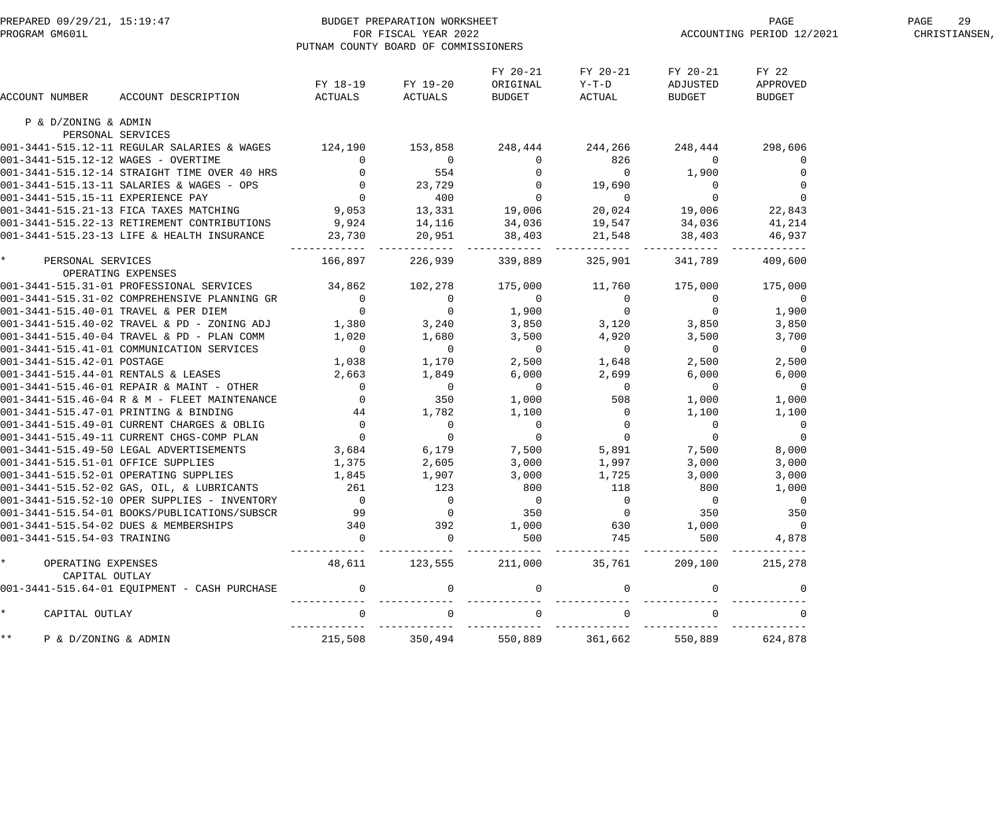| PREPARED 09/29/21, 15:19:47<br>PROGRAM GM601L     |                                                     | PUTNAM COUNTY BOARD OF COMMISSIONERS                                                                | BUDGET PREPARATION WORKSHEET<br>FOR FISCAL YEAR 2022 |                                       |                                                                                                   |                                       | PAGE<br>ACCOUNTING PERIOD 12/2021 | PAGE<br>29<br>CHRISTIANSEN, |
|---------------------------------------------------|-----------------------------------------------------|-----------------------------------------------------------------------------------------------------|------------------------------------------------------|---------------------------------------|---------------------------------------------------------------------------------------------------|---------------------------------------|-----------------------------------|-----------------------------|
| ACCOUNT NUMBER                                    | ACCOUNT DESCRIPTION                                 | ACTUALS                                                                                             | FY 18-19 FY 19-20<br>ACTUALS                         | FY 20-21<br>ORIGINAL<br>BUDGET        | FY 20-21<br>Y-T-D<br>ACTUAL                                                                       | FY 20-21<br>ADJUSTED<br>BUDGET        | FY 22<br>APPROVED<br>BUDGET       |                             |
| P & D/ZONING & ADMIN                              |                                                     |                                                                                                     |                                                      |                                       |                                                                                                   |                                       |                                   |                             |
| PERSONAL SERVICES                                 |                                                     |                                                                                                     |                                                      |                                       |                                                                                                   |                                       |                                   |                             |
|                                                   | 001-3441-515.12-11 REGULAR SALARIES & WAGES 124,190 |                                                                                                     | 153,858                                              | 248,444 244,266                       |                                                                                                   |                                       | 248,444 298,606                   |                             |
| 001-3441-515.12-12 WAGES - OVERTIME               |                                                     | $\overline{0}$                                                                                      | $\overline{0}$                                       |                                       |                                                                                                   | $\overline{0}$                        | 0                                 |                             |
|                                                   | 001-3441-515.12-14 STRAIGHT TIME OVER 40 HRS        | $\begin{array}{ccc} & 0 & & 554 \\ & 0 & & 23,729 \\ & 0 & & 400 \\ & 9,053 & & 13,331 \end{array}$ |                                                      |                                       |                                                                                                   | 1,900                                 |                                   |                             |
|                                                   | 001-3441-515.13-11 SALARIES & WAGES - OPS           |                                                                                                     |                                                      |                                       |                                                                                                   | $\overline{0}$                        | 0                                 |                             |
| 001-3441-515.15-11 EXPERIENCE PAY                 |                                                     |                                                                                                     |                                                      |                                       |                                                                                                   | $\overline{0}$                        | $\mathbf 0$                       |                             |
|                                                   | 001-3441-515.21-13 FICA TAXES MATCHING              |                                                                                                     |                                                      | 19,006                                | 20,024                                                                                            | 19,006                                | 22,843                            |                             |
|                                                   | 001-3441-515.22-13 RETIREMENT CONTRIBUTIONS         | 9,924                                                                                               | 14,116                                               | 34,036                                | 19,547                                                                                            | 34,036                                | 41,214                            |                             |
|                                                   | 001-3441-515.23-13 LIFE & HEALTH INSURANCE          | 23,730                                                                                              | 20,951                                               | 38,403                                | 21,548                                                                                            | 38,403                                | 46,937                            |                             |
| $\star$ . The set of $\star$<br>PERSONAL SERVICES |                                                     | 166,897                                                                                             | 226,939                                              | 339,889                               | 325,901                                                                                           | 341,789                               | 409,600                           |                             |
| OPERATING EXPENSES                                |                                                     |                                                                                                     |                                                      |                                       |                                                                                                   |                                       |                                   |                             |
|                                                   | 001-3441-515.31-01 PROFESSIONAL SERVICES 34,862     |                                                                                                     | 102,278                                              |                                       | 175,000 11,760                                                                                    | 175,000                               | 175,000                           |                             |
|                                                   | 001-3441-515.31-02 COMPREHENSIVE PLANNING GR        | $\overline{0}$                                                                                      | $\begin{matrix} 0 \\ 0 \end{matrix}$                 | $\begin{array}{c}0\\1,900\end{array}$ |                                                                                                   | $\overline{0}$                        | $\overline{0}$                    |                             |
| 001-3441-515.40-01 TRAVEL & PER DIEM              |                                                     | $\overline{0}$                                                                                      |                                                      |                                       | $\begin{matrix} 0 \\ 0 \end{matrix}$<br>$\begin{array}{ccc} & 0 & 0 \\ 3,120 & 3,850 \end{array}$ |                                       | 1,900                             |                             |
|                                                   | 001-3441-515.40-02 TRAVEL & PD - ZONING ADJ 1,380   |                                                                                                     | 3,240                                                | 3,850                                 |                                                                                                   |                                       | 3,850                             |                             |
|                                                   | 001-3441-515.40-04 TRAVEL & PD - PLAN COMM 1,020    |                                                                                                     | 1,680                                                | 3,500                                 | 4,920                                                                                             | 3,500                                 | 3,700                             |                             |
|                                                   | 001-3441-515.41-01 COMMUNICATION SERVICES           | $\overline{0}$                                                                                      | $\overline{0}$                                       | $\begin{array}{c}0\\2\end{array}$     | $\overline{0}$                                                                                    | $\overline{0}$                        | $\overline{0}$                    |                             |
| 001-3441-515.42-01 POSTAGE                        |                                                     | 1,038                                                                                               | 1,170                                                |                                       | 1,648                                                                                             | 2,500                                 | 2,500                             |                             |
| 001-3441-515.44-01 RENTALS & LEASES               |                                                     | 2,663                                                                                               | 1,849                                                | 6,000                                 | 2,699                                                                                             | 6,000                                 | 6,000                             |                             |
|                                                   | $001-3441-515.46-01$ REPAIR & MAINT - OTHER         | $\overline{0}$                                                                                      | $\overline{0}$                                       | $\overline{0}$                        | $\overline{0}$                                                                                    | $\overline{0}$                        | $\overline{0}$                    |                             |
|                                                   | 001-3441-515.46-04 R & M - FLEET MAINTENANCE        | $\overline{0}$                                                                                      | 350                                                  | 1,000                                 | 508                                                                                               | 1,000                                 | 1,000                             |                             |
| 001-3441-515.47-01 PRINTING & BINDING             |                                                     |                                                                                                     |                                                      | 1,100                                 |                                                                                                   | 1,100                                 | 1,100                             |                             |
|                                                   | 001-3441-515.49-01 CURRENT CHARGES & OBLIG          |                                                                                                     |                                                      |                                       |                                                                                                   |                                       | $\overline{0}$                    |                             |
|                                                   | 001-3441-515.49-11 CURRENT CHGS-COMP PLAN           | $\begin{bmatrix} 44 & 1,782 \\ 0 & 0 \\ 0 & 0 \end{bmatrix}$                                        |                                                      |                                       | $\begin{array}{c} 0 \\ 0 \\ 0 \end{array}$                                                        | $\begin{array}{c} 0 \\ 0 \end{array}$ | $\overline{0}$                    |                             |
|                                                   | 001-3441-515.49-50 LEGAL ADVERTISEMENTS             |                                                                                                     |                                                      |                                       | 5,891                                                                                             | 7,500                                 | 8,000                             |                             |
| 001-3441-515.51-01 OFFICE SUPPLIES                |                                                     | 1,375                                                                                               |                                                      |                                       | 1,997                                                                                             | 3,000                                 | 3,000                             |                             |
| 001-3441-515.52-01 OPERATING SUPPLIES             |                                                     | 1,845                                                                                               | 1,907                                                | 3,000                                 | 1,725                                                                                             | 3,000                                 | 3,000                             |                             |
|                                                   | 001-3441-515.52-02 GAS, OIL, & LUBRICANTS           | 261                                                                                                 | 123                                                  | 800                                   | 118                                                                                               | 800                                   | 1,000                             |                             |
|                                                   | 001-3441-515.52-10 OPER SUPPLIES - INVENTORY        | $\Omega$                                                                                            | $\Omega$                                             | $\overline{0}$                        | $\Omega$                                                                                          | $\overline{0}$                        | $\overline{0}$                    |                             |
|                                                   | 001-3441-515.54-01 BOOKS/PUBLICATIONS/SUBSCR        | 99                                                                                                  | $\Omega$                                             | 350                                   | $\Omega$                                                                                          | 350                                   | 350                               |                             |
| 001-3441-515.54-02 DUES & MEMBERSHIPS             |                                                     | 340                                                                                                 | 392                                                  | 1,000                                 | 630                                                                                               | 1,000                                 | $\overline{0}$                    |                             |
| 001-3441-515.54-03 TRAINING                       |                                                     | $\Omega$                                                                                            | $\Omega$                                             | 500                                   | 745                                                                                               | 500                                   | 4,878                             |                             |
| $\star$<br>OPERATING EXPENSES<br>CAPITAL OUTLAY   |                                                     | 48,611                                                                                              | 123,555                                              | 211,000                               | 35,761                                                                                            | 209,100                               | 215,278                           |                             |
|                                                   | 001-3441-515.64-01 EQUIPMENT - CASH PURCHASE        | $\Omega$                                                                                            | $\Omega$                                             | $\mathbf 0$                           | $\Omega$                                                                                          | $\Omega$                              | $\Omega$                          |                             |
| $\star$<br>CAPITAL OUTLAY                         |                                                     | $\Omega$                                                                                            |                                                      | $\Omega$                              |                                                                                                   |                                       |                                   |                             |
| $***$<br>P & D/ZONING & ADMIN                     |                                                     | 215,508                                                                                             | 350,494                                              | 550,889                               | 361,662                                                                                           | 550,889                               | 624,878                           |                             |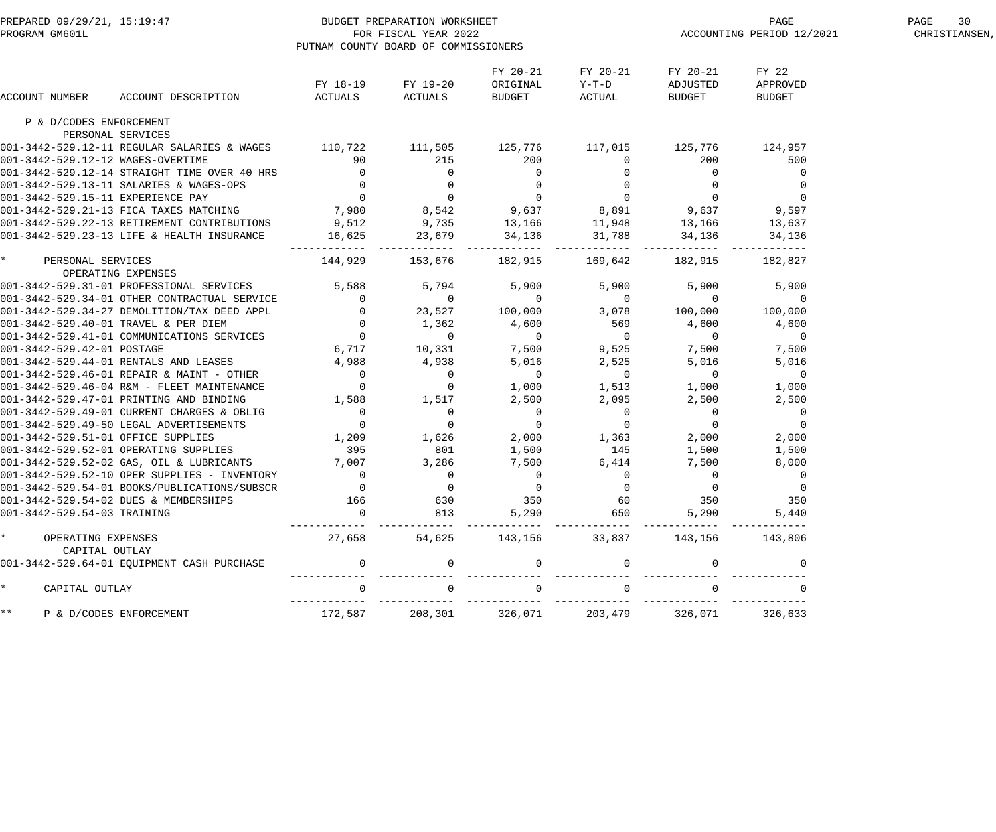| PREPARED 09/29/21, 15:19:47<br>PROGRAM GM601L FOR FISCAL YEAR 2022<br>PUTNAM COUNTY BOARD OF COMMISSION |                                                                                                                                                                                                                                          | PUTNAM COUNTY BOARD OF COMMISSIONERS                             |                                       |                                       |                               |                                       | PAGE<br>ACCOUNTING PERIOD 12/2021    | PAGE<br>30<br>CHRISTIANSEN, |
|---------------------------------------------------------------------------------------------------------|------------------------------------------------------------------------------------------------------------------------------------------------------------------------------------------------------------------------------------------|------------------------------------------------------------------|---------------------------------------|---------------------------------------|-------------------------------|---------------------------------------|--------------------------------------|-----------------------------|
| ACCOUNT NUMBER                                                                                          | ACCOUNT DESCRIPTION                                                                                                                                                                                                                      |                                                                  | FY 18-19 FY 19-20<br>ACTUALS ACTUALS  | FY 20-21<br>ORIGINAL<br><b>BUDGET</b> | FY 20-21<br>$Y-T-D$<br>ACTUAL | FY 20-21<br>ADJUSTED<br><b>BUDGET</b> | FY 22<br>APPROVED<br>BUDGET          |                             |
| P & D/CODES ENFORCEMENT                                                                                 |                                                                                                                                                                                                                                          |                                                                  |                                       |                                       |                               |                                       |                                      |                             |
| PERSONAL SERVICES                                                                                       |                                                                                                                                                                                                                                          |                                                                  |                                       |                                       |                               |                                       |                                      |                             |
|                                                                                                         |                                                                                                                                                                                                                                          |                                                                  |                                       |                                       |                               |                                       |                                      |                             |
|                                                                                                         |                                                                                                                                                                                                                                          |                                                                  |                                       |                                       |                               |                                       |                                      |                             |
|                                                                                                         |                                                                                                                                                                                                                                          |                                                                  |                                       |                                       |                               |                                       |                                      |                             |
|                                                                                                         |                                                                                                                                                                                                                                          |                                                                  |                                       |                                       |                               |                                       |                                      |                             |
|                                                                                                         |                                                                                                                                                                                                                                          |                                                                  |                                       |                                       |                               |                                       |                                      |                             |
|                                                                                                         |                                                                                                                                                                                                                                          |                                                                  |                                       |                                       |                               |                                       |                                      |                             |
|                                                                                                         |                                                                                                                                                                                                                                          |                                                                  |                                       |                                       |                               |                                       |                                      |                             |
|                                                                                                         |                                                                                                                                                                                                                                          |                                                                  |                                       |                                       |                               |                                       |                                      |                             |
| * PERSONAL SERVICES                                                                                     | 001-3442-529.12-11 REGULAR SALARIES & WAGES<br>001-3442-529.12-12 WAGES-OVERTIME<br>001-3442-529.12-14 STRAIGHT TIME OVER 40 HRS<br>001-3442-529.13-11 EXLARIES & WAGES-OPS<br>001-3442-529.15-11 EXPERIMENT CONTRIBUTIONS<br>001-3442-5 | 144,929 153,676 182,915 169,642                                  |                                       |                                       |                               | 182,915 182,827                       |                                      |                             |
| OPERATING EXPENSES                                                                                      |                                                                                                                                                                                                                                          |                                                                  |                                       |                                       |                               |                                       |                                      |                             |
|                                                                                                         | 001–3442–529.31–01 PROFESSIONAL SERVICES<br>001–3442–529.31–01 PROFESSIONAL SERVICES<br>001–3442–529.34–27 DEMOLITION/TAX DEED APPL<br>001–3442–529.34–27 DEMOLITION/TAX DEED APPL<br>001–3442–529.44–01 TRAVEL & PER DIEM<br>001–3442–5 |                                                                  |                                       |                                       |                               |                                       | 5,900 5,900                          |                             |
|                                                                                                         |                                                                                                                                                                                                                                          |                                                                  |                                       |                                       |                               |                                       | $\overline{0}$                       |                             |
|                                                                                                         |                                                                                                                                                                                                                                          |                                                                  |                                       |                                       |                               |                                       | 100,000                              |                             |
|                                                                                                         |                                                                                                                                                                                                                                          |                                                                  |                                       |                                       |                               |                                       | 4,600                                |                             |
|                                                                                                         |                                                                                                                                                                                                                                          |                                                                  |                                       |                                       |                               |                                       | $\overline{0}$                       |                             |
|                                                                                                         |                                                                                                                                                                                                                                          |                                                                  |                                       |                                       |                               |                                       | 7,500                                |                             |
|                                                                                                         |                                                                                                                                                                                                                                          |                                                                  |                                       |                                       |                               |                                       | 5,016                                |                             |
|                                                                                                         | $001 - 3442 - 529.46 - 01$ REPAIR & MAINT - OTHER                                                                                                                                                                                        | $\begin{array}{c} 4 \text{ , } 988 \\ \text{0} \\ 0 \end{array}$ |                                       | $\overline{0}$                        | $\overline{0}$                | $\overline{0}$                        | $\overline{0}$                       |                             |
|                                                                                                         | 001-3442-529.46-04 R&M - FLEET MAINTENANCE                                                                                                                                                                                               |                                                                  | $\begin{array}{c} 0 \\ 0 \end{array}$ |                                       | $1,000$ $1,513$               | 1,000                                 | 1,000                                |                             |
|                                                                                                         | 001-3442-529.47-01 PRINTING AND BINDING                                                                                                                                                                                                  |                                                                  | $1,588$ $1,517$ $2,500$               |                                       |                               |                                       | 2,500                                |                             |
|                                                                                                         |                                                                                                                                                                                                                                          |                                                                  |                                       |                                       |                               |                                       |                                      |                             |
|                                                                                                         |                                                                                                                                                                                                                                          |                                                                  |                                       |                                       |                               |                                       | $\begin{matrix} 0 \\ 0 \end{matrix}$ |                             |
|                                                                                                         |                                                                                                                                                                                                                                          |                                                                  |                                       |                                       |                               | 2,000                                 | 2,000                                |                             |
|                                                                                                         |                                                                                                                                                                                                                                          |                                                                  |                                       |                                       |                               |                                       | 1,500                                |                             |
|                                                                                                         | 001-3442-529.49-01 CURRENT CHARGES & OBLIG<br>001-3442-529.49-50 LEGAL ADVERTISEMENTS<br>001-3442-529.51-01 OFFICE SUPPLIES<br>001-3442-529.52-01 OPERATING SUPPLIES<br>001-3442-529.52-02 GAS, OIL & LUBRICANTS<br>001-3442-529.52-02 G |                                                                  |                                       |                                       |                               |                                       | 8,000                                |                             |
|                                                                                                         |                                                                                                                                                                                                                                          |                                                                  |                                       |                                       |                               |                                       | $\overline{0}$                       |                             |
|                                                                                                         | 001-3442-529.54-01 BOOKS/PUBLICATIONS/SUBSCR                                                                                                                                                                                             | $\mathbf 0$                                                      |                                       |                                       |                               |                                       | $\mathbf 0$                          |                             |
|                                                                                                         | 001-3442-529.54-02 DUES & MEMBERSHIPS                                                                                                                                                                                                    | 166                                                              | 630                                   | 350                                   | 60                            | 350                                   | 350                                  |                             |
| 001-3442-529.54-03 TRAINING                                                                             |                                                                                                                                                                                                                                          | $\overline{0}$                                                   | 813                                   | 5,290                                 | 650                           | 5,290                                 | 5,440                                |                             |
| OPERATING EXPENSES<br>CAPITAL OUTLAY                                                                    |                                                                                                                                                                                                                                          | 27,658                                                           |                                       |                                       | 54,625 143,156 33,837 143,156 |                                       | 143,806                              |                             |
|                                                                                                         | 001-3442-529.64-01 EQUIPMENT CASH PURCHASE                                                                                                                                                                                               | $\overline{0}$                                                   |                                       |                                       |                               |                                       |                                      |                             |
| CAPITAL OUTLAY                                                                                          |                                                                                                                                                                                                                                          |                                                                  |                                       |                                       |                               |                                       |                                      |                             |
| $\star \star$<br>P & D/CODES ENFORCEMENT                                                                |                                                                                                                                                                                                                                          | 172,587                                                          | 208,301                               | 326,071                               | 203,479                       | 326,071                               | 326,633                              |                             |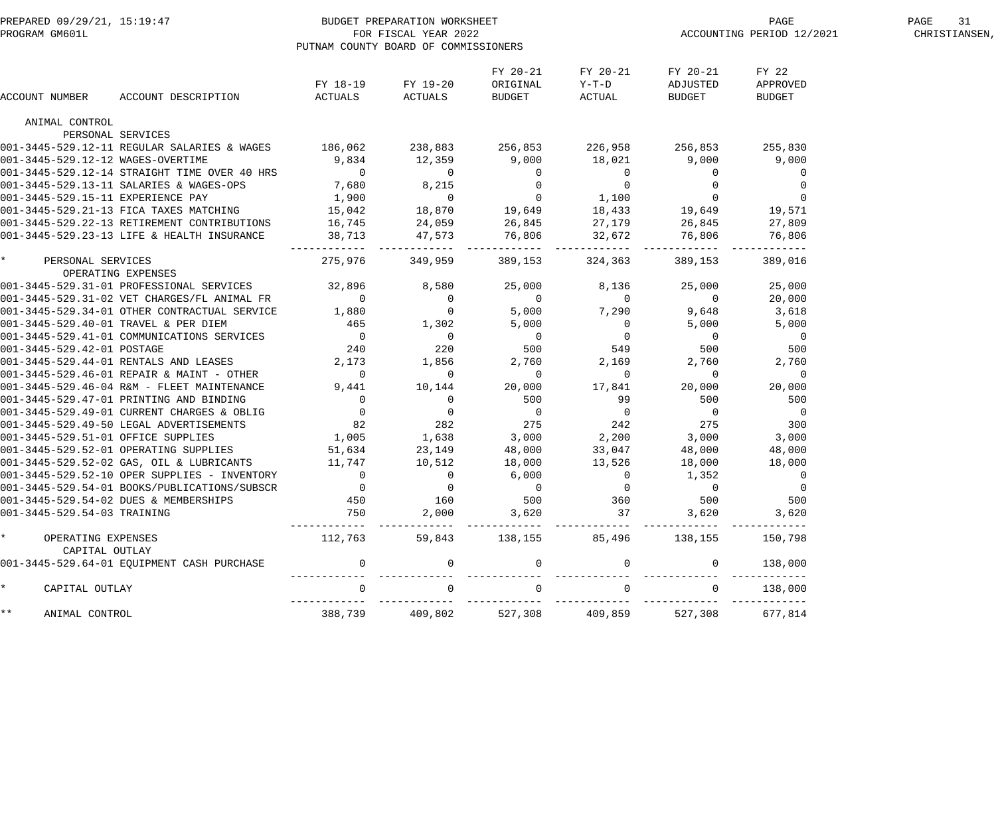| PREPARED 09/29/21, 15:19:47<br>PROGRAM GM601L |                                                                                                                                                                                                                              | PUTNAM COUNTY BOARD OF COMMISSIONERS    | BUDGET PREPARATION WORKSHEET<br>FOR FISCAL YEAR 2022         |                                                        |                                         |                                     | PAGE<br>ACCOUNTING PERIOD 12/2021  | PAGE<br>31<br>CHRISTIANSEN, |
|-----------------------------------------------|------------------------------------------------------------------------------------------------------------------------------------------------------------------------------------------------------------------------------|-----------------------------------------|--------------------------------------------------------------|--------------------------------------------------------|-----------------------------------------|-------------------------------------|------------------------------------|-----------------------------|
| ACCOUNT NUMBER                                | ACCOUNT DESCRIPTION                                                                                                                                                                                                          | ACTUALS                                 | FY 18-19 FY 19-20<br>ACTUALS                                 | FY 20-21<br>ORIGINAL<br>BUDGET                         | FY 20-21<br>$Y-T-D$<br>ACTUAL           | FY 20-21<br>ADJUSTED<br>BUDGET      | FY 22<br>APPROVED<br><b>BUDGET</b> |                             |
| ANIMAL CONTROL                                |                                                                                                                                                                                                                              |                                         |                                                              |                                                        |                                         |                                     |                                    |                             |
| PERSONAL SERVICES                             |                                                                                                                                                                                                                              |                                         |                                                              |                                                        |                                         |                                     |                                    |                             |
|                                               | 001-3445-529.12-11 REGULAR SALARIES & WAGES                                                                                                                                                                                  | 186,062 238,883 256,853 226,958 256,853 |                                                              |                                                        |                                         |                                     | 255,830                            |                             |
| 001-3445-529.12-12 WAGES-OVERTIME             |                                                                                                                                                                                                                              | 9,834                                   | 12,359                                                       | 9,000                                                  | 18,021                                  | 9,000                               | 9,000                              |                             |
|                                               | 001-3445-529.12-14 STRAIGHT TIME OVER 40 HRS                                                                                                                                                                                 | $\overline{0}$                          |                                                              |                                                        |                                         | $0$<br>0<br>0<br>0<br>19,649        | 0                                  |                             |
|                                               | 001-3445-529.13-11 SALARIES & WAGES-OPS                                                                                                                                                                                      | 7,680                                   |                                                              |                                                        |                                         |                                     | 0                                  |                             |
| 001-3445-529.15-11 EXPERIENCE PAY             |                                                                                                                                                                                                                              | 1,900                                   |                                                              |                                                        |                                         |                                     | $\mathbf 0$                        |                             |
|                                               | 001-3445-529.21-13 FICA TAXES MATCHING                                                                                                                                                                                       | 15,042                                  |                                                              |                                                        |                                         |                                     | 19,571                             |                             |
|                                               | 001-3445-529.22-13 RETIREMENT CONTRIBUTIONS                                                                                                                                                                                  | 16,745                                  |                                                              |                                                        |                                         | 26,845                              | 27,809                             |                             |
|                                               | 001-3445-529.23-13 LIFE & HEALTH INSURANCE                                                                                                                                                                                   | 38,713                                  |                                                              |                                                        |                                         | 76,806                              | 76,806                             |                             |
| PERSONAL SERVICES<br>OPERATING EXPENSES       |                                                                                                                                                                                                                              | 275,976                                 | 349,959                                                      | 389,153                                                | ------------<br>324,363                 | . _ _ _ _ _ _ _<br>389,153          | 389,016                            |                             |
|                                               | 001-3445-529.31-01 PROFESSIONAL SERVICES                                                                                                                                                                                     | 32,896 8,580                            |                                                              | 25,000                                                 | 8,136                                   | 25,000                              | 25,000                             |                             |
|                                               | 001-3445-529.31-02 VET CHARGES/FL ANIMAL FR                                                                                                                                                                                  | $\overline{0}$                          | $\overline{0}$                                               |                                                        | $\overline{0}$                          | $\overline{0}$                      | 20,000                             |                             |
|                                               | 001-3445-529.34-01 OTHER CONTRACTUAL SERVICE                                                                                                                                                                                 | 1,880                                   | $\overline{0}$                                               | $\begin{smallmatrix}0\5,000\end{smallmatrix}$<br>5,000 | 7,290                                   | 9,648                               | 3,618                              |                             |
| 001-3445-529.40-01 TRAVEL & PER DIEM          |                                                                                                                                                                                                                              |                                         | 1,302                                                        | 5,000                                                  |                                         | 5,000                               | 5,000                              |                             |
|                                               | 001-3445-529.41-01 COMMUNICATIONS SERVICES                                                                                                                                                                                   | $465$<br>0<br>240<br>2,173              | $\overline{0}$                                               |                                                        | $\overline{\phantom{a}}$                | $\overline{0}$                      | $\overline{0}$                     |                             |
| 001-3445-529.42-01 POSTAGE                    |                                                                                                                                                                                                                              |                                         | 220                                                          | $\begin{array}{c}0\\500\end{array}$                    | $\begin{array}{c}0\\549\end{array}$     | 500                                 | 500                                |                             |
|                                               | 001-3445-529.44-01 RENTALS AND LEASES                                                                                                                                                                                        |                                         | 1,856                                                        | 2,760                                                  | 2,169                                   | 2,760                               | 2,760                              |                             |
|                                               | 001-3445-529.46-01 REPAIR & MAINT - OTHER                                                                                                                                                                                    | $\overline{0}$                          |                                                              | $\overline{0}$                                         | $\overline{0}$                          |                                     | $\overline{0}$                     |                             |
|                                               | 001-3445-529.46-04 R&M - FLEET MAINTENANCE                                                                                                                                                                                   | 9,441                                   | 10,144                                                       | 20,000                                                 | 17,841                                  | 20,000                              | 20,000                             |                             |
|                                               |                                                                                                                                                                                                                              |                                         | $\overline{0}$                                               | 500                                                    | 99                                      | 500                                 | 500                                |                             |
|                                               |                                                                                                                                                                                                                              |                                         |                                                              |                                                        |                                         |                                     | $\overline{0}$                     |                             |
|                                               | 001-3445-529.47-01 PRINTING AND BINDING<br>001-3445-529.49-01 CURRENT CHARGES & OBLIG<br>001-3445-529.49-50 LEGAL ADVERTISEMENTS 82<br>001-3445-529.51-01 OFFICE SUPPLIES 1,005<br>001-3445-529.51-01 OPERTING GURLIES 1,005 |                                         | $\begin{smallmatrix}0&&&&0\&0&282\1,638&& \end{smallmatrix}$ | $\begin{array}{c}0\\275\end{array}$                    | $\begin{array}{c} 0 \\ 242 \end{array}$ | $\begin{array}{c}0\\275\end{array}$ | 300                                |                             |
|                                               |                                                                                                                                                                                                                              |                                         |                                                              | 3,000                                                  |                                         | 3,000                               | 3,000                              |                             |
|                                               | 001-3445-529.52-01 OPERATING SUPPLIES                                                                                                                                                                                        |                                         | 23,149                                                       | 48,000                                                 | 2,200<br>33,047                         | 48,000                              | 48,000                             |                             |
|                                               | 001-3445-529.52-02 GAS, OIL & LUBRICANTS                                                                                                                                                                                     | 51,634<br>11,747                        | 10,512                                                       | 18,000                                                 | 13,526                                  | 18,000                              | 18,000                             |                             |
|                                               | 001-3445-529.52-10 OPER SUPPLIES - INVENTORY                                                                                                                                                                                 | $\overline{0}$                          | $\mathbf 0$                                                  | 6,000                                                  | $\mathbf 0$                             | 1,352                               | $\overline{0}$                     |                             |
|                                               | 001-3445-529.54-01 BOOKS/PUBLICATIONS/SUBSCR                                                                                                                                                                                 | $\mathbf 0$                             | $\mathbf 0$                                                  | $\mathbf 0$                                            | $\mathbf 0$                             | $\mathbf 0$                         | $\mathbf 0$                        |                             |
|                                               | 001-3445-529.54-02 DUES & MEMBERSHIPS                                                                                                                                                                                        | 450                                     | 160                                                          | 500                                                    | 360                                     | 500                                 | 500                                |                             |
| 001-3445-529.54-03 TRAINING                   |                                                                                                                                                                                                                              | 750                                     | 2,000                                                        | 3,620                                                  | 37                                      | 3,620                               | 3,620                              |                             |
| $\star$<br>OPERATING EXPENSES                 |                                                                                                                                                                                                                              | 112,763                                 | 59,843                                                       | 138,155                                                | 85,496                                  | 138,155                             | 150,798                            |                             |
| CAPITAL OUTLAY                                |                                                                                                                                                                                                                              |                                         |                                                              |                                                        |                                         |                                     |                                    |                             |
|                                               | 001-3445-529.64-01 EQUIPMENT CASH PURCHASE                                                                                                                                                                                   | $\overline{0}$                          | $\overline{0}$                                               | $\mathbf 0$                                            | $\mathbf 0$                             | $\mathbf{0}$                        | 138,000                            |                             |
| $\star$<br>CAPITAL OUTLAY                     |                                                                                                                                                                                                                              | $\mathbf 0$                             |                                                              | $\mathbf 0$                                            |                                         | $\Omega$                            | 138,000                            |                             |
| $\star\star$<br>ANIMAL CONTROL                |                                                                                                                                                                                                                              | 388,739                                 | 409,802                                                      | 527,308                                                | 409,859                                 | 527,308                             | 677,814                            |                             |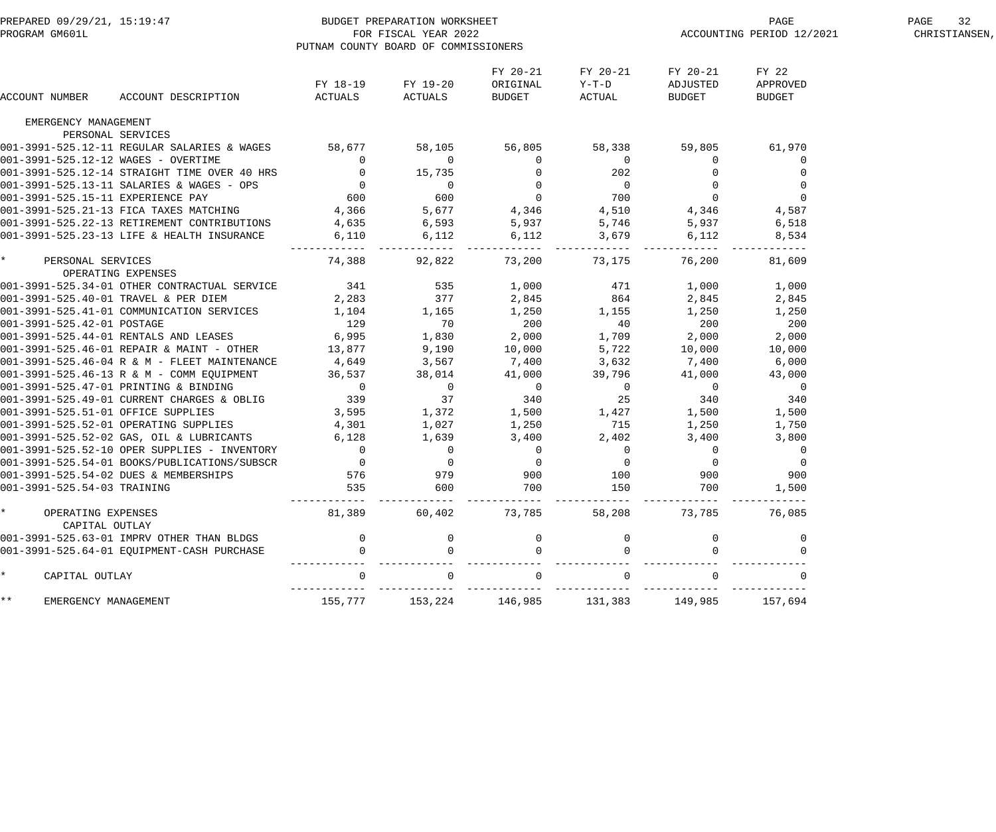| PREPARED 09/29/21, 15:19:47<br>PROGRAM GM601L |                                                    | PUTNAM COUNTY BOARD OF COMMISSIONERS         | BUDGET PREPARATION WORKSHEET<br>FOR FISCAL YEAR 2022                                     |                                                                                                                                                                                                                                                                   |                                                |                                | PAGE<br>ACCOUNTING PERIOD 12/2021  | PAGE<br>32<br>CHRISTIANSEN, |
|-----------------------------------------------|----------------------------------------------------|----------------------------------------------|------------------------------------------------------------------------------------------|-------------------------------------------------------------------------------------------------------------------------------------------------------------------------------------------------------------------------------------------------------------------|------------------------------------------------|--------------------------------|------------------------------------|-----------------------------|
| ACCOUNT NUMBER                                | ACCOUNT DESCRIPTION                                | ACTUALS                                      | FY 18-19 FY 19-20<br>ACTUALS                                                             | FY 20-21<br>ORIGINAL<br>BUDGET                                                                                                                                                                                                                                    | FY 20-21<br>Y−T−D<br>ACTUAL                    | FY 20-21<br>ADJUSTED<br>BUDGET | FY 22<br>APPROVED<br><b>BUDGET</b> |                             |
| EMERGENCY MANAGEMENT                          |                                                    |                                              |                                                                                          |                                                                                                                                                                                                                                                                   |                                                |                                |                                    |                             |
|                                               | PERSONAL SERVICES                                  |                                              |                                                                                          |                                                                                                                                                                                                                                                                   |                                                |                                |                                    |                             |
|                                               | 001-3991-525.12-11 REGULAR SALARIES & WAGES 58,677 |                                              | 58,105                                                                                   | 56,805                                                                                                                                                                                                                                                            | 58,338                                         | 59,805                         | 61,970                             |                             |
| 001-3991-525.12-12 WAGES - OVERTIME           |                                                    | $\begin{array}{c}0\\0\\0\\0\\600\end{array}$ |                                                                                          |                                                                                                                                                                                                                                                                   | $\overline{0}$                                 | $\overline{0}$                 | 0                                  |                             |
|                                               | 001-3991-525.12-14 STRAIGHT TIME OVER 40 HRS       |                                              |                                                                                          |                                                                                                                                                                                                                                                                   | $\begin{array}{c} 202 \\ 0 \\ 700 \end{array}$ | $\mathbf 0$                    |                                    |                             |
|                                               | 001-3991-525.13-11 SALARIES & WAGES - OPS          |                                              | $\overline{0}$                                                                           |                                                                                                                                                                                                                                                                   |                                                | $\overline{0}$                 | $\overline{0}$                     |                             |
| 001-3991-525.15-11 EXPERIENCE PAY             |                                                    |                                              | $600$<br>5.6                                                                             |                                                                                                                                                                                                                                                                   |                                                | $\overline{0}$                 | $\mathsf 0$                        |                             |
|                                               | 001-3991-525.21-13 FICA TAXES MATCHING             | 4,366                                        |                                                                                          |                                                                                                                                                                                                                                                                   | 4,510                                          | 4,346                          | 4,587                              |                             |
|                                               | 001-3991-525.22-13 RETIREMENT CONTRIBUTIONS        | 4,635                                        | $6,593$<br>$6,112$                                                                       |                                                                                                                                                                                                                                                                   | 5,746                                          | 5,937                          | 6,518                              |                             |
|                                               | 001-3991-525.23-13 LIFE & HEALTH INSURANCE         | 6,110                                        |                                                                                          | $56, 0$<br>$0$<br>$600$<br>$5,677$<br>$4,346$<br>$6,593$<br>$5,93$<br>$6$<br>$15$<br>$15$<br>$15$<br>$15$<br>$15$<br>$15$<br>$15$<br>$15$<br>$15$<br>$15$<br>$15$<br>$15$<br>$15$<br>$15$<br>$15$<br>$15$<br>$15$<br>$15$<br>$15$<br>$15$<br>$15$<br>$15$<br>$15$ | 3,679                                          | 6,112                          | 8,534                              |                             |
| $\star$ and $\star$<br>PERSONAL SERVICES      |                                                    | 74,388                                       | 92,822                                                                                   | ---------<br>73,200                                                                                                                                                                                                                                               | $- - - - - -$<br>73,175                        | 76,200                         | 81,609                             |                             |
| OPERATING EXPENSES                            |                                                    |                                              |                                                                                          |                                                                                                                                                                                                                                                                   |                                                |                                |                                    |                             |
| 001-3991-525.40-01 TRAVEL & PER DIEM          | 001-3991-525.34-01 OTHER CONTRACTUAL SERVICE       |                                              |                                                                                          |                                                                                                                                                                                                                                                                   |                                                | 1,000                          | 1,000                              |                             |
|                                               | 001-3991-525.41-01 COMMUNICATION SERVICES          |                                              |                                                                                          |                                                                                                                                                                                                                                                                   |                                                | 2,845<br>1,250                 | 2,845<br>1,250                     |                             |
| 001-3991-525.42-01 POSTAGE                    |                                                    |                                              |                                                                                          |                                                                                                                                                                                                                                                                   |                                                | 200                            | 200                                |                             |
|                                               | 001-3991-525.44-01 RENTALS AND LEASES              | 6,995                                        | 1,830                                                                                    | 2,000                                                                                                                                                                                                                                                             | 1,709                                          | 2,000                          | 2,000                              |                             |
|                                               | 001-3991-525.46-01 REPAIR & MAINT - OTHER          | 13,877                                       |                                                                                          | 10,000                                                                                                                                                                                                                                                            | 5,722                                          | 10,000                         | 10,000                             |                             |
|                                               | 001-3991-525.46-04 R & M - FLEET MAINTENANCE       | 4,649                                        | $9,190$<br>$3,567$                                                                       | 7,400                                                                                                                                                                                                                                                             | 3,632                                          | 7,400                          | 6,000                              |                             |
|                                               | 001-3991-525.46-13 R & M - COMM EQUIPMENT          | 36,537                                       | 38,014                                                                                   | 41,000                                                                                                                                                                                                                                                            | 39,796                                         | 41,000                         | 43,000                             |                             |
|                                               | 001-3991-525.47-01 PRINTING & BINDING              | $\overline{\phantom{a}}$                     | $\overline{0}$                                                                           |                                                                                                                                                                                                                                                                   | $\overline{\phantom{a}}$                       | $\overline{0}$                 | $\overline{0}$                     |                             |
|                                               | 001-3991-525.49-01 CURRENT CHARGES & OBLIG         | 339                                          | $\begin{array}{ccccccc}\n & 37 & & 340 & & 25 \\ 1,372 & & 1,500 & & 1,427\n\end{array}$ | $\begin{array}{c}0\\340\end{array}$                                                                                                                                                                                                                               |                                                | 340                            | 340                                |                             |
| 001-3991-525.51-01 OFFICE SUPPLIES            |                                                    | 3,595                                        |                                                                                          |                                                                                                                                                                                                                                                                   |                                                | 1,500                          | 1,500                              |                             |
|                                               | 001-3991-525.52-01 OPERATING SUPPLIES              | 4,301                                        | 1,027                                                                                    | 1,250                                                                                                                                                                                                                                                             | 715                                            | 1,250                          | 1,750                              |                             |
|                                               | 001-3991-525.52-02 GAS, OIL & LUBRICANTS           | 6,128                                        | 1,639                                                                                    | 3,400                                                                                                                                                                                                                                                             | 2,402                                          | 3,400                          | 3,800                              |                             |
|                                               | 001-3991-525.52-10 OPER SUPPLIES - INVENTORY       | $\overline{0}$                               |                                                                                          | $\overline{0}$                                                                                                                                                                                                                                                    | $\overline{0}$                                 | $\overline{0}$                 | 0                                  |                             |
|                                               | 001-3991-525.54-01 BOOKS/PUBLICATIONS/SUBSCR       | $\overline{0}$                               | $\begin{matrix}0\\0\end{matrix}$                                                         | $\overline{0}$                                                                                                                                                                                                                                                    | $\overline{0}$                                 | $\overline{0}$                 | 0                                  |                             |
|                                               | 001-3991-525.54-02 DUES & MEMBERSHIPS              | 576                                          | 979                                                                                      | 900                                                                                                                                                                                                                                                               | 100                                            | 900                            | 900                                |                             |
| 001-3991-525.54-03 TRAINING                   |                                                    | 535                                          | 600                                                                                      | 700                                                                                                                                                                                                                                                               | 150                                            | 700                            | 1,500                              |                             |
| OPERATING EXPENSES<br>CAPITAL OUTLAY          |                                                    | 81,389                                       | 60,402                                                                                   | 73,785                                                                                                                                                                                                                                                            | 58,208                                         | 73,785                         | 76,085                             |                             |
|                                               | 001-3991-525.63-01 IMPRV OTHER THAN BLDGS          | 0                                            |                                                                                          |                                                                                                                                                                                                                                                                   |                                                |                                |                                    |                             |
|                                               | 001-3991-525.64-01 EQUIPMENT-CASH PURCHASE         |                                              |                                                                                          |                                                                                                                                                                                                                                                                   |                                                |                                |                                    |                             |
| CAPITAL OUTLAY                                |                                                    | $\Omega$                                     |                                                                                          | $\mathbf 0$                                                                                                                                                                                                                                                       |                                                | $\Omega$                       |                                    |                             |
| * *<br>EMERGENCY MANAGEMENT                   |                                                    | 155,777                                      | 153,224                                                                                  | 146,985                                                                                                                                                                                                                                                           | 131,383                                        | 149,985                        | 157,694                            |                             |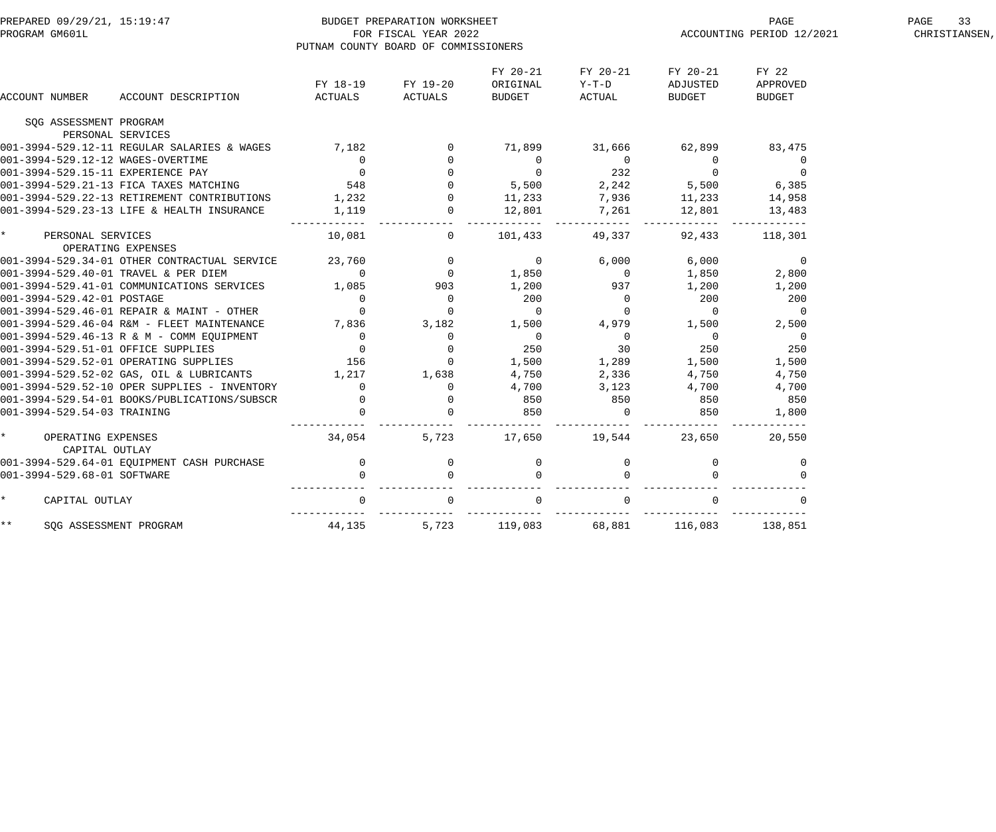| PROGRAM GM601L                                              | PREPARED 09/29/21, 15:19:47<br>PROGRAM GM601L<br>PROGRAM GM601L                                                                                              | PUTNAM COUNTY BOARD OF COMMISSIONERS | FOR FISCAL YEAR 2022                                       |                                       |                                                                                                                       |                                       | ${\tt PAGE}$<br>${\tt ACCOUNTING\ PERIOD\ 12/2021}$        | PAGE<br>33<br>CHRISTIANSEN, |
|-------------------------------------------------------------|--------------------------------------------------------------------------------------------------------------------------------------------------------------|--------------------------------------|------------------------------------------------------------|---------------------------------------|-----------------------------------------------------------------------------------------------------------------------|---------------------------------------|------------------------------------------------------------|-----------------------------|
| ACCOUNT NUMBER                                              | ACCOUNT DESCRIPTION                                                                                                                                          | ACTUALS ACTUALS                      | FY 18-19 FY 19-20                                          | FY 20-21<br>ORIGINAL<br><b>BUDGET</b> | FY 20-21<br>$Y-T-D$<br>ACTUAL                                                                                         | FY 20-21<br>ADJUSTED<br><b>BUDGET</b> | FY 22<br>APPROVED<br><b>BUDGET</b>                         |                             |
| SQG ASSESSMENT PROGRAM                                      |                                                                                                                                                              |                                      |                                                            |                                       |                                                                                                                       |                                       |                                                            |                             |
| PERSONAL SERVICES                                           |                                                                                                                                                              |                                      |                                                            |                                       |                                                                                                                       |                                       |                                                            |                             |
|                                                             | 001-3994-529.12-11 REGULAR SALARIES & WAGES 7,182                                                                                                            |                                      |                                                            |                                       | 71,899 31,666                                                                                                         | 62,899                                | 83,475                                                     |                             |
|                                                             | 001-3994-529.12-12 WAGES-OVERTIME<br>001-3994-529.15-11 EXPERIENCE PAY                                                                                       |                                      |                                                            |                                       | $\begin{matrix}0&&&&0\\&0&&&&232\end{matrix}$                                                                         | $\overline{0}$<br>$\overline{0}$      | $\overline{0}$                                             |                             |
|                                                             |                                                                                                                                                              |                                      | $\begin{array}{ccc} 0 & 0 \\ 0 & 0 \\ 548 & 0 \end{array}$ |                                       |                                                                                                                       |                                       | $\overline{0}$                                             |                             |
|                                                             | 001-3994-529.21-13 FICA TAXES MATCHING 548                                                                                                                   |                                      |                                                            | 5,500 2,242                           |                                                                                                                       | 5,500 6,385                           |                                                            |                             |
|                                                             | 001-3994-529.22-13 RETIREMENT CONTRIBUTIONS 1,232<br>001-3994-529.23-13 LIFE & HEALTH INSURANCE                                                              |                                      |                                                            | $0 \t 11,233$<br>12,801               | 7,936                                                                                                                 | 11, 233 14, 958                       |                                                            |                             |
|                                                             |                                                                                                                                                              |                                      | $1,119$ 0                                                  |                                       | 7,261 12,801                                                                                                          |                                       | 13,483                                                     |                             |
| * PERSONAL SERVICES                                         |                                                                                                                                                              |                                      | 10,081                                                     |                                       | 0 101,433 49,337 92,433 118,301                                                                                       |                                       |                                                            |                             |
|                                                             | OPERATING EXPENSES                                                                                                                                           |                                      |                                                            |                                       |                                                                                                                       |                                       |                                                            |                             |
|                                                             | 001-3994-529.34-01 OTHER CONTRACTUAL SERVICE 23,760 0<br>001-3994-529.40-01 TRAVEL & PER DIEM 0<br>001-3994-529.41-01 COMMUNICATIONS SERVICES 1,085 903      |                                      |                                                            |                                       | $\begin{array}{cccc} & 0 & \qquad & 6\,,000 & \qquad & 6\,,000 \ 1\,,850 & \qquad & 0 & \qquad & 1\,,850 \end{array}$ |                                       | $\begin{smallmatrix}&&&0\&2\, ,\,8\,0\,0\end{smallmatrix}$ |                             |
|                                                             |                                                                                                                                                              |                                      |                                                            |                                       |                                                                                                                       |                                       |                                                            |                             |
|                                                             |                                                                                                                                                              |                                      |                                                            | 1,200                                 | 937                                                                                                                   | 1,200                                 | 1,200                                                      |                             |
|                                                             |                                                                                                                                                              |                                      |                                                            | 200                                   |                                                                                                                       | $\overline{0}$ 200                    | 200                                                        |                             |
|                                                             |                                                                                                                                                              |                                      |                                                            | $\overline{0}$                        | $\overline{0}$ 0                                                                                                      |                                       | $\overline{0}$                                             |                             |
|                                                             | 001-3994-529.46-04 R&M - FLEET MAINTENANCE                                                                                                                   | 7,836 3,182                          |                                                            |                                       | $1,500$ $4,979$ $1,500$ $2,500$ $0$ $0$                                                                               |                                       |                                                            |                             |
|                                                             | 001-3994-529.46-13 R & M - COMM EQUIPMENT 0<br>001-3994-529.51-01 OFFICE SUPPLIES 0                                                                          |                                      | $\overline{0}$                                             | $\begin{array}{c}0\\250\end{array}$   | $\begin{array}{c} 0 \\ 30 \end{array}$                                                                                |                                       |                                                            |                             |
|                                                             |                                                                                                                                                              |                                      | $\overline{0}$                                             |                                       |                                                                                                                       | 250                                   | 250                                                        |                             |
|                                                             | 001-3994-529.52-01 OPERATING SUPPLIES 156                                                                                                                    |                                      |                                                            |                                       | 0 1,500 1,289                                                                                                         | 1,500                                 | 1,500                                                      |                             |
|                                                             | 001-3994-529.52-02 GAS, OIL & LUBRICANTS 1,217 1,638                                                                                                         |                                      |                                                            | 4,750                                 | 2,336                                                                                                                 | 4,750                                 | 4,750                                                      |                             |
|                                                             |                                                                                                                                                              |                                      |                                                            | 4,700                                 | 3,123                                                                                                                 | 4,700                                 | 4,700                                                      |                             |
|                                                             | $001-3994-529.52-02$ and, $011$ a distributions<br>$001-3994-529.52-10$ OPER SUPPLIES - INVENTORY 0<br>$001-3994-529.54-01$ BOOKS/PUBLICATIONS/SUBSCR 0<br>0 |                                      |                                                            | 850                                   |                                                                                                                       | 850                                   | 850                                                        |                             |
|                                                             |                                                                                                                                                              |                                      | $\begin{array}{c}\n0 \\ 0 \\ 0 \\ \hline\n0\n\end{array}$  | 850                                   | $\begin{array}{c} 850 \\ 0 \end{array}$                                                                               | 850                                   | 1,800                                                      |                             |
| $\star$ and $\star$<br>OPERATING EXPENSES<br>CAPITAL OUTLAY |                                                                                                                                                              | 34,054                               |                                                            |                                       | 5,723 17,650 19,544 23,650                                                                                            |                                       | 20,550                                                     |                             |
|                                                             | 001-3994-529.64-01 EQUIPMENT CASH PURCHASE                                                                                                                   |                                      |                                                            |                                       |                                                                                                                       | $\overline{0}$                        | $\mathbf 0$                                                |                             |
| 001-3994-529.68-01 SOFTWARE                                 | CASH PURCHASE 0<br>0                                                                                                                                         |                                      | $\begin{array}{c} 0 \\ 0 \end{array}$<br>$\overline{0}$    |                                       | $\begin{matrix} 0 & & & 0 \\ 0 & & & 0 \end{matrix}$                                                                  |                                       |                                                            |                             |
| $\star$<br>CAPITAL OUTLAY                                   |                                                                                                                                                              | $\overline{0}$                       | $\overline{0}$                                             | $\overline{0}$                        | $\Omega$                                                                                                              | $\overline{0}$                        |                                                            |                             |
| $***$                                                       | SQG ASSESSMENT PROGRAM 44,135                                                                                                                                |                                      |                                                            | 5,723 119,083                         |                                                                                                                       | 68,881 116,083                        | 138,851                                                    |                             |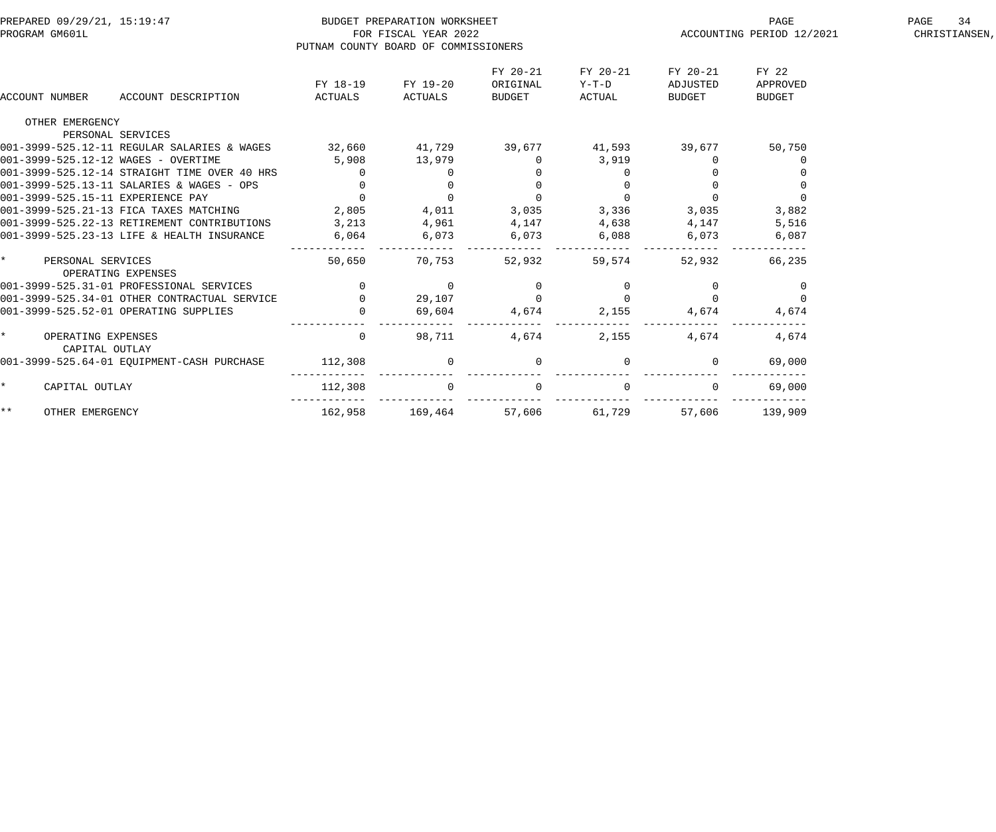| PREPARED 09/29/21, 15:19:47<br>PROGRAM GM601L                                  | PUTNAM COUNTY BOARD OF COMMISSIONERS    | BUDGET PREPARATION WORKSHEET<br>FOR FISCAL YEAR 2022 |                                      |                               |                                | PAGE<br>ACCOUNTING PERIOD 12/2021  | PAGE<br>34<br>CHRISTIANSEN, |
|--------------------------------------------------------------------------------|-----------------------------------------|------------------------------------------------------|--------------------------------------|-------------------------------|--------------------------------|------------------------------------|-----------------------------|
| ACCOUNT NUMBER<br>ACCOUNT DESCRIPTION                                          | FY 18-19<br>ACTUALS                     | FY 19-20<br>ACTUALS                                  | FY 20-21<br>ORIGINAL<br>BUDGET       | FY 20-21<br>$Y-T-D$<br>ACTUAL | FY 20-21<br>ADJUSTED<br>BUDGET | FY 22<br>APPROVED<br><b>BUDGET</b> |                             |
| OTHER EMERGENCY                                                                |                                         |                                                      |                                      |                               |                                |                                    |                             |
| PERSONAL SERVICES                                                              |                                         |                                                      |                                      |                               |                                |                                    |                             |
| 001-3999-525.12-11 REGULAR SALARIES & WAGES 32,660 41,729 39,677 41,593 39,677 |                                         |                                                      |                                      |                               |                                | 50,750                             |                             |
| 001-3999-525.12-12 WAGES - OVERTIME                                            | 5,908                                   | 13,979                                               | $\overline{0}$                       | 3,919                         |                                | 0                                  |                             |
| 001-3999-525.12-14 STRAIGHT TIME OVER 40 HRS                                   | $\Omega$                                | $\mathbf{0}$                                         |                                      |                               |                                |                                    |                             |
| 001-3999-525.13-11 SALARIES & WAGES - OPS                                      | $0$ 0 0 0<br>0 0 0<br>2,805 4,011 3,035 |                                                      |                                      |                               |                                |                                    |                             |
| 001-3999-525.15-11 EXPERIENCE PAY                                              |                                         |                                                      |                                      | $\overline{0}$                | $\overline{0}$                 | $\Omega$                           |                             |
| 001-3999-525.21-13 FICA TAXES MATCHING                                         |                                         |                                                      |                                      | 3,336                         | 3,035                          | 3,882                              |                             |
| 001-3999-525.22-13 RETIREMENT CONTRIBUTIONS                                    | $3,213$ $4,961$ $4,147$                 |                                                      |                                      | 4,638                         | 4,147                          | 5,516                              |                             |
| 001-3999-525.23-13 LIFE & HEALTH INSURANCE                                     | 6,064                                   | 6,073                                                | 6,073                                | 6,088                         | 6,073                          | 6,087                              |                             |
| $\star$ and $\star$<br>PERSONAL SERVICES<br>OPERATING EXPENSES                 | 50,650                                  | 70,753                                               | 52,932                               | 59,574                        | 52,932                         | 66,235                             |                             |
| 001-3999-525.31-01 PROFESSIONAL SERVICES                                       | $\overline{0}$                          | $\overline{0}$                                       |                                      |                               |                                | $\overline{0}$                     |                             |
| 001-3999-525.34-01 OTHER CONTRACTUAL SERVICE                                   | $\overline{0}$                          | 29,107                                               | $\begin{matrix} 0 \\ 0 \end{matrix}$ |                               |                                | $\overline{0}$                     |                             |
| 001-3999-525.52-01 OPERATING SUPPLIES                                          |                                         | 69,604                                               | 4,674                                | 2,155                         | 4,674                          | 4,674                              |                             |
| OPERATING EXPENSES<br>CAPITAL OUTLAY                                           | $\overline{0}$                          | 98,711                                               | 4,674                                | 2,155                         | 4,674                          | 4,674                              |                             |
| 001-3999-525.64-01 EQUIPMENT-CASH PURCHASE                                     | 112,308                                 | $\overline{0}$                                       | $\overline{0}$                       |                               |                                | 69,000                             |                             |
| $\star$<br>CAPITAL OUTLAY                                                      | 112,308                                 |                                                      | $\mathsf{O}\xspace$                  |                               |                                | 69,000                             |                             |
| $***$<br>OTHER EMERGENCY                                                       | 162,958                                 | 169,464                                              | 57,606                               | 61,729                        | 57,606                         | 139,909                            |                             |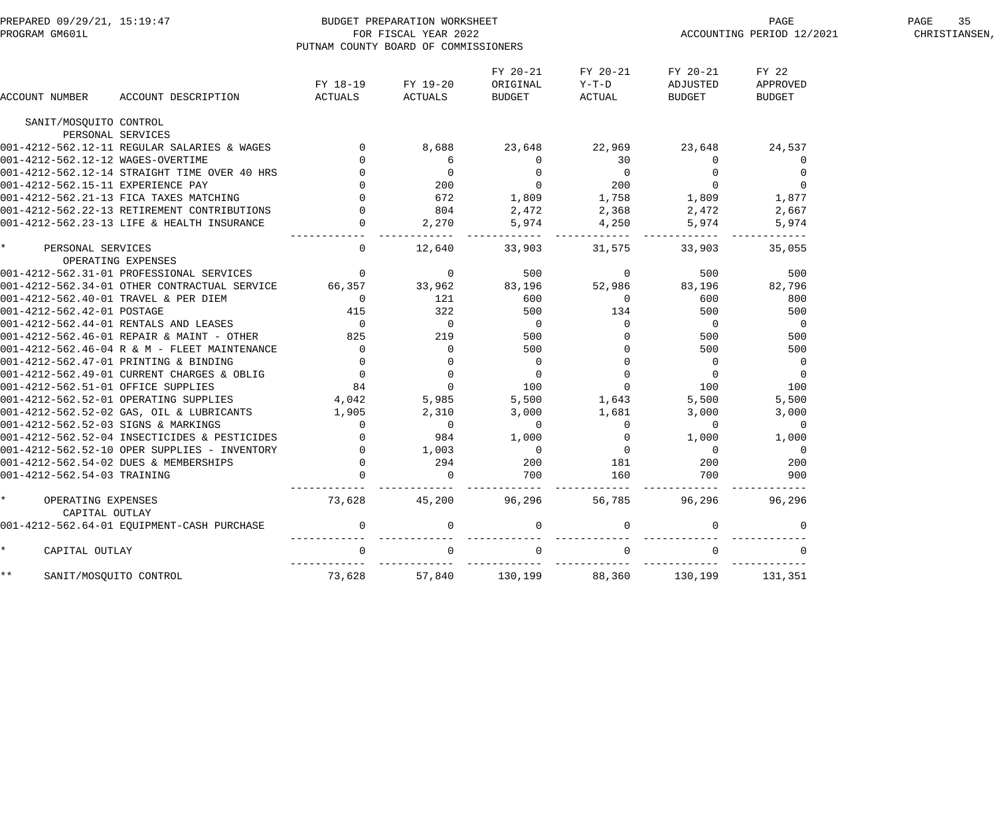| PREPARED 09/29/21, 15:19:47<br>PROGRAM GM601L |                                                                                                                                                                 | PUTNAM COUNTY BOARD OF COMMISSIONERS           | BUDGET PREPARATION WORKSHEET<br>FOR FISCAL YEAR 2022 |                                       |                               | ACCOUNTING PERIOD 12/2021      | PAGE<br>35<br>CHRISTIANSEN,        |  |
|-----------------------------------------------|-----------------------------------------------------------------------------------------------------------------------------------------------------------------|------------------------------------------------|------------------------------------------------------|---------------------------------------|-------------------------------|--------------------------------|------------------------------------|--|
| ACCOUNT NUMBER                                | ACCOUNT DESCRIPTION                                                                                                                                             | FY 18-19<br>ACTUALS                            | FY 19-20<br>ACTUALS                                  | FY 20-21<br>ORIGINAL<br>BUDGET        | FY 20-21<br>$Y-T-D$<br>ACTUAL | FY 20-21<br>ADJUSTED<br>BUDGET | FY 22<br>APPROVED<br><b>BUDGET</b> |  |
| SANIT/MOSQUITO CONTROL                        |                                                                                                                                                                 |                                                |                                                      |                                       |                               |                                |                                    |  |
| PERSONAL SERVICES                             |                                                                                                                                                                 |                                                |                                                      |                                       |                               |                                |                                    |  |
|                                               | 001-4212-562.12-11 REGULAR SALARIES & WAGES                                                                                                                     |                                                | 8,688                                                | 23,648                                | 22,969                        | 23,648                         | 24,537                             |  |
| 001-4212-562.12-12 WAGES-OVERTIME             |                                                                                                                                                                 | $\overline{0}$                                 | 6                                                    | $\mathbf 0$                           | 30                            | $\overline{0}$                 | $\overline{0}$                     |  |
|                                               | 001-4212-562.12-14 STRAIGHT TIME OVER 40 HRS                                                                                                                    |                                                | $\overline{0}$                                       | $\begin{array}{c} 0 \\ 0 \end{array}$ | $\overline{0}$                | $\overline{0}$                 | 0                                  |  |
| 001-4212-562.15-11 EXPERIENCE PAY             |                                                                                                                                                                 |                                                | $0\qquad \qquad 200$                                 |                                       | 200                           | $\overline{0}$                 | $\mathbf 0$                        |  |
|                                               | 001-4212-562.21-13 FICA TAXES MATCHING                                                                                                                          | $\overline{0}$                                 | 672                                                  | 1,809                                 | 1,758                         | 1,809                          | 1,877                              |  |
|                                               | 001-4212-562.22-13 RETIREMENT CONTRIBUTIONS                                                                                                                     | $\overline{a}$                                 | 804                                                  | 2,472                                 | 2,368                         | 2,472                          | 2,667                              |  |
|                                               | 001-4212-562.23-13 LIFE & HEALTH INSURANCE                                                                                                                      |                                                | 2,270                                                | 5,974                                 | 4,250<br>------               | 5,974                          | 5,974                              |  |
| $\star$<br>PERSONAL SERVICES                  |                                                                                                                                                                 | $\overline{0}$                                 | 12,640                                               | 33,903                                | 31,575                        | 33,903                         | 35,055                             |  |
|                                               | OPERATING EXPENSES                                                                                                                                              |                                                |                                                      |                                       |                               |                                |                                    |  |
|                                               | 001-4212-562.31-01 PROFESSIONAL SERVICES                                                                                                                        | $\begin{array}{ccc} \n\hline\n\end{array}$     | $\overline{0}$                                       | 500                                   | $\overline{0}$                | 500                            | 500                                |  |
|                                               | 001-4212-562.34-01 OTHER CONTRACTUAL SERVICE 66,357                                                                                                             |                                                | 33,962                                               | 83,196                                | 52,986                        | 83,196                         | 82,796                             |  |
| 001-4212-562.40-01 TRAVEL & PER DIEM          |                                                                                                                                                                 | $\overline{0}$                                 | 121                                                  | 600                                   | $\overline{0}$                | 600                            | 800                                |  |
| 001-4212-562.42-01 POSTAGE                    |                                                                                                                                                                 | 415                                            | 322                                                  | 500                                   | 134                           | 500                            | 500                                |  |
|                                               | 001-4212-562.44-01 RENTALS AND LEASES                                                                                                                           | $\overline{0}$                                 | $\overline{\phantom{0}}$                             | $\overline{0}$                        | $\mathsf{O}$                  | $\overline{\phantom{0}}$       | $\overline{\phantom{0}}$           |  |
|                                               | 001-4212-562.46-01 REPAIR & MAINT - OTHER                                                                                                                       | 825                                            | 219                                                  | 500                                   | $\mathbf 0$                   | 500                            | 500                                |  |
|                                               | 001-4212-562.46-04 R & M - FLEET MAINTENANCE                                                                                                                    | $\overline{a}$                                 | $\overline{0}$                                       | 500                                   | $\overline{0}$                | 500                            | 500                                |  |
|                                               |                                                                                                                                                                 |                                                | $\overline{0}$                                       | $\overline{0}$                        | $\overline{0}$                | $\overline{\phantom{0}}$       | $\overline{0}$                     |  |
|                                               |                                                                                                                                                                 |                                                | $\overline{0}$                                       | $\overline{0}$                        | 0                             | $\overline{0}$                 | $\overline{0}$                     |  |
|                                               | 0 1-4212-562.49-01 CURRENT CHARGES & OBLIG<br>001-4212-562.51-01 OFFICE SUPPLIES<br>001-4212-562.51-01 OFFICE SUPPLIES<br>001-4212-562.52-01 OPERATING SUPPLIES |                                                | $\overline{0}$                                       | 100                                   | $\overline{0}$                | 100                            | 100                                |  |
|                                               |                                                                                                                                                                 |                                                | 5,985                                                | 5,500                                 | 1,643                         | 5,500                          | 5,500                              |  |
|                                               | 001-4212-562.52-02 GAS, OIL & LUBRICANTS 1,905                                                                                                                  |                                                | 2,310                                                | 3,000                                 | 1,681                         | 3,000                          | 3,000                              |  |
| 001-4212-562.52-03 SIGNS & MARKINGS           |                                                                                                                                                                 | $\overline{0}$                                 | $\overline{0}$                                       | $\overline{0}$                        | $\overline{0}$                | $\overline{0}$                 | $\overline{0}$                     |  |
|                                               | 001-4212-562.52-04 INSECTICIDES & PESTICIDES                                                                                                                    | $\overline{0}$                                 | 984                                                  | 1,000                                 | $\overline{0}$                | 1,000                          | 1,000                              |  |
|                                               | 001-4212-562.52-10 OPER SUPPLIES - INVENTORY                                                                                                                    |                                                |                                                      | $\overline{0}$                        | $\overline{0}$                | $\overline{0}$                 | $\overline{0}$                     |  |
|                                               | 001-4212-562.54-02 DUES & MEMBERSHIPS                                                                                                                           | 1,003 1,003 1 - INVENTORY<br>IIPS 0 294<br>0 0 |                                                      | 200                                   | 181                           | 200                            | 200                                |  |
| 001-4212-562.54-03 TRAINING                   |                                                                                                                                                                 |                                                |                                                      | 700                                   | 160                           | 700                            | 900                                |  |
| OPERATING EXPENSES<br>CAPITAL OUTLAY          |                                                                                                                                                                 | 73,628                                         | 45,200                                               | 96,296                                | 56,785                        | 96,296                         | 96,296                             |  |
|                                               | 001-4212-562.64-01 EQUIPMENT-CASH PURCHASE                                                                                                                      | $\overline{0}$                                 | $\Omega$                                             | $\mathbf 0$                           | $\Omega$                      | $\Omega$                       | $\mathbf 0$                        |  |
| $\star$<br>CAPITAL OUTLAY                     |                                                                                                                                                                 | $\Omega$                                       |                                                      | $\mathbf 0$                           | $\Omega$                      |                                |                                    |  |
| $\star\star$<br>SANIT/MOSQUITO CONTROL        |                                                                                                                                                                 | 73,628                                         | 57,840                                               | 130,199                               | 88,360                        | 130,199                        | 131,351                            |  |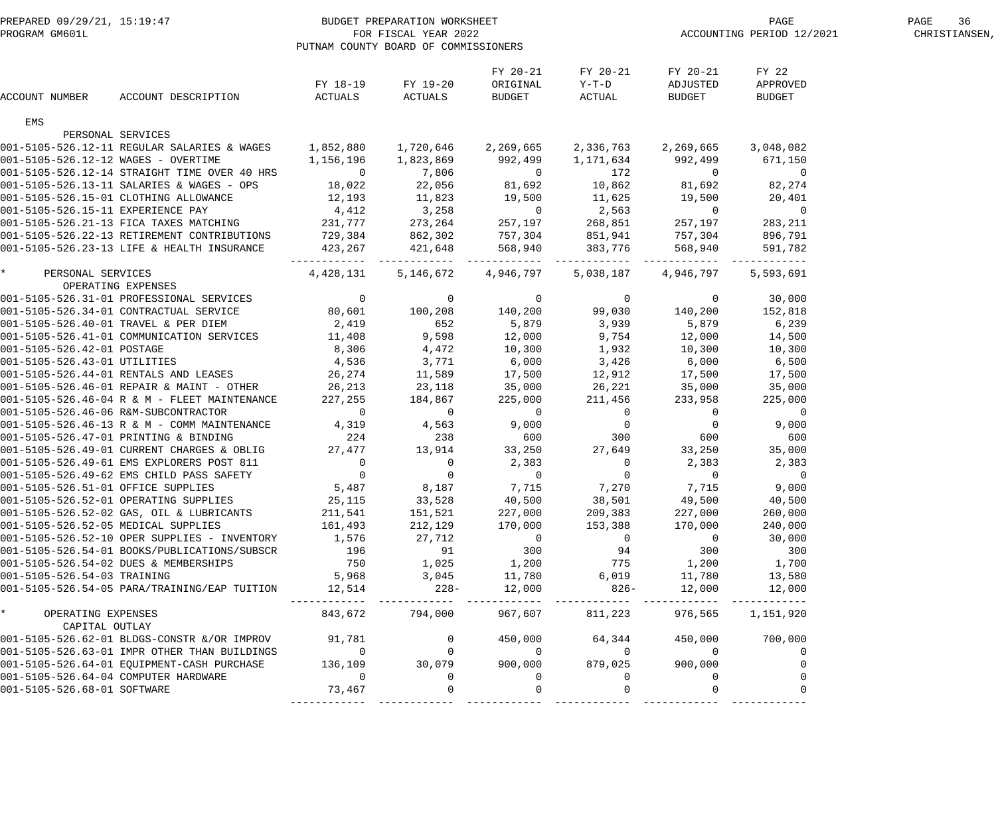|                                                 | PREPARED 09/29/21, 15:19:47<br>PROGRAM GM601L FOR FISCAL YEAR 2022<br>PUTNAM COUNTY BOARD OF COMMISSIONERS                                                                                                                               |                   |                |                                       |                                      |                                       | T PAGE PAGE PAGE PAGE PAGE PAGE S S ACCOUNTING PERIOD 12/2021  PAGE PERIOD 12/2021  PAGE CHRISTIANSEN, |  |  |
|-------------------------------------------------|------------------------------------------------------------------------------------------------------------------------------------------------------------------------------------------------------------------------------------------|-------------------|----------------|---------------------------------------|--------------------------------------|---------------------------------------|--------------------------------------------------------------------------------------------------------|--|--|
| <b>ACCOUNT NUMBER</b>                           | ACCOUNT DESCRIPTION ACTUALS ACTUALS                                                                                                                                                                                                      | FY 18-19 FY 19-20 |                | FY 20-21<br>ORIGINAL<br><b>BUDGET</b> | FY 20-21<br>$Y-T-D$<br><b>ACTUAL</b> | FY 20-21<br>ADJUSTED<br><b>BUDGET</b> | FY 22<br>APPROVED<br>BUDGET                                                                            |  |  |
| EMS                                             |                                                                                                                                                                                                                                          |                   |                |                                       |                                      |                                       |                                                                                                        |  |  |
|                                                 | PERSONAL SERVICES                                                                                                                                                                                                                        |                   |                |                                       |                                      |                                       |                                                                                                        |  |  |
|                                                 | 001-5105-526.12-11 REGULAR SALARIES & WAGES 1,852,880 1,720,646 2,269,665 2,336,763                                                                                                                                                      |                   |                |                                       |                                      | 2,269,665                             | 3,048,082                                                                                              |  |  |
| 001-5105-526.12-12 WAGES - OVERTIME             |                                                                                                                                                                                                                                          |                   |                |                                       |                                      | 992,499                               | 671,150                                                                                                |  |  |
|                                                 | 001-5105-526.12-14 STRAIGHT TIME OVER 40 HRS       0     7,806      0                 0<br>001-5105-526.13-11 SALARIES & WAGES - OPS      18,022     22,056     81,692     10,862     81,692     82,274                                  |                   |                |                                       |                                      |                                       |                                                                                                        |  |  |
|                                                 |                                                                                                                                                                                                                                          |                   |                |                                       |                                      |                                       |                                                                                                        |  |  |
|                                                 |                                                                                                                                                                                                                                          |                   |                |                                       |                                      |                                       |                                                                                                        |  |  |
|                                                 |                                                                                                                                                                                                                                          |                   |                |                                       |                                      |                                       |                                                                                                        |  |  |
|                                                 |                                                                                                                                                                                                                                          |                   |                |                                       |                                      |                                       |                                                                                                        |  |  |
|                                                 |                                                                                                                                                                                                                                          |                   |                |                                       |                                      |                                       |                                                                                                        |  |  |
|                                                 |                                                                                                                                                                                                                                          |                   |                |                                       |                                      |                                       | 591,782                                                                                                |  |  |
| $\star$ and $\star$                             | PERSONAL SERVICES                                                                                                                                                                                                                        | 4,428,131         |                |                                       | 5,146,672 4,946,797 5,038,187        | 4,946,797                             | 5,593,691                                                                                              |  |  |
|                                                 | OPERATING EXPENSES                                                                                                                                                                                                                       |                   |                |                                       |                                      |                                       |                                                                                                        |  |  |
|                                                 |                                                                                                                                                                                                                                          |                   |                |                                       |                                      |                                       |                                                                                                        |  |  |
|                                                 |                                                                                                                                                                                                                                          |                   |                |                                       |                                      |                                       |                                                                                                        |  |  |
|                                                 | 001-5105-526.40-01 TRAVEL & PER DIEM<br>2,419 				652 				5,879 			3,939 				5,879 			5,879 				5,879 				6,239                                                                                                                          |                   |                |                                       |                                      |                                       |                                                                                                        |  |  |
|                                                 | 001-5105-526.41-01 COMMUNICATION SERVICES 11,408 9,598 12,000 9,754 12,000 14,500                                                                                                                                                        |                   |                |                                       |                                      |                                       |                                                                                                        |  |  |
|                                                 | 001-5105-526.42-01 POSTAGE<br>001-5105-526.42-01 POSTAGE<br>001-5105-526.43-01 UTILITIES<br>001-5105-526.44-01 RENTALS AND LEASES<br>26,274<br>26,274<br>26,274<br>11,589<br>17,500<br>12,912                                            |                   |                |                                       |                                      | 10,300                                | 10,300                                                                                                 |  |  |
|                                                 |                                                                                                                                                                                                                                          |                   |                |                                       |                                      | 6,000                                 | 6,500                                                                                                  |  |  |
|                                                 | 001-5105-526.46-01 REPAIR & MAINT - OTHER 26,213 23,118 35,000 26,221 35,000                                                                                                                                                             |                   |                |                                       |                                      | 17,500                                | 17,500                                                                                                 |  |  |
|                                                 |                                                                                                                                                                                                                                          |                   |                |                                       |                                      |                                       | 35,000                                                                                                 |  |  |
|                                                 | 001-5105-526.46-04 R & M - FLEET MAINTENANCE<br>001-5105-526.46-04 R & M - FLEET MAINTENANCE<br>001-5105-526.46-06 R&M-SUBCONTRACTOR<br>001-5105-526.46-13 R & M - COMM MAINTENANCE<br>001-5105-526.46-13 R & M - COMM MAINTENANCE<br>4, |                   |                |                                       |                                      |                                       |                                                                                                        |  |  |
|                                                 |                                                                                                                                                                                                                                          |                   |                |                                       |                                      |                                       |                                                                                                        |  |  |
|                                                 |                                                                                                                                                                                                                                          |                   |                |                                       |                                      |                                       |                                                                                                        |  |  |
|                                                 |                                                                                                                                                                                                                                          |                   |                |                                       |                                      |                                       |                                                                                                        |  |  |
|                                                 |                                                                                                                                                                                                                                          |                   |                |                                       |                                      |                                       |                                                                                                        |  |  |
|                                                 | 001-5105-526.49-61 EMS EXPLORERS POST 811 0<br>001-5105-526.49-62 EMS CHILD PASS SAFETY 0 0 0 0 0 0 0 0                                                                                                                                  |                   |                | 2,383                                 | $\overline{0}$                       | 2,383                                 | 2,383                                                                                                  |  |  |
|                                                 |                                                                                                                                                                                                                                          |                   |                | $\overline{0}$                        | $\overline{0}$                       | $\overline{0}$                        | $\overline{0}$                                                                                         |  |  |
| 001-5105-526.51-01 OFFICE SUPPLIES              |                                                                                                                                                                                                                                          | 5,487             | 8,187          | 7,715                                 | 7,270                                | 7,715                                 | 9,000                                                                                                  |  |  |
|                                                 | 001-5105-526.52-01 OPERATING SUPPLIES                                                                                                                                                                                                    | 25,115            | 33,528         | 40,500                                | 38,501                               | 49,500                                | 40,500                                                                                                 |  |  |
|                                                 | 001-5105-526.52-02 GAS, OIL & LUBRICANTS                                                                                                                                                                                                 | 211,541           | 151,521        | 227,000                               | 209,383                              | 227,000                               | 260,000                                                                                                |  |  |
| 001-5105-526.52-05 MEDICAL SUPPLIES             |                                                                                                                                                                                                                                          | 161,493           | 212,129        | 170,000                               | 153,388                              | 170,000                               | 240,000                                                                                                |  |  |
|                                                 | 001-5105-526.52-10 OPER SUPPLIES - INVENTORY                                                                                                                                                                                             | 1,576             | 27,712         | $\overline{0}$                        | $\overline{0}$                       | $\overline{0}$                        | 30,000                                                                                                 |  |  |
|                                                 | 001-5105-526.54-01 BOOKS/PUBLICATIONS/SUBSCR                                                                                                                                                                                             | 196               | 91             | 300                                   | 94                                   | 300                                   | 300                                                                                                    |  |  |
|                                                 | 001-5105-526.54-02 DUES & MEMBERSHIPS                                                                                                                                                                                                    | 750               | 1,025          | 1,200                                 | 775                                  | 1,200                                 | 1,700                                                                                                  |  |  |
| 001-5105-526.54-03 TRAINING                     |                                                                                                                                                                                                                                          | 5,968             | 3,045          | 11,780                                | 6,019                                | 11,780                                | 13,580                                                                                                 |  |  |
|                                                 | 001-5105-526.54-05 PARA/TRAINING/EAP TUITION                                                                                                                                                                                             | 12,514            | $228-$         | 12,000                                | $826 -$                              | 12,000                                | 12,000                                                                                                 |  |  |
| $\star$<br>OPERATING EXPENSES<br>CAPITAL OUTLAY |                                                                                                                                                                                                                                          | 843,672           | 794,000        | 967,607                               | 811,223                              | 976,565                               | 1,151,920                                                                                              |  |  |
|                                                 | 001-5105-526.62-01 BLDGS-CONSTR &/OR IMPROV                                                                                                                                                                                              | 91,781            | $\overline{0}$ | 450,000                               | 64,344                               | 450,000                               | 700,000                                                                                                |  |  |
|                                                 | 001-5105-526.63-01 IMPR OTHER THAN BUILDINGS                                                                                                                                                                                             | $\overline{0}$    | $\Omega$       | $\overline{0}$                        | $\overline{0}$                       | $\overline{0}$                        | $\Omega$                                                                                               |  |  |
|                                                 | 001-5105-526.64-01 EQUIPMENT-CASH PURCHASE                                                                                                                                                                                               | 136,109           | 30,079         | 900,000                               | 879,025                              | 900,000                               |                                                                                                        |  |  |
| 001-5105-526.64-04 COMPUTER HARDWARE            |                                                                                                                                                                                                                                          | $\overline{0}$    | $\Omega$       | $\Omega$                              | $\Omega$                             | $\Omega$                              |                                                                                                        |  |  |
| 001-5105-526.68-01 SOFTWARE                     |                                                                                                                                                                                                                                          | 73,467            |                | $\Omega$                              |                                      |                                       |                                                                                                        |  |  |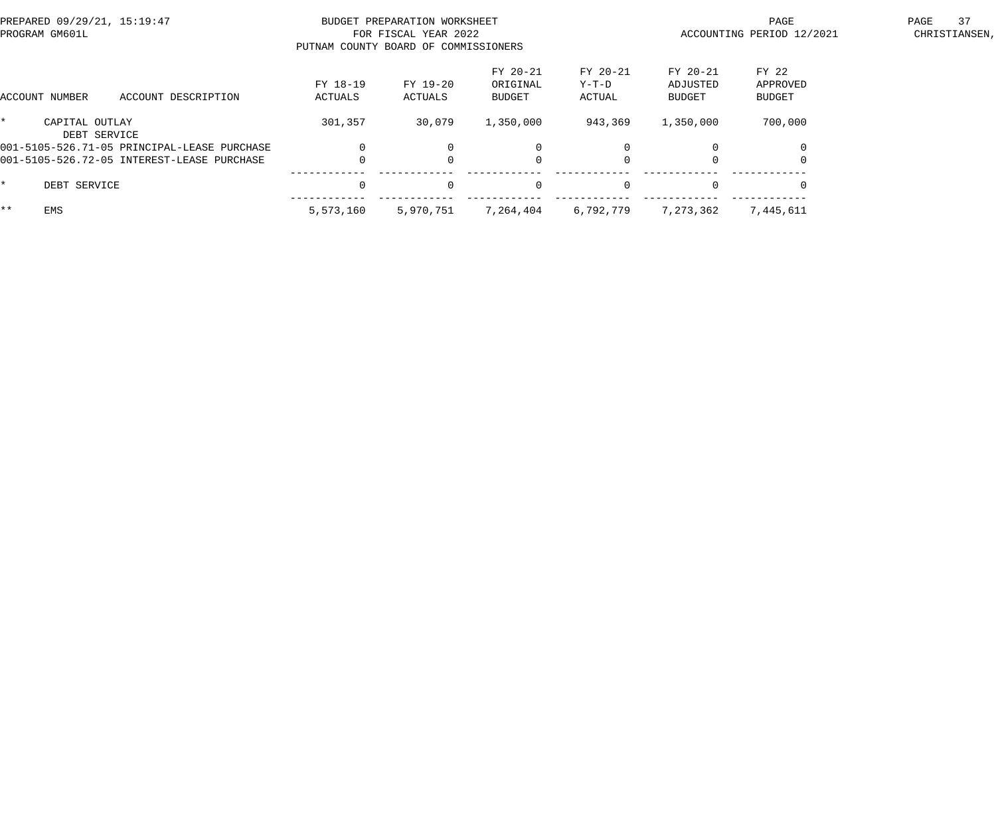| PREPARED 09/29/21, 15:19:47<br>PROGRAM GM601L |                     | BUDGET PREPARATION WORKSHEET<br>FOR FISCAL YEAR 2022<br>PUTNAM COUNTY BOARD OF COMMISSIONERS |                                |                             | PAGE<br>ACCOUNTING PERIOD 12/2021     | 37<br>PAGE<br>CHRISTIANSEN,        |  |
|-----------------------------------------------|---------------------|----------------------------------------------------------------------------------------------|--------------------------------|-----------------------------|---------------------------------------|------------------------------------|--|
| ACCOUNT DESCRIPTION<br>ACCOUNT NUMBER         | FY 18-19<br>ACTUALS | FY 19-20<br>ACTUALS                                                                          | FY 20-21<br>ORIGINAL<br>BUDGET | FY 20-21<br>Y-T-D<br>ACTUAL | FY 20-21<br>ADJUSTED<br><b>BUDGET</b> | FY 22<br>APPROVED<br><b>BUDGET</b> |  |
| CAPITAL OUTLAY<br>DEBT SERVICE                | 301,357             | 30,079                                                                                       | 1,350,000                      | 943,369                     | 1,350,000                             | 700,000                            |  |
| 001-5105-526.71-05 PRINCIPAL-LEASE PURCHASE   |                     |                                                                                              | $\Omega$                       |                             |                                       |                                    |  |
| 001-5105-526.72-05 INTEREST-LEASE PURCHASE    |                     |                                                                                              | $\mathbf 0$                    |                             |                                       |                                    |  |
| DEBT SERVICE                                  | $\Omega$            | $\Omega$                                                                                     | $\mathbf{0}$                   | $\Omega$                    |                                       |                                    |  |
| $***$<br><b>EMS</b>                           | 5,573,160           | 5,970,751                                                                                    | 7,264,404                      | 6,792,779                   | 7,273,362                             | 7,445,611                          |  |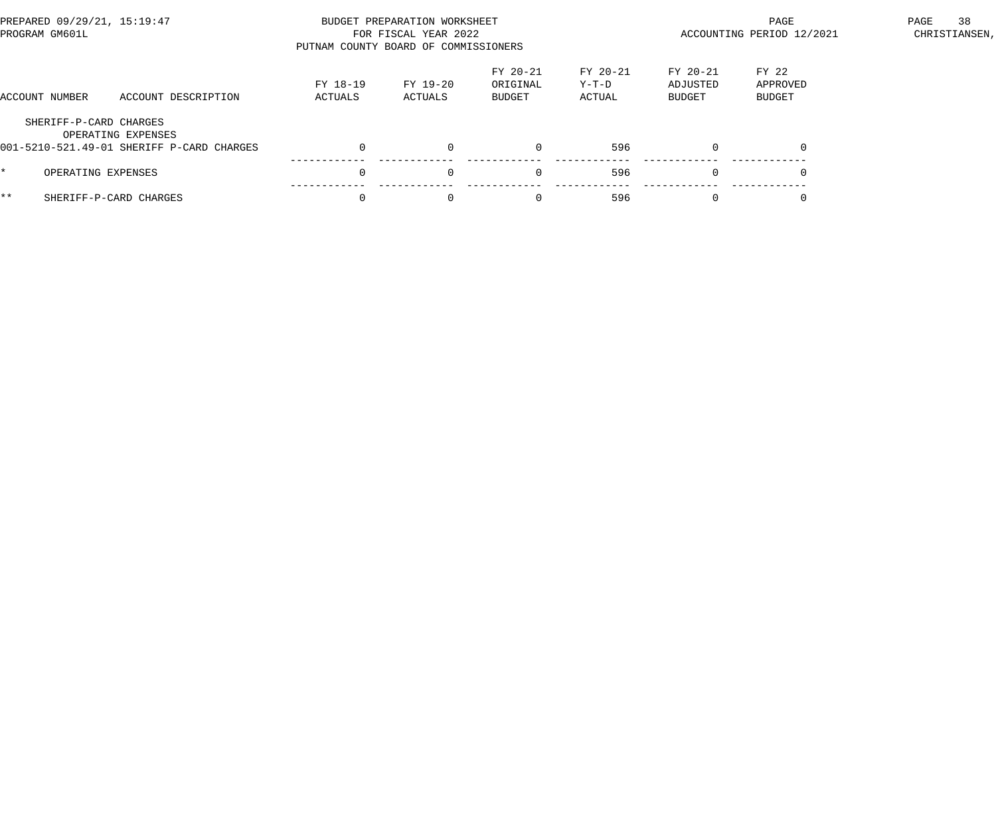| PREPARED 09/29/21, 15:19:47<br>PROGRAM GM601L |                                                                 | PUTNAM COUNTY BOARD OF COMMISSIONERS | BUDGET PREPARATION WORKSHEET<br>FOR FISCAL YEAR 2022 |                                |                             | PAGE<br>ACCOUNTING PERIOD 12/2021 | 38<br>PAGE<br>CHRISTIANSEN, |  |
|-----------------------------------------------|-----------------------------------------------------------------|--------------------------------------|------------------------------------------------------|--------------------------------|-----------------------------|-----------------------------------|-----------------------------|--|
| ACCOUNT NUMBER                                | ACCOUNT DESCRIPTION                                             | FY 18-19<br>ACTUALS                  | FY 19-20<br>ACTUALS                                  | FY 20-21<br>ORIGINAL<br>BUDGET | FY 20-21<br>Y-T-D<br>ACTUAL | FY 20-21<br>ADJUSTED<br>BUDGET    | FY 22<br>APPROVED<br>BUDGET |  |
| SHERIFF-P-CARD CHARGES                        | OPERATING EXPENSES<br>001-5210-521.49-01 SHERIFF P-CARD CHARGES |                                      | $\Omega$                                             |                                | 596                         | $\Omega$                          |                             |  |
| OPERATING EXPENSES                            |                                                                 |                                      | $\Omega$                                             | $\Omega$                       | 596                         | $\Omega$                          |                             |  |
| * *                                           | SHERIFF-P-CARD CHARGES                                          |                                      | $\Omega$                                             | $\Omega$                       | 596                         | $\Omega$                          |                             |  |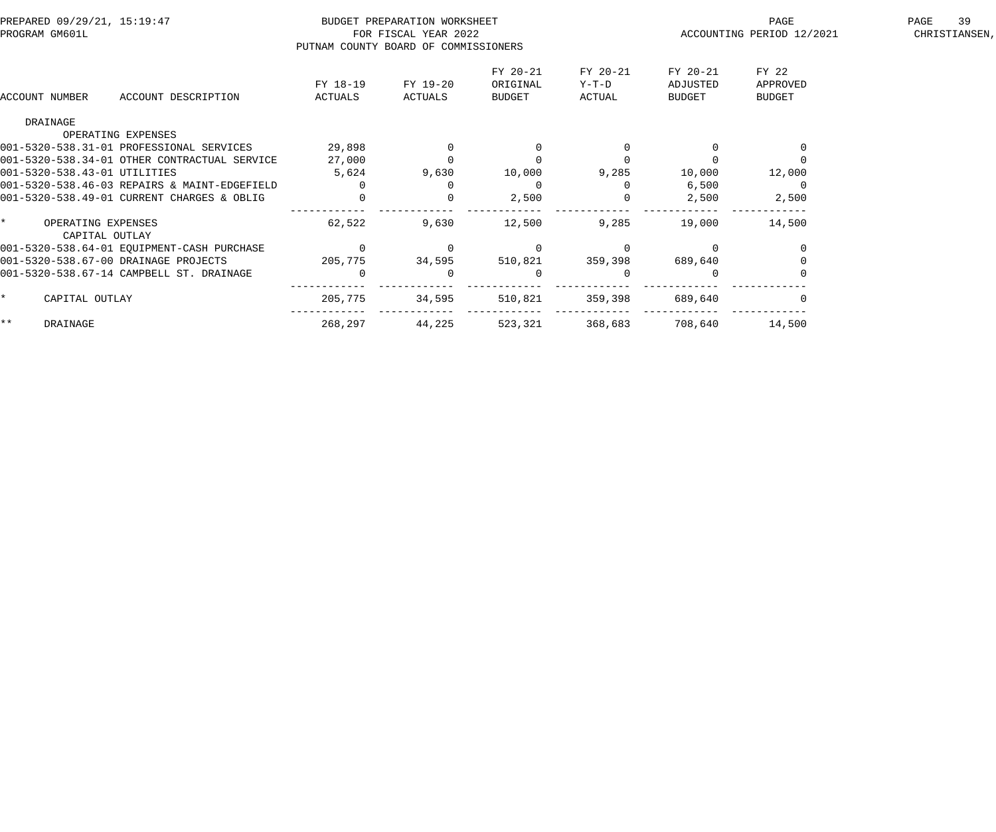| PREPARED 09/29/21, 15:19:47<br>PROGRAM GM601L |                                      |                                              |                                      | BUDGET PREPARATION WORKSHEET<br>FOR FISCAL YEAR 2022 |                |          | PAGE<br>ACCOUNTING PERIOD 12/2021 | 39<br>PAGE<br>CHRISTIANSEN, |  |
|-----------------------------------------------|--------------------------------------|----------------------------------------------|--------------------------------------|------------------------------------------------------|----------------|----------|-----------------------------------|-----------------------------|--|
|                                               |                                      |                                              | PUTNAM COUNTY BOARD OF COMMISSIONERS |                                                      |                |          |                                   |                             |  |
|                                               |                                      |                                              |                                      |                                                      | FY 20-21       | FY 20-21 | FY 20-21                          | FY 22                       |  |
|                                               |                                      |                                              | FY 18-19                             | FY 19-20                                             | ORIGINAL       | Y-T-D    | ADJUSTED                          | APPROVED                    |  |
| ACCOUNT NUMBER                                |                                      | ACCOUNT DESCRIPTION                          | ACTUALS                              | ACTUALS                                              | <b>BUDGET</b>  | ACTUAL   | BUDGET                            | <b>BUDGET</b>               |  |
| DRAINAGE                                      |                                      |                                              |                                      |                                                      |                |          |                                   |                             |  |
|                                               |                                      | OPERATING EXPENSES                           |                                      |                                                      |                |          |                                   |                             |  |
|                                               |                                      | 001-5320-538.31-01 PROFESSIONAL SERVICES     | 29,898                               |                                                      |                |          |                                   |                             |  |
|                                               |                                      | 001-5320-538.34-01 OTHER CONTRACTUAL SERVICE | 27,000                               |                                                      |                |          |                                   |                             |  |
|                                               |                                      | 001-5320-538.43-01 UTILITIES                 | 5,624                                | 9,630                                                | 10,000         | 9,285    | 10,000                            | 12,000                      |  |
|                                               |                                      | 001-5320-538.46-03 REPAIRS & MAINT-EDGEFIELD | $\Omega$                             |                                                      | $\Omega$       |          | 6,500                             |                             |  |
|                                               |                                      | 001-5320-538.49-01 CURRENT CHARGES & OBLIG   |                                      |                                                      | 2,500          |          | 2,500                             | 2,500                       |  |
| $\star$                                       | OPERATING EXPENSES<br>CAPITAL OUTLAY |                                              | 62,522                               | 9,630                                                | 12,500         | 9,285    | 19,000                            | 14,500                      |  |
|                                               |                                      | 001-5320-538.64-01 EQUIPMENT-CASH PURCHASE   |                                      |                                                      |                |          |                                   |                             |  |
|                                               |                                      | 001-5320-538.67-00 DRAINAGE PROJECTS         | 205,775                              | 34,595                                               | 510,821        | 359,398  | 689,640                           |                             |  |
|                                               |                                      | 001-5320-538.67-14 CAMPBELL ST. DRAINAGE     | $\Omega$                             |                                                      | $\overline{0}$ |          |                                   |                             |  |
| $\star$                                       | CAPITAL OUTLAY                       |                                              | 205,775                              | 34,595                                               | 510,821        | 359,398  | 689,640                           |                             |  |
| $\star \star$                                 | DRAINAGE                             |                                              | 268,297                              | 44,225                                               | 523,321        | 368,683  | 708,640                           | 14,500                      |  |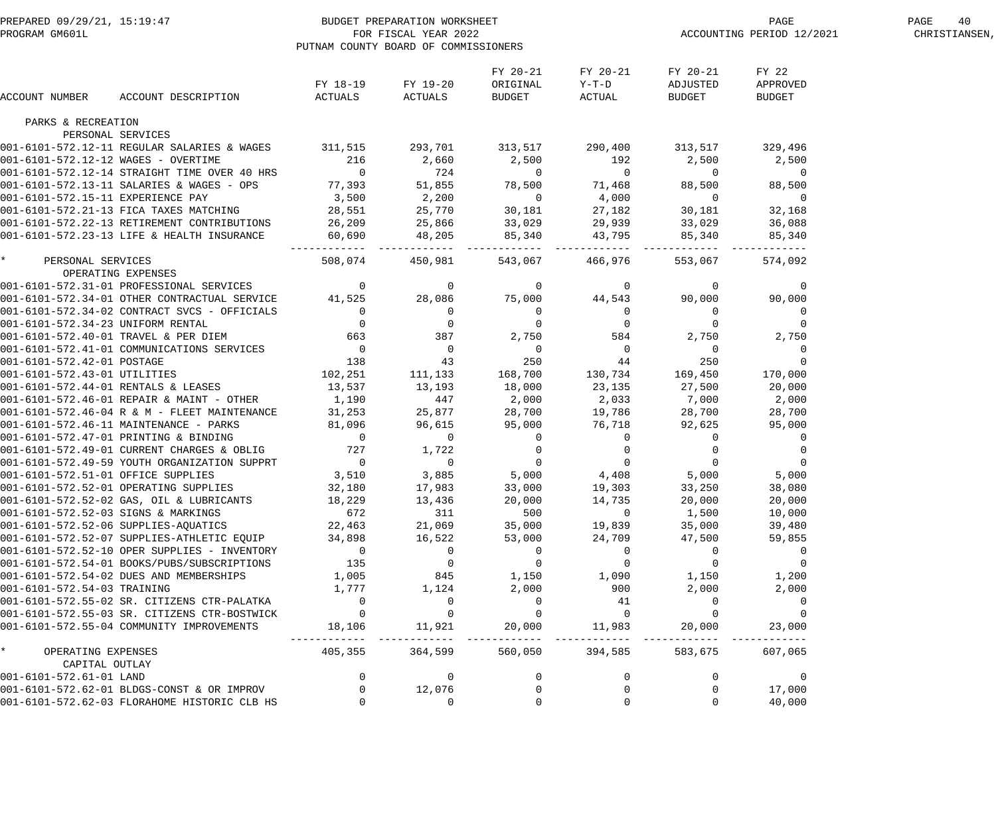|                                     | PREPARED 09/29/21, 15:19:47<br>PROGRAM GM601L FOR FISCAL YEAR 2022<br>PITNAM COUNTY BOARD OF COMMISSION                                                                                                                                  | PUTNAM COUNTY BOARD OF COMMISSIONERS |                                      |                                                                              |                               | ${\tt PCCOUNTING\ PREGE} \begin{tabular}{l} \bf 27 \\ \bf 2021 \\ \end{tabular}$ | PAGE<br>40<br>CHRISTIANSEN, |  |
|-------------------------------------|------------------------------------------------------------------------------------------------------------------------------------------------------------------------------------------------------------------------------------------|--------------------------------------|--------------------------------------|------------------------------------------------------------------------------|-------------------------------|----------------------------------------------------------------------------------|-----------------------------|--|
| ACCOUNT NUMBER                      | ACCOUNT DESCRIPTION                                                                                                                                                                                                                      |                                      | FY 18-19 FY 19-20<br>ACTUALS ACTUALS | FY 20-21<br>ORIGINAL<br><b>BUDGET</b>                                        | FY 20-21<br>$Y-T-D$<br>ACTUAL | FY 20-21<br>ADJUSTED<br><b>BUDGET</b>                                            | FY 22<br>APPROVED<br>BUDGET |  |
| PARKS & RECREATION                  |                                                                                                                                                                                                                                          |                                      |                                      |                                                                              |                               |                                                                                  |                             |  |
|                                     | PERSONAL SERVICES                                                                                                                                                                                                                        |                                      |                                      |                                                                              |                               |                                                                                  |                             |  |
|                                     | 001-6101-572.12-11 REGULAR SALARIES & WAGES 311,515 293,701 313,517 290,400 313,517                                                                                                                                                      |                                      |                                      |                                                                              |                               |                                                                                  | 329,496                     |  |
|                                     |                                                                                                                                                                                                                                          |                                      |                                      |                                                                              |                               | 2,500 2,500                                                                      |                             |  |
|                                     |                                                                                                                                                                                                                                          |                                      |                                      |                                                                              |                               | $\overline{0}$                                                                   | $\overline{0}$              |  |
|                                     |                                                                                                                                                                                                                                          |                                      |                                      |                                                                              |                               | 88,500                                                                           | 88,500                      |  |
|                                     |                                                                                                                                                                                                                                          |                                      |                                      |                                                                              |                               | $\overline{0}$                                                                   | $\overline{0}$              |  |
|                                     |                                                                                                                                                                                                                                          |                                      |                                      |                                                                              |                               | 30,181                                                                           | 32,168                      |  |
|                                     |                                                                                                                                                                                                                                          |                                      |                                      |                                                                              |                               | 33,029                  36,088<br>85,340                   85,340                |                             |  |
|                                     | 001-6101-572.12-11 REGULAR SALARIES & WAGES<br>001-6101-572.12-12 WAGES - OVERTIME<br>001-6101-572.12-14 STRAIGHT TIME OVER 40 HRS<br>001-6101-572.13-11 SALARIES & WAGES - OPS<br>001-6101-572.13-11 EXPERIENCE PAY<br>001-6101-572.21- | . _ _ _ _ _ _ _ _                    |                                      |                                                                              |                               | 85,340<br>--------                                                               | 85,340                      |  |
| $\star$<br>OPERATING EXPENSES       | PERSONAL SERVICES                                                                                                                                                                                                                        |                                      | 508,074 450,981                      |                                                                              | 543,067 466,976               | 553,067                                                                          | 574,092                     |  |
|                                     |                                                                                                                                                                                                                                          |                                      |                                      |                                                                              |                               |                                                                                  |                             |  |
|                                     | 001-6101-572.31-01 PROFESSIONAL SERVICES<br>001-6101-572.31-01 DTHER CONTRACTUAL SERVICE 41,525 28,086 75,000 44,543 90,000 90,000<br>001-6101-572.34-02 CONTRACT SVCS - OFFICIALS<br>001-6101-572.34-23 UNIFORM RENTAL 0 0 0 0 0 0      |                                      |                                      |                                                                              |                               |                                                                                  |                             |  |
|                                     |                                                                                                                                                                                                                                          |                                      |                                      |                                                                              |                               |                                                                                  |                             |  |
|                                     |                                                                                                                                                                                                                                          |                                      |                                      |                                                                              |                               |                                                                                  |                             |  |
|                                     |                                                                                                                                                                                                                                          |                                      |                                      |                                                                              |                               |                                                                                  |                             |  |
|                                     |                                                                                                                                                                                                                                          |                                      |                                      |                                                                              |                               |                                                                                  |                             |  |
|                                     |                                                                                                                                                                                                                                          |                                      |                                      |                                                                              |                               |                                                                                  |                             |  |
| 001-6101-572.43-01 UTILITIES        |                                                                                                                                                                                                                                          | 102,251                              |                                      | 111, 133 168, 700 130, 734 169, 450                                          |                               |                                                                                  | 170,000                     |  |
| 001-6101-572.44-01 RENTALS & LEASES |                                                                                                                                                                                                                                          | 13,537                               |                                      | $11,133$<br>$13,193$<br>$147$<br>$2,000$<br>$25,877$<br>$28,700$<br>$19,786$ |                               | 27,500                                                                           | 20,000                      |  |
|                                     | 001-6101-572.46-01 REPAIR & MAINT - OTHER                                                                                                                                                                                                | 1,190                                |                                      |                                                                              |                               | 7,000                                                                            | 2,000                       |  |
|                                     | 001-6101-572.46-01 REPAIR & MAINT - OTHER 1,190 447<br>001-6101-572.46-04 R & M - FLEET MAINTENANCE 31,253 25,877<br>001-6101-572.47-01 PRINTING & BINDING 001-6101-572.47-01 PRINTING & BINDING 001-6101-572.49-01 CURRENT CHARGE       |                                      |                                      |                                                                              |                               | 28,700                                                                           | 28,700                      |  |
|                                     |                                                                                                                                                                                                                                          |                                      |                                      |                                                                              |                               | 92,625                                                                           | 95,000                      |  |
|                                     |                                                                                                                                                                                                                                          |                                      |                                      |                                                                              |                               | $\overline{0}$                                                                   | $\overline{0}$              |  |
|                                     |                                                                                                                                                                                                                                          |                                      |                                      |                                                                              |                               | $\begin{bmatrix} 0 \\ 0 \\ 0 \end{bmatrix}$                                      | $\overline{0}$              |  |
|                                     |                                                                                                                                                                                                                                          |                                      |                                      |                                                                              |                               |                                                                                  | $\overline{0}$              |  |
|                                     | 001-6101-572.49-59 YOUTH ORGANIZATION SUPPRT $\begin{array}{ccc} 0 & 0 & 0 \\ 0 & 0 & 0 \\ 0 & 0 & -6101-572.51-01 \end{array}$ 0                                                                                                        |                                      |                                      |                                                                              | $5,000$ $4,408$               | 5,000                                                                            | 5,000                       |  |
|                                     | 001-6101-572.52-01 OPERATING SUPPLIES                                                                                                                                                                                                    | 32,180                               | 17,983                               | 33,000                                                                       | 19,303                        | 33,250                                                                           | 38,080                      |  |
|                                     | 001-6101-572.52-02 GAS, OIL & LUBRICANTS                                                                                                                                                                                                 | 18,229                               | 13,436                               | 20,000                                                                       | 14,735                        | 20,000                                                                           | 20,000                      |  |
| 001-6101-572.52-03 SIGNS & MARKINGS |                                                                                                                                                                                                                                          | 672                                  | 311                                  | 500                                                                          | $\overline{0}$                | 1,500                                                                            | 10,000                      |  |
|                                     | 001-6101-572.52-06 SUPPLIES-AQUATICS                                                                                                                                                                                                     | 22,463                               | 21,069                               | 35,000                                                                       | 19,839                        | 35,000                                                                           | 39,480                      |  |
|                                     | 001-6101-572.52-07 SUPPLIES-ATHLETIC EQUIP                                                                                                                                                                                               | 34,898                               | 16,522                               | 53,000                                                                       | 24,709                        | 47,500                                                                           | 59,855                      |  |
|                                     | 001-6101-572.52-10 OPER SUPPLIES - INVENTORY                                                                                                                                                                                             | $\overline{0}$                       | $\overline{0}$                       | $\overline{0}$                                                               | $\overline{0}$                | $\Omega$                                                                         | $\mathbf 0$                 |  |
|                                     | 001-6101-572.54-01 BOOKS/PUBS/SUBSCRIPTIONS                                                                                                                                                                                              | 135                                  | $\overline{0}$                       | 0                                                                            | $\mathbf 0$                   | $\mathbf 0$                                                                      | $\mathbf 0$                 |  |
|                                     | 001-6101-572.54-02 DUES AND MEMBERSHIPS                                                                                                                                                                                                  | 1,005                                | 845                                  | 1,150                                                                        | 1,090                         | 1,150                                                                            | 1,200                       |  |
| 001-6101-572.54-03 TRAINING         |                                                                                                                                                                                                                                          | 1,777                                | 1,124                                | 2,000                                                                        | 900                           | 2,000                                                                            | 2,000                       |  |
|                                     | 001-6101-572.55-02 SR. CITIZENS CTR-PALATKA                                                                                                                                                                                              | $\overline{0}$                       | $\overline{0}$                       | $\overline{0}$                                                               | 41                            | $\overline{0}$                                                                   | $\overline{0}$              |  |
|                                     | 001-6101-572.55-03 SR. CITIZENS CTR-BOSTWICK                                                                                                                                                                                             | $\overline{0}$                       | $\overline{0}$                       | $\overline{0}$                                                               | $\overline{0}$                | $\overline{0}$                                                                   | $\mathbf 0$                 |  |
|                                     | 001-6101-572.55-04 COMMUNITY IMPROVEMENTS                                                                                                                                                                                                | 18,106                               | 11,921                               | 20,000                                                                       | 11,983<br>------------        | 20,000                                                                           | 23,000                      |  |
| $\star$<br>OPERATING EXPENSES       |                                                                                                                                                                                                                                          | 405,355                              | 364,599                              | 560,050                                                                      | 394,585                       | 583,675                                                                          | 607,065                     |  |
| CAPITAL OUTLAY                      |                                                                                                                                                                                                                                          |                                      |                                      |                                                                              |                               |                                                                                  |                             |  |
| 001-6101-572.61-01 LAND             |                                                                                                                                                                                                                                          |                                      | $\mathbf 0$                          |                                                                              |                               |                                                                                  | $\overline{0}$              |  |
|                                     | 001-6101-572.62-01 BLDGS-CONST & OR IMPROV                                                                                                                                                                                               | $\overline{0}$<br>$\Omega$           | 12,076<br>$\Omega$                   | 0<br>$\mathbf 0$                                                             | $\Omega$                      | 0                                                                                | 17,000                      |  |
|                                     | 001-6101-572.62-03 FLORAHOME HISTORIC CLB HS                                                                                                                                                                                             |                                      |                                      |                                                                              |                               | $\mathbf 0$                                                                      | 40,000                      |  |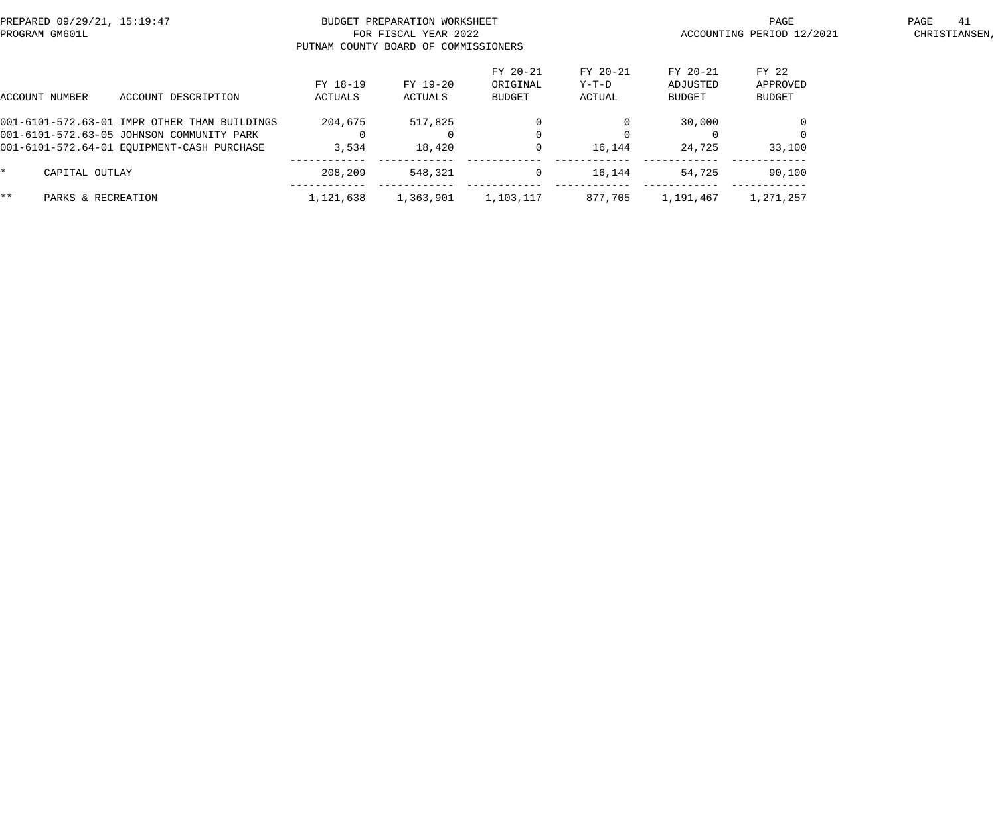| PROGRAM GM601L | PREPARED 09/29/21, 15:19:47                                                                                                             |                     | BUDGET PREPARATION WORKSHEET<br>FOR FISCAL YEAR 2022<br>PUTNAM COUNTY BOARD OF COMMISSIONERS |                                | ACCOUNTING PERIOD 12/2021   | 41<br>PAGE<br>CHRISTIANSEN,    |                             |  |
|----------------|-----------------------------------------------------------------------------------------------------------------------------------------|---------------------|----------------------------------------------------------------------------------------------|--------------------------------|-----------------------------|--------------------------------|-----------------------------|--|
| ACCOUNT NUMBER | ACCOUNT DESCRIPTION                                                                                                                     | FY 18-19<br>ACTUALS | FY 19-20<br>ACTUALS                                                                          | FY 20-21<br>ORIGINAL<br>BUDGET | FY 20-21<br>Y-T-D<br>ACTUAL | FY 20-21<br>ADJUSTED<br>BUDGET | FY 22<br>APPROVED<br>BUDGET |  |
|                | 001-6101-572.63-01 IMPR OTHER THAN BUILDINGS<br>001-6101-572.63-05 JOHNSON COMMUNITY PARK<br>001-6101-572.64-01 EOUIPMENT-CASH PURCHASE | 204,675<br>3,534    | 517,825<br>18,420                                                                            |                                | 16,144                      | 30,000<br>24,725               | 33,100                      |  |
| $\star$        | CAPITAL OUTLAY                                                                                                                          | 208,209             | 548,321                                                                                      | $\mathbf 0$                    | 16,144                      | 54,725                         | 90,100                      |  |
| $***$          | PARKS & RECREATION                                                                                                                      | 1,121,638           | 1,363,901                                                                                    | 1,103,117                      | 877.705                     | 1,191,467                      | 1,271,257                   |  |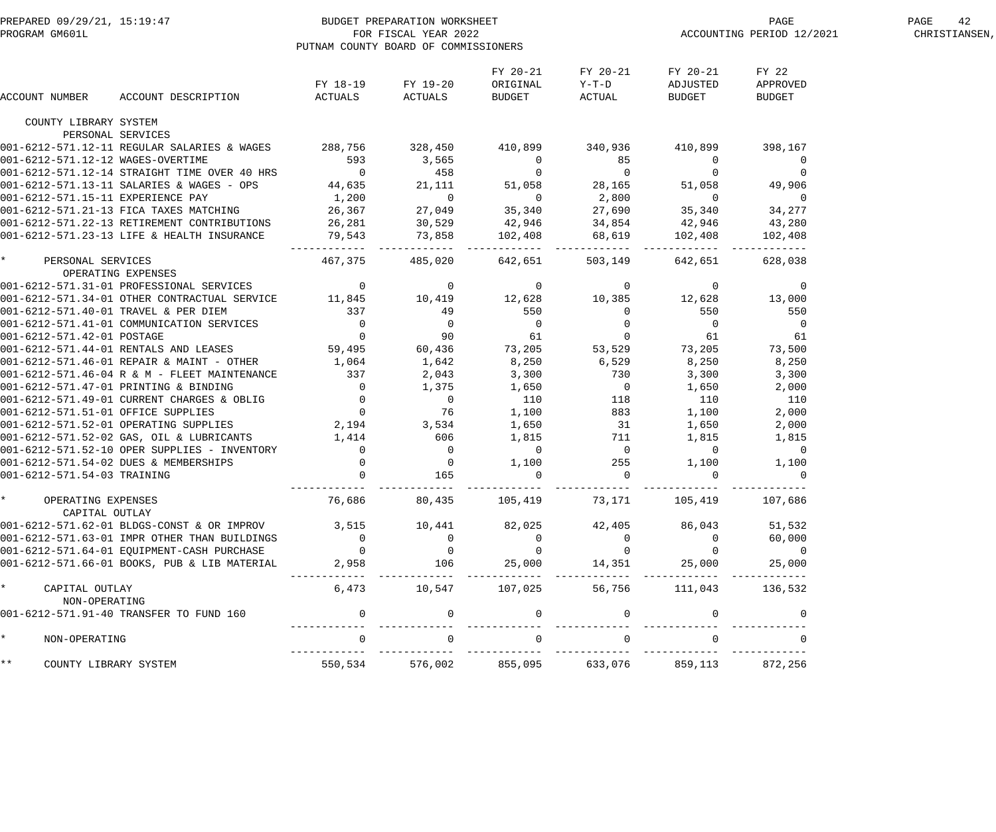| FY 20-21<br>FY 20-21<br>FY 20-21<br>FY 22<br>FY 18-19 FY 19-20<br>ORIGINAL<br>$Y-T-D$<br>ADJUSTED<br>APPROVED<br><b>BUDGET</b><br>ACTUAL<br>ACCOUNT DESCRIPTION<br>ACTUALS ACTUALS<br><b>BUDGET</b><br><b>BUDGET</b><br>ACCOUNT NUMBER<br>COUNTY LIBRARY SYSTEM<br>PERSONAL SERVICES<br>$\overline{0}$<br>$\overline{0}$<br>$51,058$ 49,906<br>$\overline{0}$<br>34,277<br>43,280<br>102,408<br>485,020 642,651 503,149<br>642,651 628,038<br>467,375<br>OPERATING EXPENSES<br>550<br>$\overline{0}$<br>61<br>73,500<br>8,250<br>1,064<br>1,642<br>6,529<br>8,250<br>8,250<br>3,300<br>3,300<br>1,650<br>2,000<br>110<br>110<br>1,100<br>2,000<br>1,650<br>2,000<br>$1,815$<br>$0$<br>$1,100$<br>$255$<br>1,815<br>1,815<br>$\begin{array}{c}0\\0\\165\end{array}$<br>$\overline{0}$<br>$\overline{0}$<br>255 1,100 1,100<br>$\mathbf 0$<br>$\overline{0}$<br>$\overline{0}$<br>$\overline{0}$<br>76,686<br>105,419<br>73,171 105,419<br>107,686<br>80,435<br>OPERATING EXPENSES<br>CAPITAL OUTLAY<br>3,515<br>001-6212-571.62-01 BLDGS-CONST & OR IMPROV<br>82,025<br>42,405<br>86,043<br>51,532<br>10,441<br>60,000<br>$\overline{0}$<br>$\overline{0}$<br>$\overline{0}$<br>$\overline{0}$<br>001-6212-571.63-01 IMPR OTHER THAN BUILDINGS<br>$\overline{0}$<br>$\overline{0}$<br>$\mathbf 0$<br>$\Omega$<br>$\overline{0}$<br>001-6212-571.64-01 EQUIPMENT-CASH PURCHASE<br>$\overline{0}$<br>$\overline{0}$<br>001-6212-571.66-01 BOOKS, PUB & LIB MATERIAL<br>2,958<br>106<br>25,000<br>14,351 25,000<br>25,000<br>$\star$<br>6,473<br>10,547<br>107,025<br>56,756 111,043<br>136,532<br>CAPITAL OUTLAY<br>NON-OPERATING<br>001-6212-571.91-40 TRANSFER TO FUND 160<br>$\overline{0}$<br>$\mathbf{0}$<br>$\overline{0}$<br>$\mathbf{0}$<br>0<br>$\Omega$<br>$\Omega$<br>NON-OPERATING<br>$\star\star$<br>550,534 576,002<br>855,095<br>633,076 859,113<br>872,256<br>COUNTY LIBRARY SYSTEM | PREPARED 09/29/21, 15:19:47<br>PROGRAM GM601L FOR FISCAL YEAR 2022<br>PUTNAM COUNTY BOARD OF COMMISSION | PUTNAM COUNTY BOARD OF COMMISSIONERS |  | PAGE<br>ACCOUNTING PERIOD 12/2021 | 42<br>PAGE<br>CHRISTIANSEN, |  |
|--------------------------------------------------------------------------------------------------------------------------------------------------------------------------------------------------------------------------------------------------------------------------------------------------------------------------------------------------------------------------------------------------------------------------------------------------------------------------------------------------------------------------------------------------------------------------------------------------------------------------------------------------------------------------------------------------------------------------------------------------------------------------------------------------------------------------------------------------------------------------------------------------------------------------------------------------------------------------------------------------------------------------------------------------------------------------------------------------------------------------------------------------------------------------------------------------------------------------------------------------------------------------------------------------------------------------------------------------------------------------------------------------------------------------------------------------------------------------------------------------------------------------------------------------------------------------------------------------------------------------------------------------------------------------------------------------------------------------------------------------------------------------------------------------------------------------------------------------------------------------------------------------|---------------------------------------------------------------------------------------------------------|--------------------------------------|--|-----------------------------------|-----------------------------|--|
| 001-6212-571.12-11 REGULAR SALARIES & WAGES 288,756 328,450 410,899 340,936 410,899 398,167<br>001-6212-571.12-14 NAGES-OVERTIME<br>001-6212-571.12-14 NAGES-OVERTIME<br>001-6212-571.12-14 NAGES-OVERTIME<br>001-6212-571.13-11 SALARIES & WAGES - OPS<br>001-6212-571.13-11 SALARIES & WAGES - OPS<br>001-6212-571.13-11 SALARIES & W<br>* PERSONAL SERVICES<br>001-6212-571.31-01 PROFESSIONAL SERVICES<br>001-6212-571.31-01 PROFESSIONAL SERVICES 11,845 10,419 12,628 10,385 12,628 13,000<br>001-6212-571.34-01 OTHER CONTRACTUAL SERVICE 11,845 10,419 12,628 10,385 12,628 13,000<br>001-6212-571.40-01 TRAVEL & PER DIEM<br>001-6212-571.41-01 COMMUNICATION SERVICES<br>001-6212-571.42-01 POSTAGE<br>001-6212-571.44-01 RENTALS AND LEASES<br>001-6212-571.44-01 RENTALS AND LEASES<br>59,495<br>59,495<br>50,436<br>59,495<br>50,<br>001-6212-571.46-01 REPAIR & MAINT - OTHER<br>001-6212-571.46-04 R & M - FLEET MAINTENANCE<br>001-6212-571.47-01 PRINTING & BINDING<br>001-6212-571.47-01 PRINTING & BINDING<br>001-6212-571.49-01 CURRENT CHARGES & OBLIG<br>001-6212-571.52-01 OFFICE SUPPLIES<br>001-6212-571.52-01<br>001-6212-571.52-02 GAS, OIL & LUBRICANTS 1,414 606<br>001-6212-571.52-10 OPER SUPPLIES - INVENTORY 0 01-6212-571.54-02 DUES & MEMBERSHIPS 0 0<br>001-6212-571.54-03 TRAINING 0 165                                                                                                                                                                                                                                                                                                                                                                                                                                                                                                                                                                    |                                                                                                         |                                      |  |                                   |                             |  |
|                                                                                                                                                                                                                                                                                                                                                                                                                                                                                                                                                                                                                                                                                                                                                                                                                                                                                                                                                                                                                                                                                                                                                                                                                                                                                                                                                                                                                                                                                                                                                                                                                                                                                                                                                                                                                                                                                                  |                                                                                                         |                                      |  |                                   |                             |  |
|                                                                                                                                                                                                                                                                                                                                                                                                                                                                                                                                                                                                                                                                                                                                                                                                                                                                                                                                                                                                                                                                                                                                                                                                                                                                                                                                                                                                                                                                                                                                                                                                                                                                                                                                                                                                                                                                                                  |                                                                                                         |                                      |  |                                   |                             |  |
|                                                                                                                                                                                                                                                                                                                                                                                                                                                                                                                                                                                                                                                                                                                                                                                                                                                                                                                                                                                                                                                                                                                                                                                                                                                                                                                                                                                                                                                                                                                                                                                                                                                                                                                                                                                                                                                                                                  |                                                                                                         |                                      |  |                                   |                             |  |
|                                                                                                                                                                                                                                                                                                                                                                                                                                                                                                                                                                                                                                                                                                                                                                                                                                                                                                                                                                                                                                                                                                                                                                                                                                                                                                                                                                                                                                                                                                                                                                                                                                                                                                                                                                                                                                                                                                  |                                                                                                         |                                      |  |                                   |                             |  |
|                                                                                                                                                                                                                                                                                                                                                                                                                                                                                                                                                                                                                                                                                                                                                                                                                                                                                                                                                                                                                                                                                                                                                                                                                                                                                                                                                                                                                                                                                                                                                                                                                                                                                                                                                                                                                                                                                                  |                                                                                                         |                                      |  |                                   |                             |  |
|                                                                                                                                                                                                                                                                                                                                                                                                                                                                                                                                                                                                                                                                                                                                                                                                                                                                                                                                                                                                                                                                                                                                                                                                                                                                                                                                                                                                                                                                                                                                                                                                                                                                                                                                                                                                                                                                                                  |                                                                                                         |                                      |  |                                   |                             |  |
|                                                                                                                                                                                                                                                                                                                                                                                                                                                                                                                                                                                                                                                                                                                                                                                                                                                                                                                                                                                                                                                                                                                                                                                                                                                                                                                                                                                                                                                                                                                                                                                                                                                                                                                                                                                                                                                                                                  |                                                                                                         |                                      |  |                                   |                             |  |
|                                                                                                                                                                                                                                                                                                                                                                                                                                                                                                                                                                                                                                                                                                                                                                                                                                                                                                                                                                                                                                                                                                                                                                                                                                                                                                                                                                                                                                                                                                                                                                                                                                                                                                                                                                                                                                                                                                  |                                                                                                         |                                      |  |                                   |                             |  |
|                                                                                                                                                                                                                                                                                                                                                                                                                                                                                                                                                                                                                                                                                                                                                                                                                                                                                                                                                                                                                                                                                                                                                                                                                                                                                                                                                                                                                                                                                                                                                                                                                                                                                                                                                                                                                                                                                                  |                                                                                                         |                                      |  |                                   |                             |  |
|                                                                                                                                                                                                                                                                                                                                                                                                                                                                                                                                                                                                                                                                                                                                                                                                                                                                                                                                                                                                                                                                                                                                                                                                                                                                                                                                                                                                                                                                                                                                                                                                                                                                                                                                                                                                                                                                                                  |                                                                                                         |                                      |  |                                   |                             |  |
|                                                                                                                                                                                                                                                                                                                                                                                                                                                                                                                                                                                                                                                                                                                                                                                                                                                                                                                                                                                                                                                                                                                                                                                                                                                                                                                                                                                                                                                                                                                                                                                                                                                                                                                                                                                                                                                                                                  |                                                                                                         |                                      |  |                                   |                             |  |
|                                                                                                                                                                                                                                                                                                                                                                                                                                                                                                                                                                                                                                                                                                                                                                                                                                                                                                                                                                                                                                                                                                                                                                                                                                                                                                                                                                                                                                                                                                                                                                                                                                                                                                                                                                                                                                                                                                  |                                                                                                         |                                      |  |                                   |                             |  |
|                                                                                                                                                                                                                                                                                                                                                                                                                                                                                                                                                                                                                                                                                                                                                                                                                                                                                                                                                                                                                                                                                                                                                                                                                                                                                                                                                                                                                                                                                                                                                                                                                                                                                                                                                                                                                                                                                                  |                                                                                                         |                                      |  |                                   |                             |  |
|                                                                                                                                                                                                                                                                                                                                                                                                                                                                                                                                                                                                                                                                                                                                                                                                                                                                                                                                                                                                                                                                                                                                                                                                                                                                                                                                                                                                                                                                                                                                                                                                                                                                                                                                                                                                                                                                                                  |                                                                                                         |                                      |  |                                   |                             |  |
|                                                                                                                                                                                                                                                                                                                                                                                                                                                                                                                                                                                                                                                                                                                                                                                                                                                                                                                                                                                                                                                                                                                                                                                                                                                                                                                                                                                                                                                                                                                                                                                                                                                                                                                                                                                                                                                                                                  |                                                                                                         |                                      |  |                                   |                             |  |
|                                                                                                                                                                                                                                                                                                                                                                                                                                                                                                                                                                                                                                                                                                                                                                                                                                                                                                                                                                                                                                                                                                                                                                                                                                                                                                                                                                                                                                                                                                                                                                                                                                                                                                                                                                                                                                                                                                  |                                                                                                         |                                      |  |                                   |                             |  |
|                                                                                                                                                                                                                                                                                                                                                                                                                                                                                                                                                                                                                                                                                                                                                                                                                                                                                                                                                                                                                                                                                                                                                                                                                                                                                                                                                                                                                                                                                                                                                                                                                                                                                                                                                                                                                                                                                                  |                                                                                                         |                                      |  |                                   |                             |  |
|                                                                                                                                                                                                                                                                                                                                                                                                                                                                                                                                                                                                                                                                                                                                                                                                                                                                                                                                                                                                                                                                                                                                                                                                                                                                                                                                                                                                                                                                                                                                                                                                                                                                                                                                                                                                                                                                                                  |                                                                                                         |                                      |  |                                   |                             |  |
|                                                                                                                                                                                                                                                                                                                                                                                                                                                                                                                                                                                                                                                                                                                                                                                                                                                                                                                                                                                                                                                                                                                                                                                                                                                                                                                                                                                                                                                                                                                                                                                                                                                                                                                                                                                                                                                                                                  |                                                                                                         |                                      |  |                                   |                             |  |
|                                                                                                                                                                                                                                                                                                                                                                                                                                                                                                                                                                                                                                                                                                                                                                                                                                                                                                                                                                                                                                                                                                                                                                                                                                                                                                                                                                                                                                                                                                                                                                                                                                                                                                                                                                                                                                                                                                  |                                                                                                         |                                      |  |                                   |                             |  |
|                                                                                                                                                                                                                                                                                                                                                                                                                                                                                                                                                                                                                                                                                                                                                                                                                                                                                                                                                                                                                                                                                                                                                                                                                                                                                                                                                                                                                                                                                                                                                                                                                                                                                                                                                                                                                                                                                                  |                                                                                                         |                                      |  |                                   |                             |  |
|                                                                                                                                                                                                                                                                                                                                                                                                                                                                                                                                                                                                                                                                                                                                                                                                                                                                                                                                                                                                                                                                                                                                                                                                                                                                                                                                                                                                                                                                                                                                                                                                                                                                                                                                                                                                                                                                                                  |                                                                                                         |                                      |  |                                   |                             |  |
|                                                                                                                                                                                                                                                                                                                                                                                                                                                                                                                                                                                                                                                                                                                                                                                                                                                                                                                                                                                                                                                                                                                                                                                                                                                                                                                                                                                                                                                                                                                                                                                                                                                                                                                                                                                                                                                                                                  |                                                                                                         |                                      |  |                                   |                             |  |
|                                                                                                                                                                                                                                                                                                                                                                                                                                                                                                                                                                                                                                                                                                                                                                                                                                                                                                                                                                                                                                                                                                                                                                                                                                                                                                                                                                                                                                                                                                                                                                                                                                                                                                                                                                                                                                                                                                  |                                                                                                         |                                      |  |                                   |                             |  |
|                                                                                                                                                                                                                                                                                                                                                                                                                                                                                                                                                                                                                                                                                                                                                                                                                                                                                                                                                                                                                                                                                                                                                                                                                                                                                                                                                                                                                                                                                                                                                                                                                                                                                                                                                                                                                                                                                                  |                                                                                                         |                                      |  |                                   |                             |  |
|                                                                                                                                                                                                                                                                                                                                                                                                                                                                                                                                                                                                                                                                                                                                                                                                                                                                                                                                                                                                                                                                                                                                                                                                                                                                                                                                                                                                                                                                                                                                                                                                                                                                                                                                                                                                                                                                                                  |                                                                                                         |                                      |  |                                   |                             |  |
|                                                                                                                                                                                                                                                                                                                                                                                                                                                                                                                                                                                                                                                                                                                                                                                                                                                                                                                                                                                                                                                                                                                                                                                                                                                                                                                                                                                                                                                                                                                                                                                                                                                                                                                                                                                                                                                                                                  |                                                                                                         |                                      |  |                                   |                             |  |
|                                                                                                                                                                                                                                                                                                                                                                                                                                                                                                                                                                                                                                                                                                                                                                                                                                                                                                                                                                                                                                                                                                                                                                                                                                                                                                                                                                                                                                                                                                                                                                                                                                                                                                                                                                                                                                                                                                  |                                                                                                         |                                      |  |                                   |                             |  |
|                                                                                                                                                                                                                                                                                                                                                                                                                                                                                                                                                                                                                                                                                                                                                                                                                                                                                                                                                                                                                                                                                                                                                                                                                                                                                                                                                                                                                                                                                                                                                                                                                                                                                                                                                                                                                                                                                                  |                                                                                                         |                                      |  |                                   |                             |  |
|                                                                                                                                                                                                                                                                                                                                                                                                                                                                                                                                                                                                                                                                                                                                                                                                                                                                                                                                                                                                                                                                                                                                                                                                                                                                                                                                                                                                                                                                                                                                                                                                                                                                                                                                                                                                                                                                                                  |                                                                                                         |                                      |  |                                   |                             |  |
|                                                                                                                                                                                                                                                                                                                                                                                                                                                                                                                                                                                                                                                                                                                                                                                                                                                                                                                                                                                                                                                                                                                                                                                                                                                                                                                                                                                                                                                                                                                                                                                                                                                                                                                                                                                                                                                                                                  |                                                                                                         |                                      |  |                                   |                             |  |
|                                                                                                                                                                                                                                                                                                                                                                                                                                                                                                                                                                                                                                                                                                                                                                                                                                                                                                                                                                                                                                                                                                                                                                                                                                                                                                                                                                                                                                                                                                                                                                                                                                                                                                                                                                                                                                                                                                  |                                                                                                         |                                      |  |                                   |                             |  |
|                                                                                                                                                                                                                                                                                                                                                                                                                                                                                                                                                                                                                                                                                                                                                                                                                                                                                                                                                                                                                                                                                                                                                                                                                                                                                                                                                                                                                                                                                                                                                                                                                                                                                                                                                                                                                                                                                                  |                                                                                                         |                                      |  |                                   |                             |  |
|                                                                                                                                                                                                                                                                                                                                                                                                                                                                                                                                                                                                                                                                                                                                                                                                                                                                                                                                                                                                                                                                                                                                                                                                                                                                                                                                                                                                                                                                                                                                                                                                                                                                                                                                                                                                                                                                                                  |                                                                                                         |                                      |  |                                   |                             |  |
|                                                                                                                                                                                                                                                                                                                                                                                                                                                                                                                                                                                                                                                                                                                                                                                                                                                                                                                                                                                                                                                                                                                                                                                                                                                                                                                                                                                                                                                                                                                                                                                                                                                                                                                                                                                                                                                                                                  |                                                                                                         |                                      |  |                                   |                             |  |
|                                                                                                                                                                                                                                                                                                                                                                                                                                                                                                                                                                                                                                                                                                                                                                                                                                                                                                                                                                                                                                                                                                                                                                                                                                                                                                                                                                                                                                                                                                                                                                                                                                                                                                                                                                                                                                                                                                  |                                                                                                         |                                      |  |                                   |                             |  |
|                                                                                                                                                                                                                                                                                                                                                                                                                                                                                                                                                                                                                                                                                                                                                                                                                                                                                                                                                                                                                                                                                                                                                                                                                                                                                                                                                                                                                                                                                                                                                                                                                                                                                                                                                                                                                                                                                                  |                                                                                                         |                                      |  |                                   |                             |  |
|                                                                                                                                                                                                                                                                                                                                                                                                                                                                                                                                                                                                                                                                                                                                                                                                                                                                                                                                                                                                                                                                                                                                                                                                                                                                                                                                                                                                                                                                                                                                                                                                                                                                                                                                                                                                                                                                                                  |                                                                                                         |                                      |  |                                   |                             |  |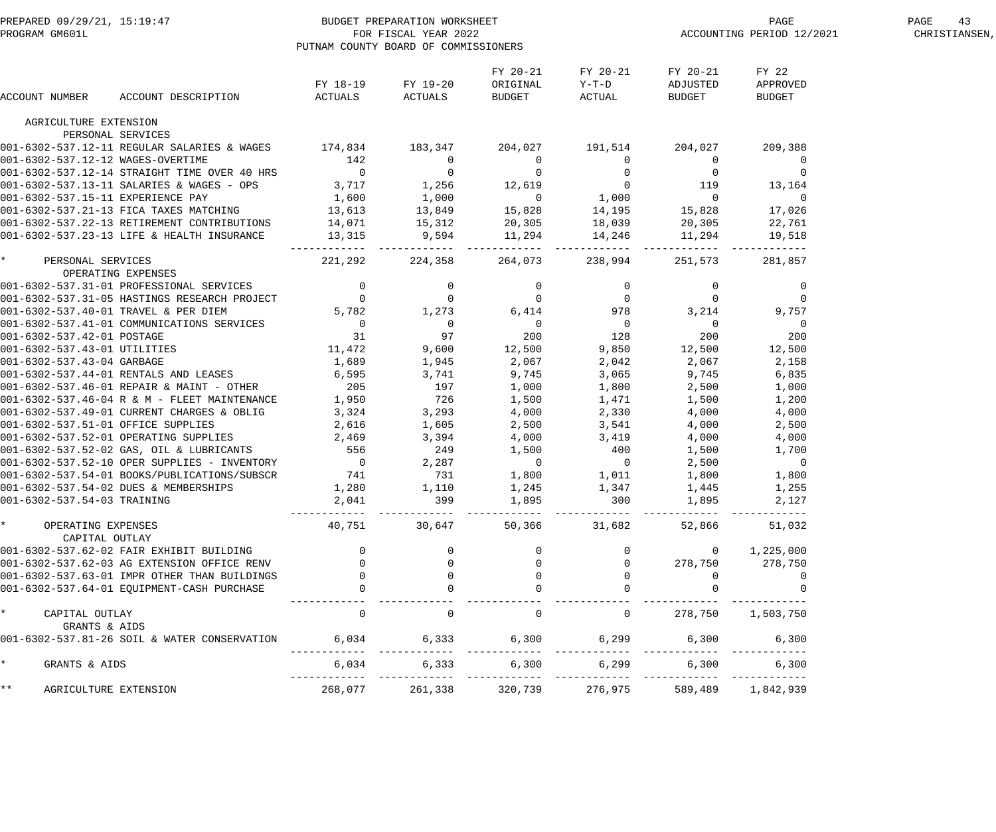| PREPARED 09/29/21, 15:19:47<br>PROGRAM GM601L      | BUDGET PREPARATION WORKSHEET<br>FOR FISCAL YEAR 2022 | PUTNAM COUNTY BOARD OF COMMISSIONERS                                                         |                                       |                                |                                                                | PAGE<br>ACCOUNTING PERIOD 12/2021       | PAGE<br>43<br>CHRISTIANSEN,        |  |
|----------------------------------------------------|------------------------------------------------------|----------------------------------------------------------------------------------------------|---------------------------------------|--------------------------------|----------------------------------------------------------------|-----------------------------------------|------------------------------------|--|
| ACCOUNT NUMBER                                     | ACCOUNT DESCRIPTION                                  | FY 18-19<br>ACTUALS                                                                          | FY 19-20<br>ACTUALS                   | FY 20-21<br>ORIGINAL<br>BUDGET | FY 20-21<br>$Y-T-D$<br>ACTUAL                                  | FY 20-21<br>ADJUSTED<br>BUDGET          | FY 22<br>APPROVED<br><b>BUDGET</b> |  |
| AGRICULTURE EXTENSION                              |                                                      |                                                                                              |                                       |                                |                                                                |                                         |                                    |  |
|                                                    | PERSONAL SERVICES                                    |                                                                                              |                                       |                                |                                                                |                                         |                                    |  |
|                                                    | 001-6302-537.12-11 REGULAR SALARIES & WAGES 174,834  |                                                                                              | 183,347                               |                                | 204,027 191,514                                                | 204,027                                 | 209,388                            |  |
| 001-6302-537.12-12 WAGES-OVERTIME                  |                                                      | 142                                                                                          | $\overline{0}$                        | $\overline{0}$                 | $\overline{0}$                                                 | $\overline{0}$                          | $\overline{0}$                     |  |
|                                                    | 001-6302-537.12-14 STRAIGHT TIME OVER 40 HRS         | $\overline{0}$                                                                               | $\begin{array}{c}0\\1,256\end{array}$ | $\overline{0}$                 | $\begin{array}{c}0\\0\\1\,,000\\14\,,195\\18\,,039\end{array}$ | $\begin{array}{c} 0 \\ 119 \end{array}$ | $\mathbf 0$                        |  |
|                                                    | 001-6302-537.13-11 SALARIES & WAGES - OPS            | 3,717                                                                                        |                                       | 12,619                         |                                                                |                                         | 13,164                             |  |
| 001-6302-537.15-11 EXPERIENCE PAY                  |                                                      | 1,600                                                                                        | $1,000$<br>$13,849$                   | $\overline{0}$                 |                                                                | $\overline{0}$                          | $\overline{0}$                     |  |
|                                                    | 001-6302-537.21-13 FICA TAXES MATCHING               | 13,613<br>14,071                                                                             |                                       | 15,828                         |                                                                | 15,828                                  | 17,026                             |  |
|                                                    | 001-6302-537.22-13 RETIREMENT CONTRIBUTIONS          |                                                                                              | 15,312                                |                                |                                                                | 20,305                                  | 22,761                             |  |
|                                                    | 001-6302-537.23-13 LIFE & HEALTH INSURANCE           | 13,315                                                                                       | 9,594                                 | 20,305 18,039<br>11,294 14,246 | -------------                                                  | 11,294<br>--------                      | 19,518                             |  |
| $\star$<br>PERSONAL SERVICES<br>OPERATING EXPENSES |                                                      | 221,292                                                                                      | 224,358                               | 264,073                        | 238,994                                                        | 251,573                                 | 281,857                            |  |
|                                                    | 001-6302-537.31-01 PROFESSIONAL SERVICES             | $\overline{0}$<br>$\begin{array}{ccc} & 0 & & 0 \\ & 0 & & 0 \\ 5,782 & & 1,273 \end{array}$ |                                       | $\overline{0}$                 |                                                                | $\overline{0}$                          | 0                                  |  |
|                                                    | 001-6302-537.31-05 HASTINGS RESEARCH PROJECT         |                                                                                              |                                       | $\overline{0}$                 | $\overline{0}$                                                 | $\overline{0}$                          | $\overline{0}$                     |  |
|                                                    | 001-6302-537.40-01 TRAVEL & PER DIEM                 |                                                                                              |                                       | 6,414                          | 978                                                            | 3,214                                   | 9,757                              |  |
|                                                    | 001-6302-537.41-01 COMMUNICATIONS SERVICES           | $\overline{\phantom{a}}$                                                                     | $\overline{0}$                        | $\overline{0}$                 | $\overline{0}$                                                 | $\overline{0}$                          | $\overline{0}$                     |  |
| 001-6302-537.42-01 POSTAGE                         |                                                      | 31                                                                                           | 97                                    | 200                            | 128                                                            | 200                                     | 200                                |  |
| 001-6302-537.43-01 UTILITIES                       |                                                      | 11,472                                                                                       | 9,600                                 | 12,500                         | 9,850                                                          | 12,500                                  | 12,500                             |  |
| 001-6302-537.43-04 GARBAGE                         |                                                      | 1,689                                                                                        | 1,945                                 | 2,067                          | 2,042                                                          | 2,067                                   | 2,158                              |  |
|                                                    | 001-6302-537.44-01 RENTALS AND LEASES                | 6,595                                                                                        | 3,741                                 | 9,745                          | 3,065                                                          | 9,745                                   | 6,835                              |  |
|                                                    | 001-6302-537.46-01 REPAIR & MAINT - OTHER            | 205                                                                                          | 197                                   | 1,000                          | 1,800                                                          | 2,500                                   | 1,000                              |  |
|                                                    | 001-6302-537.46-04 R & M - FLEET MAINTENANCE         | 1,950                                                                                        | 726                                   | 1,500                          | 1,471                                                          | 1,500                                   | 1,200                              |  |
|                                                    | 001-6302-537.49-01 CURRENT CHARGES & OBLIG           | 3,324                                                                                        | 3,293                                 | 4,000                          | 2,330                                                          | 4,000                                   | 4,000                              |  |
| 001-6302-537.51-01 OFFICE SUPPLIES                 |                                                      | 2,616                                                                                        | 1,605                                 | 2,500                          | 3,541                                                          | 4,000                                   | 2,500                              |  |
|                                                    | 001-6302-537.52-01 OPERATING SUPPLIES                | 2,469                                                                                        | 3,394                                 | 4,000                          | 3,419                                                          | 4,000                                   | 4,000                              |  |
|                                                    | 001-6302-537.52-02 GAS, OIL & LUBRICANTS             | 556                                                                                          | 249                                   | 1,500                          | 400                                                            | 1,500                                   | 1,700                              |  |
|                                                    | 001-6302-537.52-10 OPER SUPPLIES - INVENTORY         | $\overline{0}$                                                                               | 2,287                                 | $\overline{0}$                 | $\overline{0}$                                                 | 2,500                                   | $\overline{0}$                     |  |
|                                                    | 001-6302-537.54-01 BOOKS/PUBLICATIONS/SUBSCR         | 741                                                                                          | 731                                   | 1,800                          | 1,011                                                          | 1,800                                   | 1,800                              |  |
|                                                    | 001-6302-537.54-02 DUES & MEMBERSHIPS                | 1,280                                                                                        | 1,110                                 | 1,245                          | 1,347                                                          | 1,445                                   | 1,255                              |  |
| 001-6302-537.54-03 TRAINING                        |                                                      | 2,041                                                                                        | 399                                   | 1,895                          | 300                                                            | 1,895                                   | 2,127                              |  |
| * OPERATING EXPENSES<br>CAPITAL OUTLAY             |                                                      | 40,751                                                                                       | 30,647                                | _____________                  | 50,366 31,682                                                  | 52,866                                  | 51,032                             |  |
|                                                    | 001-6302-537.62-02 FAIR EXHIBIT BUILDING             |                                                                                              |                                       |                                |                                                                | $\overline{\phantom{0}}$                | 1,225,000                          |  |
|                                                    | 001-6302-537.62-03 AG EXTENSION OFFICE RENV          | $\overline{0}$                                                                               |                                       |                                |                                                                | 278,750                                 | 278,750                            |  |
|                                                    | 001-6302-537.63-01 IMPR OTHER THAN BUILDINGS         |                                                                                              | $\mathbf 0$                           |                                |                                                                | $\Omega$                                |                                    |  |
|                                                    | 001-6302-537.64-01 EQUIPMENT-CASH PURCHASE           |                                                                                              |                                       |                                |                                                                |                                         |                                    |  |
| $\star$<br>CAPITAL OUTLAY<br>GRANTS & AIDS         |                                                      | $\overline{0}$                                                                               | $\mathbf 0$                           | $\overline{0}$                 | $\Omega$                                                       | 278,750                                 | 1,503,750                          |  |
|                                                    | 001-6302-537.81-26 SOIL & WATER CONSERVATION         | 6,034                                                                                        |                                       | 6,333 6,300                    | 6, 299                                                         | 6,300                                   | 6,300                              |  |
| GRANTS & AIDS                                      |                                                      | 6,034                                                                                        | 6,333                                 | 6,300                          | 6,299                                                          | 6,300                                   | 6,300                              |  |
| $***$<br>AGRICULTURE EXTENSION                     |                                                      | 268,077                                                                                      | 261,338                               | 320,739                        | 276,975                                                        |                                         | 589,489 1,842,939                  |  |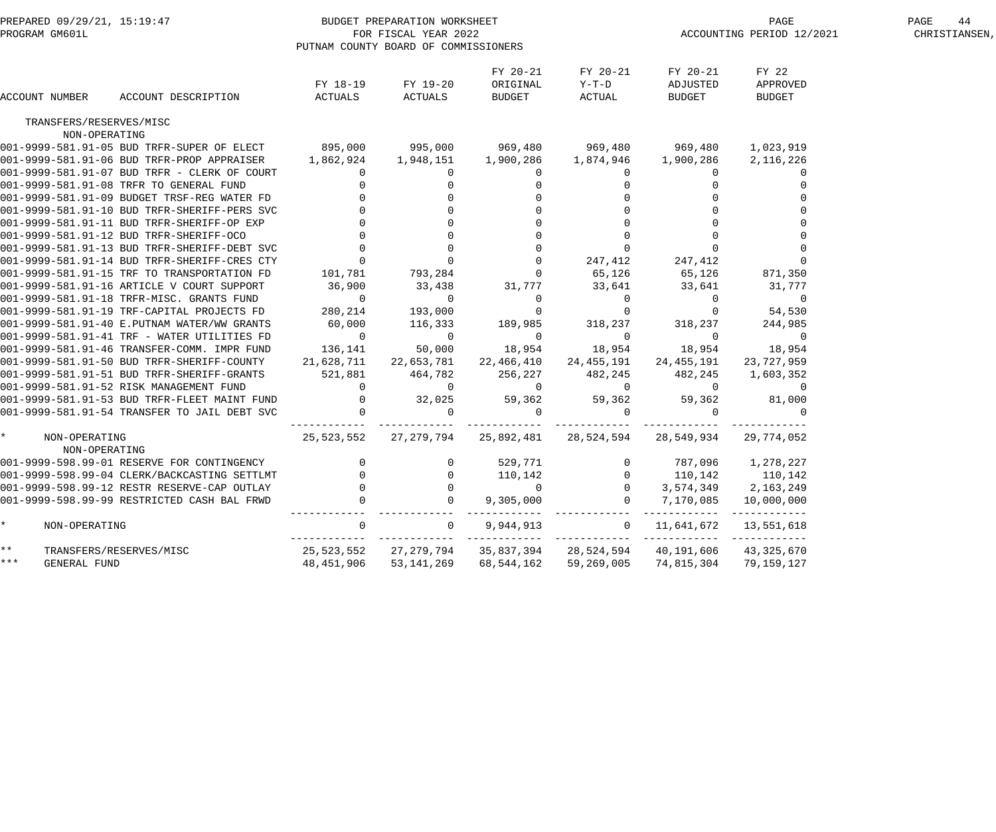| PREPARED 09/29/21, 15:19:47<br>PROGRAM GM601L |                                |                                                                    |                            | BUDGET PREPARATION WORKSHEET<br>FOR FISCAL YEAR 2022<br>PUTNAM COUNTY BOARD OF COMMISSIONERS |                                |                             |                                                            | PAGE<br>ACCOUNTING PERIOD 12/2021  | 44<br>PAGE<br>CHRISTIANSEN, |
|-----------------------------------------------|--------------------------------|--------------------------------------------------------------------|----------------------------|----------------------------------------------------------------------------------------------|--------------------------------|-----------------------------|------------------------------------------------------------|------------------------------------|-----------------------------|
|                                               | ACCOUNT NUMBER                 | ACCOUNT DESCRIPTION                                                | FY 18-19<br>ACTUALS        | FY 19-20<br>ACTUALS                                                                          | FY 20-21<br>ORIGINAL<br>BUDGET | FY 20-21<br>Y-T-D<br>ACTUAL | FY 20-21<br>ADJUSTED<br>BUDGET                             | FY 22<br>APPROVED<br><b>BUDGET</b> |                             |
|                                               | TRANSFERS/RESERVES/MISC        |                                                                    |                            |                                                                                              |                                |                             |                                                            |                                    |                             |
|                                               | NON-OPERATING                  |                                                                    |                            |                                                                                              |                                |                             |                                                            |                                    |                             |
|                                               |                                | 001-9999-581.91-05 BUD TRFR-SUPER OF ELECT 895,000 995,000 969,480 |                            |                                                                                              |                                | 969,480 969,480             |                                                            | 1,023,919                          |                             |
|                                               |                                | 001-9999-581.91-06 BUD TRFR-PROP APPRAISER 1,862,924 1,948,151     |                            |                                                                                              |                                |                             | 1,900,286                                                  | 2,116,226                          |                             |
|                                               |                                | 001-9999-581.91-07 BUD TRFR - CLERK OF COURT                       | $\overline{0}$             | $\overline{0}$                                                                               | $\overline{0}$                 | $\overline{0}$              | $\Omega$                                                   |                                    |                             |
|                                               |                                | 001-9999-581.91-08 TRFR TO GENERAL FUND                            |                            |                                                                                              |                                |                             |                                                            |                                    |                             |
|                                               |                                | 001-9999-581.91-09 BUDGET TRSF-REG WATER FD                        |                            |                                                                                              |                                |                             |                                                            |                                    |                             |
|                                               |                                | 001-9999-581.91-10 BUD TRFR-SHERIFF-PERS SVC                       |                            |                                                                                              |                                |                             |                                                            |                                    |                             |
|                                               |                                | 001-9999-581.91-11 BUD TRFR-SHERIFF-OP EXP                         |                            |                                                                                              |                                |                             |                                                            |                                    |                             |
|                                               |                                | 001-9999-581.91-12 BUD TRFR-SHERIFF-OCO                            |                            |                                                                                              |                                | $\Omega$                    |                                                            |                                    |                             |
|                                               |                                | 001-9999-581.91-13 BUD TRFR-SHERIFF-DEBT SVC                       |                            |                                                                                              |                                | $\overline{0}$              |                                                            |                                    |                             |
|                                               |                                | 001-9999-581.91-14 BUD TRFR-SHERIFF-CRES CTY                       |                            |                                                                                              | $\overline{0}$                 | 247,412                     | 247,412                                                    |                                    |                             |
|                                               |                                | 001-9999-581.91-15 TRF TO TRANSPORTATION FD                        | 101,781                    | 793,284                                                                                      | $\overline{0}$                 | 65,126                      | 65,126                                                     | 871,350                            |                             |
|                                               |                                | 001-9999-581.91-16 ARTICLE V COURT SUPPORT                         | 36,900                     | 33,438                                                                                       | 31,777                         | 33,641                      | 33,641                                                     | 31,777                             |                             |
|                                               |                                | 001-9999-581.91-18 TRFR-MISC. GRANTS FUND                          | $\overline{0}$             | - 0                                                                                          | $\overline{0}$                 | $\overline{0}$              | $\overline{0}$                                             | 0                                  |                             |
|                                               |                                | 001-9999-581.91-19 TRF-CAPITAL PROJECTS FD                         | 280,214                    | 193,000                                                                                      |                                | $\overline{0}$              |                                                            | 54,530                             |                             |
|                                               |                                | 001-9999-581.91-40 E.PUTNAM WATER/WW GRANTS                        | 60,000                     | 116,333                                                                                      | 189,985                        | 318,237                     | 318,237                                                    | 244,985                            |                             |
|                                               |                                | 001-9999-581.91-41 TRF - WATER UTILITIES FD                        | $\overline{0}$             | $\overline{0}$                                                                               | $\mathbf 0$                    | $\overline{0}$              | 0                                                          | $\overline{0}$                     |                             |
|                                               |                                | 001-9999-581.91-46 TRANSFER-COMM. IMPR FUND                        | 136,141                    | 50,000                                                                                       | 18,954                         | 18,954                      | 18,954                                                     | 18,954                             |                             |
|                                               |                                | 001-9999-581.91-50 BUD TRFR-SHERIFF-COUNTY 21,628,711 22,653,781   |                            |                                                                                              |                                | 22,466,410 24,455,191       | 24,455,191                                                 | 23,727,959                         |                             |
|                                               |                                | 001-9999-581.91-51 BUD TRFR-SHERIFF-GRANTS                         | 521,881                    | 464,782                                                                                      | 256,227                        | 482,245                     | 482,245                                                    | 1,603,352                          |                             |
|                                               |                                | 001-9999-581.91-52 RISK MANAGEMENT FUND                            | $\overline{0}$             | $\sim$ 0                                                                                     | $\overline{0}$                 | $\overline{0}$              | $\overline{0}$                                             | 0                                  |                             |
|                                               |                                | 001-9999-581.91-53 BUD TRFR-FLEET MAINT FUND                       | $\overline{0}$             | 32,025                                                                                       | 59,362                         | 59,362                      | 59,362                                                     | 81,000                             |                             |
|                                               |                                | 001-9999-581.91-54 TRANSFER TO JAIL DEBT SVC                       | $\overline{0}$             | $\overline{0}$                                                                               | $\overline{0}$                 | $\overline{0}$              | $\Omega$                                                   |                                    |                             |
|                                               | NON-OPERATING<br>NON-OPERATING |                                                                    |                            |                                                                                              |                                |                             | 25,523,552  27,279,794  25,892,481  28,524,594  28,549,934 | 29,774,052                         |                             |
|                                               |                                | 001-9999-598.99-01 RESERVE FOR CONTINGENCY                         | $\overline{0}$             | $\overline{0}$                                                                               | 529,771                        |                             | 0 787,096                                                  | 1,278,227                          |                             |
|                                               |                                | 001-9999-598.99-04 CLERK/BACKCASTING SETTLMT                       | $\sim$ 0                   | $0 \t 110,142$                                                                               |                                |                             | $0 \qquad 110,142 \qquad 110,142$                          |                                    |                             |
|                                               |                                | 001-9999-598.99-12 RESTR RESERVE-CAP OUTLAY                        | 0                          | 0                                                                                            | $\overline{0}$                 | $\overline{0}$              |                                                            | 3,574,349 2,163,249                |                             |
|                                               |                                | 001-9999-598.99-99 RESTRICTED CASH BAL FRWD                        |                            | $\overline{0}$                                                                               | 9,305,000                      | $\overline{0}$              |                                                            | 7,170,085 10,000,000               |                             |
| $\star$                                       | NON-OPERATING                  |                                                                    | $\Omega$                   | $\mathbf 0$                                                                                  | 9,944,913                      | $\mathbf{0}$                | ____________<br>11,641,672                                 | ____________<br>13,551,618         |                             |
| $\star \star$                                 |                                | TRANSFERS/RESERVES/MISC                                            | ------------<br>25,523,552 | 27,279,794                                                                                   | 35,837,394                     | ------------<br>28,524,594  | 40,191,606                                                 | -------------<br>43, 325, 670      |                             |
| * * *                                         | GENERAL FUND                   |                                                                    | 48,451,906                 | 53,141,269                                                                                   |                                | 68,544,162 59,269,005       | 74,815,304                                                 | 79,159,127                         |                             |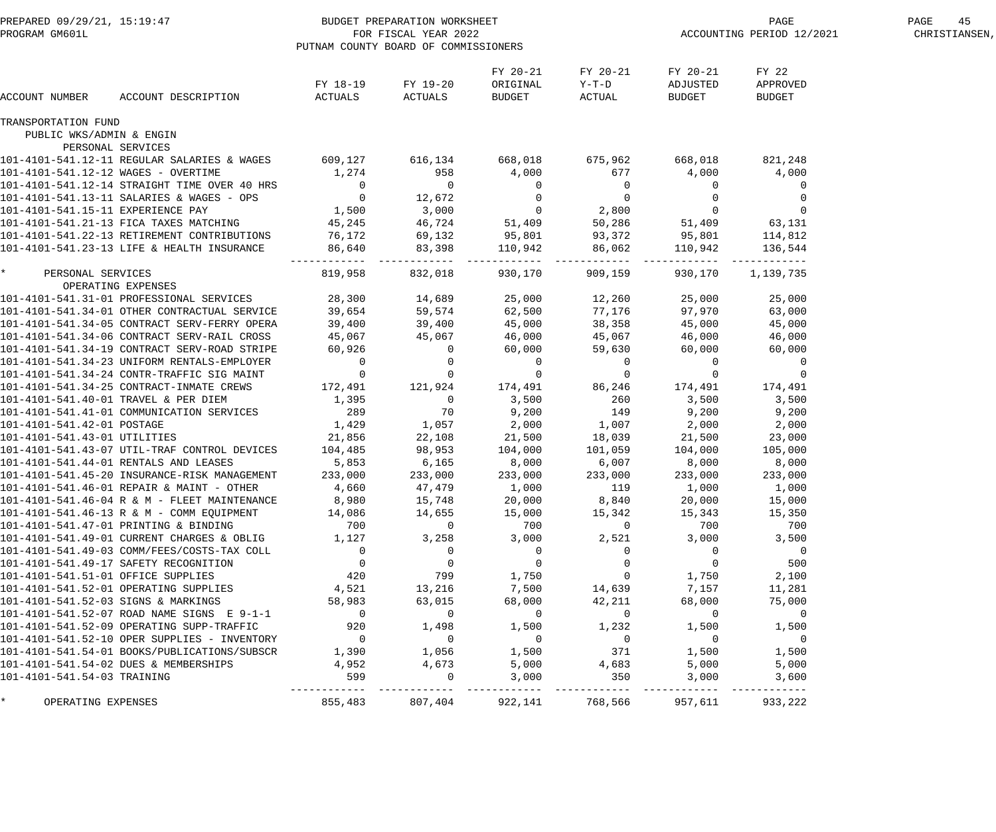| PROGRAM GM601L                      | PREPARED 09/29/21, 15:19:47                                                                                                                                                                                                            | BUDGET PREPARATION WORKSHEET<br>PUTNAM COUNTY BOARD OF COMMISSIONERS | FOR FISCAL YEAR 2022 |                                                                                                                            |                                      | PAGE<br>ACCOUNTING PERIOD 12/2021    | PAGE<br>45<br>CHRISTIANSEN,                   |  |
|-------------------------------------|----------------------------------------------------------------------------------------------------------------------------------------------------------------------------------------------------------------------------------------|----------------------------------------------------------------------|----------------------|----------------------------------------------------------------------------------------------------------------------------|--------------------------------------|--------------------------------------|-----------------------------------------------|--|
| ACCOUNT NUMBER                      | ACCOUNT DESCRIPTION                                                                                                                                                                                                                    | FY 18-19<br>ACTUALS                                                  | FY 19-20<br>ACTUALS  | FY 20-21<br>ORIGINAL<br>BUDGET                                                                                             | FY 20-21<br>$Y-T-D$<br>ACTUAL        | FY 20-21<br>ADJUSTED<br>BUDGET       | FY 22<br>APPROVED<br><b>BUDGET</b>            |  |
| TRANSPORTATION FUND                 |                                                                                                                                                                                                                                        |                                                                      |                      |                                                                                                                            |                                      |                                      |                                               |  |
| PUBLIC WKS/ADMIN & ENGIN            | PERSONAL SERVICES                                                                                                                                                                                                                      |                                                                      |                      |                                                                                                                            |                                      |                                      |                                               |  |
|                                     | 101-4101-541.12-11 REGULAR SALARIES & WAGES                                                                                                                                                                                            | 609,127 616,134                                                      |                      | 668,018                                                                                                                    | 675,962 668,018                      |                                      | 821,248                                       |  |
| 101-4101-541.12-12 WAGES - OVERTIME |                                                                                                                                                                                                                                        | 1,274                                                                | 958                  | 4,000                                                                                                                      | 677                                  | 4,000                                | 4,000                                         |  |
|                                     | 101-4101-541.12-14 STRAIGHT TIME OVER 40 HRS                                                                                                                                                                                           | $\overline{0}$                                                       | $\overline{0}$       |                                                                                                                            |                                      | $\overline{0}$                       | $\mathbf 0$                                   |  |
|                                     | 101-4101-541.13-11 SALARIES & WAGES - OPS                                                                                                                                                                                              | $\overline{0}$                                                       | 12,672               |                                                                                                                            |                                      |                                      | $\overline{0}$                                |  |
| 101-4101-541.15-11 EXPERIENCE PAY   |                                                                                                                                                                                                                                        | 1,500                                                                | 3,000                |                                                                                                                            |                                      | $\begin{matrix} 0 \\ 0 \end{matrix}$ | $\overline{0}$                                |  |
|                                     | 101-4101-541.21-13 FICA TAXES MATCHING                                                                                                                                                                                                 | 45,245                                                               | 46,724               |                                                                                                                            |                                      |                                      | 51,409 63,131                                 |  |
|                                     | 101-4101-541.22-13 RETIREMENT CONTRIBUTIONS                                                                                                                                                                                            | 76,172                                                               | 69,132               |                                                                                                                            |                                      |                                      |                                               |  |
|                                     | 101-4101-541.23-13 LIFE & HEALTH INSURANCE                                                                                                                                                                                             | 86,640                                                               | 83,398               | $\begin{array}{cccc} 0 & 0 & 0 \ 0 & 0 & 0 \ 0 & 2,800 \ 51,409 & 50,286 \ 95,801 & 93,372 \ 110,942 & 86,062 \end{array}$ |                                      |                                      | $51,409$<br>95,801 114,812<br>110,942 136,544 |  |
| $\star$<br>PERSONAL SERVICES        |                                                                                                                                                                                                                                        | --------- ----<br>819,958                                            | 832,018              | -------- ------------<br>930,170                                                                                           | ------------<br>909,159              | . - - - - - - -<br>930,170           | 1,139,735                                     |  |
|                                     | OPERATING EXPENSES                                                                                                                                                                                                                     |                                                                      |                      |                                                                                                                            |                                      |                                      |                                               |  |
|                                     | 101-4101-541.31-01 PROFESSIONAL SERVICES 28,300                                                                                                                                                                                        |                                                                      | 14,689               | 25,000                                                                                                                     | 12,260                               | 25,000                               | 25,000                                        |  |
|                                     | 101-4101-541.31-01 PROFESSIONAL SERVICES<br>101-4101-541.34-05 CONTRACT SERV-FERRY OPERA<br>101-4101-541.34-05 CONTRACT SERV-FERRY OPERA<br>101-4101-541.34-06 CONTRACT SERV-RAIL CROSS<br>101-4101-541.34-19 CONTRACT SERV-ROAD STRIP |                                                                      | 59,574               | 62,500<br>45,000                                                                                                           | 77,176                               | 97,970                               | 63,000                                        |  |
|                                     |                                                                                                                                                                                                                                        |                                                                      | 39,400<br>45,067     | 46,000                                                                                                                     | 38,358<br>45,067                     | 45,000<br>46,000                     | 45,000<br>46,000                              |  |
|                                     |                                                                                                                                                                                                                                        |                                                                      | $\overline{0}$       | 60,000                                                                                                                     | 59,630                               | 60,000                               | 60,000                                        |  |
|                                     | 101-4101-541.34-23 UNIFORM RENTALS-EMPLOYER                                                                                                                                                                                            | $\overline{0}$                                                       | $\overline{0}$       |                                                                                                                            |                                      | $\overline{0}$                       | $\overline{0}$                                |  |
|                                     | 101-4101-541.34-24 CONTR-TRAFFIC SIG MAINT                                                                                                                                                                                             | $\overline{0}$                                                       | $\overline{0}$       | $\begin{matrix} 0 \\ 0 \end{matrix}$                                                                                       | $\begin{matrix} 0 \\ 0 \end{matrix}$ | $\overline{0}$                       | $\overline{0}$                                |  |
|                                     | 101-4101-541.34-25 CONTRACT-INMATE CREWS                                                                                                                                                                                               | 172,491                                                              | 121,924              |                                                                                                                            | 174,491 86,246                       | 174,491                              | 174,491                                       |  |
|                                     | 101-4101-541.40-01 TRAVEL & PER DIEM                                                                                                                                                                                                   | 1,395                                                                | $\overline{0}$       | 3,500                                                                                                                      | 260                                  | 3,500                                | 3,500                                         |  |
|                                     | 101-4101-541.41-01 COMMUNICATION SERVICES                                                                                                                                                                                              | 289                                                                  | 70                   | 9,200                                                                                                                      | 149                                  | 9,200                                | 9,200                                         |  |
| 101-4101-541.42-01 POSTAGE          |                                                                                                                                                                                                                                        | 1,429                                                                | 1,057                | 2,000                                                                                                                      | 1,007                                | 2,000                                | 2,000                                         |  |
| 101-4101-541.43-01 UTILITIES        |                                                                                                                                                                                                                                        | 21,856                                                               | 22,108               | 21,500                                                                                                                     | 18,039                               | 21,500                               | 23,000                                        |  |
|                                     | 101-4101-541.43-07 UTIL-TRAF CONTROL DEVICES                                                                                                                                                                                           | 104,485                                                              | 98,953               | 104,000                                                                                                                    | 101,059                              | 104,000                              | 105,000                                       |  |
|                                     | 101-4101-541.44-01 RENTALS AND LEASES                                                                                                                                                                                                  | 5,853                                                                | 6,165                | 8,000                                                                                                                      | 6,007                                | 8,000                                | 8,000                                         |  |
|                                     | 101-4101-541.45-20 INSURANCE-RISK MANAGEMENT                                                                                                                                                                                           | 233,000                                                              | 233,000              | 233,000                                                                                                                    | 233,000                              | 233,000                              | 233,000                                       |  |
|                                     | 101-4101-541.46-01 REPAIR & MAINT - OTHER                                                                                                                                                                                              | 4,660                                                                | 47,479               | 1,000                                                                                                                      | 119                                  | 1,000                                | 1,000                                         |  |
|                                     | 101-4101-541.46-04 R & M - FLEET MAINTENANCE                                                                                                                                                                                           | 8,980                                                                | 15,748               | 20,000                                                                                                                     | 8,840                                | 20,000                               | 15,000                                        |  |
|                                     | 101-4101-541.46-13 R & M - COMM EQUIPMENT                                                                                                                                                                                              | 14,086                                                               | 14,655               | 15,000                                                                                                                     | 15,342                               | 15,343                               | 15,350                                        |  |
|                                     | 101-4101-541.47-01 PRINTING & BINDING                                                                                                                                                                                                  | 700                                                                  | $\overline{0}$       | 700                                                                                                                        | $\mathbf 0$                          | 700                                  | 700                                           |  |
|                                     | 101-4101-541.49-01 CURRENT CHARGES & OBLIG                                                                                                                                                                                             | 1,127                                                                | 3,258                | 3,000                                                                                                                      | 2,521                                | 3,000                                | 3,500                                         |  |
|                                     | 101-4101-541.49-03 COMM/FEES/COSTS-TAX COLL                                                                                                                                                                                            | $\overline{0}$                                                       | $\overline{0}$       | $\overline{0}$                                                                                                             | $\overline{0}$                       | $\overline{0}$                       | $\overline{0}$                                |  |
|                                     | 101-4101-541.49-17 SAFETY RECOGNITION                                                                                                                                                                                                  | $\mathsf{O}$                                                         | $\mathbf 0$          | $\mathbf 0$                                                                                                                | $\overline{0}$                       | $\mathbf 0$                          | 500                                           |  |
| 101-4101-541.51-01 OFFICE SUPPLIES  |                                                                                                                                                                                                                                        | 420                                                                  | 799                  | 1,750                                                                                                                      | $\overline{0}$                       | 1,750                                | 2,100                                         |  |
|                                     | 101-4101-541.52-01 OPERATING SUPPLIES                                                                                                                                                                                                  | 4,521                                                                | 13,216               | 7,500                                                                                                                      | 14,639                               | 7,157                                | 11,281                                        |  |
| 101-4101-541.52-03 SIGNS & MARKINGS |                                                                                                                                                                                                                                        | 58,983                                                               | 63,015               | 68,000                                                                                                                     | 42,211                               | 68,000                               | 75,000                                        |  |
|                                     | 101-4101-541.52-07 ROAD NAME SIGNS E 9-1-1                                                                                                                                                                                             | $\overline{0}$                                                       | $\mathbf 0$          | $\overline{0}$                                                                                                             | $\overline{0}$                       | $\overline{0}$                       | $\overline{0}$                                |  |
|                                     | 101-4101-541.52-09 OPERATING SUPP-TRAFFIC                                                                                                                                                                                              | 920                                                                  | 1,498                | 1,500                                                                                                                      | 1,232                                | 1,500                                | 1,500                                         |  |
|                                     | 101-4101-541.52-10 OPER SUPPLIES - INVENTORY                                                                                                                                                                                           | $\overline{0}$                                                       | $\overline{0}$       | $\overline{0}$                                                                                                             | $\overline{0}$                       | $\overline{0}$                       | $\overline{0}$                                |  |
|                                     | 101-4101-541.54-01 BOOKS/PUBLICATIONS/SUBSCR                                                                                                                                                                                           | 1,390                                                                | 1,056                | 1,500                                                                                                                      | 371                                  | 1,500                                | 1,500                                         |  |
|                                     | 101-4101-541.54-02 DUES & MEMBERSHIPS                                                                                                                                                                                                  | 4,952                                                                | 4,673                | 5,000                                                                                                                      | 4,683                                | 5,000                                | 5,000                                         |  |
| 101-4101-541.54-03 TRAINING         |                                                                                                                                                                                                                                        | 599                                                                  | $\Omega$             | 3,000                                                                                                                      | 350                                  | 3,000                                | 3,600                                         |  |
| $\star$<br>OPERATING EXPENSES       |                                                                                                                                                                                                                                        | 855,483                                                              | 807,404              | -------<br>922,141                                                                                                         | 768,566                              | 957,611                              | -------<br>933,222                            |  |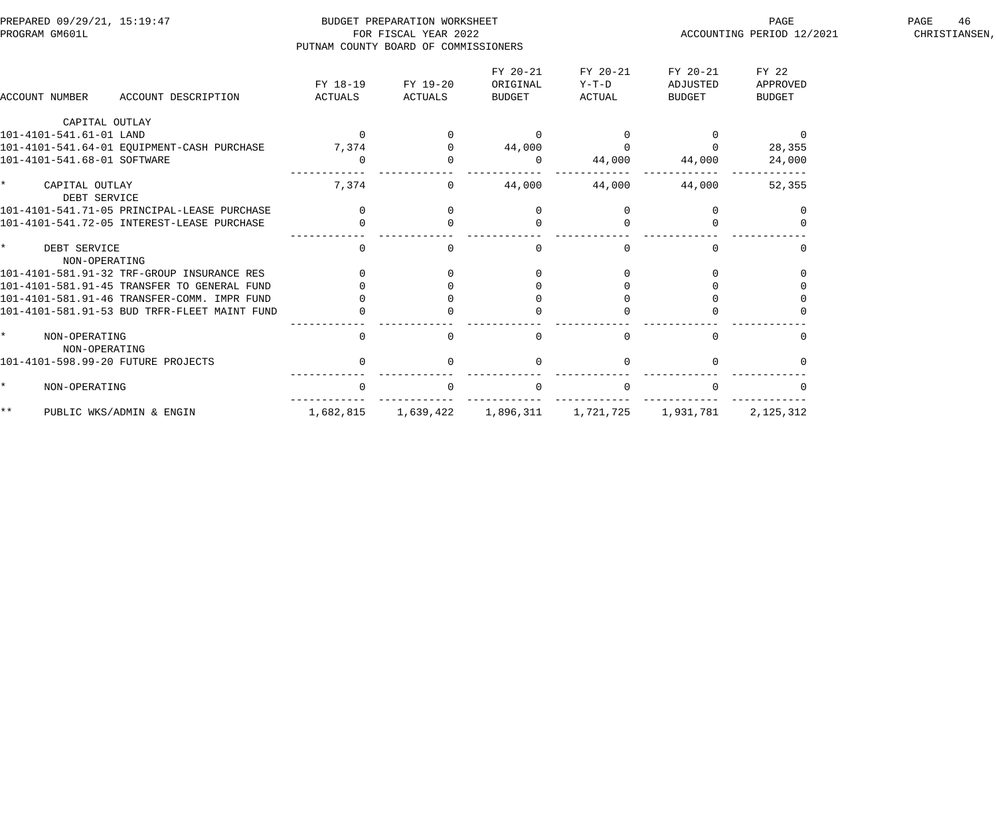| PREPARED 09/29/21, 15:19:47<br>PROGRAM GM601L |                                              |                     | BUDGET PREPARATION WORKSHEET<br>FOR FISCAL YEAR 2022<br>PUTNAM COUNTY BOARD OF COMMISSIONERS |                                |                               | PAGE<br>ACCOUNTING PERIOD 12/2021 | 46<br>PAGE<br>CHRISTIANSEN, |  |
|-----------------------------------------------|----------------------------------------------|---------------------|----------------------------------------------------------------------------------------------|--------------------------------|-------------------------------|-----------------------------------|-----------------------------|--|
| ACCOUNT NUMBER                                | ACCOUNT DESCRIPTION                          | FY 18-19<br>ACTUALS | FY 19-20<br>ACTUALS                                                                          | FY 20-21<br>ORIGINAL<br>BUDGET | FY 20-21<br>$Y-T-D$<br>ACTUAL | FY 20-21<br>ADJUSTED<br>BUDGET    | FY 22<br>APPROVED<br>BUDGET |  |
| CAPITAL OUTLAY                                |                                              |                     |                                                                                              |                                |                               |                                   |                             |  |
| 101-4101-541.61-01 LAND                       |                                              | $\Omega$            |                                                                                              | $\Omega$                       |                               |                                   | $\Omega$                    |  |
|                                               | 101-4101-541.64-01 EQUIPMENT-CASH PURCHASE   | 7,374               |                                                                                              | 44,000                         | $\mathbf 0$                   |                                   | 28,355                      |  |
| 101-4101-541.68-01 SOFTWARE                   |                                              | $\Omega$            |                                                                                              | $\Omega$                       | 44,000                        | 44,000                            | 24,000                      |  |
| CAPITAL OUTLAY<br>DEBT SERVICE                |                                              | 7,374               | $\overline{0}$                                                                               | 44,000                         | 44,000                        | 44,000                            | 52,355                      |  |
|                                               | 101-4101-541.71-05 PRINCIPAL-LEASE PURCHASE  |                     | $\Omega$                                                                                     | $\Omega$                       | $\Omega$                      |                                   |                             |  |
|                                               | 101-4101-541.72-05 INTEREST-LEASE PURCHASE   |                     |                                                                                              |                                |                               |                                   |                             |  |
| DEBT SERVICE<br>NON-OPERATING                 |                                              | $\mathbf{0}$        | $\Omega$                                                                                     | $\mathbf{0}$                   | 0                             | $\Omega$                          |                             |  |
|                                               | 101-4101-581.91-32 TRF-GROUP INSURANCE RES   |                     |                                                                                              |                                | $\Omega$                      |                                   |                             |  |
|                                               | 101-4101-581.91-45 TRANSFER TO GENERAL FUND  |                     |                                                                                              |                                |                               |                                   |                             |  |
|                                               | 101-4101-581.91-46 TRANSFER-COMM. IMPR FUND  |                     |                                                                                              |                                |                               |                                   |                             |  |
|                                               | 101-4101-581.91-53 BUD TRFR-FLEET MAINT FUND |                     |                                                                                              |                                |                               |                                   |                             |  |
| NON-OPERATING<br>NON-OPERATING                |                                              | $\Omega$            |                                                                                              | $\Omega$                       | $\Omega$                      | $\Omega$                          |                             |  |
| 101-4101-598.99-20 FUTURE PROJECTS            |                                              |                     |                                                                                              | $\Omega$                       | $\Omega$                      |                                   |                             |  |
| NON-OPERATING                                 |                                              |                     |                                                                                              |                                |                               |                                   |                             |  |
| * *<br>PUBLIC WKS/ADMIN & ENGIN               |                                              | 1,682,815           | 1,639,422                                                                                    | 1,896,311                      | 1,721,725                     | 1,931,781                         | 2,125,312                   |  |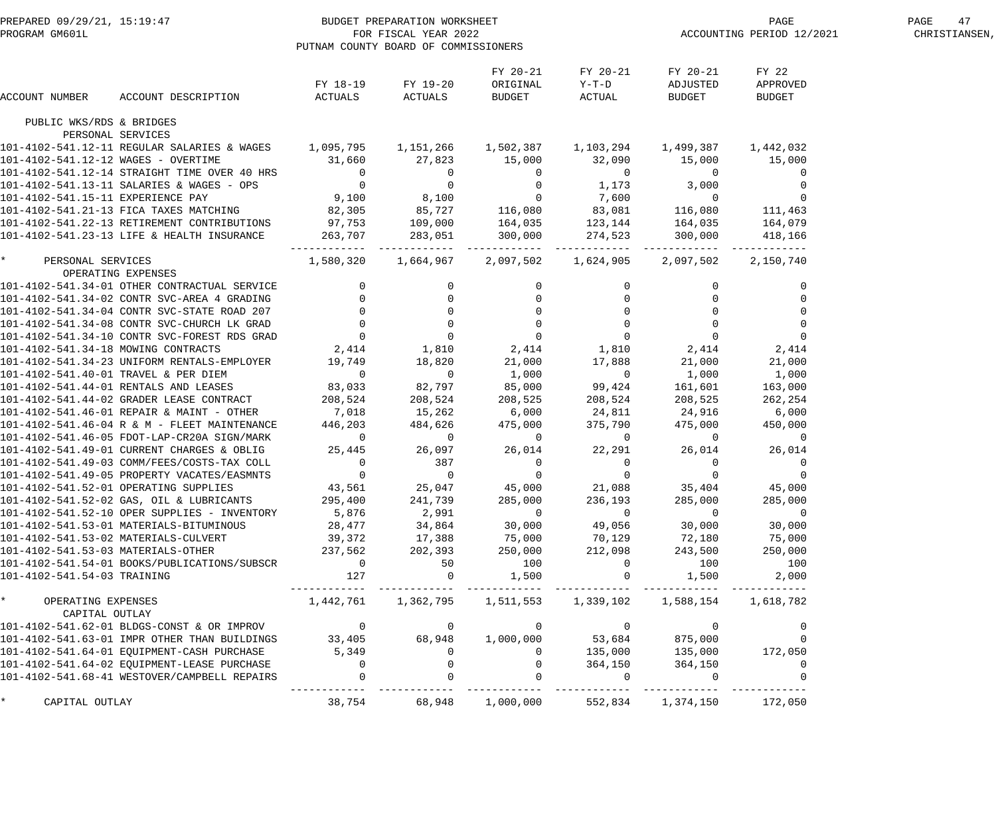|                                    | PREPARED 09/29/21, 15:19:47<br>PROGRAM GM601L FOR FISCAL YEAR 2022<br>PUTNAM COUNTY BOARD OF COMMISSION                                                                                                                                  | PUTNAM COUNTY BOARD OF COMMISSIONERS              |                   |                                                    |                                         | ET PAGE PAGE PAGE PAGE PAGE 2/2021    |                             |  |
|------------------------------------|------------------------------------------------------------------------------------------------------------------------------------------------------------------------------------------------------------------------------------------|---------------------------------------------------|-------------------|----------------------------------------------------|-----------------------------------------|---------------------------------------|-----------------------------|--|
| ACCOUNT NUMBER                     | ACCOUNT DESCRIPTION                                                                                                                                                                                                                      | ACTUALS ACTUALS BUDGET ACTUAL                     | FY 18-19 FY 19-20 | FY 20-21<br>ORIGINAL                               | FY 20-21<br>$Y-T-D$                     | FY 20-21<br>ADJUSTED<br><b>BUDGET</b> | FY 22<br>APPROVED<br>BUDGET |  |
| PUBLIC WKS/RDS & BRIDGES           |                                                                                                                                                                                                                                          |                                                   |                   |                                                    |                                         |                                       |                             |  |
|                                    | PERSONAL SERVICES                                                                                                                                                                                                                        |                                                   |                   |                                                    |                                         |                                       |                             |  |
|                                    | 101-4102-541.12-11 REGULAR SALARIES & WAGES 1,095,795 1,151,266 1,502,387 1,103,294 1,499,387 1,442,032                                                                                                                                  |                                                   |                   |                                                    |                                         |                                       |                             |  |
|                                    |                                                                                                                                                                                                                                          |                                                   |                   |                                                    |                                         |                                       |                             |  |
|                                    | 101-4102-541.12-12 WAGES - OVERTIME<br>101-4102-541.12-12 WAGES - OVERTIME<br>101-4102-541.12-14 STRAIGHT TIME OVER 40 HRS<br>101-4102-541.13-11 SALARIES & WAGES - OPS<br>101-4102-541.13-11 SALARIES & WAGES - OPS<br>101-4102-541.15- |                                                   |                   |                                                    |                                         |                                       |                             |  |
|                                    |                                                                                                                                                                                                                                          |                                                   |                   |                                                    |                                         |                                       |                             |  |
|                                    |                                                                                                                                                                                                                                          |                                                   |                   |                                                    |                                         |                                       |                             |  |
|                                    | 101-4102-541.22-13 RETIREMENT CONTRIBUTIONS      97,753    109,000    164,035    123,144    164,035    164,079                                                                                                                           |                                                   |                   |                                                    |                                         |                                       |                             |  |
|                                    | 101-4102-541.23-13 LIFE & HEALTH INSURANCE                                                                                                                                                                                               |                                                   |                   |                                                    | 263,707 283,051 300,000 274,523 300,000 |                                       | 418,166                     |  |
| * PERSONAL SERVICES                |                                                                                                                                                                                                                                          | $1,580,320$ $1,664,967$ $2,097,502$ $1,624,905$   |                   |                                                    |                                         |                                       | 2,097,502 2,150,740         |  |
| OPERATING EXPENSES                 |                                                                                                                                                                                                                                          |                                                   |                   |                                                    |                                         |                                       |                             |  |
|                                    | 101-4102-541.34-01 OTHER CONTRACTUAL SERVICE<br>101-4102-541.34-01 OTHER CONTRACTUAL SERVICE<br>101-4102-541.34-04 CONTR SVC-AREA 4 GRADING<br>101-4102-541.34-08 CONTR SVC-STATE ROAD 207<br>101-4102-541.34-08 CONTR SVC-CHURCH LK G   |                                                   |                   |                                                    |                                         |                                       |                             |  |
|                                    |                                                                                                                                                                                                                                          |                                                   |                   |                                                    |                                         |                                       |                             |  |
|                                    |                                                                                                                                                                                                                                          |                                                   |                   |                                                    |                                         |                                       |                             |  |
|                                    |                                                                                                                                                                                                                                          |                                                   |                   |                                                    |                                         |                                       |                             |  |
|                                    |                                                                                                                                                                                                                                          |                                                   |                   |                                                    |                                         |                                       |                             |  |
|                                    |                                                                                                                                                                                                                                          |                                                   |                   |                                                    |                                         |                                       |                             |  |
|                                    | 101-4102-541.34-23 UNIFORM RENTALS-EMPLOYER 19,749 18,820 21,000 17,888                                                                                                                                                                  |                                                   |                   |                                                    |                                         | 21,000                                | 21,000                      |  |
|                                    |                                                                                                                                                                                                                                          |                                                   |                   |                                                    |                                         |                                       |                             |  |
|                                    |                                                                                                                                                                                                                                          |                                                   |                   |                                                    |                                         |                                       |                             |  |
|                                    | 101-4102-541.44-02 GRADER LEASE CONTRACT 208,524                                                                                                                                                                                         |                                                   |                   | 208,524 208,525 208,524                            |                                         | 208,525                               | 262,254                     |  |
|                                    | 101-4102-541.46-01 REPAIR & MAINT - OTHER 7,018                                                                                                                                                                                          |                                                   |                   |                                                    | 15,262 6,000 24,811 24,916 6,000        |                                       |                             |  |
|                                    | 101-4102-541.46-04 R & M - FLEET MAINTENANCE 446,203<br>101-4102-541.46-04 R & M - FLEET MAINTENANCE 446,203 484,626 475,000 375,790 475,000<br>101-4102-541.46-05 FDOT-LAP-CR20A SIGN/MARK 0 0 0 0 0 0 0 0 0 0                          |                                                   |                   |                                                    |                                         |                                       | 475,000 450,000             |  |
|                                    |                                                                                                                                                                                                                                          |                                                   |                   |                                                    |                                         |                                       | $\overline{0}$              |  |
|                                    | 101-4102-541.49-01 CURRENT CHARGES & OBLIG 25,445 26,097 26,014 22,291 26,014 26,014                                                                                                                                                     |                                                   |                   |                                                    |                                         |                                       |                             |  |
|                                    | 101-4102-541.49-03 COMM/FEES/COSTS-TAX COLL                                                                                                                                                                                              | $\begin{array}{ccc} 0 & 387 \\ 0 & 0 \end{array}$ |                   | $\overline{0}$<br>$\begin{matrix}0\\0\end{matrix}$ | $\overline{0}$                          | $\overline{0}$<br>$\overline{0}$      | 0                           |  |
|                                    | 101-4102-541.49-05 PROPERTY VACATES/EASMNTS                                                                                                                                                                                              |                                                   | $\overline{0}$    |                                                    | $\overline{0}$                          |                                       | $\overline{0}$              |  |
|                                    | 101-4102-541.52-01 OPERATING SUPPLIES                                                                                                                                                                                                    | 43,561                                            | 25,047            | 45,000                                             | 21,088                                  | 35,404                                | 45,000                      |  |
|                                    | 101-4102-541.52-02 GAS, OIL & LUBRICANTS                                                                                                                                                                                                 | 295,400                                           | 241,739           | 285,000                                            | 236,193                                 | 285,000                               | 285,000                     |  |
|                                    | 101-4102-541.52-10 OPER SUPPLIES - INVENTORY                                                                                                                                                                                             | 5,876                                             | 2,991             | $\overline{0}$                                     | $\overline{0}$                          | $\sim$ 0                              | $\sim$ 0                    |  |
|                                    | 101-4102-541.53-01 MATERIALS-BITUMINOUS                                                                                                                                                                                                  | 28,477                                            | 34,864            | 30,000                                             | 49,056                                  | 30,000                                | 30,000                      |  |
|                                    | 101-4102-541.53-02 MATERIALS-CULVERT                                                                                                                                                                                                     | 39,372                                            | 17,388            | 75,000                                             | 70,129                                  | 72,180                                | 75,000                      |  |
| 101-4102-541.53-03 MATERIALS-OTHER |                                                                                                                                                                                                                                          | 237,562                                           | 202,393           | 250,000                                            | 212,098                                 | 243,500<br>100                        | 250,000                     |  |
| 101-4102-541.54-03 TRAINING        | 101-4102-541.54-01 BOOKS/PUBLICATIONS/SUBSCR                                                                                                                                                                                             | $\overline{0}$<br>127                             | 50                | 100<br>1,500                                       | 0                                       | 1,500                                 | 100<br>2,000                |  |
| $\star$<br>OPERATING EXPENSES      |                                                                                                                                                                                                                                          | 1,442,761                                         |                   |                                                    |                                         | 1,588,154                             | 1,618,782                   |  |
| CAPITAL OUTLAY                     |                                                                                                                                                                                                                                          |                                                   |                   |                                                    |                                         |                                       |                             |  |
|                                    | 101-4102-541.62-01 BLDGS-CONST & OR IMPROV                                                                                                                                                                                               | $\overline{0}$                                    | $\overline{0}$    | $\overline{0}$                                     | $\overline{0}$                          | $\overline{0}$                        | 0                           |  |
|                                    | 101-4102-541.63-01 IMPR OTHER THAN BUILDINGS                                                                                                                                                                                             | 33,405                                            | 68,948            | 1,000,000                                          | 53,684                                  | 875,000                               |                             |  |
|                                    | 101-4102-541.64-01 EQUIPMENT-CASH PURCHASE                                                                                                                                                                                               | 5,349                                             | $\mathbf{0}$      | $\overline{0}$                                     | 135,000                                 | 135,000                               | 172,050                     |  |
|                                    | 101-4102-541.64-02 EQUIPMENT-LEASE PURCHASE                                                                                                                                                                                              | $\overline{0}$                                    |                   | 0                                                  | 364,150                                 | 364,150                               | 0                           |  |
|                                    | 101-4102-541.68-41 WESTOVER/CAMPBELL REPAIRS                                                                                                                                                                                             | $\overline{0}$                                    |                   | $\mathbf{0}$                                       | $\overline{0}$                          | - 0                                   | $\mathbf 0$                 |  |
| CAPITAL OUTLAY                     |                                                                                                                                                                                                                                          | 38,754                                            | 68,948            | 1,000,000                                          | 552,834                                 | 1,374,150                             | 172,050                     |  |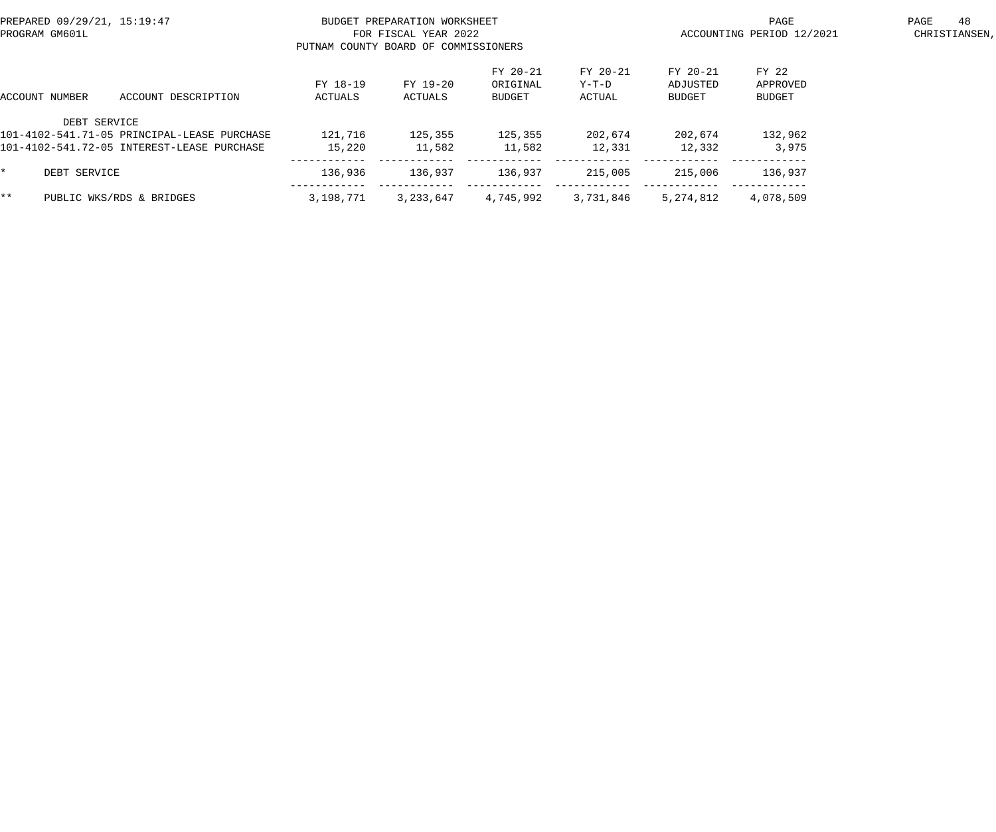|     | PREPARED 09/29/21, 15:19:47<br>PROGRAM GM601L |                                                                                           | PUTNAM COUNTY BOARD OF COMMISSIONERS | BUDGET PREPARATION WORKSHEET<br>FOR FISCAL YEAR 2022 |                                |                             | PAGE<br>ACCOUNTING PERIOD 12/2021 |                             |  |  |
|-----|-----------------------------------------------|-------------------------------------------------------------------------------------------|--------------------------------------|------------------------------------------------------|--------------------------------|-----------------------------|-----------------------------------|-----------------------------|--|--|
|     | ACCOUNT NUMBER                                | ACCOUNT DESCRIPTION                                                                       | FY 18-19<br>ACTUALS                  | FY 19-20<br>ACTUALS                                  | FY 20-21<br>ORIGINAL<br>BUDGET | FY 20-21<br>Y-T-D<br>ACTUAL | FY 20-21<br>ADJUSTED<br>BUDGET    | FY 22<br>APPROVED<br>BUDGET |  |  |
|     | DEBT SERVICE                                  | 101-4102-541.71-05 PRINCIPAL-LEASE PURCHASE<br>101-4102-541.72-05 INTEREST-LEASE PURCHASE | 121,716<br>15,220                    | 125,355<br>11,582                                    | 125,355<br>11,582              | 202,674<br>12,331           | 202,674<br>12,332                 | 132,962<br>3,975            |  |  |
|     | DEBT SERVICE                                  |                                                                                           | 136,936                              | 136,937                                              | 136,937                        | 215,005                     | 215,006                           | 136,937                     |  |  |
| * * |                                               | PUBLIC WKS/RDS & BRIDGES                                                                  | 3,198,771                            | 3,233,647                                            | 4,745,992                      | 3,731,846                   | 5,274,812                         | 4,078,509                   |  |  |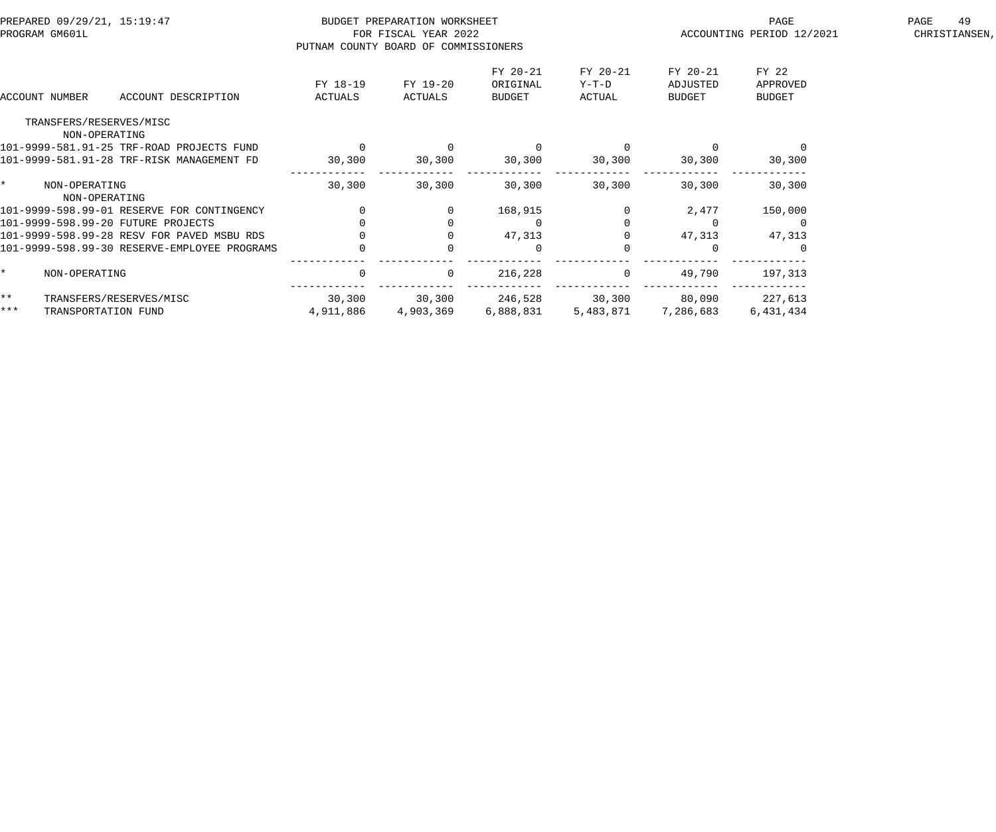| PREPARED 09/29/21, 15:19:47<br>PROGRAM GM601L |                                |                                              | BUDGET PREPARATION WORKSHEET<br>FOR FISCAL YEAR 2022<br>PUTNAM COUNTY BOARD OF COMMISSIONERS |                     |                                | PAGE<br>ACCOUNTING PERIOD 12/2021 | PAGE<br>49<br>CHRISTIANSEN,    |                                    |  |
|-----------------------------------------------|--------------------------------|----------------------------------------------|----------------------------------------------------------------------------------------------|---------------------|--------------------------------|-----------------------------------|--------------------------------|------------------------------------|--|
|                                               | ACCOUNT NUMBER                 | ACCOUNT DESCRIPTION                          | FY 18-19<br>ACTUALS                                                                          | FY 19-20<br>ACTUALS | FY 20-21<br>ORIGINAL<br>BUDGET | FY 20-21<br>$Y-T-D$<br>ACTUAL     | FY 20-21<br>ADJUSTED<br>BUDGET | FY 22<br>APPROVED<br><b>BUDGET</b> |  |
|                                               | TRANSFERS/RESERVES/MISC        |                                              |                                                                                              |                     |                                |                                   |                                |                                    |  |
|                                               | NON-OPERATING                  | 101-9999-581.91-25 TRF-ROAD PROJECTS FUND    |                                                                                              |                     | $\overline{0}$                 |                                   |                                |                                    |  |
|                                               |                                | 101-9999-581.91-28 TRF-RISK MANAGEMENT FD    |                                                                                              |                     |                                |                                   |                                |                                    |  |
|                                               |                                |                                              | 30,300                                                                                       | 30,300              | 30,300                         | 30,300                            | 30,300                         | 30,300                             |  |
| $\star$                                       | NON-OPERATING<br>NON-OPERATING |                                              | 30,300                                                                                       | 30,300              | 30,300                         | 30,300                            | 30,300                         | 30,300                             |  |
|                                               |                                | 101-9999-598.99-01 RESERVE FOR CONTINGENCY   |                                                                                              |                     | 168,915                        |                                   | 2,477                          | 150,000                            |  |
|                                               |                                | 101-9999-598.99-20 FUTURE PROJECTS           |                                                                                              |                     | $\overline{0}$                 |                                   |                                |                                    |  |
|                                               |                                | 101-9999-598.99-28 RESV FOR PAVED MSBU RDS   |                                                                                              |                     | 47,313                         |                                   | 47,313                         | 47,313                             |  |
|                                               |                                | 101-9999-598.99-30 RESERVE-EMPLOYEE PROGRAMS |                                                                                              |                     | $\Omega$                       |                                   |                                |                                    |  |
| $\star$                                       | NON-OPERATING                  |                                              | $\Omega$                                                                                     | $\Omega$            | 216,228                        | $\Omega$                          | 49,790                         | 197,313                            |  |
| $\star \star$                                 |                                | TRANSFERS/RESERVES/MISC                      | 30,300                                                                                       | 30, 300             | 246,528                        | 30,300 80,090 227,613             |                                |                                    |  |
| $***$                                         | TRANSPORTATION FUND            |                                              | 4,911,886                                                                                    | 4,903,369           | 6,888,831                      | 5,483,871                         | 7,286,683                      | 6,431,434                          |  |
|                                               |                                |                                              |                                                                                              |                     |                                |                                   |                                |                                    |  |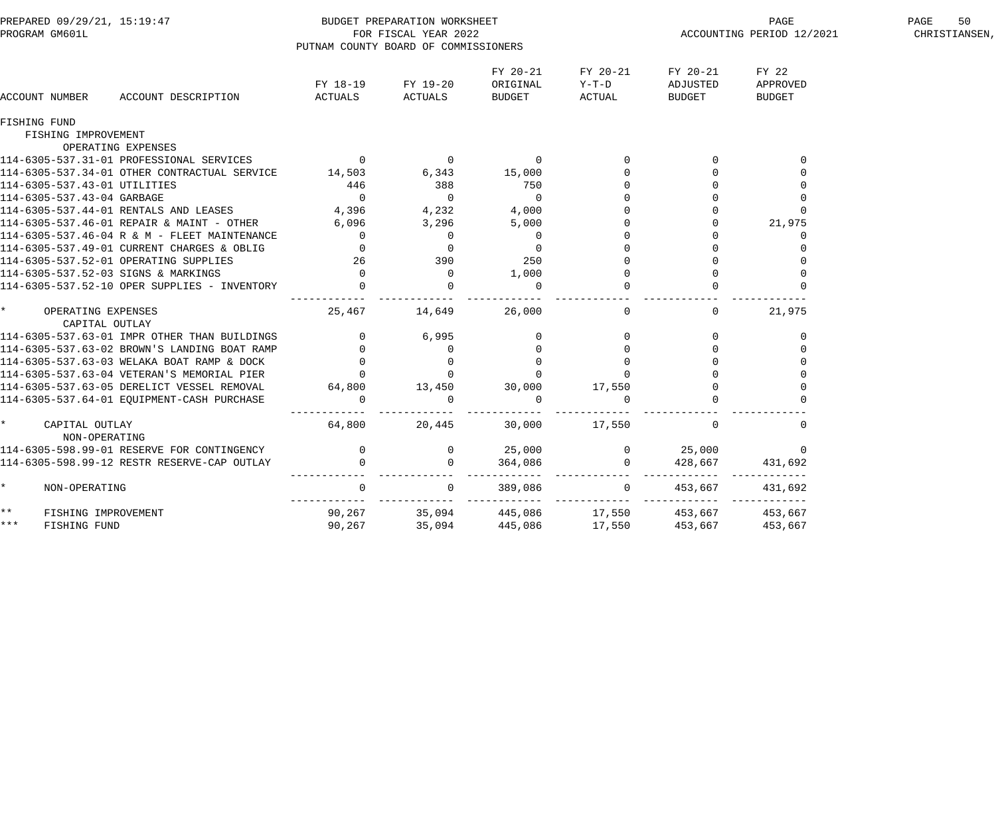| PREPARED 09/29/21, 15:19:47<br>PROGRAM GM601L |                                      |                                                                                                                                                                                                                                          |                                                                                                             | BUDGET PREPARATION WORKSHEET<br>FOR FISCAL YEAR 2022<br>PUTNAM COUNTY BOARD OF COMMISSIONERS |                                                                                             |                               | PAGE PAGE PAGE PAGE PAGE                          | 50<br>PAGE<br>CHRISTIANSEN,        |  |
|-----------------------------------------------|--------------------------------------|------------------------------------------------------------------------------------------------------------------------------------------------------------------------------------------------------------------------------------------|-------------------------------------------------------------------------------------------------------------|----------------------------------------------------------------------------------------------|---------------------------------------------------------------------------------------------|-------------------------------|---------------------------------------------------|------------------------------------|--|
|                                               | ACCOUNT NUMBER                       | ACCOUNT DESCRIPTION                                                                                                                                                                                                                      |                                                                                                             | FY 18-19 FY 19-20<br>ACTUALS ACTUALS                                                         | FY 20-21<br>ORIGINAL<br>BUDGET                                                              | FY 20-21<br>$Y-T-D$<br>ACTUAL | FY 20-21<br>ADJUSTED<br>BUDGET                    | FY 22<br>APPROVED<br><b>BUDGET</b> |  |
|                                               | <b>FISHING FUND</b>                  |                                                                                                                                                                                                                                          |                                                                                                             |                                                                                              |                                                                                             |                               |                                                   |                                    |  |
|                                               | FISHING IMPROVEMENT                  |                                                                                                                                                                                                                                          |                                                                                                             |                                                                                              |                                                                                             |                               |                                                   |                                    |  |
|                                               |                                      | OPERATING EXPENSES                                                                                                                                                                                                                       |                                                                                                             |                                                                                              |                                                                                             |                               |                                                   |                                    |  |
|                                               |                                      | 114-6305-537.31-01 PROFESSIONAL SERVICES 0 0 0 0 0                                                                                                                                                                                       |                                                                                                             |                                                                                              |                                                                                             | $\overline{0}$ 0              |                                                   |                                    |  |
|                                               |                                      | 114-6305-537.34-01 OTHER CONTRACTUAL SERVICE 14,503 6,343 15,000                                                                                                                                                                         |                                                                                                             |                                                                                              |                                                                                             | $\overline{0}$                |                                                   |                                    |  |
|                                               | 114-6305-537.43-01 UTILITIES         |                                                                                                                                                                                                                                          | 446                                                                                                         | 388                                                                                          | 750                                                                                         |                               | $\begin{array}{c} 0 \\ 0 \\ 0 \end{array}$        |                                    |  |
|                                               | 114-6305-537.43-04 GARBAGE           |                                                                                                                                                                                                                                          |                                                                                                             |                                                                                              | $\begin{array}{c} 0 \\ 4 \, , \, 0 \, 0 \, 0 \\ 5 \, , \, 0 \, 0 \, 0 \end{array}$          |                               |                                                   | $\mathbf 0$                        |  |
|                                               |                                      | 114-6305-537.44-01 RENTALS AND LEASES                                                                                                                                                                                                    |                                                                                                             |                                                                                              |                                                                                             |                               |                                                   |                                    |  |
|                                               |                                      | 114-6305-537.46-01 REPAIR & MAINT - OTHER                                                                                                                                                                                                |                                                                                                             |                                                                                              | $\begin{array}{c} 4 \, , \, 0 \, 0 \, 0 \, \\ 5 \, , \, 0 \, 0 \, 0 \, \\ 0 \, \end{array}$ |                               |                                                   | 21,975                             |  |
|                                               |                                      | 114-6305-537.46-04 R & M - FLEET MAINTENANCE 0 0 0 0 0                                                                                                                                                                                   |                                                                                                             |                                                                                              |                                                                                             |                               |                                                   | 0                                  |  |
|                                               |                                      |                                                                                                                                                                                                                                          |                                                                                                             | $\overline{0}$                                                                               | $\overline{0}$                                                                              |                               | $\overline{0}$<br>$\Omega$                        |                                    |  |
|                                               |                                      |                                                                                                                                                                                                                                          |                                                                                                             |                                                                                              | 250                                                                                         | $\Omega$<br>$\Omega$          | $\mathbf 0$<br>$\Omega$                           |                                    |  |
|                                               |                                      | 114-6305-537.49-01 CURRENT CHARGES & OBLIG<br>114-6305-537.52-01 OPERATING SUPPLIES 26<br>114-6305-537.52-03 SIGNS & MARKINGS 0<br>114-6305-537.52-03 SIGNS & MARKINGS 0<br>114-6305-537.52-10 OPER SUPPLIES - INVENTORY 0               |                                                                                                             | $\begin{array}{c} 390 \\ 0 \\ 0 \end{array}$                                                 | 1,000<br>$\Omega$                                                                           |                               |                                                   |                                    |  |
|                                               |                                      |                                                                                                                                                                                                                                          | _____________________________                                                                               |                                                                                              | -------------                                                                               |                               |                                                   |                                    |  |
| $\star$                                       | OPERATING EXPENSES<br>CAPITAL OUTLAY |                                                                                                                                                                                                                                          | 25,467 14,649                                                                                               |                                                                                              | 26,000                                                                                      | $\overline{0}$                | $\overline{0}$                                    | 21,975                             |  |
|                                               |                                      |                                                                                                                                                                                                                                          |                                                                                                             |                                                                                              |                                                                                             |                               | $\Omega$                                          | $\Omega$                           |  |
|                                               |                                      |                                                                                                                                                                                                                                          |                                                                                                             |                                                                                              |                                                                                             |                               |                                                   |                                    |  |
|                                               |                                      |                                                                                                                                                                                                                                          |                                                                                                             |                                                                                              |                                                                                             |                               |                                                   |                                    |  |
|                                               |                                      |                                                                                                                                                                                                                                          |                                                                                                             |                                                                                              |                                                                                             |                               |                                                   |                                    |  |
|                                               |                                      |                                                                                                                                                                                                                                          |                                                                                                             |                                                                                              |                                                                                             |                               |                                                   |                                    |  |
|                                               |                                      | CAPITAL OUTLAY<br>114-6305-537.63-01 IMPR OTHER THAN BUILDINGS<br>114-6305-537.63-02 BROWN'S LANDING BOAT RAMP<br>114-6305-537.63-03 WELAKA BOAT RAMP & DOCK<br>114-6305-537.63-04 VETERAN'S MEMORIAL PIER<br>114-6305-537.63-05 DERELIC |                                                                                                             | ________                                                                                     |                                                                                             |                               |                                                   |                                    |  |
| $\star$                                       | CAPITAL OUTLAY<br>NON-OPERATING      |                                                                                                                                                                                                                                          | 64,800                                                                                                      | 20,445                                                                                       |                                                                                             | 30,000 17,550                 | $\Omega$                                          | $\Omega$                           |  |
|                                               |                                      |                                                                                                                                                                                                                                          |                                                                                                             |                                                                                              |                                                                                             |                               |                                                   | $\overline{0}$                     |  |
|                                               |                                      | NON-OPERATING<br>114-6305-598.99-01 RESERVE FOR CONTINGENCY (0)<br>114-6305-598.99-12 RESTR RESERVE-CAP OUTLAY (0)                                                                                                                       |                                                                                                             |                                                                                              |                                                                                             |                               |                                                   | 431,692                            |  |
| $\star$                                       | NON-OPERATING                        |                                                                                                                                                                                                                                          | $\Omega$                                                                                                    | $\overline{0}$                                                                               |                                                                                             | 389,086 0                     | 453,667<br>------------ ------------ ------------ | 431,692                            |  |
| $***$                                         | FISHING IMPROVEMENT                  |                                                                                                                                                                                                                                          | 90,267     35,094     445,086     17,550     453,667<br>90,267     35,094     445,086     17,550    453,667 |                                                                                              |                                                                                             |                               |                                                   | 453,667                            |  |
| * * *                                         | FISHING FUND                         |                                                                                                                                                                                                                                          |                                                                                                             |                                                                                              |                                                                                             |                               |                                                   | 453,667                            |  |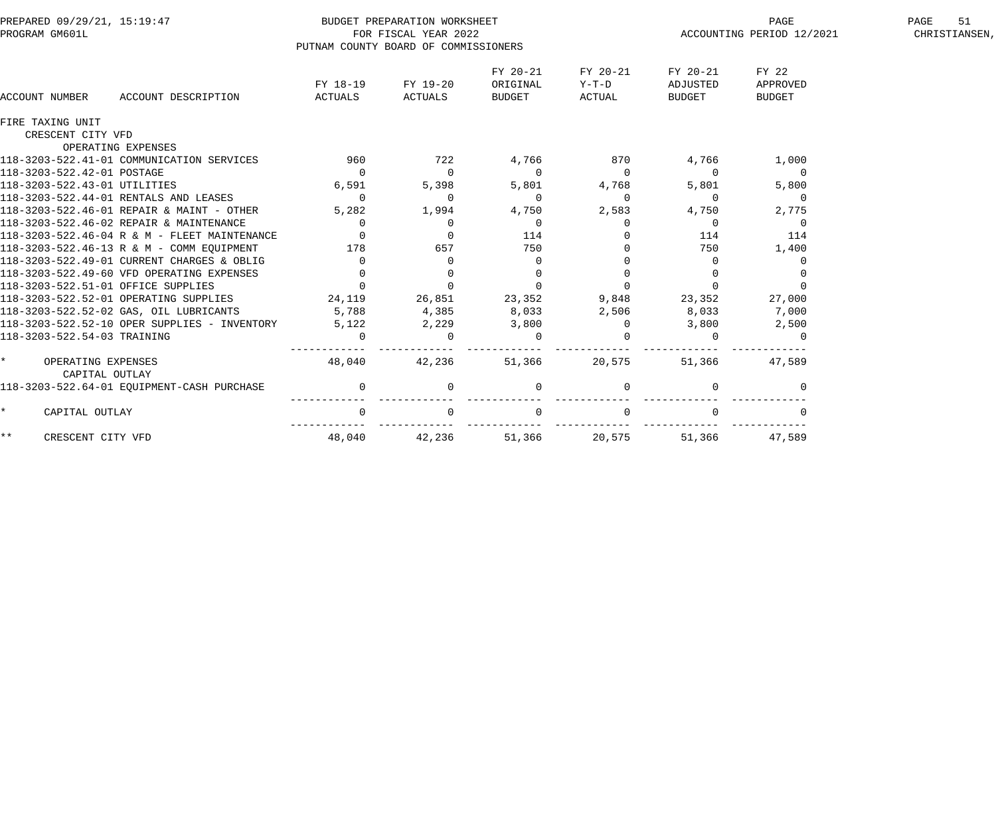| PREPARED 09/29/21, 15:19:47<br>PROGRAM GM601L   |                     | PUTNAM COUNTY BOARD OF COMMISSIONERS | BUDGET PREPARATION WORKSHEET<br>FOR FISCAL YEAR 2022 |                                |                               |                                | PAGE<br>ACCOUNTING PERIOD 12/2021  | 51<br>PAGE<br>CHRISTIANSEN, |
|-------------------------------------------------|---------------------|--------------------------------------|------------------------------------------------------|--------------------------------|-------------------------------|--------------------------------|------------------------------------|-----------------------------|
| ACCOUNT NUMBER                                  | ACCOUNT DESCRIPTION | FY 18-19<br>ACTUALS                  | FY 19-20<br>ACTUALS                                  | FY 20-21<br>ORIGINAL<br>BUDGET | FY 20-21<br>$Y-T-D$<br>ACTUAL | FY 20-21<br>ADJUSTED<br>BUDGET | FY 22<br>APPROVED<br><b>BUDGET</b> |                             |
| FIRE TAXING UNIT                                |                     |                                      |                                                      |                                |                               |                                |                                    |                             |
| CRESCENT CITY VFD                               |                     |                                      |                                                      |                                |                               |                                |                                    |                             |
| OPERATING EXPENSES                              |                     |                                      |                                                      |                                |                               |                                |                                    |                             |
| 118-3203-522.41-01 COMMUNICATION SERVICES       |                     | 960                                  | 722                                                  | 4,766                          | 870                           | 4,766                          | 1,000                              |                             |
| 118-3203-522.42-01 POSTAGE                      |                     | $\overline{0}$                       | $\Omega$                                             | $\Omega$                       | $\Omega$                      | $\Omega$                       | $\overline{0}$                     |                             |
| 118-3203-522.43-01 UTILITIES                    |                     | 6,591                                | 5,398                                                | 5,801                          | 4,768                         | 5,801                          | 5,800                              |                             |
| 118-3203-522.44-01 RENTALS AND LEASES           |                     | $\overline{0}$                       | $\overline{0}$                                       | $\mathbf 0$                    | $\mathbf{0}$                  | $\overline{0}$                 | $\overline{0}$                     |                             |
| 118-3203-522.46-01 REPAIR & MAINT - OTHER       |                     | 5,282                                | 1,994                                                | 4,750                          | 2,583                         | 4,750                          | 2,775                              |                             |
| 118-3203-522.46-02 REPAIR & MAINTENANCE         |                     | $\Omega$                             | $\Omega$                                             | $\overline{0}$                 | $\Omega$                      | $\Omega$                       | $\Omega$                           |                             |
| 118-3203-522.46-04 R & M - FLEET MAINTENANCE    |                     | $\mathbf{0}$                         |                                                      | 114                            |                               | 114                            | 114                                |                             |
| 118-3203-522.46-13 R & M - COMM EOUIPMENT       |                     | 178                                  | 657                                                  | 750                            |                               | 750                            | 1,400                              |                             |
| 118-3203-522.49-01 CURRENT CHARGES & OBLIG      |                     | $\mathbf{0}$                         | $\Omega$                                             | $\mathbf 0$                    |                               | $\Omega$                       | $\mathbf 0$                        |                             |
| 118-3203-522.49-60 VFD OPERATING EXPENSES       |                     | $\mathbf{0}$                         | $\Omega$                                             | $\mathbf 0$                    |                               |                                |                                    |                             |
| 118-3203-522.51-01 OFFICE SUPPLIES              |                     | $\overline{0}$                       | $\mathbf 0$                                          | $\mathbf 0$                    |                               | $\Omega$                       |                                    |                             |
| 118-3203-522.52-01 OPERATING SUPPLIES           |                     | 24,119                               | 26,851                                               | 23,352                         | 9,848                         | 23,352                         | 27,000                             |                             |
| 118-3203-522.52-02 GAS, OIL LUBRICANTS          |                     | 5,788                                | 4,385                                                | 8,033                          | 2,506                         | 8,033                          | 7,000                              |                             |
| 118-3203-522.52-10 OPER SUPPLIES - INVENTORY    |                     | 5,122                                | 2,229                                                | 3,800                          | $\overline{0}$                | 3,800                          | 2,500                              |                             |
| 118-3203-522.54-03 TRAINING                     |                     | $\mathbf 0$                          | $\Omega$                                             | $\mathbf 0$                    | $\Omega$                      | $\Omega$                       | $\Omega$                           |                             |
| $\star$<br>OPERATING EXPENSES<br>CAPITAL OUTLAY |                     | 48,040                               | 42,236                                               | 51,366                         | 20,575                        | 51,366                         | 47,589                             |                             |
| 118-3203-522.64-01 EQUIPMENT-CASH PURCHASE      |                     | $\mathsf{O}$                         |                                                      | $\mathbf 0$                    |                               | $\mathbf 0$                    | $\Omega$                           |                             |
| $\star$<br>CAPITAL OUTLAY                       |                     | 0                                    |                                                      | $\mathbf 0$                    |                               |                                |                                    |                             |
| $\star \star$<br>CRESCENT CITY VFD              |                     | 48,040                               | 42,236                                               | 51,366                         | 20,575                        | 51,366                         | 47,589                             |                             |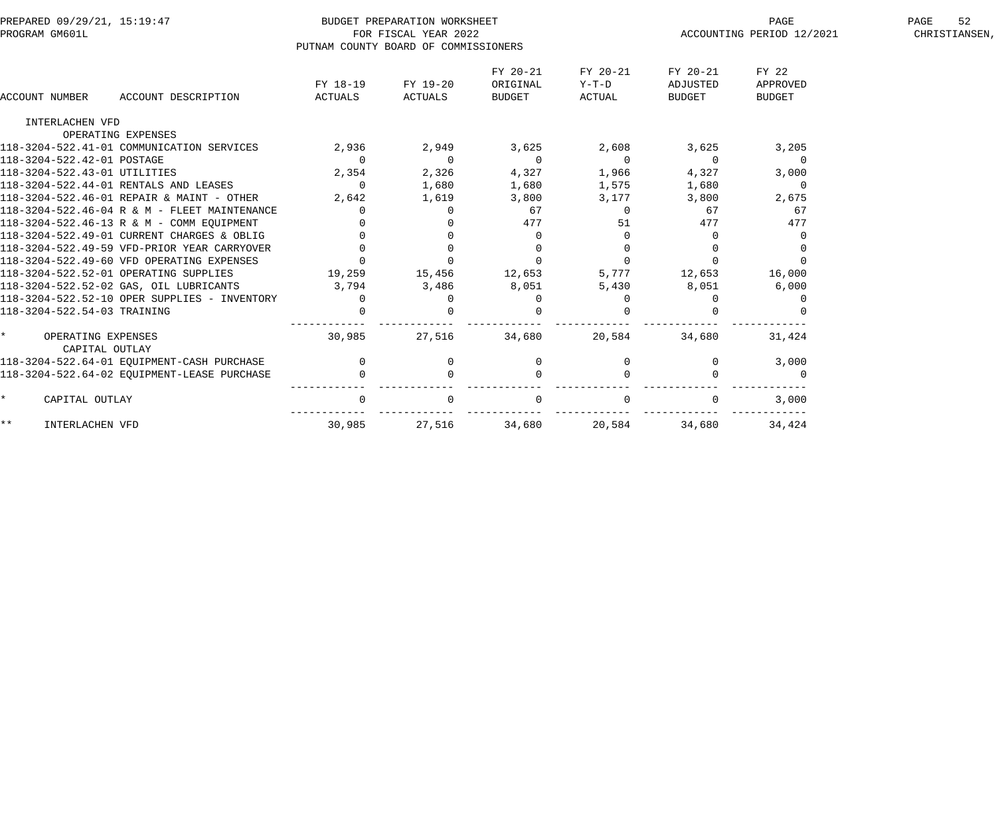| PREPARED 09/29/21, 15:19:47<br>PROGRAM GM601L   |                | BUDGET PREPARATION WORKSHEET<br>FOR FISCAL YEAR 2022<br>PUTNAM COUNTY BOARD OF COMMISSIONERS |                |               |                | PAGE<br>ACCOUNTING PERIOD 12/2021 | 52<br>PAGE<br>CHRISTIANSEN, |
|-------------------------------------------------|----------------|----------------------------------------------------------------------------------------------|----------------|---------------|----------------|-----------------------------------|-----------------------------|
|                                                 |                |                                                                                              | FY 20-21       | FY 20-21      | FY 20-21       | FY 22                             |                             |
|                                                 | FY 18-19       | FY 19-20                                                                                     | ORIGINAL       | $Y-T-D$       | ADJUSTED       | APPROVED                          |                             |
| ACCOUNT DESCRIPTION<br>ACCOUNT NUMBER           | ACTUALS        | ACTUALS                                                                                      | <b>BUDGET</b>  | <b>ACTUAL</b> | <b>BUDGET</b>  | <b>BUDGET</b>                     |                             |
| INTERLACHEN VFD                                 |                |                                                                                              |                |               |                |                                   |                             |
| OPERATING EXPENSES                              |                |                                                                                              |                |               |                |                                   |                             |
| 118-3204-522.41-01 COMMUNICATION SERVICES       | 2,936          | 2,949                                                                                        | 3,625          | 2,608         | 3,625          | 3,205                             |                             |
| 118-3204-522.42-01 POSTAGE                      | $\overline{0}$ | $\Omega$                                                                                     | $\overline{0}$ | $\Omega$      | $\overline{0}$ | $\overline{0}$                    |                             |
| 118-3204-522.43-01 UTILITIES                    | 2,354          | 2,326                                                                                        | 4,327          | 1,966         | 4,327          | 3,000                             |                             |
| 118-3204-522.44-01 RENTALS AND LEASES           | $\overline{0}$ | 1,680                                                                                        | 1,680          | 1,575         | 1,680          | $\overline{0}$                    |                             |
| 118-3204-522.46-01 REPAIR & MAINT - OTHER       | 2,642          | 1,619                                                                                        | 3,800          | 3,177         | 3,800          | 2,675                             |                             |
| 118-3204-522.46-04 R & M - FLEET MAINTENANCE    | $\Omega$       | $\Omega$                                                                                     | 67             | 0             | 67             | 67                                |                             |
| 118-3204-522.46-13 R & M - COMM EOUIPMENT       |                |                                                                                              | 477            | 51            | 477            | 477                               |                             |
| 118-3204-522.49-01 CURRENT CHARGES & OBLIG      |                |                                                                                              | 0              |               | $\Omega$       |                                   |                             |
| 118-3204-522.49-59 VFD-PRIOR YEAR CARRYOVER     |                |                                                                                              |                |               |                |                                   |                             |
| 118-3204-522.49-60 VFD OPERATING EXPENSES       | $\Omega$       |                                                                                              | $\Omega$       |               | $\Omega$       |                                   |                             |
| 118-3204-522.52-01 OPERATING SUPPLIES           | 19,259         | 15,456                                                                                       | 12,653         | 5,777         | 12,653         | 16,000                            |                             |
| 118-3204-522.52-02 GAS, OIL LUBRICANTS          | 3,794          | 3,486                                                                                        | 8,051          | 5,430         | 8,051          | 6,000                             |                             |
| 118-3204-522.52-10 OPER SUPPLIES - INVENTORY    | $\overline{0}$ |                                                                                              | $\Omega$       | $\Omega$      |                | 0                                 |                             |
| 118-3204-522.54-03 TRAINING                     |                |                                                                                              |                |               |                |                                   |                             |
| $\star$<br>OPERATING EXPENSES<br>CAPITAL OUTLAY | 30,985         | 27,516                                                                                       | 34,680         | 20,584        | 34,680         | 31,424                            |                             |
| 118-3204-522.64-01 EQUIPMENT-CASH PURCHASE      | $\mathbf 0$    | 0                                                                                            | $\Omega$       |               | $\overline{0}$ | 3,000                             |                             |
| 118-3204-522.64-02 EQUIPMENT-LEASE PURCHASE     |                |                                                                                              |                |               |                | $\Omega$                          |                             |
| $\star$<br>CAPITAL OUTLAY                       |                |                                                                                              |                |               |                | 3,000                             |                             |
| * *<br>INTERLACHEN VFD                          | 30,985         | 27,516                                                                                       | 34,680         | 20,584        | 34,680         | 34,424                            |                             |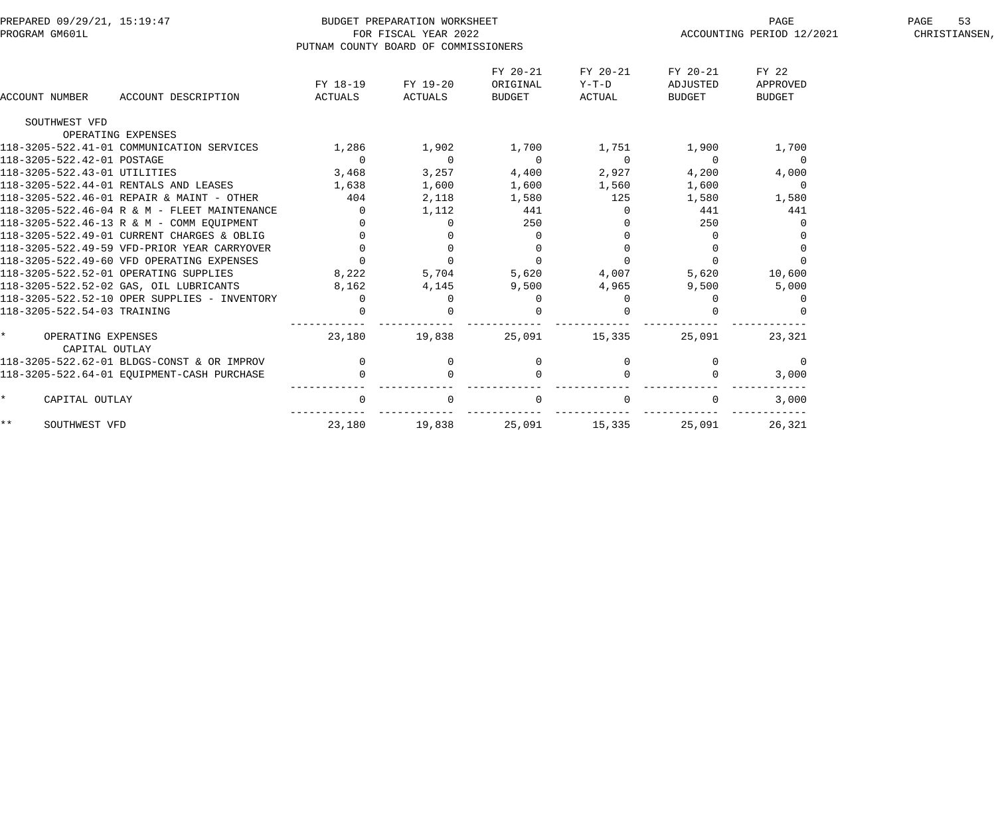| PREPARED 09/29/21, 15:19:47                  |                | BUDGET PREPARATION WORKSHEET         |                |               |               | PAGE                      | 53<br>PAGE    |
|----------------------------------------------|----------------|--------------------------------------|----------------|---------------|---------------|---------------------------|---------------|
| PROGRAM GM601L                               |                | FOR FISCAL YEAR 2022                 |                |               |               | ACCOUNTING PERIOD 12/2021 | CHRISTIANSEN, |
|                                              |                | PUTNAM COUNTY BOARD OF COMMISSIONERS |                |               |               |                           |               |
|                                              |                |                                      | FY 20-21       | FY 20-21      | FY 20-21      | FY 22                     |               |
|                                              | FY 18-19       | FY 19-20                             | ORIGINAL       | $Y-T-D$       | ADJUSTED      | APPROVED                  |               |
| <b>ACCOUNT NUMBER</b><br>ACCOUNT DESCRIPTION | ACTUALS        | ACTUALS                              | <b>BUDGET</b>  | <b>ACTUAL</b> | <b>BUDGET</b> | <b>BUDGET</b>             |               |
| SOUTHWEST VFD                                |                |                                      |                |               |               |                           |               |
| OPERATING EXPENSES                           |                |                                      |                |               |               |                           |               |
| 118-3205-522.41-01 COMMUNICATION SERVICES    | 1,286          | 1,902                                | 1,700          | 1,751         | 1,900         | 1,700                     |               |
| 118-3205-522.42-01 POSTAGE                   | $\overline{0}$ | $\Omega$                             | $\overline{0}$ | $\Omega$      | $\Omega$      | $\overline{0}$            |               |
| 118-3205-522.43-01 UTILITIES                 | 3,468          | 3,257                                | 4,400          | 2,927         | 4,200         | 4,000                     |               |
| 118-3205-522.44-01 RENTALS AND LEASES        | 1,638          | 1,600                                | 1,600          | 1,560         | 1,600         | 0                         |               |
| 118-3205-522.46-01 REPAIR & MAINT - OTHER    | 404            | 2,118                                | 1,580          | 125           | 1,580         | 1,580                     |               |
| 118-3205-522.46-04 R & M - FLEET MAINTENANCE | $\Omega$       | 1,112                                | 441            | $\Omega$      | 441           | 441                       |               |
| 118-3205-522.46-13 R & M - COMM EOUIPMENT    |                | $\Omega$                             | 250            |               | 250           |                           |               |
| 118-3205-522.49-01 CURRENT CHARGES & OBLIG   |                |                                      | $\Omega$       |               | $\Omega$      |                           |               |
| 118-3205-522.49-59 VFD-PRIOR YEAR CARRYOVER  |                |                                      | 0              |               |               |                           |               |
| 118-3205-522.49-60 VFD OPERATING EXPENSES    | $\Omega$       | $\mathbf 0$                          | $\Omega$       | $\Omega$      | $\Omega$      | $\Omega$                  |               |
| 118-3205-522.52-01 OPERATING SUPPLIES        | 8,222          | 5,704                                | 5,620          | 4,007         | 5,620         | 10,600                    |               |
| 118-3205-522.52-02 GAS, OIL LUBRICANTS       | 8,162          | 4,145                                | 9,500          | 4,965         | 9,500         | 5,000                     |               |
| 118-3205-522.52-10 OPER SUPPLIES - INVENTORY | $\mathbf{0}$   | $\Omega$                             | 0              | $\Omega$      |               | 0                         |               |
| 118-3205-522.54-03 TRAINING                  |                |                                      | $\Omega$       |               |               |                           |               |
| $\star$<br>OPERATING EXPENSES                | 23,180         | 19,838                               | 25,091         | 15,335        | 25,091        | 23,321                    |               |
| CAPITAL OUTLAY                               |                |                                      |                |               |               |                           |               |
| 118-3205-522.62-01 BLDGS-CONST & OR IMPROV   | $\mathbf 0$    | $\mathbf 0$                          | 0              | 0             | $\mathbf 0$   | $\overline{0}$            |               |
| 118-3205-522.64-01 EQUIPMENT-CASH PURCHASE   | $\Omega$       |                                      | $\Omega$       |               |               | 3,000                     |               |
| $\star$<br>CAPITAL OUTLAY                    | $\Omega$       |                                      | 0              |               |               | 3,000                     |               |
| $\star \star$<br>SOUTHWEST VFD               | 23,180         | 19,838                               | 25,091         | 15,335        | 25,091        | 26,321                    |               |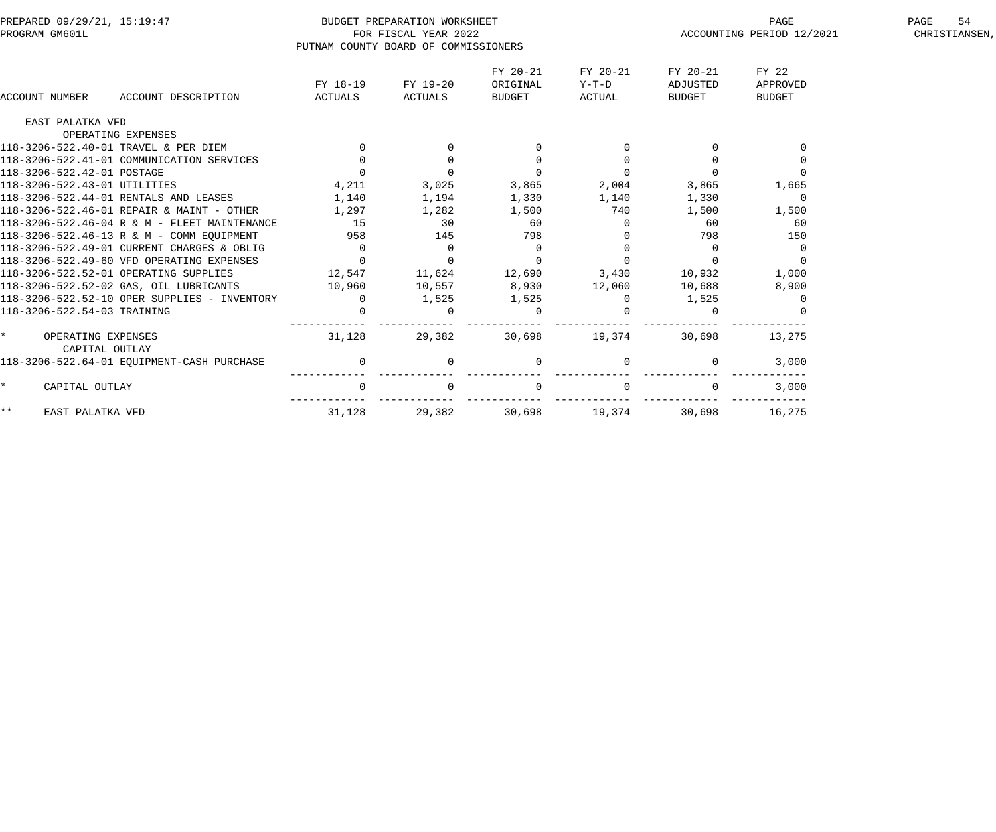| PREPARED 09/29/21, 15:19:47<br>PROGRAM GM601L   |                     | BUDGET PREPARATION WORKSHEET<br>FOR FISCAL YEAR 2022<br>PUTNAM COUNTY BOARD OF COMMISSIONERS |                                |                             | PAGE<br>ACCOUNTING PERIOD 12/2021 | 54<br>PAGE<br>CHRISTIANSEN,        |  |
|-------------------------------------------------|---------------------|----------------------------------------------------------------------------------------------|--------------------------------|-----------------------------|-----------------------------------|------------------------------------|--|
| <b>ACCOUNT NUMBER</b><br>ACCOUNT DESCRIPTION    | FY 18-19<br>ACTUALS | FY 19-20<br>ACTUALS                                                                          | FY 20-21<br>ORIGINAL<br>BUDGET | FY 20-21<br>Y-T-D<br>ACTUAL | FY 20-21<br>ADJUSTED<br>BUDGET    | FY 22<br>APPROVED<br><b>BUDGET</b> |  |
| EAST PALATKA VFD                                |                     |                                                                                              |                                |                             |                                   |                                    |  |
| OPERATING EXPENSES                              |                     |                                                                                              |                                |                             |                                   |                                    |  |
| 118-3206-522.40-01 TRAVEL & PER DIEM            | $\overline{0}$      |                                                                                              |                                |                             |                                   |                                    |  |
| 118-3206-522.41-01 COMMUNICATION SERVICES       | $\overline{0}$      | $\mathbf 0$                                                                                  | $\mathbf{0}$                   |                             |                                   |                                    |  |
| 118-3206-522.42-01 POSTAGE                      | $\Omega$            | $\overline{0}$                                                                               | $\overline{0}$                 |                             |                                   |                                    |  |
| 118-3206-522.43-01 UTILITIES                    | 4,211               | 3,025                                                                                        | 3,865                          | 2,004                       | 3,865                             | 1,665                              |  |
| 118-3206-522.44-01 RENTALS AND LEASES           | 1,140               | 1,194                                                                                        | 1,330                          | 1,140                       | 1,330                             | $\Omega$                           |  |
| 118-3206-522.46-01 REPAIR & MAINT - OTHER       | 1,297               | 1,282                                                                                        | 1,500                          | 740                         | 1,500                             | 1,500                              |  |
| 118-3206-522.46-04 R & M - FLEET MAINTENANCE    | 15                  | 30                                                                                           | 60                             |                             | 60                                | 60                                 |  |
| 118-3206-522.46-13 R & M - COMM EOUIPMENT       | 958                 | 145                                                                                          | 798                            |                             | 798                               | 150                                |  |
| 118-3206-522.49-01 CURRENT CHARGES & OBLIG      | $\overline{0}$      | $\overline{0}$                                                                               | $\overline{0}$                 |                             | $\Omega$                          | $\overline{0}$                     |  |
| 118-3206-522.49-60 VFD OPERATING EXPENSES       | $\overline{0}$      | $\overline{0}$                                                                               | $\Omega$                       | $\Omega$                    | $\Omega$                          | $\Omega$                           |  |
| 118-3206-522.52-01 OPERATING SUPPLIES           | 12,547              | $11,624$ $12,690$ $3,430$                                                                    |                                |                             | 10,932                            | 1,000                              |  |
| 118-3206-522.52-02 GAS, OIL LUBRICANTS 10,960   |                     | 10,557                                                                                       | 8,930                          | 12,060                      | 10,688                            | 8,900                              |  |
| 118-3206-522.52-10 OPER SUPPLIES - INVENTORY    | $\overline{0}$      | 1,525                                                                                        | 1,525                          | $\overline{0}$              | 1,525                             |                                    |  |
| 118-3206-522.54-03 TRAINING                     | $\Omega$            | $\Omega$                                                                                     | $\overline{0}$                 |                             |                                   |                                    |  |
| $\star$<br>OPERATING EXPENSES<br>CAPITAL OUTLAY | 31,128              | 29,382                                                                                       | 30,698                         | 19,374                      | 30,698                            | 13,275                             |  |
| 118-3206-522.64-01 EQUIPMENT-CASH PURCHASE      | $\overline{0}$      | $\mathbf 0$                                                                                  | $\overline{0}$                 |                             | $\Omega$                          | 3,000                              |  |
| $\star$<br>CAPITAL OUTLAY                       | $\overline{0}$      | $\Omega$                                                                                     | $\overline{0}$                 | $\Omega$                    |                                   | 3,000                              |  |
| $***$<br>EAST PALATKA VFD                       | 31,128              | 29,382                                                                                       | 30,698                         | 19,374                      | 30,698                            | 16,275                             |  |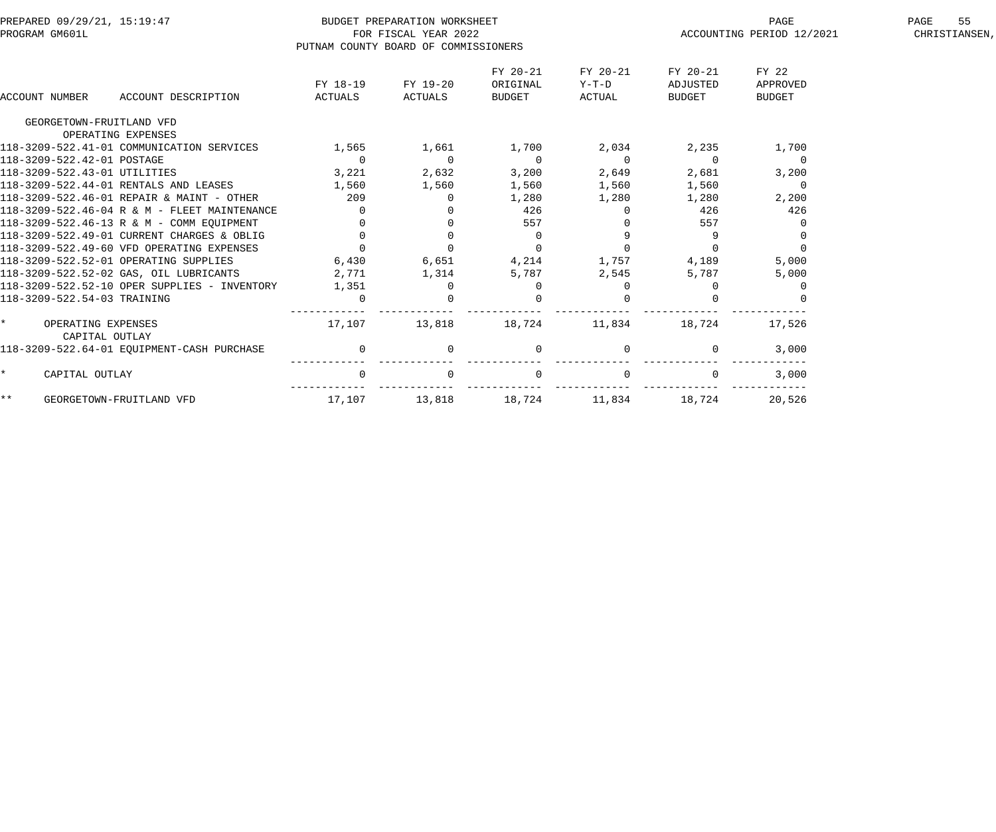|                       | PREPARED 09/29/21, 15:19:47                    |                                      | BUDGET PREPARATION WORKSHEET |                |          |                | PAGE                      | 55<br>PAGE    |
|-----------------------|------------------------------------------------|--------------------------------------|------------------------------|----------------|----------|----------------|---------------------------|---------------|
| PROGRAM GM601L        |                                                |                                      | FOR FISCAL YEAR 2022         |                |          |                | ACCOUNTING PERIOD 12/2021 | CHRISTIANSEN, |
|                       |                                                | PUTNAM COUNTY BOARD OF COMMISSIONERS |                              |                |          |                |                           |               |
|                       |                                                |                                      |                              | FY 20-21       | FY 20-21 | FY 20-21       | FY 22                     |               |
|                       |                                                | FY 18-19                             | FY 19-20                     | ORIGINAL       | $Y-T-D$  | ADJUSTED       | APPROVED                  |               |
| <b>ACCOUNT NUMBER</b> | ACCOUNT DESCRIPTION                            | ACTUALS                              | ACTUALS                      | BUDGET         | ACTUAL   | <b>BUDGET</b>  | <b>BUDGET</b>             |               |
|                       | GEORGETOWN-FRUITLAND VFD                       |                                      |                              |                |          |                |                           |               |
|                       | OPERATING EXPENSES                             |                                      |                              |                |          |                |                           |               |
|                       | 118-3209-522.41-01 COMMUNICATION SERVICES      | 1,565                                | 1,661                        | 1,700          | 2,034    | 2,235          | 1,700                     |               |
|                       | 118-3209-522.42-01 POSTAGE                     | $\mathbf 0$                          | $\overline{0}$               | $\overline{0}$ | $\Omega$ | $\overline{0}$ | $\overline{0}$            |               |
|                       | 118-3209-522.43-01 UTILITIES                   | 3,221                                | 2,632                        | 3,200          | 2,649    | 2,681          | 3,200                     |               |
|                       | 118-3209-522.44-01 RENTALS AND LEASES          | 1,560                                | 1,560                        | 1,560          | 1,560    | 1,560          | $\overline{0}$            |               |
|                       | 118-3209-522.46-01 REPAIR & MAINT - OTHER      | 209                                  | 0                            | 1,280          | 1,280    | 1,280          | 2,200                     |               |
|                       | 118-3209-522.46-04 R & M - FLEET MAINTENANCE   | $\Omega$                             |                              | 426            |          | 426            | 426                       |               |
|                       | 118-3209-522.46-13 R & M - COMM EQUIPMENT      | $\overline{0}$                       |                              | 557            |          | 557            |                           |               |
|                       | 118-3209-522.49-01 CURRENT CHARGES & OBLIG     | $\Omega$                             | $\Omega$                     | $\Omega$       |          | 9              |                           |               |
|                       | 118-3209-522.49-60 VFD OPERATING EXPENSES      | $\Omega$                             | $\Omega$                     | $\Omega$       |          |                |                           |               |
|                       | 118-3209-522.52-01 OPERATING SUPPLIES          | 6,430                                | 6,651                        | 4,214          | 1,757    | 4,189          | 5,000                     |               |
|                       | 118-3209-522.52-02 GAS, OIL LUBRICANTS         | 2,771                                | 1,314                        | 5,787          | 2,545    | 5,787          | 5,000                     |               |
|                       | $118-3209-522.52-10$ OPER SUPPLIES - INVENTORY | 1,351                                | $\Omega$                     | $\Omega$       |          | $\Omega$       |                           |               |
|                       | 118-3209-522.54-03 TRAINING                    | $\mathbf 0$                          |                              |                |          |                |                           |               |
|                       | OPERATING EXPENSES<br>CAPITAL OUTLAY           | 17,107                               | 13,818                       | 18,724         | 11,834   | 18,724         | 17,526                    |               |
|                       | 118-3209-522.64-01 EOUIPMENT-CASH PURCHASE     | $\mathbf 0$                          | $\mathbf 0$                  | $\mathbf{0}$   |          | 0              | 3,000                     |               |
|                       | CAPITAL OUTLAY                                 | $\mathbf 0$                          |                              | $\mathsf{O}$   |          |                | 3,000                     |               |
| $***$                 | GEORGETOWN-FRUITLAND VFD                       | 17,107                               | 13,818                       | 18,724         | 11,834   | 18,724         | 20,526                    |               |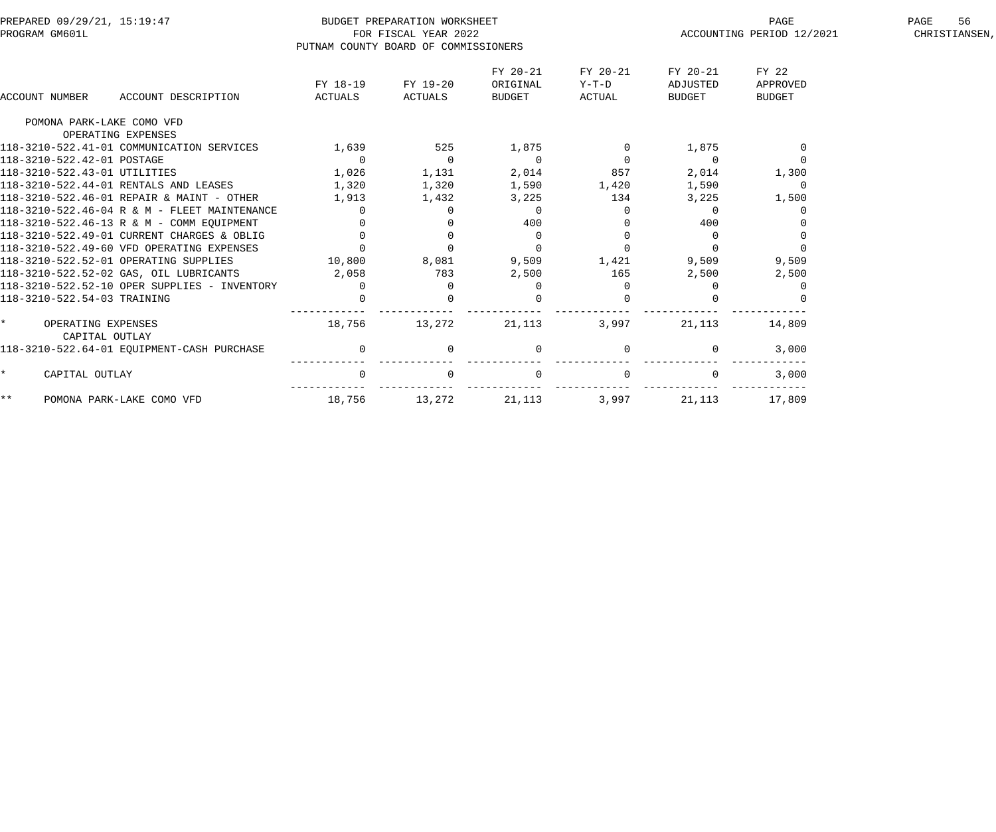|         | PREPARED 09/29/21, 15:19:47                  |                | BUDGET PREPARATION WORKSHEET         |                |          |                | PAGE                      | 56<br>PAGE    |
|---------|----------------------------------------------|----------------|--------------------------------------|----------------|----------|----------------|---------------------------|---------------|
|         | PROGRAM GM601L                               |                | FOR FISCAL YEAR 2022                 |                |          |                | ACCOUNTING PERIOD 12/2021 | CHRISTIANSEN, |
|         |                                              |                | PUTNAM COUNTY BOARD OF COMMISSIONERS |                |          |                |                           |               |
|         |                                              |                |                                      | FY 20-21       | FY 20-21 | FY 20-21       | FY 22                     |               |
|         |                                              | FY 18-19       | FY 19-20                             | ORIGINAL       | $Y-T-D$  | ADJUSTED       | APPROVED                  |               |
|         | ACCOUNT NUMBER<br>ACCOUNT DESCRIPTION        | ACTUALS        | ACTUALS                              | BUDGET         | ACTUAL   | <b>BUDGET</b>  | <b>BUDGET</b>             |               |
|         | POMONA PARK-LAKE COMO VFD                    |                |                                      |                |          |                |                           |               |
|         | OPERATING EXPENSES                           |                |                                      |                |          |                |                           |               |
|         | 118-3210-522.41-01 COMMUNICATION SERVICES    | 1,639          | 525                                  | 1,875          | 0        | 1,875          | $\Omega$                  |               |
|         | 118-3210-522.42-01 POSTAGE                   | $\overline{0}$ | $\overline{0}$                       | $\overline{0}$ | $\Omega$ | $\overline{0}$ | $\Omega$                  |               |
|         | 118-3210-522.43-01 UTILITIES                 | 1,026          | 1,131                                | 2,014          | 857      | 2,014          | 1,300                     |               |
|         | 118-3210-522.44-01 RENTALS AND LEASES        | 1,320          | 1,320                                | 1,590          | 1,420    | 1,590          | $\Omega$                  |               |
|         | 118-3210-522.46-01 REPAIR & MAINT - OTHER    | 1,913          | 1,432                                | 3,225          | 134      | 3,225          | 1,500                     |               |
|         | 118-3210-522.46-04 R & M - FLEET MAINTENANCE | $\Omega$       | $\Omega$                             | $\Omega$       | $\Omega$ | $\Omega$       |                           |               |
|         | 118-3210-522.46-13 R & M - COMM EQUIPMENT    | $\Omega$       |                                      | 400            |          | 400            |                           |               |
|         | 118-3210-522.49-01 CURRENT CHARGES & OBLIG   | $\Omega$       | $\Omega$                             | $\mathbf 0$    | $\Omega$ | $\Omega$       |                           |               |
|         | 118-3210-522.49-60 VFD OPERATING EXPENSES    | $\Omega$       | $\Omega$                             | $\overline{0}$ |          | $\Omega$       |                           |               |
|         | 118-3210-522.52-01 OPERATING SUPPLIES        | 10,800         | 8,081                                | 9,509          | 1,421    | 9,509          | 9,509                     |               |
|         | 118-3210-522.52-02 GAS, OIL LUBRICANTS       | 2,058          | 783                                  | 2,500          | 165      | 2,500          | 2,500                     |               |
|         | 118-3210-522.52-10 OPER SUPPLIES - INVENTORY | $\Omega$       | $\Omega$                             | $\Omega$       | $\Omega$ | $\Omega$       |                           |               |
|         | 118-3210-522.54-03 TRAINING                  |                |                                      |                |          |                |                           |               |
| $\star$ | OPERATING EXPENSES<br>CAPITAL OUTLAY         | 18,756         | 13,272                               | 21,113         | 3,997    | 21,113         | 14,809                    |               |
|         | 118-3210-522.64-01 EOUIPMENT-CASH PURCHASE   | $\mathbf 0$    | $\mathbf{0}$                         | $\mathbf 0$    |          | 0              | 3,000                     |               |
| $\star$ | CAPITAL OUTLAY                               | $\overline{0}$ |                                      | $\mathbf 0$    |          |                | 3,000                     |               |
| $***$   | POMONA PARK-LAKE COMO VFD                    | 18,756         | 13,272                               | 21,113         | 3,997    | 21,113         | 17,809                    |               |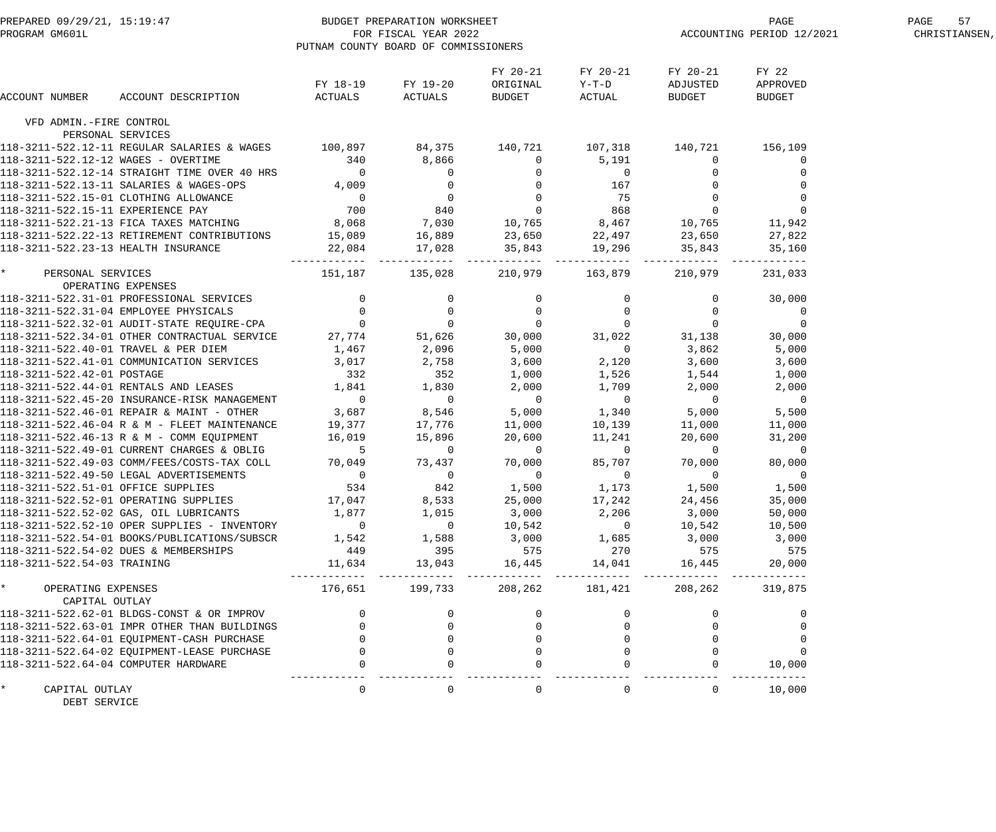|                                      | PREPARED 09/29/21, 15:19:47<br>PROGRAM GM601L FOR FISCAL YEAR 2022<br>PROGRAM GM601L FOR FISCAL YEAR 2022                                                                                                                                  | PUTNAM COUNTY BOARD OF COMMISSIONERS |                                                                                                         |                                       |                                           | PAGE<br>ACCOUNTING PERIOD 12/2021     | PAGE<br>57<br>CHRISTIANSEN, |  |
|--------------------------------------|--------------------------------------------------------------------------------------------------------------------------------------------------------------------------------------------------------------------------------------------|--------------------------------------|---------------------------------------------------------------------------------------------------------|---------------------------------------|-------------------------------------------|---------------------------------------|-----------------------------|--|
| ACCOUNT NUMBER                       | ACCOUNT DESCRIPTION                                                                                                                                                                                                                        | FY 18-19 FY 19-20<br>ACTUALS ACTUALS |                                                                                                         | FY 20-21<br>ORIGINAL<br><b>BUDGET</b> | FY 20-21<br>$Y-T-D$<br>ACTUAL             | FY 20-21<br>ADJUSTED<br>BUDGET        | FY 22<br>APPROVED<br>BUDGET |  |
| VFD ADMIN.-FIRE CONTROL              |                                                                                                                                                                                                                                            |                                      |                                                                                                         |                                       |                                           |                                       |                             |  |
|                                      | PERSONAL SERVICES                                                                                                                                                                                                                          |                                      |                                                                                                         |                                       |                                           |                                       |                             |  |
|                                      | 118-3211-522.12-11 REGULAR SALARIES & WAGES 100,897 84,375 140,721 107,318 140,721 156,109                                                                                                                                                 |                                      |                                                                                                         |                                       |                                           |                                       |                             |  |
|                                      | 118-3211-522.12-11 REGULAR SADARIES & MACHEL 340<br>118-3211-522.12-12 WAGES - OVERTIME 340<br>118-3211-522.12-14 STRAIGHT TIME OVER 40 HRS 0<br>118-3211-522.13-11 SALARIES & WAGES-OPS 4,009<br>118-3211-522.15-01 CLOTHING ALLOWANC     |                                      | $\begin{array}{cccc} 340 & & 8,866 \ 0 & & & 0 \ 4,009 & & & 0 \ 0 & & & 0 \ 700 & & & 840 \end{array}$ | $\overline{0}$                        | 5,191                                     | $\overline{0}$                        | 0                           |  |
|                                      |                                                                                                                                                                                                                                            |                                      |                                                                                                         |                                       |                                           |                                       |                             |  |
|                                      |                                                                                                                                                                                                                                            |                                      |                                                                                                         |                                       |                                           |                                       |                             |  |
|                                      |                                                                                                                                                                                                                                            |                                      |                                                                                                         |                                       |                                           |                                       |                             |  |
|                                      |                                                                                                                                                                                                                                            |                                      |                                                                                                         |                                       |                                           |                                       | $\mathbf 0$                 |  |
|                                      |                                                                                                                                                                                                                                            |                                      |                                                                                                         |                                       |                                           |                                       | 11,942                      |  |
|                                      |                                                                                                                                                                                                                                            |                                      |                                                                                                         |                                       |                                           |                                       | 27,822<br>35,160            |  |
|                                      | 118-3211-522.12-14 STRAIGHT TIME OVER 40 HRS<br>118-3211-522.13-11 SALARTES & WAGES-OPS<br>118-3211-522.15-11 CAOTHING ALLOWANCE<br>118-3211-522.15-11 EXPERIENCE PAY<br>118-3211-522.21-13 FICA TAXES MATCHING<br>118-3211-522.22-13 RE   |                                      |                                                                                                         |                                       |                                           |                                       | -------- ------------       |  |
|                                      | -3211-522.23-13 HEATHLE<br>PERSONAL SERVICES<br>0 OPERATING EXPENSES<br>18-3211-522.31-01 PROFESSIONAL SERVICES<br>18-3211-522.32-01 AUDIT-STATE REQUIRE-CPA<br>18-3211-522.34-01 OTHER CONTRACTUAL SERVICE<br>118-3211-522.34-01 OTHER C  |                                      |                                                                                                         |                                       | 210,979 163,879                           | 210,979                               | 231,033                     |  |
|                                      |                                                                                                                                                                                                                                            |                                      |                                                                                                         |                                       |                                           | $\overline{0}$                        | 30,000                      |  |
|                                      |                                                                                                                                                                                                                                            |                                      |                                                                                                         |                                       |                                           |                                       | $\overline{0}$              |  |
|                                      |                                                                                                                                                                                                                                            |                                      |                                                                                                         |                                       |                                           | $\begin{array}{c} 0 \\ 0 \end{array}$ | $\mathbf 0$                 |  |
|                                      |                                                                                                                                                                                                                                            |                                      |                                                                                                         |                                       | 31,022                                    | 31,138                                | 30,000                      |  |
|                                      |                                                                                                                                                                                                                                            |                                      |                                                                                                         |                                       |                                           | 3,862                                 | 5,000                       |  |
|                                      |                                                                                                                                                                                                                                            |                                      |                                                                                                         |                                       |                                           |                                       | 3,600                       |  |
|                                      |                                                                                                                                                                                                                                            |                                      |                                                                                                         |                                       | 2,120 3,600<br>1,526 1,544<br>1.709 2,000 |                                       | 1,000                       |  |
|                                      |                                                                                                                                                                                                                                            |                                      |                                                                                                         |                                       | 1,709                                     |                                       | 2,000                       |  |
|                                      |                                                                                                                                                                                                                                            |                                      |                                                                                                         | $\overline{0}$                        | $\overline{0}$                            | $\overline{0}$                        | $\overline{0}$              |  |
|                                      | 332 352<br>118-3211-522.44-01 RENTALS AND LEASES<br>1.841 1.830<br>118-3211-522.45-20 INSURANCE-RISK MANAGEMENT<br>118-3211-522.46-01 REPAIR & MAINT - OTHER 3,687 8,546<br>118-3211-522.46-04 R & M - FLEET MAINTENANCE<br>118-3211-522.4 |                                      |                                                                                                         |                                       | 5,000 1,340                               | 5,000                                 | 5,500                       |  |
|                                      |                                                                                                                                                                                                                                            |                                      |                                                                                                         | 11,000                                | 10,139                                    | 11,000                                | 11,000                      |  |
|                                      |                                                                                                                                                                                                                                            |                                      |                                                                                                         | 20,600                                | 11,241                                    | 20,600                                | 31,200                      |  |
|                                      |                                                                                                                                                                                                                                            |                                      |                                                                                                         | $\overline{0}$                        | $\overline{0}$                            | $\overline{0}$                        | $\overline{0}$              |  |
|                                      | 118-3211-522.49-03 COMM/FEES/COSTS-TAX COLL                                                                                                                                                                                                |                                      |                                                                                                         | 70,000                                |                                           | 85,707 70,000                         | 80,000                      |  |
|                                      | 118-3211-522.49-50 LEGAL ADVERTISEMENTS                                                                                                                                                                                                    | LIG 5 0<br>COLL 70,049 73,437<br>0 0 |                                                                                                         | $\overline{0}$                        | $\overline{0}$                            | $\overline{0}$                        | $\mathbf 0$                 |  |
| 118-3211-522.51-01 OFFICE SUPPLIES   |                                                                                                                                                                                                                                            | 534                                  | 842                                                                                                     | 1,500                                 | 1,173 1,500                               |                                       | 1,500                       |  |
|                                      | 118-3211-522.52-01 OPERATING SUPPLIES                                                                                                                                                                                                      | 17,047                               | 8,533                                                                                                   | 25,000                                | 17,242                                    | 24,456                                | 35,000                      |  |
|                                      | 118-3211-522.52-02 GAS, OIL LUBRICANTS                                                                                                                                                                                                     | 1,877                                | 1,015                                                                                                   | 3,000                                 | 2,206                                     | 3,000                                 | 50,000                      |  |
|                                      | 118-3211-522.52-10 OPER SUPPLIES - INVENTORY                                                                                                                                                                                               | $\overline{0}$                       | $\overline{0}$                                                                                          | 10,542                                | $\overline{0}$                            | 10,542                                | 10,500                      |  |
|                                      | 118-3211-522.54-01 BOOKS/PUBLICATIONS/SUBSCR                                                                                                                                                                                               | 1,542                                | 1,588                                                                                                   | 3,000                                 | 1,685                                     | 3,000                                 | 3,000                       |  |
|                                      | 118-3211-522.54-02 DUES & MEMBERSHIPS                                                                                                                                                                                                      | 449                                  | 395                                                                                                     | 575                                   | 270                                       | 575                                   | 575                         |  |
| 118-3211-522.54-03 TRAINING          |                                                                                                                                                                                                                                            | 11,634                               | 13,043                                                                                                  | 16,445                                | 14,041                                    | 16,445                                | 20,000                      |  |
| * OPERATING EXPENSES                 |                                                                                                                                                                                                                                            |                                      | 176,651 199,733                                                                                         | 208,262                               | 181,421                                   | 208,262                               | 319,875                     |  |
| CAPITAL OUTLAY                       |                                                                                                                                                                                                                                            |                                      |                                                                                                         |                                       |                                           |                                       |                             |  |
|                                      | 118-3211-522.62-01 BLDGS-CONST & OR IMPROV                                                                                                                                                                                                 |                                      |                                                                                                         |                                       |                                           |                                       |                             |  |
|                                      | 118-3211-522.63-01 IMPR OTHER THAN BUILDINGS                                                                                                                                                                                               | 0                                    | $\mathsf{O}$                                                                                            |                                       |                                           |                                       |                             |  |
|                                      | 118-3211-522.64-01 EQUIPMENT-CASH PURCHASE                                                                                                                                                                                                 |                                      | $\mathsf{O}$                                                                                            |                                       |                                           |                                       |                             |  |
|                                      | 118-3211-522.64-02 EQUIPMENT-LEASE PURCHASE                                                                                                                                                                                                |                                      | $\mathbf 0$                                                                                             |                                       |                                           |                                       |                             |  |
| 118-3211-522.64-04 COMPUTER HARDWARE |                                                                                                                                                                                                                                            |                                      |                                                                                                         |                                       |                                           |                                       | 10,000                      |  |
| CAPITAL OUTLAY<br>DEBT SERVICE       |                                                                                                                                                                                                                                            | $\overline{0}$                       | $\overline{0}$                                                                                          | $\overline{0}$                        | $\Omega$                                  | $\Omega$                              | 10,000                      |  |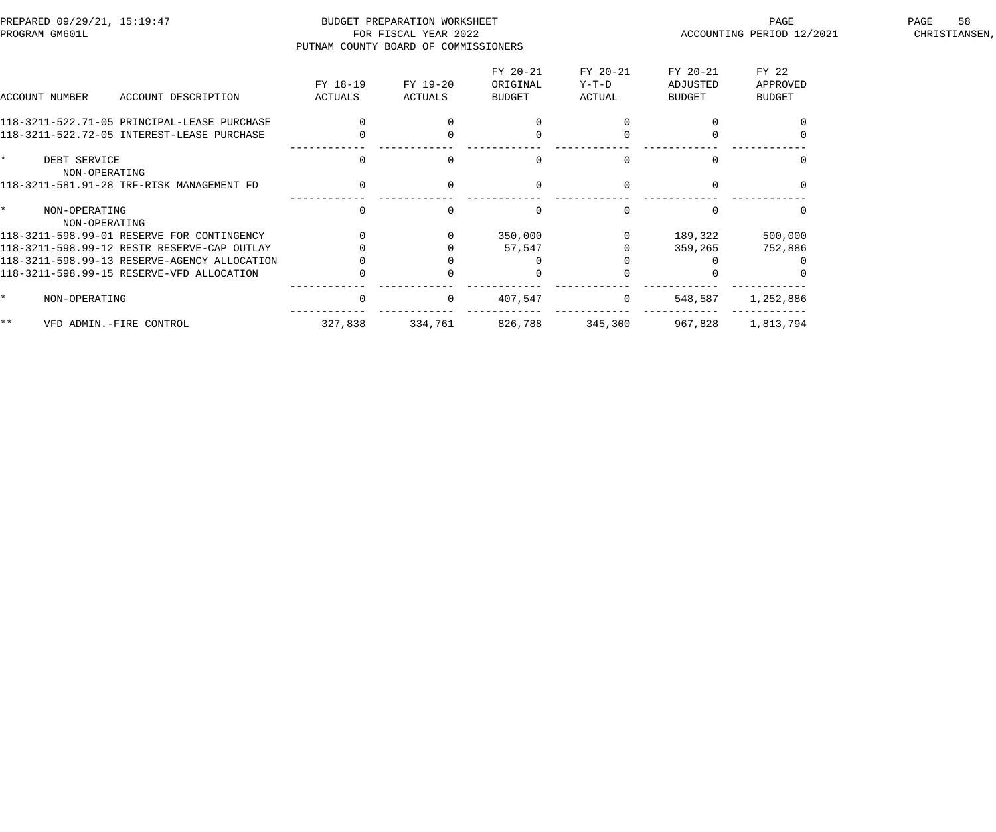| PREPARED 09/29/21, 15:19:47<br>PROGRAM GM601L |                                      | BUDGET PREPARATION WORKSHEET<br>FOR FISCAL YEAR 2022 |          |             |          | PAGE<br>ACCOUNTING PERIOD 12/2021 | 58<br>PAGE<br>CHRISTIANSEN, |
|-----------------------------------------------|--------------------------------------|------------------------------------------------------|----------|-------------|----------|-----------------------------------|-----------------------------|
|                                               | PUTNAM COUNTY BOARD OF COMMISSIONERS |                                                      |          |             |          |                                   |                             |
|                                               |                                      |                                                      | FY 20-21 | FY 20-21    | FY 20-21 | FY 22                             |                             |
|                                               | FY 18-19                             | FY 19-20                                             | ORIGINAL | Y-T-D       | ADJUSTED | APPROVED                          |                             |
| ACCOUNT NUMBER<br>ACCOUNT DESCRIPTION         | ACTUALS                              | ACTUALS                                              | BUDGET   | ACTUAL      | BUDGET   | BUDGET                            |                             |
| 118-3211-522.71-05 PRINCIPAL-LEASE PURCHASE   |                                      |                                                      |          |             |          |                                   |                             |
| 118-3211-522.72-05 INTEREST-LEASE PURCHASE    |                                      |                                                      |          |             |          |                                   |                             |
| $\star$<br>DEBT SERVICE<br>NON-OPERATING      | 0                                    |                                                      | $\Omega$ |             |          |                                   |                             |
| 118-3211-581.91-28 TRF-RISK MANAGEMENT FD     | $\mathbf 0$                          |                                                      | $\Omega$ |             |          |                                   |                             |
| NON-OPERATING<br>NON-OPERATING                | $\Omega$                             |                                                      | $\Omega$ |             |          |                                   |                             |
| 118-3211-598.99-01 RESERVE FOR CONTINGENCY    |                                      |                                                      | 350,000  |             | 189,322  | 500,000                           |                             |
| 118-3211-598.99-12 RESTR RESERVE-CAP OUTLAY   |                                      |                                                      | 57,547   |             | 359,265  | 752,886                           |                             |
| 118-3211-598.99-13 RESERVE-AGENCY ALLOCATION  |                                      |                                                      |          |             |          |                                   |                             |
| 118-3211-598.99-15 RESERVE-VFD ALLOCATION     |                                      |                                                      |          |             |          |                                   |                             |
| $\star$<br>NON-OPERATING                      | $\mathsf{O}$                         | $\mathbf{0}$                                         | 407,547  | $\mathbf 0$ | 548,587  | 1,252,886                         |                             |
| $\star \star$<br>VFD ADMIN.-FIRE CONTROL      | 327,838                              | 334,761                                              | 826,788  | 345,300     | 967,828  | 1,813,794                         |                             |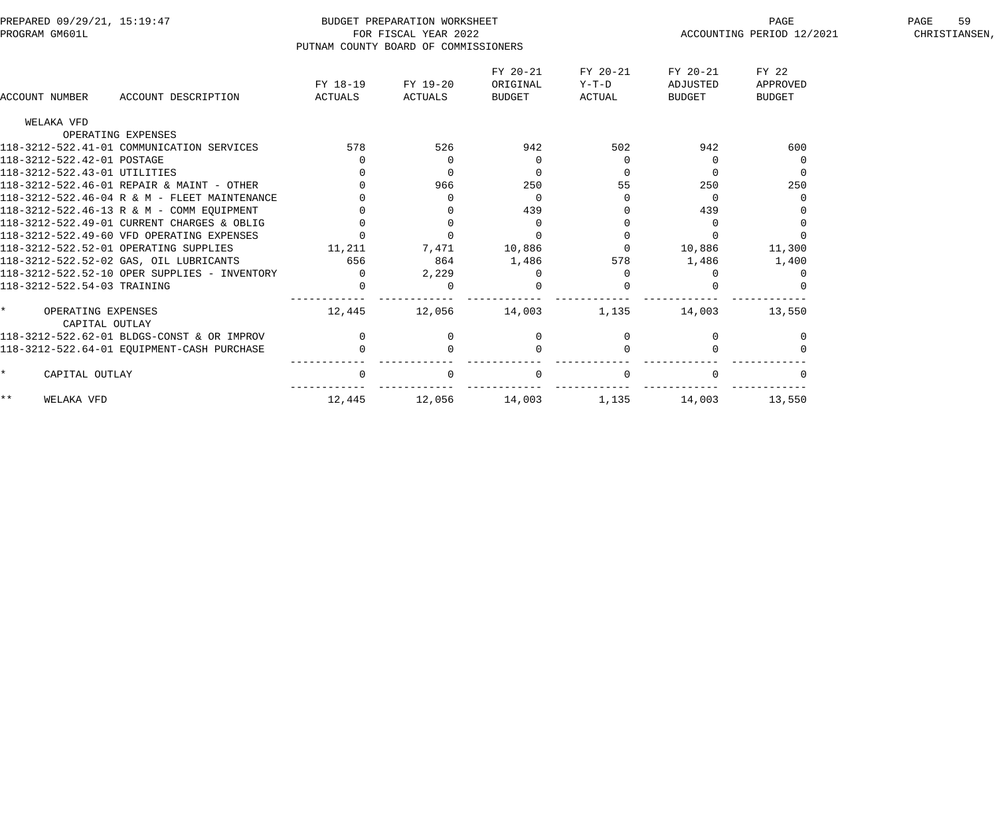| PREPARED 09/29/21, 15:19:47                  |                                      | BUDGET PREPARATION WORKSHEET |                |          |               | PAGE                      | 59<br>PAGE    |
|----------------------------------------------|--------------------------------------|------------------------------|----------------|----------|---------------|---------------------------|---------------|
| PROGRAM GM601L                               |                                      | FOR FISCAL YEAR 2022         |                |          |               | ACCOUNTING PERIOD 12/2021 | CHRISTIANSEN, |
|                                              | PUTNAM COUNTY BOARD OF COMMISSIONERS |                              |                |          |               |                           |               |
|                                              |                                      |                              | FY 20-21       | FY 20-21 | FY 20-21      | FY 22                     |               |
|                                              | FY 18-19                             | FY 19-20                     | ORIGINAL       | Y-T-D    | ADJUSTED      | APPROVED                  |               |
| <b>ACCOUNT NUMBER</b><br>ACCOUNT DESCRIPTION | ACTUALS                              | ACTUALS                      | BUDGET         | ACTUAL   | <b>BUDGET</b> | <b>BUDGET</b>             |               |
| WELAKA VFD                                   |                                      |                              |                |          |               |                           |               |
| OPERATING EXPENSES                           |                                      |                              |                |          |               |                           |               |
| 118-3212-522.41-01 COMMUNICATION SERVICES    | 578                                  | 526                          | 942            | 502      | 942           | 600                       |               |
| 118-3212-522.42-01 POSTAGE                   | $\overline{0}$                       | $\overline{0}$               | $\overline{0}$ |          | $\Omega$      |                           |               |
| 118-3212-522.43-01 UTILITIES                 | $\Omega$                             | $\Omega$                     | $\Omega$       |          | $\Omega$      | $\Omega$                  |               |
| 118-3212-522.46-01 REPAIR & MAINT - OTHER    |                                      | 966                          | 250            | 55       | 250           | 250                       |               |
| 118-3212-522.46-04 R & M - FLEET MAINTENANCE |                                      | $\Omega$                     | $\overline{0}$ |          | $\Omega$      |                           |               |
| 118-3212-522.46-13 R & M - COMM EQUIPMENT    |                                      |                              | 439            |          | 439           |                           |               |
| 118-3212-522.49-01 CURRENT CHARGES & OBLIG   | $\Omega$                             |                              | $\overline{0}$ |          | $\Omega$      |                           |               |
| 118-3212-522.49-60 VFD OPERATING EXPENSES    | $\Omega$                             | $\Omega$                     | $\Omega$       |          | $\Omega$      |                           |               |
| 118-3212-522.52-01 OPERATING SUPPLIES        | 11,211                               | 7,471                        | 10,886         |          | 10,886        | 11,300                    |               |
| 118-3212-522.52-02 GAS, OIL LUBRICANTS       | 656                                  | 864                          | 1,486          | 578      | 1,486         | 1,400                     |               |
| 118-3212-522.52-10 OPER SUPPLIES - INVENTORY | $\Omega$                             | 2,229                        | O              |          |               |                           |               |
| 118-3212-522.54-03 TRAINING                  | $\Omega$                             |                              |                |          |               |                           |               |
| OPERATING EXPENSES                           | 12,445                               | 12,056                       | 14,003         | 1,135    | 14,003        | 13,550                    |               |
| CAPITAL OUTLAY                               |                                      |                              |                |          |               |                           |               |
| 118-3212-522.62-01 BLDGS-CONST & OR IMPROV   | $\mathbf 0$                          | $\overline{0}$               | 0              |          | 0             |                           |               |
| 118-3212-522.64-01 EQUIPMENT-CASH PURCHASE   |                                      |                              | $\cap$         |          |               |                           |               |
| CAPITAL OUTLAY                               | $\Omega$                             |                              |                |          |               |                           |               |
| $\star\star$<br>WELAKA VFD                   | 12,445                               | 12,056                       | 14,003         | 1,135    | 14,003        | 13,550                    |               |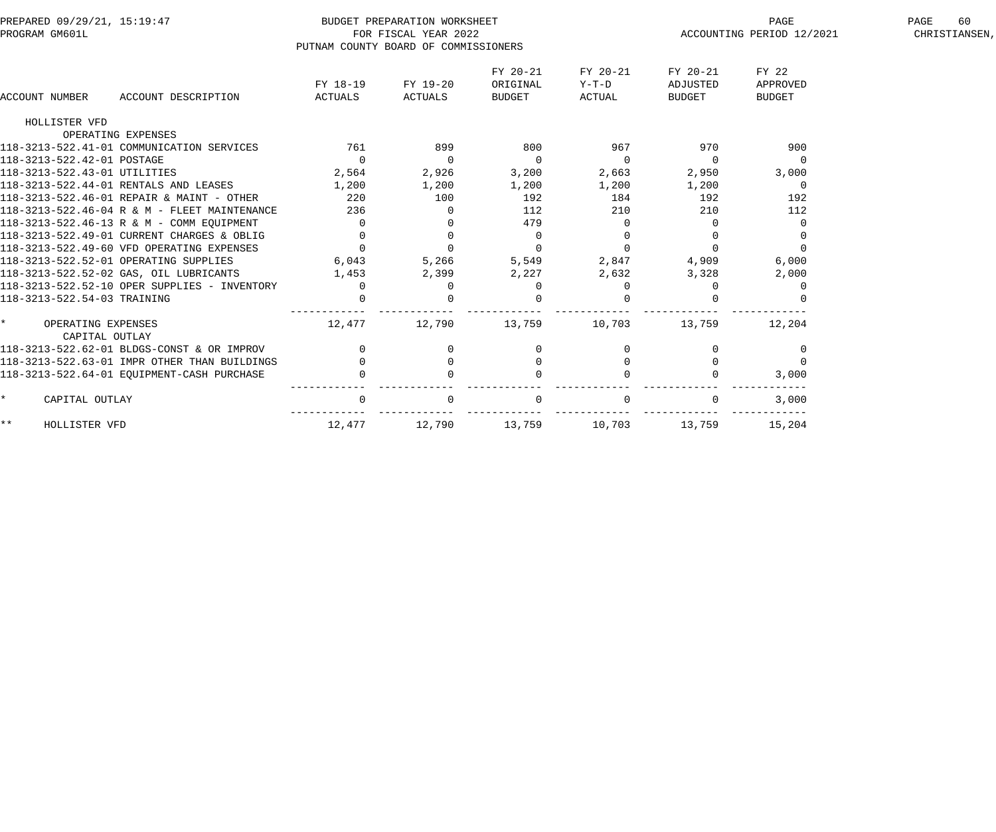| PREPARED 09/29/21, 15:19:47<br>PROGRAM GM601L |                     |                                      | BUDGET PREPARATION WORKSHEET<br>FOR FISCAL YEAR 2022 |          |          |               | PAGE<br>ACCOUNTING PERIOD 12/2021 | PAGE<br>60<br>CHRISTIANSEN, |
|-----------------------------------------------|---------------------|--------------------------------------|------------------------------------------------------|----------|----------|---------------|-----------------------------------|-----------------------------|
|                                               |                     | PUTNAM COUNTY BOARD OF COMMISSIONERS |                                                      |          |          |               |                                   |                             |
|                                               |                     |                                      |                                                      | FY 20-21 | FY 20-21 | FY 20-21      | FY 22                             |                             |
|                                               |                     | FY 18-19                             | FY 19-20                                             | ORIGINAL | $Y-T-D$  | ADJUSTED      | APPROVED                          |                             |
| <b>ACCOUNT NUMBER</b>                         | ACCOUNT DESCRIPTION | ACTUALS                              | ACTUALS                                              | BUDGET   | ACTUAL   | <b>BUDGET</b> | <b>BUDGET</b>                     |                             |
| HOLLISTER VFD                                 |                     |                                      |                                                      |          |          |               |                                   |                             |
| OPERATING EXPENSES                            |                     |                                      |                                                      |          |          |               |                                   |                             |
| 118-3213-522.41-01 COMMUNICATION SERVICES     |                     | 761                                  | 899                                                  | 800      | 967      | 970           | 900                               |                             |
| 118-3213-522.42-01 POSTAGE                    |                     | $\Omega$                             | $\overline{0}$                                       | $\Omega$ | $\Omega$ | $\Omega$      | $\Omega$                          |                             |
| 118-3213-522.43-01 UTILITIES                  |                     | 2,564                                | 2,926                                                | 3,200    | 2,663    | 2,950         | 3,000                             |                             |
| 118-3213-522.44-01 RENTALS AND LEASES         |                     | 1,200                                | 1,200                                                | 1,200    | 1,200    | 1,200         | $\overline{0}$                    |                             |
| 118-3213-522.46-01 REPAIR & MAINT - OTHER     |                     | 220                                  | 100                                                  | 192      | 184      | 192           | 192                               |                             |
| 118-3213-522.46-04 R & M - FLEET MAINTENANCE  |                     | 236                                  | $\overline{0}$                                       | 112      | 210      | 210           | 112                               |                             |
| 118-3213-522.46-13 R & M - COMM EOUIPMENT     |                     | $\overline{0}$                       | $\Omega$                                             | 479      |          | $\Omega$      |                                   |                             |
| 118-3213-522.49-01 CURRENT CHARGES & OBLIG    |                     | $\Omega$                             |                                                      | 0        |          |               |                                   |                             |
| 118-3213-522.49-60 VFD OPERATING EXPENSES     |                     | $\overline{0}$                       | $\overline{0}$                                       | $\Omega$ |          | $\Omega$      |                                   |                             |
| 118-3213-522.52-01 OPERATING SUPPLIES         |                     | 6,043                                | 5,266                                                | 5,549    | 2,847    | 4,909         | 6,000                             |                             |
| 118-3213-522.52-02 GAS, OIL LUBRICANTS        |                     | 1,453                                | 2,399                                                | 2,227    | 2,632    | 3,328         | 2,000                             |                             |
| 118-3213-522.52-10 OPER SUPPLIES - INVENTORY  |                     | $\overline{0}$                       | $\Omega$                                             | 0        | $\Omega$ |               | O                                 |                             |
| 118-3213-522.54-03 TRAINING                   |                     | $\Omega$                             |                                                      | $\Omega$ |          |               |                                   |                             |
| OPERATING EXPENSES                            |                     | 12,477                               | 12,790                                               | 13,759   | 10,703   | 13,759        | 12,204                            |                             |
| CAPITAL OUTLAY                                |                     |                                      |                                                      |          |          |               |                                   |                             |
| 118-3213-522.62-01 BLDGS-CONST & OR IMPROV    |                     | $\mathbf 0$                          | 0                                                    | $\Omega$ |          | $\Omega$      | $\Omega$                          |                             |
| 118-3213-522.63-01 IMPR OTHER THAN BUILDINGS  |                     | $\Omega$                             | $\mathbf 0$                                          | $\Omega$ |          | $\Omega$      | $\Omega$                          |                             |
| 118-3213-522.64-01 EQUIPMENT-CASH PURCHASE    |                     |                                      |                                                      |          |          |               | 3,000                             |                             |
| CAPITAL OUTLAY                                |                     | $\Omega$                             |                                                      |          |          |               | 3,000                             |                             |
| * *<br>HOLLISTER VFD                          |                     | 12,477                               | 12,790                                               | 13,759   | 10,703   | 13,759        | 15,204                            |                             |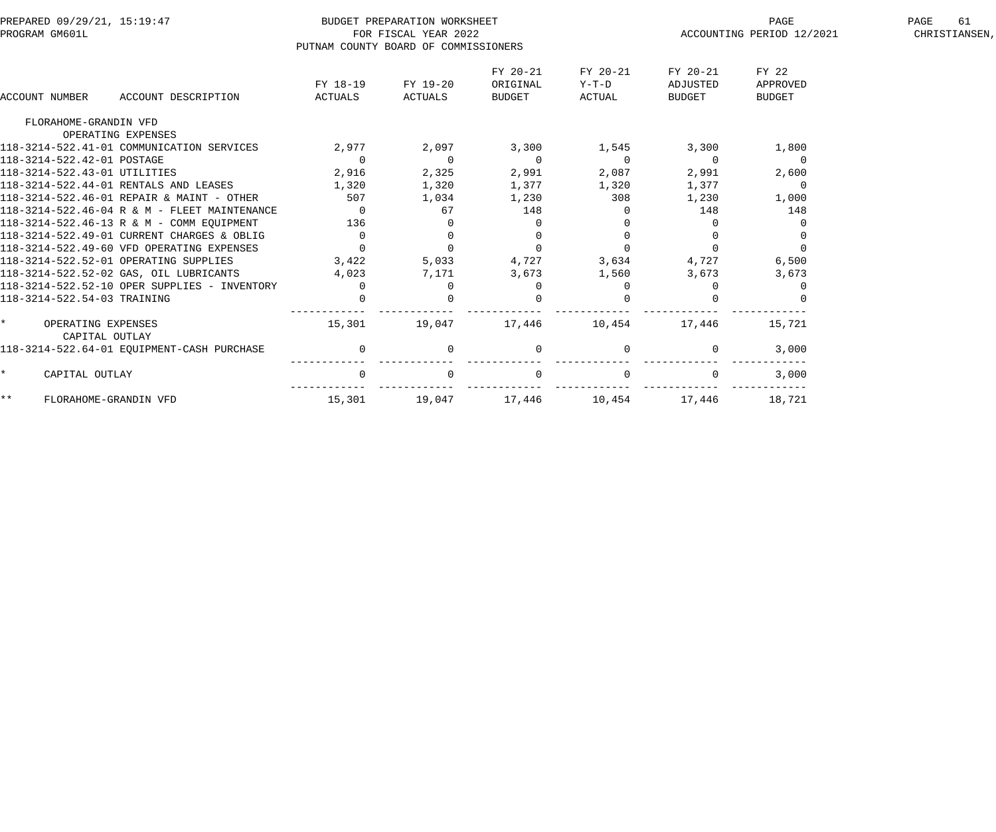|       | PREPARED 09/29/21, 15:19:47            |                                              |                                      | BUDGET PREPARATION WORKSHEET |                |          |                | PAGE                      | PAGE<br>61    |
|-------|----------------------------------------|----------------------------------------------|--------------------------------------|------------------------------|----------------|----------|----------------|---------------------------|---------------|
|       | PROGRAM GM601L                         |                                              |                                      | FOR FISCAL YEAR 2022         |                |          |                | ACCOUNTING PERIOD 12/2021 | CHRISTIANSEN, |
|       |                                        |                                              | PUTNAM COUNTY BOARD OF COMMISSIONERS |                              |                |          |                |                           |               |
|       |                                        |                                              |                                      |                              | FY 20-21       | FY 20-21 | FY 20-21       | FY 22                     |               |
|       |                                        |                                              | FY 18-19                             | FY 19-20                     | ORIGINAL       | Y-T-D    | ADJUSTED       | APPROVED                  |               |
|       | <b>ACCOUNT NUMBER</b>                  | ACCOUNT DESCRIPTION                          | ACTUALS                              | ACTUALS                      | BUDGET         | ACTUAL   | <b>BUDGET</b>  | <b>BUDGET</b>             |               |
|       | FLORAHOME-GRANDIN VFD                  |                                              |                                      |                              |                |          |                |                           |               |
|       | OPERATING EXPENSES                     |                                              |                                      |                              |                |          |                |                           |               |
|       |                                        | 118-3214-522.41-01 COMMUNICATION SERVICES    | 2,977                                | 2,097                        | 3,300          | 1,545    | 3,300          | 1,800                     |               |
|       | 118-3214-522.42-01 POSTAGE             |                                              | $\overline{0}$                       | $\overline{0}$               | $\overline{0}$ | $\Omega$ | $\overline{0}$ | $\overline{0}$            |               |
|       | 118-3214-522.43-01 UTILITIES           |                                              | 2,916                                | 2,325                        | 2,991          | 2,087    | 2,991          | 2,600                     |               |
|       | 118-3214-522.44-01 RENTALS AND LEASES  |                                              | 1,320                                | 1,320                        | 1,377          | 1,320    | 1,377          | $\Omega$                  |               |
|       |                                        | 118-3214-522.46-01 REPAIR & MAINT - OTHER    | 507                                  | 1,034                        | 1,230          | 308      | 1,230          | 1,000                     |               |
|       |                                        | 118-3214-522.46-04 R & M - FLEET MAINTENANCE | $\Omega$                             | 67                           | 148            |          | 148            | 148                       |               |
|       |                                        | 118-3214-522.46-13 R & M - COMM EQUIPMENT    | 136                                  |                              | $\Omega$       |          |                |                           |               |
|       |                                        | 118-3214-522.49-01 CURRENT CHARGES & OBLIG   | $\overline{0}$                       | $\overline{0}$               | 0              |          |                |                           |               |
|       |                                        | 118-3214-522.49-60 VFD OPERATING EXPENSES    | $\Omega$                             | $\Omega$                     | $\Omega$       | $\Omega$ |                |                           |               |
|       | 118-3214-522.52-01 OPERATING SUPPLIES  |                                              | 3,422                                | 5,033                        | 4,727          | 3,634    | 4,727          | 6,500                     |               |
|       | 118-3214-522.52-02 GAS, OIL LUBRICANTS |                                              | 4,023                                | 7,171                        | 3,673          | 1,560    | 3,673          | 3,673                     |               |
|       |                                        | 118-3214-522.52-10 OPER SUPPLIES - INVENTORY | $\Omega$                             | $\Omega$                     | $\Omega$       |          |                |                           |               |
|       | 118-3214-522.54-03 TRAINING            |                                              | $\Omega$                             |                              | $\Omega$       |          |                |                           |               |
|       | OPERATING EXPENSES<br>CAPITAL OUTLAY   |                                              | 15,301                               | 19,047                       | 17,446         | 10,454   | 17,446         | 15,721                    |               |
|       |                                        | 118-3214-522.64-01 EQUIPMENT-CASH PURCHASE   | $\overline{0}$                       | $\mathbf 0$                  | 0              |          | $\mathbf{0}$   | 3,000                     |               |
|       | CAPITAL OUTLAY                         |                                              | $\overline{0}$                       |                              | $\mathbf 0$    |          |                | 3,000                     |               |
| $***$ | FLORAHOME-GRANDIN VFD                  |                                              | 15,301                               | 19,047                       | 17,446         | 10,454   | 17,446         | 18,721                    |               |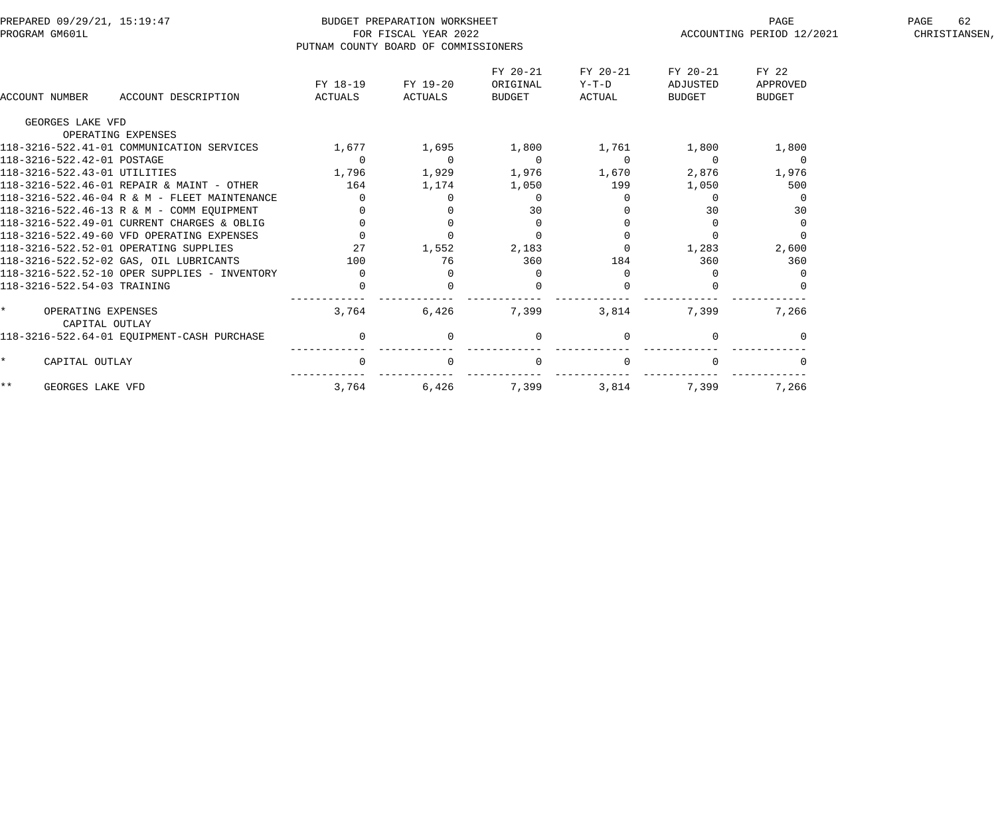| PREPARED 09/29/21, 15:19:47<br>PROGRAM GM601L |                                                |                     | BUDGET PREPARATION WORKSHEET<br>FOR FISCAL YEAR 2022 |                                |                               | PAGE<br>ACCOUNTING PERIOD 12/2021     |                                    | 62<br>PAGE<br>CHRISTIANSEN, |
|-----------------------------------------------|------------------------------------------------|---------------------|------------------------------------------------------|--------------------------------|-------------------------------|---------------------------------------|------------------------------------|-----------------------------|
|                                               |                                                |                     | PUTNAM COUNTY BOARD OF COMMISSIONERS                 |                                |                               |                                       |                                    |                             |
| ACCOUNT NUMBER                                | ACCOUNT DESCRIPTION                            | FY 18-19<br>ACTUALS | FY 19-20<br>ACTUALS                                  | FY 20-21<br>ORIGINAL<br>BUDGET | FY 20-21<br>$Y-T-D$<br>ACTUAL | FY 20-21<br>ADJUSTED<br><b>BUDGET</b> | FY 22<br>APPROVED<br><b>BUDGET</b> |                             |
| GEORGES LAKE VFD                              | OPERATING EXPENSES                             |                     |                                                      |                                |                               |                                       |                                    |                             |
|                                               | 118-3216-522.41-01 COMMUNICATION SERVICES      | 1,677               | 1,695                                                | 1,800                          | 1,761                         | 1,800                                 | 1,800                              |                             |
| 118-3216-522.42-01 POSTAGE                    |                                                | $\mathbf 0$         | $\overline{0}$                                       | $\overline{0}$                 | $\Omega$                      | $\overline{0}$                        | $\overline{0}$                     |                             |
| 118-3216-522.43-01 UTILITIES                  |                                                | 1,796               | 1,929                                                | 1,976                          | 1,670                         | 2,876                                 | 1,976                              |                             |
|                                               | 118-3216-522.46-01 REPAIR & MAINT - OTHER      | 164                 | 1,174                                                | 1,050                          | 199                           | 1,050                                 | 500                                |                             |
|                                               | $118-3216-522.46-04$ R & M - FLEET MAINTENANCE | $\Omega$            | $\Omega$                                             | $\overline{0}$                 |                               |                                       |                                    |                             |
|                                               | 118-3216-522.46-13 R & M - COMM EOUIPMENT      |                     |                                                      | 30                             |                               | 30                                    | 30                                 |                             |
|                                               | 118-3216-522.49-01 CURRENT CHARGES & OBLIG     | $\mathbf 0$         | $\mathbf 0$                                          | $\overline{0}$                 |                               | $\Omega$                              |                                    |                             |
|                                               | 118-3216-522.49-60 VFD OPERATING EXPENSES      | $\Omega$            | $\Omega$                                             | $\Omega$                       |                               | $\Omega$                              |                                    |                             |
|                                               | 118-3216-522.52-01 OPERATING SUPPLIES          | 27                  | 1,552                                                | 2,183                          |                               | 1,283                                 | 2,600                              |                             |
|                                               | 118-3216-522.52-02 GAS, OIL LUBRICANTS         | 100                 | 76                                                   | 360                            | 184                           | 360                                   | 360                                |                             |
|                                               | 118-3216-522.52-10 OPER SUPPLIES - INVENTORY   | $\Omega$            |                                                      | $\Omega$                       |                               |                                       |                                    |                             |
| 118-3216-522.54-03 TRAINING                   |                                                | $\Omega$            |                                                      |                                |                               |                                       |                                    |                             |
| OPERATING EXPENSES                            | CAPITAL OUTLAY                                 | 3,764               | 6,426                                                | 7,399                          | 3,814                         | 7,399                                 | 7,266                              |                             |
|                                               | 118-3216-522.64-01 EQUIPMENT-CASH PURCHASE     | $\overline{0}$      | $\Omega$                                             | $\mathbf{0}$                   |                               | $\Omega$                              |                                    |                             |
| CAPITAL OUTLAY<br>$\star$                     |                                                | $\Omega$            |                                                      | $\Omega$                       |                               |                                       |                                    |                             |
| $\star\star$<br>GEORGES LAKE VFD              |                                                | 3,764               | 6,426                                                | 7,399                          | 3,814                         | 7,399                                 | 7,266                              |                             |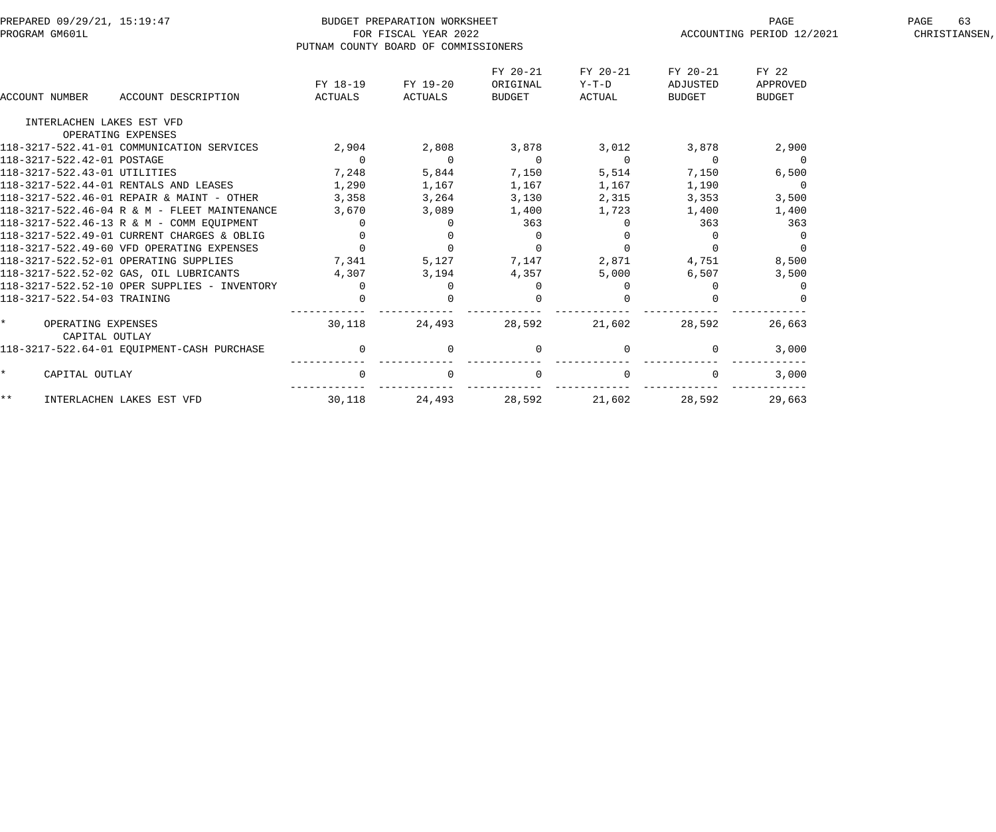| PREPARED 09/29/21, 15:19:47                  |                | BUDGET PREPARATION WORKSHEET         |                |          |                | PAGE                      | 63<br>PAGE    |
|----------------------------------------------|----------------|--------------------------------------|----------------|----------|----------------|---------------------------|---------------|
| PROGRAM GM601L                               |                | FOR FISCAL YEAR 2022                 |                |          |                | ACCOUNTING PERIOD 12/2021 | CHRISTIANSEN, |
|                                              |                | PUTNAM COUNTY BOARD OF COMMISSIONERS |                |          |                |                           |               |
|                                              |                |                                      | FY 20-21       | FY 20-21 | FY 20-21       | FY 22                     |               |
|                                              | FY 18-19       | FY 19-20                             | ORIGINAL       | Y-T-D    | ADJUSTED       | APPROVED                  |               |
| <b>ACCOUNT NUMBER</b><br>ACCOUNT DESCRIPTION | ACTUALS        | ACTUALS                              | BUDGET         | ACTUAL   | <b>BUDGET</b>  | <b>BUDGET</b>             |               |
| INTERLACHEN LAKES EST VFD                    |                |                                      |                |          |                |                           |               |
| OPERATING EXPENSES                           |                |                                      |                |          |                |                           |               |
| 118-3217-522.41-01 COMMUNICATION SERVICES    | 2,904          | 2,808                                | 3,878          | 3,012    | 3,878          | 2,900                     |               |
| 118-3217-522.42-01 POSTAGE                   | $\mathbf 0$    | $\overline{0}$                       | $\overline{0}$ | $\Omega$ | $\overline{0}$ | $\overline{0}$            |               |
| 118-3217-522.43-01 UTILITIES                 | 7,248          | 5,844                                | 7,150          | 5,514    | 7,150          | 6,500                     |               |
| 118-3217-522.44-01 RENTALS AND LEASES        | 1,290          | 1,167                                | 1,167          | 1,167    | 1,190          | $\overline{0}$            |               |
| 118-3217-522.46-01 REPAIR & MAINT - OTHER    | 3,358          | 3,264                                | 3,130          | 2,315    | 3,353          | 3,500                     |               |
| 118-3217-522.46-04 R & M - FLEET MAINTENANCE | 3,670          | 3,089                                | 1,400          | 1,723    | 1,400          | 1,400                     |               |
| 118-3217-522.46-13 R & M - COMM EOUIPMENT    | $\mathbf 0$    | $\mathbf{0}$                         | 363            |          | 363            | 363                       |               |
| 118-3217-522.49-01 CURRENT CHARGES & OBLIG   | $\overline{0}$ | 0                                    | $\overline{0}$ |          | 0              | $\Omega$                  |               |
| 118-3217-522.49-60 VFD OPERATING EXPENSES    | $\Omega$       | $\Omega$                             | $\Omega$       |          | - 0            |                           |               |
| 118-3217-522.52-01 OPERATING SUPPLIES        | 7,341          | 5,127                                | 7,147          | 2,871    | 4,751          | 8,500                     |               |
| 118-3217-522.52-02 GAS, OIL LUBRICANTS       | 4,307          | 3,194                                | 4,357          | 5,000    | 6,507          | 3,500                     |               |
| 118-3217-522.52-10 OPER SUPPLIES - INVENTORY | $\overline{0}$ | $\mathbf{0}$                         | 0              |          |                |                           |               |
| 118-3217-522.54-03 TRAINING                  | $\mathbf 0$    |                                      |                |          |                |                           |               |
| OPERATING EXPENSES<br>CAPITAL OUTLAY         | 30,118         | 24,493                               | 28,592         | 21,602   | 28,592         | 26,663                    |               |
| 118-3217-522.64-01 EOUIPMENT-CASH PURCHASE   | $\mathbf 0$    | $\mathbf{0}$                         | $\overline{0}$ |          | 0              | 3,000                     |               |
| CAPITAL OUTLAY<br>$\star$                    | $\mathbf 0$    |                                      | $\mathbf 0$    |          |                | 3,000                     |               |
| $\star\star$<br>INTERLACHEN LAKES EST VFD    | 30,118         | 24,493                               | 28,592         | 21,602   | 28,592         | 29,663                    |               |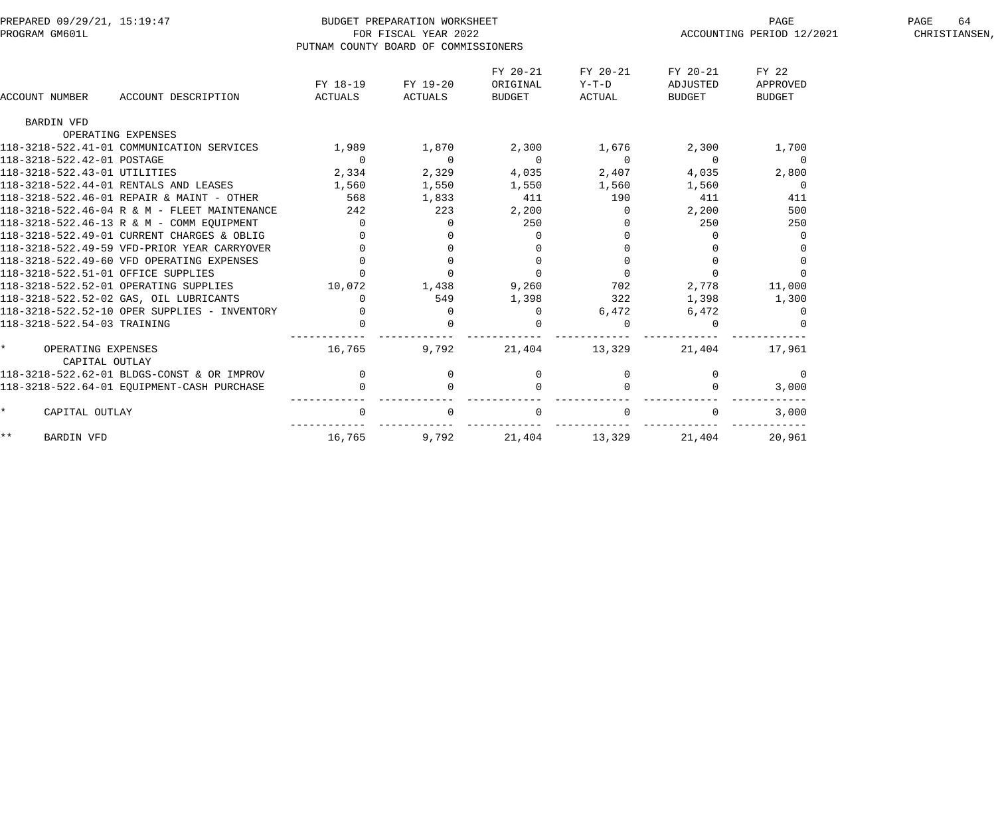| PREPARED 09/29/21, 15:19:47            |                                              |                                      | BUDGET PREPARATION WORKSHEET |             |                |                           | PAGE           | 64<br>PAGE |
|----------------------------------------|----------------------------------------------|--------------------------------------|------------------------------|-------------|----------------|---------------------------|----------------|------------|
| PROGRAM GM601L                         |                                              |                                      | FOR FISCAL YEAR 2022         |             |                | ACCOUNTING PERIOD 12/2021 | CHRISTIANSEN,  |            |
|                                        |                                              | PUTNAM COUNTY BOARD OF COMMISSIONERS |                              |             |                |                           |                |            |
|                                        |                                              |                                      |                              | FY 20-21    | FY 20-21       | FY 20-21                  | FY 22          |            |
|                                        |                                              | FY 18-19                             | FY 19-20                     | ORIGINAL    | Y-T-D          | ADJUSTED                  | APPROVED       |            |
| ACCOUNT NUMBER                         | ACCOUNT DESCRIPTION                          | ACTUALS                              | ACTUALS                      | BUDGET      | ACTUAL         | BUDGET                    | <b>BUDGET</b>  |            |
| BARDIN VFD                             |                                              |                                      |                              |             |                |                           |                |            |
| OPERATING EXPENSES                     |                                              |                                      |                              |             |                |                           |                |            |
|                                        | 118-3218-522.41-01 COMMUNICATION SERVICES    | 1,989                                | 1,870                        | 2,300       | 1,676          | 2,300                     | 1,700          |            |
| 118-3218-522.42-01 POSTAGE             |                                              | $\overline{0}$                       | $\overline{0}$               | $\Omega$    | $\overline{0}$ | $\overline{0}$            | $\overline{0}$ |            |
| 118-3218-522.43-01 UTILITIES           |                                              | 2,334                                | 2,329                        | 4,035       | 2,407          | 4,035                     | 2,800          |            |
| 118-3218-522.44-01 RENTALS AND LEASES  |                                              | 1,560                                | 1,550                        | 1,550       | 1,560          | 1,560                     | $\mathbf 0$    |            |
|                                        | 118-3218-522.46-01 REPAIR & MAINT - OTHER    | 568                                  | 1,833                        | 411         | 190            | 411                       | 411            |            |
|                                        | 118-3218-522.46-04 R & M - FLEET MAINTENANCE | 242                                  | 223                          | 2,200       | 0              | 2,200                     | 500            |            |
|                                        | 118-3218-522.46-13 R & M - COMM EQUIPMENT    | $\Omega$                             | $\Omega$                     | 250         |                | 250                       | 250            |            |
|                                        | 118-3218-522.49-01 CURRENT CHARGES & OBLIG   |                                      |                              | 0           |                | $\Omega$                  |                |            |
|                                        | 118-3218-522.49-59 VFD-PRIOR YEAR CARRYOVER  |                                      |                              | $\Omega$    |                |                           |                |            |
|                                        | 118-3218-522.49-60 VFD OPERATING EXPENSES    |                                      |                              | $\mathbf 0$ |                |                           |                |            |
| 118-3218-522.51-01 OFFICE SUPPLIES     |                                              | $\mathbf 0$                          |                              | $\mathbf 0$ |                | $\overline{0}$            |                |            |
| 118-3218-522.52-01 OPERATING SUPPLIES  |                                              | 10,072                               | 1,438                        | 9,260       | 702            | 2,778                     | 11,000         |            |
| 118-3218-522.52-02 GAS, OIL LUBRICANTS |                                              | $\Omega$                             | 549                          | 1,398       | 322            | 1,398                     | 1,300          |            |
|                                        | 118-3218-522.52-10 OPER SUPPLIES - INVENTORY | $\Omega$                             |                              | 0           | 6,472          | 6,472                     |                |            |
| 118-3218-522.54-03 TRAINING            |                                              |                                      |                              | $\Omega$    |                | $\Omega$                  |                |            |
| OPERATING EXPENSES                     |                                              | 16,765                               | 9,792                        | 21,404      | 13,329         | 21,404                    | 17,961         |            |
| CAPITAL OUTLAY                         |                                              |                                      |                              |             |                |                           |                |            |
|                                        | 118-3218-522.62-01 BLDGS-CONST & OR IMPROV   | $\mathbf 0$                          | 0                            | 0           |                | $\mathbf{0}$              | $\mathbf 0$    |            |
|                                        | 118-3218-522.64-01 EQUIPMENT-CASH PURCHASE   |                                      |                              | $\Omega$    |                |                           | 3,000          |            |
| $\star$<br>CAPITAL OUTLAY              |                                              | 0                                    |                              |             |                |                           | 3,000          |            |
| $\star \star$<br><b>BARDIN VFD</b>     |                                              | 16,765                               | 9,792                        | 21,404      | 13,329         | 21,404                    | 20,961         |            |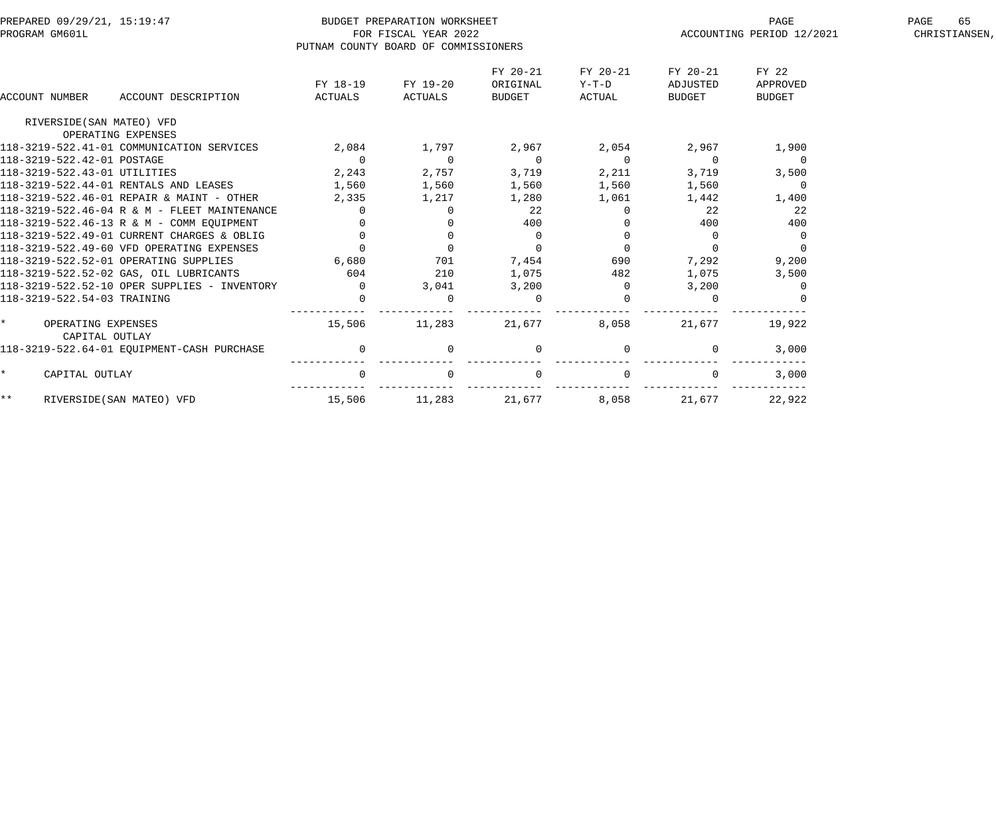| PREPARED 09/29/21, 15:19:47                          |                                      | BUDGET PREPARATION WORKSHEET |                |          |                | PAGE                      | 65<br>PAGE    |
|------------------------------------------------------|--------------------------------------|------------------------------|----------------|----------|----------------|---------------------------|---------------|
| PROGRAM GM601L                                       |                                      | FOR FISCAL YEAR 2022         |                |          |                | ACCOUNTING PERIOD 12/2021 | CHRISTIANSEN, |
|                                                      | PUTNAM COUNTY BOARD OF COMMISSIONERS |                              |                |          |                |                           |               |
|                                                      |                                      |                              | FY 20-21       | FY 20-21 | FY 20-21       | FY 22                     |               |
|                                                      | FY 18-19                             | FY 19-20                     | ORIGINAL       | Y-T-D    | ADJUSTED       | APPROVED                  |               |
| ACCOUNT NUMBER<br>ACCOUNT DESCRIPTION                | ACTUALS                              | ACTUALS                      | BUDGET         | ACTUAL   | <b>BUDGET</b>  | <b>BUDGET</b>             |               |
| RIVERSIDE (SAN MATEO) VFD                            |                                      |                              |                |          |                |                           |               |
| OPERATING EXPENSES                                   |                                      |                              |                |          |                |                           |               |
| 118-3219-522.41-01 COMMUNICATION SERVICES            | 2,084                                | 1,797                        | 2,967          | 2,054    | 2,967          | 1,900                     |               |
| 118-3219-522.42-01 POSTAGE                           | $\overline{0}$                       | $\overline{0}$               | $\overline{0}$ | $\Omega$ | $\overline{0}$ | $\Omega$                  |               |
| 118-3219-522.43-01 UTILITIES                         | 2,243                                | 2,757                        | 3,719          | 2,211    | 3,719          | 3,500                     |               |
| 118-3219-522.44-01 RENTALS AND LEASES                | 1,560                                | 1,560                        | 1,560          | 1,560    | 1,560          | $\overline{0}$            |               |
| 118-3219-522.46-01 REPAIR & MAINT - OTHER            | 2,335                                | 1,217                        | 1,280          | 1,061    | 1,442          | 1,400                     |               |
| 118-3219-522.46-04 R & M - FLEET MAINTENANCE         | $\Omega$                             | $\Omega$                     | 22             |          | 22             | 22                        |               |
| 118-3219-522.46-13 R & M - COMM EOUIPMENT            | $\mathbf 0$                          |                              | 400            |          | 400            | 400                       |               |
| 118-3219-522.49-01 CURRENT CHARGES & OBLIG           | $\Omega$                             | $\mathbf 0$                  | $\overline{0}$ |          | $\overline{0}$ | 0                         |               |
| 118-3219-522.49-60 VFD OPERATING EXPENSES            | $\Omega$                             | $\Omega$                     | $\Omega$       |          |                |                           |               |
| 118-3219-522.52-01 OPERATING SUPPLIES                | 6,680                                | 701                          | 7,454          | 690      | 7,292          | 9,200                     |               |
| 118-3219-522.52-02 GAS, OIL LUBRICANTS               | 604                                  | 210                          | 1,075          | 482      | 1,075          | 3,500                     |               |
| $118 - 3219 - 522.52 - 10$ OPER SUPPLIES - INVENTORY | $\overline{0}$                       | 3,041                        | 3,200          |          | 3,200          |                           |               |
| 118-3219-522.54-03 TRAINING                          | $\Omega$                             |                              | $\mathbf{0}$   |          |                |                           |               |
| OPERATING EXPENSES<br>CAPITAL OUTLAY                 | 15,506                               | 11,283                       | 21,677         | 8,058    | 21,677         | 19,922                    |               |
| 118-3219-522.64-01 EOUIPMENT-CASH PURCHASE           | $\mathbf 0$                          | $\Omega$                     | $\mathbf{0}$   |          | 0              | 3,000                     |               |
| $\star$<br>CAPITAL OUTLAY                            | $\mathbf 0$                          |                              | $\mathsf{O}$   |          |                | 3,000                     |               |
| $\star\star$<br>RIVERSIDE (SAN MATEO) VFD            | 15,506                               | 11,283                       | 21,677         | 8,058    | 21,677         | 22,922                    |               |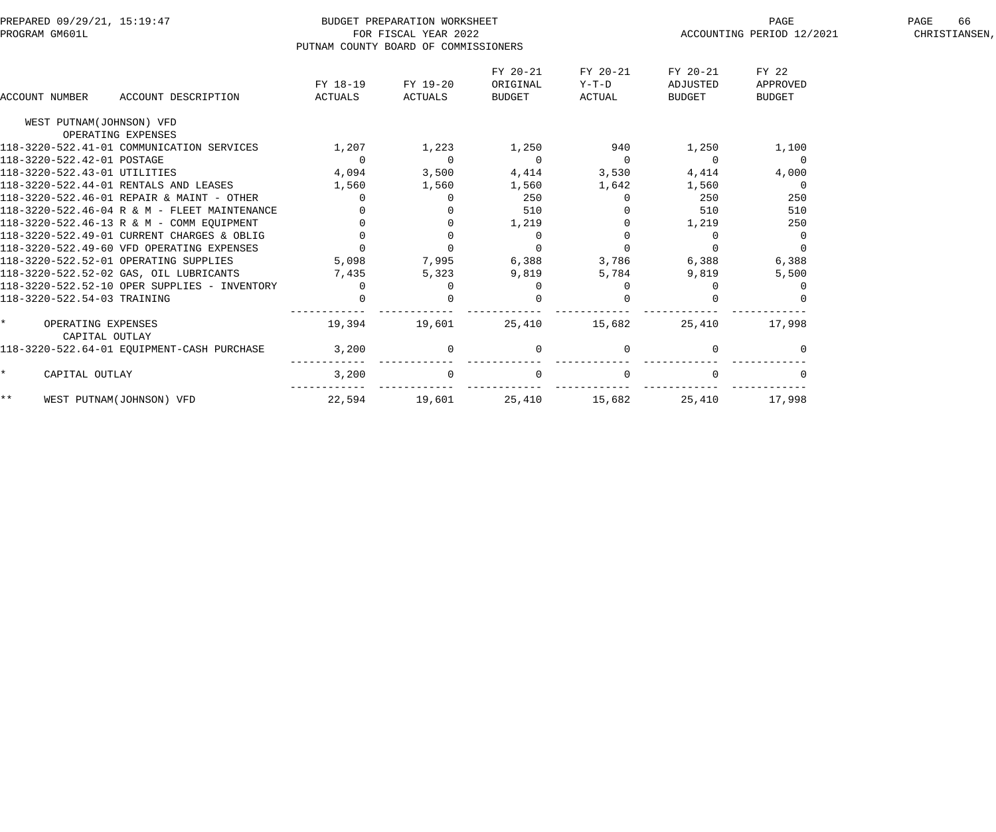| PREPARED 09/29/21, 15:19:47<br>PROGRAM GM601L        |                | BUDGET PREPARATION WORKSHEET<br>FOR FISCAL YEAR 2022 |                |          |               | PAGE<br>ACCOUNTING PERIOD 12/2021 | 66<br>PAGE<br>CHRISTIANSEN, |
|------------------------------------------------------|----------------|------------------------------------------------------|----------------|----------|---------------|-----------------------------------|-----------------------------|
|                                                      |                | PUTNAM COUNTY BOARD OF COMMISSIONERS                 |                |          |               |                                   |                             |
|                                                      |                |                                                      | FY 20-21       | FY 20-21 | FY 20-21      | FY 22                             |                             |
|                                                      | FY 18-19       | FY 19-20                                             | ORIGINAL       | Y-T-D    | ADJUSTED      | APPROVED                          |                             |
| ACCOUNT DESCRIPTION<br>ACCOUNT NUMBER                | ACTUALS        | ACTUALS                                              | BUDGET         | ACTUAL   | <b>BUDGET</b> | <b>BUDGET</b>                     |                             |
| WEST PUTNAM(JOHNSON) VFD                             |                |                                                      |                |          |               |                                   |                             |
| OPERATING EXPENSES                                   |                |                                                      |                |          |               |                                   |                             |
| 118-3220-522.41-01 COMMUNICATION SERVICES            | 1,207          | 1,223                                                | 1,250          | 940      | 1,250         | 1,100                             |                             |
| 118-3220-522.42-01 POSTAGE                           | $\overline{0}$ | $\overline{0}$                                       | $\overline{0}$ | $\Omega$ | $\Omega$      | $\overline{0}$                    |                             |
| 118-3220-522.43-01 UTILITIES                         | 4,094          | 3,500                                                | 4,414          | 3,530    | 4,414         | 4,000                             |                             |
| 118-3220-522.44-01 RENTALS AND LEASES                | 1,560          | 1,560                                                | 1,560          | 1,642    | 1,560         | $\overline{0}$                    |                             |
| 118-3220-522.46-01 REPAIR & MAINT - OTHER            | $\mathbf{0}$   | 0                                                    | 250            |          | 250           | 250                               |                             |
| 118-3220-522.46-04 R & M - FLEET MAINTENANCE         |                |                                                      | 510            |          | 510           | 510                               |                             |
| 118-3220-522.46-13 R & M - COMM EQUIPMENT            | $\overline{0}$ | $\mathbf{0}$                                         | 1,219          |          | 1,219         | 250                               |                             |
| 118-3220-522.49-01 CURRENT CHARGES & OBLIG           | $\Omega$       | $\Omega$                                             | $\Omega$       |          | $\Omega$      | $\Omega$                          |                             |
| 118-3220-522.49-60 VFD OPERATING EXPENSES            | $\Omega$       | $\Omega$                                             | $\overline{0}$ |          |               |                                   |                             |
| 118-3220-522.52-01 OPERATING SUPPLIES                | 5,098          | 7,995                                                | 6,388          | 3,786    | 6,388         | 6,388                             |                             |
| 118-3220-522.52-02 GAS, OIL LUBRICANTS               | 7,435          | 5,323                                                | 9,819          | 5,784    | 9,819         | 5,500                             |                             |
| $118 - 3220 - 522.52 - 10$ OPER SUPPLIES - INVENTORY | $\Omega$       | $\Omega$                                             | $\Omega$       |          |               |                                   |                             |
| 118-3220-522.54-03 TRAINING                          | $\mathbf 0$    |                                                      |                |          |               |                                   |                             |
| OPERATING EXPENSES<br>CAPITAL OUTLAY                 | 19,394         | 19,601                                               | 25,410         | 15,682   | 25,410        | 17,998                            |                             |
| 118-3220-522.64-01 EQUIPMENT-CASH PURCHASE           | 3,200          | $\mathbf 0$                                          | $\mathbf{0}$   |          |               |                                   |                             |
| CAPITAL OUTLAY<br>$\star$                            | 3,200          |                                                      | $\mathbf 0$    |          |               |                                   |                             |
| $***$<br>WEST PUTNAM(JOHNSON) VFD                    | 22,594         | 19,601                                               | 25,410         | 15,682   | 25,410        | 17,998                            |                             |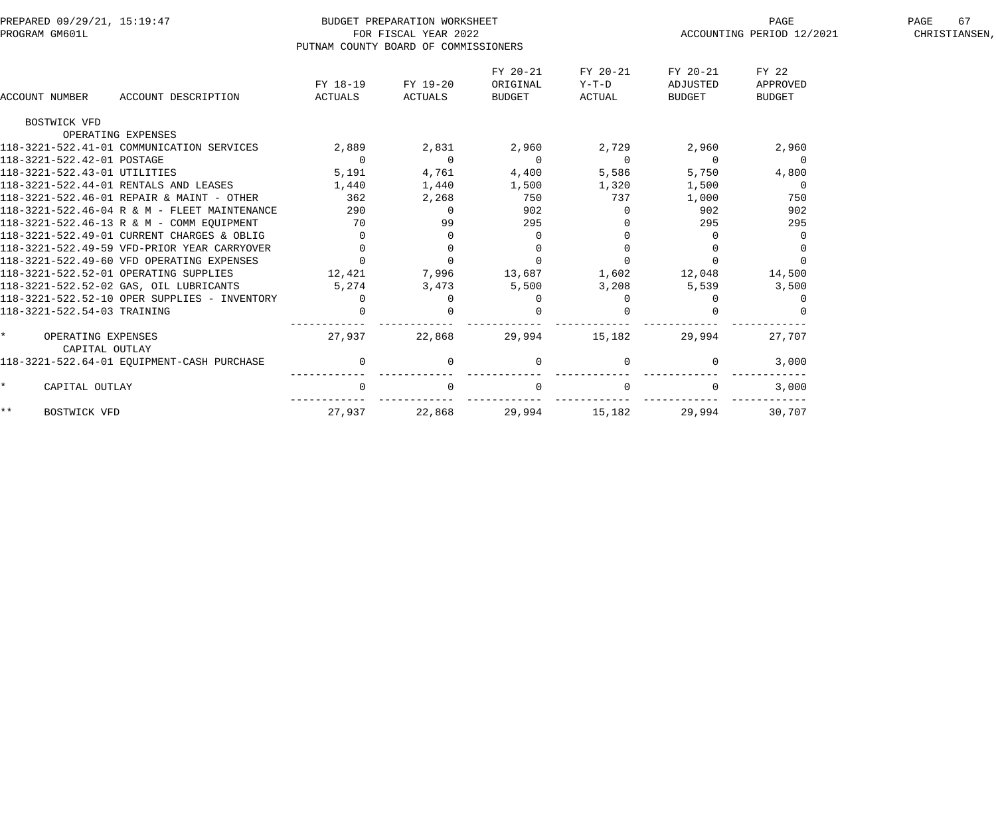| PREPARED 09/29/21, 15:19:47<br>PROGRAM GM601L | PUTNAM COUNTY BOARD OF COMMISSIONERS | BUDGET PREPARATION WORKSHEET<br>FOR FISCAL YEAR 2022 |                                |                             |                                | PAGE<br>ACCOUNTING PERIOD 12/2021  | PAGE<br>67<br>CHRISTIANSEN, |
|-----------------------------------------------|--------------------------------------|------------------------------------------------------|--------------------------------|-----------------------------|--------------------------------|------------------------------------|-----------------------------|
| ACCOUNT NUMBER<br>ACCOUNT DESCRIPTION         | FY 18-19<br>ACTUALS                  | FY 19-20<br>ACTUALS                                  | FY 20-21<br>ORIGINAL<br>BUDGET | FY 20-21<br>Y-T-D<br>ACTUAL | FY 20-21<br>ADJUSTED<br>BUDGET | FY 22<br>APPROVED<br><b>BUDGET</b> |                             |
| BOSTWICK VFD                                  |                                      |                                                      |                                |                             |                                |                                    |                             |
| OPERATING EXPENSES                            |                                      |                                                      |                                |                             |                                |                                    |                             |
| 118-3221-522.41-01 COMMUNICATION SERVICES     | 2,889                                | 2,831                                                | 2,960                          | 2,729                       | 2,960                          | 2,960                              |                             |
| 118-3221-522.42-01 POSTAGE                    | $\Omega$                             | $\Omega$                                             | $\Omega$                       | $\Omega$                    | $\Omega$                       | $\Omega$                           |                             |
| 118-3221-522.43-01 UTILITIES                  | 5,191                                | 4,761                                                | 4,400                          | 5,586                       | 5,750                          | 4,800                              |                             |
| 118-3221-522.44-01 RENTALS AND LEASES         | 1,440                                | 1,440                                                | 1,500                          | 1,320                       | 1,500                          | $\overline{0}$                     |                             |
| 118-3221-522.46-01 REPAIR & MAINT - OTHER     | 362                                  | 2,268                                                | 750                            | 737                         | 1,000                          | 750                                |                             |
| 118-3221-522.46-04 R & M - FLEET MAINTENANCE  | 290                                  | $\Omega$                                             | 902                            |                             | 902                            | 902                                |                             |
| 118-3221-522.46-13 R & M - COMM EOUIPMENT     | 70                                   | 99                                                   | 295                            |                             | 295                            | 295                                |                             |
| 118-3221-522.49-01 CURRENT CHARGES & OBLIG    | $\mathbf 0$                          |                                                      | 0                              |                             | $\overline{0}$                 |                                    |                             |
| 118-3221-522.49-59 VFD-PRIOR YEAR CARRYOVER   | $\Omega$                             | $\Omega$                                             |                                |                             | $\Omega$                       |                                    |                             |
| 118-3221-522.49-60 VFD OPERATING EXPENSES     | $\Omega$                             |                                                      | $\Omega$                       |                             |                                |                                    |                             |
| 118-3221-522.52-01 OPERATING SUPPLIES         | 12,421                               | 7,996                                                | 13,687                         | 1,602                       | 12,048                         | 14,500                             |                             |
| 118-3221-522.52-02 GAS, OIL LUBRICANTS        | 5,274                                | 3,473                                                | 5,500                          | 3,208                       | 5,539                          | 3,500                              |                             |
| 118-3221-522.52-10 OPER SUPPLIES - INVENTORY  | $\Omega$                             |                                                      |                                |                             |                                |                                    |                             |
| 118-3221-522.54-03 TRAINING                   |                                      |                                                      |                                |                             |                                |                                    |                             |
| OPERATING EXPENSES<br>CAPITAL OUTLAY          | 27,937                               | 22,868                                               | 29,994                         | 15,182                      | 29,994                         | 27,707                             |                             |
| 118-3221-522.64-01 EQUIPMENT-CASH PURCHASE    | $\overline{0}$                       |                                                      | $\mathbf{0}$                   |                             | $\Omega$                       | 3,000                              |                             |
| $\star$<br>CAPITAL OUTLAY                     |                                      |                                                      |                                |                             |                                | 3,000                              |                             |
| $***$<br>BOSTWICK VFD                         | 27,937                               | 22,868                                               | 29,994                         | 15,182                      | 29,994                         | 30,707                             |                             |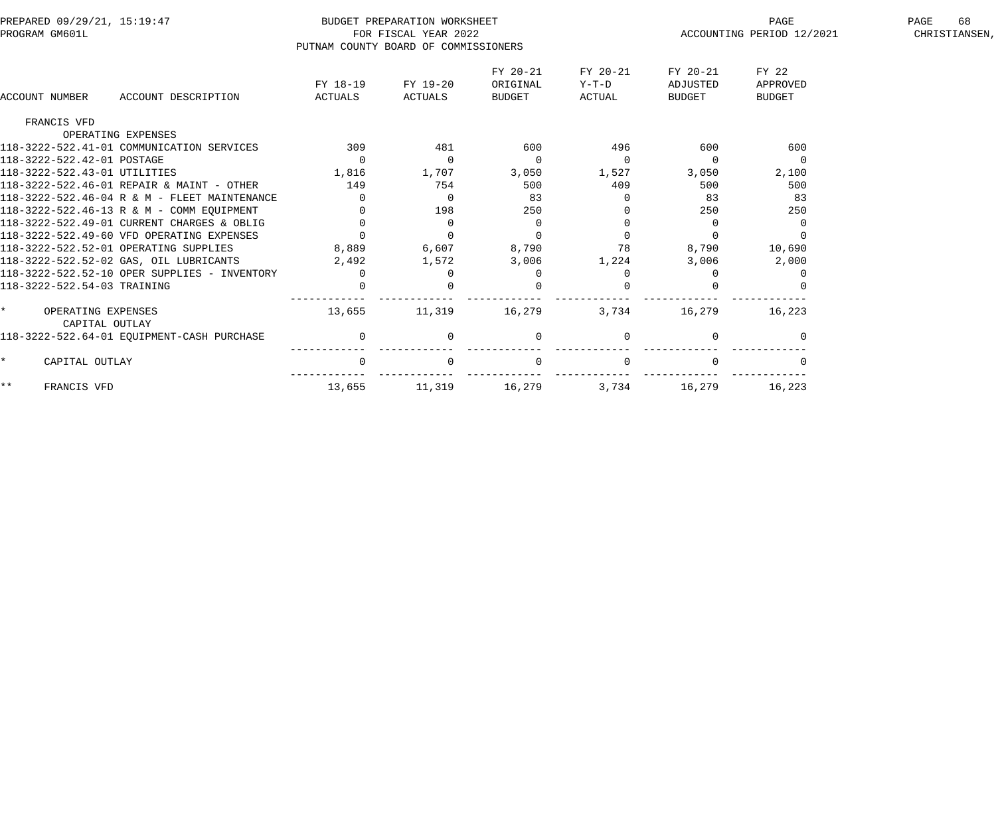| PREPARED 09/29/21, 15:19:47<br>PROGRAM GM601L   | PUTNAM COUNTY BOARD OF COMMISSIONERS | BUDGET PREPARATION WORKSHEET<br>FOR FISCAL YEAR 2022 |                                |                             |                                | PAGE<br>ACCOUNTING PERIOD 12/2021  | 68<br>PAGE<br>CHRISTIANSEN, |
|-------------------------------------------------|--------------------------------------|------------------------------------------------------|--------------------------------|-----------------------------|--------------------------------|------------------------------------|-----------------------------|
| ACCOUNT NUMBER<br>ACCOUNT DESCRIPTION           | FY 18-19<br>ACTUALS                  | FY 19-20<br>ACTUALS                                  | FY 20-21<br>ORIGINAL<br>BUDGET | FY 20-21<br>Y-T-D<br>ACTUAL | FY 20-21<br>ADJUSTED<br>BUDGET | FY 22<br>APPROVED<br><b>BUDGET</b> |                             |
| FRANCIS VFD                                     |                                      |                                                      |                                |                             |                                |                                    |                             |
| OPERATING EXPENSES                              |                                      |                                                      |                                |                             |                                |                                    |                             |
| 118-3222-522.41-01 COMMUNICATION SERVICES       | 309                                  | 481                                                  | 600                            | 496                         | 600                            | 600                                |                             |
| 118-3222-522.42-01 POSTAGE                      | $\overline{0}$                       | $\overline{0}$                                       | $\overline{0}$                 | $\mathbf{0}$                | $\overline{0}$                 | $\overline{0}$                     |                             |
| 118-3222-522.43-01 UTILITIES                    | 1,816                                | 1,707                                                | 3,050                          | 1,527                       | 3,050                          | 2,100                              |                             |
| 118-3222-522.46-01 REPAIR & MAINT - OTHER       | 149                                  | 754                                                  | 500                            | 409                         | 500                            | 500                                |                             |
| 118-3222-522.46-04 R & M - FLEET MAINTENANCE    | $\Omega$                             | $\Omega$                                             | 83                             | $\Omega$                    | 83                             | 83                                 |                             |
| 118-3222-522.46-13 R & M - COMM EQUIPMENT       |                                      | 198                                                  | 250                            |                             | 250                            | 250                                |                             |
| 118-3222-522.49-01 CURRENT CHARGES & OBLIG      |                                      | $\Omega$                                             | $\overline{0}$                 |                             | 0                              |                                    |                             |
| 118-3222-522.49-60 VFD OPERATING EXPENSES       | $\Omega$                             | $\Omega$                                             | $\Omega$                       | $\Omega$                    |                                |                                    |                             |
| 118-3222-522.52-01 OPERATING SUPPLIES           | 8,889                                | 6,607                                                | 8,790                          | 78                          | 8,790                          | 10,690                             |                             |
| 118-3222-522.52-02 GAS, OIL LUBRICANTS          | 2,492                                | 1,572                                                | 3,006                          | 1,224                       | 3,006                          | 2,000                              |                             |
| 118-3222-522.52-10 OPER SUPPLIES - INVENTORY    | $\mathbf 0$                          |                                                      | 0                              |                             |                                |                                    |                             |
| 118-3222-522.54-03 TRAINING                     |                                      |                                                      | $\Omega$                       |                             |                                |                                    |                             |
| $\star$<br>OPERATING EXPENSES<br>CAPITAL OUTLAY | 13,655                               | 11,319                                               | 16,279                         | 3,734                       | 16,279                         | 16,223                             |                             |
| 118-3222-522.64-01 EQUIPMENT-CASH PURCHASE      | $\mathsf 0$                          | $\overline{0}$                                       | $\mathbf 0$                    |                             | $\Omega$                       |                                    |                             |
| $\star$<br>CAPITAL OUTLAY                       | $\Omega$                             | $\Omega$                                             | $\overline{0}$                 | $\Omega$                    |                                |                                    |                             |
| $***$<br>FRANCIS VFD                            | 13,655                               | 11,319                                               | 16,279                         | 3,734                       | 16,279                         | 16,223                             |                             |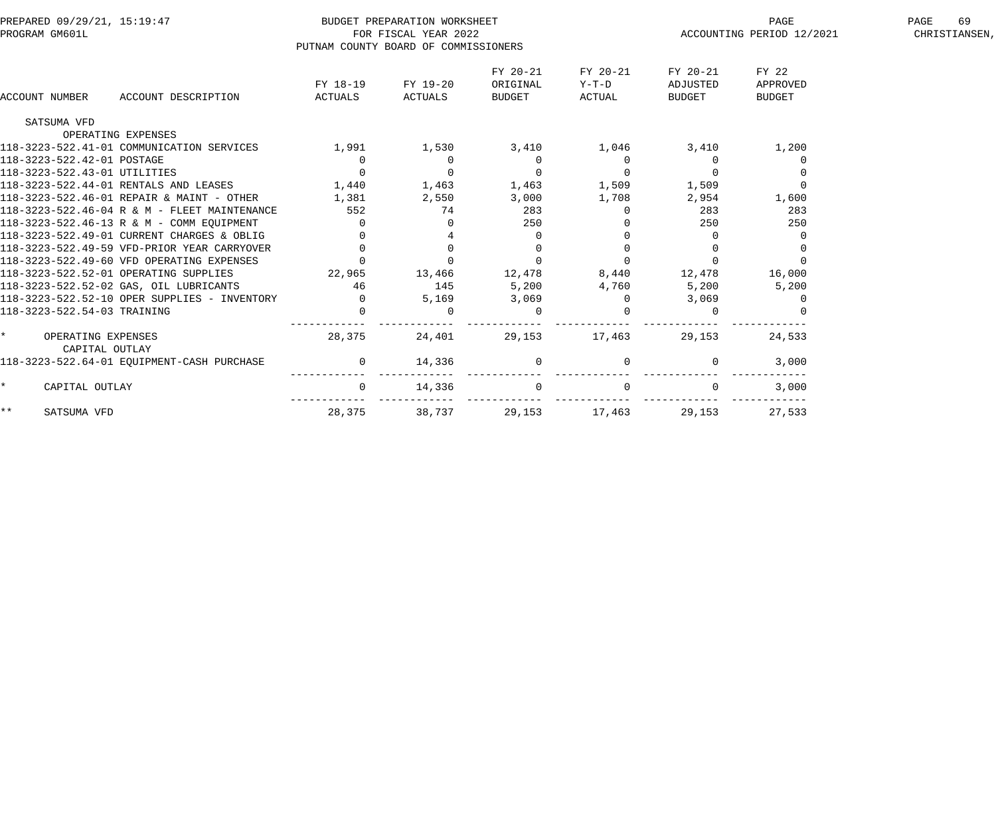| PREPARED 09/29/21, 15:19:47                  |                | BUDGET PREPARATION WORKSHEET         |                |          |              | PAGE                      | PAGE<br>69    |
|----------------------------------------------|----------------|--------------------------------------|----------------|----------|--------------|---------------------------|---------------|
| PROGRAM GM601L                               |                | FOR FISCAL YEAR 2022                 |                |          |              | ACCOUNTING PERIOD 12/2021 | CHRISTIANSEN, |
|                                              |                | PUTNAM COUNTY BOARD OF COMMISSIONERS |                |          |              |                           |               |
|                                              |                |                                      | FY 20-21       | FY 20-21 | FY 20-21     | FY 22                     |               |
|                                              | FY 18-19       | FY 19-20                             | ORIGINAL       | Y-T-D    | ADJUSTED     | APPROVED                  |               |
| <b>ACCOUNT NUMBER</b><br>ACCOUNT DESCRIPTION | ACTUALS        | ACTUALS                              | BUDGET         | ACTUAL   | BUDGET       | <b>BUDGET</b>             |               |
| SATSUMA VFD                                  |                |                                      |                |          |              |                           |               |
| OPERATING EXPENSES                           |                |                                      |                |          |              |                           |               |
| 118-3223-522.41-01 COMMUNICATION SERVICES    | 1,991          | 1,530                                | 3,410          | 1,046    | 3,410        | 1,200                     |               |
| 118-3223-522.42-01 POSTAGE                   | $\Omega$       | $\overline{0}$                       | $\mathbf{0}$   | $\Omega$ | $\Omega$     | $\Omega$                  |               |
| 118-3223-522.43-01 UTILITIES                 |                | $\Omega$                             | $\Omega$       |          |              |                           |               |
| 118-3223-522.44-01 RENTALS AND LEASES        | 1,440          | 1,463                                | 1,463          | 1,509    | 1,509        | $\overline{0}$            |               |
| 118-3223-522.46-01 REPAIR & MAINT - OTHER    | 1,381          | 2,550                                | 3,000          | 1,708    | 2,954        | 1,600                     |               |
| 118-3223-522.46-04 R & M - FLEET MAINTENANCE | 552            | 74                                   | 283            |          | 283          | 283                       |               |
| 118-3223-522.46-13 R & M - COMM EQUIPMENT    | $\Omega$       |                                      | 250            |          | 250          | 250                       |               |
| 118-3223-522.49-01 CURRENT CHARGES & OBLIG   | $\overline{0}$ |                                      | 0              |          | $\Omega$     |                           |               |
| 118-3223-522.49-59 VFD-PRIOR YEAR CARRYOVER  |                |                                      |                |          | $\Omega$     |                           |               |
| 118-3223-522.49-60 VFD OPERATING EXPENSES    |                |                                      |                |          |              |                           |               |
| 118-3223-522.52-01 OPERATING SUPPLIES        | 22,965         | 13,466                               | 12,478         | 8,440    | 12,478       | 16,000                    |               |
| 118-3223-522.52-02 GAS, OIL LUBRICANTS       | 46             | 145                                  | 5,200          | 4,760    | 5,200        | 5,200                     |               |
| 118-3223-522.52-10 OPER SUPPLIES - INVENTORY | $\overline{0}$ | 5,169                                | 3,069          |          | 3,069        |                           |               |
| 118-3223-522.54-03 TRAINING                  |                |                                      | $\overline{0}$ |          |              |                           |               |
| $\star$<br>OPERATING EXPENSES                | 28,375         | 24,401                               | 29,153         | 17,463   | 29,153       | 24,533                    |               |
| CAPITAL OUTLAY                               |                |                                      |                |          |              |                           |               |
| 118-3223-522.64-01 EQUIPMENT-CASH PURCHASE   | $\mathbf{0}$   | 14,336                               | 0              |          | $\mathbf{0}$ | 3,000                     |               |
| $\star$<br>CAPITAL OUTLAY                    | $\mathbf{0}$   | 14,336                               | 0              |          |              | 3,000                     |               |
| $\star \star$<br>SATSUMA VFD                 | 28,375         | 38,737                               | 29,153         | 17,463   | 29,153       | 27,533                    |               |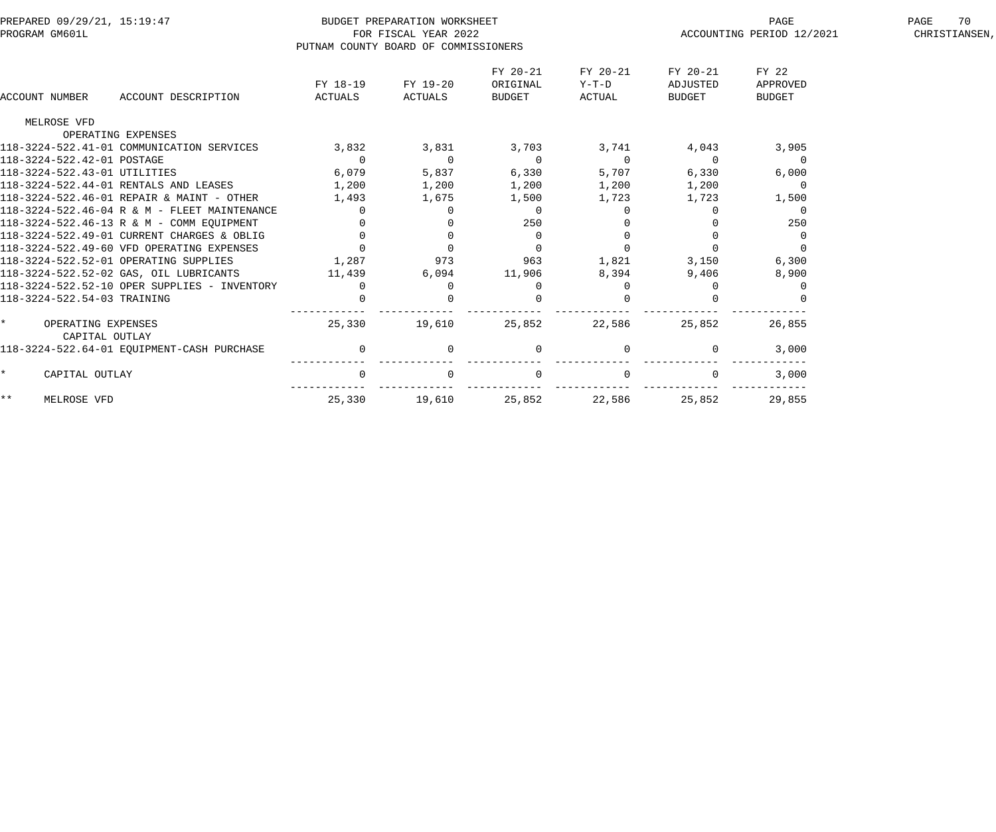| PREPARED 09/29/21, 15:19:47<br>PROGRAM GM601L   |                                      | BUDGET PREPARATION WORKSHEET<br>FOR FISCAL YEAR 2022 |                |          | PAGE                      | PAGE<br>70    |  |
|-------------------------------------------------|--------------------------------------|------------------------------------------------------|----------------|----------|---------------------------|---------------|--|
|                                                 | PUTNAM COUNTY BOARD OF COMMISSIONERS |                                                      |                |          | ACCOUNTING PERIOD 12/2021 | CHRISTIANSEN, |  |
|                                                 |                                      |                                                      |                |          |                           |               |  |
|                                                 |                                      |                                                      | FY 20-21       | FY 20-21 | FY 20-21                  | FY 22         |  |
|                                                 | FY 18-19                             | FY 19-20                                             | ORIGINAL       | Y-T-D    | ADJUSTED                  | APPROVED      |  |
| ACCOUNT NUMBER<br>ACCOUNT DESCRIPTION           | ACTUALS                              | ACTUALS                                              | BUDGET         | ACTUAL   | <b>BUDGET</b>             | BUDGET        |  |
| MELROSE VFD                                     |                                      |                                                      |                |          |                           |               |  |
| OPERATING EXPENSES                              |                                      |                                                      |                |          |                           |               |  |
| 118-3224-522.41-01 COMMUNICATION SERVICES       | 3,832                                | 3,831                                                | 3,703          | 3,741    | 4,043                     | 3,905         |  |
| 118-3224-522.42-01 POSTAGE                      | $\overline{0}$                       | $\overline{0}$                                       | $\overline{0}$ | $\Omega$ | $\Omega$                  | $\Omega$      |  |
| 118-3224-522.43-01 UTILITIES                    | 6,079                                | 5,837                                                | 6,330          | 5,707    | 6,330                     | 6,000         |  |
| 118-3224-522.44-01 RENTALS AND LEASES           | 1,200                                | 1,200                                                | 1,200          | 1,200    | 1,200                     | $\Omega$      |  |
| 118-3224-522.46-01 REPAIR & MAINT - OTHER       | 1,493                                | 1,675                                                | 1,500          | 1,723    | 1,723                     | 1,500         |  |
| 118-3224-522.46-04 R & M - FLEET MAINTENANCE    | $\Omega$                             | $\Omega$                                             | $\Omega$       |          |                           | $\Omega$      |  |
| 118-3224-522.46-13 R & M - COMM EOUIPMENT       | $\mathbf 0$                          |                                                      | 250            |          |                           | 250           |  |
| 118-3224-522.49-01 CURRENT CHARGES & OBLIG      | $\overline{0}$                       | $\mathbf 0$                                          | $\overline{0}$ |          |                           | 0             |  |
| 118-3224-522.49-60 VFD OPERATING EXPENSES       | $\Omega$                             | $\Omega$                                             | $\Omega$       |          |                           |               |  |
| 118-3224-522.52-01 OPERATING SUPPLIES           | 1,287                                | 973                                                  | 963            | 1,821    | 3,150                     | 6,300         |  |
| 118-3224-522.52-02 GAS, OIL LUBRICANTS          | 11,439                               | 6,094                                                | 11,906         | 8,394    | 9,406                     | 8,900         |  |
| 118-3224-522.52-10 OPER SUPPLIES - INVENTORY    | $\Omega$                             | $\Omega$                                             | $\Omega$       |          |                           |               |  |
| 118-3224-522.54-03 TRAINING                     |                                      |                                                      |                |          |                           |               |  |
| OPERATING EXPENSES<br>$\star$<br>CAPITAL OUTLAY | 25,330                               | 19,610                                               | 25,852         | 22,586   | 25,852                    | 26,855        |  |
| 118-3224-522.64-01 EOUIPMENT-CASH PURCHASE      | $\overline{0}$                       | $\Omega$                                             | $\overline{0}$ |          | $\Omega$                  | 3,000         |  |
| $\star$<br>CAPITAL OUTLAY                       | $\Omega$                             | $\mathbf 0$                                          | $\overline{0}$ |          |                           | 3,000         |  |
| $***$<br>MELROSE VFD                            | 25,330                               | 19,610                                               | 25,852         | 22,586   | 25,852                    | 29,855        |  |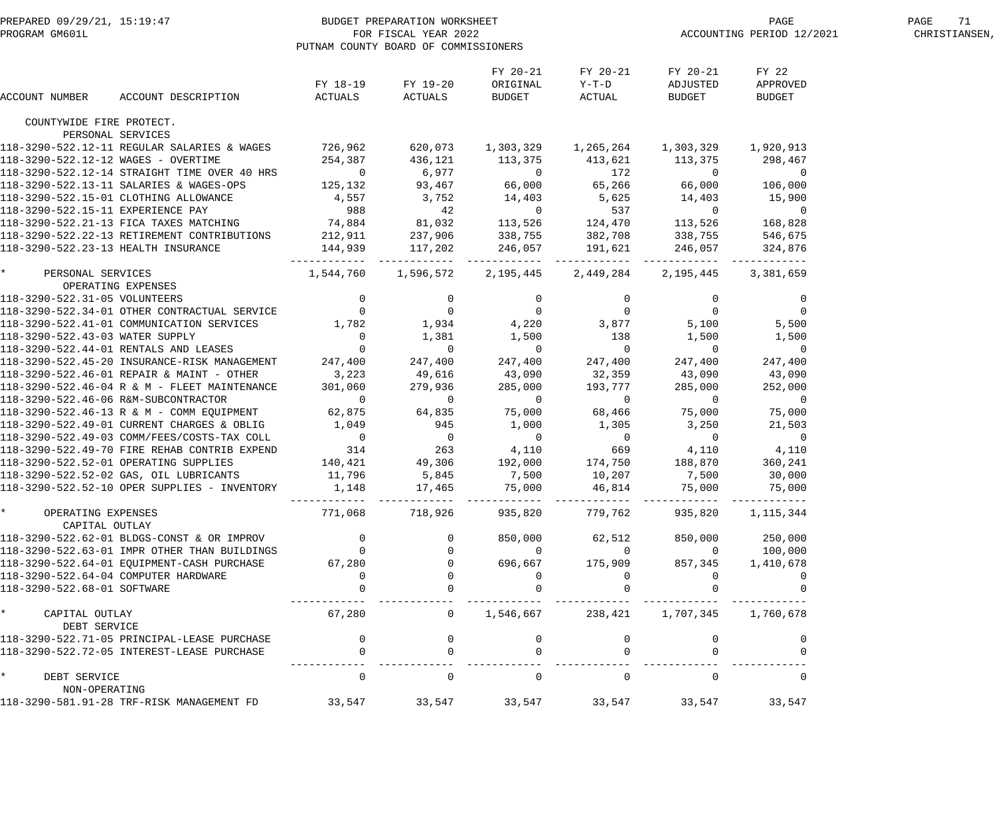|                                           | PREPARED 09/29/21, 15:19:47<br>PROGRAM GM601L PROGRAM COUNTY BOARD OF COMMISSION                                                                                                                                                                                                                                                                                                                                                                                                                                             | PUTNAM COUNTY BOARD OF COMMISSIONERS                             |                 |                                                                                                                     |                                         | PAGE PAGE PAGE PAGE PAGE                                 | 71<br>PAGE<br>CHRISTIANSEN, |  |
|-------------------------------------------|------------------------------------------------------------------------------------------------------------------------------------------------------------------------------------------------------------------------------------------------------------------------------------------------------------------------------------------------------------------------------------------------------------------------------------------------------------------------------------------------------------------------------|------------------------------------------------------------------|-----------------|---------------------------------------------------------------------------------------------------------------------|-----------------------------------------|----------------------------------------------------------|-----------------------------|--|
| ACCOUNT NUMBER                            | $\begin{minipage}{0.9\linewidth} ACCOUNT DESCRIPTION \end{minipage} \begin{minipage}{0.9\linewidth} ACTUALS \end{minipage} \begin{minipage}{0.9\linewidth} ACTUALS \end{minipage} \begin{minipage}{0.9\linewidth} DCTUALS \end{minipage} \begin{minipage}{0.9\linewidth} DCTUALS \end{minipage} \begin{minipage}{0.9\linewidth} DCTUALS \end{minipage} \begin{minipage}{0.9\linewidth} DCTUALS \end{minipage} \begin{minipage}{0.9\linewidth} DCTUALS \end{minipage} \begin{minipage}{0.9\linewidth} DCTUALS \end{minipage}$ | FY 18-19 FY 19-20                                                |                 | FY 20-21<br>ORIGINAL                                                                                                | FY 20-21<br>$Y-T-D$                     | FY 20-21<br>ADJUSTED<br><b>BUDGET</b>                    | FY 22<br>APPROVED<br>BUDGET |  |
| COUNTYWIDE FIRE PROTECT.                  |                                                                                                                                                                                                                                                                                                                                                                                                                                                                                                                              |                                                                  |                 |                                                                                                                     |                                         |                                                          |                             |  |
| PERSONAL SERVICES                         |                                                                                                                                                                                                                                                                                                                                                                                                                                                                                                                              |                                                                  |                 |                                                                                                                     |                                         |                                                          |                             |  |
|                                           | 118-3290-522.12-11 REGULAR SALARIES & WAGES 726,962 620,073 1,303,329 1,265,264 1,303,329 1,920,913                                                                                                                                                                                                                                                                                                                                                                                                                          |                                                                  |                 |                                                                                                                     |                                         |                                                          |                             |  |
|                                           | 118-3290-522.12-14 STRAIGHT TIME OVER 40 HRS<br>118-3290-522.12-14 STRAIGHT TIME OVER 40 HRS<br>118-3290-522.12-14 STRAIGHT TIME OVER 40 HRS<br>118-3290-522.12-14 STRAIGHT TIME OVER 40 HRS<br>118-3290-522.13-11 SALARIES & WAGES-OP                                                                                                                                                                                                                                                                                       |                                                                  |                 |                                                                                                                     |                                         |                                                          |                             |  |
|                                           |                                                                                                                                                                                                                                                                                                                                                                                                                                                                                                                              |                                                                  |                 |                                                                                                                     |                                         |                                                          |                             |  |
|                                           |                                                                                                                                                                                                                                                                                                                                                                                                                                                                                                                              |                                                                  |                 |                                                                                                                     |                                         |                                                          |                             |  |
|                                           |                                                                                                                                                                                                                                                                                                                                                                                                                                                                                                                              |                                                                  |                 |                                                                                                                     |                                         |                                                          |                             |  |
|                                           |                                                                                                                                                                                                                                                                                                                                                                                                                                                                                                                              |                                                                  |                 |                                                                                                                     |                                         |                                                          |                             |  |
|                                           |                                                                                                                                                                                                                                                                                                                                                                                                                                                                                                                              |                                                                  |                 |                                                                                                                     |                                         |                                                          |                             |  |
|                                           | 118-3290-522.21 13 PICA AMBU MATCHING (1,000)<br>118-3290-522.23-13 RETIREMENT CONTRIBUTIONS 212,911 237,906 338,755 382,708 338,755 546,675<br>118-3290-522.23-13 HEALTH INSURANCE 144,939 117,202 246,057 191,621 246,057 324,876                                                                                                                                                                                                                                                                                          |                                                                  |                 |                                                                                                                     |                                         |                                                          |                             |  |
| * PERSONAL SERVICES<br>OPERATING EXPENSES |                                                                                                                                                                                                                                                                                                                                                                                                                                                                                                                              | 1,544,760  1,596,572  2,195,445  2,449,284  2,195,445  3,381,659 |                 |                                                                                                                     |                                         |                                                          |                             |  |
|                                           |                                                                                                                                                                                                                                                                                                                                                                                                                                                                                                                              |                                                                  |                 |                                                                                                                     |                                         |                                                          |                             |  |
|                                           |                                                                                                                                                                                                                                                                                                                                                                                                                                                                                                                              |                                                                  |                 |                                                                                                                     |                                         |                                                          |                             |  |
|                                           |                                                                                                                                                                                                                                                                                                                                                                                                                                                                                                                              |                                                                  |                 |                                                                                                                     |                                         |                                                          |                             |  |
|                                           | 118-3290-522.43-03 WATER SUPPLY<br>118-3290-522.44-01 RENTALS AND LEASES 0                                                                                                                                                                                                                                                                                                                                                                                                                                                   |                                                                  |                 | $\begin{array}{ccc} 1,934 \\ 1,381 \end{array}$ 1,500<br>0 0                                                        | $\begin{array}{c} 138 \\ 0 \end{array}$ | 1,500                                                    | 1,500                       |  |
|                                           |                                                                                                                                                                                                                                                                                                                                                                                                                                                                                                                              |                                                                  |                 |                                                                                                                     |                                         | $\overline{0}$                                           | $\overline{0}$              |  |
|                                           | 118-3290-522.45-20 INSURANCE-RISK MANAGEMENT 247,400<br>118-3290-522.45-20 INSURANCE-RISK MANAGEMENT 247,400                                                                                                                                                                                                                                                                                                                                                                                                                 |                                                                  | 247,400         |                                                                                                                     | 247,400 247,400                         | 247,400                                                  | 247,400                     |  |
|                                           |                                                                                                                                                                                                                                                                                                                                                                                                                                                                                                                              |                                                                  | 49,616          | $\begin{array}{ccc} 43 \,, 090 & \phantom{00} & 32 \,, 359 \\ 285 \,, 000 & \phantom{00} & 193 \,, 777 \end{array}$ |                                         | 43,090                                                   | 43,090                      |  |
|                                           | 118-3290-522.46-01 REPAIR & MAINT - OTHER<br>118-3290-522.46-06 R & M - PLEET MAINTENANCE<br>118-3290-522.46-06 R&M -SUBCONTRACTOR<br>118-3290-522.46-06 R&M -SUBCONTRACTOR<br>118-3290-522.46-13 R & M - COMM EQUIPMENT<br>118-3290-522                                                                                                                                                                                                                                                                                     |                                                                  |                 |                                                                                                                     |                                         |                                                          |                             |  |
|                                           |                                                                                                                                                                                                                                                                                                                                                                                                                                                                                                                              |                                                                  |                 |                                                                                                                     |                                         |                                                          |                             |  |
|                                           |                                                                                                                                                                                                                                                                                                                                                                                                                                                                                                                              |                                                                  |                 |                                                                                                                     |                                         |                                                          |                             |  |
|                                           |                                                                                                                                                                                                                                                                                                                                                                                                                                                                                                                              |                                                                  |                 |                                                                                                                     |                                         |                                                          |                             |  |
|                                           |                                                                                                                                                                                                                                                                                                                                                                                                                                                                                                                              |                                                                  |                 |                                                                                                                     |                                         |                                                          |                             |  |
|                                           |                                                                                                                                                                                                                                                                                                                                                                                                                                                                                                                              |                                                                  |                 |                                                                                                                     |                                         |                                                          |                             |  |
|                                           | 118-3290-522.52-01 OPERATING SUPPLIES 140,421 49,306 192,000 174,750 188,870                                                                                                                                                                                                                                                                                                                                                                                                                                                 |                                                                  |                 |                                                                                                                     |                                         |                                                          | 360,241                     |  |
|                                           | 118-3290-522.52-02 GAS, OIL LUBRICANTS                                                                                                                                                                                                                                                                                                                                                                                                                                                                                       | 11,796                                                           | 5,845           | 7,500                                                                                                               | 10,207                                  | 7,500                                                    | 30,000                      |  |
|                                           | 118-3290-522.52-10 OPER SUPPLIES - INVENTORY                                                                                                                                                                                                                                                                                                                                                                                                                                                                                 |                                                                  | 1,148 17,465    |                                                                                                                     | 75,000 46,814 75,000                    |                                                          | 75,000                      |  |
| * OPERATING EXPENSES<br>CAPITAL OUTLAY    |                                                                                                                                                                                                                                                                                                                                                                                                                                                                                                                              |                                                                  | 771,068 718,926 |                                                                                                                     |                                         | 935,820 779,762 935,820 1,115,344                        |                             |  |
|                                           | 118-3290-522.62-01 BLDGS-CONST & OR IMPROV                                                                                                                                                                                                                                                                                                                                                                                                                                                                                   | $\overline{0}$                                                   |                 |                                                                                                                     | 850,000 62,512                          | 850,000                                                  | 250,000                     |  |
|                                           | 118-3290-522.63-01 IMPR OTHER THAN BUILDINGS                                                                                                                                                                                                                                                                                                                                                                                                                                                                                 |                                                                  |                 | $\overline{0}$                                                                                                      | $\overline{0}$                          | $\overline{0}$                                           | 100,000                     |  |
|                                           | 118-3290-522.64-01 EQUIPMENT-CASH PURCHASE                                                                                                                                                                                                                                                                                                                                                                                                                                                                                   | 67,280                                                           |                 | 696,667                                                                                                             | 175,909                                 | 857,345                                                  | 1,410,678                   |  |
| 118-3290-522.64-04 COMPUTER HARDWARE      |                                                                                                                                                                                                                                                                                                                                                                                                                                                                                                                              | $\overline{0}$                                                   |                 | $\overline{0}$                                                                                                      | $\sim$ 0                                | $\overline{0}$                                           | $\overline{0}$              |  |
| 118-3290-522.68-01 SOFTWARE               |                                                                                                                                                                                                                                                                                                                                                                                                                                                                                                                              | $\overline{0}$                                                   | $\overline{0}$  | $\overline{0}$                                                                                                      |                                         |                                                          | $\Omega$                    |  |
| * CAPITAL OUTLAY<br>DEBT SERVICE          |                                                                                                                                                                                                                                                                                                                                                                                                                                                                                                                              |                                                                  |                 |                                                                                                                     |                                         | $67,280$ 0 $1,546,667$ $238,421$ $1,707,345$ $1,760,678$ |                             |  |
|                                           | 118-3290-522.71-05 PRINCIPAL-LEASE PURCHASE                                                                                                                                                                                                                                                                                                                                                                                                                                                                                  | $\begin{array}{c} 0 \\ 0 \end{array}$                            |                 |                                                                                                                     |                                         |                                                          |                             |  |
|                                           | 118-3290-522.72-05 INTEREST-LEASE PURCHASE                                                                                                                                                                                                                                                                                                                                                                                                                                                                                   |                                                                  | $\overline{0}$  | $\Omega$                                                                                                            |                                         |                                                          |                             |  |
| * DEBT SERVICE<br>NON-OPERATING           |                                                                                                                                                                                                                                                                                                                                                                                                                                                                                                                              | $\overline{0}$                                                   |                 |                                                                                                                     | $\begin{matrix}0&0&0\end{matrix}$       | $\Omega$                                                 | $\overline{0}$              |  |
|                                           | 118-3290-581.91-28 TRF-RISK MANAGEMENT FD                                                                                                                                                                                                                                                                                                                                                                                                                                                                                    | 33,547 33,547 33,547 33,547 33,547 33,547                        |                 |                                                                                                                     |                                         |                                                          | 33,547                      |  |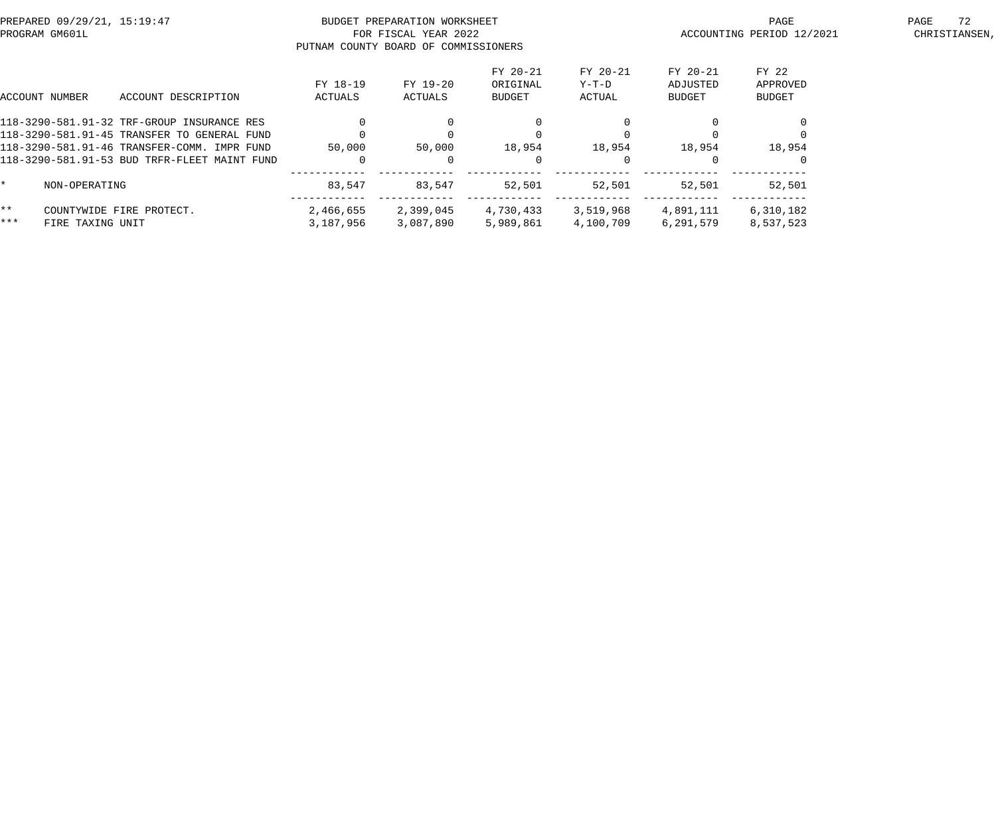| PREPARED 09/29/21, 15:19:47<br>PROGRAM GM601L |                  |                                                                                                                                                                                          |                        | BUDGET PREPARATION WORKSHEET<br>FOR FISCAL YEAR 2022<br>PUTNAM COUNTY BOARD OF COMMISSIONERS |                                |                             | PAGE<br>ACCOUNTING PERIOD 12/2021 | 72<br>PAGE<br>CHRISTIANSEN,        |  |
|-----------------------------------------------|------------------|------------------------------------------------------------------------------------------------------------------------------------------------------------------------------------------|------------------------|----------------------------------------------------------------------------------------------|--------------------------------|-----------------------------|-----------------------------------|------------------------------------|--|
|                                               | ACCOUNT NUMBER   | ACCOUNT DESCRIPTION                                                                                                                                                                      | FY 18-19<br>ACTUALS    | FY 19-20<br>ACTUALS                                                                          | FY 20-21<br>ORIGINAL<br>BUDGET | FY 20-21<br>Y-T-D<br>ACTUAL | FY 20-21<br>ADJUSTED<br>BUDGET    | FY 22<br>APPROVED<br><b>BUDGET</b> |  |
|                                               |                  | 118-3290-581.91-32 TRF-GROUP INSURANCE RES<br>118-3290-581.91-45 TRANSFER TO GENERAL FUND<br>118-3290-581.91-46 TRANSFER-COMM. IMPR FUND<br>118-3290-581.91-53 BUD TRFR-FLEET MAINT FUND | 50,000                 | $\Omega$<br>50,000                                                                           | 18,954                         | 18,954                      | 18,954                            | 18,954                             |  |
| $\star$                                       | NON-OPERATING    |                                                                                                                                                                                          | 83,547                 | 83,547                                                                                       | 52,501                         | 52,501                      | 52,501                            | 52,501                             |  |
| $\star \star$<br>$***$                        | FIRE TAXING UNIT | COUNTYWIDE FIRE PROTECT.                                                                                                                                                                 | 2,466,655<br>3,187,956 | 2,399,045<br>3,087,890                                                                       | 4,730,433<br>5,989,861         | 3,519,968<br>4,100,709      | 4,891,111<br>6,291,579            | 6,310,182<br>8,537,523             |  |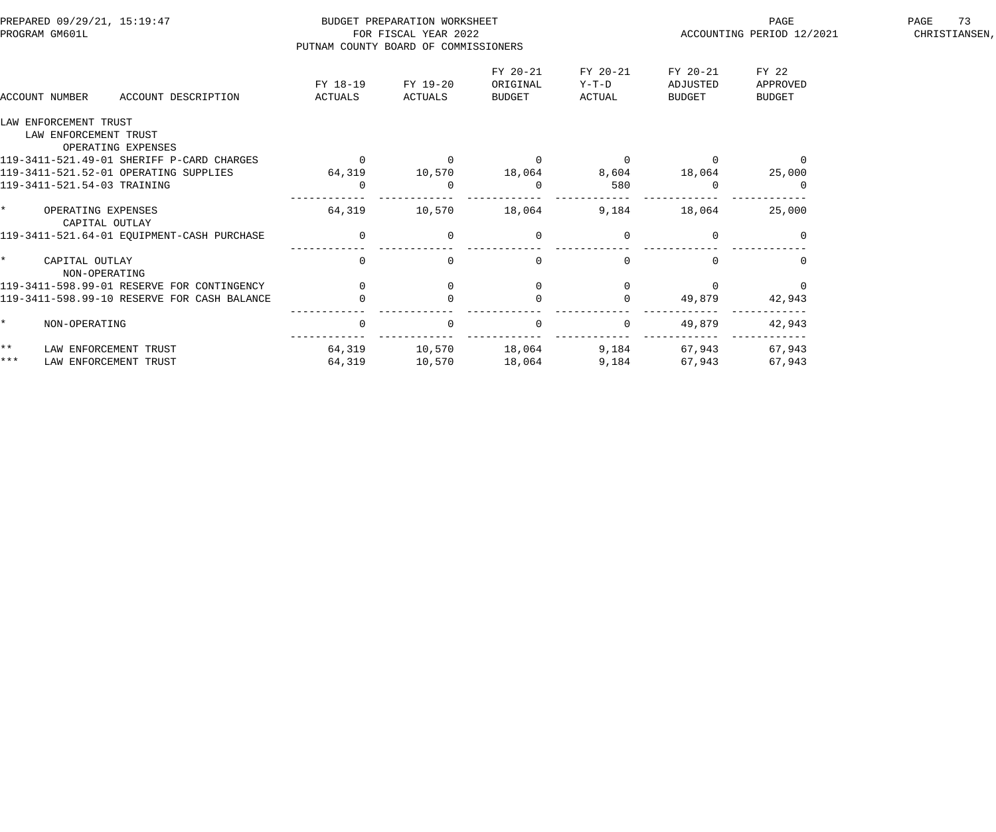| PREPARED 09/29/21, 15:19:47<br>PROGRAM GM601L |                                                                      |                     | BUDGET PREPARATION WORKSHEET<br>FOR FISCAL YEAR 2022<br>PUTNAM COUNTY BOARD OF COMMISSIONERS |                     |                                |                             |                                | PAGE<br>ACCOUNTING PERIOD 12/2021  | 73<br>PAGE<br>CHRISTIANSEN, |
|-----------------------------------------------|----------------------------------------------------------------------|---------------------|----------------------------------------------------------------------------------------------|---------------------|--------------------------------|-----------------------------|--------------------------------|------------------------------------|-----------------------------|
|                                               | ACCOUNT NUMBER                                                       | ACCOUNT DESCRIPTION | FY 18-19<br>ACTUALS                                                                          | FY 19-20<br>ACTUALS | FY 20-21<br>ORIGINAL<br>BUDGET | FY 20-21<br>Y-T-D<br>ACTUAL | FY 20-21<br>ADJUSTED<br>BUDGET | FY 22<br>APPROVED<br><b>BUDGET</b> |                             |
|                                               | LAW ENFORCEMENT TRUST<br>LAW ENFORCEMENT TRUST<br>OPERATING EXPENSES |                     |                                                                                              |                     |                                |                             |                                |                                    |                             |
|                                               | 119-3411-521.49-01 SHERIFF P-CARD CHARGES                            |                     | $\overline{0}$                                                                               |                     | $\Omega$                       | $\Omega$                    |                                | $\overline{0}$                     |                             |
|                                               | 119-3411-521.52-01 OPERATING SUPPLIES                                |                     | 64,319                                                                                       | 10,570              | 18,064                         | 8,604                       | 18,064                         | 25,000                             |                             |
|                                               | 119-3411-521.54-03 TRAINING                                          |                     | $\Omega$                                                                                     |                     | $\Omega$                       | 580                         |                                |                                    |                             |
| $\star$                                       | OPERATING EXPENSES<br>CAPITAL OUTLAY                                 |                     | 64,319                                                                                       | 10,570              | 18,064                         | 9,184                       | 18,064                         | 25,000                             |                             |
|                                               | 119-3411-521.64-01 EQUIPMENT-CASH PURCHASE                           |                     | $\overline{0}$                                                                               | $\mathbf 0$         | $\overline{0}$                 |                             |                                |                                    |                             |
| $\star$                                       | CAPITAL OUTLAY<br>NON-OPERATING                                      |                     | $\Omega$                                                                                     | $\Omega$            | $\cap$                         | $\cap$                      |                                |                                    |                             |
|                                               | 119-3411-598.99-01 RESERVE FOR CONTINGENCY                           |                     | $\overline{0}$                                                                               | $\mathbf 0$         |                                |                             |                                |                                    |                             |
|                                               | 119-3411-598.99-10 RESERVE FOR CASH BALANCE                          |                     |                                                                                              |                     |                                |                             | 49,879                         | 42,943                             |                             |
|                                               | NON-OPERATING                                                        |                     | $\mathbf 0$                                                                                  | $\Omega$            | $\overline{0}$                 | $\mathbf 0$                 | 49,879                         | 42,943                             |                             |
| $\star \star$                                 | LAW ENFORCEMENT TRUST                                                |                     | 64,319                                                                                       | 10,570              | 18,064                         | 9,184                       | 67,943                         | 67,943                             |                             |
| $***$                                         | LAW ENFORCEMENT TRUST                                                |                     | 64,319                                                                                       | 10,570              | 18,064                         | 9,184                       | 67,943                         | 67,943                             |                             |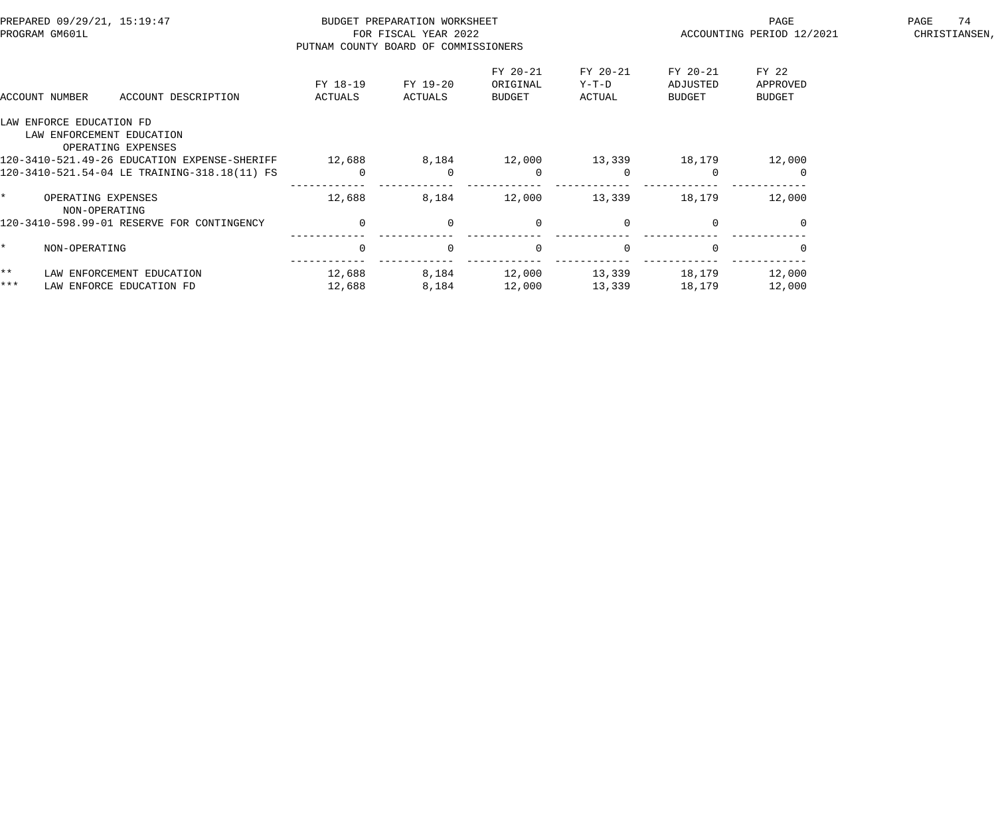| PREPARED 09/29/21, 15:19:47<br>PROGRAM GM601L |                                     | PUTNAM COUNTY BOARD OF COMMISSIONERS            | BUDGET PREPARATION WORKSHEET<br>FOR FISCAL YEAR 2022 |                     |                                | PAGE<br>ACCOUNTING PERIOD 12/2021 | 74<br>PAGE<br>CHRISTIANSEN,    |                                    |  |
|-----------------------------------------------|-------------------------------------|-------------------------------------------------|------------------------------------------------------|---------------------|--------------------------------|-----------------------------------|--------------------------------|------------------------------------|--|
|                                               | ACCOUNT NUMBER                      | ACCOUNT DESCRIPTION                             | FY 18-19<br>ACTUALS                                  | FY 19-20<br>ACTUALS | FY 20-21<br>ORIGINAL<br>BUDGET | FY 20-21<br>$Y-T-D$<br>ACTUAL     | FY 20-21<br>ADJUSTED<br>BUDGET | FY 22<br>APPROVED<br><b>BUDGET</b> |  |
|                                               | LAW ENFORCE EDUCATION FD            | LAW ENFORCEMENT EDUCATION<br>OPERATING EXPENSES |                                                      |                     |                                |                                   |                                |                                    |  |
|                                               |                                     | 120-3410-521.49-26 EDUCATION EXPENSE-SHERIFF    | 12,688                                               | 8,184               | 12,000                         | 13,339                            | 18,179                         | 12,000                             |  |
|                                               |                                     | 120-3410-521.54-04 LE TRAINING-318.18(11) FS    | 0                                                    | $\Omega$            | $\overline{0}$                 | $\Omega$                          |                                |                                    |  |
|                                               | OPERATING EXPENSES<br>NON-OPERATING |                                                 | 12,688                                               | 8,184               | 12,000                         | 13,339                            | 18,179                         | 12,000                             |  |
|                                               |                                     | 120-3410-598.99-01 RESERVE FOR CONTINGENCY      | $\Omega$                                             | $\Omega$            | $\overline{0}$                 | $\Omega$                          | $\cap$                         | $\Omega$                           |  |
|                                               | NON-OPERATING                       |                                                 | $\Omega$                                             | $\Omega$            | $\overline{0}$                 | $\Omega$                          |                                |                                    |  |
| $***$                                         |                                     | LAW ENFORCEMENT EDUCATION                       | 12,688                                               | 8,184               | 12,000                         | 13,339                            | 18,179                         | 12,000                             |  |
| $***$                                         |                                     | LAW ENFORCE EDUCATION FD                        | 12,688                                               | 8,184               | 12,000                         | 13,339                            | 18,179                         | 12,000                             |  |
|                                               |                                     |                                                 |                                                      |                     |                                |                                   |                                |                                    |  |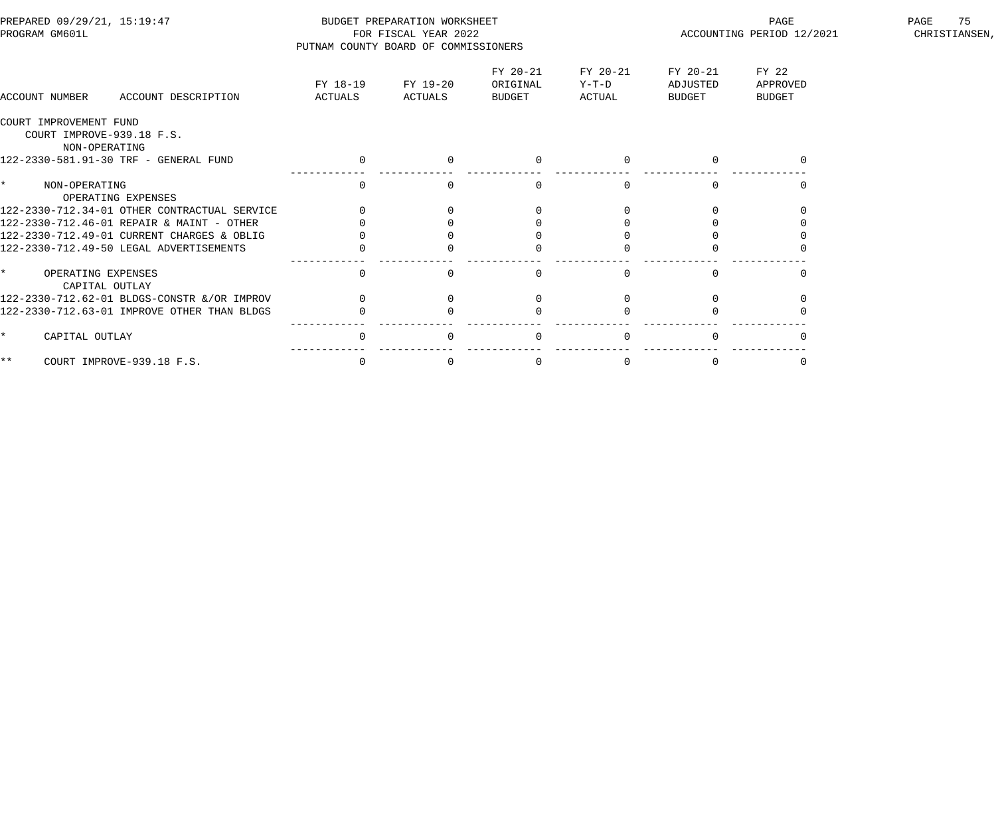| PREPARED 09/29/21, 15:19:47<br>PROGRAM GM601L                        |                                              | PUTNAM COUNTY BOARD OF COMMISSIONERS | BUDGET PREPARATION WORKSHEET<br>FOR FISCAL YEAR 2022 |                                |                             | PAGE<br>ACCOUNTING PERIOD 12/2021 | PAGE<br>75<br>CHRISTIANSEN,        |  |
|----------------------------------------------------------------------|----------------------------------------------|--------------------------------------|------------------------------------------------------|--------------------------------|-----------------------------|-----------------------------------|------------------------------------|--|
| ACCOUNT NUMBER                                                       | ACCOUNT DESCRIPTION                          | FY 18-19<br>ACTUALS                  | FY 19-20<br>ACTUALS                                  | FY 20-21<br>ORIGINAL<br>BUDGET | FY 20-21<br>Y-T-D<br>ACTUAL | FY 20-21<br>ADJUSTED<br>BUDGET    | FY 22<br>APPROVED<br><b>BUDGET</b> |  |
| COURT IMPROVEMENT FUND<br>COURT IMPROVE-939.18 F.S.<br>NON-OPERATING |                                              |                                      |                                                      |                                |                             |                                   |                                    |  |
|                                                                      | 122-2330-581.91-30 TRF - GENERAL FUND        | $\overline{0}$                       | $\Omega$                                             | $\mathbf{0}$                   | $\Omega$                    |                                   |                                    |  |
| NON-OPERATING                                                        | OPERATING EXPENSES                           |                                      |                                                      | $\Omega$                       |                             |                                   |                                    |  |
|                                                                      | 122-2330-712.34-01 OTHER CONTRACTUAL SERVICE |                                      |                                                      |                                |                             |                                   |                                    |  |
|                                                                      | 122-2330-712.46-01 REPAIR & MAINT - OTHER    |                                      |                                                      |                                |                             |                                   |                                    |  |
|                                                                      | 122-2330-712.49-01 CURRENT CHARGES & OBLIG   |                                      |                                                      |                                |                             |                                   |                                    |  |
|                                                                      | 122-2330-712.49-50 LEGAL ADVERTISEMENTS      |                                      |                                                      |                                |                             |                                   |                                    |  |
| $\star$<br>OPERATING EXPENSES<br>CAPITAL OUTLAY                      |                                              | $\Omega$                             |                                                      | $\Omega$                       | $\Omega$                    |                                   |                                    |  |
|                                                                      | 122-2330-712.62-01 BLDGS-CONSTR &/OR IMPROV  |                                      |                                                      |                                |                             |                                   |                                    |  |
|                                                                      | 122-2330-712.63-01 IMPROVE OTHER THAN BLDGS  |                                      |                                                      |                                |                             |                                   |                                    |  |
| CAPITAL OUTLAY                                                       |                                              | $\Omega$                             |                                                      | $\Omega$                       | $\Omega$                    |                                   |                                    |  |
| * *                                                                  | COURT IMPROVE-939.18 F.S.                    | $\mathbf 0$                          | $\Omega$                                             | $\mathbf 0$                    | $\Omega$                    | $\Omega$                          |                                    |  |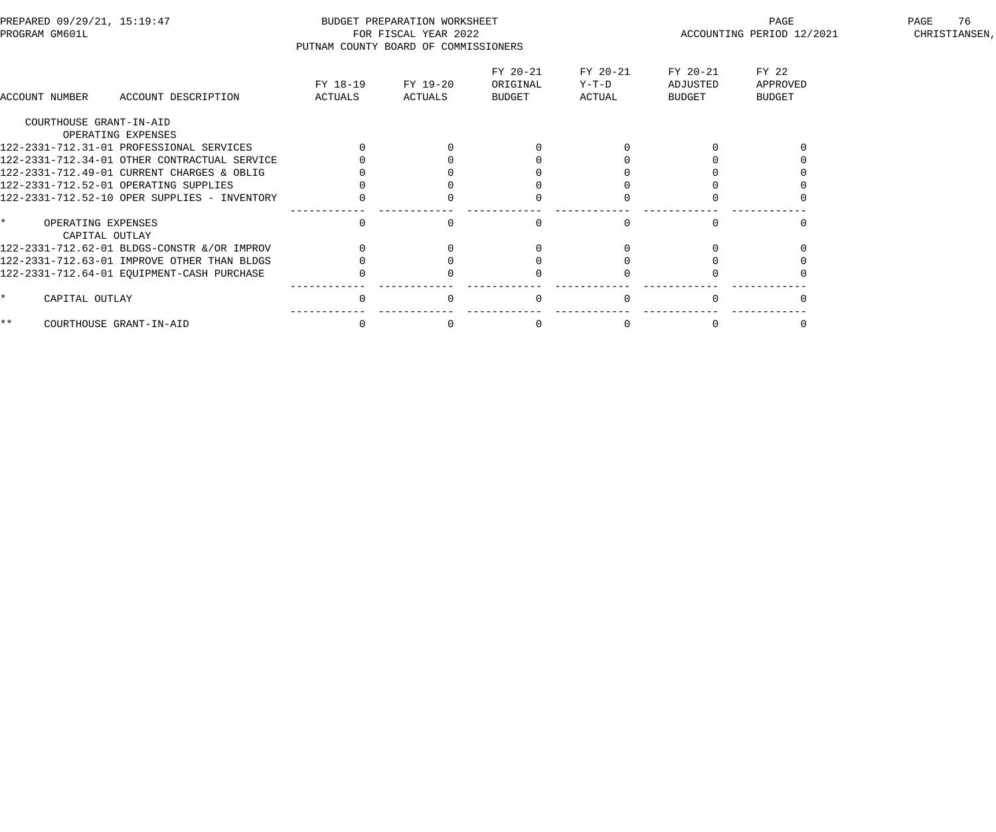| PREPARED 09/29/21, 15:19:47<br>PROGRAM GM601L   |                                              | PUTNAM COUNTY BOARD OF COMMISSIONERS | BUDGET PREPARATION WORKSHEET<br>FOR FISCAL YEAR 2022 |                                |                               |                                | PAGE<br>ACCOUNTING PERIOD 12/2021  | 76<br>PAGE<br>CHRISTIANSEN, |
|-------------------------------------------------|----------------------------------------------|--------------------------------------|------------------------------------------------------|--------------------------------|-------------------------------|--------------------------------|------------------------------------|-----------------------------|
| ACCOUNT NUMBER                                  | ACCOUNT DESCRIPTION                          | FY 18-19<br>ACTUALS                  | FY 19-20<br>ACTUALS                                  | FY 20-21<br>ORIGINAL<br>BUDGET | FY 20-21<br>$Y-T-D$<br>ACTUAL | FY 20-21<br>ADJUSTED<br>BUDGET | FY 22<br>APPROVED<br><b>BUDGET</b> |                             |
| COURTHOUSE GRANT-IN-AID                         |                                              |                                      |                                                      |                                |                               |                                |                                    |                             |
|                                                 | OPERATING EXPENSES                           |                                      |                                                      |                                |                               |                                |                                    |                             |
|                                                 | 122-2331-712.31-01 PROFESSIONAL SERVICES     |                                      |                                                      |                                |                               |                                |                                    |                             |
|                                                 | 122-2331-712.34-01 OTHER CONTRACTUAL SERVICE |                                      |                                                      |                                |                               |                                |                                    |                             |
|                                                 | 122-2331-712.49-01 CURRENT CHARGES & OBLIG   |                                      |                                                      |                                |                               |                                |                                    |                             |
|                                                 | 122-2331-712.52-01 OPERATING SUPPLIES        |                                      |                                                      |                                |                               |                                |                                    |                             |
|                                                 | 122-2331-712.52-10 OPER SUPPLIES - INVENTORY |                                      |                                                      |                                |                               |                                |                                    |                             |
| $\star$<br>OPERATING EXPENSES<br>CAPITAL OUTLAY |                                              | $\Omega$                             | $\Omega$                                             | $\Omega$                       | $\Omega$                      | $\cap$                         |                                    |                             |
|                                                 | 122-2331-712.62-01 BLDGS-CONSTR &/OR IMPROV  |                                      |                                                      |                                |                               |                                |                                    |                             |
|                                                 | 122-2331-712.63-01 IMPROVE OTHER THAN BLDGS  |                                      |                                                      |                                |                               |                                |                                    |                             |
|                                                 | 122-2331-712.64-01 EQUIPMENT-CASH PURCHASE   |                                      |                                                      |                                |                               |                                |                                    |                             |
| $\star$<br>CAPITAL OUTLAY                       |                                              | $\Omega$                             | $\Omega$                                             | $\mathbf{0}$                   |                               |                                |                                    |                             |
| $\star \star$                                   | COURTHOUSE GRANT-IN-AID                      | 0                                    |                                                      | 0                              |                               |                                |                                    |                             |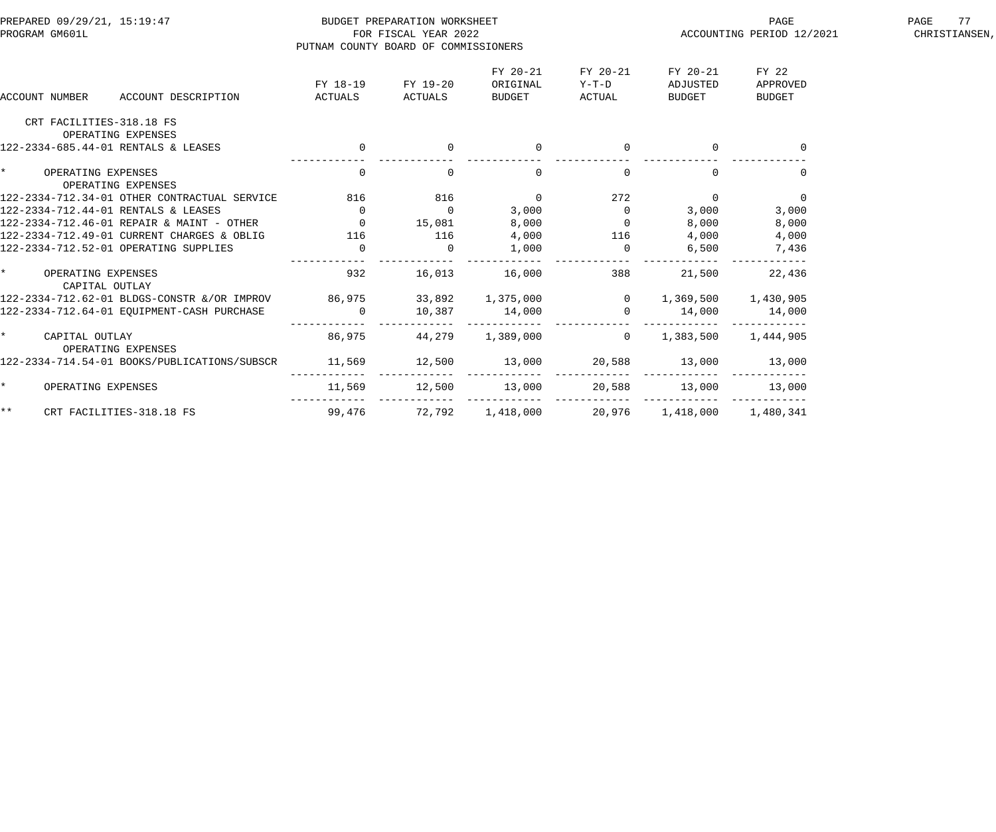| PREPARED 09/29/21, 15:19:47                                                                                                                                                    |                                      | BUDGET PREPARATION WORKSHEET |                                                    |                                                                                                                                                                                                                                                                                                                                    |                                | PAGE                               | PAGE<br>77    |
|--------------------------------------------------------------------------------------------------------------------------------------------------------------------------------|--------------------------------------|------------------------------|----------------------------------------------------|------------------------------------------------------------------------------------------------------------------------------------------------------------------------------------------------------------------------------------------------------------------------------------------------------------------------------------|--------------------------------|------------------------------------|---------------|
| PROGRAM GM601L                                                                                                                                                                 |                                      | FOR FISCAL YEAR 2022         |                                                    |                                                                                                                                                                                                                                                                                                                                    |                                | ACCOUNTING PERIOD 12/2021          | CHRISTIANSEN, |
|                                                                                                                                                                                | PUTNAM COUNTY BOARD OF COMMISSIONERS |                              |                                                    |                                                                                                                                                                                                                                                                                                                                    |                                |                                    |               |
| <b>ACCOUNT NUMBER</b><br>ACCOUNT DESCRIPTION                                                                                                                                   | FY 18-19<br>ACTUALS                  | FY 19-20<br>ACTUALS BUDGET   | FY 20-21<br>ORIGINAL                               | FY 20-21<br>$Y-T-D$<br>ACTUAL                                                                                                                                                                                                                                                                                                      | FY 20-21<br>ADJUSTED<br>BUDGET | FY 22<br>APPROVED<br><b>BUDGET</b> |               |
| CRT FACILITIES-318.18 FS<br>OPERATING EXPENSES                                                                                                                                 |                                      |                              |                                                    |                                                                                                                                                                                                                                                                                                                                    |                                |                                    |               |
| 122-2334-685.44-01 RENTALS & LEASES                                                                                                                                            | $\overline{a}$                       |                              | $\mathbf{0}$                                       |                                                                                                                                                                                                                                                                                                                                    |                                |                                    |               |
| $\star$<br>OPERATING EXPENSES<br>OPERATING EXPENSES                                                                                                                            | $\overline{0}$                       | $\mathbf{0}$                 | $\overline{0}$                                     | $\overline{0}$                                                                                                                                                                                                                                                                                                                     | $\Omega$                       | $\overline{0}$                     |               |
| 122-2334-712.34-01 OTHER CONTRACTUAL SERVICE                                                                                                                                   | 816 816                              |                              | $\overline{0}$                                     | 272                                                                                                                                                                                                                                                                                                                                | $\overline{0}$                 | $\overline{0}$                     |               |
| 122-2334-712.44-01 RENTALS & LEASES                                                                                                                                            | $\overline{\phantom{a}}$             | $\overline{0}$               | 3,000                                              | $\overline{0}$                                                                                                                                                                                                                                                                                                                     | 3,000                          | 3,000                              |               |
| $122$ $2334$ $712.44$ of RENTALS & LEASES<br>$122 - 2334 - 712.46 - 01$ REPAIR & MAINT - OTHER $15,081$ 8,000                                                                  |                                      |                              |                                                    | $\overline{a}$ and $\overline{a}$ and $\overline{a}$ and $\overline{a}$ and $\overline{a}$ and $\overline{a}$ and $\overline{a}$ and $\overline{a}$ and $\overline{a}$ and $\overline{a}$ and $\overline{a}$ and $\overline{a}$ and $\overline{a}$ and $\overline{a}$ and $\overline{a}$ and $\overline{a}$ and $\overline{a}$ and | 8,000                          | 8,000                              |               |
| 122-2334-712.49-01 CURRENT CHARGES & OBLIG 116 116                                                                                                                             |                                      |                              | 4,000                                              | 116                                                                                                                                                                                                                                                                                                                                |                                | 4,000                              |               |
| 122-2334-712.52-01 OPERATING SUPPLIES                                                                                                                                          | $\overline{0}$                       | $\overline{0}$               | 1,000                                              | $\overline{0}$                                                                                                                                                                                                                                                                                                                     | 6,500                          | 7,436                              |               |
| $\star$<br>OPERATING EXPENSES<br>CAPITAL OUTLAY                                                                                                                                | 932                                  |                              | 16,013 16,000                                      | 388                                                                                                                                                                                                                                                                                                                                | 21,500                         | 22,436                             |               |
|                                                                                                                                                                                |                                      |                              |                                                    |                                                                                                                                                                                                                                                                                                                                    |                                |                                    |               |
| 122-2334-712.62-01 BLDGS-CONSTR &/OR IMPROV 86,975 33,892 1,375,000 0 1,369,500 1,430,905<br>122-2334-712.64-01 EQUIPMENT-CASH PURCHASE 0 10,387 14,000 0 14,000 14,000 14,000 |                                      |                              |                                                    |                                                                                                                                                                                                                                                                                                                                    |                                |                                    |               |
| $\star$<br>CAPITAL OUTLAY<br>OPERATING EXPENSES                                                                                                                                | 86,975                               | 44,279                       | $1,389,000$ 0                                      |                                                                                                                                                                                                                                                                                                                                    | 1,383,500 1,444,905            |                                    |               |
| 122-2334-714.54-01 BOOKS/PUBLICATIONS/SUBSCR                                                                                                                                   | 11,569                               | $12,500$ $13,000$            |                                                    | 20,588                                                                                                                                                                                                                                                                                                                             | 13,000                         | 13,000                             |               |
| $\star$<br>OPERATING EXPENSES                                                                                                                                                  |                                      |                              | 11,569 12,500 13,000 20,588 13,000                 |                                                                                                                                                                                                                                                                                                                                    |                                | 13,000                             |               |
| $\star \star$<br>CRT FACILITIES-318.18 FS                                                                                                                                      |                                      |                              | 99,476 72,792 1,418,000 20,976 1,418,000 1,480,341 |                                                                                                                                                                                                                                                                                                                                    |                                |                                    |               |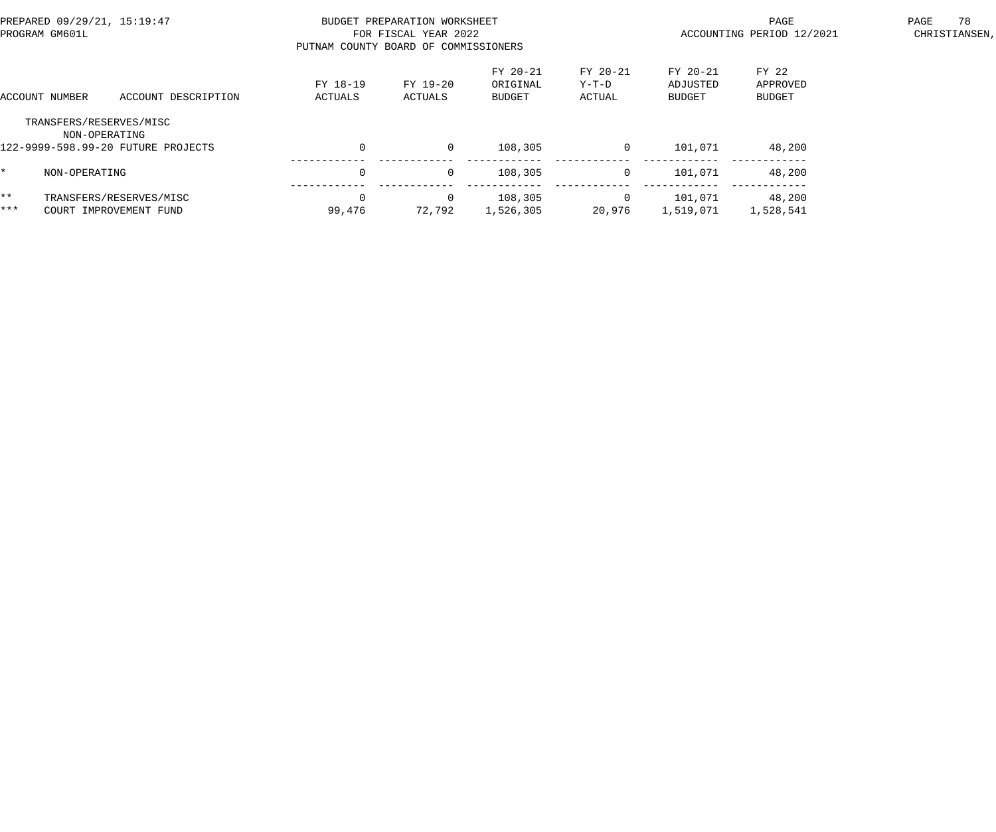| PREPARED 09/29/21, 15:19:47<br>PROGRAM GM601L |                |                                                               | PUTNAM COUNTY BOARD OF COMMISSIONERS | BUDGET PREPARATION WORKSHEET<br>FOR FISCAL YEAR 2022 |                                       |                             | PAGE<br>ACCOUNTING PERIOD 12/2021     | 78<br>PAGE<br>CHRISTIANSEN,        |  |
|-----------------------------------------------|----------------|---------------------------------------------------------------|--------------------------------------|------------------------------------------------------|---------------------------------------|-----------------------------|---------------------------------------|------------------------------------|--|
|                                               | ACCOUNT NUMBER | ACCOUNT DESCRIPTION                                           | FY 18-19<br>ACTUALS                  | FY 19-20<br>ACTUALS                                  | FY 20-21<br>ORIGINAL<br><b>BUDGET</b> | FY 20-21<br>Y-T-D<br>ACTUAL | FY 20-21<br>ADJUSTED<br><b>BUDGET</b> | FY 22<br>APPROVED<br><b>BUDGET</b> |  |
|                                               | NON-OPERATING  | TRANSFERS/RESERVES/MISC<br>122-9999-598.99-20 FUTURE PROJECTS | $\mathbf 0$                          | $\mathbf{0}$                                         | 108,305                               | $\mathbf{0}$                | 101,071                               | 48,200                             |  |
|                                               | NON-OPERATING  |                                                               | $\Omega$                             | $\mathbf{0}$                                         | 108,305                               | 0                           | 101,071                               | 48,200                             |  |
| $***$<br>***                                  |                | TRANSFERS/RESERVES/MISC<br>COURT IMPROVEMENT FUND             | 99,476                               | 0<br>72,792                                          | 108,305<br>1,526,305                  | 0<br>20,976                 | 101,071<br>1,519,071                  | 48,200<br>1,528,541                |  |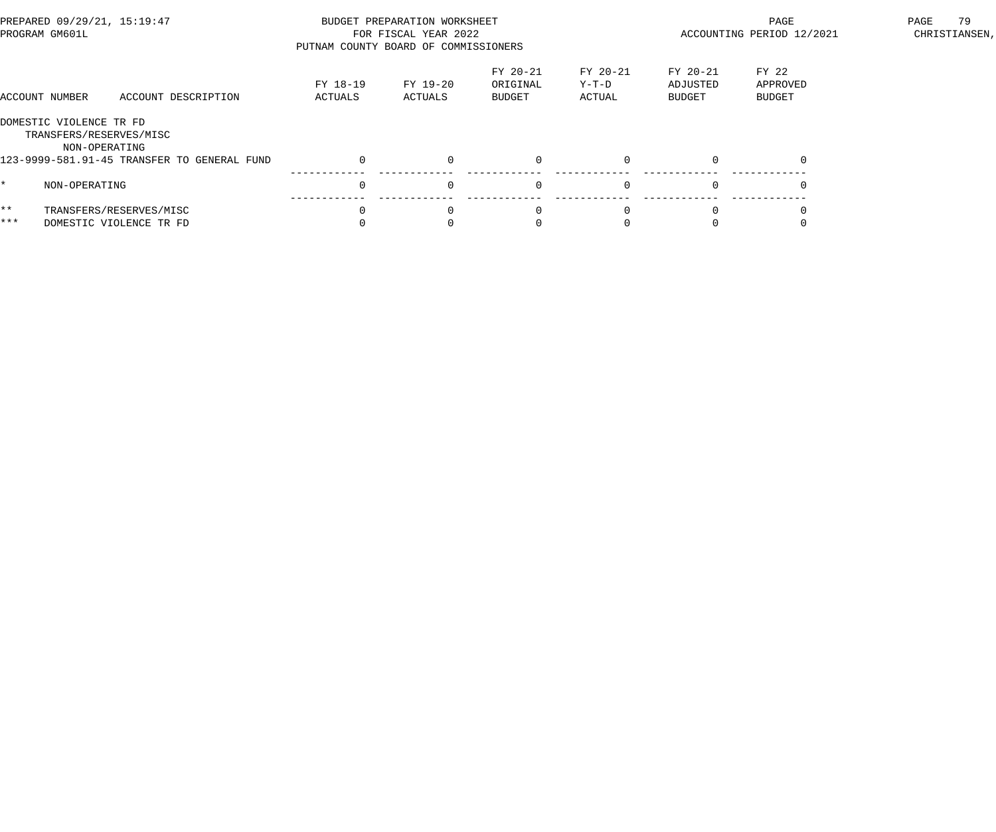| PREPARED 09/29/21, 15:19:47<br>PROGRAM GM601L |                                                                     | PUTNAM COUNTY BOARD OF COMMISSIONERS               | BUDGET PREPARATION WORKSHEET<br>FOR FISCAL YEAR 2022 |                     | ACCOUNTING PERIOD 12/2021      | 79<br>PAGE<br>CHRISTIANSEN,   |                                       |                                    |  |
|-----------------------------------------------|---------------------------------------------------------------------|----------------------------------------------------|------------------------------------------------------|---------------------|--------------------------------|-------------------------------|---------------------------------------|------------------------------------|--|
|                                               | ACCOUNT NUMBER                                                      | ACCOUNT DESCRIPTION                                | FY 18-19<br>ACTUALS                                  | FY 19-20<br>ACTUALS | FY 20-21<br>ORIGINAL<br>BUDGET | FY 20-21<br>$Y-T-D$<br>ACTUAL | FY 20-21<br>ADJUSTED<br><b>BUDGET</b> | FY 22<br>APPROVED<br><b>BUDGET</b> |  |
|                                               | DOMESTIC VIOLENCE TR FD<br>TRANSFERS/RESERVES/MISC<br>NON-OPERATING |                                                    |                                                      |                     |                                |                               |                                       |                                    |  |
|                                               |                                                                     | 123-9999-581.91-45 TRANSFER TO GENERAL FUND        | $\Omega$                                             | $\Omega$            | $\mathsf{O}$                   | $\Omega$                      |                                       | $\Omega$                           |  |
|                                               | NON-OPERATING                                                       |                                                    | $\Omega$                                             | $\Omega$            | $\mathbf 0$                    | $\Omega$                      | $\Omega$                              |                                    |  |
| $***$<br>***                                  |                                                                     | TRANSFERS/RESERVES/MISC<br>DOMESTIC VIOLENCE TR FD |                                                      |                     |                                |                               |                                       |                                    |  |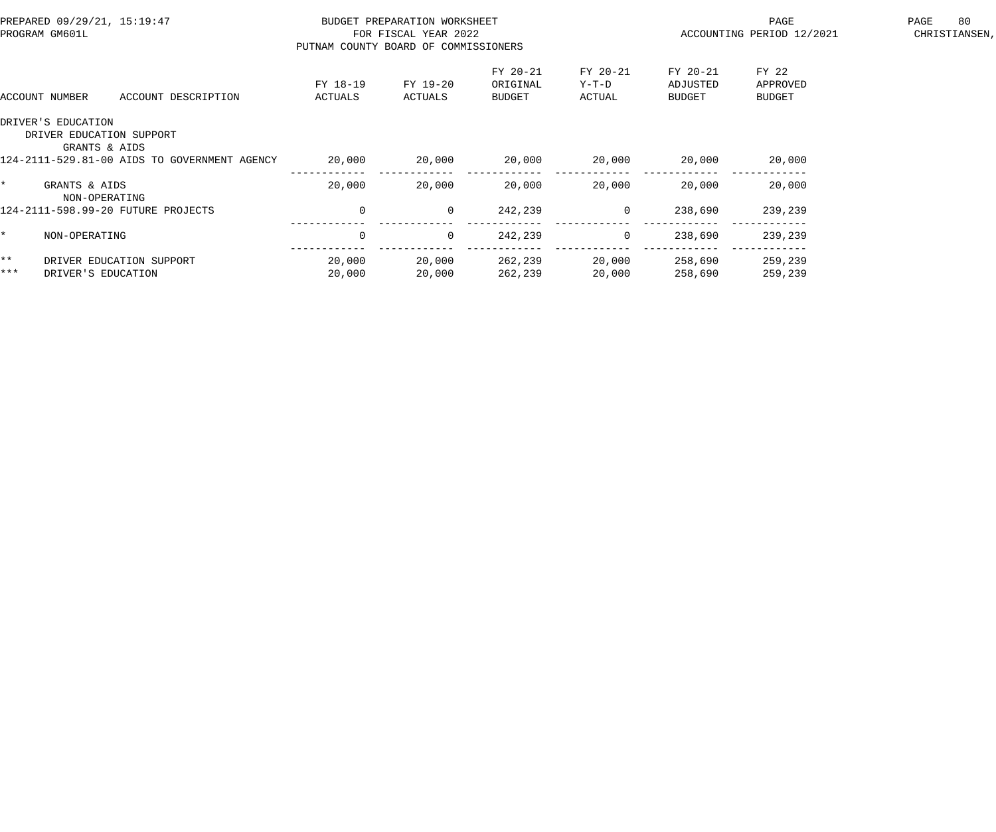| PREPARED 09/29/21, 15:19:47<br>PROGRAM GM601L |                                | BUDGET PREPARATION WORKSHEET<br>FOR FISCAL YEAR 2022<br>PUTNAM COUNTY BOARD OF COMMISSIONERS |                     |                     |                                |                             | PAGE<br>ACCOUNTING PERIOD 12/2021 | 80<br>PAGE<br>CHRISTIANSEN,        |  |
|-----------------------------------------------|--------------------------------|----------------------------------------------------------------------------------------------|---------------------|---------------------|--------------------------------|-----------------------------|-----------------------------------|------------------------------------|--|
|                                               | ACCOUNT NUMBER                 | ACCOUNT DESCRIPTION                                                                          | FY 18-19<br>ACTUALS | FY 19-20<br>ACTUALS | FY 20-21<br>ORIGINAL<br>BUDGET | FY 20-21<br>Y-T-D<br>ACTUAL | FY 20-21<br>ADJUSTED<br>BUDGET    | FY 22<br>APPROVED<br><b>BUDGET</b> |  |
|                                               | DRIVER'S EDUCATION             | DRIVER EDUCATION SUPPORT<br>GRANTS & AIDS                                                    |                     |                     |                                |                             |                                   |                                    |  |
|                                               |                                | 124-2111-529.81-00 AIDS TO GOVERNMENT AGENCY                                                 | 20,000              | 20,000              | 20,000                         | 20,000                      | 20,000                            | 20,000                             |  |
|                                               | GRANTS & AIDS<br>NON-OPERATING |                                                                                              | 20,000              | 20,000              | 20,000                         | 20,000                      | 20,000                            | 20,000                             |  |
|                                               |                                | 124-2111-598.99-20 FUTURE PROJECTS                                                           | $\overline{0}$      | $\overline{0}$      | 242,239                        | $\overline{0}$              | 238,690                           | 239,239                            |  |
|                                               | NON-OPERATING                  |                                                                                              | $\mathbf 0$         | $\Omega$            | 242,239                        | $\overline{0}$              | 238,690                           | 239,239                            |  |
| $***$                                         |                                | DRIVER EDUCATION SUPPORT                                                                     | 20,000              | 20,000              | 262,239                        | 20,000                      | 258,690                           | 259,239                            |  |
| $***$                                         | DRIVER'S EDUCATION             |                                                                                              | 20,000              | 20,000              | 262,239                        | 20,000                      | 258,690                           | 259,239                            |  |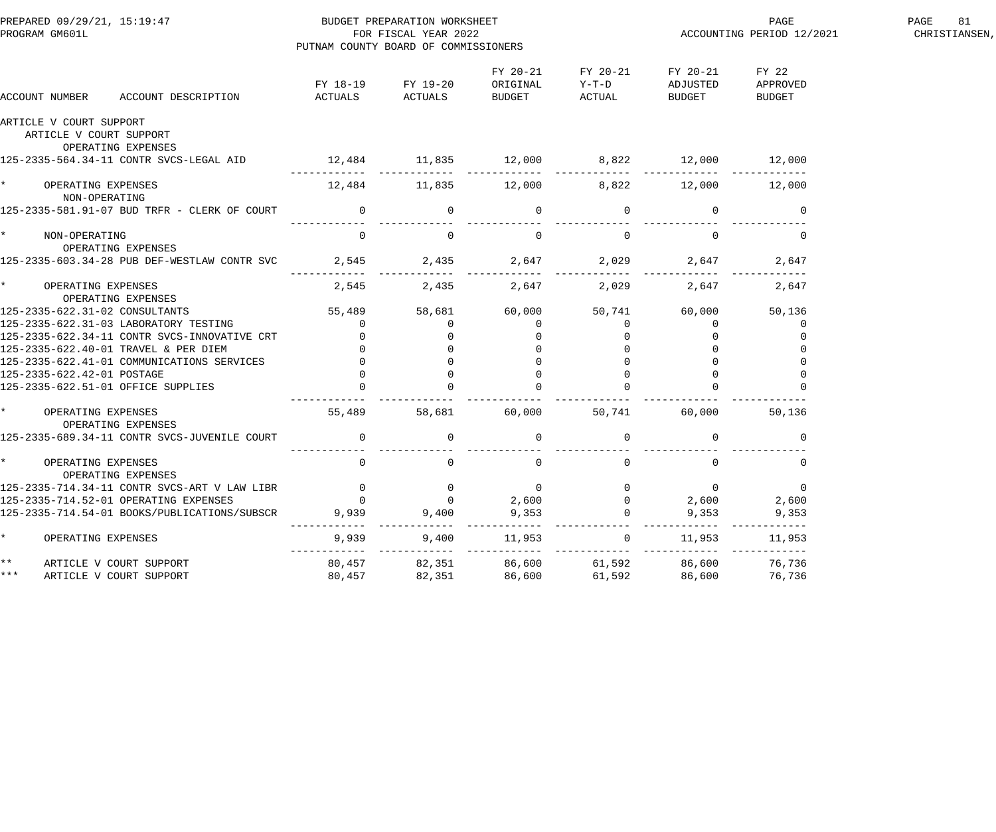| PREPARED 09/29/21, 15:19:47<br>PROGRAM GM601L                                    | BUDGET PREPARATION WORKSHEET<br>FOR FISCAL YEAR 2022<br>PUTNAM COUNTY BOARD OF COMMISSIONERS |                   |                      |                                                                          | ACCOUNTING PERIOD 12/2021             | PAGE<br>81<br>CHRISTIANSEN, |  |
|----------------------------------------------------------------------------------|----------------------------------------------------------------------------------------------|-------------------|----------------------|--------------------------------------------------------------------------|---------------------------------------|-----------------------------|--|
| ACCOUNT NUMBER                                                                   |                                                                                              | FY 18-19 FY 19-20 | FY 20-21<br>ORIGINAL | FY 20-21<br>$Y-T-D$                                                      | FY 20-21<br>ADJUSTED<br><b>BUDGET</b> | FY 22<br>APPROVED<br>BUDGET |  |
| ARTICLE V COURT SUPPORT<br>ARTICLE V COURT SUPPORT                               |                                                                                              |                   |                      |                                                                          |                                       |                             |  |
| OPERATING EXPENSES<br>125-2335-564.34-11 CONTR SVCS-LEGAL AID                    | $12,484$ 11,835 12,000 8,822 12,000 12,000                                                   |                   |                      |                                                                          |                                       |                             |  |
| * OPERATING EXPENSES<br>NON-OPERATING                                            | $12,484$ $11,835$ $12,000$ $8,822$ $12,000$ $12,000$                                         |                   |                      |                                                                          |                                       |                             |  |
| 125-2335-581.91-07 BUD TRFR - CLERK OF COURT                                     |                                                                                              |                   |                      | $\begin{array}{ccccccccccccccccc} 0 & & & 0 & & & 0 & & & 0 \end{array}$ |                                       |                             |  |
| * NON-OPERATING<br>OPERATING EXPENSES                                            | $\overline{0}$                                                                               | $\overline{0}$    | $\overline{0}$       | $\overline{0}$                                                           | $\overline{0}$                        | $\overline{0}$              |  |
| 125-2335-603.34-28 PUB DEF-WESTLAW CONTR SVC 2,545 2,435 2,647 2,029 2,647 2,647 |                                                                                              |                   |                      |                                                                          |                                       |                             |  |
| * OPERATING EXPENSES<br>OPERATING EXPENSES                                       |                                                                                              |                   |                      | . _ _ _ _ _ _ _ _ _ _ _                                                  |                                       | 2,647 2,647                 |  |
| 125-2335-622.31-02 CONSULTANTS                                                   | 55,489 58,681 60,000 50,741 60,000 50,136                                                    |                   |                      |                                                                          |                                       |                             |  |
| 125-2335-622.31-03 LABORATORY TESTING                                            |                                                                                              |                   |                      |                                                                          | $\mathbf 0$                           |                             |  |
| 125-2335-622.34-11 CONTR SVCS-INNOVATIVE CRT                                     |                                                                                              |                   |                      |                                                                          |                                       |                             |  |
| 125-2335-622.40-01 TRAVEL & PER DIEM                                             |                                                                                              |                   |                      |                                                                          |                                       |                             |  |
| 125-2335-622.41-01 COMMUNICATIONS SERVICES                                       |                                                                                              |                   |                      |                                                                          |                                       |                             |  |
| 125-2335-622.42-01 POSTAGE                                                       |                                                                                              |                   |                      |                                                                          |                                       |                             |  |
| 125-2335-622.51-01 OFFICE SUPPLIES                                               |                                                                                              |                   |                      |                                                                          |                                       |                             |  |
| * OPERATING EXPENSES<br>OPERATING EXPENSES                                       | 55,489 58,681 60,000 50,741 60,000 50,136                                                    |                   |                      |                                                                          |                                       |                             |  |
| $125 - 2335 - 689.34 - 11$ CONTR SVCS-JUVENILE COURT $0$ 0 0 0 0 0 0 0 0         |                                                                                              |                   |                      |                                                                          | $\overline{0}$                        |                             |  |
| OPERATING EXPENSES<br>OPERATING EXPENSES                                         | $\overline{0}$                                                                               | $\Omega$          | $\overline{0}$       | $\Omega$                                                                 | $\Omega$                              | $\mathbf{0}$                |  |
| 125-2335-714.34-11 CONTR SVCS-ART V LAW LIBR                                     | $\mathbf 0$                                                                                  |                   | $\mathbf 0$          |                                                                          | $\overline{0}$                        | $\mathbb O$                 |  |
| 125-2335-714.52-01 OPERATING EXPENSES                                            | $\Omega$                                                                                     |                   | 2,600                |                                                                          | 2,600                                 | 2,600                       |  |
| 125-2335-714.54-01 BOOKS/PUBLICATIONS/SUBSCR                                     | 9,939                                                                                        | 9,400             | 9,353                |                                                                          | 9,353                                 | 9,353                       |  |
| $\star$<br>OPERATING EXPENSES                                                    | 9,939                                                                                        | 9,400             | 11,953               |                                                                          | 11,953                                | $- - - - -$<br>11,953       |  |
| $\star \star$<br>ARTICLE V COURT SUPPORT                                         | 80,457                                                                                       | 82,351            | 86,600               | 61,592                                                                   | 86,600                                | $- - - - - -$<br>76,736     |  |
| ***<br>ARTICLE V COURT SUPPORT                                                   | 80,457                                                                                       | 82,351            | 86,600               | 61,592                                                                   | 86,600                                | 76,736                      |  |
|                                                                                  |                                                                                              |                   |                      |                                                                          |                                       |                             |  |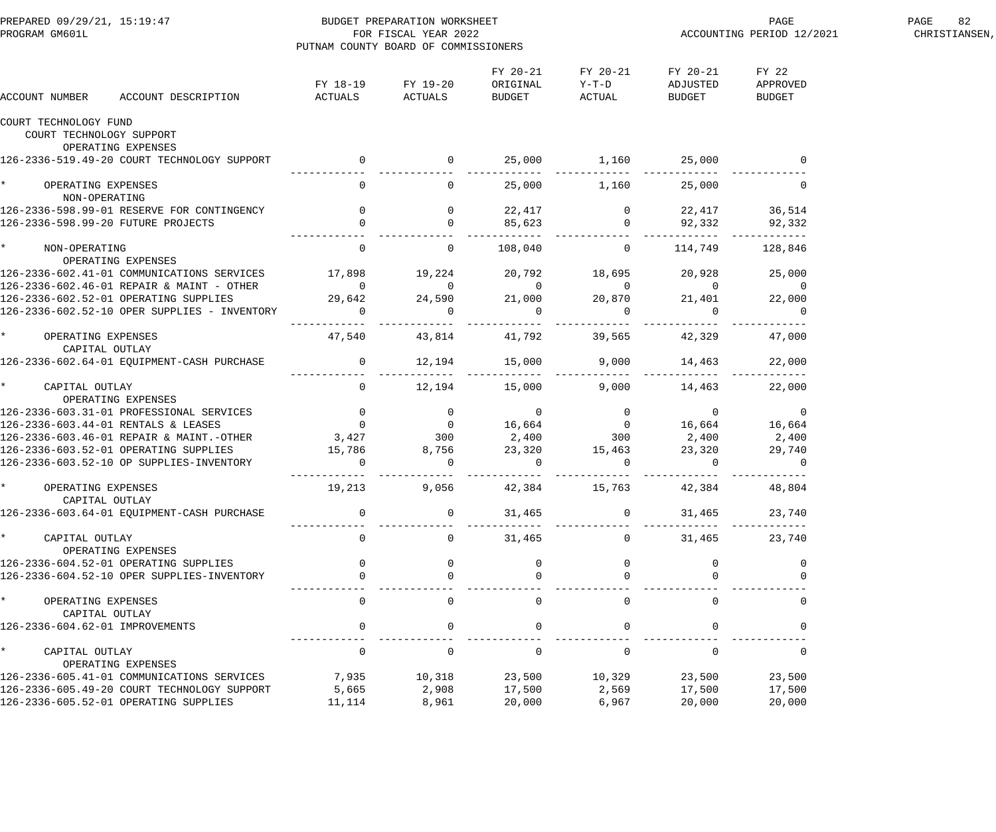| PREPARED 09/29/21, 15:19:47<br>PROGRAM GM601L  |                                                                                                                                     | BUDGET PREPARATION WORKSHEET<br>FOR FISCAL YEAR 2022<br>PUTNAM COUNTY BOARD OF COMMISSIONERS |                   |                                |                                       |                                       | PAGE<br>ACCOUNTING PERIOD 12/2021 | 82<br>PAGE<br>CHRISTIANSEN, |
|------------------------------------------------|-------------------------------------------------------------------------------------------------------------------------------------|----------------------------------------------------------------------------------------------|-------------------|--------------------------------|---------------------------------------|---------------------------------------|-----------------------------------|-----------------------------|
| ACCOUNT NUMBER                                 | ACCOUNT DESCRIPTION                                                                                                                 | ACTUALS ACTUALS                                                                              | FY 18-19 FY 19-20 | FY 20-21<br>ORIGINAL<br>BUDGET | FY 20-21<br>$Y-T-D$<br>ACTUAL         | FY 20-21<br>ADJUSTED<br><b>BUDGET</b> | FY 22<br>APPROVED<br>BUDGET       |                             |
| COURT TECHNOLOGY FUND                          |                                                                                                                                     |                                                                                              |                   |                                |                                       |                                       |                                   |                             |
| COURT TECHNOLOGY SUPPORT                       |                                                                                                                                     |                                                                                              |                   |                                |                                       |                                       |                                   |                             |
|                                                | OPERATING EXPENSES<br>126-2336-519.49-20 COURT TECHNOLOGY SUPPORT                                                                   |                                                                                              |                   | 25,000                         | 1,160                                 | 25,000                                |                                   |                             |
|                                                |                                                                                                                                     | $\begin{array}{c} 0 \\ - \end{array}$                                                        |                   |                                |                                       |                                       |                                   |                             |
| $\star$<br>OPERATING EXPENSES<br>NON-OPERATING |                                                                                                                                     | $\overline{0}$                                                                               | $\overline{0}$    | 25,000                         | 1,160                                 | 25,000                                | $\overline{0}$                    |                             |
|                                                |                                                                                                                                     |                                                                                              | $\overline{0}$    | 22,417                         |                                       |                                       | 22,417 36,514                     |                             |
|                                                |                                                                                                                                     |                                                                                              |                   | 85,623                         | $\begin{array}{c} 0 \\ 0 \end{array}$ | 92,332                                | 92,332                            |                             |
| $\star$<br>NON-OPERATING                       |                                                                                                                                     | $\overline{0}$                                                                               | $\overline{0}$    | 108,040                        | $\overline{0}$                        | 114,749                               | 128,846                           |                             |
|                                                | OPERATING EXPENSES<br>126-2336-602.41-01 COMMUNICATIONS SERVICES 17,898                                                             |                                                                                              | 19,224            |                                | 20,792 18,695                         | 20,928                                | 25,000                            |                             |
|                                                | 126-2336-602.46-01 REPAIR & MAINT - OTHER                                                                                           |                                                                                              | $\overline{0}$    | $\overline{0}$                 | $\overline{0}$                        | $\overline{0}$                        | $\overline{0}$                    |                             |
|                                                | 126-2336-602.52-01 OPERATING SUPPLIES                                                                                               | $\begin{smallmatrix}&&&0\0&29\, , 642\end{smallmatrix}$                                      | 24,590            | 21,000                         | 20,870                                | 21,401                                | 22,000                            |                             |
|                                                | 126-2336-602.52-10 OPER SUPPLIES - INVENTORY                                                                                        | $\Omega$                                                                                     |                   | $\overline{0}$                 | $\overline{0}$                        |                                       | $\overline{0}$                    |                             |
| OPERATING EXPENSES<br>CAPITAL OUTLAY           |                                                                                                                                     | 47,540                                                                                       | 43,814            | 41,792                         | 39,565                                | 42,329                                | 47,000                            |                             |
|                                                | 126-2336-602.64-01 EQUIPMENT-CASH PURCHASE                                                                                          | $\overline{0}$                                                                               | 12,194            | 15,000                         | 9,000                                 | 14,463                                | 22,000                            |                             |
|                                                |                                                                                                                                     |                                                                                              |                   |                                | .                                     |                                       |                                   |                             |
| $\star$<br>CAPITAL OUTLAY                      |                                                                                                                                     | $\overline{0}$                                                                               | 12,194            | 15,000                         | 9,000                                 | 14,463                                | 22,000                            |                             |
|                                                | OPERATING EXPENSES                                                                                                                  |                                                                                              |                   |                                |                                       |                                       |                                   |                             |
|                                                |                                                                                                                                     |                                                                                              |                   |                                |                                       |                                       |                                   |                             |
|                                                | 126-2336-603.46-01 REPAIR & MAINT.-OTHER 3,427 300                                                                                  |                                                                                              |                   | 2,400                          | 300                                   | 2,400                                 | 2,400                             |                             |
|                                                |                                                                                                                                     |                                                                                              | 8,756             | 23,320                         | 15,463                                | 23,320                                | 29,740                            |                             |
|                                                | 126-2336-603.52-01 OPERATING SUPPLIES<br>126-2336-603.52-01 OPERATING SUPPLIES 15,786<br>126-2336-603.52-10 OP SUPPLIES-INVENTORY 0 |                                                                                              | $\overline{0}$    | $\overline{0}$                 | $\overline{0}$                        | $\Omega$                              | $\overline{0}$                    |                             |
|                                                |                                                                                                                                     |                                                                                              |                   |                                |                                       |                                       |                                   |                             |
| OPERATING EXPENSES                             |                                                                                                                                     | 19,213                                                                                       | 9,056             | 42,384                         | 15,763                                | 42,384                                | 48,804                            |                             |
| CAPITAL OUTLAY                                 | 126-2336-603.64-01 EQUIPMENT-CASH PURCHASE                                                                                          | $\overline{0}$                                                                               | $\overline{0}$    | 31,465                         | $\overline{0}$                        |                                       | 23,740                            |                             |
|                                                |                                                                                                                                     |                                                                                              |                   |                                |                                       | 31,465                                |                                   |                             |
| $\star$<br>CAPITAL OUTLAY                      |                                                                                                                                     | $\mathbf 0$                                                                                  | $\Omega$          | 31,465                         | $\Omega$                              | 31,465                                | 23,740                            |                             |
|                                                | OPERATING EXPENSES                                                                                                                  |                                                                                              |                   |                                |                                       |                                       |                                   |                             |
|                                                | 126-2336-604.52-01 OPERATING SUPPLIES                                                                                               |                                                                                              | $\mathbf{0}$      | $\Omega$                       |                                       |                                       | 0                                 |                             |
|                                                | 126-2336-604.52-10 OPER SUPPLIES-INVENTORY                                                                                          |                                                                                              |                   |                                |                                       |                                       |                                   |                             |
| $\star$<br>OPERATING EXPENSES                  |                                                                                                                                     | $\Omega$                                                                                     | $\Omega$          | $\Omega$                       | $\Omega$                              | $\Omega$                              | $\overline{0}$                    |                             |
| CAPITAL OUTLAY                                 |                                                                                                                                     |                                                                                              |                   |                                |                                       |                                       |                                   |                             |
| 126-2336-604.62-01 IMPROVEMENTS                |                                                                                                                                     | $\mathbf 0$                                                                                  | $\Omega$          | $\Omega$                       | $\Omega$                              |                                       | $\Omega$                          |                             |
| $\star$<br>CAPITAL OUTLAY                      |                                                                                                                                     | $\mathbf 0$                                                                                  | $\Omega$          | $\mathbf 0$                    | $\Omega$                              | $\Omega$                              | $\mathbf{0}$                      |                             |
|                                                | OPERATING EXPENSES                                                                                                                  |                                                                                              |                   |                                |                                       |                                       |                                   |                             |
|                                                | 126-2336-605.41-01 COMMUNICATIONS SERVICES<br>126-2336-605.49-20 COURT TECHNOLOGY SUPPORT                                           | 7,935<br>5,665                                                                               | 10,318<br>2,908   | 23,500<br>17,500               | 10,329<br>2,569                       | 23,500<br>17,500                      | 23,500<br>17,500                  |                             |
|                                                | 126-2336-605.52-01 OPERATING SUPPLIES                                                                                               | 11,114                                                                                       | 8,961             | 20,000                         | 6,967                                 | 20,000                                | 20,000                            |                             |
|                                                |                                                                                                                                     |                                                                                              |                   |                                |                                       |                                       |                                   |                             |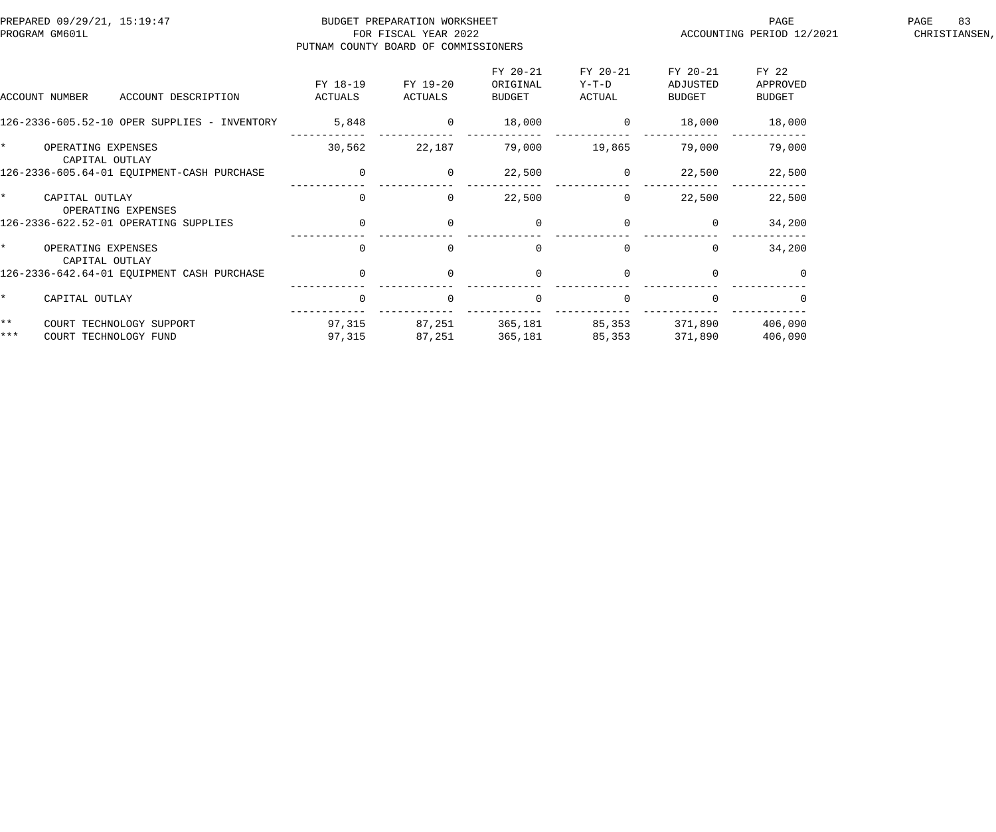| PREPARED 09/29/21, 15:19:47<br>PROGRAM GM601L |                     | BUDGET PREPARATION WORKSHEET<br>FOR FISCAL YEAR 2022<br>PUTNAM COUNTY BOARD OF COMMISSIONERS |                                |                             | PAGE<br>ACCOUNTING PERIOD 12/2021 | 83<br>PAGE<br>CHRISTIANSEN, |  |
|-----------------------------------------------|---------------------|----------------------------------------------------------------------------------------------|--------------------------------|-----------------------------|-----------------------------------|-----------------------------|--|
| ACCOUNT NUMBER<br>ACCOUNT DESCRIPTION         | FY 18-19<br>ACTUALS | FY 19-20<br>ACTUALS                                                                          | FY 20-21<br>ORIGINAL<br>BUDGET | FY 20-21<br>Y-T-D<br>ACTUAL | FY 20-21<br>ADJUSTED<br>BUDGET    | FY 22<br>APPROVED<br>BUDGET |  |
| 126-2336-605.52-10 OPER SUPPLIES - INVENTORY  | 5,848               | $\overline{0}$                                                                               | 18,000                         | $\sim$ 0                    | 18,000                            | 18,000                      |  |
| OPERATING EXPENSES<br>CAPITAL OUTLAY          | 30,562              | 22,187                                                                                       | 79,000                         | 19,865                      | 79,000                            | 79,000                      |  |
| 126-2336-605.64-01 EQUIPMENT-CASH PURCHASE    | $\overline{0}$      | $\overline{0}$                                                                               | 22,500                         | $\overline{0}$              | 22,500                            | 22,500                      |  |
| CAPITAL OUTLAY<br>OPERATING EXPENSES          | $\mathbf 0$         | $\Omega$                                                                                     | 22,500                         | $\overline{0}$              | 22,500                            | 22,500                      |  |
| 126-2336-622.52-01 OPERATING SUPPLIES         | $\overline{0}$      | $\overline{0}$                                                                               | $\mathbf 0$                    | $\mathbf 0$                 | $\overline{0}$                    | 34,200                      |  |
| OPERATING EXPENSES<br>CAPITAL OUTLAY          | $\mathbf{0}$        | $\Omega$                                                                                     | $\overline{0}$                 | $\Omega$                    | $\Omega$                          | 34,200                      |  |
| 126-2336-642.64-01 EOUIPMENT CASH PURCHASE    | $\mathbf 0$         | $\Omega$                                                                                     | $\mathbf 0$                    | $\Omega$                    | $\Omega$                          | $\Omega$                    |  |
| CAPITAL OUTLAY                                | $\Omega$            | $\Omega$                                                                                     | $\mathbf 0$                    | $\Omega$                    |                                   |                             |  |
| $\star\star$<br>COURT TECHNOLOGY SUPPORT      | 97,315              |                                                                                              | 87,251 365,181                 | 85,353 371,890              |                                   | 406,090                     |  |
| ***<br>COURT TECHNOLOGY FUND                  | 97,315              | 87,251                                                                                       | 365,181                        | 85,353                      | 371,890                           | 406,090                     |  |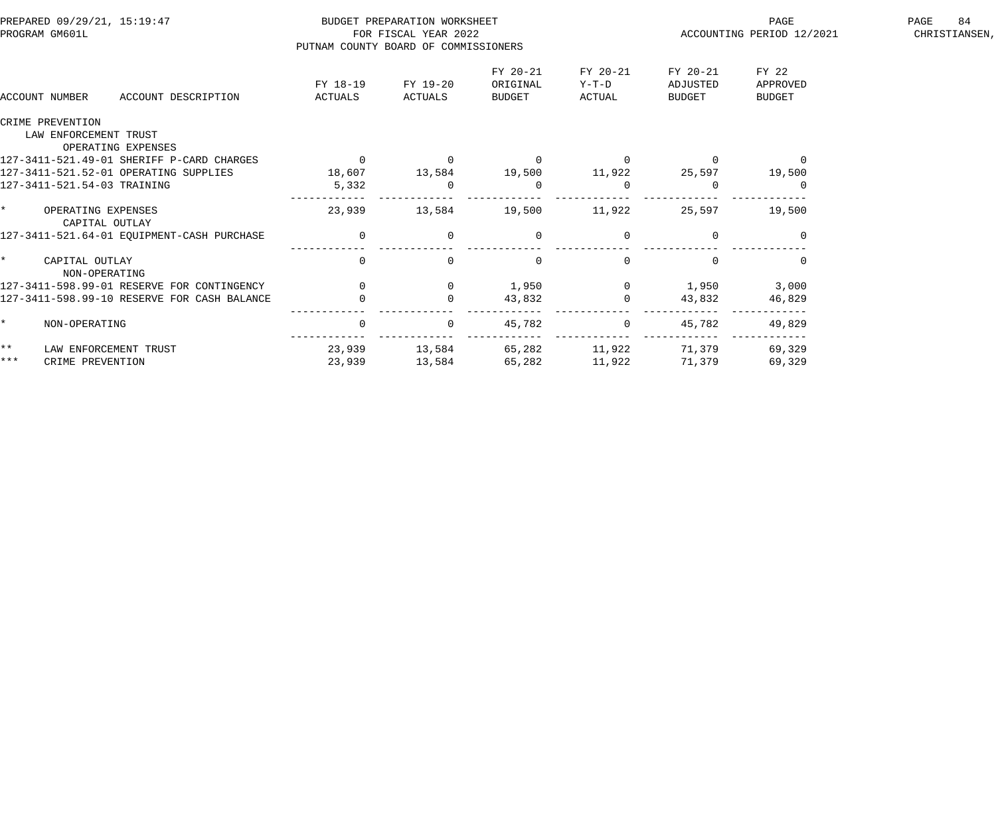| PREPARED 09/29/21, 15:19:47<br>PROGRAM GM601L |                                           |                                             | PUTNAM COUNTY BOARD OF COMMISSIONERS | BUDGET PREPARATION WORKSHEET<br>FOR FISCAL YEAR 2022 |                                |                             | PAGE<br>ACCOUNTING PERIOD 12/2021 | PAGE<br>84<br>CHRISTIANSEN,        |  |
|-----------------------------------------------|-------------------------------------------|---------------------------------------------|--------------------------------------|------------------------------------------------------|--------------------------------|-----------------------------|-----------------------------------|------------------------------------|--|
|                                               | ACCOUNT NUMBER                            | ACCOUNT DESCRIPTION                         | FY 18-19<br>ACTUALS                  | FY 19-20<br>ACTUALS                                  | FY 20-21<br>ORIGINAL<br>BUDGET | FY 20-21<br>Y-T-D<br>ACTUAL | FY 20-21<br>ADJUSTED<br>BUDGET    | FY 22<br>APPROVED<br><b>BUDGET</b> |  |
|                                               | CRIME PREVENTION<br>LAW ENFORCEMENT TRUST | OPERATING EXPENSES                          |                                      |                                                      |                                |                             |                                   |                                    |  |
|                                               |                                           | 127-3411-521.49-01 SHERIFF P-CARD CHARGES   | $\overline{0}$                       | $\overline{0}$                                       | $\overline{0}$                 |                             |                                   | $\overline{0}$                     |  |
|                                               |                                           | 127-3411-521.52-01 OPERATING SUPPLIES       | 18,607 13,584 19,500 11,922          |                                                      |                                |                             | 25,597                            | 19,500                             |  |
|                                               | 127-3411-521.54-03 TRAINING               |                                             | 5,332                                | $\Omega$                                             | $\Omega$                       |                             |                                   |                                    |  |
| $\star$ . The set of $\star$                  | OPERATING EXPENSES<br>CAPITAL OUTLAY      |                                             | 23,939                               | 13,584                                               | 19,500                         | 11,922                      | 25,597                            | 19,500                             |  |
|                                               |                                           | 127-3411-521.64-01 EQUIPMENT-CASH PURCHASE  | $\overline{0}$                       | $\mathbf{0}$                                         | $\overline{0}$                 |                             |                                   |                                    |  |
| $\star$                                       | CAPITAL OUTLAY<br>NON-OPERATING           |                                             | $\Omega$                             | $\Omega$                                             | $\Omega$                       | $\Omega$                    |                                   | $\Omega$                           |  |
|                                               |                                           | 127-3411-598.99-01 RESERVE FOR CONTINGENCY  | $\Omega$                             | $\overline{0}$                                       | 1,950                          | $\overline{0}$              | 1,950                             | 3,000                              |  |
|                                               |                                           | 127-3411-598.99-10 RESERVE FOR CASH BALANCE |                                      |                                                      | 43,832                         |                             | 43,832                            | 46,829                             |  |
| $\star$                                       | NON-OPERATING                             |                                             | $\mathsf{O}$                         | $\overline{0}$                                       | 45,782                         | $\overline{0}$              | 45,782                            | 49,829                             |  |
| $\star \star$                                 |                                           | LAW ENFORCEMENT TRUST                       | 23,939                               | 13,584                                               | 65,282                         | 11,922 71,379               |                                   | 69,329                             |  |
| $***$                                         | CRIME PREVENTION                          |                                             | 23,939                               | 13,584                                               | 65,282                         | 11,922                      | 71,379                            | 69,329                             |  |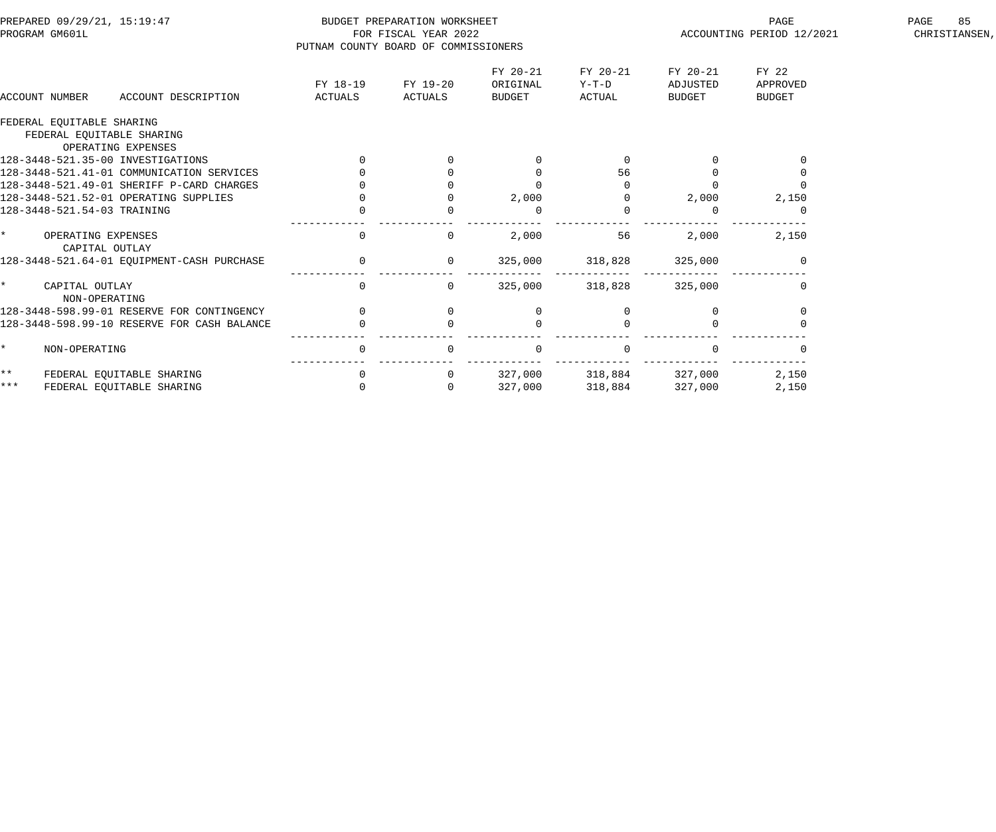|                                                        |                     |                                |                                                                                              | PAGE                           | 85<br>PAGE<br>CHRISTIANSEN,        |                           |
|--------------------------------------------------------|---------------------|--------------------------------|----------------------------------------------------------------------------------------------|--------------------------------|------------------------------------|---------------------------|
| FY 18-19<br>ACTUALS<br>ACCOUNT DESCRIPTION             | FY 19-20<br>ACTUALS | FY 20-21<br>ORIGINAL<br>BUDGET | FY 20-21<br>Y-T-D<br>ACTUAL                                                                  | FY 20-21<br>ADJUSTED<br>BUDGET | FY 22<br>APPROVED<br><b>BUDGET</b> |                           |
|                                                        |                     |                                |                                                                                              |                                |                                    |                           |
|                                                        |                     |                                |                                                                                              |                                |                                    |                           |
| 128-3448-521.41-01 COMMUNICATION SERVICES              |                     | $\Omega$                       | 56                                                                                           |                                |                                    |                           |
| 128-3448-521.49-01 SHERIFF P-CARD CHARGES              |                     |                                |                                                                                              |                                |                                    |                           |
| 128-3448-521.52-01 OPERATING SUPPLIES                  |                     | 2,000                          |                                                                                              | 2,000                          | 2,150                              |                           |
|                                                        |                     | $\Omega$                       |                                                                                              |                                |                                    |                           |
| $\mathbf 0$                                            | $\Omega$            | 2,000                          | 56                                                                                           | 2,000                          | 2,150                              |                           |
| 128-3448-521.64-01 EQUIPMENT-CASH PURCHASE             | $\overline{0}$      | 325,000                        | 318,828                                                                                      | 325,000                        |                                    |                           |
| $\overline{0}$                                         | $\Omega$            | 325,000                        | 318,828                                                                                      | 325,000                        | $\Omega$                           |                           |
| $\Omega$<br>128-3448-598.99-01 RESERVE FOR CONTINGENCY | $\overline{0}$      |                                |                                                                                              |                                |                                    |                           |
| 128-3448-598.99-10 RESERVE FOR CASH BALANCE            |                     |                                |                                                                                              |                                |                                    |                           |
| $\mathbf 0$                                            | $\Omega$            | $\Omega$                       |                                                                                              |                                |                                    |                           |
| $\mathbf 0$                                            | $\overline{0}$      | 327,000                        |                                                                                              |                                | 2,150                              |                           |
| $\mathbf 0$                                            | $\Omega$            | 327,000                        | 318,884                                                                                      | 327,000                        | 2,150                              |                           |
|                                                        |                     |                                | BUDGET PREPARATION WORKSHEET<br>FOR FISCAL YEAR 2022<br>PUTNAM COUNTY BOARD OF COMMISSIONERS |                                | 318,884 327,000                    | ACCOUNTING PERIOD 12/2021 |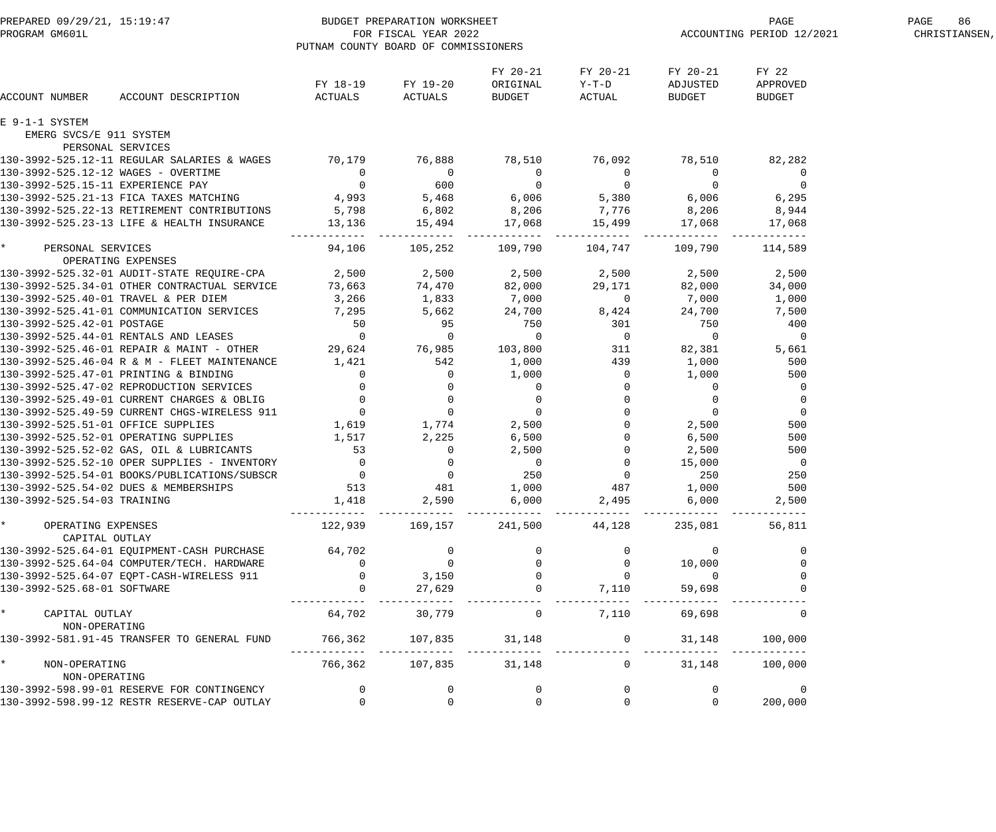| PREPARED 09/29/21, 15:19:47<br>PROGRAM GM601L FOR FISCAL YEAR 2022<br>PUTNAM COUNTY BOARD OF COMMISSION                                                                                                                                  |                                                                                                                                                    | PUTNAM COUNTY BOARD OF COMMISSIONERS |                                       |                                                                | PAGE PAGE<br>ACCOUNTING PERIOD 12/2021               | PAGE<br>86<br>CHRISTIANSEN,        |  |
|------------------------------------------------------------------------------------------------------------------------------------------------------------------------------------------------------------------------------------------|----------------------------------------------------------------------------------------------------------------------------------------------------|--------------------------------------|---------------------------------------|----------------------------------------------------------------|------------------------------------------------------|------------------------------------|--|
| ACCOUNT DESCRIPTION<br>ACCOUNT NUMBER                                                                                                                                                                                                    |                                                                                                                                                    | FY 18-19 FY 19-20<br>ACTUALS ACTUALS | FY 20-21<br>ORIGINAL<br><b>BUDGET</b> | FY 20-21<br>$Y-T-D$<br>ACTUAL                                  | FY 20-21<br>ADJUSTED<br><b>BUDGET</b>                | FY 22<br>APPROVED<br><b>BUDGET</b> |  |
| E 9-1-1 SYSTEM                                                                                                                                                                                                                           |                                                                                                                                                    |                                      |                                       |                                                                |                                                      |                                    |  |
| EMERG SVCS/E 911 SYSTEM                                                                                                                                                                                                                  |                                                                                                                                                    |                                      |                                       |                                                                |                                                      |                                    |  |
| PERSONAL SERVICES<br>130-3992-525.12-11 REGULAR SALARIES & WAGES 70,179 76,888 78,510 76,092 78,510                                                                                                                                      |                                                                                                                                                    |                                      |                                       |                                                                |                                                      |                                    |  |
| 130-3992-525.12-12 WAGES - OVERTIME                                                                                                                                                                                                      |                                                                                                                                                    |                                      |                                       |                                                                |                                                      | 82,282                             |  |
| 130-3992-525.15-11 EXPERIENCE PAY                                                                                                                                                                                                        |                                                                                                                                                    |                                      |                                       |                                                                |                                                      |                                    |  |
| 130-3992-525.21-13 FICA TAXES MATCHING                                                                                                                                                                                                   |                                                                                                                                                    |                                      |                                       |                                                                |                                                      |                                    |  |
| 130-3992-525.22-13 RETIREMENT CONTRIBUTIONS                                                                                                                                                                                              |                                                                                                                                                    |                                      |                                       |                                                                |                                                      |                                    |  |
| 130-3992-525.23-13 LIFE & HEALTH INSURANCE                                                                                                                                                                                               | 0 0 0 0 0 0 0 0 0<br>4,993 5,468 6,006 5,380 6,006 6,295<br>TIONS 5,798 6,802 8,206 7,776 8,206 8,944<br>13,136 15,494 17,068 15,499 17,068 17,068 |                                      |                                       |                                                                |                                                      |                                    |  |
|                                                                                                                                                                                                                                          | ------------  ---                                                                                                                                  |                                      | ------------                          | ________                                                       |                                                      |                                    |  |
| $\star$ and $\star$<br>PERSONAL SERVICES                                                                                                                                                                                                 | 94,106                                                                                                                                             | 105,252 109,790                      |                                       | 104,747 109,790                                                |                                                      | 114,589                            |  |
| OPERATING EXPENSES                                                                                                                                                                                                                       |                                                                                                                                                    |                                      |                                       |                                                                |                                                      |                                    |  |
| 130-3992-525.32-01 AUDIT-STATE REQUIRE-CPA       2,500     2,500     2,500     2,500                                                                                                                                                     |                                                                                                                                                    |                                      |                                       |                                                                | 2,500                                                | 2,500                              |  |
| 130-3992-525.34-01 OTHER CONTRACTUAL SERVICE 73,663<br>130-3992-525.34-01 OTHER CONTRACTUAL SERVICE 73,663<br>130-3992-525.40-01 TRAVEL & PER DIEM 3,266 1,833 7,000 0 7,000<br>130-3992-525.41-01 COMMUNICATION SERVICES 7,295 5,66     |                                                                                                                                                    |                                      |                                       |                                                                | 82,000                                               | 34,000                             |  |
|                                                                                                                                                                                                                                          |                                                                                                                                                    |                                      |                                       |                                                                | 7,000                                                | 1,000                              |  |
|                                                                                                                                                                                                                                          |                                                                                                                                                    |                                      |                                       |                                                                |                                                      | 7,500                              |  |
|                                                                                                                                                                                                                                          |                                                                                                                                                    |                                      |                                       |                                                                |                                                      | 400                                |  |
|                                                                                                                                                                                                                                          |                                                                                                                                                    |                                      |                                       |                                                                |                                                      | $\overline{0}$                     |  |
|                                                                                                                                                                                                                                          |                                                                                                                                                    |                                      |                                       |                                                                | 82,381                                               | 5,661                              |  |
|                                                                                                                                                                                                                                          |                                                                                                                                                    |                                      |                                       |                                                                | 1,000                                                | 500                                |  |
| 130-3992-525.46-04 R & M - FLET MAINTENANCE<br>130-3992-525.47-01 PRINTING & BINDING<br>130-3992-525.47-02 REPRODUCTION SERVICES<br>130-3992-525.49-01 CURRENT CHARGES & OBLIG<br>130-3992-525.49-59 CURRENT CHARGES & OBLIG<br>130-3992 |                                                                                                                                                    |                                      |                                       |                                                                | 1,000                                                | 500                                |  |
|                                                                                                                                                                                                                                          |                                                                                                                                                    |                                      |                                       |                                                                | $\overline{0}$                                       | $\overline{0}$                     |  |
|                                                                                                                                                                                                                                          |                                                                                                                                                    |                                      |                                       | $\overline{0}$                                                 | $\begin{matrix} 0 & & & 0 \\ 0 & & & 0 \end{matrix}$ | $\overline{0}$                     |  |
|                                                                                                                                                                                                                                          |                                                                                                                                                    |                                      |                                       |                                                                |                                                      | $\overline{0}$                     |  |
|                                                                                                                                                                                                                                          |                                                                                                                                                    |                                      |                                       |                                                                | $\overline{0}$<br>2,500                              | 500                                |  |
| 130-3992-525.52-01 OPERATING SUPPLIES                                                                                                                                                                                                    | 1,517                                                                                                                                              | 2,225                                |                                       |                                                                | 6,500                                                | 500                                |  |
|                                                                                                                                                                                                                                          |                                                                                                                                                    |                                      |                                       |                                                                | 2,500                                                | 500                                |  |
|                                                                                                                                                                                                                                          |                                                                                                                                                    |                                      |                                       |                                                                | 15,000                                               | $\overline{\phantom{0}}$           |  |
| 130-3992-525.52-01 OPERATING SUPPLIES<br>130-3992-525.52-02 GAS, OIL & LUBRICANTS 53<br>130-3992-525.52-10 OPER SUPPLIES - INVENTORY 0<br>130-3992-525.54-01 BOOKS/PUBLICATIONS/SUBSCR 0                                                 |                                                                                                                                                    | $\begin{matrix}0\\0\\0\end{matrix}$  |                                       | $6,500$<br>$2,500$<br>$0$<br>$250$<br>$0$<br>$0$<br>$0$<br>$0$ | 250                                                  | 250                                |  |
| 130-3992-525.54-02 DUES & MEMBERSHIPS                                                                                                                                                                                                    | 513                                                                                                                                                | 481                                  | 1,000                                 | 487 1,000                                                      |                                                      | 500                                |  |
| 130-3992-525.54-03 TRAINING                                                                                                                                                                                                              | 1,418                                                                                                                                              | 2,590                                | 6,000                                 | 2,495                                                          | 6,000                                                | 2,500                              |  |
| * OPERATING EXPENSES<br>CAPITAL OUTLAY                                                                                                                                                                                                   | 122,939                                                                                                                                            |                                      | -------<br>169,157 241,500 44,128     |                                                                | 235,081                                              | 56,811                             |  |
| 130-3992-525.64-01 EQUIPMENT-CASH PURCHASE                                                                                                                                                                                               | 64,702                                                                                                                                             |                                      |                                       |                                                                | $\overline{\phantom{0}}$                             |                                    |  |
| 130-3992-525.64-04 COMPUTER/TECH. HARDWARE                                                                                                                                                                                               | $\overline{0}$                                                                                                                                     | $\overline{0}$                       | $\mathbf 0$                           | $\overline{0}$                                                 | 10,000                                               |                                    |  |
| 130-3992-525.64-07 EQPT-CASH-WIRELESS 911                                                                                                                                                                                                | $\overline{\phantom{0}}$                                                                                                                           | 3,150                                |                                       | $\overline{0}$ 0                                               | $\overline{0}$                                       |                                    |  |
| 130-3992-525.68-01 SOFTWARE                                                                                                                                                                                                              | $\overline{0}$                                                                                                                                     | 27,629                               | $\overline{0}$                        | 7,110                                                          | 59,698                                               |                                    |  |
|                                                                                                                                                                                                                                          |                                                                                                                                                    |                                      |                                       |                                                                |                                                      |                                    |  |
| $\star$<br>CAPITAL OUTLAY<br>NON-OPERATING                                                                                                                                                                                               | 64,702                                                                                                                                             | 30,779                               |                                       | $0 \t 7,110$                                                   | 69,698                                               | $\Omega$                           |  |
| 130-3992-581.91-45 TRANSFER TO GENERAL FUND                                                                                                                                                                                              |                                                                                                                                                    | 766,362 107,835 31,148               |                                       | $\overline{0}$                                                 |                                                      | 31,148 100,000                     |  |
| $\star$<br>NON-OPERATING<br>NON-OPERATING                                                                                                                                                                                                |                                                                                                                                                    | 766,362 107,835 31,148               |                                       | $\Omega$                                                       | 31,148                                               | 100,000                            |  |
| 130-3992-598.99-01 RESERVE FOR CONTINGENCY                                                                                                                                                                                               | $\overline{0}$                                                                                                                                     | $\overline{0}$                       | $\mathbf 0$                           | $\overline{0}$                                                 | $\overline{0}$                                       | $\overline{0}$                     |  |
| 130-3992-598.99-12 RESTR RESERVE-CAP OUTLAY                                                                                                                                                                                              | $\Omega$                                                                                                                                           | $\Omega$                             | $\Omega$                              | $\Omega$                                                       | $\Omega$                                             | 200,000                            |  |
|                                                                                                                                                                                                                                          |                                                                                                                                                    |                                      |                                       |                                                                |                                                      |                                    |  |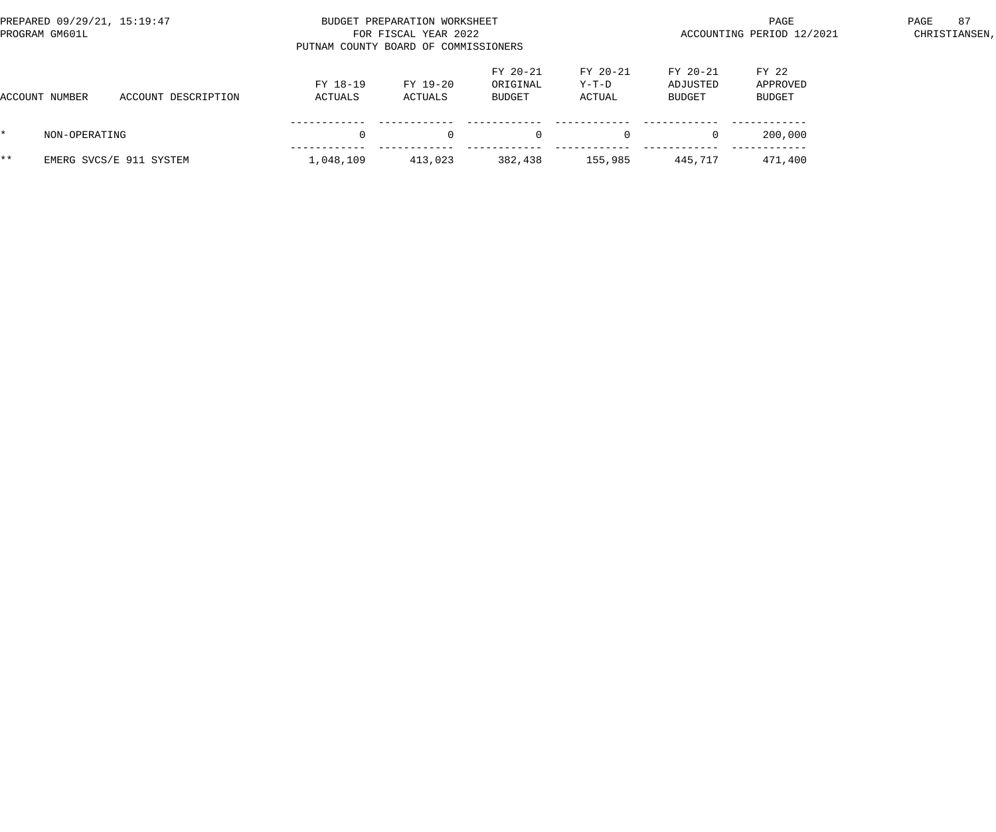|     | PREPARED 09/29/21, 15:19:47<br>PROGRAM GM601L |                         | PUTNAM COUNTY BOARD OF COMMISSIONERS | BUDGET PREPARATION WORKSHEET<br>FOR FISCAL YEAR 2022 |                                  | ACCOUNTING PERIOD 12/2021   | PAGE                             | 87<br>CHRISTIANSEN,         |  |  |
|-----|-----------------------------------------------|-------------------------|--------------------------------------|------------------------------------------------------|----------------------------------|-----------------------------|----------------------------------|-----------------------------|--|--|
|     | ACCOUNT NUMBER                                | ACCOUNT DESCRIPTION     | FY 18-19<br>ACTUALS                  | FY 19-20<br>ACTUALS                                  | $FY 20-21$<br>ORIGINAL<br>BUDGET | FY 20-21<br>Y-T-D<br>ACTUAL | $FY 20-21$<br>ADJUSTED<br>BUDGET | FY 22<br>APPROVED<br>BUDGET |  |  |
|     | NON-OPERATING                                 |                         | $\Omega$                             |                                                      | $\Omega$                         |                             | $\Omega$                         | 200,000                     |  |  |
| * * |                                               | EMERG SVCS/E 911 SYSTEM | 1,048,109                            | 413,023                                              | 382,438                          | 155,985                     | 445,717                          | 471,400                     |  |  |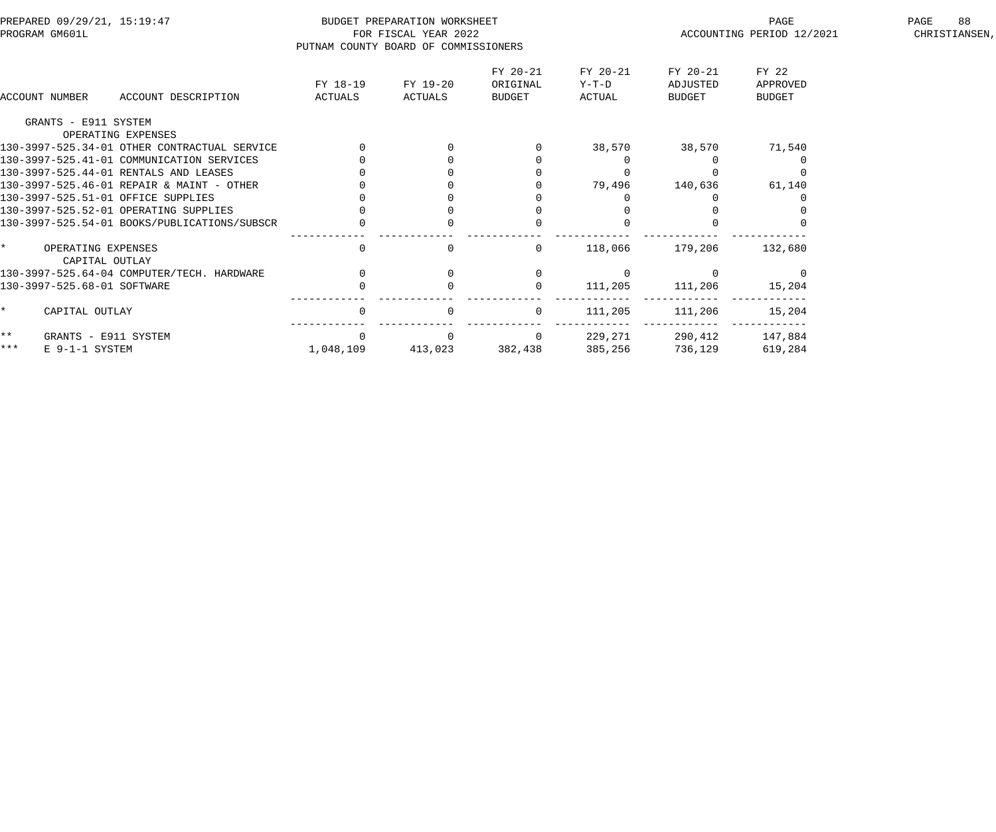| PREPARED 09/29/21, 15:19:47<br>PROGRAM GM601L |                                      | PUTNAM COUNTY BOARD OF COMMISSIONERS         | BUDGET PREPARATION WORKSHEET<br>FOR FISCAL YEAR 2022 |                     | ACCOUNTING PERIOD 12/2021      | PAGE                          | 88<br>CHRISTIANSEN,            |                             |  |  |
|-----------------------------------------------|--------------------------------------|----------------------------------------------|------------------------------------------------------|---------------------|--------------------------------|-------------------------------|--------------------------------|-----------------------------|--|--|
|                                               | ACCOUNT NUMBER                       | ACCOUNT DESCRIPTION                          | FY 18-19<br>ACTUALS                                  | FY 19-20<br>ACTUALS | FY 20-21<br>ORIGINAL<br>BUDGET | FY 20-21<br>$Y-T-D$<br>ACTUAL | FY 20-21<br>ADJUSTED<br>BUDGET | FY 22<br>APPROVED<br>BUDGET |  |  |
|                                               | GRANTS - E911 SYSTEM                 |                                              |                                                      |                     |                                |                               |                                |                             |  |  |
|                                               |                                      | OPERATING EXPENSES                           |                                                      |                     |                                |                               |                                |                             |  |  |
|                                               |                                      | 130-3997-525.34-01 OTHER CONTRACTUAL SERVICE |                                                      |                     |                                |                               | 38,570 38,570                  | 71,540                      |  |  |
|                                               |                                      | 130-3997-525.41-01 COMMUNICATION SERVICES    |                                                      |                     |                                |                               |                                |                             |  |  |
|                                               |                                      | 130-3997-525.44-01 RENTALS AND LEASES        |                                                      |                     |                                |                               |                                |                             |  |  |
|                                               |                                      | 130-3997-525.46-01 REPAIR & MAINT - OTHER    |                                                      |                     |                                | 79,496                        | 140,636                        | 61,140                      |  |  |
|                                               |                                      | 130-3997-525.51-01 OFFICE SUPPLIES           |                                                      |                     |                                |                               |                                |                             |  |  |
|                                               |                                      | 130-3997-525.52-01 OPERATING SUPPLIES        |                                                      |                     |                                |                               |                                |                             |  |  |
|                                               |                                      | 130-3997-525.54-01 BOOKS/PUBLICATIONS/SUBSCR | $\mathbf 0$                                          |                     |                                |                               |                                |                             |  |  |
| $\star$ and $\star$                           | OPERATING EXPENSES<br>CAPITAL OUTLAY |                                              | $\mathsf{O}$                                         | 0                   | $\overline{0}$                 | 118,066                       | 179,206                        | 132,680                     |  |  |
|                                               |                                      | 130-3997-525.64-04 COMPUTER/TECH. HARDWARE   |                                                      |                     | $\mathbf 0$                    |                               |                                |                             |  |  |
|                                               | 130-3997-525.68-01 SOFTWARE          |                                              |                                                      |                     | $\mathbf{0}$                   | 111,205                       | 111,206                        | 15,204                      |  |  |
| $\star$                                       | CAPITAL OUTLAY                       |                                              | $\overline{0}$                                       |                     | $\overline{0}$                 | 111,205                       | 111,206                        | 15,204                      |  |  |
| $***$                                         | GRANTS - E911 SYSTEM                 |                                              | $\Omega$                                             |                     | $\overline{0}$                 | 229,271                       |                                | 290,412 147,884             |  |  |
| $***$                                         | E 9-1-1 SYSTEM                       |                                              | 1,048,109                                            | 413,023 382,438     |                                | 385,256                       | 736,129                        | 619,284                     |  |  |
|                                               |                                      |                                              |                                                      |                     |                                |                               |                                |                             |  |  |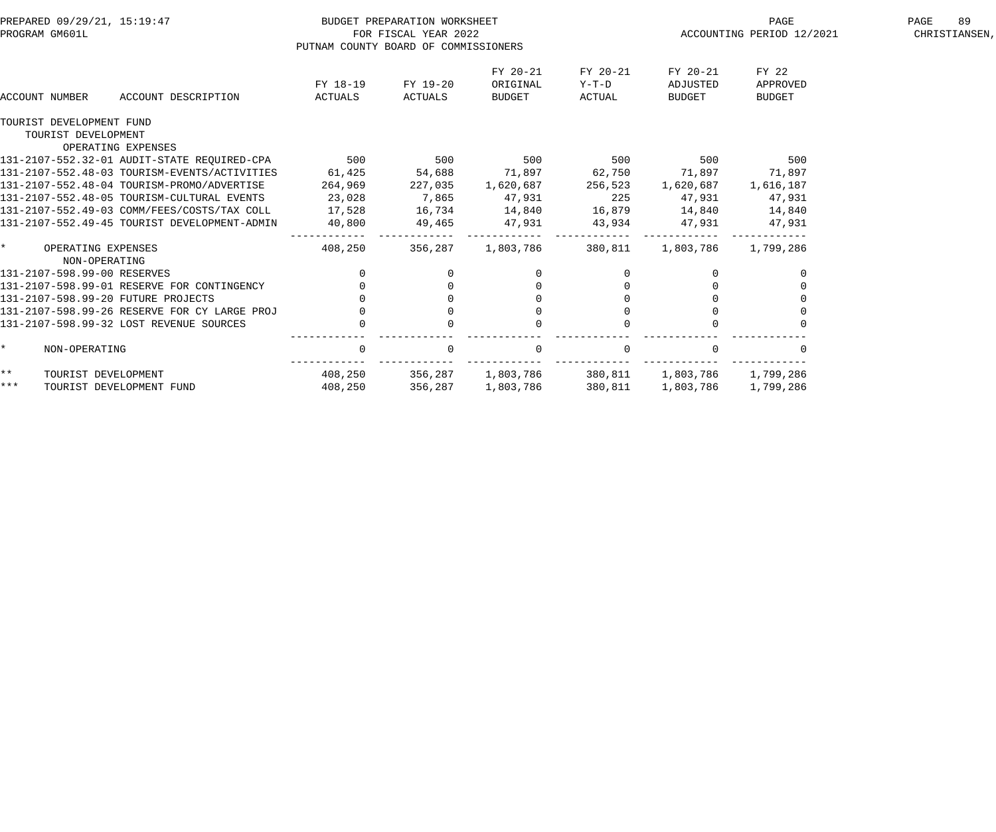| PREPARED 09/29/21, 15:19:47 |                             |                                                 |                                      | BUDGET PREPARATION WORKSHEET |                                     |          |                                               | PAGE                      | PAGE<br>89    |
|-----------------------------|-----------------------------|-------------------------------------------------|--------------------------------------|------------------------------|-------------------------------------|----------|-----------------------------------------------|---------------------------|---------------|
|                             | PROGRAM GM601L              |                                                 |                                      | FOR FISCAL YEAR 2022         |                                     |          |                                               | ACCOUNTING PERIOD 12/2021 | CHRISTIANSEN, |
|                             |                             |                                                 | PUTNAM COUNTY BOARD OF COMMISSIONERS |                              |                                     |          |                                               |                           |               |
|                             |                             |                                                 |                                      |                              | FY 20-21                            | FY 20-21 | FY 20-21                                      | FY 22                     |               |
|                             |                             |                                                 | FY 18-19                             | FY 19-20                     | ORIGINAL                            | Y-T-D    | ADJUSTED                                      | APPROVED                  |               |
|                             | ACCOUNT NUMBER              | ACCOUNT DESCRIPTION                             | ACTUALS                              | ACTUALS                      | BUDGET                              | ACTUAL   | BUDGET                                        | BUDGET                    |               |
|                             | TOURIST DEVELOPMENT FUND    |                                                 |                                      |                              |                                     |          |                                               |                           |               |
|                             | TOURIST DEVELOPMENT         |                                                 |                                      |                              |                                     |          |                                               |                           |               |
|                             |                             | OPERATING EXPENSES                              |                                      |                              |                                     |          |                                               |                           |               |
|                             |                             | 131-2107-552.32-01 AUDIT-STATE REQUIRED-CPA 500 |                                      |                              | 500 500 500 500                     |          |                                               | 500                       |               |
|                             |                             | 131-2107-552.48-03 TOURISM-EVENTS/ACTIVITIES    | 61,425                               | 54,688                       | 71,897 62,750                       |          | 71,897 71,897                                 |                           |               |
|                             |                             | 131-2107-552.48-04 TOURISM-PROMO/ADVERTISE      | 264,969                              | 227,035                      | 1,620,687                           | 256,523  | 1,620,687                                     | 1,616,187                 |               |
|                             |                             | 131-2107-552.48-05 TOURISM-CULTURAL EVENTS      | 23,028                               | 7,865                        | 47,931                              | 225      | 47,931                                        | 47,931                    |               |
|                             |                             | 131-2107-552.49-03 COMM/FEES/COSTS/TAX COLL     | 17,528                               | 16,734                       | 14,840 16,879 14,840 14,840         |          |                                               |                           |               |
|                             |                             | 131-2107-552.49-45 TOURIST DEVELOPMENT-ADMIN    | 40,800                               | 49,465 47,931                |                                     |          | 43,934 47,931 47,931                          |                           |               |
|                             | * OPERATING EXPENSES        |                                                 | 408,250                              | - - - - - - - - <sup>-</sup> | --------------<br>356,287 1,803,786 | 380,811  | ________________________________<br>1,803,786 | 1,799,286                 |               |
|                             | NON-OPERATING               |                                                 |                                      |                              |                                     |          |                                               |                           |               |
|                             | 131-2107-598.99-00 RESERVES |                                                 | $\overline{0}$                       |                              |                                     |          |                                               |                           |               |
|                             |                             | 131-2107-598.99-01 RESERVE FOR CONTINGENCY      |                                      |                              |                                     |          | $\Omega$                                      |                           |               |
|                             |                             | 131-2107-598.99-20 FUTURE PROJECTS              |                                      |                              |                                     |          |                                               |                           |               |
|                             |                             | 131-2107-598.99-26 RESERVE FOR CY LARGE PROJ    |                                      |                              |                                     |          |                                               |                           |               |
|                             |                             | 131-2107-598.99-32 LOST REVENUE SOURCES         |                                      |                              |                                     |          |                                               |                           |               |
| $\star$                     | NON-OPERATING               |                                                 | $\Omega$                             |                              | $\Omega$                            |          |                                               |                           |               |
| $***$                       | TOURIST DEVELOPMENT         |                                                 |                                      | 408,250 356,287 1,803,786    |                                     | 380,811  |                                               | 1,803,786 1,799,286       |               |
| * * *                       |                             | TOURIST DEVELOPMENT FUND                        | 408,250                              | 356,287                      | 1,803,786                           | 380,811  | 1,803,786                                     | 1,799,286                 |               |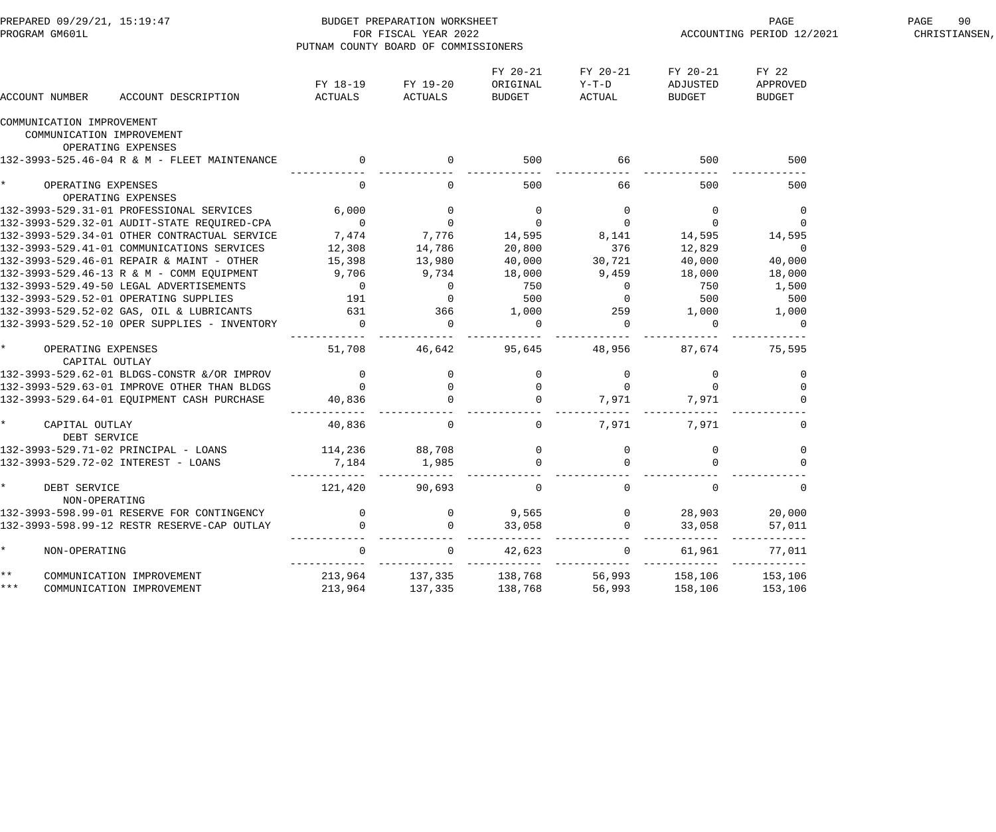| PREPARED 09/29/21, 15:19:47<br>PROGRAM GM601L       |                                                 | PUTNAM COUNTY BOARD OF COMMISSIONERS | BUDGET PREPARATION WORKSHEET<br>FOR FISCAL YEAR 2022 |                                       |                             | ACCOUNTING PERIOD 12/2021      | PAGE<br>90<br>CHRISTIANSEN,        |  |
|-----------------------------------------------------|-------------------------------------------------|--------------------------------------|------------------------------------------------------|---------------------------------------|-----------------------------|--------------------------------|------------------------------------|--|
| ACCOUNT NUMBER                                      | ACCOUNT DESCRIPTION                             | ACTUALS                              | FY 18-19 FY 19-20<br>ACTUALS                         | FY 20-21<br>ORIGINAL<br>BUDGET        | FY 20-21<br>Y-T-D<br>ACTUAL | FY 20-21<br>ADJUSTED<br>BUDGET | FY 22<br>APPROVED<br><b>BUDGET</b> |  |
| COMMUNICATION IMPROVEMENT                           |                                                 |                                      |                                                      |                                       |                             |                                |                                    |  |
| COMMUNICATION IMPROVEMENT                           |                                                 |                                      |                                                      |                                       |                             |                                |                                    |  |
| OPERATING EXPENSES                                  |                                                 |                                      |                                                      |                                       |                             |                                |                                    |  |
|                                                     | 132-3993-525.46-04 R & M - FLEET MAINTENANCE    | $\overline{0}$                       |                                                      | 500                                   | 66                          | 500                            | 500                                |  |
| $\star$<br>OPERATING EXPENSES<br>OPERATING EXPENSES |                                                 | $\overline{0}$                       | $\overline{0}$                                       | 500                                   | 66                          | 500                            | 500                                |  |
|                                                     | 132-3993-529.31-01 PROFESSIONAL SERVICES 6,000  |                                      | $\overline{0}$                                       | $\overline{0}$                        | $\overline{0}$              | $\overline{0}$                 | $\overline{0}$                     |  |
|                                                     | 132-3993-529.32-01 AUDIT-STATE REQUIRED-CPA     | $\overline{0}$                       | $\overline{0}$                                       | $\overline{0}$                        | $\overline{0}$              | $\overline{0}$                 | 0                                  |  |
|                                                     | 132-3993-529.34-01 OTHER CONTRACTUAL SERVICE    | 7,474                                | 7,776                                                | 14,595                                | 8, 141 14, 595              |                                | 14,595                             |  |
|                                                     | 132-3993-529.41-01 COMMUNICATIONS SERVICES      | 12,308                               | 14,786                                               | 20,800                                | 376                         | 12,829                         | $\overline{0}$                     |  |
|                                                     | 132-3993-529.46-01 REPAIR & MAINT - OTHER       | 15,398                               | 13,980                                               | 40,000                                | 30,721                      | 40,000                         | 40,000                             |  |
|                                                     | 132-3993-529.46-13 R & M - COMM EQUIPMENT 9,706 |                                      | 9,734                                                | 18,000                                | 9,459                       | 18,000                         | 18,000                             |  |
|                                                     | 132-3993-529.49-50 LEGAL ADVERTISEMENTS 0       |                                      | $\overline{0}$                                       | 750                                   | $\overline{0}$              | 750                            | 1,500                              |  |
|                                                     | 132-3993-529.52-01 OPERATING SUPPLIES 191       |                                      | $\overline{0}$                                       | 500                                   | $\overline{0}$              | 500                            | 500                                |  |
|                                                     | 132-3993-529.52-02 GAS, OIL & LUBRICANTS 631    |                                      | 366                                                  | 1,000                                 | 259                         | 1,000                          | 1,000                              |  |
|                                                     | 132-3993-529.52-10 OPER SUPPLIES - INVENTORY    | $\overline{0}$                       | $\overline{0}$                                       | $\overline{0}$                        | $\mathbf 0$                 | $\overline{0}$                 |                                    |  |
| $\star$<br>OPERATING EXPENSES<br>CAPITAL OUTLAY     |                                                 | 51,708                               | 46,642                                               | 95,645                                | 48,956                      | 87,674                         | 75,595                             |  |
|                                                     | 132-3993-529.62-01 BLDGS-CONSTR &/OR IMPROV     | $\overline{0}$                       |                                                      | $\overline{0}$                        |                             | $\overline{0}$                 | 0                                  |  |
|                                                     | 132-3993-529.63-01 IMPROVE OTHER THAN BLDGS     | $\overline{0}$                       | $\overline{0}$                                       |                                       |                             |                                |                                    |  |
|                                                     | 132-3993-529.64-01 EQUIPMENT CASH PURCHASE      | 40,836                               |                                                      | $\overline{0}$                        | 7,971                       | 7,971                          |                                    |  |
| $\star$<br>CAPITAL OUTLAY<br>DEBT SERVICE           |                                                 | 40,836                               | $\overline{0}$                                       |                                       | 0 $7,971$                   | 7,971                          | $\overline{0}$                     |  |
| 132-3993-529.71-02 PRINCIPAL - LOANS                |                                                 | 114,236 88,708                       |                                                      |                                       |                             | $\overline{0}$                 | 0                                  |  |
| 132-3993-529.72-02 INTEREST - LOANS                 |                                                 | 7,184                                | 1,985                                                | $\begin{array}{c} 0 \\ 0 \end{array}$ |                             | $\Omega$                       |                                    |  |
| DEBT SERVICE<br>NON-OPERATING                       |                                                 | 121,420                              | 90,693                                               | $\mathsf{O}$                          | $\mathbf 0$                 | $\mathbf 0$                    | $\mathsf 0$                        |  |
|                                                     | 132-3993-598.99-01 RESERVE FOR CONTINGENCY      | $\Omega$                             | $\Omega$                                             | 9,565                                 |                             | 28,903                         | 20,000                             |  |
|                                                     | 132-3993-598.99-12 RESTR RESERVE-CAP OUTLAY     | $\Omega$                             | $\Omega$                                             | 33,058                                |                             | 33,058                         | 57,011                             |  |
| $\star$<br>NON-OPERATING                            |                                                 | 0                                    | $\Omega$                                             | 42,623                                | $\mathbf 0$                 | 61,961                         | 77,011                             |  |
| $\star \star$<br>COMMUNICATION IMPROVEMENT          |                                                 | 213,964                              | 137,335                                              | 138,768                               | 56,993                      | 158,106                        | - - - - - -<br>153,106             |  |
| k * *<br>COMMUNICATION IMPROVEMENT                  |                                                 | 213,964                              | 137,335                                              | 138,768                               | 56,993                      | 158,106                        | 153,106                            |  |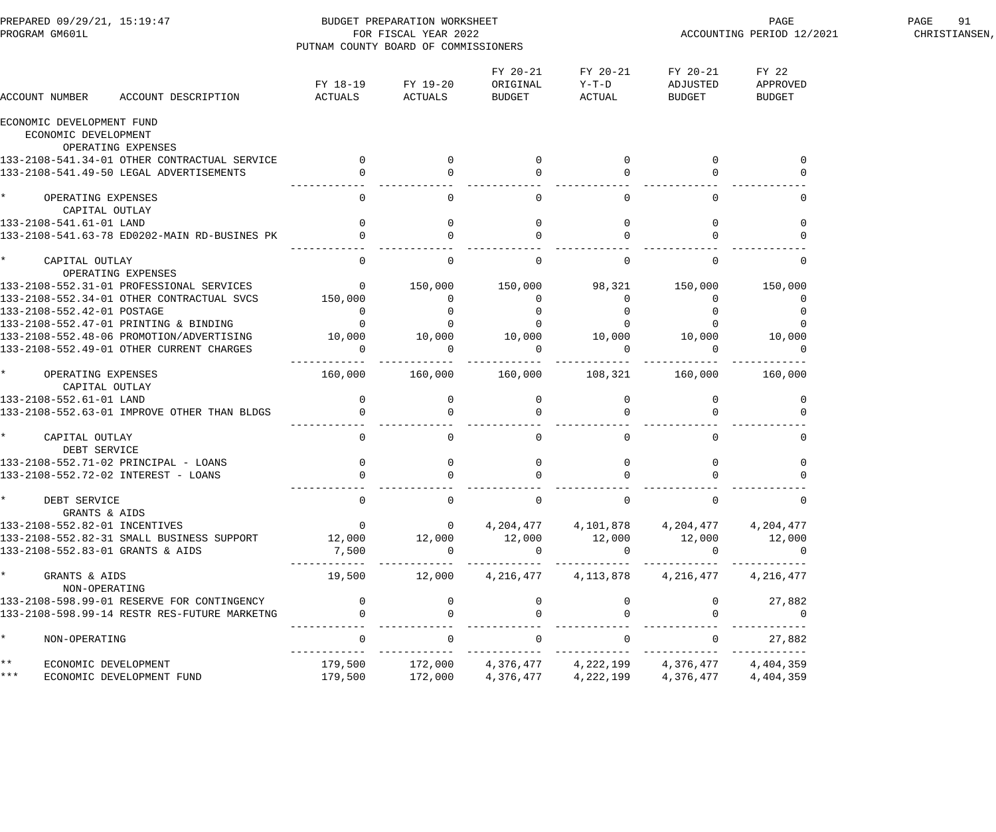| PREPARED 09/29/21, 15:19:47<br>PROGRAM GM601L |                                                                                             | BUDGET PREPARATION WORKSHEET<br>FOR FISCAL YEAR 2022<br>PUTNAM COUNTY BOARD OF COMMISSIONERS |                                 |                        |                                      |                                             | PAGE<br>ACCOUNTING PERIOD 12/2021 | PAGE<br>91<br>CHRISTIANSEN, |
|-----------------------------------------------|---------------------------------------------------------------------------------------------|----------------------------------------------------------------------------------------------|---------------------------------|------------------------|--------------------------------------|---------------------------------------------|-----------------------------------|-----------------------------|
| ACCOUNT NUMBER                                |                                                                                             |                                                                                              | FY 18-19 FY 19-20               | FY 20-21<br>ORIGINAL   | FY 20-21<br>$Y-T-D$<br>BUDGET ACTUAL | FY 20-21 FY 22<br>ADJUSTED<br><b>BUDGET</b> | APPROVED<br>BUDGET                |                             |
| ECONOMIC DEVELOPMENT FUND                     |                                                                                             |                                                                                              |                                 |                        |                                      |                                             |                                   |                             |
|                                               | ECONOMIC DEVELOPMENT                                                                        |                                                                                              |                                 |                        |                                      |                                             |                                   |                             |
|                                               | OPERATING EXPENSES                                                                          |                                                                                              |                                 |                        |                                      |                                             |                                   |                             |
|                                               |                                                                                             |                                                                                              | $\overline{0}$                  | $\mathbf{0}$           |                                      | $\overline{0}$                              |                                   |                             |
|                                               | 133-2108-541.34-01 OTHER CONTRACTUAL SERVICE 0<br>133-2108-541.49-50 LEGAL ADVERTISEMENTS 0 |                                                                                              |                                 |                        |                                      |                                             |                                   |                             |
| * OPERATING EXPENSES                          |                                                                                             | $\overline{0}$                                                                               |                                 | $\mathbf{0}$           |                                      |                                             |                                   |                             |
|                                               | CAPITAL OUTLAY                                                                              |                                                                                              |                                 |                        |                                      |                                             |                                   |                             |
| 133-2108-541.61-01 LAND                       |                                                                                             | $\begin{array}{c} 0 \\ 0 \end{array}$                                                        | $\mathbf 0$                     | 0                      |                                      | $\mathbf{0}$                                |                                   |                             |
|                                               | 133-2108-541.63-78 ED0202-MAIN RD-BUSINES PK                                                |                                                                                              |                                 |                        |                                      |                                             |                                   |                             |
| * CAPITAL OUTLAY                              |                                                                                             | $\Omega$                                                                                     | $\Omega$                        | $\overline{0}$         | $\Omega$                             | $\Omega$                                    | 0                                 |                             |
|                                               | OPERATING EXPENSES                                                                          |                                                                                              |                                 |                        |                                      |                                             |                                   |                             |
|                                               | 133-2108-552.31-01 PROFESSIONAL SERVICES                                                    | $\overline{a}$                                                                               | 150,000                         | 150,000                | 98,321                               | 150,000                                     | 150,000                           |                             |
|                                               | 133-2108-552.34-01 OTHER CONTRACTUAL SVCS 150,000                                           |                                                                                              | $\overline{0}$                  | $\mathbf 0$            |                                      |                                             |                                   |                             |
| 133-2108-552.42-01 POSTAGE                    |                                                                                             | $\begin{matrix} 0 \\ 0 \end{matrix}$                                                         |                                 |                        |                                      |                                             |                                   |                             |
|                                               | 133-2108-552.47-01 PRINTING & BINDING                                                       |                                                                                              |                                 |                        |                                      |                                             |                                   |                             |
|                                               | 133-2108-552.48-06 PROMOTION/ADVERTISING 10,000                                             |                                                                                              | 10,000                          | 10,000 10,000          |                                      | 10,000                                      | 10,000                            |                             |
|                                               | 133-2108-552.49-01 OTHER CURRENT CHARGES                                                    | $\overline{0}$                                                                               | $\overline{0}$<br>------------- | $\Omega$               |                                      |                                             |                                   |                             |
| * OPERATING EXPENSES                          |                                                                                             | 160,000                                                                                      |                                 |                        |                                      |                                             |                                   |                             |
|                                               | CAPITAL OUTLAY                                                                              |                                                                                              |                                 |                        |                                      |                                             |                                   |                             |
| 133-2108-552.61-01 LAND                       |                                                                                             |                                                                                              | $\overline{0}$                  | $\overline{0}$         |                                      | $\overline{0}$                              |                                   |                             |
|                                               | 133-2108-552.63-01 IMPROVE OTHER THAN BLDGS                                                 | $\begin{array}{c} 0 \\ 0 \end{array}$                                                        |                                 | $\overline{0}$         |                                      |                                             |                                   |                             |
| * CAPITAL OUTLAY                              | DEBT SERVICE                                                                                | $\overline{0}$                                                                               | $\Omega$                        | $\overline{0}$         | $\Omega$                             | $\Omega$                                    | $\mathbf{0}$                      |                             |
|                                               | 133-2108-552.71-02 PRINCIPAL - LOANS                                                        | $\overline{0}$                                                                               | 0                               |                        |                                      | 0                                           |                                   |                             |
|                                               | 133-2108-552.72-02 INTEREST - LOANS                                                         | $\overline{0}$                                                                               |                                 |                        |                                      |                                             |                                   |                             |
| $\star$<br>DEBT SERVICE                       | GRANTS & AIDS                                                                               | $\mathbf{0}$                                                                                 |                                 | 0                      | 0                                    | $\mathbf{0}$                                | 0                                 |                             |
|                                               | 133-2108-552.82-01 INCENTIVES                                                               | $\overline{0}$                                                                               | $\mathbf 0$                     | 4,204,477              | 4,101,878                            | 4,204,477                                   | 4,204,477                         |                             |
|                                               | 133-2108-552.82-31 SMALL BUSINESS SUPPORT                                                   | 12,000                                                                                       | 12,000                          | 12,000                 | 12,000                               | 12,000                                      | 12,000                            |                             |
|                                               | 133-2108-552.83-01 GRANTS & AIDS                                                            | 7,500                                                                                        | $\Omega$                        | $\mathbf 0$            |                                      | $\Omega$                                    | 0                                 |                             |
| $\star$<br>GRANTS & AIDS                      | NON-OPERATING                                                                               | 19,500                                                                                       | 12,000                          | 4,216,477              | 4,113,878                            | 4,216,477                                   | 4,216,477                         |                             |
|                                               | 133-2108-598.99-01 RESERVE FOR CONTINGENCY                                                  | $\mathbf{0}$                                                                                 |                                 |                        |                                      | $\overline{0}$                              | 27,882                            |                             |
|                                               | 133-2108-598.99-14 RESTR RES-FUTURE MARKETNG                                                |                                                                                              |                                 |                        |                                      |                                             | $\mathbf 0$                       |                             |
| $\star$<br>NON-OPERATING                      |                                                                                             | 0                                                                                            |                                 | 0                      |                                      | 0                                           | 27,882                            |                             |
| $\star\star$<br>* * *                         | ECONOMIC DEVELOPMENT<br>ECONOMIC DEVELOPMENT FUND                                           | 179,500<br>179,500                                                                           | 172,000<br>172,000              | 4,376,477<br>4,376,477 | 4,222,199<br>4,222,199               | 4,376,477<br>4,376,477                      | 4,404,359<br>4,404,359            |                             |
|                                               |                                                                                             |                                                                                              |                                 |                        |                                      |                                             |                                   |                             |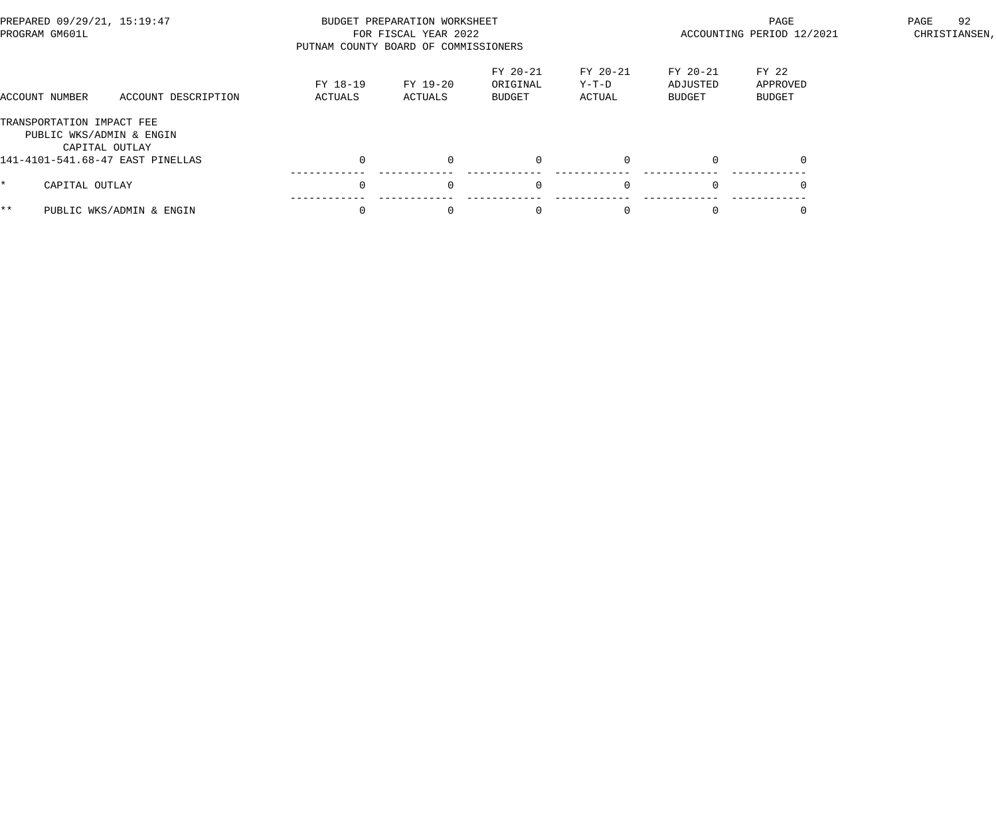| PREPARED 09/29/21, 15:19:47<br>PROGRAM GM601L         |                          | PUTNAM COUNTY BOARD OF COMMISSIONERS | BUDGET PREPARATION WORKSHEET<br>FOR FISCAL YEAR 2022 |                                       | ACCOUNTING PERIOD 12/2021   | 92<br>PAGE<br>CHRISTIANSEN,           |                                    |  |
|-------------------------------------------------------|--------------------------|--------------------------------------|------------------------------------------------------|---------------------------------------|-----------------------------|---------------------------------------|------------------------------------|--|
| ACCOUNT NUMBER                                        | ACCOUNT DESCRIPTION      | FY 18-19<br>ACTUALS                  | FY 19-20<br>ACTUALS                                  | FY 20-21<br>ORIGINAL<br><b>BUDGET</b> | FY 20-21<br>Y-T-D<br>ACTUAL | FY 20-21<br>ADJUSTED<br><b>BUDGET</b> | FY 22<br>APPROVED<br><b>BUDGET</b> |  |
| TRANSPORTATION IMPACT FEE<br>PUBLIC WKS/ADMIN & ENGIN | CAPITAL OUTLAY           |                                      |                                                      |                                       |                             |                                       |                                    |  |
| 141-4101-541.68-47 EAST PINELLAS                      |                          |                                      | $\Omega$                                             | $\overline{0}$                        |                             | $\Omega$                              | $\Omega$                           |  |
| CAPITAL OUTLAY<br>*.                                  |                          |                                      | $\Omega$                                             | $\overline{0}$                        | $\Omega$                    | $\Omega$                              |                                    |  |
| $***$                                                 | PUBLIC WKS/ADMIN & ENGIN |                                      | $\Omega$                                             | $\Omega$                              |                             | $\Omega$                              |                                    |  |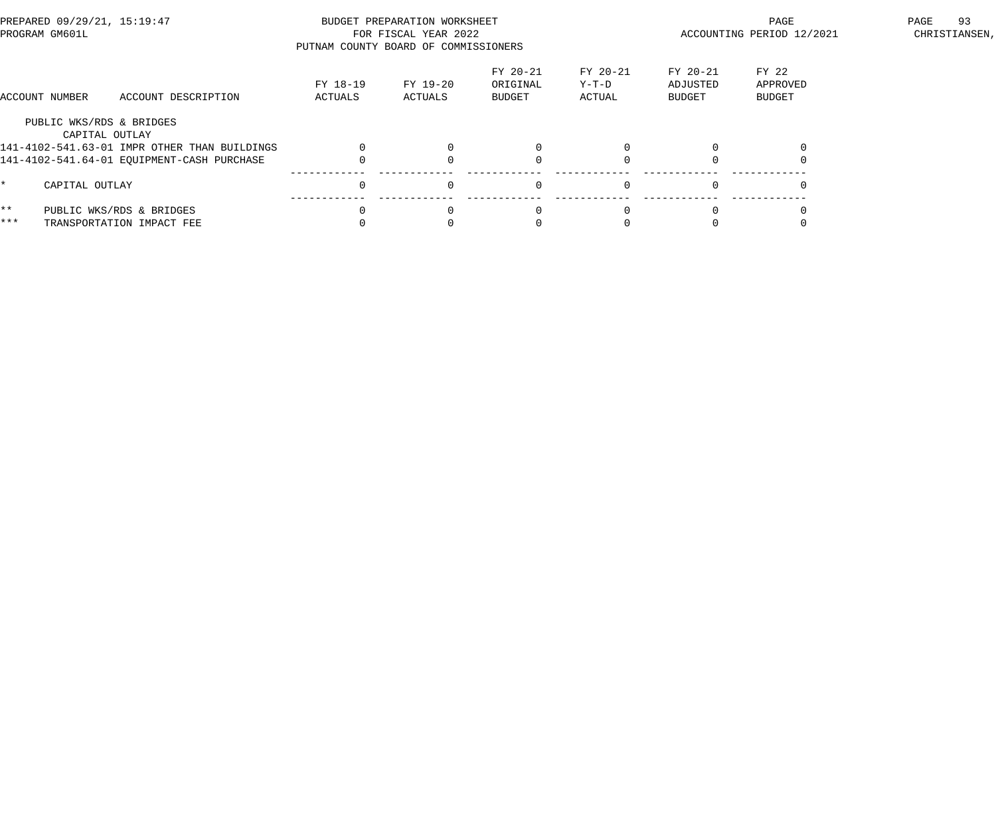| PREPARED 09/29/21, 15:19:47<br>PROGRAM GM601L |                                            | PUTNAM COUNTY BOARD OF COMMISSIONERS                  | BUDGET PREPARATION WORKSHEET<br>FOR FISCAL YEAR 2022 |                     | ACCOUNTING PERIOD 12/2021      | 93<br>PAGE<br>CHRISTIANSEN, |                                       |                                    |  |
|-----------------------------------------------|--------------------------------------------|-------------------------------------------------------|------------------------------------------------------|---------------------|--------------------------------|-----------------------------|---------------------------------------|------------------------------------|--|
|                                               | ACCOUNT NUMBER                             | ACCOUNT DESCRIPTION                                   | FY 18-19<br>ACTUALS                                  | FY 19-20<br>ACTUALS | FY 20-21<br>ORIGINAL<br>BUDGET | FY 20-21<br>Y-T-D<br>ACTUAL | FY 20-21<br>ADJUSTED<br><b>BUDGET</b> | FY 22<br>APPROVED<br><b>BUDGET</b> |  |
|                                               | PUBLIC WKS/RDS & BRIDGES<br>CAPITAL OUTLAY |                                                       |                                                      |                     |                                |                             |                                       |                                    |  |
|                                               |                                            | 141-4102-541.63-01 IMPR OTHER THAN BUILDINGS          |                                                      |                     |                                |                             |                                       |                                    |  |
|                                               |                                            | 141-4102-541.64-01 EOUIPMENT-CASH PURCHASE            |                                                      |                     |                                |                             |                                       |                                    |  |
|                                               | CAPITAL OUTLAY                             |                                                       |                                                      | $\Omega$            | $\mathbf 0$                    | $\Omega$                    |                                       |                                    |  |
| $***$<br>$***$                                |                                            | PUBLIC WKS/RDS & BRIDGES<br>TRANSPORTATION IMPACT FEE |                                                      | $\Omega$            | $\Omega$                       |                             |                                       |                                    |  |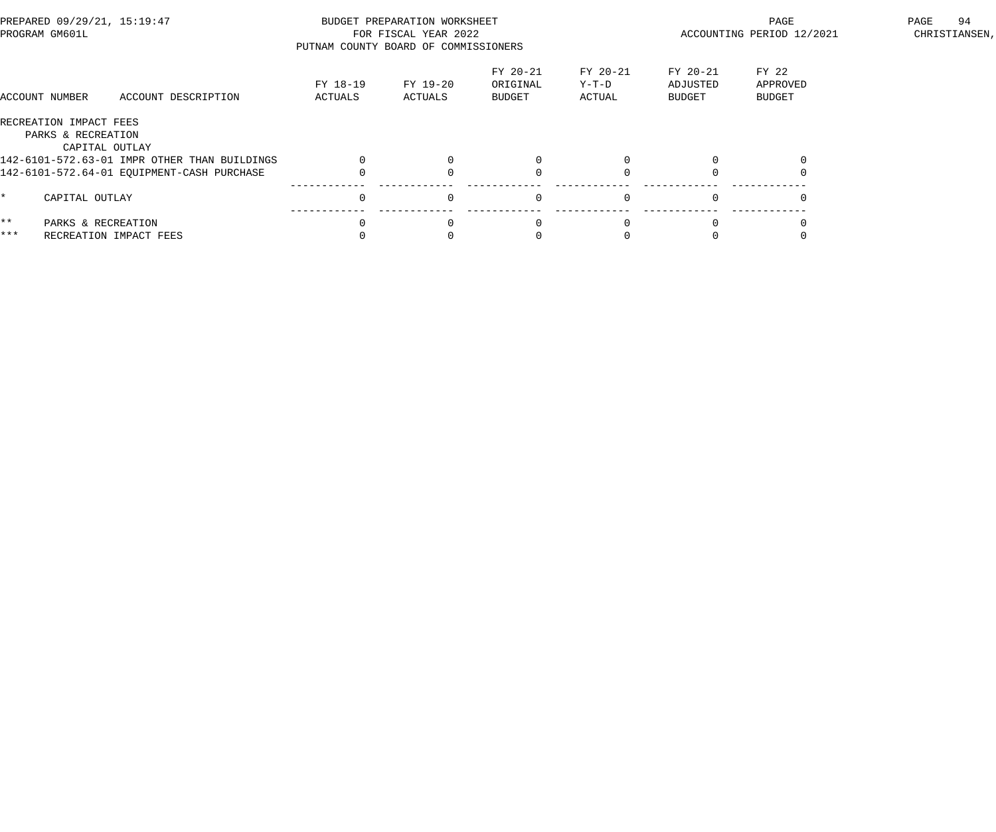| PREPARED 09/29/21, 15:19:47<br>PROGRAM GM601L |                                                                | PUTNAM COUNTY BOARD OF COMMISSIONERS         | BUDGET PREPARATION WORKSHEET<br>FOR FISCAL YEAR 2022 |                     | ACCOUNTING PERIOD 12/2021      | 94<br>PAGE<br>CHRISTIANSEN, |                                |                                    |  |
|-----------------------------------------------|----------------------------------------------------------------|----------------------------------------------|------------------------------------------------------|---------------------|--------------------------------|-----------------------------|--------------------------------|------------------------------------|--|
|                                               | ACCOUNT NUMBER                                                 | ACCOUNT DESCRIPTION                          | FY 18-19<br>ACTUALS                                  | FY 19-20<br>ACTUALS | FY 20-21<br>ORIGINAL<br>BUDGET | FY 20-21<br>Y-T-D<br>ACTUAL | FY 20-21<br>ADJUSTED<br>BUDGET | FY 22<br>APPROVED<br><b>BUDGET</b> |  |
|                                               | RECREATION IMPACT FEES<br>PARKS & RECREATION<br>CAPITAL OUTLAY |                                              |                                                      |                     |                                |                             |                                |                                    |  |
|                                               |                                                                | 142-6101-572.63-01 IMPR OTHER THAN BUILDINGS |                                                      |                     |                                |                             |                                |                                    |  |
|                                               |                                                                | 142-6101-572.64-01 EQUIPMENT-CASH PURCHASE   |                                                      |                     |                                |                             |                                |                                    |  |
| *                                             | CAPITAL OUTLAY                                                 |                                              |                                                      | $\Omega$            | $\Omega$                       |                             | $\Omega$                       |                                    |  |
| $***$                                         | PARKS & RECREATION                                             |                                              |                                                      |                     |                                |                             |                                |                                    |  |
| ***                                           | RECREATION IMPACT FEES                                         |                                              |                                                      |                     |                                |                             |                                |                                    |  |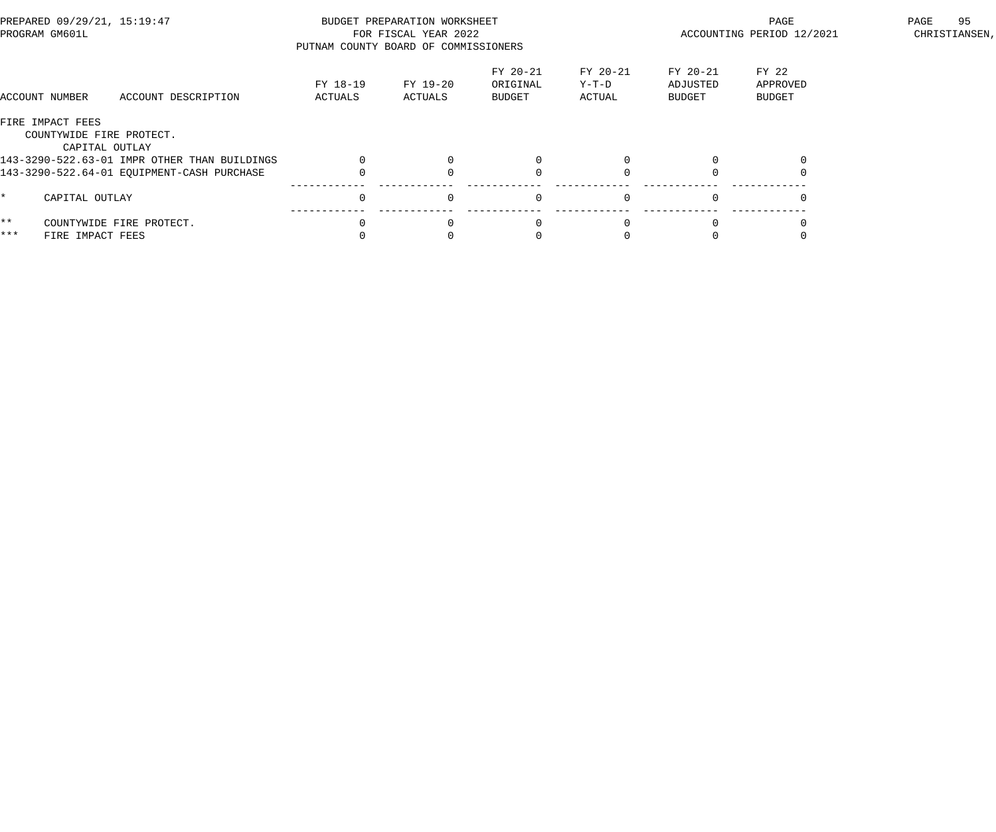| PREPARED 09/29/21, 15:19:47<br>PROGRAM GM601L |                                              | PUTNAM COUNTY BOARD OF COMMISSIONERS | BUDGET PREPARATION WORKSHEET<br>FOR FISCAL YEAR 2022 |                                | ACCOUNTING PERIOD 12/2021   | 95<br>PAGE<br>CHRISTIANSEN,    |                                    |  |
|-----------------------------------------------|----------------------------------------------|--------------------------------------|------------------------------------------------------|--------------------------------|-----------------------------|--------------------------------|------------------------------------|--|
| ACCOUNT NUMBER                                | ACCOUNT DESCRIPTION                          | FY 18-19<br>ACTUALS                  | FY 19-20<br>ACTUALS                                  | FY 20-21<br>ORIGINAL<br>BUDGET | FY 20-21<br>Y-T-D<br>ACTUAL | FY 20-21<br>ADJUSTED<br>BUDGET | FY 22<br>APPROVED<br><b>BUDGET</b> |  |
| FIRE IMPACT FEES                              | COUNTYWIDE FIRE PROTECT.<br>CAPITAL OUTLAY   |                                      |                                                      |                                |                             |                                |                                    |  |
|                                               | 143-3290-522.63-01 IMPR OTHER THAN BUILDINGS |                                      |                                                      |                                |                             |                                |                                    |  |
|                                               | 143-3290-522.64-01 EQUIPMENT-CASH PURCHASE   |                                      |                                                      |                                |                             |                                |                                    |  |
| ¥                                             | CAPITAL OUTLAY                               |                                      | $\Omega$                                             | $\Omega$                       |                             | $\Omega$                       |                                    |  |
| $\star \star$                                 | COUNTYWIDE FIRE PROTECT.                     |                                      |                                                      |                                |                             |                                |                                    |  |
| ***                                           | FIRE IMPACT FEES                             |                                      |                                                      |                                |                             |                                |                                    |  |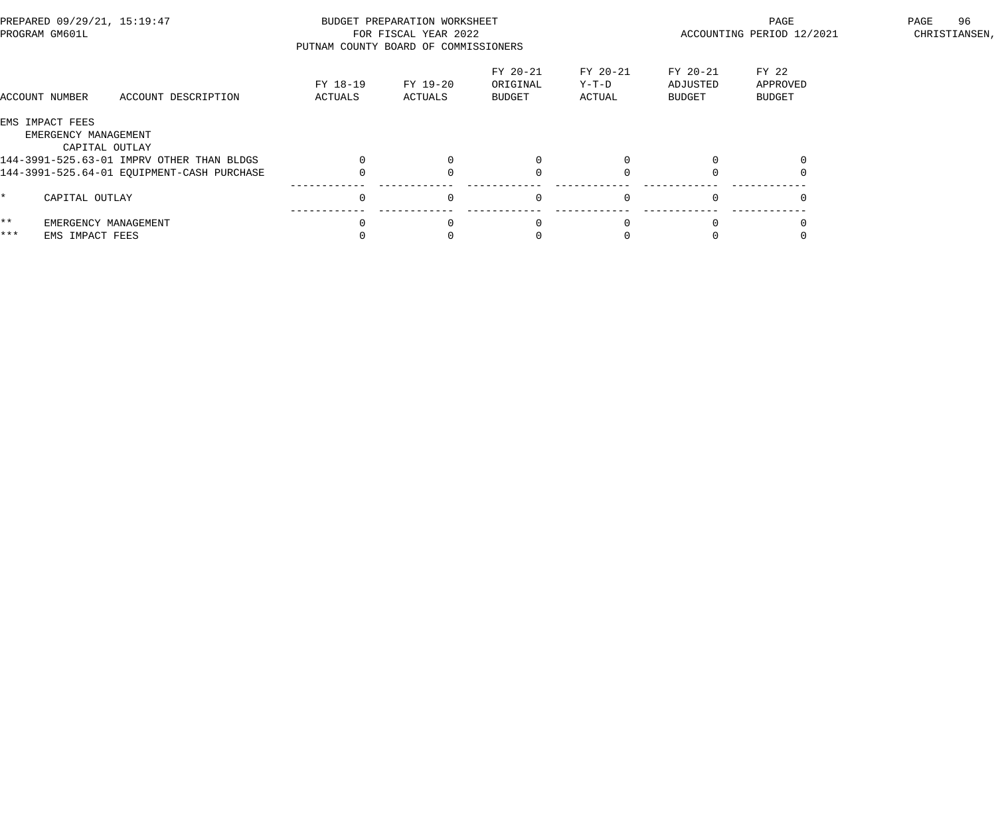| PREPARED 09/29/21, 15:19:47<br>PROGRAM GM601L             |                     | BUDGET PREPARATION WORKSHEET<br>FOR FISCAL YEAR 2022<br>PUTNAM COUNTY BOARD OF COMMISSIONERS |                                       | ACCOUNTING PERIOD 12/2021   | 96<br>PAGE<br>CHRISTIANSEN,    |                                    |  |
|-----------------------------------------------------------|---------------------|----------------------------------------------------------------------------------------------|---------------------------------------|-----------------------------|--------------------------------|------------------------------------|--|
| ACCOUNT DESCRIPTION<br>ACCOUNT NUMBER                     | FY 18-19<br>ACTUALS | FY 19-20<br>ACTUALS                                                                          | FY 20-21<br>ORIGINAL<br><b>BUDGET</b> | FY 20-21<br>Y-T-D<br>ACTUAL | FY 20-21<br>ADJUSTED<br>BUDGET | FY 22<br>APPROVED<br><b>BUDGET</b> |  |
| EMS IMPACT FEES<br>EMERGENCY MANAGEMENT<br>CAPITAL OUTLAY |                     |                                                                                              |                                       |                             |                                |                                    |  |
| 144-3991-525.63-01 IMPRV OTHER THAN BLDGS                 |                     |                                                                                              |                                       |                             |                                |                                    |  |
| 144-3991-525.64-01 EQUIPMENT-CASH PURCHASE                |                     |                                                                                              |                                       |                             |                                |                                    |  |
| CAPITAL OUTLAY                                            | $\Omega$            | $\Omega$                                                                                     | $\Omega$                              | $\Omega$                    |                                |                                    |  |
| $\star \star$<br>EMERGENCY MANAGEMENT                     |                     |                                                                                              |                                       |                             |                                |                                    |  |
| ***<br>EMS IMPACT FEES                                    |                     |                                                                                              |                                       |                             |                                |                                    |  |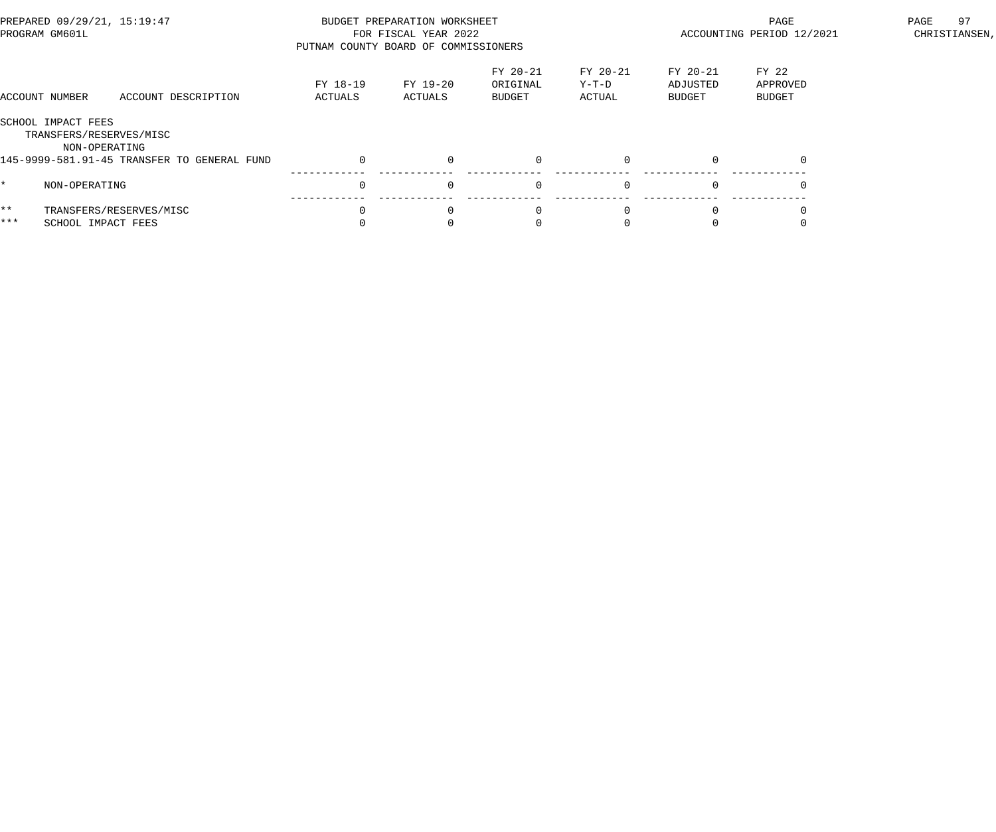|                        | PREPARED 09/29/21, 15:19:47<br>PROGRAM GM601L                  |                                             | PUTNAM COUNTY BOARD OF COMMISSIONERS | BUDGET PREPARATION WORKSHEET<br>FOR FISCAL YEAR 2022 |                                |                             | ACCOUNTING PERIOD 12/2021             | 97<br>PAGE<br>CHRISTIANSEN, |  |
|------------------------|----------------------------------------------------------------|---------------------------------------------|--------------------------------------|------------------------------------------------------|--------------------------------|-----------------------------|---------------------------------------|-----------------------------|--|
|                        | ACCOUNT NUMBER                                                 | ACCOUNT DESCRIPTION                         | FY 18-19<br>ACTUALS                  | FY 19-20<br>ACTUALS                                  | FY 20-21<br>ORIGINAL<br>BUDGET | FY 20-21<br>Y-T-D<br>ACTUAL | FY 20-21<br>ADJUSTED<br><b>BUDGET</b> | FY 22<br>APPROVED<br>BUDGET |  |
|                        | SCHOOL IMPACT FEES<br>TRANSFERS/RESERVES/MISC<br>NON-OPERATING |                                             |                                      |                                                      |                                |                             |                                       |                             |  |
|                        |                                                                | 145-9999-581.91-45 TRANSFER TO GENERAL FUND | $\mathbf 0$                          | $\Omega$                                             |                                |                             | $\Omega$                              | $\Omega$                    |  |
|                        | NON-OPERATING                                                  |                                             | $\Omega$                             | $\Omega$                                             | $\Omega$                       |                             | $\Omega$                              |                             |  |
| $\star \star$<br>$***$ | SCHOOL IMPACT FEES                                             | TRANSFERS/RESERVES/MISC                     | $\Omega$                             | $\Omega$                                             |                                |                             |                                       |                             |  |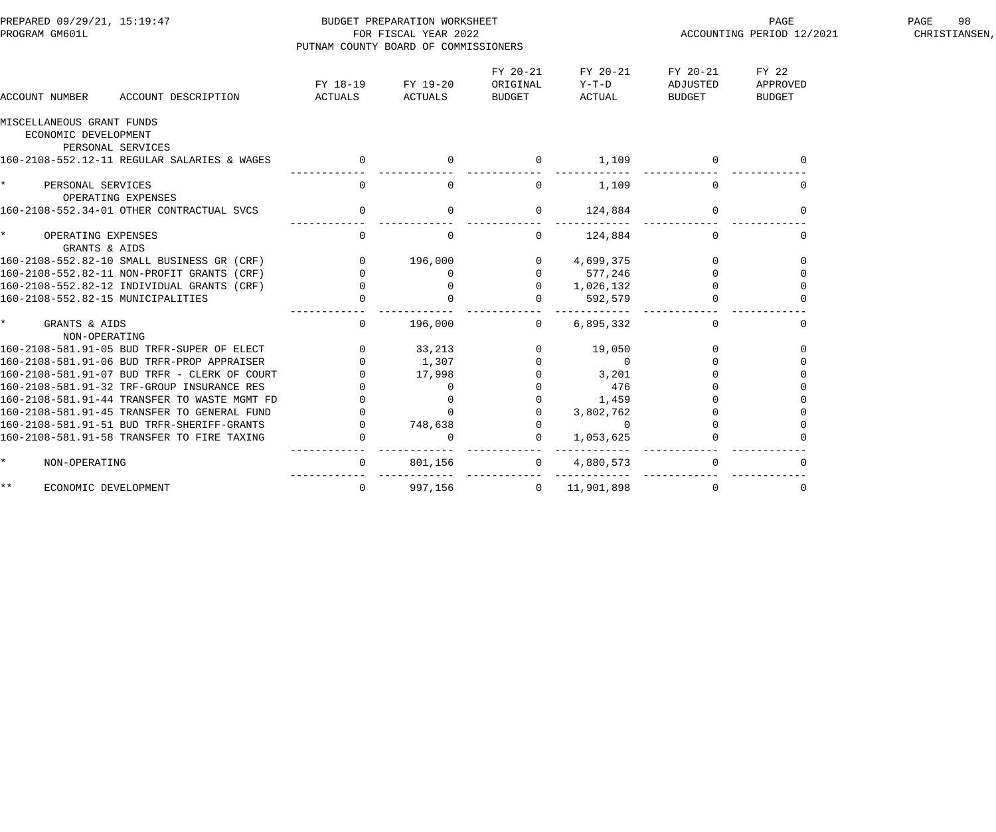| PREPARED 09/29/21, 15:19:47<br>PROGRAM GM601L                          |                                                 | BUDGET PREPARATION WORKSHEET<br>FOR FISCAL YEAR 2022<br>PUTNAM COUNTY BOARD OF COMMISSIONERS |                                |                               |                                | PAGE<br>ACCOUNTING PERIOD 12/2021  | PAGE<br>98<br>CHRISTIANSEN, |
|------------------------------------------------------------------------|-------------------------------------------------|----------------------------------------------------------------------------------------------|--------------------------------|-------------------------------|--------------------------------|------------------------------------|-----------------------------|
| ACCOUNT DESCRIPTION<br>ACCOUNT NUMBER                                  | FY 18-19<br>ACTUALS                             | FY 19-20<br><b>ACTUALS</b>                                                                   | FY 20-21<br>ORIGINAL<br>BUDGET | FY 20-21<br>$Y-T-D$<br>ACTUAL | FY 20-21<br>ADJUSTED<br>BUDGET | FY 22<br>APPROVED<br><b>BUDGET</b> |                             |
| MISCELLANEOUS GRANT FUNDS<br>ECONOMIC DEVELOPMENT<br>PERSONAL SERVICES |                                                 |                                                                                              |                                |                               |                                |                                    |                             |
| 160-2108-552.12-11 REGULAR SALARIES & WAGES                            | $\overline{0}$                                  |                                                                                              | $\overline{0}$                 | 1,109                         |                                | $\mathbf{0}$                       |                             |
| $\star$<br>PERSONAL SERVICES<br>OPERATING EXPENSES                     | $\overline{0}$                                  | $\overline{0}$                                                                               | $\mathbf 0$                    | 1,109                         | $\Omega$                       | $\overline{0}$                     |                             |
| 160-2108-552.34-01 OTHER CONTRACTUAL SVCS                              | $\overline{0}$                                  | $\overline{0}$                                                                               | $\mathsf{O}$                   | 124,884                       | $\overline{0}$                 | $\mathbf 0$                        |                             |
| $\star$<br>OPERATING EXPENSES<br>GRANTS & AIDS                         | $\mathbf 0$                                     | $\overline{0}$                                                                               | $\mathbf 0$                    | 124,884                       | $\mathbf 0$                    | 0                                  |                             |
| 160-2108-552.82-10 SMALL BUSINESS GR (CRF)                             |                                                 | 196,000                                                                                      | $\overline{0}$                 | 4,699,375                     | $\mathbf 0$                    | $\mathbf 0$                        |                             |
| 160-2108-552.82-11 NON-PROFIT GRANTS (CRF)                             |                                                 | $\Omega$                                                                                     | $\mathsf{O}$                   | 577,246                       | $\Omega$                       | $\Omega$                           |                             |
| 160-2108-552.82-12 INDIVIDUAL GRANTS (CRF)                             |                                                 | $\overline{0}$                                                                               | $\overline{0}$                 | 1,026,132                     | $\mathbf 0$                    | $\Omega$                           |                             |
| 160-2108-552.82-15 MUNICIPALITIES                                      | $\begin{array}{c} 0 \\ 0 \\ 0 \\ 0 \end{array}$ | $\Omega$                                                                                     | $\mathbf{0}$                   | 592,579                       |                                |                                    |                             |
| $\star$<br>GRANTS & AIDS<br>NON-OPERATING                              | $\overline{0}$                                  | 196,000                                                                                      | $\overline{0}$                 | 6,895,332                     | $\Omega$                       | $\Omega$                           |                             |
| 160-2108-581.91-05 BUD TRFR-SUPER OF ELECT                             | $\overline{0}$                                  | 33,213                                                                                       | $\mathbf 0$                    | 19,050                        | $\mathbf 0$                    | $\Omega$                           |                             |
| 160-2108-581.91-06 BUD TRFR-PROP APPRAISER                             | $\Omega$                                        | 1,307                                                                                        |                                | $\sim$ 0                      | $\Omega$                       |                                    |                             |
| 160-2108-581.91-07 BUD TRFR - CLERK OF COURT                           | $\Omega$                                        | 17,998                                                                                       |                                | 3,201                         | $\Omega$                       |                                    |                             |
| 160-2108-581.91-32 TRF-GROUP INSURANCE RES                             | $\Omega$                                        | $\Omega$                                                                                     |                                | 476                           |                                |                                    |                             |
| 160-2108-581.91-44 TRANSFER TO WASTE MGMT FD                           |                                                 | $\Omega$                                                                                     | $\mathbf 0$                    | 1,459                         |                                |                                    |                             |
| 160-2108-581.91-45 TRANSFER TO GENERAL FUND                            |                                                 | $\Omega$                                                                                     | $\mathbf{0}$                   | 3,802,762                     |                                |                                    |                             |
| 160-2108-581.91-51 BUD TRFR-SHERIFF-GRANTS                             | $\overline{0}$                                  | 748,638                                                                                      | $\mathsf{O}$                   | $\overline{0}$                |                                |                                    |                             |
| 160-2108-581.91-58 TRANSFER TO FIRE TAXING                             | $\overline{0}$                                  | $\overline{0}$                                                                               | $\mathbf 0$                    | 1,053,625                     |                                |                                    |                             |
| $\star$<br>NON-OPERATING                                               | $\overline{0}$                                  | 801,156                                                                                      | $\overline{0}$                 | 4,880,573                     | $\mathbf{0}$                   | $\Omega$                           |                             |
| $\star \star$<br>ECONOMIC DEVELOPMENT                                  | $\mathbf 0$                                     | 997,156                                                                                      | $\overline{0}$                 | 11,901,898                    | $\Omega$                       | $\mathbf 0$                        |                             |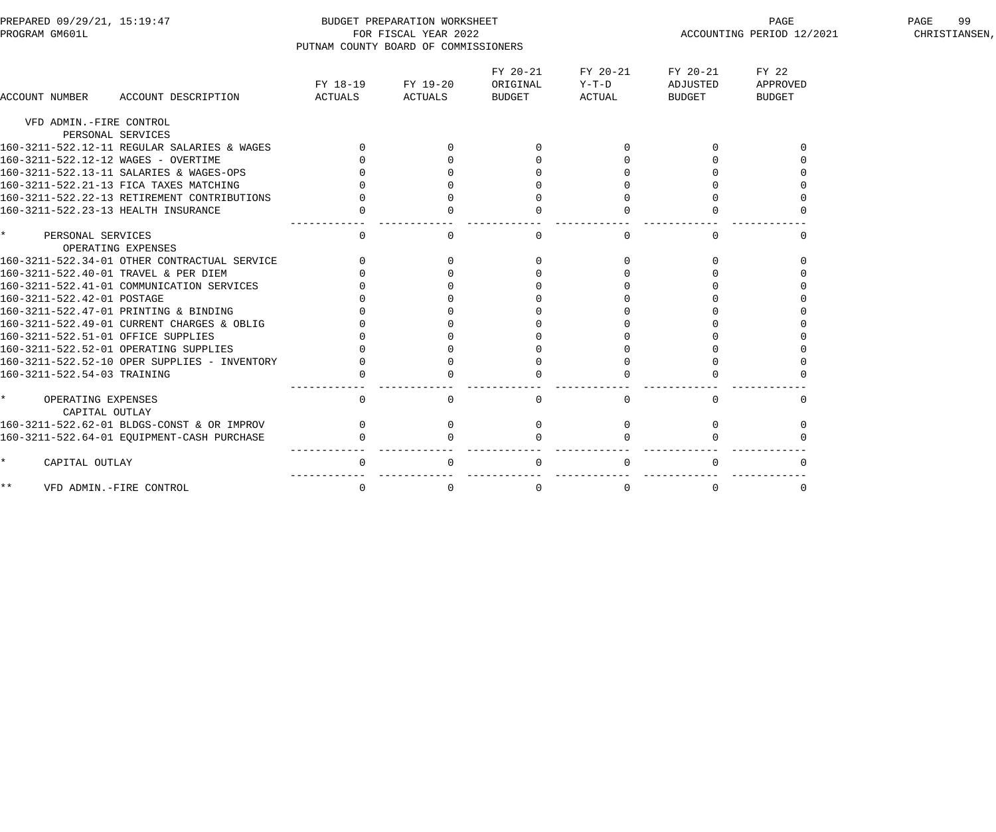| PREPARED 09/29/21, 15:19:47<br>PROGRAM GM601L      |                                              | PUTNAM COUNTY BOARD OF COMMISSIONERS | BUDGET PREPARATION WORKSHEET<br>FOR FISCAL YEAR 2022 |                      |                     |                      | PAGE<br>ACCOUNTING PERIOD 12/2021 | PAGE<br>99<br>CHRISTIANSEN, |
|----------------------------------------------------|----------------------------------------------|--------------------------------------|------------------------------------------------------|----------------------|---------------------|----------------------|-----------------------------------|-----------------------------|
|                                                    |                                              |                                      | FY 18-19 FY 19-20                                    | FY 20-21<br>ORIGINAL | FY 20-21<br>$Y-T-D$ | FY 20-21<br>ADJUSTED | FY 22<br>APPROVED                 |                             |
| <b>ACCOUNT NUMBER</b>                              | ACCOUNT DESCRIPTION                          | ACTUALS                              | ACTUALS                                              | BUDGET               | ACTUAL              | <b>BUDGET</b>        | <b>BUDGET</b>                     |                             |
| VFD ADMIN.-FIRE CONTROL<br>PERSONAL SERVICES       |                                              |                                      |                                                      |                      |                     |                      |                                   |                             |
|                                                    | 160-3211-522.12-11 REGULAR SALARIES & WAGES  | $\Omega$                             |                                                      | $\Omega$             | $\overline{0}$      |                      |                                   |                             |
| 160-3211-522.12-12 WAGES - OVERTIME                |                                              |                                      |                                                      |                      | $\Omega$            |                      |                                   |                             |
|                                                    | 160-3211-522.13-11 SALARIES & WAGES-OPS      |                                      |                                                      |                      | $\Omega$            |                      |                                   |                             |
|                                                    | 160-3211-522.21-13 FICA TAXES MATCHING       |                                      |                                                      |                      |                     |                      |                                   |                             |
|                                                    | 160-3211-522.22-13 RETIREMENT CONTRIBUTIONS  |                                      |                                                      |                      |                     |                      |                                   |                             |
| 160-3211-522.23-13 HEALTH INSURANCE                |                                              |                                      |                                                      |                      |                     |                      |                                   |                             |
| $\star$<br>PERSONAL SERVICES<br>OPERATING EXPENSES |                                              | $\overline{0}$                       | 0                                                    | $\mathbf{0}$         | $\mathbf 0$         | $\Omega$             |                                   |                             |
|                                                    | 160-3211-522.34-01 OTHER CONTRACTUAL SERVICE | $\Omega$                             | $\mathbf 0$                                          |                      | $\mathbf{0}$        | $\Omega$             |                                   |                             |
| 160-3211-522.40-01 TRAVEL & PER DIEM               |                                              |                                      | $\Omega$                                             |                      | $\mathbf 0$         | $\Omega$             |                                   |                             |
|                                                    | 160-3211-522.41-01 COMMUNICATION SERVICES    |                                      |                                                      |                      | $\Omega$            |                      |                                   |                             |
| 160-3211-522.42-01 POSTAGE                         |                                              |                                      |                                                      |                      |                     |                      |                                   |                             |
| 160-3211-522.47-01 PRINTING & BINDING              |                                              |                                      |                                                      |                      |                     |                      |                                   |                             |
|                                                    | 160-3211-522.49-01 CURRENT CHARGES & OBLIG   |                                      |                                                      |                      |                     |                      |                                   |                             |
| 160-3211-522.51-01 OFFICE SUPPLIES                 |                                              |                                      |                                                      |                      |                     |                      |                                   |                             |
| 160-3211-522.52-01 OPERATING SUPPLIES              |                                              |                                      |                                                      |                      |                     |                      |                                   |                             |
|                                                    | 160-3211-522.52-10 OPER SUPPLIES - INVENTORY |                                      |                                                      |                      | $\Omega$            |                      |                                   |                             |
| 160-3211-522.54-03 TRAINING                        |                                              |                                      |                                                      | $\Omega$             |                     |                      |                                   |                             |
| $\star$<br>OPERATING EXPENSES<br>CAPITAL OUTLAY    |                                              | $\overline{0}$                       | $\Omega$                                             | $\mathbf 0$          | $\mathbf 0$         | $\Omega$             | $\cap$                            |                             |
|                                                    | 160-3211-522.62-01 BLDGS-CONST & OR IMPROV   | $\overline{0}$                       | $\mathbf 0$                                          | 0                    | $\Omega$            | $\Omega$             |                                   |                             |
|                                                    | 160-3211-522.64-01 EQUIPMENT-CASH PURCHASE   | $\mathbf{0}$                         | $\Omega$                                             | $\Omega$             | $\Omega$            |                      |                                   |                             |
| $\star$<br>CAPITAL OUTLAY                          |                                              | 0                                    | $\mathbf 0$                                          | $\mathbf 0$          | $\overline{0}$      | $\Omega$             | $\Omega$                          |                             |
| $\star\star$<br>VFD ADMIN.-FIRE CONTROL            |                                              | $\mathbf 0$                          | $\mathbf 0$                                          | $\mathbf 0$          | $\mathbf 0$         | $\Omega$             | $\mathbf 0$                       |                             |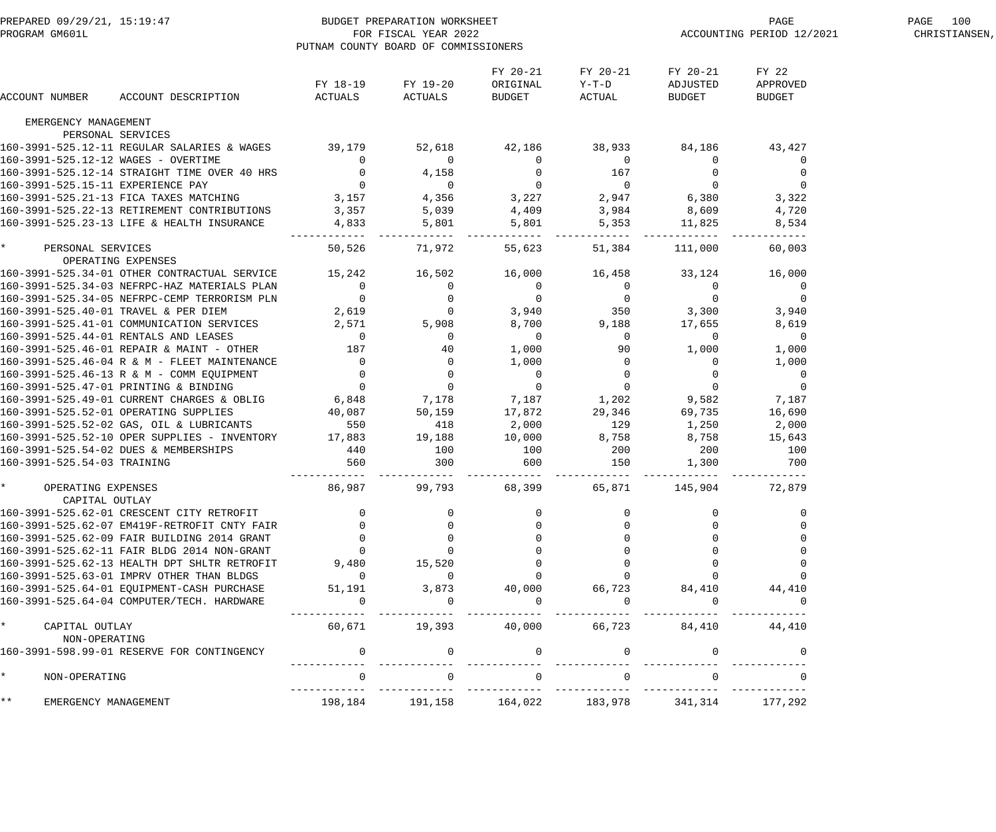| PREPARED 09/29/21, 15:19:47<br>PROGRAM GM601L |                                                                                                                                 | BUDGET PREPARATION WORKSHEET<br>FOR FISCAL YEAR 2022<br>PUTNAM COUNTY BOARD OF COMMISSIONERS |                                                                                                                                                                                                         |                                       |                                     |                                | PAGE<br>ACCOUNTING PERIOD 12/2021  | PAGE 100<br>CHRISTIANSEN, |
|-----------------------------------------------|---------------------------------------------------------------------------------------------------------------------------------|----------------------------------------------------------------------------------------------|---------------------------------------------------------------------------------------------------------------------------------------------------------------------------------------------------------|---------------------------------------|-------------------------------------|--------------------------------|------------------------------------|---------------------------|
| ACCOUNT NUMBER                                | ACCOUNT DESCRIPTION                                                                                                             | ACTUALS                                                                                      | FY 18-19 FY 19-20<br>ACTUALS                                                                                                                                                                            | FY 20-21<br>ORIGINAL<br>BUDGET        | FY 20-21<br>$Y-T-D$<br>ACTUAL       | FY 20-21<br>ADJUSTED<br>BUDGET | FY 22<br>APPROVED<br><b>BUDGET</b> |                           |
| EMERGENCY MANAGEMENT                          |                                                                                                                                 |                                                                                              |                                                                                                                                                                                                         |                                       |                                     |                                |                                    |                           |
|                                               | PERSONAL SERVICES                                                                                                               |                                                                                              |                                                                                                                                                                                                         |                                       |                                     |                                |                                    |                           |
|                                               | 160-3991-525.12-11 REGULAR SALARIES & WAGES 39,179                                                                              |                                                                                              | 52,618                                                                                                                                                                                                  | 42,186                                | 38,933                              | 84,186                         | 43,427                             |                           |
| 160-3991-525.12-12 WAGES - OVERTIME           |                                                                                                                                 |                                                                                              | $\sim$ 0                                                                                                                                                                                                | $\mathbf 0$                           | $\overline{0}$                      | $\mathbf 0$                    | 0                                  |                           |
|                                               | 160-3991-525.12-14 STRAIGHT TIME OVER 40 HRS                                                                                    | $\begin{matrix} 0 \\ 0 \end{matrix}$                                                         | 4,158                                                                                                                                                                                                   | $\mathsf{O}$                          | 167                                 | $\overline{0}$                 | $\mathbf 0$                        |                           |
| 160-3991-525.15-11 EXPERIENCE PAY             |                                                                                                                                 | $\overline{0}$                                                                               | $\overline{0}$                                                                                                                                                                                          | $\begin{array}{c}0\\3,227\end{array}$ | $\overline{0}$                      | $\overline{0}$                 | $\overline{0}$                     |                           |
|                                               | 160-3991-525.21-13 FICA TAXES MATCHING                                                                                          | 3,157                                                                                        | 4,356                                                                                                                                                                                                   |                                       |                                     | 2,947 6,380                    | 3,322                              |                           |
|                                               | 160-3991-525.22-13 RETIREMENT CONTRIBUTIONS                                                                                     | 3,357                                                                                        | 5,039                                                                                                                                                                                                   | 4,409                                 | 3,984                               | 8,609                          | 4,720                              |                           |
|                                               | 160-3991-525.23-13 LIFE & HEALTH INSURANCE                                                                                      | 4,833                                                                                        | 5,801<br>$- - - - - - -$                                                                                                                                                                                | 5,801                                 | 5,353<br>------------               | 11,825                         | 8,534                              |                           |
| $\star$ and $\star$<br>PERSONAL SERVICES      | OPERATING EXPENSES                                                                                                              | 50,526                                                                                       | 71,972                                                                                                                                                                                                  | 55,623                                | 51,384                              | 111,000                        | 60,003                             |                           |
|                                               | 160-3991-525.34-01 OTHER CONTRACTUAL SERVICE 15,242                                                                             |                                                                                              | 16,502                                                                                                                                                                                                  | 16,000                                | 16,458                              | 33,124                         | 16,000                             |                           |
|                                               | 160-3991-525.34-03 NEFRPC-HAZ MATERIALS PLAN                                                                                    | $\overline{0}$                                                                               | $\overline{0}$                                                                                                                                                                                          | $\overline{0}$                        | $\overline{0}$                      | $\overline{0}$                 | $\overline{0}$                     |                           |
|                                               | 160-3991-525.34-05 NEFRPC-CEMP TERRORISM PLN                                                                                    | $\overline{0}$                                                                               | $\mathbf 0$                                                                                                                                                                                             | $\overline{0}$                        | $\begin{array}{c}0\\350\end{array}$ | $\overline{0}$                 | $\mathbf 0$                        |                           |
|                                               | 160-3991-525.40-01 TRAVEL & PER DIEM                                                                                            | 2,619                                                                                        | $\overline{a}$                                                                                                                                                                                          | 3,940                                 |                                     | 3,300                          | 3,940                              |                           |
|                                               | 160-3991-525.41-01 COMMUNICATION SERVICES                                                                                       | 2,571                                                                                        | 5,908                                                                                                                                                                                                   | 8,700                                 | 9,188                               | 17,655                         | 8,619                              |                           |
|                                               | 160-3991-525.44-01 RENTALS AND LEASES                                                                                           | $\overline{0}$                                                                               | 0                                                                                                                                                                                                       | $\overline{0}$                        | $\mathbf 0$                         | $\overline{0}$                 | $\overline{0}$                     |                           |
|                                               | 160-3991-525.46-01 REPAIR & MAINT - OTHER                                                                                       | 187                                                                                          | 40                                                                                                                                                                                                      | 1,000                                 | 90                                  | 1,000                          | 1,000                              |                           |
|                                               | 160-3991-525.46-04 R & M - FLEET MAINTENANCE                                                                                    |                                                                                              | $\mathbf 0$                                                                                                                                                                                             | 1,000                                 | $\mathsf{O}$                        | $\overline{0}$                 | 1,000                              |                           |
|                                               | 160-3991-525.46-13 R & M - COMM EQUIPMENT                                                                                       |                                                                                              | $\overline{0}$                                                                                                                                                                                          | $\overline{0}$                        | $\overline{0}$                      | $\overline{0}$                 | $\overline{0}$                     |                           |
|                                               | 160-3991-525.47-01 PRINTING & BINDING                                                                                           | $10,$<br>0<br>0<br>0<br>0<br>6,848<br>40.087                                                 | $\overline{0}$                                                                                                                                                                                          | $\overline{0}$                        | $\overline{0}$                      | $\overline{0}$                 | $\overline{0}$                     |                           |
|                                               | 160-3991-525.49-01 CURRENT CHARGES & OBLIG                                                                                      |                                                                                              | 7,178                                                                                                                                                                                                   |                                       | 7,187 1,202                         | 9,582                          | 7,187                              |                           |
|                                               | 160-3991-525.52-01 OPERATING SUPPLIES                                                                                           | 40,087                                                                                       | 50,159                                                                                                                                                                                                  | 17,872                                | 29,346                              | 69,735                         | 16,690                             |                           |
|                                               | $100-3991-525.52-02 GAS, OIL & LUBRICANTS 550160-3991-525.52-10 OPER SUPPLIES - INVENTORY 17,883160-3991-525.54.02.7775.577777$ |                                                                                              | 418                                                                                                                                                                                                     | 2,000                                 | 129                                 | 1,250                          | 2,000                              |                           |
|                                               |                                                                                                                                 |                                                                                              | 19,188                                                                                                                                                                                                  | 10,000                                | 8,758                               | 8,758                          | 15,643                             |                           |
|                                               | 160-3991-525.54-02 DUES & MEMBERSHIPS                                                                                           |                                                                                              | 100                                                                                                                                                                                                     | 100                                   | 200                                 | 200                            | 100                                |                           |
| 160-3991-525.54-03 TRAINING                   |                                                                                                                                 | $\frac{440}{560}$                                                                            | 300                                                                                                                                                                                                     | 600                                   | 150                                 | 1,300                          | 700                                |                           |
| OPERATING EXPENSES<br>CAPITAL OUTLAY          |                                                                                                                                 |                                                                                              | 86,987 99,793                                                                                                                                                                                           | 68,399                                |                                     | 65,871 145,904                 | 72,879                             |                           |
|                                               | 160-3991-525.62-01 CRESCENT CITY RETROFIT                                                                                       |                                                                                              |                                                                                                                                                                                                         |                                       |                                     |                                |                                    |                           |
|                                               | 160-3991-525.62-07 EM419F-RETROFIT CNTY FAIR                                                                                    |                                                                                              |                                                                                                                                                                                                         |                                       |                                     |                                |                                    |                           |
|                                               | 160-3991-525.62-09 FAIR BUILDING 2014 GRANT                                                                                     | $\overline{0}$                                                                               |                                                                                                                                                                                                         |                                       |                                     |                                |                                    |                           |
|                                               | 160-3991-525.62-11 FAIR BLDG 2014 NON-GRANT                                                                                     | $\overline{0}$                                                                               |                                                                                                                                                                                                         |                                       |                                     |                                |                                    |                           |
|                                               | 160-3991-525.62-13 HEALTH DPT SHLTR RETROFIT                                                                                    | 9,480                                                                                        | 15,520                                                                                                                                                                                                  |                                       |                                     |                                |                                    |                           |
|                                               | 160-3991-525.63-01 IMPRV OTHER THAN BLDGS                                                                                       | $\overline{0}$                                                                               | $\overline{0}$                                                                                                                                                                                          |                                       |                                     |                                |                                    |                           |
|                                               | 160-3991-525.64-01 EQUIPMENT-CASH PURCHASE                                                                                      |                                                                                              |                                                                                                                                                                                                         |                                       |                                     |                                |                                    |                           |
|                                               | 160-3991-525.64-04 COMPUTER/TECH. HARDWARE                                                                                      | $\overline{0}$                                                                               | $\begin{array}{cccccccc} 51\,, 191 & \quad & 3\,, 873 & \quad & 40\,, 000 & \quad & 66\,, 723 & \quad & 84\,, 410 & \quad & 44\,, 410 \\ & & & & & & 0 & \quad & 0 & \quad & 0 & \quad & 0 \end{array}$ |                                       |                                     |                                |                                    |                           |
| * CAPITAL OUTLAY                              |                                                                                                                                 |                                                                                              | $60,671$ 19,393 40,000 66,723 84,410 44,410                                                                                                                                                             |                                       |                                     |                                |                                    |                           |
| NON-OPERATING                                 | 160-3991-598.99-01 RESERVE FOR CONTINGENCY                                                                                      | $\overline{0}$                                                                               |                                                                                                                                                                                                         |                                       |                                     |                                |                                    |                           |
| $\star$<br>NON-OPERATING                      |                                                                                                                                 |                                                                                              |                                                                                                                                                                                                         | $\Omega$                              |                                     |                                |                                    |                           |
|                                               |                                                                                                                                 |                                                                                              |                                                                                                                                                                                                         |                                       |                                     |                                |                                    |                           |
| $\star \star$<br>EMERGENCY MANAGEMENT         |                                                                                                                                 |                                                                                              | 198,184 191,158 164,022 183,978 341,314 177,292                                                                                                                                                         |                                       |                                     |                                |                                    |                           |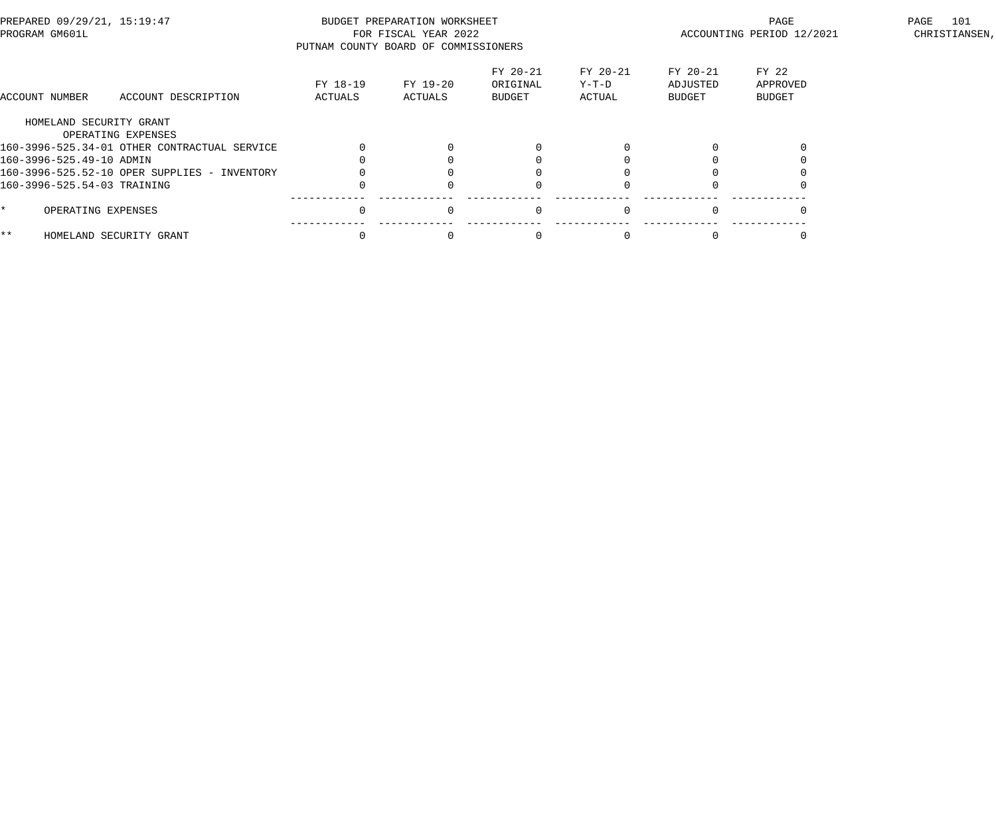| PREPARED 09/29/21, 15:19:47<br>PROGRAM GM601L |                                              | PUTNAM COUNTY BOARD OF COMMISSIONERS | BUDGET PREPARATION WORKSHEET<br>FOR FISCAL YEAR 2022 |                                       |                             | PAGE<br>ACCOUNTING PERIOD 12/2021 | 101<br>PAGE<br>CHRISTIANSEN,       |  |
|-----------------------------------------------|----------------------------------------------|--------------------------------------|------------------------------------------------------|---------------------------------------|-----------------------------|-----------------------------------|------------------------------------|--|
| ACCOUNT NUMBER                                | ACCOUNT DESCRIPTION                          | FY 18-19<br>ACTUALS                  | FY 19-20<br>ACTUALS                                  | FY 20-21<br>ORIGINAL<br><b>BUDGET</b> | FY 20-21<br>Y-T-D<br>ACTUAL | FY 20-21<br>ADJUSTED<br>BUDGET    | FY 22<br>APPROVED<br><b>BUDGET</b> |  |
|                                               | HOMELAND SECURITY GRANT                      |                                      |                                                      |                                       |                             |                                   |                                    |  |
|                                               | OPERATING EXPENSES                           |                                      |                                                      |                                       |                             |                                   |                                    |  |
|                                               | 160-3996-525.34-01 OTHER CONTRACTUAL SERVICE |                                      |                                                      |                                       |                             |                                   |                                    |  |
| 160-3996-525.49-10 ADMIN                      |                                              |                                      |                                                      |                                       |                             |                                   |                                    |  |
|                                               | 160-3996-525.52-10 OPER SUPPLIES - INVENTORY |                                      |                                                      |                                       |                             |                                   |                                    |  |
| 160-3996-525.54-03 TRAINING                   |                                              |                                      |                                                      |                                       |                             |                                   |                                    |  |
|                                               | OPERATING EXPENSES                           |                                      | $\Omega$                                             | $\Omega$                              | $\Omega$                    |                                   |                                    |  |
| * *                                           | HOMELAND SECURITY GRANT                      |                                      |                                                      |                                       |                             |                                   |                                    |  |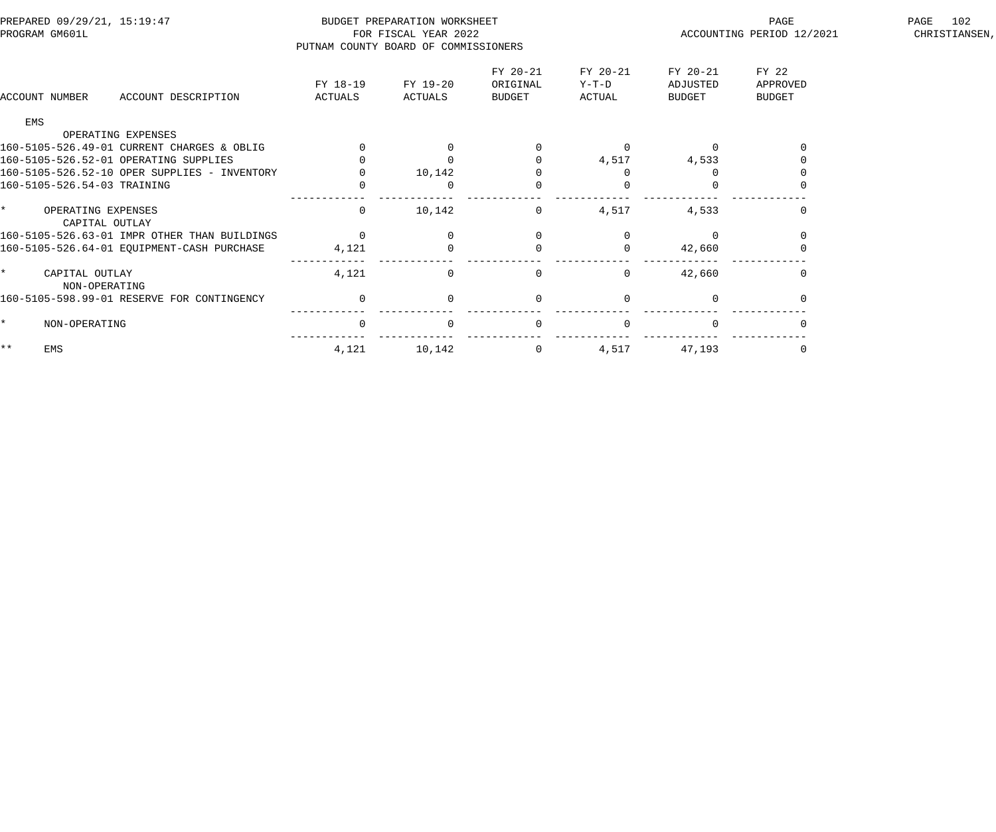| PREPARED 09/29/21, 15:19:47<br>PROGRAM GM601L |                                              | PUTNAM COUNTY BOARD OF COMMISSIONERS | BUDGET PREPARATION WORKSHEET<br>FOR FISCAL YEAR 2022 |                                       |                               | PAGE<br>ACCOUNTING PERIOD 12/2021 | 102<br>PAGE<br>CHRISTIANSEN,       |  |
|-----------------------------------------------|----------------------------------------------|--------------------------------------|------------------------------------------------------|---------------------------------------|-------------------------------|-----------------------------------|------------------------------------|--|
| ACCOUNT NUMBER                                | ACCOUNT DESCRIPTION                          | FY 18-19<br>ACTUALS                  | FY 19-20<br>ACTUALS                                  | FY 20-21<br>ORIGINAL<br><b>BUDGET</b> | FY 20-21<br>$Y-T-D$<br>ACTUAL | FY 20-21<br>ADJUSTED<br>BUDGET    | FY 22<br>APPROVED<br><b>BUDGET</b> |  |
| EMS                                           |                                              |                                      |                                                      |                                       |                               |                                   |                                    |  |
|                                               | OPERATING EXPENSES                           |                                      |                                                      |                                       |                               |                                   |                                    |  |
|                                               | 160-5105-526.49-01 CURRENT CHARGES & OBLIG   |                                      |                                                      |                                       | $\Omega$                      |                                   |                                    |  |
| 160-5105-526.52-01 OPERATING SUPPLIES         |                                              |                                      |                                                      |                                       | 4,517                         | 4,533                             |                                    |  |
| 160-5105-526.52-10 OPER SUPPLIES - INVENTORY  |                                              |                                      | 10,142                                               |                                       | $\Omega$                      |                                   |                                    |  |
| 160-5105-526.54-03 TRAINING                   |                                              |                                      |                                                      | $\Omega$                              | $\Omega$                      |                                   |                                    |  |
| $\star$<br>OPERATING EXPENSES                 | CAPITAL OUTLAY                               | 0                                    | 10,142                                               | $\mathbf 0$                           | 4,517                         | 4,533                             |                                    |  |
|                                               | 160-5105-526.63-01 IMPR OTHER THAN BUILDINGS | $\Omega$                             |                                                      | $\Omega$                              |                               |                                   |                                    |  |
|                                               | 160-5105-526.64-01 EQUIPMENT-CASH PURCHASE   | 4,121                                |                                                      | 0                                     | $\Omega$                      | 42,660                            |                                    |  |
| CAPITAL OUTLAY<br>NON-OPERATING               |                                              | 4,121                                | $\Omega$                                             | 0                                     | 0                             | 42,660                            |                                    |  |
|                                               | 160-5105-598.99-01 RESERVE FOR CONTINGENCY   | $\mathbf 0$                          | $\Omega$                                             | $\mathbf 0$                           | $\Omega$                      |                                   |                                    |  |
| NON-OPERATING                                 |                                              | $\overline{0}$                       | $\Omega$                                             | $\mathbf 0$                           | $\Omega$                      |                                   |                                    |  |
| $\star\star$<br>EMS                           |                                              | 4,121                                | 10,142                                               | $\overline{0}$                        | 4,517                         | 47,193                            |                                    |  |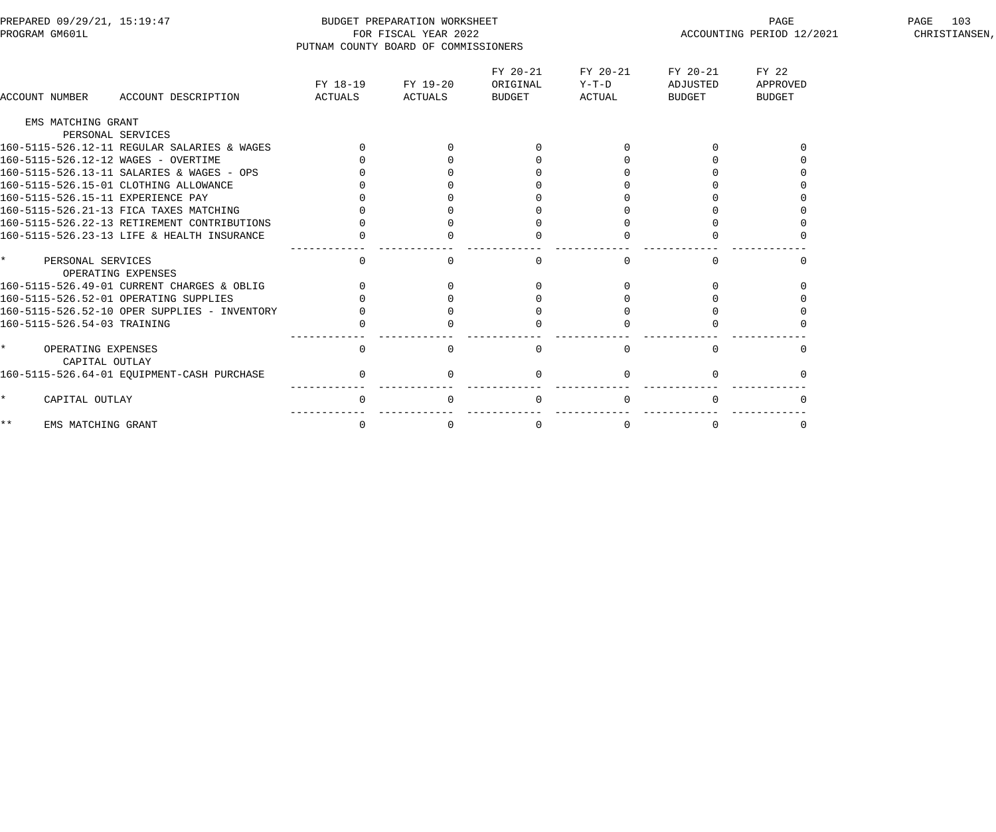| PREPARED 09/29/21, 15:19:47<br>PROGRAM GM601L   |                     | BUDGET PREPARATION WORKSHEET<br>FOR FISCAL YEAR 2022<br>PUTNAM COUNTY BOARD OF COMMISSIONERS |                                |                               | PAGE<br>ACCOUNTING PERIOD 12/2021     | 103<br>PAGE<br>CHRISTIANSEN,       |  |
|-------------------------------------------------|---------------------|----------------------------------------------------------------------------------------------|--------------------------------|-------------------------------|---------------------------------------|------------------------------------|--|
| ACCOUNT DESCRIPTION<br>ACCOUNT NUMBER           | FY 18-19<br>ACTUALS | FY 19-20<br>ACTUALS                                                                          | FY 20-21<br>ORIGINAL<br>BUDGET | FY 20-21<br>$Y-T-D$<br>ACTUAL | FY 20-21<br>ADJUSTED<br><b>BUDGET</b> | FY 22<br>APPROVED<br><b>BUDGET</b> |  |
| EMS MATCHING GRANT                              |                     |                                                                                              |                                |                               |                                       |                                    |  |
| PERSONAL SERVICES                               |                     |                                                                                              |                                |                               |                                       |                                    |  |
| 160-5115-526.12-11 REGULAR SALARIES & WAGES     |                     |                                                                                              |                                |                               |                                       |                                    |  |
| 160-5115-526.12-12 WAGES - OVERTIME             |                     |                                                                                              |                                |                               |                                       |                                    |  |
| 160-5115-526.13-11 SALARIES & WAGES - OPS       |                     |                                                                                              |                                |                               |                                       |                                    |  |
| 160-5115-526.15-01 CLOTHING ALLOWANCE           |                     |                                                                                              |                                |                               |                                       |                                    |  |
| 160-5115-526.15-11 EXPERIENCE PAY               |                     |                                                                                              |                                |                               |                                       |                                    |  |
| 160-5115-526.21-13 FICA TAXES MATCHING          |                     |                                                                                              |                                |                               |                                       |                                    |  |
| 160-5115-526.22-13 RETIREMENT CONTRIBUTIONS     |                     |                                                                                              |                                |                               |                                       |                                    |  |
| 160-5115-526.23-13 LIFE & HEALTH INSURANCE      |                     |                                                                                              |                                |                               |                                       |                                    |  |
| $\star$<br>PERSONAL SERVICES                    | $\overline{0}$      | $\cap$                                                                                       | $\Omega$                       | $\Omega$                      | $\Omega$                              | $\cap$                             |  |
| OPERATING EXPENSES                              |                     |                                                                                              |                                |                               |                                       |                                    |  |
| 160-5115-526.49-01 CURRENT CHARGES & OBLIG      |                     | $\Omega$                                                                                     |                                |                               | $\Omega$                              |                                    |  |
| 160-5115-526.52-01 OPERATING SUPPLIES           |                     |                                                                                              |                                |                               |                                       |                                    |  |
| 160-5115-526.52-10 OPER SUPPLIES - INVENTORY    |                     |                                                                                              |                                |                               |                                       |                                    |  |
| 160-5115-526.54-03 TRAINING                     |                     |                                                                                              |                                |                               |                                       |                                    |  |
| $\star$<br>OPERATING EXPENSES<br>CAPITAL OUTLAY | $\overline{0}$      | $\Omega$                                                                                     | $\Omega$                       | $\Omega$                      | $\Omega$                              | $\Omega$                           |  |
| 160-5115-526.64-01 EQUIPMENT-CASH PURCHASE      | $\mathbf 0$         |                                                                                              | $\mathbf 0$                    |                               | $\Omega$                              |                                    |  |
| $\star$<br>CAPITAL OUTLAY                       | $\mathbf 0$         |                                                                                              | $\mathbf 0$                    |                               |                                       |                                    |  |
| $\star \star$<br>EMS MATCHING GRANT             | 0                   | 0                                                                                            | 0                              | 0                             | 0                                     | 0                                  |  |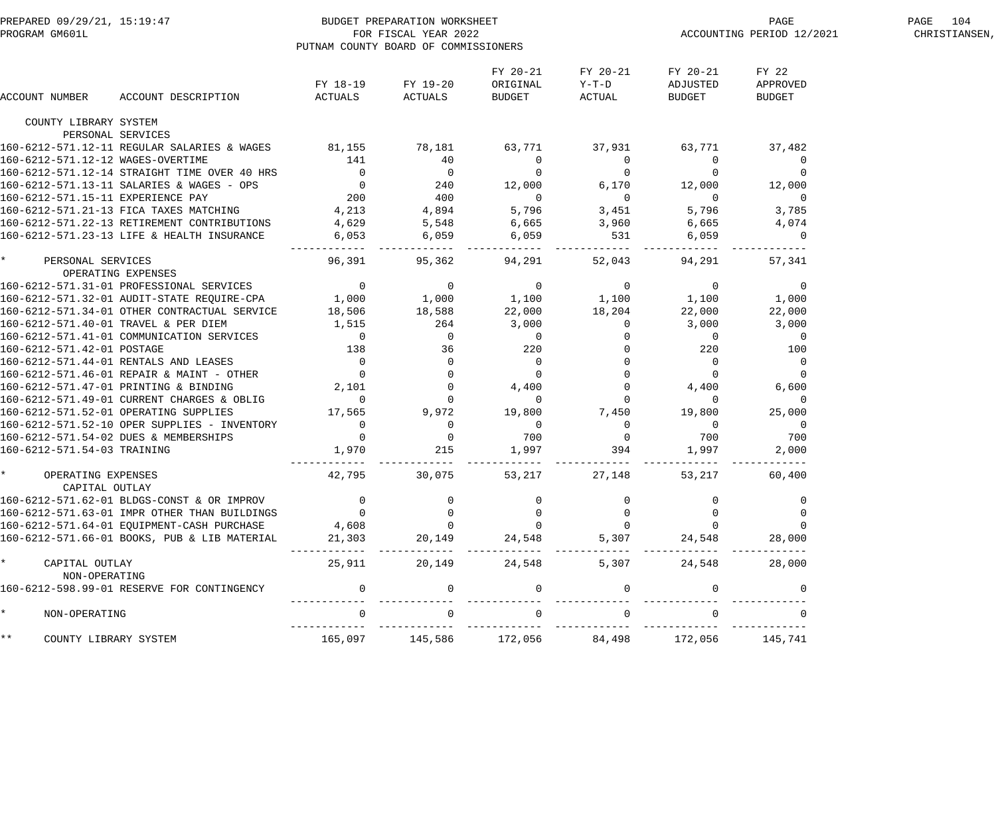| PREPARED 09/29/21, 15:19:47<br>PROGRAM GM601L |                                                                                                                                                                                                                                        | BUDGET PREPARATION WORKSHEET<br>PUTNAM COUNTY BOARD OF COMMISSIONERS | FOR FISCAL YEAR 2022                                                |                             | PAGE<br>ACCOUNTING PERIOD 12/2021                                                                                                                                                                                                                                                                                                                                                                                                  | PAGE 104<br>CHRISTIANSEN, |                          |  |
|-----------------------------------------------|----------------------------------------------------------------------------------------------------------------------------------------------------------------------------------------------------------------------------------------|----------------------------------------------------------------------|---------------------------------------------------------------------|-----------------------------|------------------------------------------------------------------------------------------------------------------------------------------------------------------------------------------------------------------------------------------------------------------------------------------------------------------------------------------------------------------------------------------------------------------------------------|---------------------------|--------------------------|--|
|                                               |                                                                                                                                                                                                                                        | FY 18-19                                                             | FY 19-20                                                            | FY 20-21<br>ORIGINAL        | FY 20-21<br>$Y-T-D$                                                                                                                                                                                                                                                                                                                                                                                                                | FY 20-21<br>ADJUSTED      | FY 22<br>APPROVED        |  |
| ACCOUNT NUMBER                                | ACCOUNT DESCRIPTION                                                                                                                                                                                                                    | ACTUALS                                                              | ACTUALS                                                             | BUDGET                      | ACTUAL                                                                                                                                                                                                                                                                                                                                                                                                                             | BUDGET                    | <b>BUDGET</b>            |  |
| COUNTY LIBRARY SYSTEM                         | PERSONAL SERVICES                                                                                                                                                                                                                      |                                                                      |                                                                     |                             |                                                                                                                                                                                                                                                                                                                                                                                                                                    |                           |                          |  |
|                                               | 160-6212-571.12-11 REGULAR SALARIES & WAGES 81,155 78,181                                                                                                                                                                              |                                                                      |                                                                     | 63,771                      | 37,931                                                                                                                                                                                                                                                                                                                                                                                                                             | 63,771                    | 37,482                   |  |
| 160-6212-571.12-12 WAGES-OVERTIME             |                                                                                                                                                                                                                                        | 141                                                                  | 40                                                                  | $\overline{0}$              | $\overline{0}$                                                                                                                                                                                                                                                                                                                                                                                                                     | $\overline{0}$            | $\overline{0}$           |  |
|                                               | 160-6212-571.12-14 STRAIGHT TIME OVER 40 HRS 0<br>160-6212-571.13-11 SALARIES & WAGES - OPS 0<br>160-6212-571.15-11 EXPERIENCE PAY 200 400<br>160-6212-571.21-13 FICA TAXES MATCHING 4,213 4,894<br>160-6212-571.21-13 FICA TAXES MATC |                                                                      |                                                                     | $\overline{0}$              | $\overline{0}$                                                                                                                                                                                                                                                                                                                                                                                                                     | $\overline{0}$            | $\mathbf 0$              |  |
|                                               |                                                                                                                                                                                                                                        |                                                                      |                                                                     | 12,000                      |                                                                                                                                                                                                                                                                                                                                                                                                                                    | 6,170 12,000              | 12,000                   |  |
|                                               |                                                                                                                                                                                                                                        |                                                                      |                                                                     | $\overline{0}$              | $\overline{0}$                                                                                                                                                                                                                                                                                                                                                                                                                     | $\overline{0}$            | $\overline{0}$           |  |
|                                               |                                                                                                                                                                                                                                        |                                                                      |                                                                     | 5,796                       | 3,451                                                                                                                                                                                                                                                                                                                                                                                                                              | 5,796                     | 3,785                    |  |
|                                               | 160-6212-571.22-13 RETIREMENT CONTRIBUTIONS                                                                                                                                                                                            |                                                                      |                                                                     |                             |                                                                                                                                                                                                                                                                                                                                                                                                                                    | 6,665                     | 4,074                    |  |
|                                               | 160-6212-571.23-13 LIFE & HEALTH INSURANCE                                                                                                                                                                                             | 4,629 5,548<br>6,053 6,059                                           |                                                                     | $6,665$<br>$6,059$<br>$531$ |                                                                                                                                                                                                                                                                                                                                                                                                                                    | 6,059                     | $\overline{0}$           |  |
| * PERSONAL SERVICES                           |                                                                                                                                                                                                                                        | 96,391                                                               | ------ ------------<br>95,362                                       | ----------<br>94,291        | 52,043                                                                                                                                                                                                                                                                                                                                                                                                                             | 94,291                    | 57,341                   |  |
| OPERATING EXPENSES                            |                                                                                                                                                                                                                                        |                                                                      |                                                                     |                             |                                                                                                                                                                                                                                                                                                                                                                                                                                    |                           |                          |  |
|                                               |                                                                                                                                                                                                                                        |                                                                      |                                                                     |                             |                                                                                                                                                                                                                                                                                                                                                                                                                                    |                           | $\overline{0}$           |  |
|                                               |                                                                                                                                                                                                                                        |                                                                      |                                                                     |                             |                                                                                                                                                                                                                                                                                                                                                                                                                                    |                           | 1,000                    |  |
|                                               | 160-6212-571.34-01 OTHER CONTRACTUAL SERVICE                                                                                                                                                                                           | 18,506 18,588                                                        |                                                                     | 22,000                      | 18,204                                                                                                                                                                                                                                                                                                                                                                                                                             | 22,000                    | 22,000                   |  |
|                                               | 160-6212-571.40-01 TRAVEL & PER DIEM                                                                                                                                                                                                   | 1,515                                                                | 264                                                                 | 3,000                       | $\overline{0}$                                                                                                                                                                                                                                                                                                                                                                                                                     | 3,000                     | 3,000                    |  |
|                                               | 160-6212-571.41-01 COMMUNICATION SERVICES                                                                                                                                                                                              | $\overline{0}$                                                       | $\overline{0}$<br>$\begin{array}{c}\n 36 \\  0 \\  7\n \end{array}$ |                             | $\begin{array}{cccc} 3\, , \, \mathsf{U}\,\mathsf{U}\,\, & & & & \mathsf{U} \, \\ \mathsf{O} & & & & \mathsf{U} \, \\ \mathsf{O} & & & & \mathsf{O} \, \\ \mathsf{O} & & & & \mathsf{O} \, \\ \mathsf{O} & & & & \mathsf{O} \, \\ \mathsf{O} & & & & \mathsf{O} \, \\ \mathsf{O} & & & & \mathsf{O} \, \\ \mathsf{O} & & & & \mathsf{O} \, \\ \mathsf{O} & & & & \mathsf{O} \, \\ \mathsf{O} & & & & \mathsf{O} \, \\ \end{array}$ | $\sim$ 0                  | $\overline{\phantom{0}}$ |  |
| 160-6212-571.42-01 POSTAGE                    |                                                                                                                                                                                                                                        | 138                                                                  |                                                                     |                             |                                                                                                                                                                                                                                                                                                                                                                                                                                    | 220                       | 100                      |  |
|                                               | 160-6212-571.44-01 RENTALS AND LEASES                                                                                                                                                                                                  | $\begin{array}{c} 0 \\ 0 \end{array}$                                |                                                                     |                             |                                                                                                                                                                                                                                                                                                                                                                                                                                    | $\overline{0}$            | $\overline{0}$           |  |
|                                               | 160-6212-571.46-01 REPAIR & MAINT - OTHER                                                                                                                                                                                              |                                                                      |                                                                     |                             |                                                                                                                                                                                                                                                                                                                                                                                                                                    | $\overline{0}$            | $\overline{0}$           |  |
|                                               | 160-6212-571.47-01 PRINTING & BINDING                                                                                                                                                                                                  | 2,101                                                                | $\mathbf 0$                                                         |                             |                                                                                                                                                                                                                                                                                                                                                                                                                                    | 4,400                     | 6,600                    |  |
|                                               | 160-6212-571.49-01 CURRENT CHARGES & OBLIG                                                                                                                                                                                             | $\overline{0}$                                                       | 0                                                                   |                             |                                                                                                                                                                                                                                                                                                                                                                                                                                    | $\cup$                    | $\overline{0}$           |  |
|                                               | 160-6212-571.52-01 OPERATING SUPPLIES                                                                                                                                                                                                  | 17,565                                                               | 9,972                                                               | 19,800                      | 7,450                                                                                                                                                                                                                                                                                                                                                                                                                              | 19,800                    | 25,000                   |  |
|                                               | 160-6212-571.52-10 OPER SUPPLIES - INVENTORY                                                                                                                                                                                           | $\overline{\mathbf{0}}$                                              | $\overline{0}$                                                      | $\overline{\phantom{a}}$    | $\overline{0}$                                                                                                                                                                                                                                                                                                                                                                                                                     | $\overline{0}$            | $\overline{0}$           |  |
|                                               | 160-6212-571.54-02 DUES & MEMBERSHIPS                                                                                                                                                                                                  | $\overline{0}$                                                       | $\overline{0}$                                                      | 700                         | $\overline{0}$                                                                                                                                                                                                                                                                                                                                                                                                                     | 700                       | 700                      |  |
| 160-6212-571.54-03 TRAINING                   |                                                                                                                                                                                                                                        | 1,970                                                                | 215<br>-------------                                                | 1,997<br>---------          | 394<br>------------                                                                                                                                                                                                                                                                                                                                                                                                                | 1,997<br>-------------    | 2,000                    |  |
| OPERATING EXPENSES<br>CAPITAL OUTLAY          |                                                                                                                                                                                                                                        | 42,795                                                               | 30,075                                                              | 53,217                      | 27,148                                                                                                                                                                                                                                                                                                                                                                                                                             | 53,217                    | 60,400                   |  |
|                                               | 160-6212-571.62-01 BLDGS-CONST & OR IMPROV                                                                                                                                                                                             |                                                                      |                                                                     |                             |                                                                                                                                                                                                                                                                                                                                                                                                                                    |                           |                          |  |
|                                               | 160-6212-571.63-01 IMPR OTHER THAN BUILDINGS                                                                                                                                                                                           |                                                                      |                                                                     |                             |                                                                                                                                                                                                                                                                                                                                                                                                                                    |                           |                          |  |
|                                               | 160-6212-571.64-01 EQUIPMENT-CASH PURCHASE                                                                                                                                                                                             | 4,608                                                                |                                                                     |                             |                                                                                                                                                                                                                                                                                                                                                                                                                                    |                           |                          |  |
|                                               | 160-6212-571.66-01 BOOKS, PUB & LIB MATERIAL                                                                                                                                                                                           | 21,303                                                               | 20,149                                                              | 24,548                      | 5,307                                                                                                                                                                                                                                                                                                                                                                                                                              | 24,548                    | 28,000                   |  |
|                                               |                                                                                                                                                                                                                                        |                                                                      |                                                                     |                             |                                                                                                                                                                                                                                                                                                                                                                                                                                    |                           |                          |  |
| CAPITAL OUTLAY<br>NON-OPERATING               |                                                                                                                                                                                                                                        | 25,911                                                               | 20,149                                                              | 24,548                      | 5,307                                                                                                                                                                                                                                                                                                                                                                                                                              | 24,548                    | 28,000                   |  |
|                                               | 160-6212-598.99-01 RESERVE FOR CONTINGENCY                                                                                                                                                                                             |                                                                      | $\Omega$                                                            | $\mathbf 0$                 |                                                                                                                                                                                                                                                                                                                                                                                                                                    |                           |                          |  |
| NON-OPERATING                                 |                                                                                                                                                                                                                                        |                                                                      |                                                                     | $\Omega$                    |                                                                                                                                                                                                                                                                                                                                                                                                                                    |                           |                          |  |
| * *<br>COUNTY LIBRARY SYSTEM                  |                                                                                                                                                                                                                                        | 165,097                                                              | 145,586                                                             | 172,056                     | 84,498                                                                                                                                                                                                                                                                                                                                                                                                                             | 172,056                   | 145,741                  |  |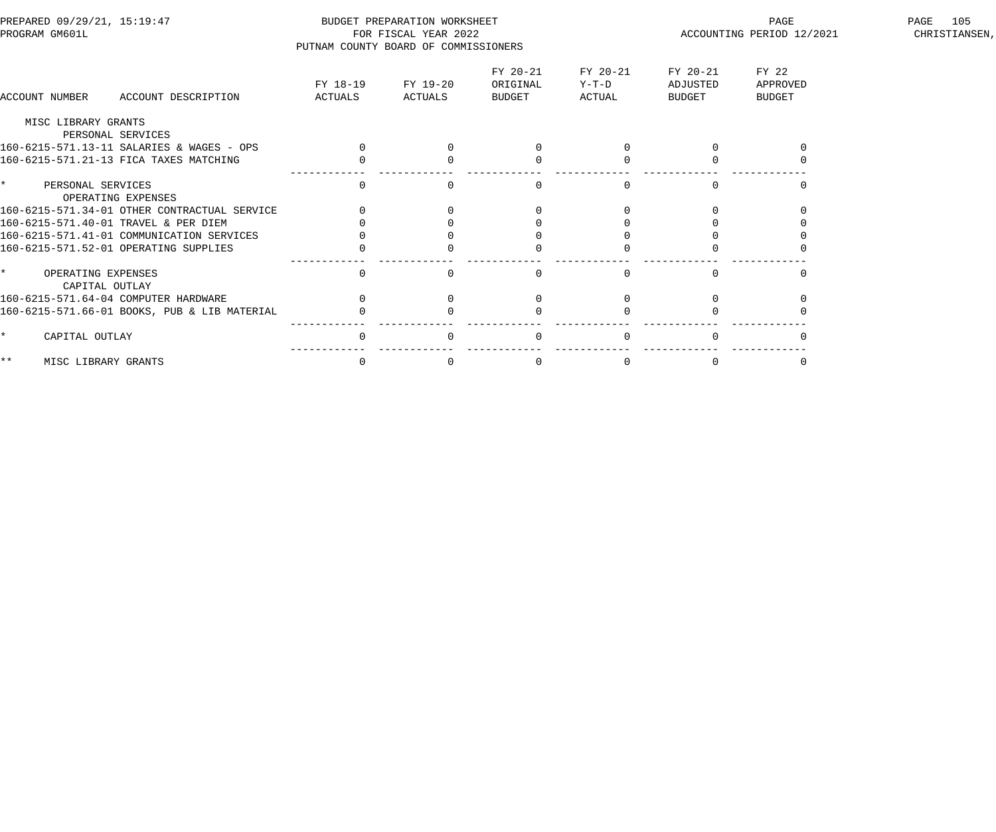| PREPARED 09/29/21, 15:19:47<br>PROGRAM GM601L      | PUTNAM COUNTY BOARD OF COMMISSIONERS | BUDGET PREPARATION WORKSHEET<br>FOR FISCAL YEAR 2022 |                                |                             |                                | PAGE<br>ACCOUNTING PERIOD 12/2021  | 105<br>PAGE<br>CHRISTIANSEN, |
|----------------------------------------------------|--------------------------------------|------------------------------------------------------|--------------------------------|-----------------------------|--------------------------------|------------------------------------|------------------------------|
| ACCOUNT NUMBER<br>ACCOUNT DESCRIPTION              | FY 18-19<br>ACTUALS                  | FY 19-20<br>ACTUALS                                  | FY 20-21<br>ORIGINAL<br>BUDGET | FY 20-21<br>Y-T-D<br>ACTUAL | FY 20-21<br>ADJUSTED<br>BUDGET | FY 22<br>APPROVED<br><b>BUDGET</b> |                              |
| MISC LIBRARY GRANTS                                |                                      |                                                      |                                |                             |                                |                                    |                              |
| PERSONAL SERVICES                                  |                                      |                                                      |                                |                             |                                |                                    |                              |
| 160-6215-571.13-11 SALARIES & WAGES - OPS          | $\Omega$                             |                                                      |                                |                             |                                |                                    |                              |
| 160-6215-571.21-13 FICA TAXES MATCHING             |                                      |                                                      |                                |                             |                                |                                    |                              |
| $\star$<br>PERSONAL SERVICES<br>OPERATING EXPENSES | $\Omega$                             |                                                      |                                |                             |                                |                                    |                              |
| 160-6215-571.34-01 OTHER CONTRACTUAL SERVICE       |                                      |                                                      |                                |                             |                                |                                    |                              |
| 160-6215-571.40-01 TRAVEL & PER DIEM               |                                      |                                                      |                                |                             |                                |                                    |                              |
| 160-6215-571.41-01 COMMUNICATION SERVICES          |                                      |                                                      |                                |                             |                                |                                    |                              |
| 160-6215-571.52-01 OPERATING SUPPLIES              | 0                                    |                                                      |                                |                             |                                |                                    |                              |
| $\star$<br>OPERATING EXPENSES<br>CAPITAL OUTLAY    | $\mathbf{0}$                         |                                                      | <sup>0</sup>                   |                             |                                |                                    |                              |
| 160-6215-571.64-04 COMPUTER HARDWARE               | $\Omega$                             |                                                      |                                |                             |                                |                                    |                              |
| 160-6215-571.66-01 BOOKS, PUB & LIB MATERIAL       |                                      |                                                      |                                |                             |                                |                                    |                              |
| CAPITAL OUTLAY<br>$\star$                          | $\Omega$                             |                                                      | $\Omega$                       |                             |                                |                                    |                              |
| $***$<br>MISC LIBRARY GRANTS                       | $\mathbf 0$                          | $\Omega$                                             | $\overline{0}$                 |                             | $\Omega$                       |                                    |                              |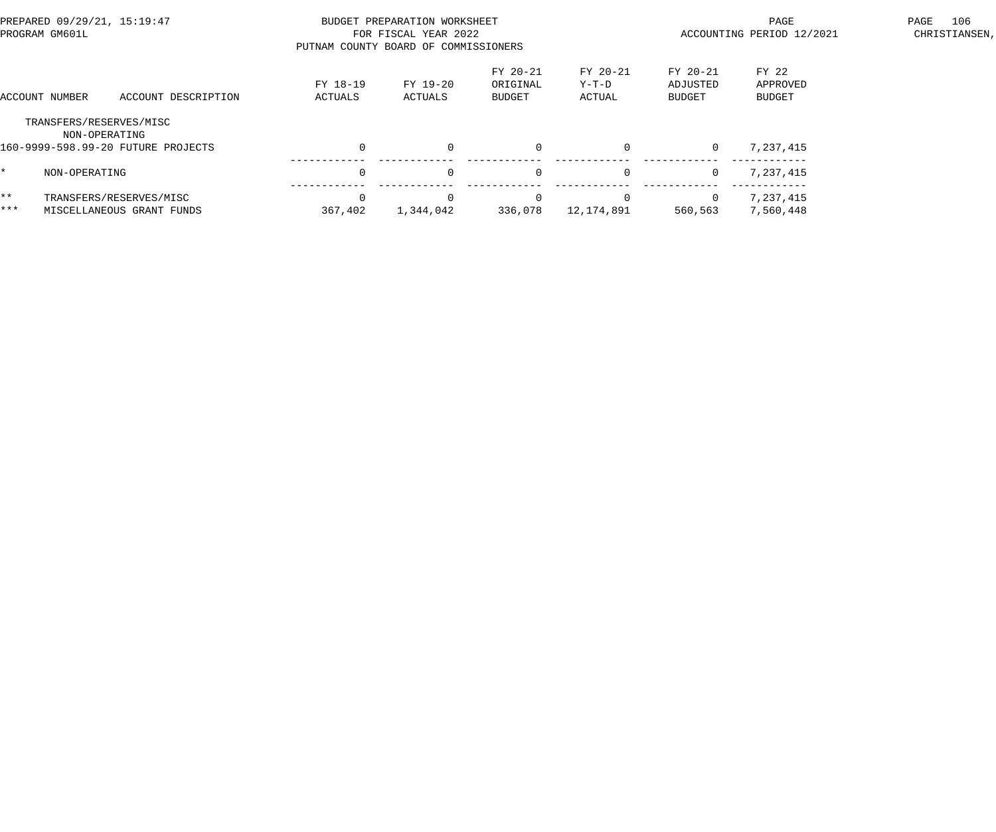| PREPARED 09/29/21, 15:19:47<br>PROGRAM GM601L |                                          |                                                      |                     | BUDGET PREPARATION WORKSHEET<br>FOR FISCAL YEAR 2022<br>PUTNAM COUNTY BOARD OF COMMISSIONERS |                                |                               | PAGE<br>ACCOUNTING PERIOD 12/2021     | 106<br>PAGE<br>CHRISTIANSEN,       |  |
|-----------------------------------------------|------------------------------------------|------------------------------------------------------|---------------------|----------------------------------------------------------------------------------------------|--------------------------------|-------------------------------|---------------------------------------|------------------------------------|--|
|                                               | ACCOUNT NUMBER                           | ACCOUNT DESCRIPTION                                  | FY 18-19<br>ACTUALS | FY 19-20<br>ACTUALS                                                                          | FY 20-21<br>ORIGINAL<br>BUDGET | FY 20-21<br>$Y-T-D$<br>ACTUAL | FY 20-21<br>ADJUSTED<br><b>BUDGET</b> | FY 22<br>APPROVED<br><b>BUDGET</b> |  |
|                                               | TRANSFERS/RESERVES/MISC<br>NON-OPERATING | 160-9999-598.99-20 FUTURE PROJECTS                   |                     | $\Omega$                                                                                     | $\overline{0}$                 |                               | $\overline{0}$                        | 7,237,415                          |  |
| *.                                            | NON-OPERATING                            |                                                      |                     | $\Omega$                                                                                     | $\Omega$                       | $\Omega$                      | $\mathbf{0}$                          | 7,237,415                          |  |
| $***$<br>***                                  |                                          | TRANSFERS/RESERVES/MISC<br>MISCELLANEOUS GRANT FUNDS | 367,402             | $\Omega$<br>1,344,042                                                                        | $\Omega$<br>336,078            | 12,174,891                    | $\overline{0}$<br>560,563             | 7,237,415<br>7,560,448             |  |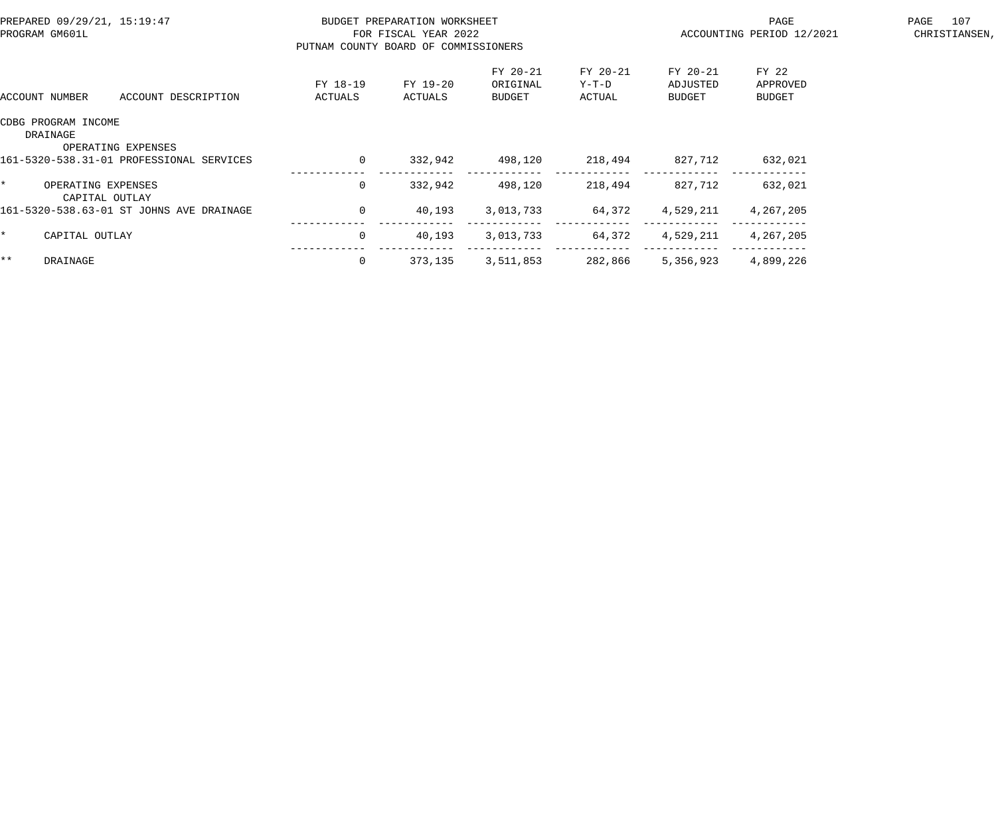| PREPARED 09/29/21, 15:19:47<br>PROGRAM GM601L                                                     |                     | BUDGET PREPARATION WORKSHEET<br>FOR FISCAL YEAR 2022<br>PUTNAM COUNTY BOARD OF COMMISSIONERS |                                |                             | PAGE<br>ACCOUNTING PERIOD 12/2021 | PAGE 107<br>CHRISTIANSEN,   |  |
|---------------------------------------------------------------------------------------------------|---------------------|----------------------------------------------------------------------------------------------|--------------------------------|-----------------------------|-----------------------------------|-----------------------------|--|
| ACCOUNT DESCRIPTION<br>ACCOUNT NUMBER                                                             | FY 18-19<br>ACTUALS | FY 19-20<br>ACTUALS                                                                          | FY 20-21<br>ORIGINAL<br>BUDGET | FY 20-21<br>Y-T-D<br>ACTUAL | FY 20-21<br>ADJUSTED<br>BUDGET    | FY 22<br>APPROVED<br>BUDGET |  |
| CDBG PROGRAM INCOME<br>DRAINAGE<br>OPERATING EXPENSES<br>161-5320-538.31-01 PROFESSIONAL SERVICES | $\overline{0}$      | 332,942                                                                                      | 498,120                        | 218,494 827,712             |                                   | 632,021                     |  |
| $\star$ and $\star$<br>OPERATING EXPENSES<br>CAPITAL OUTLAY                                       | $\mathbf{0}$        | 332,942                                                                                      | 498,120                        | 218,494                     | 827,712                           | 632,021                     |  |
| 161-5320-538.63-01 ST JOHNS AVE DRAINAGE                                                          | $\Omega$            | 40,193                                                                                       | 3,013,733                      | 64,372                      | 4,529,211                         | 4,267,205                   |  |
| $\star$<br>CAPITAL OUTLAY                                                                         | $\overline{0}$      | 40,193                                                                                       | 3,013,733 64,372 4,529,211     |                             |                                   | 4,267,205                   |  |
| $***$<br>DRAINAGE                                                                                 |                     | 373,135                                                                                      | 3,511,853                      | 282,866                     | 5,356,923                         | 4,899,226                   |  |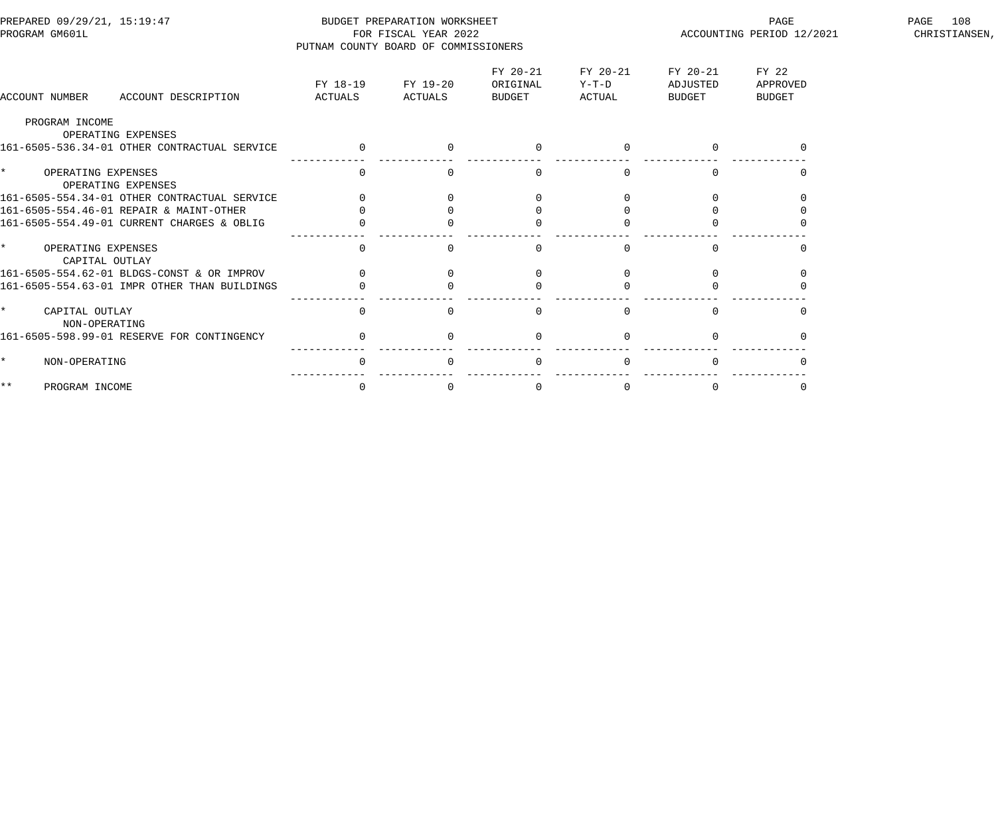| PREPARED 09/29/21, 15:19:47<br>PROGRAM GM601L                      | PUTNAM COUNTY BOARD OF COMMISSIONERS | BUDGET PREPARATION WORKSHEET<br>FOR FISCAL YEAR 2022 |                                |                             | PAGE<br>ACCOUNTING PERIOD 12/2021 | PAGE<br>108<br>CHRISTIANSEN,       |  |
|--------------------------------------------------------------------|--------------------------------------|------------------------------------------------------|--------------------------------|-----------------------------|-----------------------------------|------------------------------------|--|
| ACCOUNT DESCRIPTION<br>ACCOUNT NUMBER                              | FY 18-19<br>ACTUALS                  | FY 19-20<br>ACTUALS                                  | FY 20-21<br>ORIGINAL<br>BUDGET | FY 20-21<br>Y-T-D<br>ACTUAL | FY 20-21<br>ADJUSTED<br>BUDGET    | FY 22<br>APPROVED<br><b>BUDGET</b> |  |
| PROGRAM INCOME                                                     |                                      |                                                      |                                |                             |                                   |                                    |  |
| OPERATING EXPENSES<br>161-6505-536.34-01 OTHER CONTRACTUAL SERVICE |                                      |                                                      |                                |                             |                                   |                                    |  |
| $\star$<br>OPERATING EXPENSES<br>OPERATING EXPENSES                | $\mathbf{0}$                         |                                                      | $\Omega$                       | $\Omega$                    | $\Omega$                          | $\left( \right)$                   |  |
| 161-6505-554.34-01 OTHER CONTRACTUAL SERVICE                       |                                      |                                                      |                                |                             |                                   |                                    |  |
| 161-6505-554.46-01 REPAIR & MAINT-OTHER                            |                                      |                                                      |                                |                             |                                   |                                    |  |
| 161-6505-554.49-01 CURRENT CHARGES & OBLIG                         |                                      |                                                      |                                |                             |                                   |                                    |  |
| $\star$<br>OPERATING EXPENSES<br>CAPITAL OUTLAY                    | $\Omega$                             |                                                      |                                |                             |                                   |                                    |  |
| 161-6505-554.62-01 BLDGS-CONST & OR IMPROV                         | $\Omega$                             |                                                      |                                |                             | $\Omega$                          | $\Omega$                           |  |
| 161-6505-554.63-01 IMPR OTHER THAN BUILDINGS                       |                                      |                                                      |                                |                             |                                   |                                    |  |
| $\star$<br>CAPITAL OUTLAY<br>NON-OPERATING                         | $\Omega$                             |                                                      | $\Omega$                       |                             |                                   |                                    |  |
| 161-6505-598.99-01 RESERVE FOR CONTINGENCY                         | $\overline{0}$                       |                                                      | $\Omega$                       |                             | $\Omega$                          |                                    |  |
| NON-OPERATING                                                      | $\Omega$                             |                                                      | $\Omega$                       |                             |                                   |                                    |  |
| $\star \star$<br>PROGRAM INCOME                                    | $\mathbf 0$                          | $\Omega$                                             | $\mathbf 0$                    | 0                           | $\overline{0}$                    | 0                                  |  |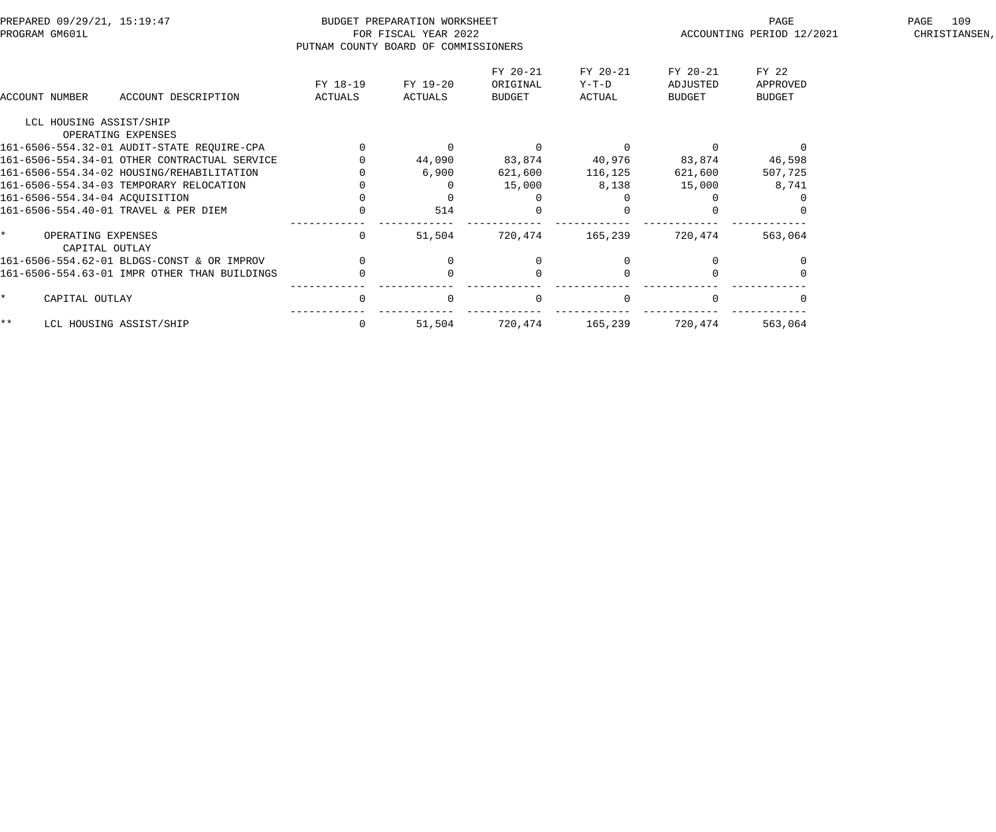| PREPARED 09/29/21, 15:19:47<br>PROGRAM GM601L |                                              | PUTNAM COUNTY BOARD OF COMMISSIONERS | BUDGET PREPARATION WORKSHEET<br>FOR FISCAL YEAR 2022 |                                       |                               | PAGE<br>ACCOUNTING PERIOD 12/2021 | 109<br>PAGE<br>CHRISTIANSEN,       |  |
|-----------------------------------------------|----------------------------------------------|--------------------------------------|------------------------------------------------------|---------------------------------------|-------------------------------|-----------------------------------|------------------------------------|--|
| ACCOUNT NUMBER                                | ACCOUNT DESCRIPTION                          | FY 18-19<br>ACTUALS                  | FY 19-20<br>ACTUALS                                  | FY 20-21<br>ORIGINAL<br><b>BUDGET</b> | FY 20-21<br>$Y-T-D$<br>ACTUAL | FY 20-21<br>ADJUSTED<br>BUDGET    | FY 22<br>APPROVED<br><b>BUDGET</b> |  |
| LCL HOUSING ASSIST/SHIP                       |                                              |                                      |                                                      |                                       |                               |                                   |                                    |  |
|                                               | OPERATING EXPENSES                           |                                      |                                                      |                                       |                               |                                   |                                    |  |
|                                               | 161-6506-554.32-01 AUDIT-STATE REQUIRE-CPA   |                                      | 0                                                    | $\Omega$                              | $\Omega$                      |                                   |                                    |  |
|                                               | 161-6506-554.34-01 OTHER CONTRACTUAL SERVICE |                                      | 44,090                                               | 83,874                                | 40,976                        | 83,874                            | 46,598                             |  |
|                                               | 161-6506-554.34-02 HOUSING/REHABILITATION    |                                      | 6,900                                                | 621,600                               | 116,125                       | 621,600                           | 507,725                            |  |
|                                               | 161-6506-554.34-03 TEMPORARY RELOCATION      |                                      |                                                      | 15,000                                | 8,138                         | 15,000                            | 8,741                              |  |
| 161-6506-554.34-04 ACQUISITION                |                                              |                                      |                                                      |                                       |                               |                                   |                                    |  |
|                                               | 161-6506-554.40-01 TRAVEL & PER DIEM         |                                      | 514                                                  |                                       |                               |                                   |                                    |  |
| OPERATING EXPENSES<br>CAPITAL OUTLAY          |                                              | $\Omega$                             | 51,504                                               | 720,474                               | 165,239                       | 720,474                           | 563,064                            |  |
|                                               | 161-6506-554.62-01 BLDGS-CONST & OR IMPROV   |                                      |                                                      |                                       |                               |                                   |                                    |  |
|                                               | 161-6506-554.63-01 IMPR OTHER THAN BUILDINGS |                                      |                                                      | $\Omega$                              |                               |                                   |                                    |  |
| CAPITAL OUTLAY                                |                                              | 0                                    | $\Omega$                                             | $\mathbf 0$                           | $\mathbf{0}$                  |                                   |                                    |  |
| $***$                                         | LCL HOUSING ASSIST/SHIP                      | 0                                    | 51,504                                               | 720,474                               | 165,239                       | 720,474                           | 563,064                            |  |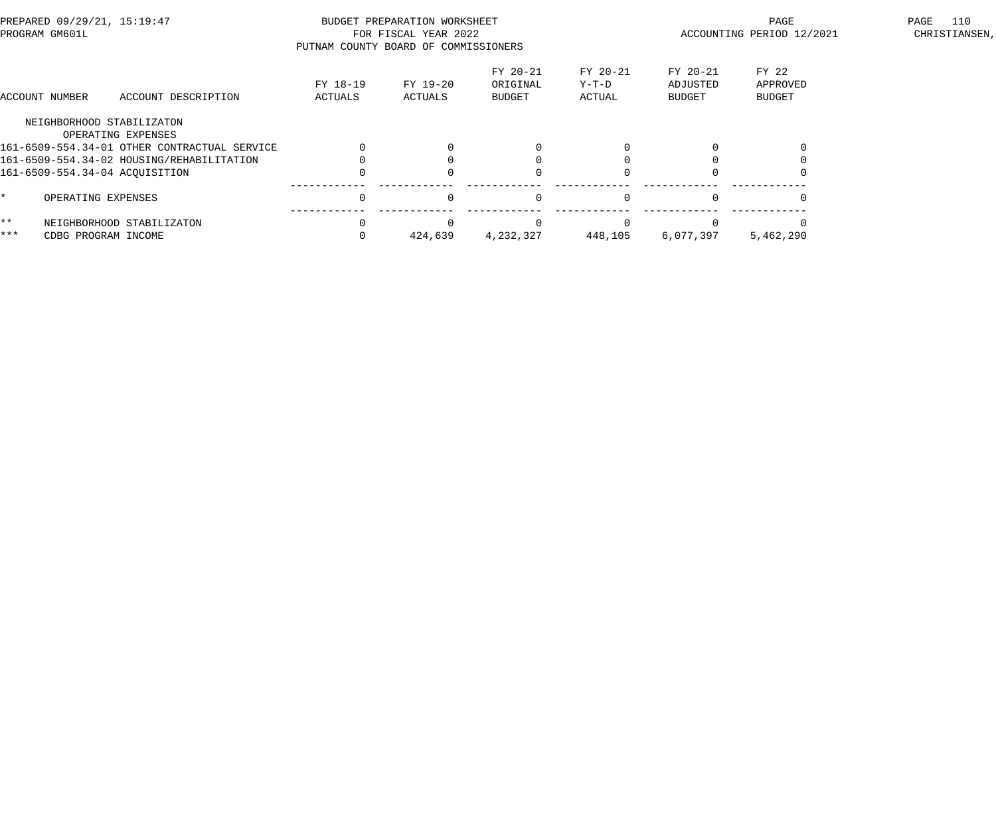| PREPARED 09/29/21, 15:19:47<br>PROGRAM GM601L |                           | PUTNAM COUNTY BOARD OF COMMISSIONERS         | BUDGET PREPARATION WORKSHEET<br>FOR FISCAL YEAR 2022 |                     |                                       | PAGE<br>ACCOUNTING PERIOD 12/2021 | 110<br>PAGE<br>CHRISTIANSEN,          |                                    |  |
|-----------------------------------------------|---------------------------|----------------------------------------------|------------------------------------------------------|---------------------|---------------------------------------|-----------------------------------|---------------------------------------|------------------------------------|--|
|                                               | ACCOUNT NUMBER            | ACCOUNT DESCRIPTION                          | FY 18-19<br>ACTUALS                                  | FY 19-20<br>ACTUALS | FY 20-21<br>ORIGINAL<br><b>BUDGET</b> | FY 20-21<br>Y-T-D<br>ACTUAL       | FY 20-21<br>ADJUSTED<br><b>BUDGET</b> | FY 22<br>APPROVED<br><b>BUDGET</b> |  |
|                                               | NEIGHBORHOOD STABILIZATON |                                              |                                                      |                     |                                       |                                   |                                       |                                    |  |
|                                               |                           | OPERATING EXPENSES                           |                                                      |                     |                                       |                                   |                                       |                                    |  |
|                                               |                           | 161-6509-554.34-01 OTHER CONTRACTUAL SERVICE |                                                      |                     |                                       |                                   |                                       |                                    |  |
|                                               |                           | 161-6509-554.34-02 HOUSING/REHABILITATION    |                                                      |                     |                                       |                                   |                                       |                                    |  |
|                                               |                           | 161-6509-554.34-04 ACQUISITION               |                                                      |                     |                                       |                                   |                                       |                                    |  |
|                                               | OPERATING EXPENSES        |                                              |                                                      | $\Omega$            | $\Omega$                              | $\Omega$                          |                                       |                                    |  |
| $\star\star$                                  |                           | NEIGHBORHOOD STABILIZATON                    |                                                      |                     |                                       |                                   |                                       |                                    |  |
| ***                                           | CDBG PROGRAM INCOME       |                                              |                                                      | 424,639             | 4,232,327                             | 448,105                           | 6,077,397                             | 5,462,290                          |  |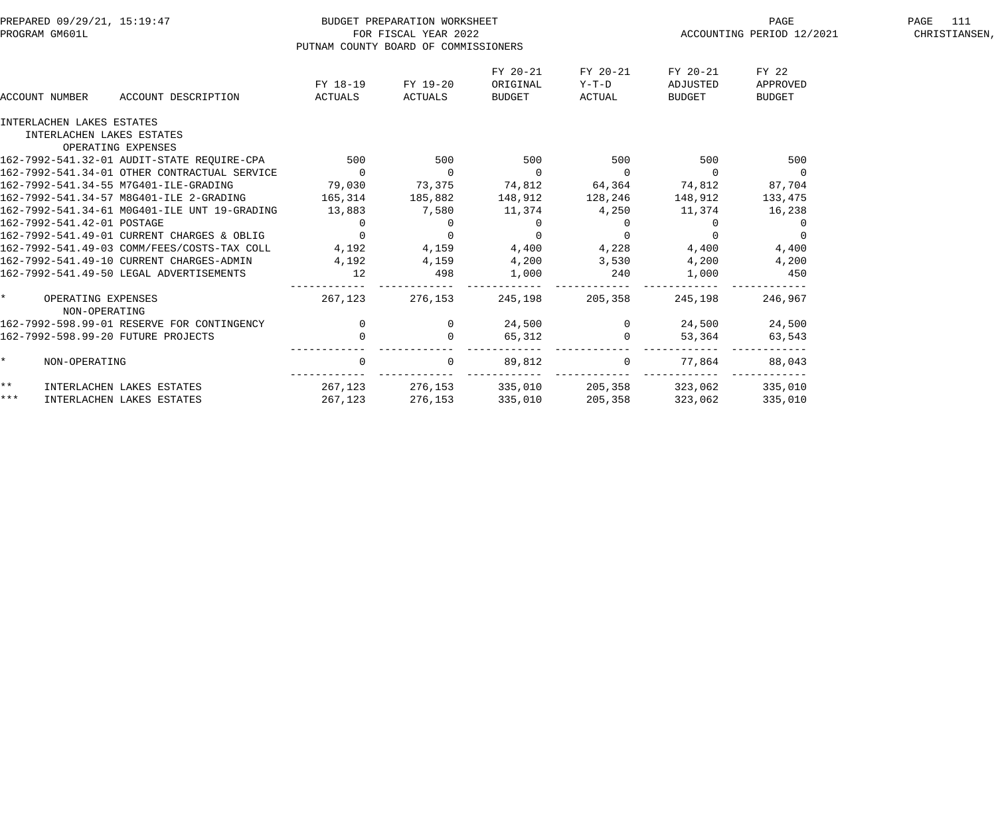|       | PREPARED 09/29/21, 15:19:47           |                                                                                         |                                                     | BUDGET PREPARATION WORKSHEET                    |                |                 | PAGE                                  | 111<br>PAGE    |  |
|-------|---------------------------------------|-----------------------------------------------------------------------------------------|-----------------------------------------------------|-------------------------------------------------|----------------|-----------------|---------------------------------------|----------------|--|
|       | PROGRAM GM601L                        |                                                                                         |                                                     | FOR FISCAL YEAR 2022                            |                |                 | ACCOUNTING PERIOD 12/2021             | CHRISTIANSEN,  |  |
|       |                                       |                                                                                         | PUTNAM COUNTY BOARD OF COMMISSIONERS                |                                                 |                |                 |                                       |                |  |
|       |                                       |                                                                                         |                                                     |                                                 | FY 20-21       | FY 20-21        | FY 20-21                              | FY 22          |  |
|       |                                       |                                                                                         | FY 18-19                                            | FY 19-20                                        | ORIGINAL       | $Y-T-D$         | ADJUSTED                              | APPROVED       |  |
|       | ACCOUNT NUMBER                        | ACCOUNT DESCRIPTION                                                                     | ACTUALS                                             | ACTUALS                                         | <b>BUDGET</b>  | ACTUAL          | BUDGET                                | <b>BUDGET</b>  |  |
|       | INTERLACHEN LAKES ESTATES             |                                                                                         |                                                     |                                                 |                |                 |                                       |                |  |
|       | INTERLACHEN LAKES ESTATES             |                                                                                         |                                                     |                                                 |                |                 |                                       |                |  |
|       | OPERATING EXPENSES                    |                                                                                         |                                                     |                                                 |                |                 |                                       |                |  |
|       |                                       | 162-7992-541.32-01 AUDIT-STATE REQUIRE-CPA 500                                          |                                                     |                                                 | 500            | 500 500         |                                       | 500            |  |
|       |                                       | 162-7992-541.34-01 OTHER CONTRACTUAL SERVICE 0                                          |                                                     | $\overline{0}$                                  | $\overline{0}$ | $\overline{0}$  | $\overline{0}$                        | $\overline{0}$ |  |
|       |                                       | 162-7992-541.34-55 M7G401-ILE-GRADING 79,030 73,375 74,812 64,364 74,812                |                                                     |                                                 |                |                 |                                       | 87,704         |  |
|       |                                       | 162-7992-541.34-57 M8G401-ILE 2-GRADING 165,314 185,882 148,912 128,246 148,912 133,475 |                                                     |                                                 |                |                 |                                       |                |  |
|       |                                       | 162-7992-541.34-61 MOG401-ILE UNT 19-GRADING                                            | $13,883$ $7,580$ $11,374$ $4,250$ $11,374$ $16,238$ |                                                 |                |                 |                                       |                |  |
|       |                                       |                                                                                         |                                                     |                                                 |                |                 | $\begin{array}{c} 0 \\ 0 \end{array}$ |                |  |
|       |                                       |                                                                                         |                                                     |                                                 |                |                 |                                       |                |  |
|       |                                       |                                                                                         |                                                     |                                                 |                |                 |                                       |                |  |
|       |                                       |                                                                                         |                                                     |                                                 | 4,200          | 3,530 4,200     |                                       | 4,200          |  |
|       |                                       |                                                                                         |                                                     |                                                 | 1,000          | 240             | 1,000                                 | 450            |  |
|       | * OPERATING EXPENSES<br>NON-OPERATING |                                                                                         | 267,123 276,153                                     |                                                 |                | 245,198 205,358 | 245,198                               | 246,967        |  |
|       |                                       | 162-7992-598.99-01 RESERVE FOR CONTINGENCY                                              |                                                     | $\overline{0}$                                  |                | 24,500 0 24,500 |                                       | 24,500         |  |
|       | 162-7992-598.99-20 FUTURE PROJECTS    |                                                                                         | $\begin{array}{c} 0 \\ 0 \end{array}$               | $\overline{0}$                                  | 65,312         | $\overline{0}$  | 53,364                                | 63,543         |  |
|       | NON-OPERATING                         |                                                                                         | $\Omega$                                            | $\Omega$                                        | 89,812         |                 | $0 \t 77,864$                         | 88,043         |  |
| $***$ | INTERLACHEN LAKES ESTATES             |                                                                                         |                                                     | 267,123 276,153 335,010 205,358 323,062 335,010 |                |                 |                                       |                |  |
| $***$ | INTERLACHEN LAKES ESTATES             |                                                                                         | 267,123                                             | 276,153 335,010                                 |                |                 | 205,358 323,062                       | 335,010        |  |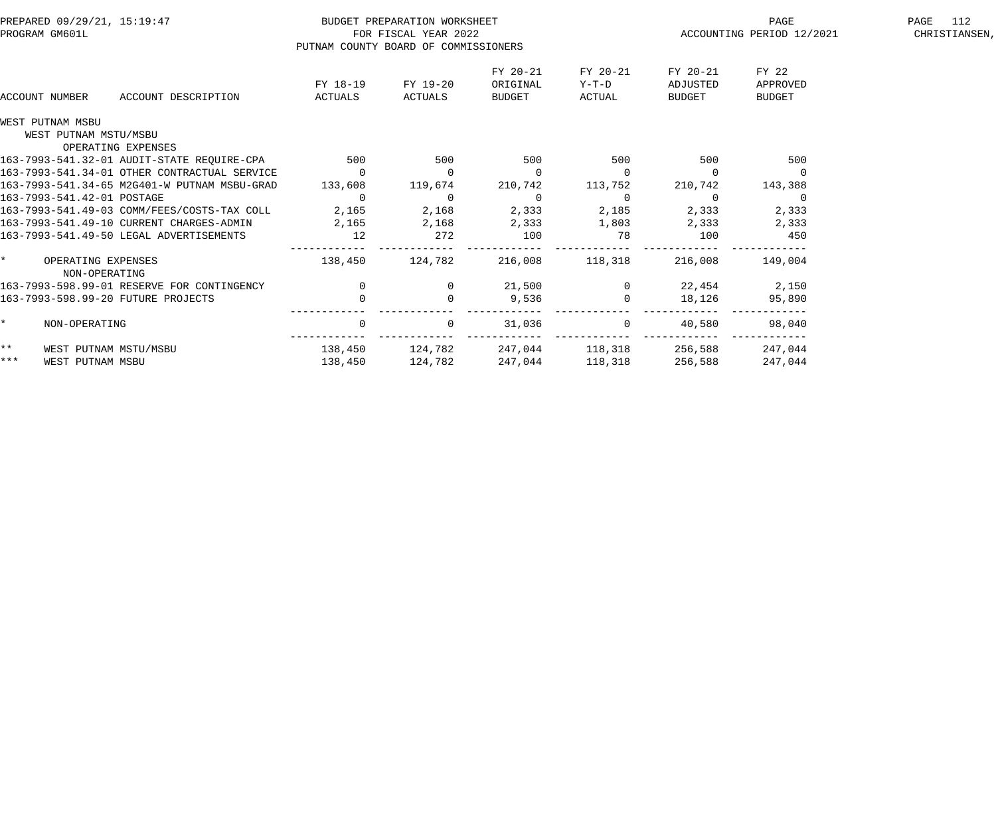| PREPARED 09/29/21, 15:19:47<br>PROGRAM GM601L |                                                      |                     | PUTNAM COUNTY BOARD OF COMMISSIONERS | BUDGET PREPARATION WORKSHEET<br>FOR FISCAL YEAR 2022 |                                |                               | PAGE<br>ACCOUNTING PERIOD 12/2021 | PAGE 112<br>CHRISTIANSEN,          |  |
|-----------------------------------------------|------------------------------------------------------|---------------------|--------------------------------------|------------------------------------------------------|--------------------------------|-------------------------------|-----------------------------------|------------------------------------|--|
|                                               | ACCOUNT NUMBER                                       | ACCOUNT DESCRIPTION | FY 18-19<br>ACTUALS                  | FY 19-20<br><b>ACTUALS</b>                           | FY 20-21<br>ORIGINAL<br>BUDGET | FY 20-21<br>$Y-T-D$<br>ACTUAL | FY 20-21<br>ADJUSTED<br>BUDGET    | FY 22<br>APPROVED<br><b>BUDGET</b> |  |
|                                               | WEST PUTNAM MSBU                                     |                     |                                      |                                                      |                                |                               |                                   |                                    |  |
|                                               | WEST PUTNAM MSTU/MSBU<br>OPERATING EXPENSES          |                     |                                      |                                                      |                                |                               |                                   |                                    |  |
|                                               | 163-7993-541.32-01 AUDIT-STATE REQUIRE-CPA 500       |                     |                                      | 500                                                  | 500                            | 500                           | 500                               | 500                                |  |
|                                               | 163-7993-541.34-01 OTHER CONTRACTUAL SERVICE         |                     | $\overline{0}$                       |                                                      | $\overline{0}$                 |                               | $\overline{0}$                    | $\overline{\phantom{0}}$           |  |
|                                               | 163-7993-541.34-65 M2G401-W PUTNAM MSBU-GRAD         |                     | 133,608                              | 119,674                                              | 210,742                        | 113,752                       | 210,742                           | 143,388                            |  |
|                                               | 163-7993-541.42-01 POSTAGE                           |                     | $\overline{0}$                       | $\overline{0}$                                       | $\overline{0}$                 | $\overline{0}$                | $\overline{0}$                    | $\overline{0}$                     |  |
|                                               | 163-7993-541.49-03 COMM/FEES/COSTS-TAX COLL          |                     | 2,165                                |                                                      | 2,168 2,333 2,185              |                               | 2,333                             | 2,333                              |  |
|                                               | 163-7993-541.49-10 CURRENT CHARGES-ADMIN 2,165 2,168 |                     |                                      |                                                      | 2,333                          | 1,803                         | 2,333                             | 2,333                              |  |
|                                               | 163-7993-541.49-50 LEGAL ADVERTISEMENTS              |                     | 12                                   | 272                                                  | 100                            | 78                            | 100                               | 450                                |  |
|                                               | * OPERATING EXPENSES<br>NON-OPERATING                |                     | 138,450                              | 124,782                                              |                                | 216,008 118,318               | 216,008                           | 149.004                            |  |
|                                               | 163-7993-598.99-01 RESERVE FOR CONTINGENCY           |                     | $\overline{0}$                       |                                                      | 21,500                         |                               |                                   | 22,454 2,150                       |  |
|                                               | 163-7993-598.99-20 FUTURE PROJECTS                   |                     |                                      |                                                      | 9,536                          |                               | 18,126                            | 95,890                             |  |
| $\star$                                       | NON-OPERATING                                        |                     | $\overline{0}$                       | $\overline{0}$                                       | 31,036                         | $\mathbf{0}$                  | 40,580                            | 98,040                             |  |
| $\star \star$                                 | WEST PUTNAM MSTU/MSBU                                |                     |                                      | 138,450 124,782                                      |                                |                               | 247,044 118,318 256,588           | 247,044                            |  |
| $***$                                         | WEST PUTNAM MSBU                                     |                     | 138,450                              | 124,782                                              | 247,044                        | 118,318                       | 256,588                           | 247,044                            |  |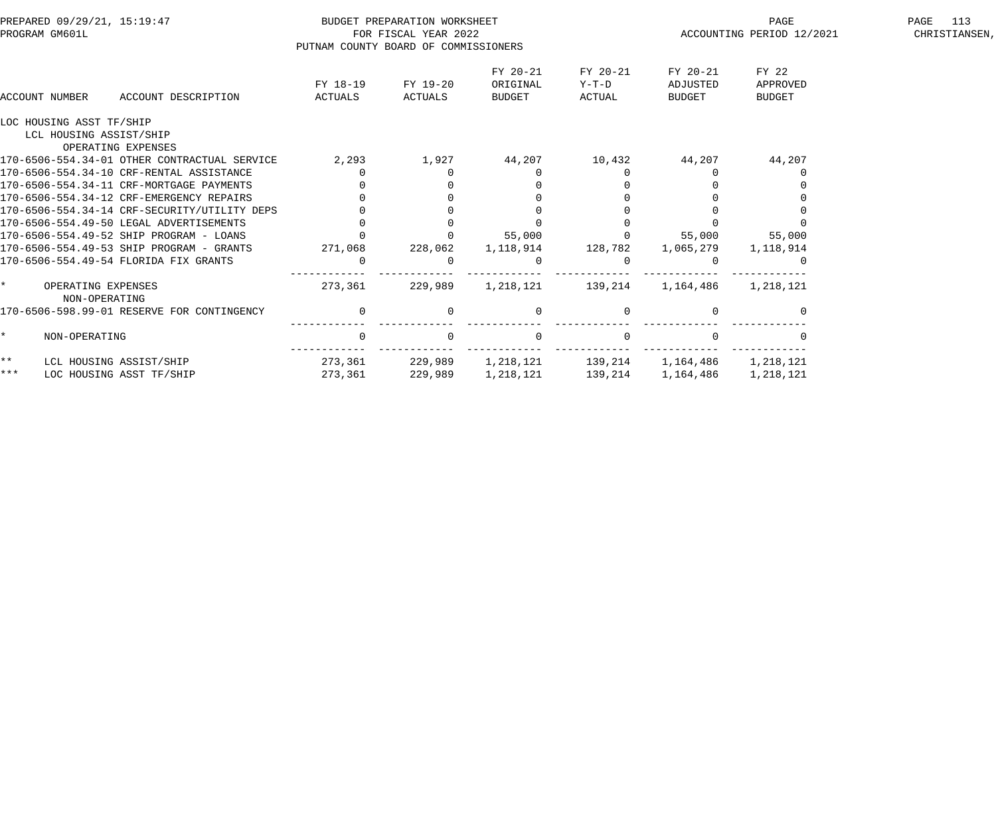|         | PREPARED 09/29/21, 15:19:47                  |                     | BUDGET PREPARATION WORKSHEET         |                                |                             | PAGE                           | PAGE<br>113                        |  |
|---------|----------------------------------------------|---------------------|--------------------------------------|--------------------------------|-----------------------------|--------------------------------|------------------------------------|--|
|         | PROGRAM GM601L                               |                     | FOR FISCAL YEAR 2022                 |                                |                             | ACCOUNTING PERIOD 12/2021      | CHRISTIANSEN,                      |  |
|         |                                              |                     | PUTNAM COUNTY BOARD OF COMMISSIONERS |                                |                             |                                |                                    |  |
|         | ACCOUNT NUMBER<br>ACCOUNT DESCRIPTION        | FY 18-19<br>ACTUALS | FY 19-20<br>ACTUALS                  | FY 20-21<br>ORIGINAL<br>BUDGET | FY 20-21<br>Y-T-D<br>ACTUAL | FY 20-21<br>ADJUSTED<br>BUDGET | FY 22<br>APPROVED<br><b>BUDGET</b> |  |
|         | LOC HOUSING ASST TF/SHIP                     |                     |                                      |                                |                             |                                |                                    |  |
|         | LCL HOUSING ASSIST/SHIP                      |                     |                                      |                                |                             |                                |                                    |  |
|         | OPERATING EXPENSES                           |                     |                                      |                                |                             |                                |                                    |  |
|         | 170-6506-554.34-01 OTHER CONTRACTUAL SERVICE | 2,293               | 1,927                                | 44,207                         | 10,432                      | 44,207                         | 44,207                             |  |
|         | 170-6506-554.34-10 CRF-RENTAL ASSISTANCE     |                     |                                      |                                |                             |                                |                                    |  |
|         | 170-6506-554.34-11 CRF-MORTGAGE PAYMENTS     |                     |                                      |                                |                             |                                |                                    |  |
|         | 170-6506-554.34-12 CRF-EMERGENCY REPAIRS     |                     |                                      |                                |                             |                                |                                    |  |
|         | 170-6506-554.34-14 CRF-SECURITY/UTILITY DEPS |                     |                                      |                                |                             |                                |                                    |  |
|         | 170-6506-554.49-50 LEGAL ADVERTISEMENTS      |                     |                                      |                                |                             |                                |                                    |  |
|         | 170-6506-554.49-52 SHIP PROGRAM - LOANS      |                     |                                      | 55,000                         | $\Omega$                    | 55,000                         | 55,000                             |  |
|         | 170-6506-554.49-53 SHIP PROGRAM - GRANTS     | 271,068             | 228,062                              | 1,118,914                      | 128,782                     | 1,065,279                      | 1,118,914                          |  |
|         | 170-6506-554.49-54 FLORIDA FIX GRANTS        | $\Omega$            |                                      |                                |                             |                                |                                    |  |
| $\star$ | OPERATING EXPENSES<br>NON-OPERATING          | 273,361             | 229,989                              | 1,218,121                      | 139,214                     | 1,164,486                      | 1,218,121                          |  |
|         | 170-6506-598.99-01 RESERVE FOR CONTINGENCY   | $\overline{0}$      | $\Omega$                             | $\Omega$                       | $\Omega$                    |                                |                                    |  |
| $\star$ | NON-OPERATING                                | $\overline{0}$      | $\Omega$                             | $\Omega$                       | $\Omega$                    |                                |                                    |  |
| * *     | LCL HOUSING ASSIST/SHIP                      | 273,361             | 229,989                              | 1,218,121                      | 139,214                     | 1,164,486                      | 1,218,121                          |  |
| * * *   | LOC HOUSING ASST TF/SHIP                     | 273,361             | 229,989                              | 1,218,121                      | 139,214                     | 1,164,486                      | 1,218,121                          |  |
|         |                                              |                     |                                      |                                |                             |                                |                                    |  |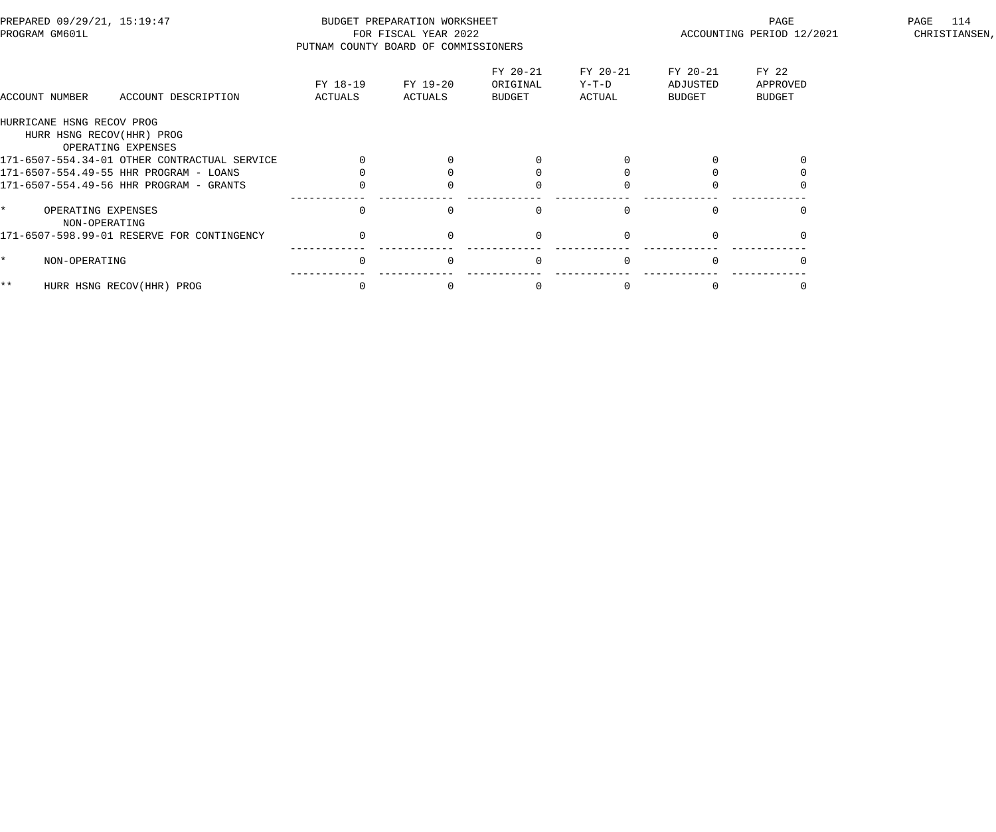| PREPARED 09/29/21, 15:19:47<br>PROGRAM GM601L |                                                 | PUTNAM COUNTY BOARD OF COMMISSIONERS | BUDGET PREPARATION WORKSHEET<br>FOR FISCAL YEAR 2022 |                                |                             | PAGE<br>ACCOUNTING PERIOD 12/2021 | 114<br>PAGE<br>CHRISTIANSEN, |  |
|-----------------------------------------------|-------------------------------------------------|--------------------------------------|------------------------------------------------------|--------------------------------|-----------------------------|-----------------------------------|------------------------------|--|
| ACCOUNT NUMBER                                | ACCOUNT DESCRIPTION                             | FY 18-19<br>ACTUALS                  | FY 19-20<br>ACTUALS                                  | FY 20-21<br>ORIGINAL<br>BUDGET | FY 20-21<br>Y-T-D<br>ACTUAL | FY 20-21<br>ADJUSTED<br>BUDGET    | FY 22<br>APPROVED<br>BUDGET  |  |
| HURRICANE HSNG RECOV PROG                     |                                                 |                                      |                                                      |                                |                             |                                   |                              |  |
|                                               | HURR HSNG RECOV(HHR) PROG<br>OPERATING EXPENSES |                                      |                                                      |                                |                             |                                   |                              |  |
|                                               | 171-6507-554.34-01 OTHER CONTRACTUAL SERVICE    |                                      |                                                      |                                |                             |                                   |                              |  |
|                                               | 171-6507-554.49-55 HHR PROGRAM - LOANS          |                                      |                                                      |                                |                             |                                   |                              |  |
|                                               | 171-6507-554.49-56 HHR PROGRAM - GRANTS         |                                      |                                                      |                                |                             |                                   |                              |  |
| OPERATING EXPENSES                            | NON-OPERATING                                   | $\Omega$                             |                                                      |                                |                             |                                   |                              |  |
|                                               | 171-6507-598.99-01 RESERVE FOR CONTINGENCY      | $\Omega$                             | $\Omega$                                             |                                |                             |                                   |                              |  |
| NON-OPERATING                                 |                                                 | $\mathbf 0$                          | $\Omega$                                             | $\Omega$                       |                             |                                   |                              |  |
| $***$                                         | HURR HSNG RECOV(HHR) PROG                       | $\Omega$                             |                                                      |                                |                             |                                   |                              |  |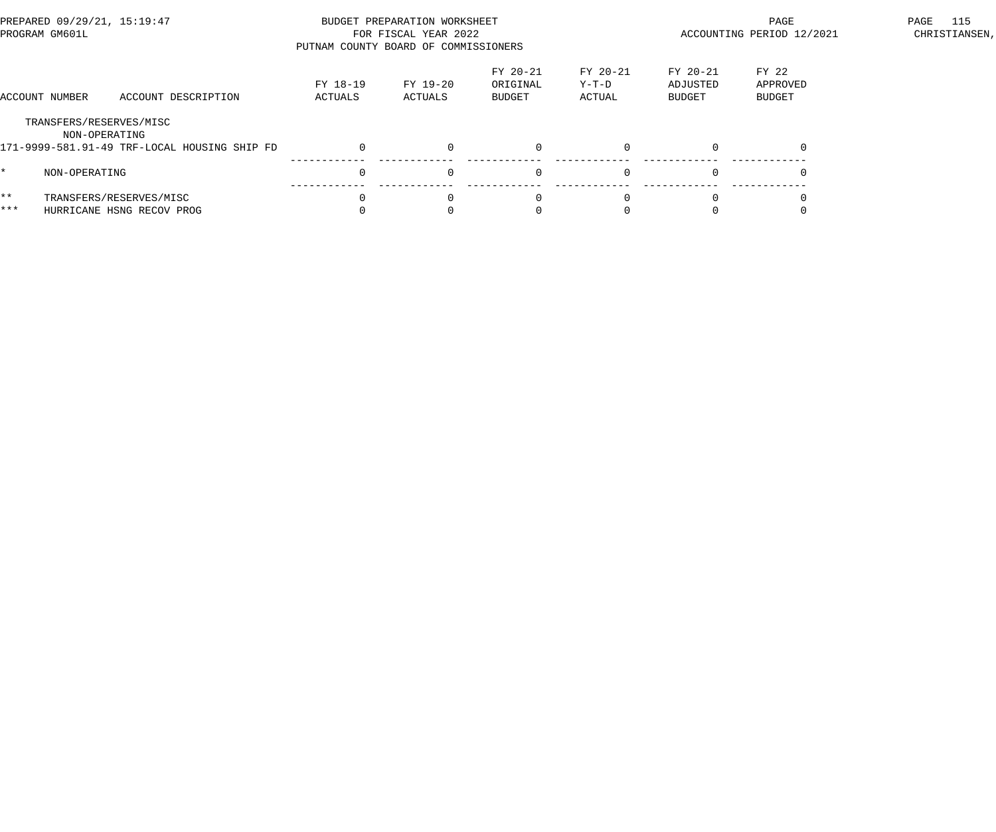| PREPARED 09/29/21, 15:19:47<br>PROGRAM GM601L |                                          |                                                      | PUTNAM COUNTY BOARD OF COMMISSIONERS | BUDGET PREPARATION WORKSHEET<br>FOR FISCAL YEAR 2022 |                                       | ACCOUNTING PERIOD 12/2021   | 115<br>PAGE<br>CHRISTIANSEN,          |                                    |  |
|-----------------------------------------------|------------------------------------------|------------------------------------------------------|--------------------------------------|------------------------------------------------------|---------------------------------------|-----------------------------|---------------------------------------|------------------------------------|--|
|                                               | ACCOUNT NUMBER                           | ACCOUNT DESCRIPTION                                  | FY 18-19<br>ACTUALS                  | FY 19-20<br>ACTUALS                                  | FY 20-21<br>ORIGINAL<br><b>BUDGET</b> | FY 20-21<br>Y-T-D<br>ACTUAL | FY 20-21<br>ADJUSTED<br><b>BUDGET</b> | FY 22<br>APPROVED<br><b>BUDGET</b> |  |
|                                               | TRANSFERS/RESERVES/MISC<br>NON-OPERATING | 171-9999-581.91-49 TRF-LOCAL HOUSING SHIP FD         |                                      | $\Omega$                                             |                                       |                             | $\Omega$                              |                                    |  |
| ¥.                                            | NON-OPERATING                            |                                                      |                                      | $\Omega$                                             | $\Omega$                              |                             | $\Omega$                              |                                    |  |
| $***$<br>***                                  |                                          | TRANSFERS/RESERVES/MISC<br>HURRICANE HSNG RECOV PROG |                                      | $\Omega$                                             | $\Omega$                              |                             | $\Omega$                              |                                    |  |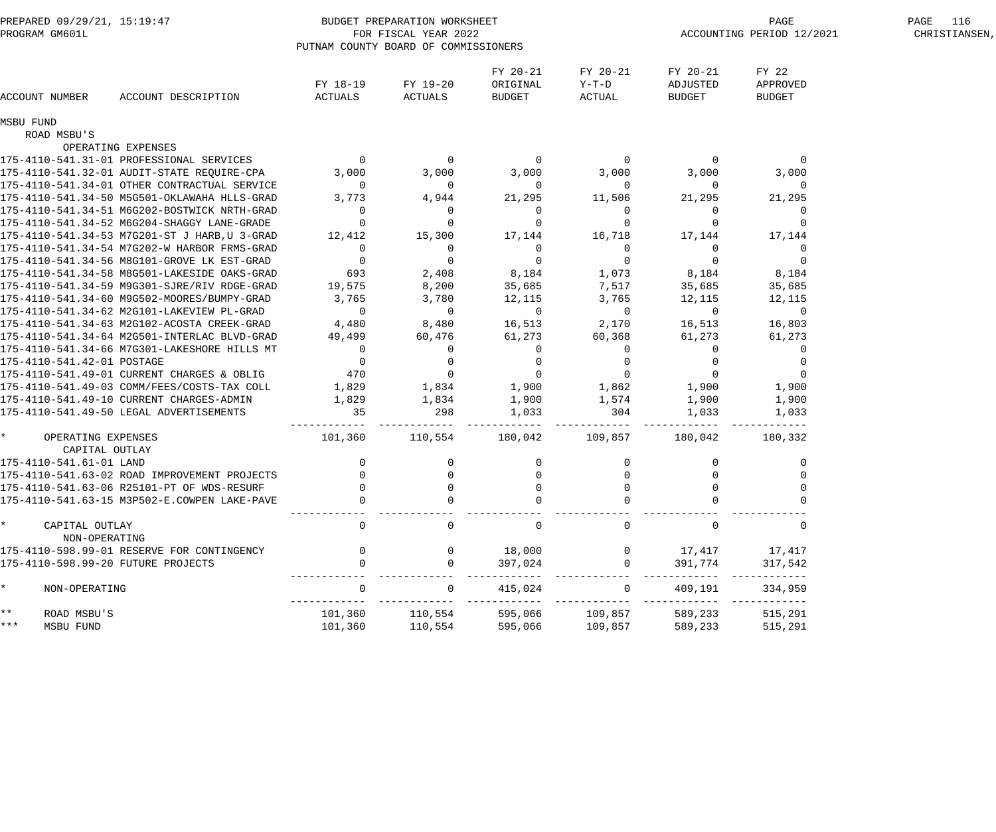| PREPARED 09/29/21, 15:19:47<br>PROGRAM GM601L               |                                                     | BUDGET PREPARATION WORKSHEET<br>FOR FISCAL YEAR 2022<br>PUTNAM COUNTY BOARD OF COMMISSIONERS | PAGE<br>ACCOUNTING PERIOD 12/2021 | PAGE 116<br>CHRISTIANSEN,          |                             |                                |                                    |  |
|-------------------------------------------------------------|-----------------------------------------------------|----------------------------------------------------------------------------------------------|-----------------------------------|------------------------------------|-----------------------------|--------------------------------|------------------------------------|--|
| ACCOUNT NUMBER                                              | ACCOUNT DESCRIPTION                                 | FY 18-19<br>ACTUALS                                                                          | FY 19-20<br>ACTUALS               | FY 20-21<br>ORIGINAL<br>BUDGET     | FY 20-21<br>Y-T-D<br>ACTUAL | FY 20-21<br>ADJUSTED<br>BUDGET | FY 22<br>APPROVED<br><b>BUDGET</b> |  |
| MSBU FUND                                                   |                                                     |                                                                                              |                                   |                                    |                             |                                |                                    |  |
| ROAD MSBU'S                                                 |                                                     |                                                                                              |                                   |                                    |                             |                                |                                    |  |
|                                                             | OPERATING EXPENSES                                  |                                                                                              |                                   |                                    |                             |                                |                                    |  |
|                                                             |                                                     |                                                                                              |                                   |                                    |                             | $\sim$ 0                       | $\overline{0}$                     |  |
|                                                             | 175-4110-541.32-01 AUDIT-STATE REQUIRE-CPA 3,000    |                                                                                              | 3,000                             | 3,000                              | 3,000                       | 3,000                          | 3,000                              |  |
|                                                             | 175-4110-541.34-01 OTHER CONTRACTUAL SERVICE        | $\overline{0}$                                                                               | $\overline{0}$                    | $\overline{\mathbf{0}}$            | $\overline{0}$              | $\overline{0}$                 | $\overline{0}$                     |  |
|                                                             | 175-4110-541.34-50 M5G501-OKLAWAHA HLLS-GRAD 3,773  |                                                                                              | 4,944                             | 21,295                             | 11,506                      | 21,295                         | 21,295                             |  |
|                                                             | 175-4110-541.34-51 M6G202-BOSTWICK NRTH-GRAD        | $\overline{0}$                                                                               | $\overline{0}$                    | $\overline{0}$                     | $\overline{0}$              | $\overline{0}$                 | 0                                  |  |
|                                                             | 175-4110-541.34-52 M6G204-SHAGGY LANE-GRADE         |                                                                                              |                                   | $\overline{0}$                     | $\overline{0}$              |                                |                                    |  |
|                                                             | 175-4110-541.34-53 M7G201-ST J HARB, U 3-GRAD       | 12,412                                                                                       | 15,300                            | 17,144                             | 16,718                      | 17,144                         | 17,144                             |  |
|                                                             | 175-4110-541.34-54 M7G202-W HARBOR FRMS-GRAD        | $\overline{0}$                                                                               | $\overline{0}$                    | $\overline{0}$                     | $\overline{0}$              | - 0                            | 0                                  |  |
|                                                             | 175-4110-541.34-56 M8G101-GROVE LK EST-GRAD         | $\overline{\phantom{0}}$                                                                     | $\overline{0}$                    | $\overline{0}$                     | $\overline{0}$              | $\overline{0}$                 | $\Omega$                           |  |
|                                                             | 175-4110-541.34-58 M8G501-LAKESIDE OAKS-GRAD 693    |                                                                                              | 2,408                             | 8,184 1,073                        |                             | 8,184                          | 8,184                              |  |
|                                                             | 175-4110-541.34-59 M9G301-SJRE/RIV RDGE-GRAD 19,575 |                                                                                              | 8,200                             | 35,685                             | 7,517                       | 35,685                         | 35,685                             |  |
|                                                             | 175-4110-541.34-60 M9G502-MOORES/BUMPY-GRAD 3,765   |                                                                                              | 3,780                             | 12,115                             | 3,765                       | 12,115                         | 12,115                             |  |
|                                                             | 175-4110-541.34-62 M2G101-LAKEVIEW PL-GRAD          | $\overline{0}$                                                                               | $\overline{0}$                    | $\overline{0}$                     | $\overline{0}$              | $\overline{0}$                 | $\overline{0}$                     |  |
|                                                             | 175-4110-541.34-63 M2G102-ACOSTA CREEK-GRAD 4,480   |                                                                                              | 8,480                             |                                    | 16,513 2,170                | 16,513                         | 16,803                             |  |
|                                                             | 175-4110-541.34-64 M2G501-INTERLAC BLVD-GRAD 49,499 |                                                                                              | 60,476                            | 61,273                             | 60,368                      | 61,273                         | 61,273                             |  |
|                                                             | 175-4110-541.34-66 M7G301-LAKESHORE HILLS MT        | $\overline{0}$                                                                               | $\overline{0}$                    | $\overline{0}$                     | $\overline{0}$              | $\overline{0}$                 | $\overline{0}$                     |  |
| 175-4110-541.42-01 POSTAGE                                  |                                                     | $\overline{0}$                                                                               | $\overline{0}$<br>$\overline{0}$  | $\overline{0}$<br>$\overline{0}$ 0 | $\overline{0}$              | - 0<br>$\overline{0}$          |                                    |  |
|                                                             | 175-4110-541.49-01 CURRENT CHARGES & OBLIG 470      |                                                                                              |                                   |                                    |                             |                                | $\Omega$                           |  |
|                                                             | 175-4110-541.49-03 COMM/FEES/COSTS-TAX COLL         | 1,829                                                                                        | 1,834                             |                                    | 1,900 1,862 1,900           |                                | 1,900                              |  |
|                                                             | 175-4110-541.49-10 CURRENT CHARGES-ADMIN            | 1,829                                                                                        | 1,834                             |                                    | 1,900 1,574 1,900           |                                | 1,900                              |  |
|                                                             | 175-4110-541.49-50 LEGAL ADVERTISEMENTS             | 35                                                                                           | 298                               | 1,033                              | 304                         | 1,033                          | 1,033                              |  |
| $\star$ and $\star$<br>OPERATING EXPENSES<br>CAPITAL OUTLAY |                                                     | $101,360$ $110,554$ $180,042$ $109,857$ $180,042$ $180,332$                                  |                                   |                                    |                             |                                |                                    |  |
| 175-4110-541.61-01 LAND                                     |                                                     | $\overline{0}$                                                                               | $\overline{0}$                    | $\overline{0}$                     | $\overline{0}$              | $\overline{0}$                 | 0                                  |  |
|                                                             | 175-4110-541.63-02 ROAD IMPROVEMENT PROJECTS        | $\overline{0}$                                                                               | $\overline{0}$                    | $\Omega$                           |                             |                                |                                    |  |
|                                                             | 175-4110-541.63-06 R25101-PT OF WDS-RESURF          |                                                                                              |                                   |                                    |                             |                                |                                    |  |
|                                                             | 175-4110-541.63-15 M3P502-E.COWPEN LAKE-PAVE        |                                                                                              |                                   |                                    |                             |                                |                                    |  |
|                                                             |                                                     |                                                                                              |                                   |                                    |                             |                                |                                    |  |
| CAPITAL OUTLAY<br>NON-OPERATING                             |                                                     |                                                                                              |                                   |                                    | $\mathbf 0$                 |                                |                                    |  |
|                                                             | 175-4110-598.99-01 RESERVE FOR CONTINGENCY          |                                                                                              | 0                                 | 18,000                             | $\overline{0}$              | 17,417                         | 17,417                             |  |
| 175-4110-598.99-20 FUTURE PROJECTS                          |                                                     |                                                                                              | $\Omega$                          | 397,024                            | $\overline{0}$              | 391,774                        | 317,542                            |  |
| NON-OPERATING                                               |                                                     |                                                                                              |                                   | 415,024                            | $\mathbf{0}$                | 409,191                        | $- - - - - - -$<br>334,959         |  |
| $***$<br>ROAD MSBU'S                                        |                                                     | 101,360                                                                                      | 110,554                           | 595,066                            | 109,857                     | 589,233                        | --------<br>515,291                |  |
| ***<br>MSBU FUND                                            |                                                     | 101,360                                                                                      | 110,554                           | 595,066                            | 109,857                     | 589,233                        | 515,291                            |  |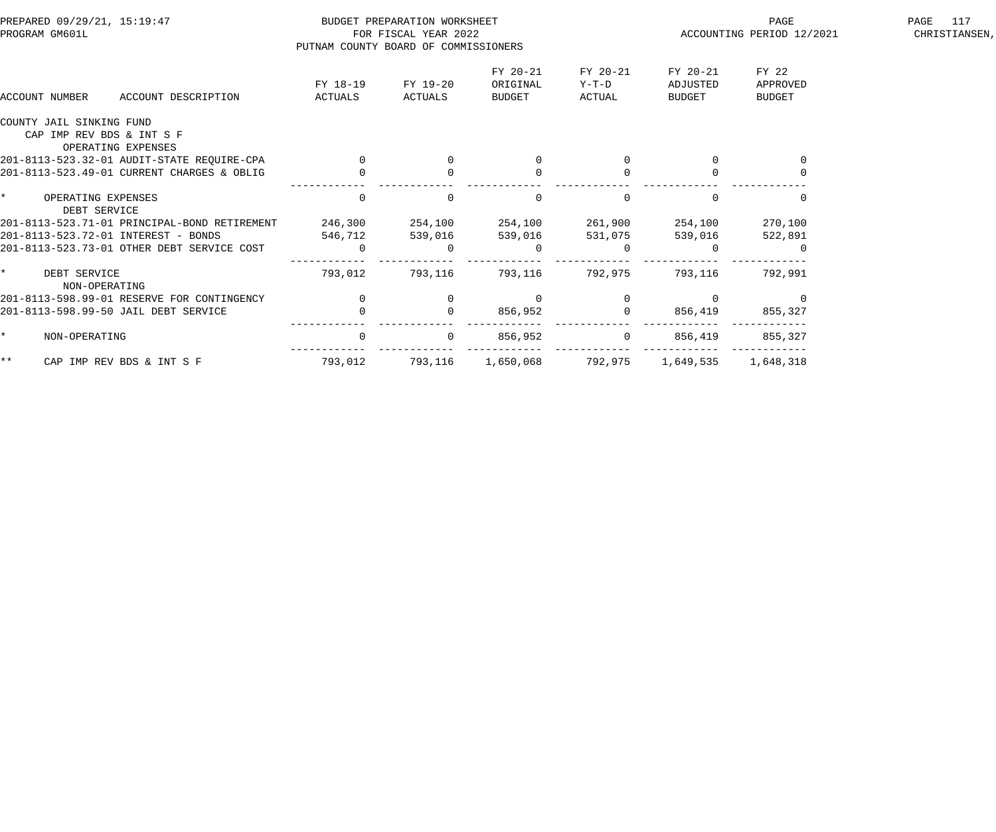| PREPARED 09/29/21, 15:19:47<br>PROGRAM GM601L                               | PUTNAM COUNTY BOARD OF COMMISSIONERS | BUDGET PREPARATION WORKSHEET<br>FOR FISCAL YEAR 2022 |                                |                             | PAGE<br>ACCOUNTING PERIOD 12/2021 | PAGE 117<br>CHRISTIANSEN,          |  |
|-----------------------------------------------------------------------------|--------------------------------------|------------------------------------------------------|--------------------------------|-----------------------------|-----------------------------------|------------------------------------|--|
| ACCOUNT NUMBER<br>ACCOUNT DESCRIPTION                                       | FY 18-19<br>ACTUALS                  | FY 19-20<br>ACTUALS                                  | FY 20-21<br>ORIGINAL<br>BUDGET | FY 20-21<br>Y-T-D<br>ACTUAL | FY 20-21<br>ADJUSTED<br>BUDGET    | FY 22<br>APPROVED<br><b>BUDGET</b> |  |
| COUNTY JAIL SINKING FUND<br>CAP IMP REV BDS & INT S F<br>OPERATING EXPENSES |                                      |                                                      |                                |                             |                                   |                                    |  |
| 201-8113-523.32-01 AUDIT-STATE REQUIRE-CPA                                  | $\overline{0}$                       |                                                      | 0                              |                             |                                   | $\overline{0}$                     |  |
| 201-8113-523.49-01 CURRENT CHARGES & OBLIG                                  |                                      |                                                      | $\Omega$                       |                             |                                   |                                    |  |
| $\star$<br>OPERATING EXPENSES<br>DEBT SERVICE                               | $\mathbf 0$                          |                                                      | $\Omega$                       | $\mathbf 0$                 |                                   |                                    |  |
| 201-8113-523.71-01 PRINCIPAL-BOND RETIREMENT                                | 246,300                              | 254,100                                              | 254,100                        | 261,900                     | 254,100                           | 270,100                            |  |
| 201-8113-523.72-01 INTEREST - BONDS                                         | 546,712                              | 539,016                                              | 539,016                        | 531,075                     | 539,016                           | 522,891                            |  |
| 201-8113-523.73-01 OTHER DEBT SERVICE COST                                  | $\overline{0}$                       | $\Omega$                                             | $\Omega$                       | 0                           |                                   |                                    |  |
| $\star$<br>DEBT SERVICE<br>NON-OPERATING                                    | 793,012                              | 793,116                                              | 793,116                        | 792,975                     | 793,116                           | 792,991                            |  |
| 201-8113-598.99-01 RESERVE FOR CONTINGENCY                                  | $\overline{0}$                       |                                                      | 0                              |                             |                                   | 0                                  |  |
| 201-8113-598.99-50 JAIL DEBT SERVICE                                        |                                      |                                                      | 856,952                        |                             | 856,419                           | 855,327                            |  |
| $\star$<br>NON-OPERATING                                                    | $\overline{0}$                       | $\overline{0}$                                       | 856,952                        | $\mathbf{0}$                | 856,419                           | 855,327                            |  |
| $\star \star$<br>CAP IMP REV BDS & INT S F                                  | 793,012                              | 793,116                                              | 1,650,068                      | 792,975                     | 1,649,535                         | 1,648,318                          |  |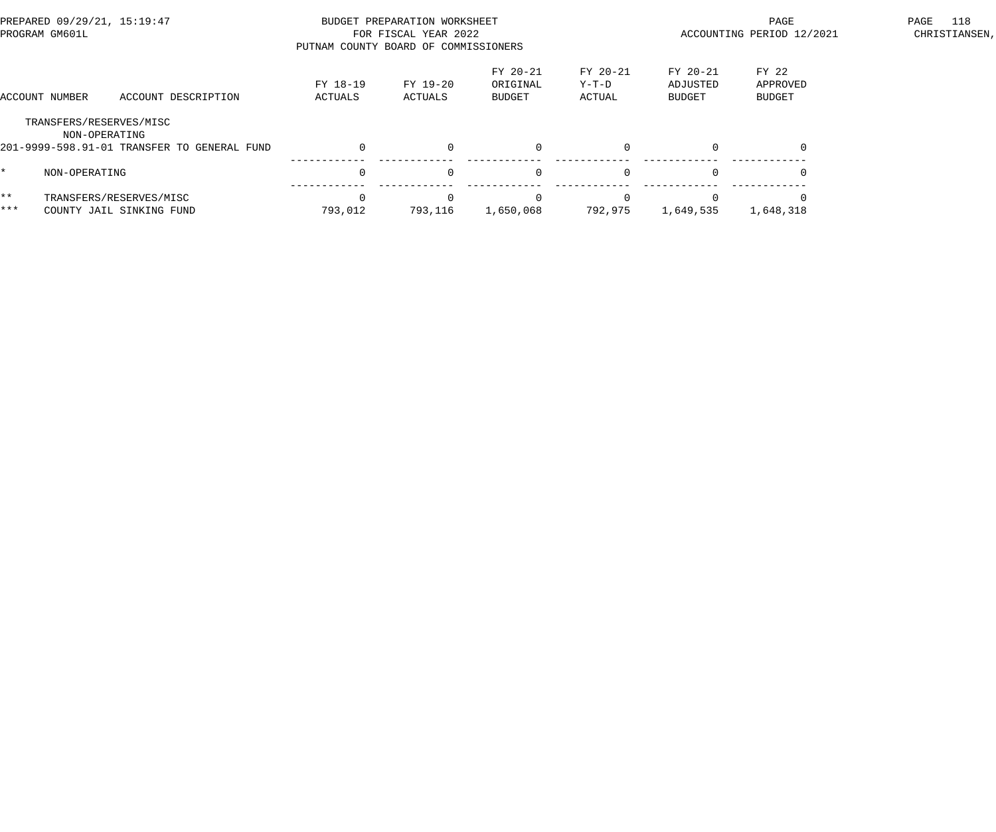| PREPARED 09/29/21, 15:19:47<br>PROGRAM GM601L |                                                     |                                             | PUTNAM COUNTY BOARD OF COMMISSIONERS | BUDGET PREPARATION WORKSHEET<br>FOR FISCAL YEAR 2022 |                                       |                             | PAGE<br>ACCOUNTING PERIOD 12/2021     |                             |  |
|-----------------------------------------------|-----------------------------------------------------|---------------------------------------------|--------------------------------------|------------------------------------------------------|---------------------------------------|-----------------------------|---------------------------------------|-----------------------------|--|
|                                               | ACCOUNT NUMBER                                      | ACCOUNT DESCRIPTION                         | FY 18-19<br>ACTUALS                  | FY 19-20<br>ACTUALS                                  | FY 20-21<br>ORIGINAL<br><b>BUDGET</b> | FY 20-21<br>Y-T-D<br>ACTUAL | FY 20-21<br>ADJUSTED<br><b>BUDGET</b> | FY 22<br>APPROVED<br>BUDGET |  |
|                                               | TRANSFERS/RESERVES/MISC<br>NON-OPERATING            | 201-9999-598.91-01 TRANSFER TO GENERAL FUND |                                      | $\Omega$                                             | $\Omega$                              |                             | $\Omega$                              |                             |  |
| *.                                            | NON-OPERATING                                       |                                             |                                      | $\Omega$                                             | $\Omega$                              |                             | $\Omega$                              |                             |  |
| $***$<br>***                                  | TRANSFERS/RESERVES/MISC<br>COUNTY JAIL SINKING FUND |                                             | 793,012                              | 793,116                                              | 1,650,068                             | 792,975                     | $\Omega$<br>1,649,535                 | 1,648,318                   |  |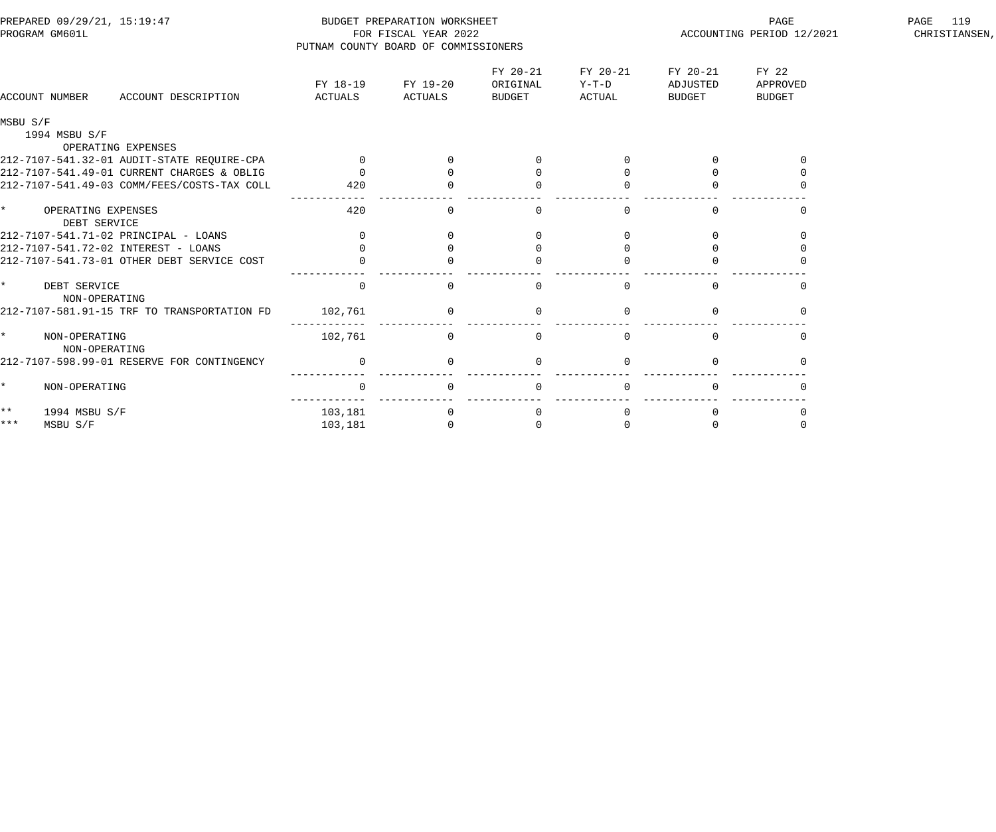| PREPARED 09/29/21, 15:19:47<br>PROGRAM GM601L   |                     | BUDGET PREPARATION WORKSHEET<br>FOR FISCAL YEAR 2022<br>PUTNAM COUNTY BOARD OF COMMISSIONERS |                                |                               | PAGE<br>ACCOUNTING PERIOD 12/2021 | PAGE<br>119<br>CHRISTIANSEN,       |  |
|-------------------------------------------------|---------------------|----------------------------------------------------------------------------------------------|--------------------------------|-------------------------------|-----------------------------------|------------------------------------|--|
| ACCOUNT DESCRIPTION<br>ACCOUNT NUMBER           | FY 18-19<br>ACTUALS | FY 19-20<br>ACTUALS                                                                          | FY 20-21<br>ORIGINAL<br>BUDGET | FY 20-21<br>$Y-T-D$<br>ACTUAL | FY 20-21<br>ADJUSTED<br>BUDGET    | FY 22<br>APPROVED<br><b>BUDGET</b> |  |
| MSBU S/F<br>1994 MSBU S/F<br>OPERATING EXPENSES |                     |                                                                                              |                                |                               |                                   |                                    |  |
| 212-7107-541.32-01 AUDIT-STATE REQUIRE-CPA      | $\overline{0}$      |                                                                                              |                                |                               |                                   |                                    |  |
| 212-7107-541.49-01 CURRENT CHARGES & OBLIG      | $\Omega$            |                                                                                              |                                |                               |                                   |                                    |  |
| 212-7107-541.49-03 COMM/FEES/COSTS-TAX COLL     | 420                 |                                                                                              |                                |                               |                                   |                                    |  |
| $\star$<br>OPERATING EXPENSES<br>DEBT SERVICE   | 420                 | 0                                                                                            | $\mathbf 0$                    | $\mathbf 0$                   | $\Omega$                          | $\Omega$                           |  |
| 212-7107-541.71-02 PRINCIPAL - LOANS            | $\Omega$            |                                                                                              |                                |                               |                                   |                                    |  |
| 212-7107-541.72-02 INTEREST - LOANS             |                     |                                                                                              |                                |                               |                                   |                                    |  |
| 212-7107-541.73-01 OTHER DEBT SERVICE COST      |                     |                                                                                              |                                |                               |                                   |                                    |  |
| $\star$<br>DEBT SERVICE<br>NON-OPERATING        | $\mathbf{0}$        | $\Omega$                                                                                     | $\Omega$                       | $\Omega$                      | $\Omega$                          |                                    |  |
| 212-7107-581.91-15 TRF TO TRANSPORTATION FD     | 102,761             |                                                                                              |                                |                               |                                   |                                    |  |
| $\star$<br>NON-OPERATING<br>NON-OPERATING       | 102,761             | $\mathbf 0$                                                                                  | $\mathbf 0$                    | $\Omega$                      | $\Omega$                          | 0                                  |  |
| 212-7107-598.99-01 RESERVE FOR CONTINGENCY      | $\mathbf{0}$        |                                                                                              | $\mathbf 0$                    |                               |                                   |                                    |  |
| $\star$<br>NON-OPERATING                        | $\overline{0}$      | $\Omega$                                                                                     | $\Omega$                       | $\Omega$                      | $\Omega$                          | $\cap$                             |  |
| $***$<br>1994 MSBU S/F                          | 103,181             |                                                                                              | 0                              |                               |                                   |                                    |  |
| $***$<br>MSBU S/F                               | 103,181             |                                                                                              | $\Omega$                       |                               |                                   |                                    |  |
|                                                 |                     |                                                                                              |                                |                               |                                   |                                    |  |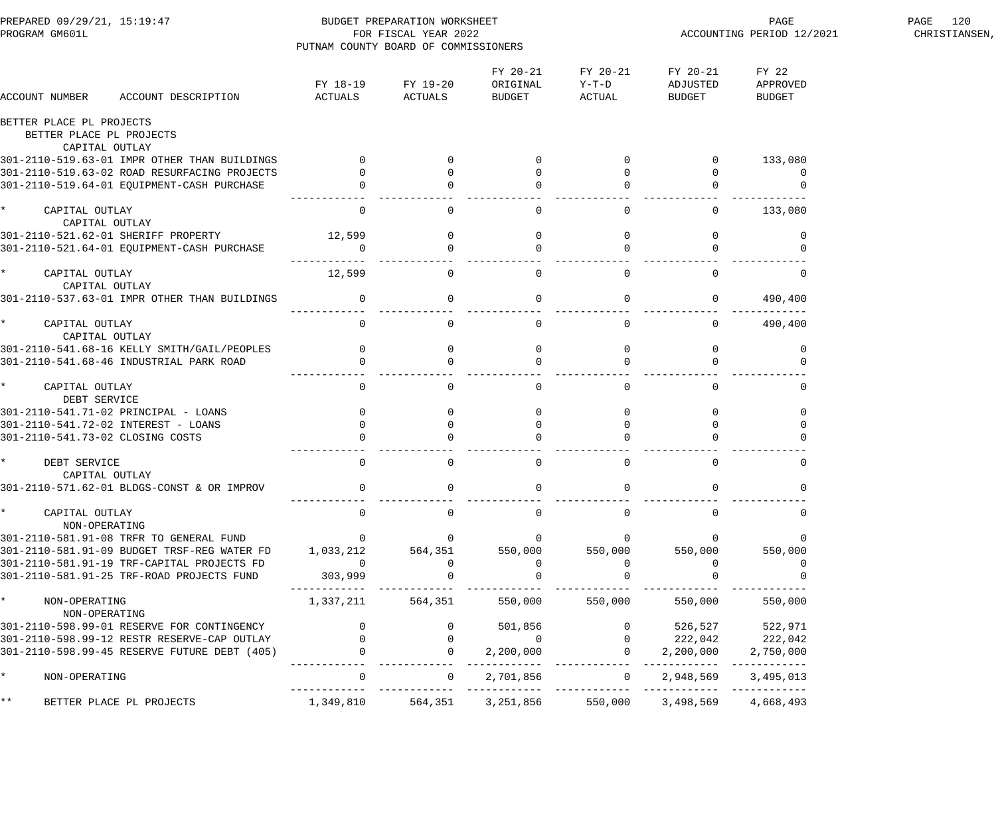| PREPARED 09/29/21, 15:19:47<br>PROGRAM GM601L        | PUTNAM COUNTY BOARD OF COMMISSIONERS  | BUDGET PREPARATION WORKSHEET<br>FOR FISCAL YEAR 2022 |                                |                                       | PAGE<br>ACCOUNTING PERIOD 12/2021 | PAGE 120<br>CHRISTIANSEN,          |  |
|------------------------------------------------------|---------------------------------------|------------------------------------------------------|--------------------------------|---------------------------------------|-----------------------------------|------------------------------------|--|
| ACCOUNT NUMBER<br>ACCOUNT DESCRIPTION                | ACTUALS                               | FY 18-19 FY 19-20<br>ACTUALS                         | FY 20-21<br>ORIGINAL<br>BUDGET | FY 20-21<br>Y-T-D<br>ACTUAL           | FY 20-21<br>ADJUSTED<br>BUDGET    | FY 22<br>APPROVED<br><b>BUDGET</b> |  |
| BETTER PLACE PL PROJECTS<br>BETTER PLACE PL PROJECTS |                                       |                                                      |                                |                                       |                                   |                                    |  |
| CAPITAL OUTLAY                                       |                                       |                                                      |                                |                                       |                                   |                                    |  |
| 301-2110-519.63-01 IMPR OTHER THAN BUILDINGS         | $\overline{0}$                        |                                                      |                                |                                       |                                   | 133,080                            |  |
| 301-2110-519.63-02 ROAD RESURFACING PROJECTS         |                                       |                                                      |                                |                                       | $\overline{0}$                    | 0                                  |  |
| 301-2110-519.64-01 EQUIPMENT-CASH PURCHASE           |                                       |                                                      |                                |                                       |                                   |                                    |  |
| $\star$<br>CAPITAL OUTLAY<br>CAPITAL OUTLAY          | $\mathbf 0$                           | $\mathbf 0$                                          | $\mathbf 0$                    | $\mathsf{O}$                          | $\overline{0}$                    | 133,080                            |  |
| 301-2110-521.62-01 SHERIFF PROPERTY                  | 12,599                                |                                                      | $\mathbf 0$                    |                                       |                                   | 0                                  |  |
| 301-2110-521.64-01 EQUIPMENT-CASH PURCHASE           | $\overline{0}$                        |                                                      |                                |                                       |                                   |                                    |  |
| $\star$<br>CAPITAL OUTLAY<br>CAPITAL OUTLAY          | 12,599                                | $\overline{0}$                                       | $\mathbf 0$                    | $\mathbf 0$                           | $\Omega$                          | 0                                  |  |
| 301-2110-537.63-01 IMPR OTHER THAN BUILDINGS         | $\overline{0}$                        | $\mathsf{O}$                                         | $\mathbf 0$                    | $\mathsf{O}$                          | $\overline{0}$                    | 490,400                            |  |
| $\star$<br>CAPITAL OUTLAY<br>CAPITAL OUTLAY          | $\overline{0}$                        | $\overline{0}$                                       | $\overline{0}$                 | $\overline{0}$                        | $\overline{0}$                    | 490,400                            |  |
| 301-2110-541.68-16 KELLY SMITH/GAIL/PEOPLES          | $\overline{0}$                        | $\overline{0}$                                       | 0                              |                                       |                                   | 0                                  |  |
| 301-2110-541.68-46 INDUSTRIAL PARK ROAD              |                                       |                                                      |                                |                                       |                                   |                                    |  |
| $\star$<br>CAPITAL OUTLAY<br>DEBT SERVICE            | $\overline{0}$                        | $\overline{0}$                                       | $\mathbf{0}$                   | $\mathbf{0}$                          | $\Omega$                          | $\overline{0}$                     |  |
| 301-2110-541.71-02 PRINCIPAL - LOANS                 | $\overline{0}$                        | $\mathbf 0$                                          | $\Omega$                       |                                       | $\Omega$                          | $\Omega$                           |  |
| 301-2110-541.72-02 INTEREST - LOANS                  | $\mathbf{0}$                          | $\mathbf 0$                                          |                                |                                       |                                   |                                    |  |
| 301-2110-541.73-02 CLOSING COSTS                     |                                       |                                                      |                                |                                       |                                   |                                    |  |
| $\star$<br>DEBT SERVICE<br>CAPITAL OUTLAY            | $\mathbf 0$                           | $\overline{0}$                                       | $\mathbf{0}$                   | $\mathbf{0}$                          | $\mathbf 0$                       | 0                                  |  |
| 301-2110-571.62-01 BLDGS-CONST & OR IMPROV           |                                       | $\overline{0}$                                       | $\mathbf 0$                    |                                       |                                   | $\Omega$                           |  |
| * CAPITAL OUTLAY<br>NON-OPERATING                    | $\overline{0}$                        | $\Omega$                                             | $\Omega$                       | $\Omega$                              | $\Omega$                          | $\mathbf 0$                        |  |
| 301-2110-581.91-08 TRFR TO GENERAL FUND              | $\overline{0}$                        | $\overline{0}$                                       | $\overline{0}$                 |                                       | $\overline{0}$                    | $\mathbf 0$                        |  |
| 301-2110-581.91-09 BUDGET TRSF-REG WATER FD          | 1,033,212                             | 564,351                                              | 550,000                        | 550,000                               | 550,000                           | 550,000                            |  |
| 301-2110-581.91-19 TRF-CAPITAL PROJECTS FD           | $\overline{0}$                        | $\Omega$                                             | $\mathbf{0}$                   | $\Omega$                              | $\Omega$                          | $\overline{0}$                     |  |
| 301-2110-581.91-25 TRF-ROAD PROJECTS FUND            | 303,999                               | $\overline{0}$                                       | $\overline{0}$                 | $\Omega$                              |                                   | $\Omega$                           |  |
| * NON-OPERATING<br>NON-OPERATING                     | 1,337,211 564,351                     |                                                      | 550,000                        | 550,000                               | 550,000                           | 550,000                            |  |
| 301-2110-598.99-01 RESERVE FOR CONTINGENCY           | $\overline{0}$                        |                                                      | 501,856                        |                                       | 526,527 522,971                   |                                    |  |
| 301-2110-598.99-12 RESTR RESERVE-CAP OUTLAY          |                                       | $\mathbf{0}$                                         | $\overline{0}$                 |                                       | 222,042                           | 222,042                            |  |
| 301-2110-598.99-45 RESERVE FUTURE DEBT (405)         | $\begin{array}{c} 0 \\ 0 \end{array}$ | $\overline{0}$                                       | 2,200,000                      | $\begin{array}{c} 0 \\ 0 \end{array}$ | 2,200,000                         | 2,750,000                          |  |
| $\star$<br>NON-OPERATING                             | $\mathbf 0$                           | $\overline{0}$                                       | 2,701,856                      | $\overline{0}$                        | 2,948,569                         | 3,495,013                          |  |
| $***$<br>BETTER PLACE PL PROJECTS                    | 1,349,810                             |                                                      | 564,351 3,251,856              | 550,000                               | 3,498,569                         | 4,668,493                          |  |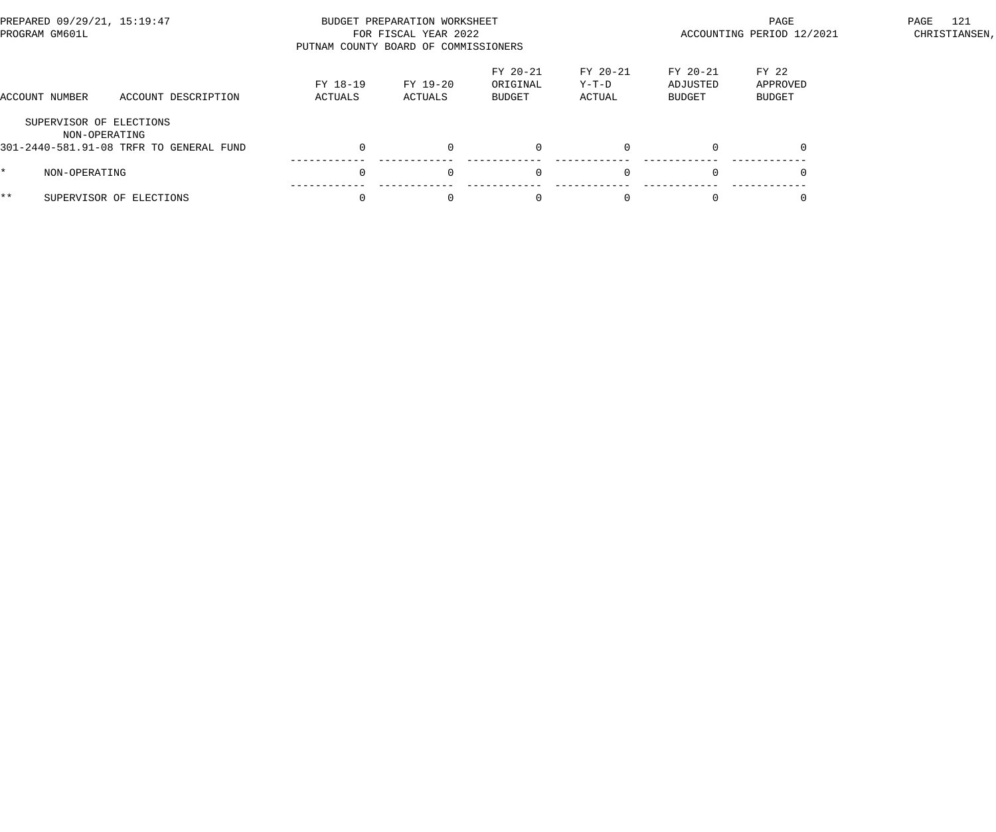| PREPARED 09/29/21, 15:19:47<br>PROGRAM GM601L |                                         | PUTNAM COUNTY BOARD OF COMMISSIONERS | BUDGET PREPARATION WORKSHEET<br>FOR FISCAL YEAR 2022 |                                | ACCOUNTING PERIOD 12/2021   | 121<br>PAGE<br>CHRISTIANSEN,   |                             |  |
|-----------------------------------------------|-----------------------------------------|--------------------------------------|------------------------------------------------------|--------------------------------|-----------------------------|--------------------------------|-----------------------------|--|
| ACCOUNT NUMBER                                | ACCOUNT DESCRIPTION                     | FY 18-19<br>ACTUALS                  | FY 19-20<br>ACTUALS                                  | FY 20-21<br>ORIGINAL<br>BUDGET | FY 20-21<br>Y-T-D<br>ACTUAL | FY 20-21<br>ADJUSTED<br>BUDGET | FY 22<br>APPROVED<br>BUDGET |  |
| SUPERVISOR OF ELECTIONS<br>NON-OPERATING      | 301-2440-581.91-08 TRFR TO GENERAL FUND |                                      | $\Omega$                                             | $\mathbf{0}$                   | $\Omega$                    |                                |                             |  |
| NON-OPERATING                                 |                                         |                                      | $\Omega$                                             | $\Omega$                       | $\Omega$                    |                                |                             |  |
| $***$                                         | SUPERVISOR OF ELECTIONS                 |                                      | $\Omega$                                             | $\Omega$                       |                             |                                |                             |  |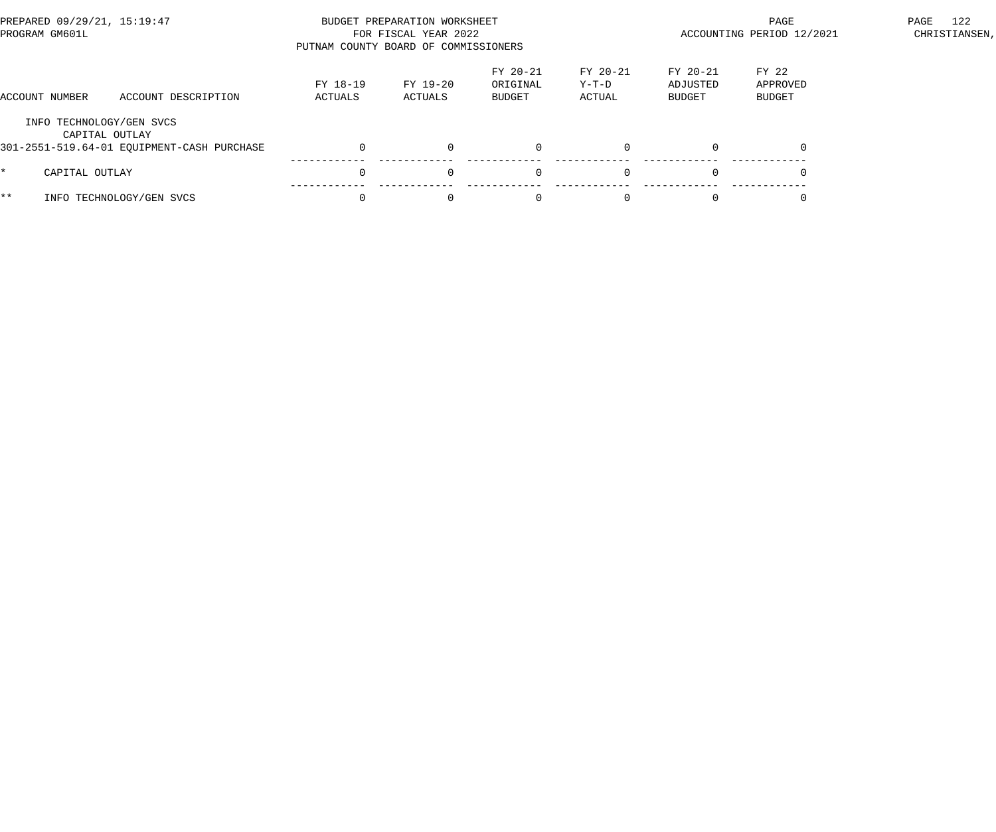| PREPARED 09/29/21, 15:19:47<br>PROGRAM GM601L |                                                              | PUTNAM COUNTY BOARD OF COMMISSIONERS | BUDGET PREPARATION WORKSHEET<br>FOR FISCAL YEAR 2022 |                                |                             | PAGE<br>ACCOUNTING PERIOD 12/2021 | 122<br>PAGE<br>CHRISTIANSEN, |  |
|-----------------------------------------------|--------------------------------------------------------------|--------------------------------------|------------------------------------------------------|--------------------------------|-----------------------------|-----------------------------------|------------------------------|--|
| ACCOUNT NUMBER                                | ACCOUNT DESCRIPTION                                          | FY 18-19<br>ACTUALS                  | FY 19-20<br>ACTUALS                                  | FY 20-21<br>ORIGINAL<br>BUDGET | FY 20-21<br>Y-T-D<br>ACTUAL | $FY 20-21$<br>ADJUSTED<br>BUDGET  | FY 22<br>APPROVED<br>BUDGET  |  |
| INFO TECHNOLOGY/GEN SVCS                      | CAPITAL OUTLAY<br>301-2551-519.64-01 EQUIPMENT-CASH PURCHASE |                                      | $\Omega$                                             | $\mathbf{0}$                   | $\Omega$                    |                                   |                              |  |
| CAPITAL OUTLAY                                |                                                              |                                      | $\Omega$                                             | $\overline{0}$                 | $\Omega$                    |                                   |                              |  |
| $***$                                         | INFO TECHNOLOGY/GEN SVCS                                     |                                      | $\Omega$                                             | $\Omega$                       |                             |                                   |                              |  |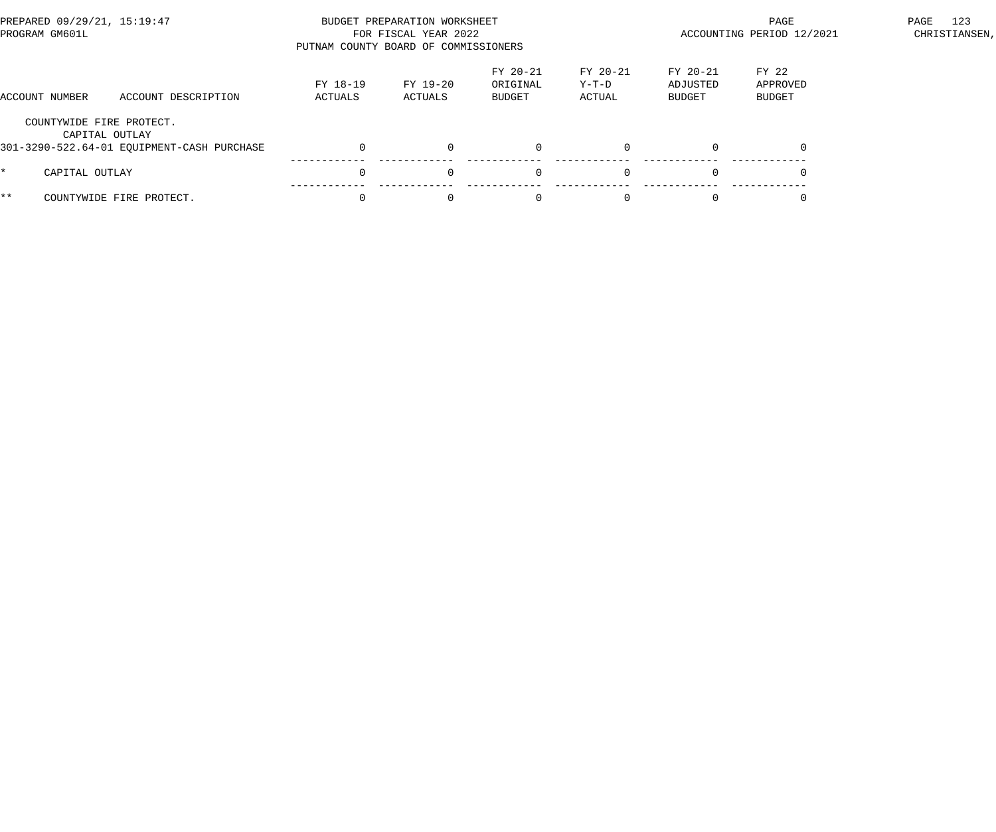| PREPARED 09/29/21, 15:19:47<br>PROGRAM GM601L |                                            | PUTNAM COUNTY BOARD OF COMMISSIONERS | BUDGET PREPARATION WORKSHEET<br>FOR FISCAL YEAR 2022 |                                |                             | PAGE<br>ACCOUNTING PERIOD 12/2021 | 123<br>PAGE<br>CHRISTIANSEN, |  |
|-----------------------------------------------|--------------------------------------------|--------------------------------------|------------------------------------------------------|--------------------------------|-----------------------------|-----------------------------------|------------------------------|--|
| ACCOUNT NUMBER                                | ACCOUNT DESCRIPTION                        | FY 18-19<br>ACTUALS                  | FY 19-20<br>ACTUALS                                  | FY 20-21<br>ORIGINAL<br>BUDGET | FY 20-21<br>Y-T-D<br>ACTUAL | $FY 20-21$<br>ADJUSTED<br>BUDGET  | FY 22<br>APPROVED<br>BUDGET  |  |
| COUNTYWIDE FIRE PROTECT.<br>CAPITAL OUTLAY    | 301-3290-522.64-01 EQUIPMENT-CASH PURCHASE |                                      | $\Omega$                                             | $\mathbf{0}$                   | $\Omega$                    |                                   |                              |  |
| CAPITAL OUTLAY                                |                                            |                                      | $\Omega$                                             | $\mathbf{0}$                   | $\Omega$                    |                                   |                              |  |
| $***$                                         | COUNTYWIDE FIRE PROTECT.                   |                                      | $\Omega$                                             | $\Omega$                       |                             |                                   |                              |  |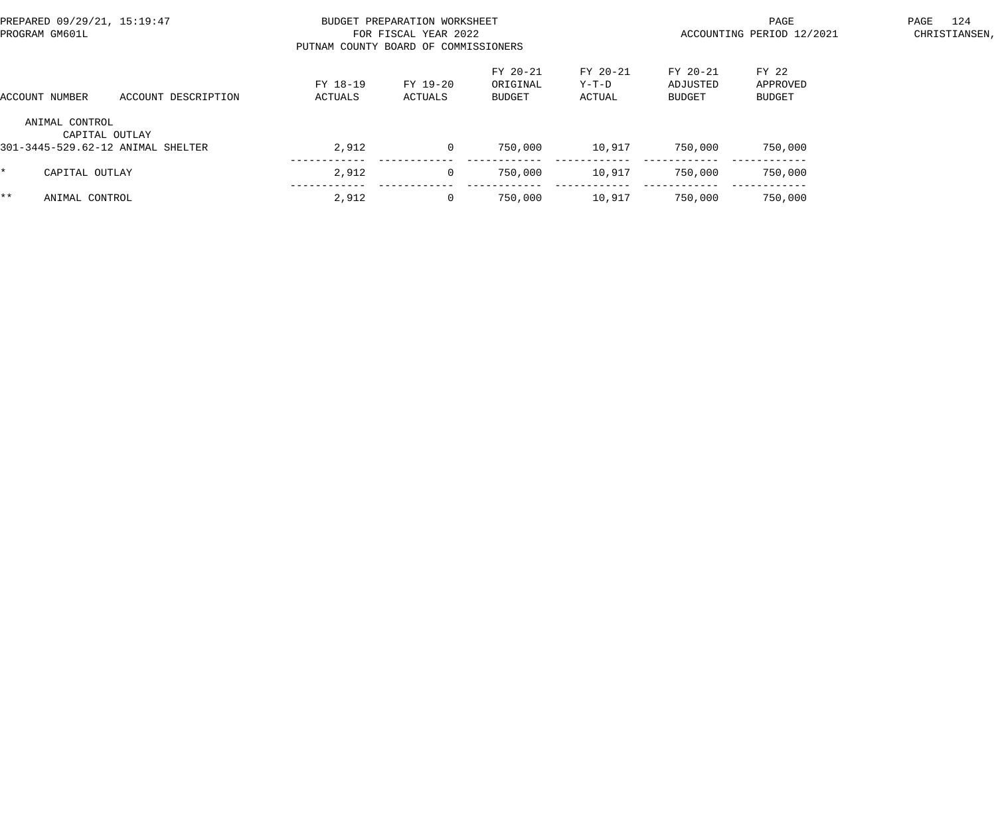| PREPARED 09/29/21, 15:19:47<br>PROGRAM GM601L |                                                     | PUTNAM COUNTY BOARD OF COMMISSIONERS | BUDGET PREPARATION WORKSHEET<br>FOR FISCAL YEAR 2022 |                                |                             | PAGE<br>ACCOUNTING PERIOD 12/2021     | 124<br>PAGE<br>CHRISTIANSEN, |  |
|-----------------------------------------------|-----------------------------------------------------|--------------------------------------|------------------------------------------------------|--------------------------------|-----------------------------|---------------------------------------|------------------------------|--|
| ACCOUNT NUMBER                                | ACCOUNT DESCRIPTION                                 | FY 18-19<br>ACTUALS                  | FY 19-20<br>ACTUALS                                  | FY 20-21<br>ORIGINAL<br>BUDGET | FY 20-21<br>Y-T-D<br>ACTUAL | FY 20-21<br>ADJUSTED<br><b>BUDGET</b> | FY 22<br>APPROVED<br>BUDGET  |  |
| ANIMAL CONTROL                                | CAPITAL OUTLAY<br>301-3445-529.62-12 ANIMAL SHELTER | 2,912                                | $\overline{0}$                                       | 750,000                        | 10,917                      | 750,000                               | 750,000                      |  |
| CAPITAL OUTLAY<br>$\star$                     |                                                     | 2,912                                | $\overline{0}$                                       | 750,000                        | 10,917                      | 750,000                               | 750,000                      |  |
| $***$<br>ANIMAL CONTROL                       |                                                     | 2,912                                | $\mathbf{0}$                                         | 750,000                        | 10,917                      | 750,000                               | 750,000                      |  |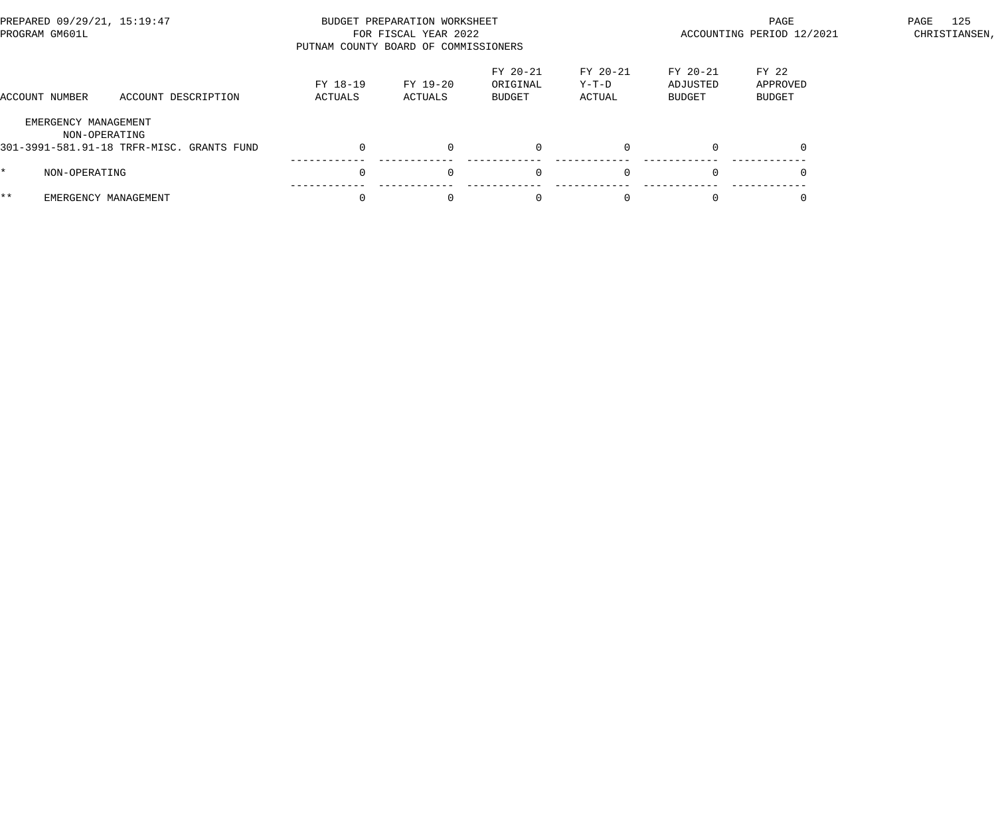| PREPARED 09/29/21, 15:19:47<br>PROGRAM GM601L |                                                            | PUTNAM COUNTY BOARD OF COMMISSIONERS | BUDGET PREPARATION WORKSHEET<br>FOR FISCAL YEAR 2022 |                                |                             | PAGE<br>ACCOUNTING PERIOD 12/2021 | 125<br>PAGE<br>CHRISTIANSEN, |  |
|-----------------------------------------------|------------------------------------------------------------|--------------------------------------|------------------------------------------------------|--------------------------------|-----------------------------|-----------------------------------|------------------------------|--|
| ACCOUNT NUMBER                                | ACCOUNT DESCRIPTION                                        | FY 18-19<br>ACTUALS                  | FY 19-20<br>ACTUALS                                  | FY 20-21<br>ORIGINAL<br>BUDGET | FY 20-21<br>Y-T-D<br>ACTUAL | FY 20-21<br>ADJUSTED<br>BUDGET    | FY 22<br>APPROVED<br>BUDGET  |  |
| EMERGENCY MANAGEMENT                          | NON-OPERATING<br>301-3991-581.91-18 TRFR-MISC. GRANTS FUND |                                      | $\Omega$                                             |                                | $\Omega$                    | $\Omega$                          |                              |  |
| NON-OPERATING                                 |                                                            | $\Omega$                             | $\Omega$                                             | $\Omega$                       | $\Omega$                    | $\Omega$                          |                              |  |
| * *                                           | EMERGENCY MANAGEMENT                                       |                                      | $\Omega$                                             |                                |                             |                                   |                              |  |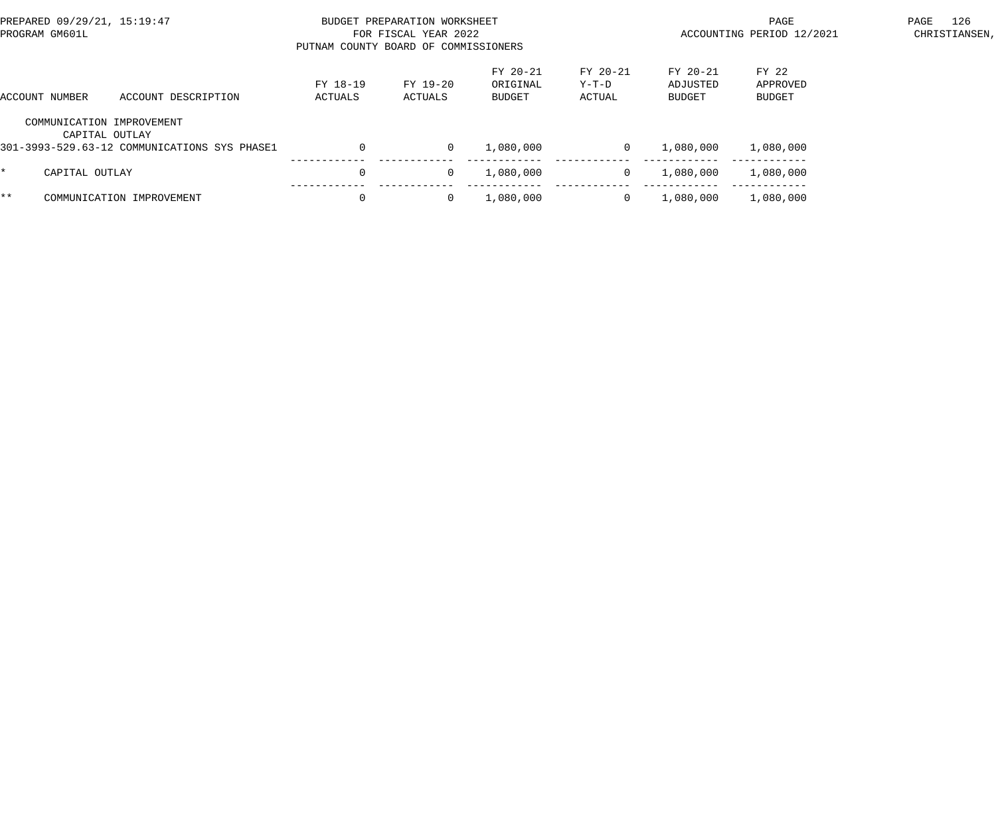| PREPARED 09/29/21, 15:19:47<br>PROGRAM GM601L |                                             |                                              | PUTNAM COUNTY BOARD OF COMMISSIONERS | BUDGET PREPARATION WORKSHEET<br>FOR FISCAL YEAR 2022 |                                |                             | PAGE<br>ACCOUNTING PERIOD 12/2021     | 126<br>PAGE<br>CHRISTIANSEN, |  |  |
|-----------------------------------------------|---------------------------------------------|----------------------------------------------|--------------------------------------|------------------------------------------------------|--------------------------------|-----------------------------|---------------------------------------|------------------------------|--|--|
| ACCOUNT DESCRIPTION<br>ACCOUNT NUMBER         |                                             |                                              | FY 18-19<br>ACTUALS                  | FY 19-20<br>ACTUALS                                  | FY 20-21<br>ORIGINAL<br>BUDGET | FY 20-21<br>Y-T-D<br>ACTUAL | FY 20-21<br>ADJUSTED<br><b>BUDGET</b> | FY 22<br>APPROVED<br>BUDGET  |  |  |
|                                               | COMMUNICATION IMPROVEMENT<br>CAPITAL OUTLAY | 301-3993-529.63-12 COMMUNICATIONS SYS PHASE1 |                                      | $\overline{0}$                                       | 1,080,000                      | 0                           | 1,080,000                             | 1,080,000                    |  |  |
| $\star$                                       | CAPITAL OUTLAY                              |                                              |                                      | $\Omega$                                             | 1,080,000                      | $\Omega$                    | 1,080,000                             | 1,080,000                    |  |  |
| $***$                                         |                                             | COMMUNICATION IMPROVEMENT                    |                                      | $\overline{0}$                                       | 1,080,000                      | $\Omega$                    | 1,080,000                             | 1,080,000                    |  |  |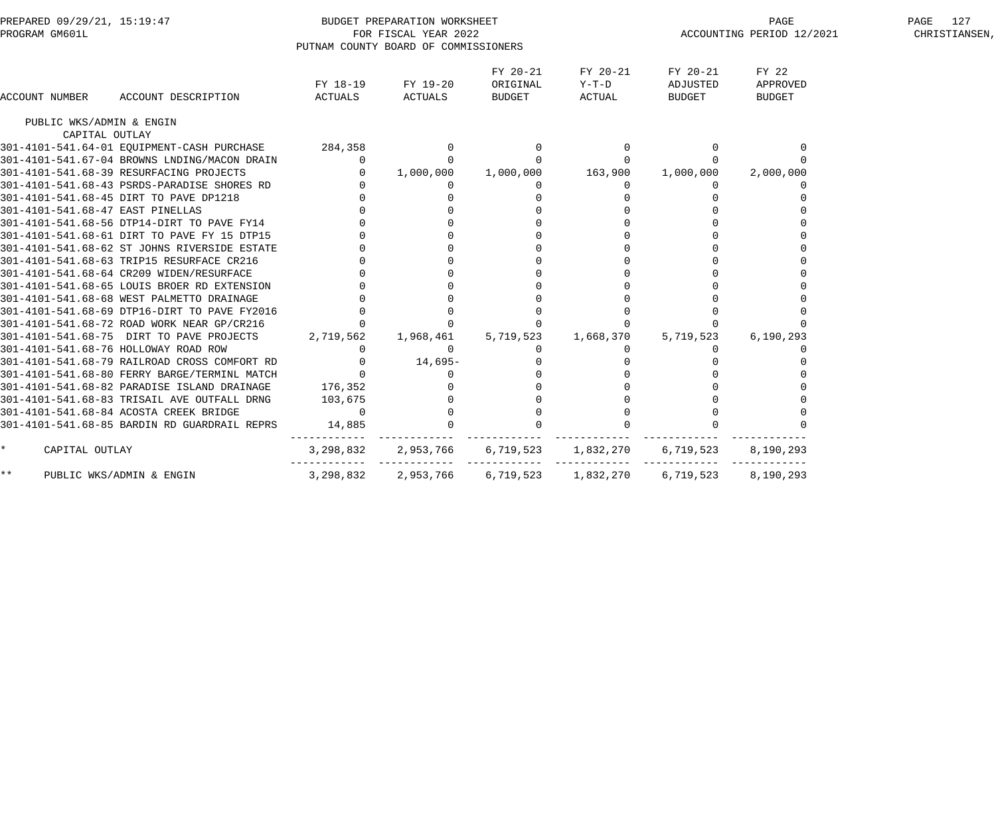| PREPARED 09/29/21, 15:19:47<br>PROGRAM GM601L |                                                    |                | BUDGET PREPARATION WORKSHEET<br>FOR FISCAL YEAR 2022<br>PUTNAM COUNTY BOARD OF COMMISSIONERS |                                |                                                    |                                | PAGE<br>ACCOUNTING PERIOD 12/2021  | 127<br>PAGE<br>CHRISTIANSEN, |
|-----------------------------------------------|----------------------------------------------------|----------------|----------------------------------------------------------------------------------------------|--------------------------------|----------------------------------------------------|--------------------------------|------------------------------------|------------------------------|
| ACCOUNT NUMBER                                | ACCOUNT DESCRIPTION                                | ACTUALS        | FY 18-19 FY 19-20<br>ACTUALS                                                                 | FY 20-21<br>ORIGINAL<br>BUDGET | FY 20-21<br>Y-T-D<br>ACTUAL                        | FY 20-21<br>ADJUSTED<br>BUDGET | FY 22<br>APPROVED<br><b>BUDGET</b> |                              |
| PUBLIC WKS/ADMIN & ENGIN                      |                                                    |                |                                                                                              |                                |                                                    |                                |                                    |                              |
| CAPITAL OUTLAY                                |                                                    |                |                                                                                              |                                |                                                    |                                |                                    |                              |
|                                               | 301-4101-541.64-01 EQUIPMENT-CASH PURCHASE 284,358 |                |                                                                                              |                                |                                                    |                                |                                    |                              |
|                                               | 301-4101-541.67-04 BROWNS LNDING/MACON DRAIN       | $\overline{0}$ |                                                                                              |                                |                                                    |                                |                                    |                              |
|                                               | 301-4101-541.68-39 RESURFACING PROJECTS            | $\overline{0}$ | 1,000,000                                                                                    | 1,000,000 163,900              |                                                    | 1,000,000                      | 2,000,000                          |                              |
|                                               | 301-4101-541.68-43 PSRDS-PARADISE SHORES RD        |                | $\overline{0}$                                                                               | $\overline{0}$                 | $\mathbf{0}$                                       | $\Omega$                       |                                    |                              |
|                                               | 301-4101-541.68-45 DIRT TO PAVE DP1218             |                |                                                                                              |                                |                                                    |                                |                                    |                              |
| 301-4101-541.68-47 EAST PINELLAS              |                                                    |                |                                                                                              |                                |                                                    |                                |                                    |                              |
|                                               | 301-4101-541.68-56 DTP14-DIRT TO PAVE FY14         |                |                                                                                              |                                |                                                    |                                |                                    |                              |
|                                               | 301-4101-541.68-61 DIRT TO PAVE FY 15 DTP15        |                |                                                                                              |                                |                                                    |                                |                                    |                              |
|                                               | 301-4101-541.68-62 ST JOHNS RIVERSIDE ESTATE       |                |                                                                                              |                                |                                                    |                                |                                    |                              |
|                                               | 301-4101-541.68-63 TRIP15 RESURFACE CR216          |                |                                                                                              |                                |                                                    |                                |                                    |                              |
|                                               | 301-4101-541.68-64 CR209 WIDEN/RESURFACE           |                |                                                                                              |                                |                                                    |                                |                                    |                              |
|                                               | 301-4101-541.68-65 LOUIS BROER RD EXTENSION        |                |                                                                                              |                                |                                                    |                                |                                    |                              |
|                                               | 301-4101-541.68-68 WEST PALMETTO DRAINAGE          |                |                                                                                              |                                |                                                    |                                |                                    |                              |
|                                               | 301-4101-541.68-69 DTP16-DIRT TO PAVE FY2016       |                |                                                                                              |                                |                                                    |                                |                                    |                              |
|                                               | 301-4101-541.68-72 ROAD WORK NEAR GP/CR216         |                |                                                                                              |                                |                                                    |                                |                                    |                              |
|                                               | 301-4101-541.68-75 DIRT TO PAVE PROJECTS 2,719,562 |                | 1,968,461                                                                                    | 5,719,523                      | 1,668,370                                          | 5,719,523                      | 6, 190, 293                        |                              |
| 301-4101-541.68-76 HOLLOWAY ROAD ROW          |                                                    | $\overline{0}$ | $\overline{0}$                                                                               | $\overline{0}$                 |                                                    | $\Omega$                       |                                    |                              |
|                                               | 301-4101-541.68-79 RAILROAD CROSS COMFORT RD       | $\overline{0}$ | $14,695-$                                                                                    |                                |                                                    |                                |                                    |                              |
|                                               | 301-4101-541.68-80 FERRY BARGE/TERMINL MATCH       | $\overline{0}$ | 0                                                                                            |                                | $\begin{array}{c} 0 \\ 0 \\ 0 \\ 0 \\ \end{array}$ |                                |                                    |                              |
|                                               | 301-4101-541.68-82 PARADISE ISLAND DRAINAGE        | 176,352        |                                                                                              |                                |                                                    |                                |                                    |                              |
|                                               | 301-4101-541.68-83 TRISAIL AVE OUTFALL DRNG        | 103,675        |                                                                                              |                                |                                                    |                                |                                    |                              |
|                                               | 301-4101-541.68-84 ACOSTA CREEK BRIDGE             | $\overline{0}$ |                                                                                              |                                |                                                    |                                |                                    |                              |
|                                               | 301-4101-541.68-85 BARDIN RD GUARDRAIL REPRS       | 14,885         |                                                                                              |                                |                                                    |                                |                                    |                              |
| $\star$<br>CAPITAL OUTLAY                     |                                                    | 3,298,832      |                                                                                              |                                |                                                    | 6,719,523                      | 8,190,293                          |                              |
| $***$                                         | PUBLIC WKS/ADMIN & ENGIN                           | 3,298,832      | 2,953,766                                                                                    | 6,719,523                      | 1,832,270                                          | 6,719,523                      | 8,190,293                          |                              |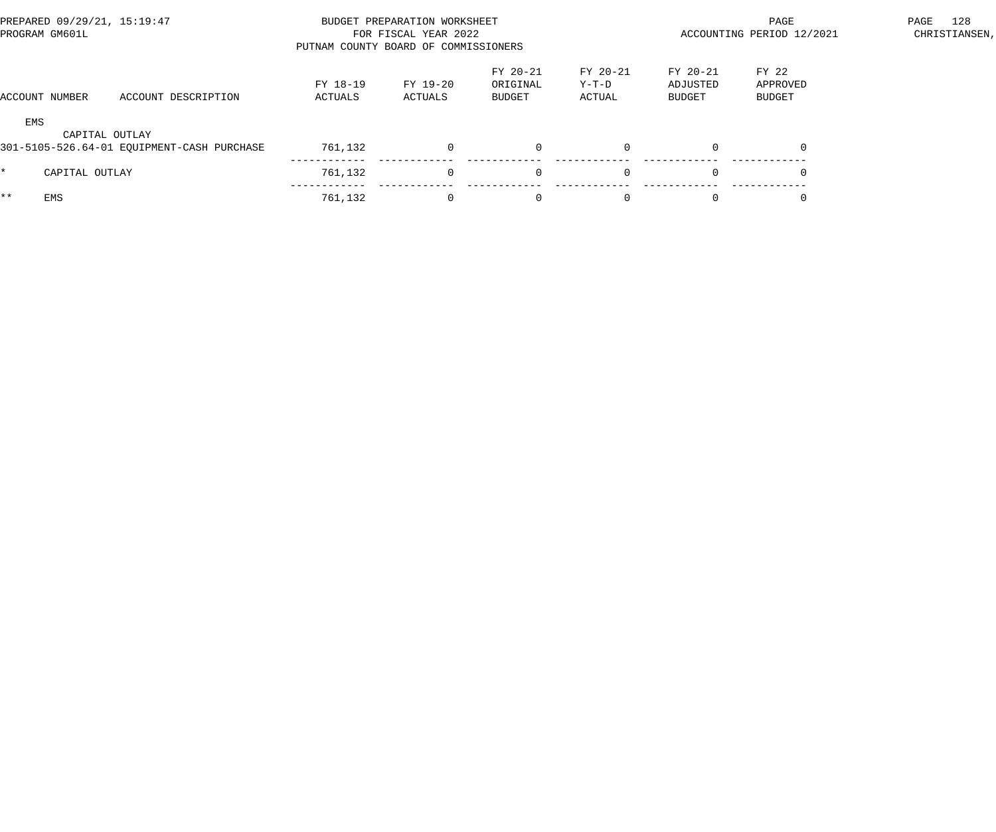| PREPARED 09/29/21, 15:19:47<br>PROGRAM GM601L |                |                                            | PUTNAM COUNTY BOARD OF COMMISSIONERS | BUDGET PREPARATION WORKSHEET<br>FOR FISCAL YEAR 2022 |                                |                             | PAGE<br>ACCOUNTING PERIOD 12/2021     | 128<br>PAGE<br>CHRISTIANSEN, |  |
|-----------------------------------------------|----------------|--------------------------------------------|--------------------------------------|------------------------------------------------------|--------------------------------|-----------------------------|---------------------------------------|------------------------------|--|
|                                               | ACCOUNT NUMBER | ACCOUNT DESCRIPTION                        | FY 18-19<br>ACTUALS                  | FY 19-20<br>ACTUALS                                  | FY 20-21<br>ORIGINAL<br>BUDGET | FY 20-21<br>Y-T-D<br>ACTUAL | FY 20-21<br>ADJUSTED<br><b>BUDGET</b> | FY 22<br>APPROVED<br>BUDGET  |  |
| EMS                                           | CAPITAL OUTLAY | 301-5105-526.64-01 EOUIPMENT-CASH PURCHASE | 761,132                              | $\Omega$                                             | $\overline{0}$                 |                             | $\Omega$                              | $\Omega$                     |  |
| $\star$                                       | CAPITAL OUTLAY |                                            | 761,132                              | $\Omega$                                             | $\mathbf 0$                    |                             | $\Omega$                              |                              |  |
| $***$                                         | EMS            |                                            | 761,132                              | $\Omega$                                             | $\overline{0}$                 |                             | $\Omega$                              |                              |  |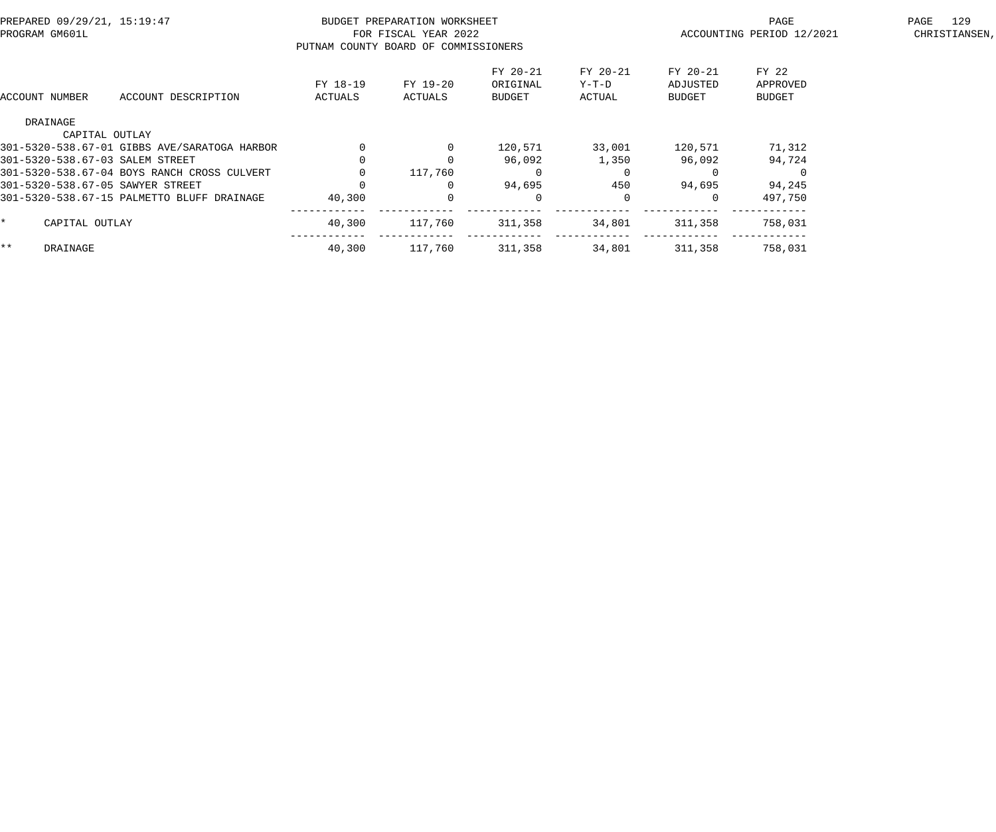| PREPARED 09/29/21, 15:19:47<br>PROGRAM GM601L |                                              | PUTNAM COUNTY BOARD OF COMMISSIONERS | BUDGET PREPARATION WORKSHEET<br>FOR FISCAL YEAR 2022 |                                |                             | PAGE<br>ACCOUNTING PERIOD 12/2021 | 129<br>PAGE<br>CHRISTIANSEN,       |  |
|-----------------------------------------------|----------------------------------------------|--------------------------------------|------------------------------------------------------|--------------------------------|-----------------------------|-----------------------------------|------------------------------------|--|
| ACCOUNT NUMBER                                | ACCOUNT DESCRIPTION                          | FY 18-19<br>ACTUALS                  | FY 19-20<br>ACTUALS                                  | FY 20-21<br>ORIGINAL<br>BUDGET | FY 20-21<br>Y-T-D<br>ACTUAL | FY 20-21<br>ADJUSTED<br>BUDGET    | FY 22<br>APPROVED<br><b>BUDGET</b> |  |
| DRAINAGE                                      |                                              |                                      |                                                      |                                |                             |                                   |                                    |  |
|                                               | CAPITAL OUTLAY                               |                                      |                                                      |                                |                             |                                   |                                    |  |
|                                               | 301-5320-538.67-01 GIBBS AVE/SARATOGA HARBOR |                                      |                                                      | 120,571                        | 33,001                      | 120,571                           | 71,312                             |  |
| 301-5320-538.67-03 SALEM STREET               |                                              |                                      |                                                      | 96,092                         | 1,350                       | 96,092                            | 94,724                             |  |
|                                               | 301-5320-538.67-04 BOYS RANCH CROSS CULVERT  |                                      | 117,760                                              | $\Omega$                       |                             |                                   |                                    |  |
| 301-5320-538.67-05 SAWYER STREET              |                                              |                                      |                                                      | 94,695                         | 450                         | 94,695                            | 94,245                             |  |
|                                               | 301-5320-538.67-15 PALMETTO BLUFF DRAINAGE   | 40,300                               |                                                      | 0                              | $\Omega$                    |                                   | 497,750                            |  |
| CAPITAL OUTLAY                                |                                              | 40,300                               | 117,760                                              | 311,358                        | 34,801                      | 311,358                           | 758,031                            |  |
| $***$<br>DRAINAGE                             |                                              | 40,300                               | 117,760                                              | 311,358                        | 34,801                      | 311,358                           | 758,031                            |  |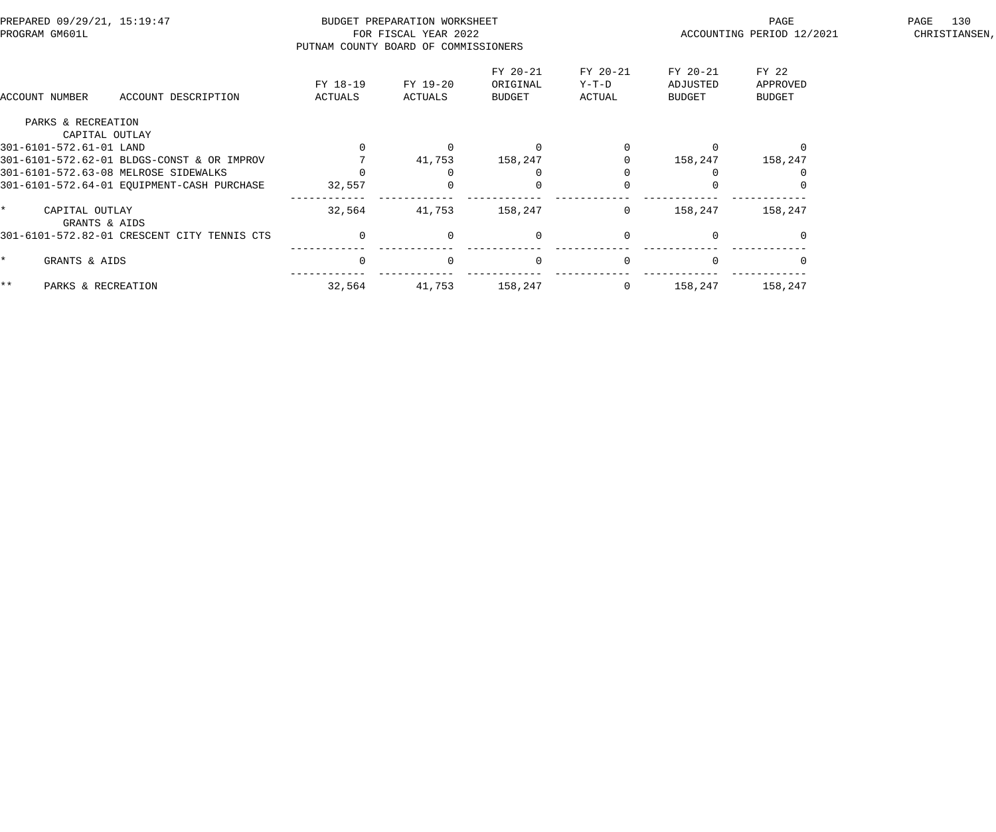| PREPARED 09/29/21, 15:19:47<br>PROGRAM GM601L |                                             | BUDGET PREPARATION WORKSHEET<br>FOR FISCAL YEAR 2022<br>PUTNAM COUNTY BOARD OF COMMISSIONERS |                     |                                       |                               |                                | PAGE<br>ACCOUNTING PERIOD 12/2021  | 130<br>PAGE<br>CHRISTIANSEN, |
|-----------------------------------------------|---------------------------------------------|----------------------------------------------------------------------------------------------|---------------------|---------------------------------------|-------------------------------|--------------------------------|------------------------------------|------------------------------|
| ACCOUNT NUMBER                                | ACCOUNT DESCRIPTION                         | FY 18-19<br>ACTUALS                                                                          | FY 19-20<br>ACTUALS | FY 20-21<br>ORIGINAL<br><b>BUDGET</b> | FY 20-21<br>$Y-T-D$<br>ACTUAL | FY 20-21<br>ADJUSTED<br>BUDGET | FY 22<br>APPROVED<br><b>BUDGET</b> |                              |
|                                               | PARKS & RECREATION                          |                                                                                              |                     |                                       |                               |                                |                                    |                              |
|                                               | CAPITAL OUTLAY                              |                                                                                              |                     |                                       |                               |                                |                                    |                              |
| 301-6101-572.61-01 LAND                       |                                             |                                                                                              |                     |                                       |                               |                                |                                    |                              |
|                                               | 301-6101-572.62-01 BLDGS-CONST & OR IMPROV  |                                                                                              | 41,753              | 158,247                               |                               | 158,247                        | 158,247                            |                              |
|                                               | 301-6101-572.63-08 MELROSE SIDEWALKS        |                                                                                              |                     |                                       |                               |                                |                                    |                              |
|                                               | 301-6101-572.64-01 EQUIPMENT-CASH PURCHASE  | 32,557                                                                                       |                     |                                       |                               |                                |                                    |                              |
|                                               | CAPITAL OUTLAY<br>GRANTS & AIDS             | 32,564                                                                                       | 41,753              | 158,247                               | $\overline{0}$                | 158,247                        | 158,247                            |                              |
|                                               | 301-6101-572.82-01 CRESCENT CITY TENNIS CTS | $\Omega$                                                                                     | $\Omega$            | $\Omega$                              | $\Omega$                      |                                |                                    |                              |
|                                               | GRANTS & AIDS                               | $\Omega$                                                                                     | $\Omega$            | $\Omega$                              | $\Omega$                      |                                |                                    |                              |
| $***$                                         | PARKS & RECREATION                          | 32,564                                                                                       | 41,753              | 158,247                               | $\mathbf{0}$                  | 158,247                        | 158,247                            |                              |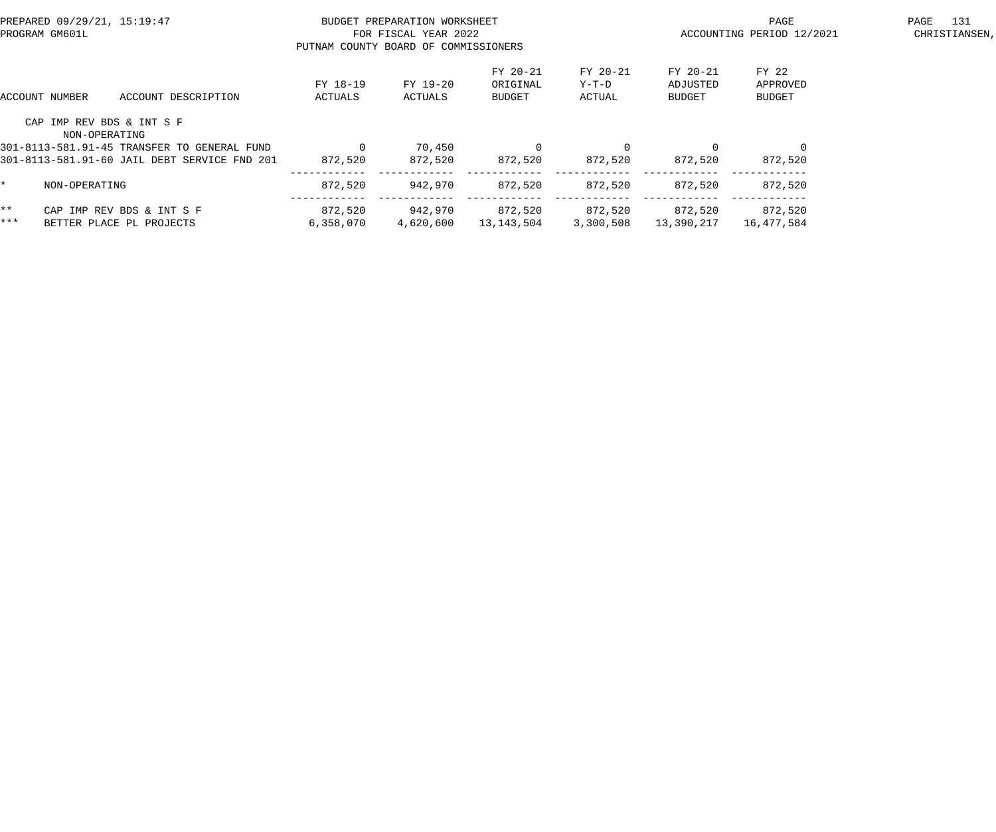| PREPARED 09/29/21, 15:19:47<br>PROGRAM GM601L |                                            |                                              | BUDGET PREPARATION WORKSHEET<br>FOR FISCAL YEAR 2022<br>PUTNAM COUNTY BOARD OF COMMISSIONERS |                     |                                |                             |                                | PAGE<br>ACCOUNTING PERIOD 12/2021  | 131<br>PAGE<br>CHRISTIANSEN, |
|-----------------------------------------------|--------------------------------------------|----------------------------------------------|----------------------------------------------------------------------------------------------|---------------------|--------------------------------|-----------------------------|--------------------------------|------------------------------------|------------------------------|
|                                               | ACCOUNT NUMBER                             | ACCOUNT DESCRIPTION                          | FY 18-19<br>ACTUALS                                                                          | FY 19-20<br>ACTUALS | FY 20-21<br>ORIGINAL<br>BUDGET | FY 20-21<br>Y-T-D<br>ACTUAL | FY 20-21<br>ADJUSTED<br>BUDGET | FY 22<br>APPROVED<br><b>BUDGET</b> |                              |
|                                               | CAP IMP REV BDS & INT S F<br>NON-OPERATING |                                              |                                                                                              |                     |                                |                             |                                |                                    |                              |
|                                               |                                            | 301-8113-581.91-45 TRANSFER TO GENERAL FUND  |                                                                                              | 70,450              | $\Omega$                       |                             | $\Omega$                       |                                    |                              |
|                                               |                                            | 301-8113-581.91-60 JAIL DEBT SERVICE FND 201 | 872,520                                                                                      | 872,520             | 872,520                        | 872,520                     | 872,520                        | 872,520                            |                              |
| $\star$                                       | NON-OPERATING                              |                                              | 872,520                                                                                      | 942,970             | 872,520                        | 872,520                     | 872,520                        | 872,520                            |                              |
| $***$                                         |                                            | CAP IMP REV BDS & INT S F                    | 872,520                                                                                      | 942,970             | 872,520                        | 872,520                     | 872,520                        | 872,520                            |                              |
| ***                                           |                                            | BETTER PLACE PL PROJECTS                     | 6,358,070                                                                                    | 4,620,600           | 13,143,504                     | 3,300,508                   | 13,390,217                     | 16,477,584                         |                              |
|                                               |                                            |                                              |                                                                                              |                     |                                |                             |                                |                                    |                              |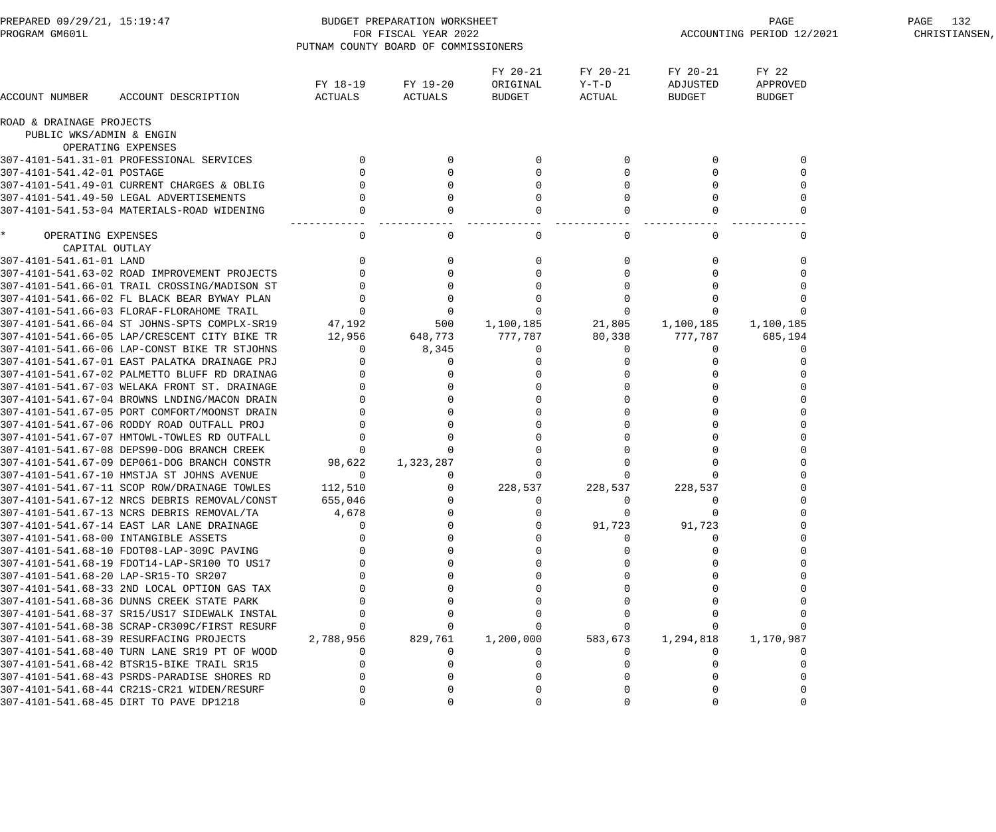| PREPARED 09/29/21, 15:19:47<br>PROGRAM GM601L |                                              |                     | BUDGET PREPARATION WORKSHEET<br>FOR FISCAL YEAR 2022 |                                |                             | PAGE<br>ACCOUNTING PERIOD 12/2021 | PAGE 132<br>CHRISTIANSEN,          |  |
|-----------------------------------------------|----------------------------------------------|---------------------|------------------------------------------------------|--------------------------------|-----------------------------|-----------------------------------|------------------------------------|--|
|                                               |                                              |                     | PUTNAM COUNTY BOARD OF COMMISSIONERS                 |                                |                             |                                   |                                    |  |
| ACCOUNT NUMBER                                | ACCOUNT DESCRIPTION                          | FY 18-19<br>ACTUALS | FY 19-20<br>ACTUALS                                  | FY 20-21<br>ORIGINAL<br>BUDGET | FY 20-21<br>Y-T-D<br>ACTUAL | FY 20-21<br>ADJUSTED<br>BUDGET    | FY 22<br>APPROVED<br><b>BUDGET</b> |  |
| ROAD & DRAINAGE PROJECTS                      |                                              |                     |                                                      |                                |                             |                                   |                                    |  |
| PUBLIC WKS/ADMIN & ENGIN                      |                                              |                     |                                                      |                                |                             |                                   |                                    |  |
|                                               | OPERATING EXPENSES                           |                     |                                                      |                                |                             |                                   |                                    |  |
|                                               | 307-4101-541.31-01 PROFESSIONAL SERVICES     |                     |                                                      |                                |                             |                                   |                                    |  |
| 307-4101-541.42-01 POSTAGE                    |                                              |                     |                                                      |                                |                             |                                   |                                    |  |
|                                               | 307-4101-541.49-01 CURRENT CHARGES & OBLIG   |                     |                                                      |                                |                             |                                   |                                    |  |
|                                               | 307-4101-541.49-50 LEGAL ADVERTISEMENTS      |                     |                                                      |                                |                             |                                   |                                    |  |
|                                               | 307-4101-541.53-04 MATERIALS-ROAD WIDENING   |                     |                                                      |                                |                             |                                   |                                    |  |
| $\star$<br>OPERATING EXPENSES                 |                                              | $\Omega$            | $\Omega$                                             | $\Omega$                       | $\Omega$                    |                                   |                                    |  |
| CAPITAL OUTLAY                                |                                              |                     |                                                      |                                |                             |                                   |                                    |  |
| 307-4101-541.61-01 LAND                       |                                              |                     |                                                      |                                |                             |                                   |                                    |  |
|                                               | 307-4101-541.63-02 ROAD IMPROVEMENT PROJECTS |                     |                                                      |                                |                             |                                   |                                    |  |
|                                               | 307-4101-541.66-01 TRAIL CROSSING/MADISON ST |                     |                                                      |                                |                             |                                   |                                    |  |
|                                               | 307-4101-541.66-02 FL BLACK BEAR BYWAY PLAN  |                     |                                                      |                                |                             |                                   |                                    |  |
|                                               | 307-4101-541.66-03 FLORAF-FLORAHOME TRAIL    | $\Omega$            |                                                      |                                |                             |                                   |                                    |  |
|                                               | 307-4101-541.66-04 ST JOHNS-SPTS COMPLX-SR19 | 47,192              | 500                                                  | 1,100,185                      | 21,805                      | 1,100,185                         | 1,100,185                          |  |
|                                               | 307-4101-541.66-05 LAP/CRESCENT CITY BIKE TR | 12,956              | 648,773                                              | 777,787                        | 80,338                      | 777,787                           | 685,194                            |  |
|                                               | 307-4101-541.66-06 LAP-CONST BIKE TR STJOHNS | $\Omega$            | 8,345                                                | 0                              | $\Omega$                    | $\left($                          |                                    |  |
|                                               | 307-4101-541.67-01 EAST PALATKA DRAINAGE PRJ |                     |                                                      |                                |                             |                                   |                                    |  |
|                                               | 307-4101-541.67-02 PALMETTO BLUFF RD DRAINAG |                     |                                                      |                                |                             |                                   |                                    |  |
|                                               | 307-4101-541.67-03 WELAKA FRONT ST. DRAINAGE |                     |                                                      |                                |                             |                                   |                                    |  |
|                                               | 307-4101-541.67-04 BROWNS LNDING/MACON DRAIN |                     |                                                      |                                |                             |                                   |                                    |  |
|                                               | 307-4101-541.67-05 PORT COMFORT/MOONST DRAIN |                     |                                                      |                                |                             |                                   |                                    |  |
|                                               | 307-4101-541.67-06 RODDY ROAD OUTFALL PROJ   |                     |                                                      |                                |                             |                                   |                                    |  |
|                                               | 307-4101-541.67-07 HMTOWL-TOWLES RD OUTFALL  |                     |                                                      |                                |                             |                                   |                                    |  |
|                                               | 307-4101-541.67-08 DEPS90-DOG BRANCH CREEK   | $\Omega$            |                                                      |                                |                             |                                   |                                    |  |
|                                               | 307-4101-541.67-09 DEP061-DOG BRANCH CONSTR  | 98,622              | 1,323,287                                            |                                |                             |                                   |                                    |  |
|                                               | 307-4101-541.67-10 HMSTJA ST JOHNS AVENUE    | $\Omega$            |                                                      |                                |                             |                                   |                                    |  |
|                                               | 307-4101-541.67-11 SCOP ROW/DRAINAGE TOWLES  | 112,510             | - 0                                                  | 228,537                        | 228,537                     | 228,537                           |                                    |  |
|                                               | 307-4101-541.67-12 NRCS DEBRIS REMOVAL/CONST | 655,046             |                                                      |                                |                             |                                   |                                    |  |
|                                               | 307-4101-541.67-13 NCRS DEBRIS REMOVAL/TA    | 4,678               |                                                      |                                |                             |                                   |                                    |  |
|                                               | 307-4101-541.67-14 EAST LAR LANE DRAINAGE    |                     |                                                      |                                | 91,723                      | 91,723                            |                                    |  |
| 307-4101-541.68-00 INTANGIBLE ASSETS          |                                              |                     |                                                      |                                |                             |                                   |                                    |  |
|                                               | 307-4101-541.68-10 FDOT08-LAP-309C PAVING    |                     |                                                      |                                |                             |                                   |                                    |  |
|                                               | 307-4101-541.68-19 FDOT14-LAP-SR100 TO US17  |                     |                                                      |                                |                             |                                   |                                    |  |
| 307-4101-541.68-20 LAP-SR15-TO SR207          |                                              |                     |                                                      |                                |                             |                                   |                                    |  |
|                                               | 307-4101-541.68-33 2ND LOCAL OPTION GAS TAX  |                     |                                                      |                                |                             |                                   |                                    |  |
|                                               | 307-4101-541.68-36 DUNNS CREEK STATE PARK    |                     |                                                      |                                |                             |                                   |                                    |  |
|                                               | 307-4101-541.68-37 SR15/US17 SIDEWALK INSTAL |                     |                                                      |                                |                             |                                   |                                    |  |
|                                               | 307-4101-541.68-38 SCRAP-CR309C/FIRST RESURF |                     |                                                      |                                |                             |                                   |                                    |  |
|                                               | 307-4101-541.68-39 RESURFACING PROJECTS      | 2,788,956           | 829,761                                              | 1,200,000                      | 583,673                     | 1,294,818                         | 1,170,987                          |  |
|                                               | 307-4101-541.68-40 TURN LANE SR19 PT OF WOOD |                     |                                                      |                                |                             |                                   |                                    |  |
|                                               | 307-4101-541.68-42 BTSR15-BIKE TRAIL SR15    |                     |                                                      |                                |                             |                                   |                                    |  |
|                                               | 307-4101-541.68-43 PSRDS-PARADISE SHORES RD  |                     |                                                      |                                |                             |                                   |                                    |  |
|                                               | 307-4101-541.68-44 CR21S-CR21 WIDEN/RESURF   |                     |                                                      |                                |                             |                                   |                                    |  |
|                                               | 307-4101-541.68-45 DIRT TO PAVE DP1218       |                     |                                                      |                                |                             |                                   |                                    |  |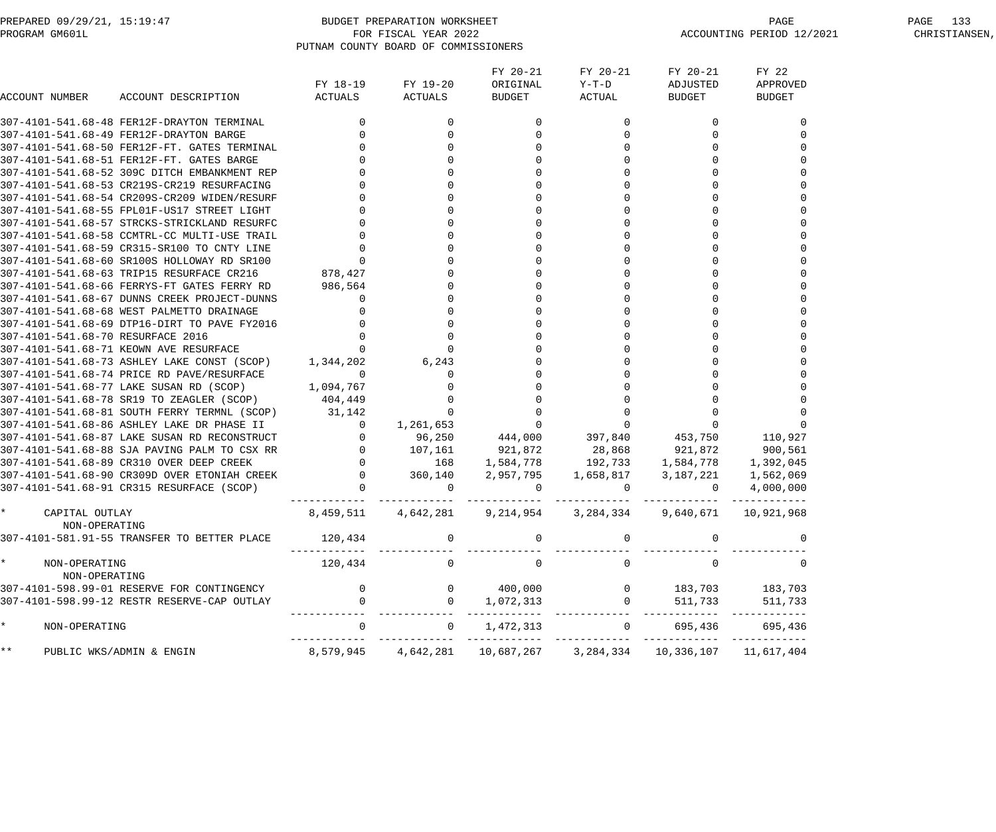| PREPARED 09/29/21, 15:19:47 | BUDGET PREPARATION WORKSHEET         | PAGE                      | PAGE 133      |
|-----------------------------|--------------------------------------|---------------------------|---------------|
| PROGRAM GM601L              | FOR FISCAL YEAR 2022                 | ACCOUNTING PERIOD 12/2021 | CHRISTIANSEN. |
|                             | PUTNAM COUNTY BOARD OF COMMISSIONERS |                           |               |

| ACCOUNT NUMBER                            | ACCOUNT DESCRIPTION                                   | ACTUALS        | FY 18-19 FY 19-20<br><b>ACTUALS</b> | FY 20-21<br>ORIGINAL Y-T-D<br><b>BUDGET</b>                                                                                       | FY 20-21<br>ACTUAL | FY 20-21<br>ADJUSTED<br><b>BUDGET</b> | FY 22<br>APPROVED<br><b>BUDGET</b> |
|-------------------------------------------|-------------------------------------------------------|----------------|-------------------------------------|-----------------------------------------------------------------------------------------------------------------------------------|--------------------|---------------------------------------|------------------------------------|
|                                           | 307-4101-541.68-48 FER12F-DRAYTON TERMINAL            | $\Omega$       | $\Omega$                            | $\Omega$                                                                                                                          | $\Omega$           | $\Omega$                              |                                    |
|                                           | 307-4101-541.68-49 FER12F-DRAYTON BARGE               |                | 0                                   |                                                                                                                                   |                    |                                       |                                    |
|                                           | 307-4101-541.68-50 FER12F-FT. GATES TERMINAL          |                |                                     |                                                                                                                                   |                    |                                       |                                    |
|                                           | 307-4101-541.68-51 FER12F-FT. GATES BARGE             |                |                                     |                                                                                                                                   |                    |                                       |                                    |
|                                           | 307-4101-541.68-52 309C DITCH EMBANKMENT REP          |                |                                     |                                                                                                                                   |                    |                                       |                                    |
|                                           | 307-4101-541.68-53 CR219S-CR219 RESURFACING           |                |                                     |                                                                                                                                   |                    |                                       |                                    |
|                                           | 307-4101-541.68-54 CR209S-CR209 WIDEN/RESURF          |                |                                     |                                                                                                                                   |                    |                                       |                                    |
|                                           | 307-4101-541.68-55 FPL01F-US17 STREET LIGHT           |                |                                     |                                                                                                                                   |                    |                                       |                                    |
|                                           | 307-4101-541.68-57 STRCKS-STRICKLAND RESURFC          |                |                                     |                                                                                                                                   |                    |                                       |                                    |
|                                           | 307-4101-541.68-58 CCMTRL-CC MULTI-USE TRAIL          |                |                                     |                                                                                                                                   |                    |                                       |                                    |
|                                           | 307-4101-541.68-59 CR315-SR100 TO CNTY LINE           |                |                                     |                                                                                                                                   |                    |                                       |                                    |
|                                           | 307-4101-541.68-60 SR100S HOLLOWAY RD SR100           |                |                                     |                                                                                                                                   |                    |                                       |                                    |
|                                           | 307-4101-541.68-63 TRIP15 RESURFACE CR216             | 878,427        |                                     |                                                                                                                                   |                    |                                       |                                    |
|                                           | 307-4101-541.68-66 FERRYS-FT GATES FERRY RD           | 986,564        |                                     |                                                                                                                                   |                    |                                       |                                    |
|                                           | 307-4101-541.68-67 DUNNS CREEK PROJECT-DUNNS          |                |                                     |                                                                                                                                   |                    |                                       |                                    |
|                                           | 307-4101-541.68-68 WEST PALMETTO DRAINAGE             |                |                                     |                                                                                                                                   |                    |                                       |                                    |
|                                           | 307-4101-541.68-69 DTP16-DIRT TO PAVE FY2016          |                |                                     |                                                                                                                                   |                    |                                       |                                    |
| 307-4101-541.68-70 RESURFACE 2016         |                                                       |                |                                     |                                                                                                                                   |                    |                                       |                                    |
|                                           | 307-4101-541.68-71 KEOWN AVE RESURFACE                |                |                                     |                                                                                                                                   |                    |                                       |                                    |
|                                           | 307-4101-541.68-73 ASHLEY LAKE CONST (SCOP) 1,344,202 |                | 6, 243                              |                                                                                                                                   |                    |                                       |                                    |
|                                           | 307-4101-541.68-74 PRICE RD PAVE/RESURFACE            | $\Omega$       |                                     |                                                                                                                                   |                    |                                       |                                    |
|                                           | 307-4101-541.68-77 LAKE SUSAN RD (SCOP) 1,094,767     |                |                                     |                                                                                                                                   |                    |                                       |                                    |
|                                           | 307-4101-541.68-78 SR19 TO ZEAGLER (SCOP) 404,449     |                |                                     |                                                                                                                                   |                    |                                       |                                    |
|                                           | 307-4101-541.68-81 SOUTH FERRY TERMNL (SCOP) 31,142   |                |                                     |                                                                                                                                   |                    |                                       |                                    |
|                                           | 307-4101-541.68-86 ASHLEY LAKE DR PHASE II            | $\overline{0}$ | 1,261,653                           |                                                                                                                                   |                    |                                       |                                    |
|                                           | 307-4101-541.68-87 LAKE SUSAN RD RECONSTRUCT          |                |                                     | 96,250  444,000  397,840  453,750  110,927                                                                                        |                    |                                       |                                    |
|                                           | 307-4101-541.68-88 SJA PAVING PALM TO CSX RR          |                |                                     | 0 107,161 921,872 28,868 921,872 900,561                                                                                          |                    |                                       |                                    |
|                                           | 307-4101-541.68-89 CR310 OVER DEEP CREEK              |                |                                     | 0 168 1,584,778 192,733 1,584,778 1,392,045                                                                                       |                    |                                       |                                    |
|                                           | 307-4101-541.68-90 CR309D OVER ETONIAH CREEK          |                |                                     | $\begin{array}{cccccccc} 0 & 360,140 & 2,957,795 & 1,658,817 & 3,187,221 & 1,562,069 \ 0 & 0 & 0 & 0 & 0 & 4,000,000 \end{array}$ |                    |                                       |                                    |
|                                           | 307-4101-541.68-91 CR315 RESURFACE (SCOP)             |                |                                     |                                                                                                                                   |                    |                                       |                                    |
| CAPITAL OUTLAY<br>NON-OPERATING           |                                                       |                |                                     | 8,459,511 4,642,281 9,214,954 3,284,334 9,640,671 10,921,968                                                                      |                    |                                       |                                    |
|                                           | 307-4101-581.91-55 TRANSFER TO BETTER PLACE           | 120,434        |                                     |                                                                                                                                   |                    |                                       |                                    |
| $\star$<br>NON-OPERATING<br>NON-OPERATING |                                                       | 120,434        | $\mathbf 0$                         | $\overline{0}$                                                                                                                    | $\mathbf 0$        | $\mathbf 0$                           |                                    |
|                                           | 307-4101-598.99-01 RESERVE FOR CONTINGENCY            | $\overline{0}$ | $\overline{0}$                      | 400,000                                                                                                                           | $\overline{0}$     | 183,703 183,703                       |                                    |
|                                           | 307-4101-598.99-12 RESTR RESERVE-CAP OUTLAY           | $\overline{0}$ | $\overline{0}$                      | 1,072,313                                                                                                                         | $\overline{0}$     | 511,733                               | 511,733<br>---- ----------         |
| $\star$<br>NON-OPERATING                  |                                                       | $\mathbf{0}$   | $\overline{0}$                      | 1,472,313                                                                                                                         |                    | 0 695,436 695,436                     |                                    |
| $\star\star$                              | PUBLIC WKS/ADMIN & ENGIN                              |                |                                     | 8,579,945 4,642,281 10,687,267 3,284,334 10,336,107 11,617,404                                                                    |                    |                                       |                                    |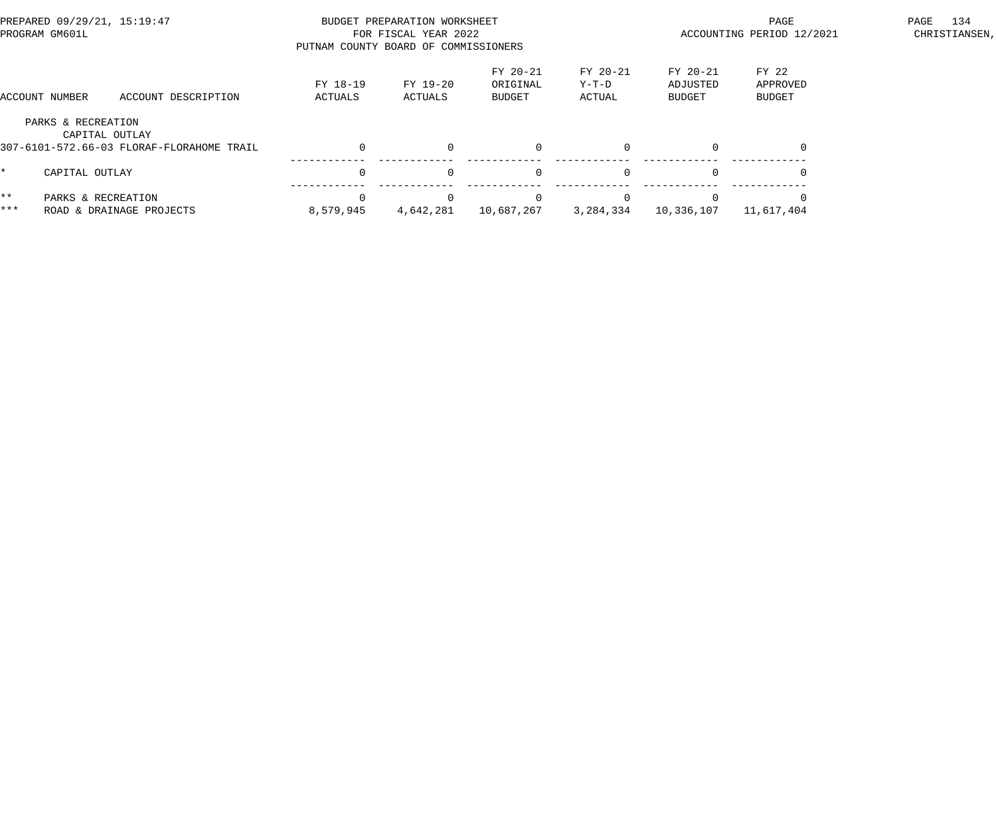|                     | PREPARED 09/29/21, 15:19:47<br>PROGRAM GM601L                                     | PUTNAM COUNTY BOARD OF COMMISSIONERS | BUDGET PREPARATION WORKSHEET<br>FOR FISCAL YEAR 2022 |                                       |                               | PAGE<br>ACCOUNTING PERIOD 12/2021     | 134<br>PAGE<br>CHRISTIANSEN, |  |
|---------------------|-----------------------------------------------------------------------------------|--------------------------------------|------------------------------------------------------|---------------------------------------|-------------------------------|---------------------------------------|------------------------------|--|
|                     | ACCOUNT DESCRIPTION<br>ACCOUNT NUMBER                                             | FY 18-19<br>ACTUALS                  | FY 19-20<br>ACTUALS                                  | FY 20-21<br>ORIGINAL<br><b>BUDGET</b> | FY 20-21<br>$Y-T-D$<br>ACTUAL | FY 20-21<br>ADJUSTED<br><b>BUDGET</b> | FY 22<br>APPROVED<br>BUDGET  |  |
|                     | PARKS & RECREATION<br>CAPITAL OUTLAY<br>307-6101-572.66-03 FLORAF-FLORAHOME TRAIL |                                      | $\Omega$                                             |                                       | $\Omega$                      |                                       |                              |  |
|                     | CAPITAL OUTLAY                                                                    | $\Omega$                             | $\Omega$                                             | $\Omega$                              | $\Omega$                      | $\Omega$                              |                              |  |
| $\star\star$<br>*** | PARKS & RECREATION<br>ROAD & DRAINAGE PROJECTS                                    | 8,579,945                            | 4,642,281                                            | 10,687,267                            | 3,284,334                     | 10,336,107                            | 11,617,404                   |  |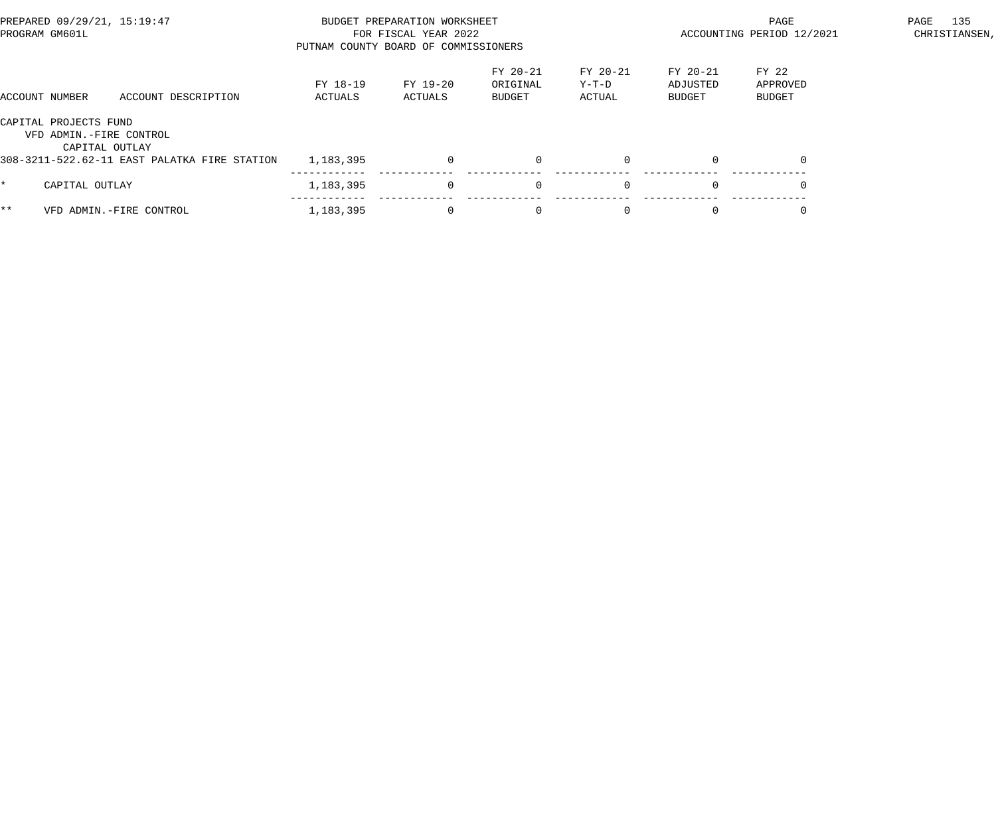| PREPARED 09/29/21, 15:19:47<br>PROGRAM GM601L |                                                                    |                                              | BUDGET PREPARATION WORKSHEET<br>FOR FISCAL YEAR 2022<br>PUTNAM COUNTY BOARD OF COMMISSIONERS |                     |                                |                             |                                | PAGE<br>ACCOUNTING PERIOD 12/2021  | 135<br>PAGE<br>CHRISTIANSEN, |  |
|-----------------------------------------------|--------------------------------------------------------------------|----------------------------------------------|----------------------------------------------------------------------------------------------|---------------------|--------------------------------|-----------------------------|--------------------------------|------------------------------------|------------------------------|--|
|                                               | ACCOUNT NUMBER                                                     | ACCOUNT DESCRIPTION                          | FY 18-19<br>ACTUALS                                                                          | FY 19-20<br>ACTUALS | FY 20-21<br>ORIGINAL<br>BUDGET | FY 20-21<br>Y-T-D<br>ACTUAL | FY 20-21<br>ADJUSTED<br>BUDGET | FY 22<br>APPROVED<br><b>BUDGET</b> |                              |  |
|                                               | CAPITAL PROJECTS FUND<br>VFD ADMIN.-FIRE CONTROL<br>CAPITAL OUTLAY | 308-3211-522.62-11 EAST PALATKA FIRE STATION | 1,183,395                                                                                    | $\Omega$            | $\overline{0}$                 |                             | $\Omega$                       |                                    |                              |  |
| $\star$                                       | CAPITAL OUTLAY                                                     |                                              | 1,183,395                                                                                    | $\Omega$            | $\overline{0}$                 | $\Omega$                    | $\Omega$                       | $\Omega$                           |                              |  |
| $***$                                         |                                                                    | VFD ADMIN.-FIRE CONTROL                      | 1,183,395                                                                                    | $\mathbf{0}$        | $\overline{0}$                 |                             | $\mathbf 0$                    |                                    |                              |  |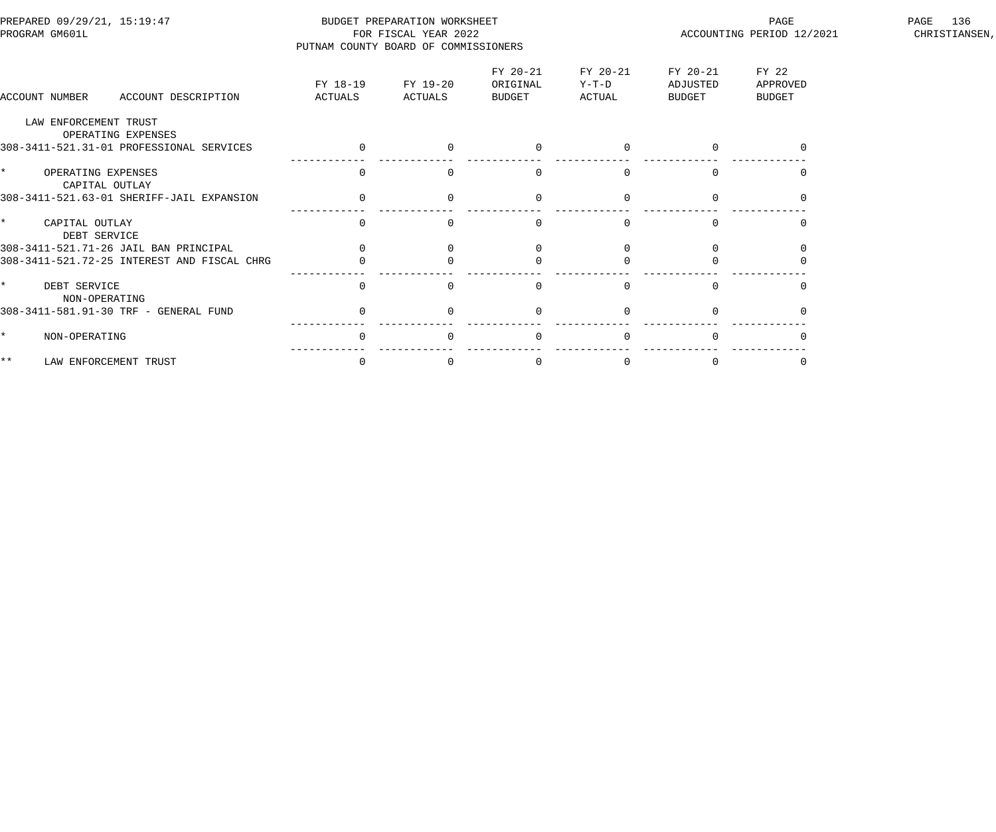| PREPARED 09/29/21, 15:19:47<br>PROGRAM GM601L   | PUTNAM COUNTY BOARD OF COMMISSIONERS | BUDGET PREPARATION WORKSHEET<br>FOR FISCAL YEAR 2022 |                                |                               |                                | PAGE<br>ACCOUNTING PERIOD 12/2021  | 136<br>PAGE<br>CHRISTIANSEN, |
|-------------------------------------------------|--------------------------------------|------------------------------------------------------|--------------------------------|-------------------------------|--------------------------------|------------------------------------|------------------------------|
| ACCOUNT NUMBER<br>ACCOUNT DESCRIPTION           | FY 18-19<br>ACTUALS                  | FY 19-20<br>ACTUALS                                  | FY 20-21<br>ORIGINAL<br>BUDGET | FY 20-21<br>$Y-T-D$<br>ACTUAL | FY 20-21<br>ADJUSTED<br>BUDGET | FY 22<br>APPROVED<br><b>BUDGET</b> |                              |
| LAW ENFORCEMENT TRUST<br>OPERATING EXPENSES     |                                      |                                                      |                                |                               |                                |                                    |                              |
| 308-3411-521.31-01 PROFESSIONAL SERVICES        | $\overline{0}$                       |                                                      | $\Omega$                       |                               |                                |                                    |                              |
| $\star$<br>OPERATING EXPENSES<br>CAPITAL OUTLAY | $\Omega$                             |                                                      | $\Omega$                       |                               | $\Omega$                       | $\Omega$                           |                              |
| 308-3411-521.63-01 SHERIFF-JAIL EXPANSION       |                                      |                                                      |                                |                               |                                |                                    |                              |
| $\star$<br>CAPITAL OUTLAY<br>DEBT SERVICE       |                                      |                                                      |                                |                               |                                |                                    |                              |
| 308-3411-521.71-26 JAIL BAN PRINCIPAL           |                                      |                                                      |                                |                               |                                |                                    |                              |
| 308-3411-521.72-25 INTEREST AND FISCAL CHRG     |                                      |                                                      |                                |                               |                                |                                    |                              |
| $\star$<br>DEBT SERVICE<br>NON-OPERATING        | $\Omega$                             |                                                      | $\Omega$                       |                               | $\Omega$                       |                                    |                              |
| 308-3411-581.91-30 TRF - GENERAL FUND           |                                      |                                                      |                                |                               |                                |                                    |                              |
| NON-OPERATING<br>$\mathbf{r}$                   |                                      |                                                      | $\Omega$                       |                               |                                |                                    |                              |
| $\star \star$<br>LAW ENFORCEMENT TRUST          | $\Omega$                             |                                                      | $\Omega$                       |                               | $\Omega$                       |                                    |                              |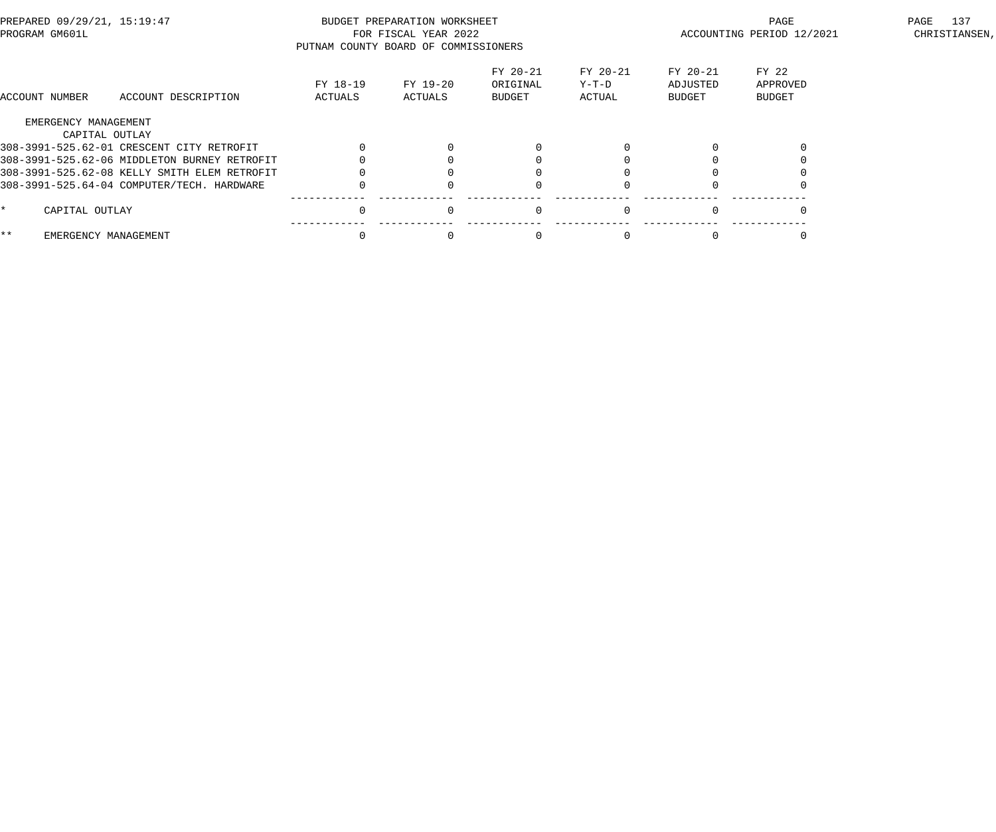| PREPARED 09/29/21, 15:19:47<br>PROGRAM GM601L |                      | PUTNAM COUNTY BOARD OF COMMISSIONERS         | BUDGET PREPARATION WORKSHEET<br>FOR FISCAL YEAR 2022 |                     |                                | PAGE<br>ACCOUNTING PERIOD 12/2021 | 137<br>PAGE<br>CHRISTIANSEN,   |                                    |  |
|-----------------------------------------------|----------------------|----------------------------------------------|------------------------------------------------------|---------------------|--------------------------------|-----------------------------------|--------------------------------|------------------------------------|--|
|                                               | ACCOUNT NUMBER       | ACCOUNT DESCRIPTION                          | FY 18-19<br>ACTUALS                                  | FY 19-20<br>ACTUALS | FY 20-21<br>ORIGINAL<br>BUDGET | FY 20-21<br>Y-T-D<br>ACTUAL       | FY 20-21<br>ADJUSTED<br>BUDGET | FY 22<br>APPROVED<br><b>BUDGET</b> |  |
|                                               | EMERGENCY MANAGEMENT |                                              |                                                      |                     |                                |                                   |                                |                                    |  |
|                                               | CAPITAL OUTLAY       |                                              |                                                      |                     |                                |                                   |                                |                                    |  |
|                                               |                      | 308-3991-525.62-01 CRESCENT CITY RETROFIT    |                                                      |                     |                                |                                   |                                |                                    |  |
|                                               |                      | 308-3991-525.62-06 MIDDLETON BURNEY RETROFIT |                                                      |                     |                                |                                   |                                |                                    |  |
|                                               |                      | 308-3991-525.62-08 KELLY SMITH ELEM RETROFIT |                                                      |                     |                                |                                   |                                |                                    |  |
|                                               |                      | 308-3991-525.64-04 COMPUTER/TECH. HARDWARE   |                                                      |                     |                                |                                   |                                |                                    |  |
| *.                                            | CAPITAL OUTLAY       |                                              |                                                      | $\Omega$            |                                |                                   |                                |                                    |  |
| $***$                                         | EMERGENCY MANAGEMENT |                                              |                                                      |                     |                                |                                   |                                |                                    |  |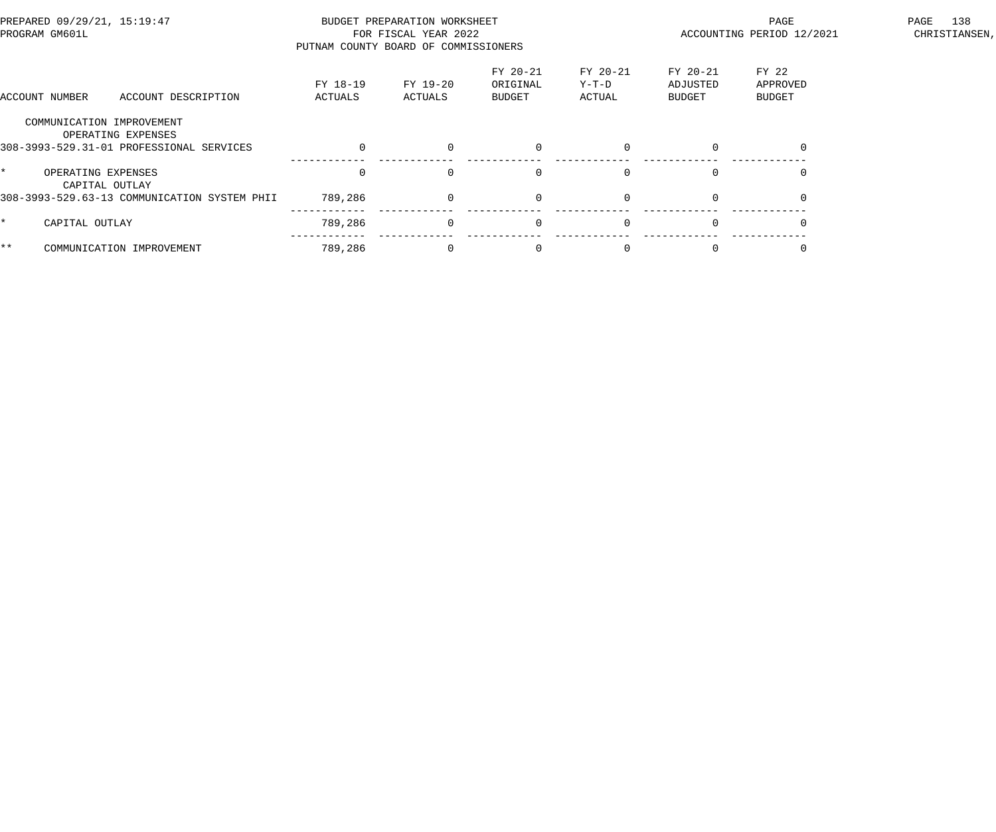| PREPARED 09/29/21, 15:19:47<br>PROGRAM GM601L                                               |                     | BUDGET PREPARATION WORKSHEET<br>FOR FISCAL YEAR 2022<br>PUTNAM COUNTY BOARD OF COMMISSIONERS |                                |                             | PAGE<br>ACCOUNTING PERIOD 12/2021 | 138<br>PAGE<br>CHRISTIANSEN, |  |
|---------------------------------------------------------------------------------------------|---------------------|----------------------------------------------------------------------------------------------|--------------------------------|-----------------------------|-----------------------------------|------------------------------|--|
| ACCOUNT NUMBER<br>ACCOUNT DESCRIPTION                                                       | FY 18-19<br>ACTUALS | FY 19-20<br>ACTUALS                                                                          | FY 20-21<br>ORIGINAL<br>BUDGET | FY 20-21<br>Y-T-D<br>ACTUAL | FY 20-21<br>ADJUSTED<br>BUDGET    | FY 22<br>APPROVED<br>BUDGET  |  |
| COMMUNICATION IMPROVEMENT<br>OPERATING EXPENSES<br>308-3993-529.31-01 PROFESSIONAL SERVICES |                     | $\Omega$                                                                                     | $\Omega$                       | $\Omega$                    | $\Omega$                          | $\Omega$                     |  |
| $\star$<br>OPERATING EXPENSES<br>CAPITAL OUTLAY                                             |                     | $\Omega$                                                                                     | $\Omega$                       | $\Omega$                    | $\Omega$                          |                              |  |
| 308-3993-529.63-13 COMMUNICATION SYSTEM PHII<br>$\star$<br>CAPITAL OUTLAY                   | 789,286<br>789,286  | $\overline{0}$<br>$\overline{0}$                                                             | $\overline{0}$<br>$\mathbf 0$  | $\Omega$<br>$\Omega$        | $\overline{0}$<br>$\Omega$        |                              |  |
| $***$<br>COMMUNICATION IMPROVEMENT                                                          | 789,286             | $\Omega$                                                                                     | - 0                            |                             | $\Omega$                          |                              |  |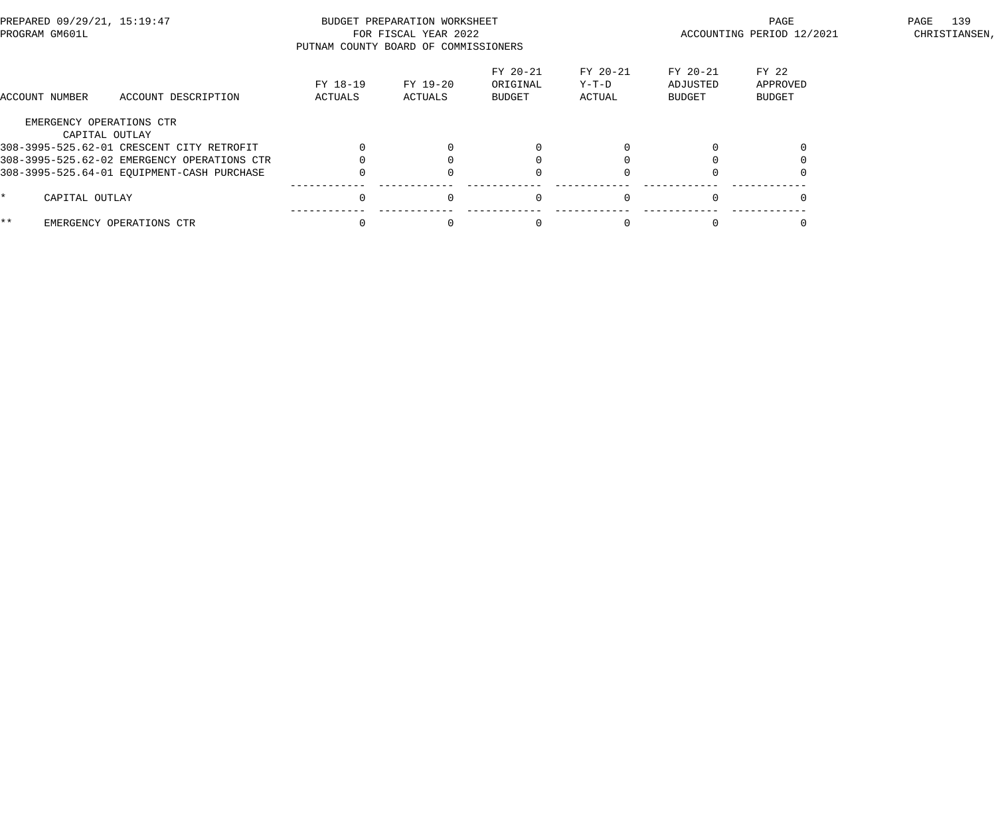| PREPARED 09/29/21, 15:19:47<br>PROGRAM GM601L |                                             | BUDGET PREPARATION WORKSHEET<br>FOR FISCAL YEAR 2022<br>PUTNAM COUNTY BOARD OF COMMISSIONERS |                     |                                       |                             |                                | PAGE<br>ACCOUNTING PERIOD 12/2021  |  |  |
|-----------------------------------------------|---------------------------------------------|----------------------------------------------------------------------------------------------|---------------------|---------------------------------------|-----------------------------|--------------------------------|------------------------------------|--|--|
| ACCOUNT NUMBER                                | ACCOUNT DESCRIPTION                         | FY 18-19<br>ACTUALS                                                                          | FY 19-20<br>ACTUALS | FY 20-21<br>ORIGINAL<br><b>BUDGET</b> | FY 20-21<br>Y-T-D<br>ACTUAL | FY 20-21<br>ADJUSTED<br>BUDGET | FY 22<br>APPROVED<br><b>BUDGET</b> |  |  |
|                                               | EMERGENCY OPERATIONS CTR                    |                                                                                              |                     |                                       |                             |                                |                                    |  |  |
|                                               | CAPITAL OUTLAY                              |                                                                                              |                     |                                       |                             |                                |                                    |  |  |
|                                               | 308-3995-525.62-01 CRESCENT CITY RETROFIT   |                                                                                              |                     |                                       |                             |                                |                                    |  |  |
|                                               | 308-3995-525.62-02 EMERGENCY OPERATIONS CTR |                                                                                              |                     |                                       |                             |                                |                                    |  |  |
|                                               | 308-3995-525.64-01 EQUIPMENT-CASH PURCHASE  |                                                                                              |                     |                                       |                             |                                |                                    |  |  |
| CAPITAL OUTLAY                                |                                             |                                                                                              | $\Omega$            | $\Omega$                              | $\Omega$                    |                                |                                    |  |  |
| * *                                           | EMERGENCY OPERATIONS CTR                    |                                                                                              |                     |                                       |                             |                                |                                    |  |  |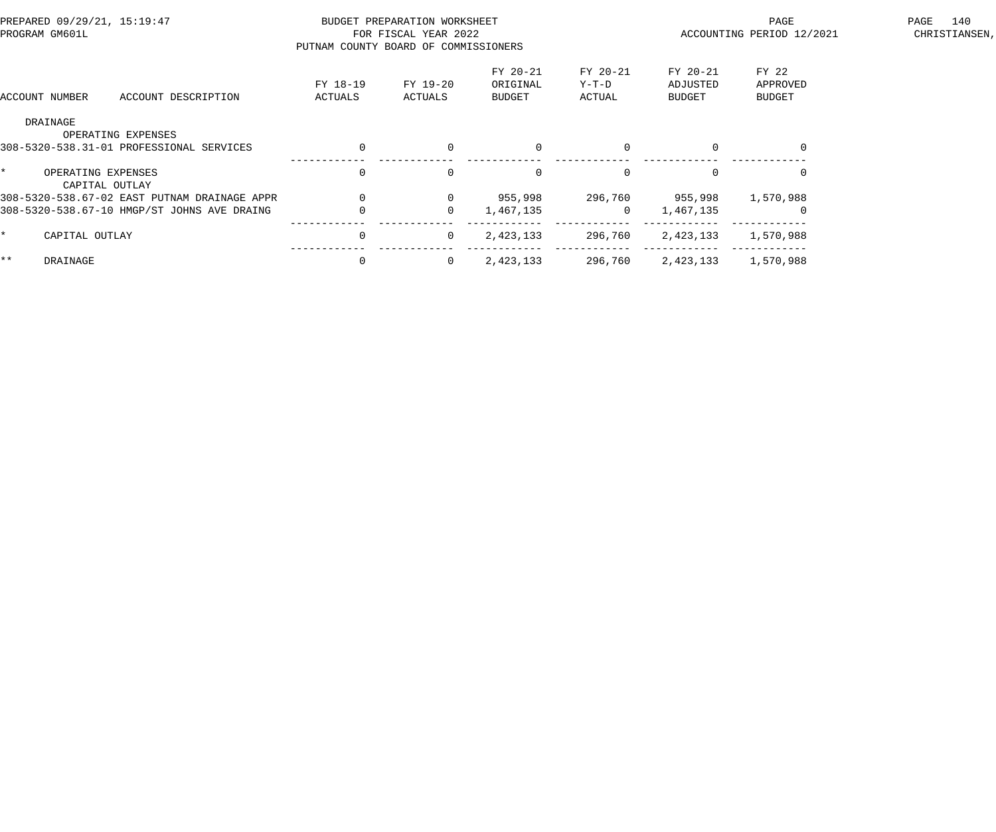| PREPARED 09/29/21, 15:19:47<br>PROGRAM GM601L |                                              | PUTNAM COUNTY BOARD OF COMMISSIONERS | BUDGET PREPARATION WORKSHEET<br>FOR FISCAL YEAR 2022 |                                |                             | PAGE<br>ACCOUNTING PERIOD 12/2021 |                                    |  |
|-----------------------------------------------|----------------------------------------------|--------------------------------------|------------------------------------------------------|--------------------------------|-----------------------------|-----------------------------------|------------------------------------|--|
| ACCOUNT NUMBER                                | ACCOUNT DESCRIPTION                          | FY 18-19<br>ACTUALS                  | FY 19-20<br>ACTUALS                                  | FY 20-21<br>ORIGINAL<br>BUDGET | FY 20-21<br>Y-T-D<br>ACTUAL | FY 20-21<br>ADJUSTED<br>BUDGET    | FY 22<br>APPROVED<br><b>BUDGET</b> |  |
| DRAINAGE                                      | OPERATING EXPENSES                           |                                      |                                                      |                                |                             |                                   |                                    |  |
|                                               | 308-5320-538.31-01 PROFESSIONAL SERVICES     | $\Omega$                             | $\Omega$                                             | $\mathbf{0}$                   | $\Omega$                    |                                   | $\Omega$                           |  |
| OPERATING EXPENSES<br>CAPITAL OUTLAY          |                                              | $\Omega$                             | $\Omega$                                             | $\mathbf{0}$                   | $\Omega$                    |                                   |                                    |  |
|                                               | 308-5320-538.67-02 EAST PUTNAM DRAINAGE APPR |                                      | $\mathbf{0}$                                         | 955,998                        | 296,760                     | 955,998                           | 1,570,988                          |  |
|                                               | 308-5320-538.67-10 HMGP/ST JOHNS AVE DRAING  |                                      | $\mathbf{0}$                                         | 1,467,135                      | $\overline{0}$              | 1,467,135                         |                                    |  |
| CAPITAL OUTLAY                                |                                              | $\mathbf 0$                          | $\overline{0}$                                       | 2,423,133                      | 296,760                     | 2,423,133                         | 1,570,988                          |  |
| $\star\star$<br>DRAINAGE                      |                                              | $\Omega$                             | $\overline{0}$                                       | 2,423,133                      | 296,760                     | 2,423,133                         | 1,570,988                          |  |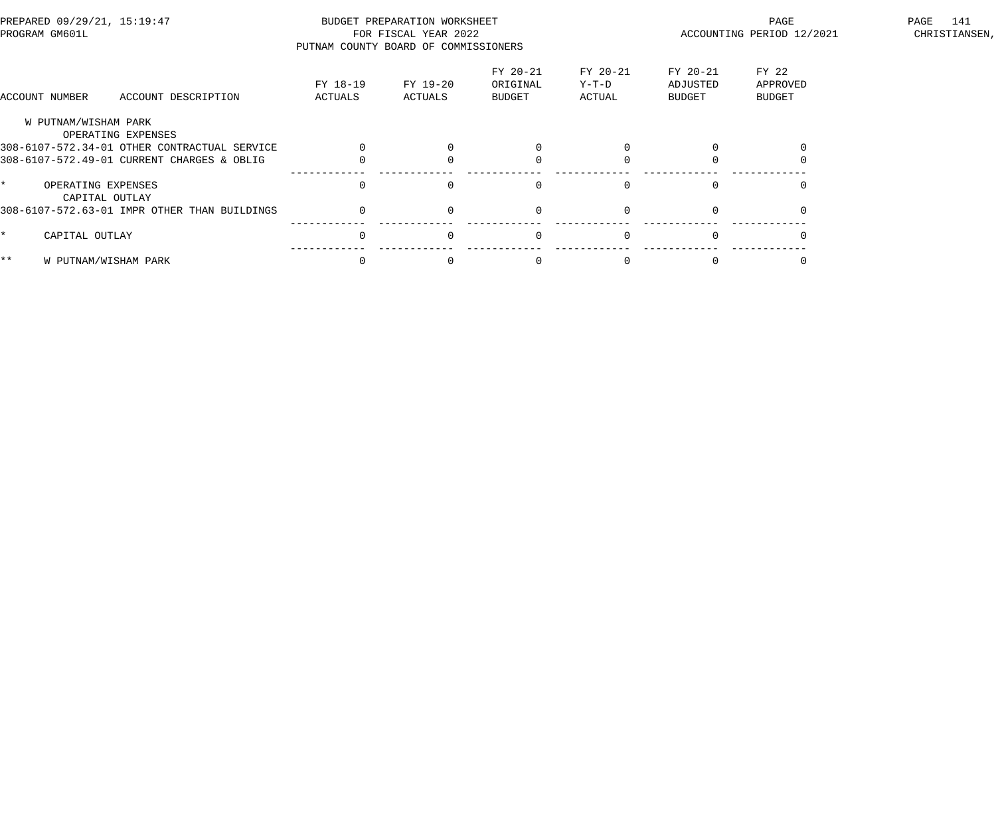| PREPARED 09/29/21, 15:19:47<br>PROGRAM GM601L |                                      | BUDGET PREPARATION WORKSHEET<br>FOR FISCAL YEAR 2022<br>PUTNAM COUNTY BOARD OF COMMISSIONERS |                     |                     |                                |                             | PAGE<br>ACCOUNTING PERIOD 12/2021 | 141<br>PAGE<br>CHRISTIANSEN,       |  |
|-----------------------------------------------|--------------------------------------|----------------------------------------------------------------------------------------------|---------------------|---------------------|--------------------------------|-----------------------------|-----------------------------------|------------------------------------|--|
| ACCOUNT NUMBER                                |                                      | ACCOUNT DESCRIPTION                                                                          | FY 18-19<br>ACTUALS | FY 19-20<br>ACTUALS | FY 20-21<br>ORIGINAL<br>BUDGET | FY 20-21<br>Y-T-D<br>ACTUAL | FY 20-21<br>ADJUSTED<br>BUDGET    | FY 22<br>APPROVED<br><b>BUDGET</b> |  |
|                                               | W PUTNAM/WISHAM PARK                 | OPERATING EXPENSES                                                                           |                     |                     |                                |                             |                                   |                                    |  |
|                                               |                                      | 308-6107-572.34-01 OTHER CONTRACTUAL SERVICE                                                 |                     |                     |                                |                             |                                   |                                    |  |
|                                               |                                      | 308-6107-572.49-01 CURRENT CHARGES & OBLIG                                                   |                     |                     |                                |                             |                                   |                                    |  |
|                                               | OPERATING EXPENSES<br>CAPITAL OUTLAY |                                                                                              |                     | $\cap$              | $\Omega$                       | $\Omega$                    |                                   |                                    |  |
|                                               |                                      | 308-6107-572.63-01 IMPR OTHER THAN BUILDINGS                                                 |                     |                     |                                |                             |                                   |                                    |  |
|                                               | CAPITAL OUTLAY                       |                                                                                              | $\mathbf 0$         | $\Omega$            | $\Omega$                       | $\Omega$                    | $\Omega$                          |                                    |  |
| $***$                                         |                                      | W PUTNAM/WISHAM PARK                                                                         |                     |                     |                                |                             |                                   |                                    |  |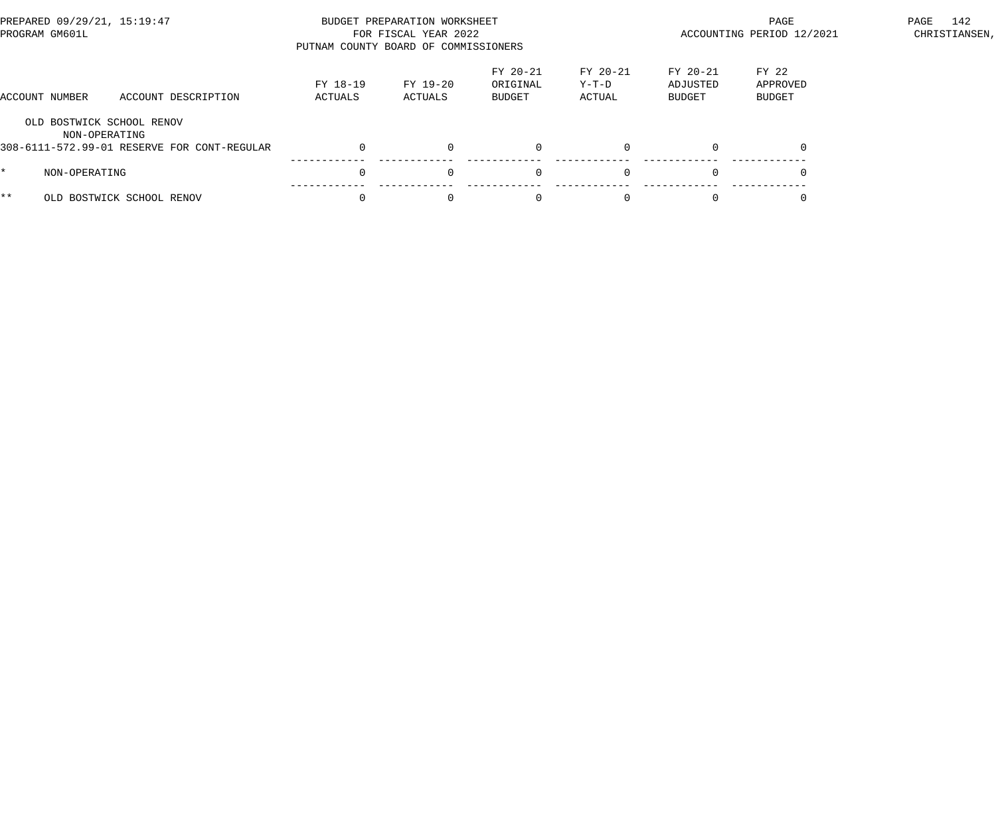| PREPARED 09/29/21, 15:19:47<br>PROGRAM GM601L |                                                                                           | BUDGET PREPARATION WORKSHEET<br>FOR FISCAL YEAR 2022<br>PUTNAM COUNTY BOARD OF COMMISSIONERS |                     |                                |                             |                                  | PAGE<br>ACCOUNTING PERIOD 12/2021 |  |  |
|-----------------------------------------------|-------------------------------------------------------------------------------------------|----------------------------------------------------------------------------------------------|---------------------|--------------------------------|-----------------------------|----------------------------------|-----------------------------------|--|--|
| ACCOUNT NUMBER                                | ACCOUNT DESCRIPTION                                                                       | FY 18-19<br>ACTUALS                                                                          | FY 19-20<br>ACTUALS | FY 20-21<br>ORIGINAL<br>BUDGET | FY 20-21<br>Y-T-D<br>ACTUAL | $FY 20-21$<br>ADJUSTED<br>BUDGET | FY 22<br>APPROVED<br>BUDGET       |  |  |
|                                               | OLD BOSTWICK SCHOOL RENOV<br>NON-OPERATING<br>308-6111-572.99-01 RESERVE FOR CONT-REGULAR |                                                                                              | $\Omega$            |                                | $\Omega$                    |                                  |                                   |  |  |
|                                               | NON-OPERATING                                                                             |                                                                                              | $\Omega$            | $\Omega$                       | $\Omega$                    | $\Omega$                         |                                   |  |  |
| * *                                           | OLD BOSTWICK SCHOOL RENOV                                                                 |                                                                                              | $\Omega$            |                                |                             |                                  |                                   |  |  |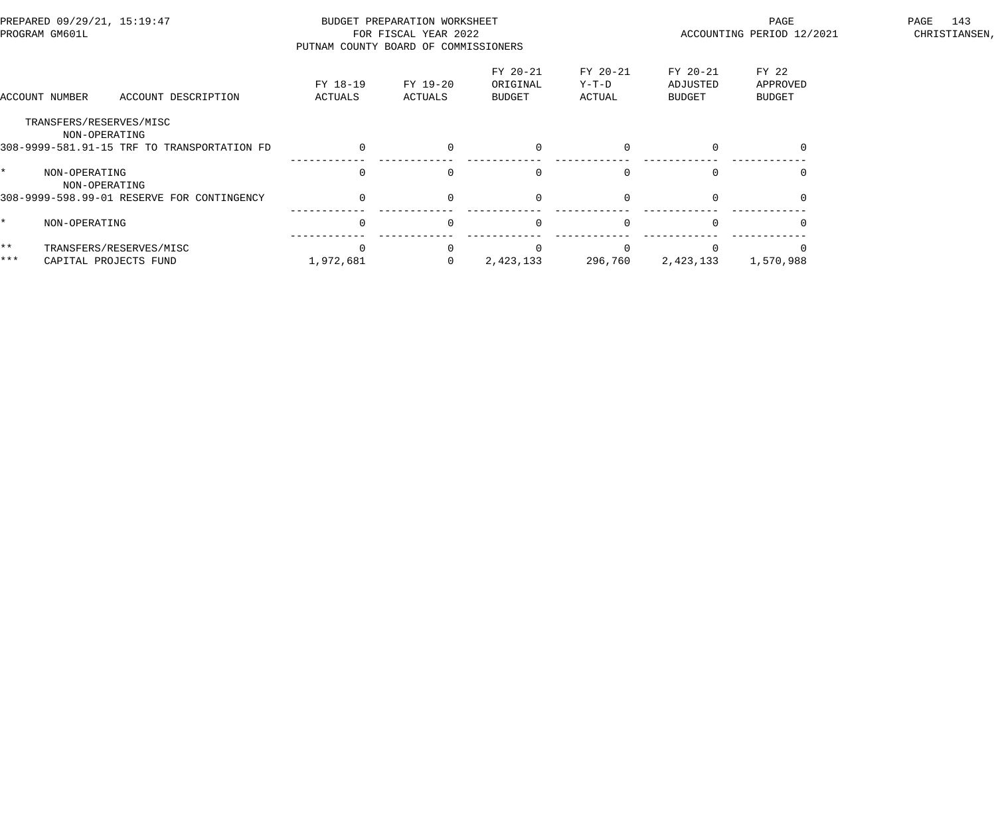| PREPARED 09/29/21, 15:19:47<br>PROGRAM GM601L |                                             | BUDGET PREPARATION WORKSHEET<br>FOR FISCAL YEAR 2022<br>PUTNAM COUNTY BOARD OF COMMISSIONERS |                     |                                |                             |                                       | PAGE<br>ACCOUNTING PERIOD 12/2021  | 143<br>PAGE<br>CHRISTIANSEN, |
|-----------------------------------------------|---------------------------------------------|----------------------------------------------------------------------------------------------|---------------------|--------------------------------|-----------------------------|---------------------------------------|------------------------------------|------------------------------|
|                                               | ACCOUNT DESCRIPTION<br>ACCOUNT NUMBER       | FY 18-19<br>ACTUALS                                                                          | FY 19-20<br>ACTUALS | FY 20-21<br>ORIGINAL<br>BUDGET | FY 20-21<br>Y-T-D<br>ACTUAL | FY 20-21<br>ADJUSTED<br><b>BUDGET</b> | FY 22<br>APPROVED<br><b>BUDGET</b> |                              |
|                                               | TRANSFERS/RESERVES/MISC<br>NON-OPERATING    |                                                                                              |                     |                                |                             |                                       |                                    |                              |
|                                               | 308-9999-581.91-15 TRF TO TRANSPORTATION FD | $\Omega$                                                                                     | $\Omega$            | $\Omega$                       | $\Omega$                    |                                       |                                    |                              |
|                                               | NON-OPERATING<br>NON-OPERATING              |                                                                                              |                     | $\mathbf 0$                    |                             |                                       |                                    |                              |
|                                               | 308-9999-598.99-01 RESERVE FOR CONTINGENCY  |                                                                                              | $\Omega$            | $\mathbf 0$                    |                             |                                       |                                    |                              |
|                                               | NON-OPERATING                               | $\Omega$                                                                                     | $\Omega$            | $\Omega$                       | $\Omega$                    |                                       |                                    |                              |
| $***$                                         | TRANSFERS/RESERVES/MISC                     |                                                                                              |                     |                                |                             |                                       |                                    |                              |
| $***$                                         | CAPITAL PROJECTS FUND                       | 1,972,681                                                                                    |                     | 2,423,133                      | 296,760                     | 2,423,133                             | 1,570,988                          |                              |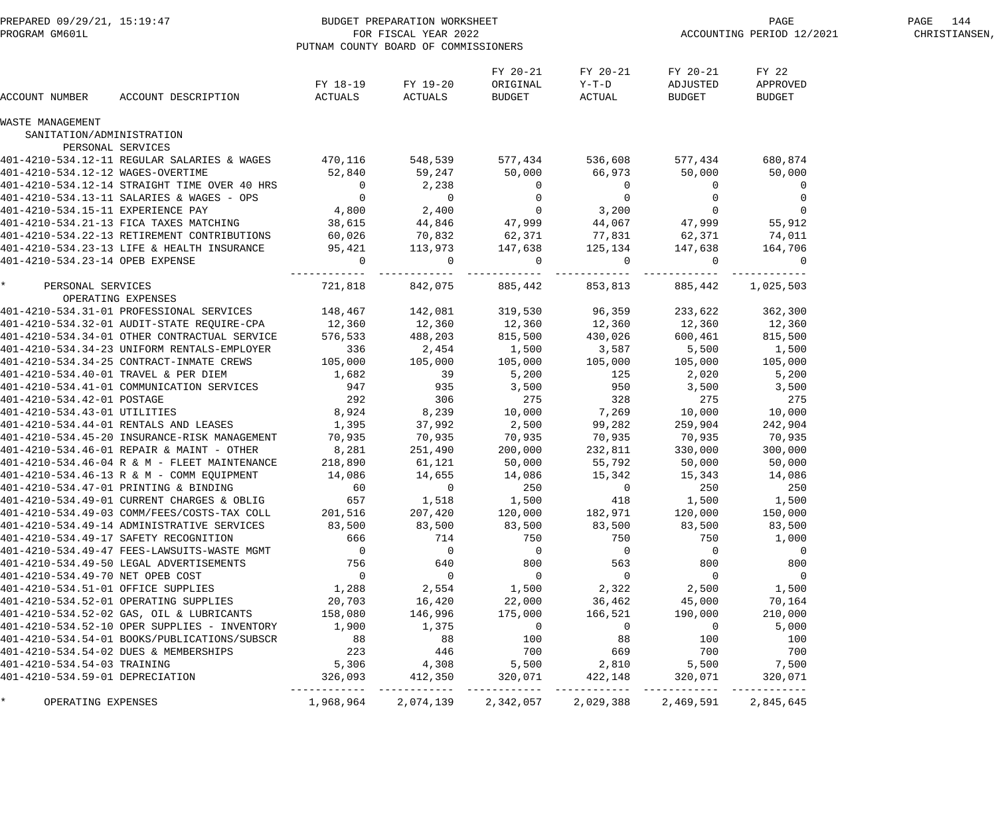| PREPARED 09/29/21, 15:19:47<br>PROGRAM GM601L |                                              | BUDGET PREPARATION WORKSHEET<br>FOR FISCAL YEAR 2022<br>PUTNAM COUNTY BOARD OF COMMISSIONERS |                      |                                  |                               | PAGE<br>ACCOUNTING PERIOD 12/2021     |                                    | PAGE 144<br>CHRISTIANSEN, |
|-----------------------------------------------|----------------------------------------------|----------------------------------------------------------------------------------------------|----------------------|----------------------------------|-------------------------------|---------------------------------------|------------------------------------|---------------------------|
| ACCOUNT NUMBER                                | ACCOUNT DESCRIPTION                          | FY 18-19<br>ACTUALS                                                                          | FY 19-20<br>ACTUALS  | FY 20-21<br>ORIGINAL<br>BUDGET   | FY 20-21<br>$Y-T-D$<br>ACTUAL | FY 20-21<br>ADJUSTED<br><b>BUDGET</b> | FY 22<br>APPROVED<br><b>BUDGET</b> |                           |
| WASTE MANAGEMENT                              |                                              |                                                                                              |                      |                                  |                               |                                       |                                    |                           |
| SANITATION/ADMINISTRATION                     | PERSONAL SERVICES                            |                                                                                              |                      |                                  |                               |                                       |                                    |                           |
|                                               | 401-4210-534.12-11 REGULAR SALARIES & WAGES  | 470,116                                                                                      | 548,539              | 577,434                          | 536,608                       | 577,434                               | 680,874                            |                           |
| 401-4210-534.12-12 WAGES-OVERTIME             |                                              | 52,840                                                                                       | 59,247               | 50,000                           | 66,973                        | 50,000                                | 50,000                             |                           |
|                                               | 401-4210-534.12-14 STRAIGHT TIME OVER 40 HRS | $\overline{0}$                                                                               | 2,238                | $\mathbf 0$                      | $\overline{0}$                | 0                                     | $\mathbf 0$                        |                           |
|                                               | 401-4210-534.13-11 SALARIES & WAGES - OPS    | $\overline{0}$                                                                               | $\overline{0}$       | $\overline{0}$                   | $\overline{0}$                | 0                                     | $\mathbf 0$                        |                           |
| 401-4210-534.15-11 EXPERIENCE PAY             |                                              | 4,800                                                                                        | 2,400                | $\overline{0}$                   | 3,200                         | $\overline{0}$                        | $\mathbf 0$                        |                           |
|                                               | 401-4210-534.21-13 FICA TAXES MATCHING       | 38,615                                                                                       | 44,846               | 47,999                           | 44,067                        | 47,999                                | 55,912                             |                           |
|                                               | 401-4210-534.22-13 RETIREMENT CONTRIBUTIONS  | 60,026                                                                                       | 70,832               | 62,371                           | 77,831                        | 62,371                                | 74,011                             |                           |
|                                               | 401-4210-534.23-13 LIFE & HEALTH INSURANCE   | 95,421                                                                                       | 113,973              | 147,638                          | 125,134                       | 147,638                               | 164,706                            |                           |
| 401-4210-534.23-14 OPEB EXPENSE               |                                              | $\mathbf{0}$                                                                                 | $\overline{0}$       | $\mathbf 0$                      | $\mathbf 0$                   | $\overline{0}$                        | $\mathbf 0$                        |                           |
| $\star$<br>PERSONAL SERVICES                  |                                              | 721,818                                                                                      | ---------<br>842,075 | ------------<br>885,442          | ---------<br>853,813          | ---------<br>885,442                  | 1,025,503                          |                           |
|                                               | OPERATING EXPENSES                           |                                                                                              |                      |                                  |                               |                                       |                                    |                           |
|                                               | 401-4210-534.31-01 PROFESSIONAL SERVICES     | 148,467                                                                                      | 142,081              | 319,530                          | 96,359                        | 233,622                               | 362,300                            |                           |
|                                               | 401-4210-534.32-01 AUDIT-STATE REQUIRE-CPA   | 12,360                                                                                       | 12,360               | 12,360<br>815.500                | 12,360                        | 12,360                                | 12,360                             |                           |
|                                               | 401-4210-534.34-01 OTHER CONTRACTUAL SERVICE | 576,533                                                                                      | 488,203              | 815,500                          | 430,026                       | 600,461                               | 815,500                            |                           |
|                                               | 401-4210-534.34-23 UNIFORM RENTALS-EMPLOYER  | 336                                                                                          | 2,454                | 1,500                            | 3,587                         | 5,500                                 | 1,500                              |                           |
|                                               | 401-4210-534.34-25 CONTRACT-INMATE CREWS     | 105,000                                                                                      | 105,000              | 105,000                          | 105,000                       | 105,000                               | 105,000                            |                           |
|                                               | 401-4210-534.40-01 TRAVEL & PER DIEM         | 1,682                                                                                        | 39                   | 5,200                            | 125                           | 2,020                                 | 5,200                              |                           |
|                                               | 401-4210-534.41-01 COMMUNICATION SERVICES    | 947                                                                                          | 935                  | 3,500                            | 950                           | 3,500                                 | 3,500                              |                           |
| 401-4210-534.42-01 POSTAGE                    |                                              | 292                                                                                          | 306                  | 275                              | 328                           | 275                                   | 275                                |                           |
| 401-4210-534.43-01 UTILITIES                  |                                              | 8,924                                                                                        | 8,239                | 10,000                           | 7,269                         | 10,000                                | 10,000                             |                           |
|                                               | 401-4210-534.44-01 RENTALS AND LEASES        | 1,395                                                                                        | 37,992               | 2,500                            | 99,282                        | 259,904                               | 242,904                            |                           |
|                                               | 401-4210-534.45-20 INSURANCE-RISK MANAGEMENT | 70,935                                                                                       | 70,935               | 70,935                           | 70,935                        | 70,935                                | 70,935                             |                           |
|                                               | 401-4210-534.46-01 REPAIR & MAINT - OTHER    | 8,281                                                                                        | 251,490              | 200,000                          | 232,811                       | 330,000                               | 300,000                            |                           |
|                                               | 401-4210-534.46-04 R & M - FLEET MAINTENANCE | 218,890                                                                                      | 61,121               | 50,000                           | 55,792                        | 50,000                                | 50,000                             |                           |
|                                               | 401-4210-534.46-13 R & M - COMM EQUIPMENT    | 14,086                                                                                       | 14,655               | 14,086                           | 15,342                        | 15,343                                | 14,086                             |                           |
|                                               | 401-4210-534.47-01 PRINTING & BINDING        | 60                                                                                           | $\overline{0}$       | 250                              | $\overline{0}$                | 250                                   | 250                                |                           |
|                                               | 401-4210-534.49-01 CURRENT CHARGES & OBLIG   | 657                                                                                          | 1,518                | 1,500                            | 418                           | 1,500                                 | 1,500                              |                           |
|                                               | 401-4210-534.49-03 COMM/FEES/COSTS-TAX COLL  | 201,516                                                                                      | 207,420              | 120,000                          | 182,971                       | 120,000                               | 150,000                            |                           |
|                                               | 401-4210-534.49-14 ADMINISTRATIVE SERVICES   | 83,500                                                                                       | 83,500               | 83,500                           | 83,500                        | 83,500                                | 83,500                             |                           |
|                                               | 401-4210-534.49-17 SAFETY RECOGNITION        | 666                                                                                          | 714                  | 750                              | 750                           | 750                                   | 1,000                              |                           |
|                                               | 401-4210-534.49-47 FEES-LAWSUITS-WASTE MGMT  | $\overline{\phantom{0}}$                                                                     | $\overline{0}$       | $\overline{0}$                   | $\overline{0}$                | $\overline{0}$                        | $\overline{0}$                     |                           |
|                                               | 401-4210-534.49-50 LEGAL ADVERTISEMENTS      | $\begin{array}{c} 756 \\ 0 \end{array}$                                                      | 640                  | 800                              | 563                           | 800                                   | 800                                |                           |
| 401-4210-534.49-70 NET OPEB COST              |                                              |                                                                                              | $\overline{0}$       | $\overline{0}$                   | $\overline{0}$                | $\overline{0}$                        | $\overline{0}$                     |                           |
| 401-4210-534.51-01 OFFICE SUPPLIES            |                                              | 1,288                                                                                        | 2,554                | 1,500                            | 2,322                         | 2,500                                 | 1,500                              |                           |
|                                               | 401-4210-534.52-01 OPERATING SUPPLIES        | 20,703                                                                                       | 16,420               | 22,000                           | 36,462                        | 45,000                                | 70,164                             |                           |
|                                               | 401-4210-534.52-02 GAS, OIL & LUBRICANTS     | 158,080                                                                                      | 146,996              | 175,000                          | 166,521                       | 190,000                               | 210,000                            |                           |
|                                               | 401-4210-534.52-10 OPER SUPPLIES - INVENTORY | 1,900                                                                                        | 1,375                | $\sim$ 0                         | $\overline{0}$                | $\overline{0}$                        | 5,000                              |                           |
|                                               | 401-4210-534.54-01 BOOKS/PUBLICATIONS/SUBSCR | $88$<br>223<br>5,306                                                                         | 88                   | 100                              | 88                            | 100                                   | 100                                |                           |
|                                               | 401-4210-534.54-02 DUES & MEMBERSHIPS        |                                                                                              | 446                  | 700                              | 669                           | 700                                   | 700                                |                           |
| 401-4210-534.54-03 TRAINING                   |                                              |                                                                                              | 4,308                | 5,500                            | 2,810                         | 5,500                                 | 7,500                              |                           |
| 401-4210-534.59-01 DEPRECIATION               |                                              | 326,093                                                                                      | 412,350              | 320,071                          | 422,148                       | 320,071                               | 320,071                            |                           |
| OPERATING EXPENSES                            |                                              | 1,968,964                                                                                    | 2,074,139            | . _ _ _ _ _ _ _ _ _<br>2,342,057 | ------------<br>2,029,388     | 2,469,591                             | 2,845,645                          |                           |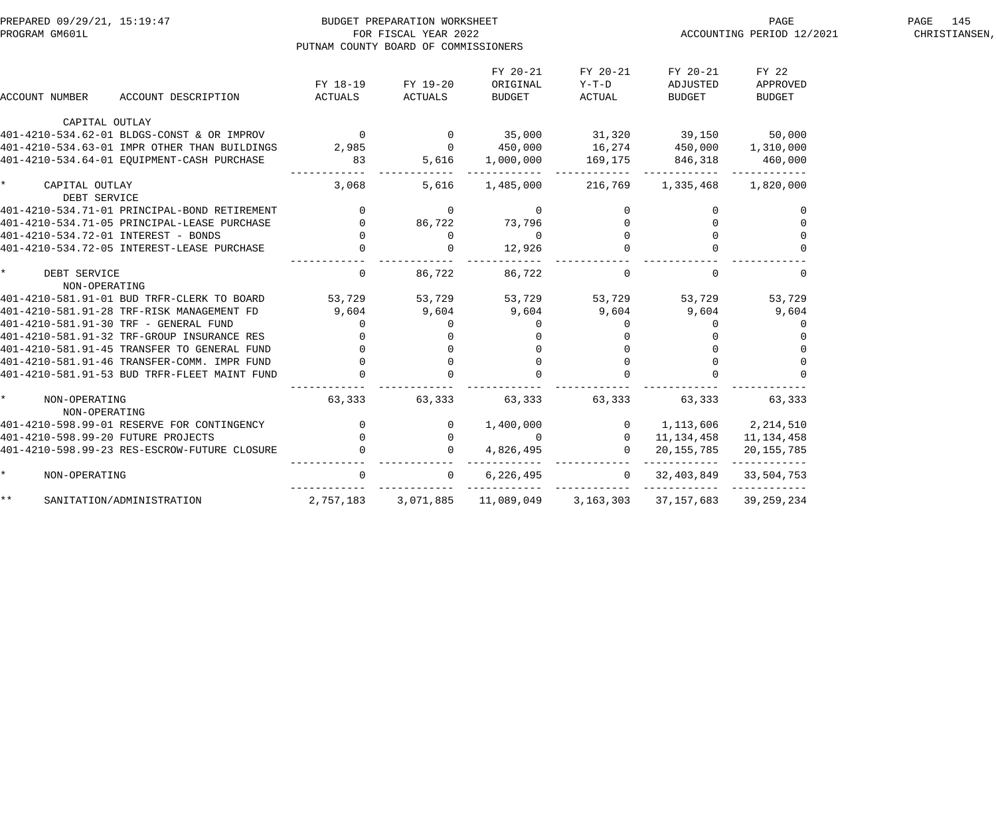| PREPARED 09/29/21, 15:19:47                                                                                                                                                                                                       |                                             | BUDGET PREPARATION WORKSHEET                     |                                 |                   | PAGE                                                                                                                                   | 145<br>PAGE               |               |
|-----------------------------------------------------------------------------------------------------------------------------------------------------------------------------------------------------------------------------------|---------------------------------------------|--------------------------------------------------|---------------------------------|-------------------|----------------------------------------------------------------------------------------------------------------------------------------|---------------------------|---------------|
| PROGRAM GM601L                                                                                                                                                                                                                    |                                             | FOR FISCAL YEAR 2022                             |                                 |                   |                                                                                                                                        | ACCOUNTING PERIOD 12/2021 | CHRISTIANSEN, |
|                                                                                                                                                                                                                                   |                                             | PUTNAM COUNTY BOARD OF COMMISSIONERS             |                                 |                   |                                                                                                                                        |                           |               |
|                                                                                                                                                                                                                                   |                                             |                                                  | FY 20-21                        | FY 20-21          | FY 20-21                                                                                                                               | FY 22                     |               |
|                                                                                                                                                                                                                                   | FY 18-19                                    | FY 19-20                                         | ORIGINAL                        | $Y-T-D$           | ADJUSTED                                                                                                                               | APPROVED                  |               |
| ACCOUNT DESCRIPTION<br>ACCOUNT NUMBER                                                                                                                                                                                             | ACTUALS                                     | ACTUALS                                          | BUDGET                          | ACTUAL            | BUDGET                                                                                                                                 | BUDGET                    |               |
| CAPITAL OUTLAY                                                                                                                                                                                                                    |                                             |                                                  |                                 |                   |                                                                                                                                        |                           |               |
| 401-4210-534.62-01 BLDGS-CONST & OR IMPROV 0 0 35,000 31,320 39,150 50,000                                                                                                                                                        |                                             |                                                  |                                 |                   |                                                                                                                                        |                           |               |
| 401-4210-534.63-01 IMPR OTHER THAN BUILDINGS                                                                                                                                                                                      | 2,985 0                                     |                                                  |                                 |                   |                                                                                                                                        |                           |               |
| 401-4210-534.64-01 EQUIPMENT-CASH PURCHASE                                                                                                                                                                                        | 83                                          |                                                  | 5,616 1,000,000 169,175 846,318 |                   |                                                                                                                                        | 460,000                   |               |
| CAPITAL OUTLAY                                                                                                                                                                                                                    | 3,068                                       | 5,616                                            |                                 | 1,485,000 216,769 |                                                                                                                                        | 1,335,468 1,820,000       |               |
| DEBT SERVICE                                                                                                                                                                                                                      |                                             |                                                  |                                 |                   |                                                                                                                                        |                           |               |
| 401-4210-534.71-01 PRINCIPAL-BOND RETIREMENT                                                                                                                                                                                      | $\overline{0}$                              | $\overline{0}$                                   | $\overline{0}$                  |                   | $\mathbf{0}$                                                                                                                           | 0                         |               |
| 401-4210-534.71-05 PRINCIPAL-LEASE PURCHASE                                                                                                                                                                                       | $\begin{matrix} 0 \\ 0 \end{matrix}$        | 86,722                                           | 73,796                          |                   |                                                                                                                                        |                           |               |
| 401-4210-534.72-01 INTEREST - BONDS                                                                                                                                                                                               |                                             | $\Omega$                                         | $\Omega$                        |                   |                                                                                                                                        |                           |               |
| 401-4210-534.72-05 INTEREST-LEASE PURCHASE                                                                                                                                                                                        | $\overline{0}$                              |                                                  | 12,926                          |                   |                                                                                                                                        |                           |               |
| DEBT SERVICE<br>NON-OPERATING                                                                                                                                                                                                     | $\overline{0}$                              | 86,722                                           | 86,722                          | $\Omega$          | $\Omega$                                                                                                                               | $\mathbf 0$               |               |
|                                                                                                                                                                                                                                   |                                             |                                                  |                                 |                   |                                                                                                                                        | 53,729                    |               |
| 401-4210-581.91-01 BUD TRFR-CLERK TO BOARD             53,729         53,729        53,729       53,729      53,729<br>401-4210-581.91-28 TRF-RISK MANAGEMENT FD                9,604          9,604          9,604          9,60 |                                             |                                                  |                                 |                   |                                                                                                                                        | 9,604                     |               |
| 401-4210-581.91-30 TRF - GENERAL FUND                                                                                                                                                                                             | $\Omega$                                    | $\Omega$                                         | $\Omega$                        | $\overline{0}$    | $\Omega$                                                                                                                               | $\Omega$                  |               |
| 401-4210-581.91-32 TRF-GROUP INSURANCE RES                                                                                                                                                                                        |                                             |                                                  | $\Omega$                        |                   |                                                                                                                                        |                           |               |
| 401-4210-581.91-45 TRANSFER TO GENERAL FUND                                                                                                                                                                                       | $\overline{0}$                              |                                                  |                                 |                   |                                                                                                                                        |                           |               |
| 401-4210-581.91-46 TRANSFER-COMM. IMPR FUND                                                                                                                                                                                       |                                             |                                                  | $\overline{0}$                  |                   | $\Omega$                                                                                                                               |                           |               |
| 401-4210-581.91-53 BUD TRFR-FLEET MAINT FUND                                                                                                                                                                                      | $\begin{bmatrix} 0 \\ 0 \\ 0 \end{bmatrix}$ |                                                  |                                 |                   |                                                                                                                                        |                           |               |
| NON-OPERATING<br>NON-OPERATING                                                                                                                                                                                                    | 63,333                                      | 63, 333 63, 333                                  |                                 | 63, 333 63, 333   |                                                                                                                                        | 63,333                    |               |
| 401-4210-598.99-01 RESERVE FOR CONTINGENCY                                                                                                                                                                                        | $\overline{0}$                              |                                                  |                                 |                   |                                                                                                                                        |                           |               |
| 401-4210-598.99-20 FUTURE PROJECTS                                                                                                                                                                                                |                                             |                                                  |                                 |                   |                                                                                                                                        |                           |               |
| 401-4210-598.99-23 RES-ESCROW-FUTURE CLOSURE                                                                                                                                                                                      |                                             | $\begin{matrix} 0 &&& 0 \\ 0 &&& 0 \end{matrix}$ |                                 |                   | 1,400,000<br>0 0 1,134,458 11,134,458<br>4,826,495 0 20,155,785 20,155,785<br>11,134,458 11,134,458<br>12,000<br>11,134,458 11,134,458 |                           |               |
| NON-OPERATING                                                                                                                                                                                                                     | $\overline{0}$                              | $\overline{0}$                                   | 6,226,495                       |                   | $0$ 32, 403, 849 33, 504, 753                                                                                                          |                           |               |
| $\star \star$<br>SANITATION/ADMINISTRATION                                                                                                                                                                                        | 2,757,183                                   |                                                  | 3,071,885 11,089,049            | 3,163,303         | 37,157,683                                                                                                                             | 39,259,234                |               |
|                                                                                                                                                                                                                                   |                                             |                                                  |                                 |                   |                                                                                                                                        |                           |               |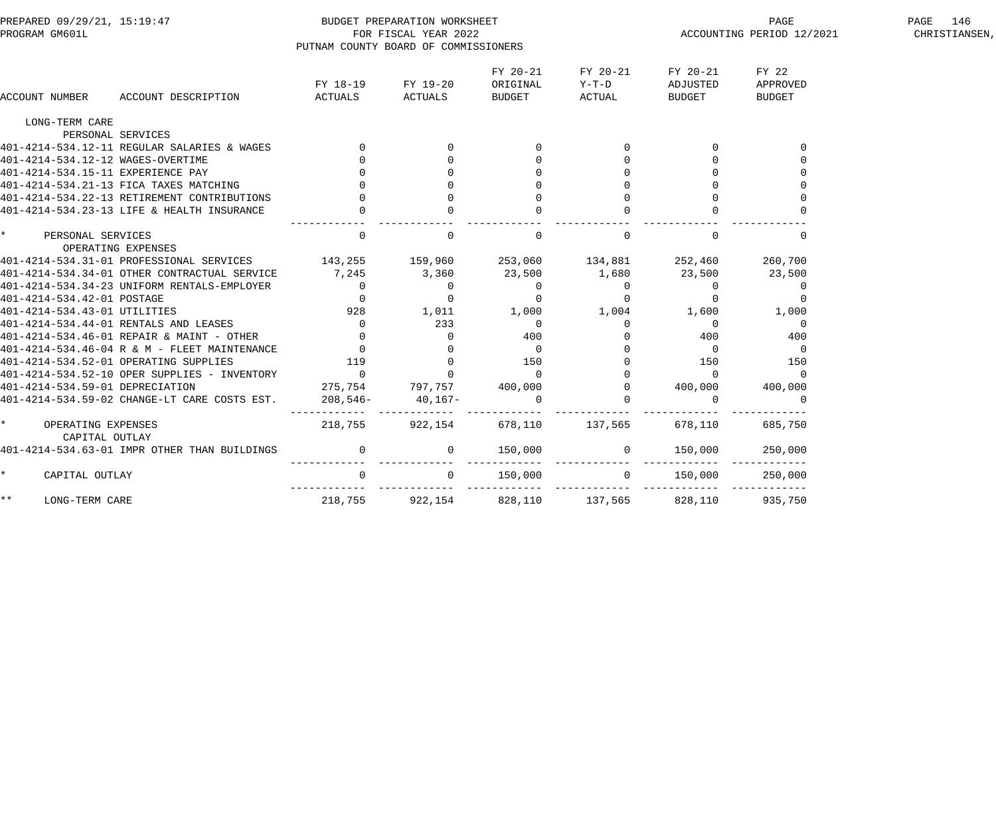| PREPARED 09/29/21, 15:19:47<br>PROGRAM GM601L               | PUTNAM COUNTY BOARD OF COMMISSIONERS      | BUDGET PREPARATION WORKSHEET<br>FOR FISCAL YEAR 2022 |                                                | ACCOUNTING PERIOD 12/2021                       | PAGE 146<br>CHRISTIANSEN,               |                             |  |
|-------------------------------------------------------------|-------------------------------------------|------------------------------------------------------|------------------------------------------------|-------------------------------------------------|-----------------------------------------|-----------------------------|--|
| ACCOUNT DESCRIPTION<br>ACCOUNT NUMBER                       | FY 18-19<br>ACTUALS                       | FY 19-20<br>ACTUALS                                  | FY 20-21<br>ORIGINAL<br><b>BUDGET</b>          | FY 20-21<br>Y-T-D<br>ACTUAL                     | FY 20-21<br>ADJUSTED<br><b>BUDGET</b>   | FY 22<br>APPROVED<br>BUDGET |  |
| LONG-TERM CARE                                              |                                           |                                                      |                                                |                                                 |                                         |                             |  |
| PERSONAL SERVICES                                           |                                           |                                                      |                                                |                                                 |                                         |                             |  |
| 401-4214-534.12-11 REGULAR SALARIES & WAGES                 |                                           |                                                      |                                                |                                                 | 0                                       |                             |  |
| 401-4214-534.12-12 WAGES-OVERTIME                           |                                           |                                                      |                                                | $\overline{0}$                                  | $\overline{0}$                          |                             |  |
| 401-4214-534.15-11 EXPERIENCE PAY                           |                                           |                                                      |                                                | $\mathbf{0}$                                    |                                         |                             |  |
| 401-4214-534.21-13 FICA TAXES MATCHING                      |                                           |                                                      |                                                | $\Omega$                                        | $\mathbf 0$                             |                             |  |
| 401-4214-534.22-13 RETIREMENT CONTRIBUTIONS                 |                                           |                                                      |                                                |                                                 |                                         |                             |  |
| 401-4214-534.23-13 LIFE & HEALTH INSURANCE                  |                                           |                                                      |                                                |                                                 |                                         |                             |  |
| $\star$<br>PERSONAL SERVICES<br>OPERATING EXPENSES          | $\mathbf{0}$                              | $\mathbf 0$                                          | $\mathbf 0$                                    | $\mathbf{0}$                                    | $\mathbf 0$                             | $\Omega$                    |  |
| 401-4214-534.31-01 PROFESSIONAL SERVICES 143,255            |                                           | 159,960 253,060                                      |                                                | 134,881                                         | 252,460                                 | 260,700                     |  |
| 401-4214-534.34-01 OTHER CONTRACTUAL SERVICE                | 7,245                                     | 3,360                                                | 23,500                                         | 1,680                                           | 23,500                                  | 23,500                      |  |
| 401-4214-534.34-23 UNIFORM RENTALS-EMPLOYER                 | $\overline{0}$                            | $\overline{0}$                                       | $\overline{0}$                                 | $\overline{0}$                                  | $\overline{0}$                          | $\overline{0}$              |  |
| 401-4214-534.42-01 POSTAGE                                  | $\Omega$                                  | $\overline{0}$                                       | $\overline{0}$                                 | $\overline{0}$                                  | $\overline{0}$                          | $\overline{0}$              |  |
| 401-4214-534.43-01 UTILITIES                                | 928                                       | 1,011                                                | $1,000$ $1,004$                                |                                                 | 1,600                                   | 1,000                       |  |
| 401-4214-534.44-01 RENTALS AND LEASES                       |                                           | 233                                                  | $\overline{0}$                                 | $\mathbf 0$                                     | $\overline{0}$                          | $\overline{0}$              |  |
| 401-4214-534.46-01 REPAIR & MAINT - OTHER                   |                                           |                                                      |                                                | $\mathbf 0$                                     |                                         | 400                         |  |
| 401-4214-534.46-04 R & M - FLEET MAINTENANCE                | $\begin{array}{c}0\\0\\0\\119\end{array}$ | $\begin{matrix}0\\0\\0\end{matrix}$                  | $\begin{array}{c} 400 \\ 0 \\ 150 \end{array}$ | $\overline{0}$                                  | $\begin{array}{c} 400 \\ 0 \end{array}$ | $\overline{0}$              |  |
| 401-4214-534.52-01 OPERATING SUPPLIES                       |                                           |                                                      |                                                |                                                 | 150                                     | 150                         |  |
| 401-4214-534.52-10 OPER SUPPLIES - INVENTORY                | $\overline{0}$                            | $\overline{0}$                                       | $\overline{0}$                                 |                                                 | $\overline{0}$                          | $\overline{0}$              |  |
| 401-4214-534.59-01 DEPRECIATION                             | 275,754                                   | 797,757                                              | 400,000                                        |                                                 | 400,000                                 | 400,000                     |  |
| 401-4214-534.59-02 CHANGE-LT CARE COSTS EST.                | 208,546-                                  | 40,167-                                              | $\overline{0}$                                 | $\begin{array}{c} 0 \\ 0 \\ 0 \\ 0 \end{array}$ | $\Omega$                                | $\Omega$                    |  |
| $\star$ and $\star$<br>OPERATING EXPENSES<br>CAPITAL OUTLAY |                                           | _________    _____________<br>218,755 922,154        |                                                | 678,110 137,565                                 | 678,110                                 | 685,750                     |  |
| 401-4214-534.63-01 IMPR OTHER THAN BUILDINGS                |                                           | $\overline{0}$                                       | 150,000                                        | $\overline{0}$                                  | 150,000                                 | 250,000                     |  |
| $\star$<br>CAPITAL OUTLAY                                   | $\overline{0}$                            |                                                      | $0 \t 150,000$                                 |                                                 | $0 \t 150,000$                          | 250,000                     |  |
| $***$<br>LONG-TERM CARE                                     | 218,755                                   |                                                      | 922,154 828,110                                | 137,565                                         | 828,110                                 | 935,750                     |  |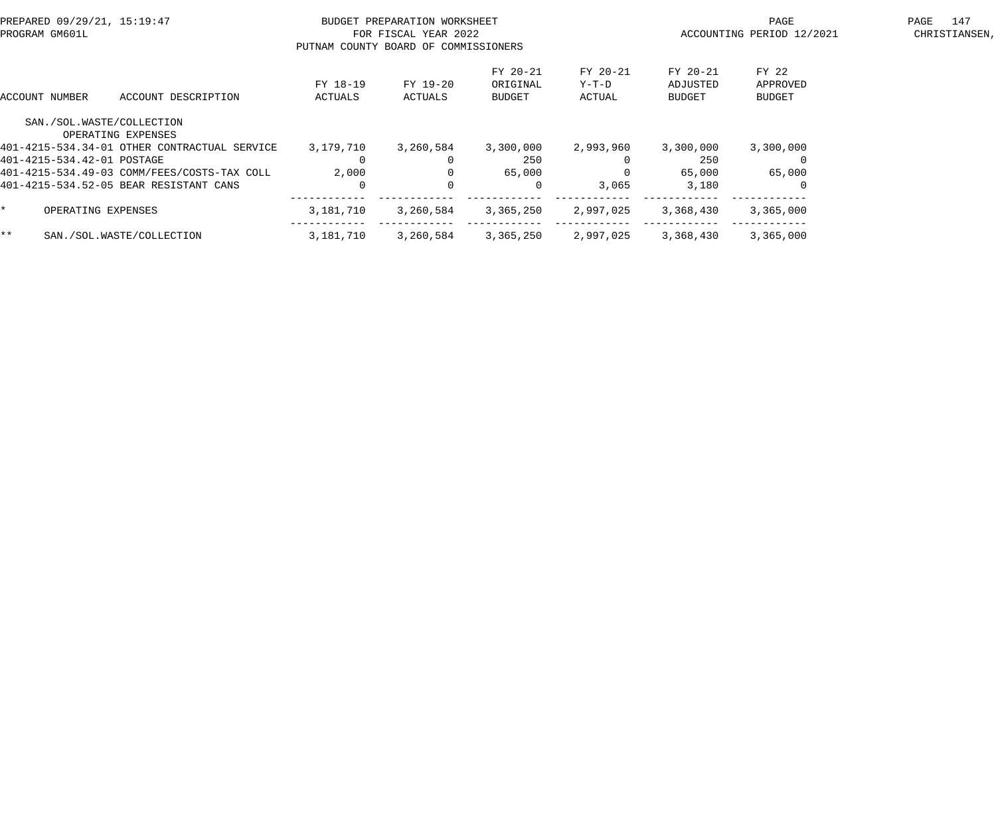| PREPARED 09/29/21, 15:19:47<br>PROGRAM GM601L   |                     | BUDGET PREPARATION WORKSHEET<br>FOR FISCAL YEAR 2022<br>PUTNAM COUNTY BOARD OF COMMISSIONERS |                                |                             | PAGE<br>ACCOUNTING PERIOD 12/2021 | 147<br>PAGE<br>CHRISTIANSEN,       |  |
|-------------------------------------------------|---------------------|----------------------------------------------------------------------------------------------|--------------------------------|-----------------------------|-----------------------------------|------------------------------------|--|
| ACCOUNT DESCRIPTION<br>ACCOUNT NUMBER           | FY 18-19<br>ACTUALS | FY 19-20<br>ACTUALS                                                                          | FY 20-21<br>ORIGINAL<br>BUDGET | FY 20-21<br>Y-T-D<br>ACTUAL | FY 20-21<br>ADJUSTED<br>BUDGET    | FY 22<br>APPROVED<br><b>BUDGET</b> |  |
| SAN./SOL.WASTE/COLLECTION<br>OPERATING EXPENSES |                     |                                                                                              |                                |                             |                                   |                                    |  |
| 401-4215-534.34-01 OTHER CONTRACTUAL SERVICE    | 3,179,710           | 3,260,584                                                                                    | 3,300,000                      | 2,993,960                   | 3,300,000                         | 3,300,000                          |  |
| 401-4215-534.42-01 POSTAGE                      | $\Omega$            |                                                                                              | 250                            |                             | 250                               |                                    |  |
| 401-4215-534.49-03 COMM/FEES/COSTS-TAX COLL     | 2,000               | $\Omega$                                                                                     | 65,000                         | $\Omega$                    | 65,000                            | 65,000                             |  |
| 401-4215-534.52-05 BEAR RESISTANT CANS          | $\Omega$            | $\Omega$                                                                                     | $\Omega$                       | 3,065                       | 3,180                             |                                    |  |
| OPERATING EXPENSES                              | 3,181,710           | 3,260,584                                                                                    | 3,365,250                      | 2,997,025                   | 3,368,430                         | 3,365,000                          |  |
| $***$<br>SAN./SOL.WASTE/COLLECTION              | 3,181,710           | 3,260,584                                                                                    | 3,365,250                      | 2,997,025                   | 3,368,430                         | 3,365,000                          |  |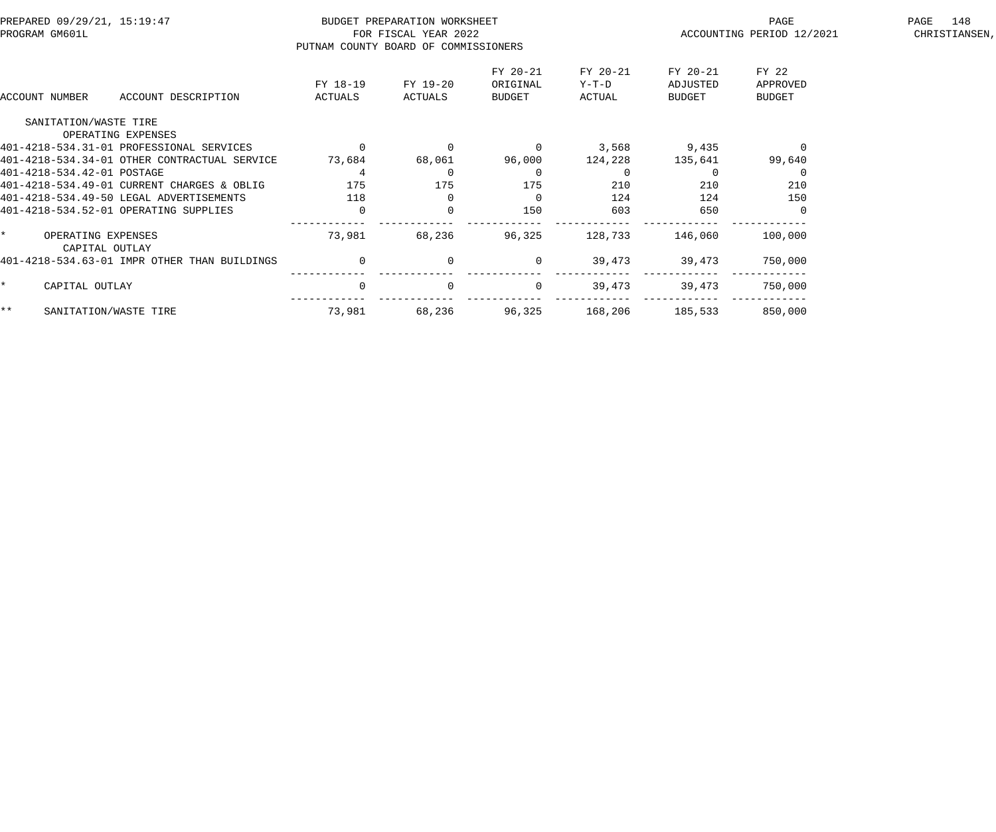| PREPARED 09/29/21, 15:19:47<br>PROGRAM GM601L |                                              |                     | BUDGET PREPARATION WORKSHEET<br>FOR FISCAL YEAR 2022<br>PUTNAM COUNTY BOARD OF COMMISSIONERS |                                |                             | PAGE<br>ACCOUNTING PERIOD 12/2021 | 148<br>PAGE<br>CHRISTIANSEN,       |  |
|-----------------------------------------------|----------------------------------------------|---------------------|----------------------------------------------------------------------------------------------|--------------------------------|-----------------------------|-----------------------------------|------------------------------------|--|
| ACCOUNT NUMBER                                | ACCOUNT DESCRIPTION                          | FY 18-19<br>ACTUALS | FY 19-20<br>ACTUALS                                                                          | FY 20-21<br>ORIGINAL<br>BUDGET | FY 20-21<br>Y-T-D<br>ACTUAL | FY 20-21<br>ADJUSTED<br>BUDGET    | FY 22<br>APPROVED<br><b>BUDGET</b> |  |
| SANITATION/WASTE TIRE                         |                                              |                     |                                                                                              |                                |                             |                                   |                                    |  |
|                                               | OPERATING EXPENSES                           |                     |                                                                                              |                                |                             |                                   |                                    |  |
|                                               | 401-4218-534.31-01 PROFESSIONAL SERVICES     |                     |                                                                                              | $\overline{0}$                 | 3,568                       | 9,435                             |                                    |  |
|                                               | 401-4218-534.34-01 OTHER CONTRACTUAL SERVICE | 73,684              | 68,061                                                                                       | 96,000                         | 124,228                     | 135,641                           | 99,640                             |  |
| 401-4218-534.42-01 POSTAGE                    |                                              | 4                   |                                                                                              | $\Omega$                       | $\Omega$                    |                                   |                                    |  |
|                                               | 401-4218-534.49-01 CURRENT CHARGES & OBLIG   | 175                 | 175                                                                                          | 175                            | 210                         | 210                               | 210                                |  |
|                                               | 401-4218-534.49-50 LEGAL ADVERTISEMENTS      | 118                 |                                                                                              | $\overline{0}$                 | 124                         | 124                               | 150                                |  |
|                                               | 401-4218-534.52-01 OPERATING SUPPLIES        | $\overline{0}$      | $\Omega$                                                                                     | 150                            | 603                         | 650                               |                                    |  |
| $\star$<br>OPERATING EXPENSES                 | CAPITAL OUTLAY                               | 73,981              | 68,236                                                                                       | 96,325                         | 128,733                     | 146,060                           | 100,000                            |  |
|                                               | 401-4218-534.63-01 IMPR OTHER THAN BUILDINGS | $\overline{0}$      | $\Omega$                                                                                     | $\overline{0}$                 | 39,473                      | 39,473                            | 750,000                            |  |
| CAPITAL OUTLAY                                |                                              | $\mathbf 0$         | $\Omega$                                                                                     | $\overline{0}$                 | 39,473                      | 39,473                            | 750,000                            |  |
| $***$                                         | SANITATION/WASTE TIRE                        | 73,981              | 68,236                                                                                       | 96,325                         | 168,206                     | 185,533                           | 850,000                            |  |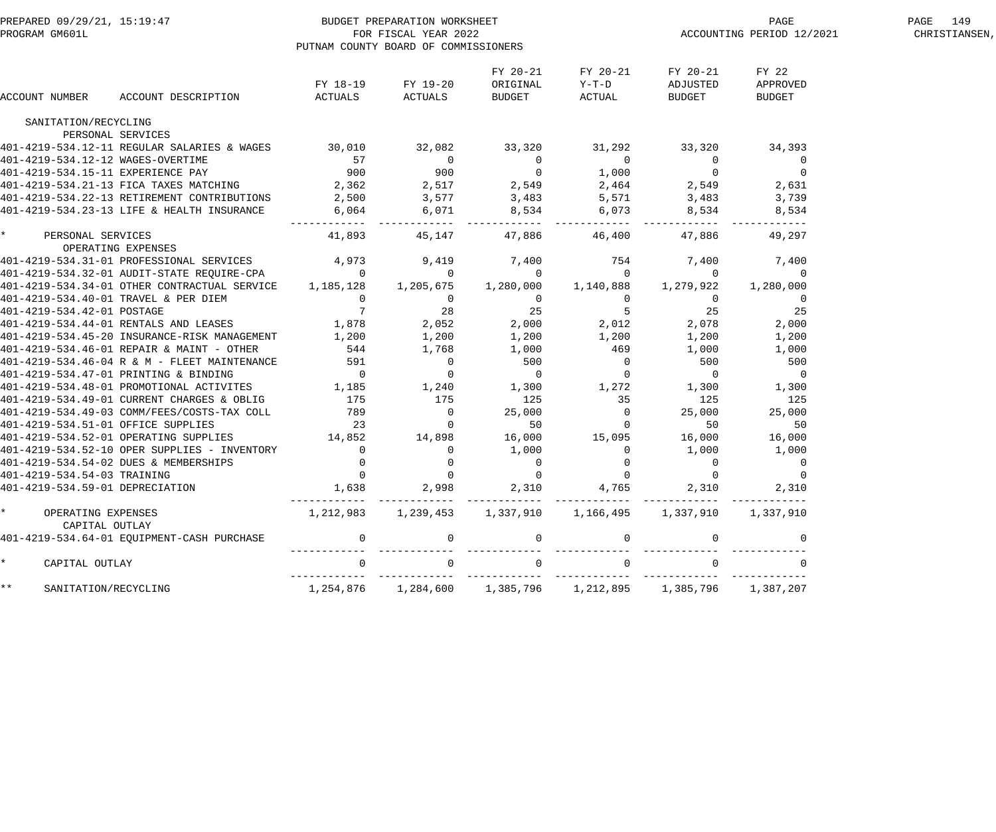| PREPARED 09/29/21, 15:19:47<br>PROGRAM GM601L   |                                                                                                        |                                                                         | BUDGET PREPARATION WORKSHEET<br>FOR FISCAL YEAR 2022<br>PUTNAM COUNTY BOARD OF COMMISSIONERS                                                           |                                |                                      |                                                                       | PAGE<br>ACCOUNTING PERIOD 12/2021  | PAGE 149<br>CHRISTIANSEN, |
|-------------------------------------------------|--------------------------------------------------------------------------------------------------------|-------------------------------------------------------------------------|--------------------------------------------------------------------------------------------------------------------------------------------------------|--------------------------------|--------------------------------------|-----------------------------------------------------------------------|------------------------------------|---------------------------|
| ACCOUNT NUMBER                                  | ACCOUNT DESCRIPTION                                                                                    | ACTUALS                                                                 | FY 18-19 FY 19-20<br>ACTUALS                                                                                                                           | FY 20-21<br>ORIGINAL<br>BUDGET | FY 20-21<br>$Y-T-D$<br>ACTUAL        | FY 20-21<br>ADJUSTED<br>BUDGET                                        | FY 22<br>APPROVED<br><b>BUDGET</b> |                           |
| SANITATION/RECYCLING                            |                                                                                                        |                                                                         |                                                                                                                                                        |                                |                                      |                                                                       |                                    |                           |
|                                                 | PERSONAL SERVICES                                                                                      |                                                                         |                                                                                                                                                        |                                |                                      |                                                                       |                                    |                           |
|                                                 | 401-4219-534.12-11 REGULAR SALARIES & WAGES 30,010 32,082                                              |                                                                         |                                                                                                                                                        | 33,320                         | 31,292                               | 33,320                                                                | 34,393                             |                           |
| 401-4219-534.12-12 WAGES-OVERTIME               |                                                                                                        |                                                                         | $\overline{0}$                                                                                                                                         | $\overline{0}$                 | $\overline{0}$                       | $\overline{0}$                                                        | $\overline{0}$                     |                           |
| 401-4219-534.15-11 EXPERIENCE PAY               |                                                                                                        | 57<br>900                                                               |                                                                                                                                                        |                                |                                      | $\overline{0}$                                                        | $\overline{0}$                     |                           |
|                                                 | 401-4219-534.21-13 FICA TAXES MATCHING                                                                 |                                                                         |                                                                                                                                                        |                                |                                      |                                                                       | $2,549$ $2,631$                    |                           |
|                                                 | 401-4219-534.22-13 RETIREMENT CONTRIBUTIONS                                                            |                                                                         |                                                                                                                                                        |                                |                                      | 3,483                                                                 | 3,739                              |                           |
|                                                 | 401-4219-534.23-13 LIFE & HEALTH INSURANCE                                                             |                                                                         |                                                                                                                                                        |                                |                                      | 8,534                                                                 | 8,534                              |                           |
| $\star$<br>PERSONAL SERVICES                    |                                                                                                        | 41,893                                                                  |                                                                                                                                                        | 45,147 47,886                  | ------------- ----<br>46,400         | 47,886                                                                | 49,297                             |                           |
| OPERATING EXPENSES                              | 401-4219-534.31-01 PROFESSIONAL SERVICES                                                               | 4,973                                                                   | 9,419                                                                                                                                                  | 7,400                          | 754                                  | 7,400                                                                 | 7,400                              |                           |
|                                                 |                                                                                                        |                                                                         | $\sim$ 0                                                                                                                                               | $\overline{0}$                 | $\overline{0}$                       | 0                                                                     | 0                                  |                           |
|                                                 | 401-4219-534.32-01 AUDIT-STATE REQUIRE-CPA 0<br>401-4219-534.34-01 OTHER CONTRACTUAL SERVICE 1,185,128 |                                                                         | 1,205,675                                                                                                                                              |                                | 1,280,000 1,140,888                  | 1,279,922                                                             | 1,280,000                          |                           |
| 401-4219-534.40-01 TRAVEL & PER DIEM            |                                                                                                        |                                                                         |                                                                                                                                                        | $\overline{0}$                 | $\overline{0}$                       |                                                                       | $\overline{0}$                     |                           |
| 401-4219-534.42-01 POSTAGE                      |                                                                                                        |                                                                         | $\begin{array}{cccc} & 0 & & 0 & \\ & 0 & & & 0 \\ & 7 & & 28 \\ 1,878 & & 2,052 \\ 1,200 & & 1,200 \\ & 544 & & 1,768 \\ & & & 531 & & 1 \end{array}$ |                                |                                      | $\overline{0}$<br>25                                                  | 25                                 |                           |
|                                                 | 401-4219-534.44-01 RENTALS AND LEASES                                                                  |                                                                         |                                                                                                                                                        | $25$ $5$<br>2,000 $2,012$      |                                      | 2,078                                                                 | 2,000                              |                           |
|                                                 | 401-4219-534.45-20 INSURANCE-RISK MANAGEMENT                                                           | 1,200                                                                   |                                                                                                                                                        | 1,200                          |                                      | 1,200                                                                 | 1,200                              |                           |
|                                                 | 401-4219-534.46-01 REPAIR & MAINT - OTHER                                                              |                                                                         |                                                                                                                                                        | 1,000                          | 1,200<br>469                         | 1,000                                                                 | 1,000                              |                           |
|                                                 | 401-4219-534.46-04 R & M - FLEET MAINTENANCE                                                           |                                                                         | $\mathbf 0$                                                                                                                                            | 500                            |                                      | 500                                                                   | 500                                |                           |
|                                                 | 401-4219-534.47-01 PRINTING & BINDING                                                                  | $\begin{array}{c} 591 \\ 0 \end{array}$                                 | $\overline{0}$                                                                                                                                         | $\overline{0}$                 | $\begin{matrix} 0 \\ 0 \end{matrix}$ | $\overline{0}$                                                        | $\overline{0}$                     |                           |
|                                                 | 401-4219-534.48-01 PROMOTIONAL ACTIVITES                                                               | 1,185                                                                   | 1,240                                                                                                                                                  | $1,300$ $1,272$ $1,300$        |                                      |                                                                       | 1,300                              |                           |
|                                                 | 401-4219-534.49-01 CURRENT CHARGES & OBLIG                                                             | 175                                                                     | 175                                                                                                                                                    | 125                            | 35                                   | 125                                                                   | 125                                |                           |
|                                                 |                                                                                                        |                                                                         |                                                                                                                                                        |                                |                                      | 25,000                                                                |                                    |                           |
| 401-4219-534.51-01 OFFICE SUPPLIES              | 401-4219-534.49-03 COMM/FEES/COSTS-TAX COLL                                                            | 789<br>23                                                               | $\overline{\phantom{0}}$<br>$\overline{0}$                                                                                                             | 25,000<br>50                   | $\overline{0}$<br>$\overline{0}$     | 50                                                                    | 25,000<br>50                       |                           |
|                                                 | 401-4219-534.52-01 OPERATING SUPPLIES                                                                  | 14,852                                                                  | 14,898                                                                                                                                                 |                                | $16,000$ $15,095$ $16,000$           |                                                                       | 16,000                             |                           |
|                                                 | 401-4219-534.52-10 OPER SUPPLIES - INVENTORY                                                           | $\overline{0}$                                                          | 0                                                                                                                                                      | 1,000                          |                                      | 1,000                                                                 | 1,000                              |                           |
|                                                 | 401-4219-534.54-02 DUES & MEMBERSHIPS                                                                  | $\overline{0}$                                                          |                                                                                                                                                        |                                | 0                                    |                                                                       |                                    |                           |
| 401-4219-534.54-03 TRAINING                     |                                                                                                        | $\overline{0}$                                                          | $\overline{0}$<br>$\mathsf 0$                                                                                                                          | $\mathbf 0$<br>$\mathbf 0$     | $\mathsf 0$<br>$\mathsf{O}\xspace$   | $\overline{0}$<br>$\overline{0}$                                      |                                    |                           |
| 401-4219-534.59-01 DEPRECIATION                 |                                                                                                        |                                                                         |                                                                                                                                                        |                                |                                      |                                                                       |                                    |                           |
|                                                 |                                                                                                        | 1,638                                                                   |                                                                                                                                                        | 2,998 2,310 4,765 2,310        |                                      |                                                                       | 2,310                              |                           |
| $\star$<br>OPERATING EXPENSES<br>CAPITAL OUTLAY |                                                                                                        | $1,212,983$ $1,239,453$ $1,337,910$ $1,166,495$ $1,337,910$ $1,337,910$ |                                                                                                                                                        |                                |                                      |                                                                       |                                    |                           |
|                                                 | 401-4219-534.64-01 EQUIPMENT-CASH PURCHASE                                                             | $\overline{0}$                                                          | $\overline{\mathbf{0}}$                                                                                                                                | $\overline{0}$                 | $\overline{0}$                       | $\overline{0}$                                                        | 0                                  |                           |
| $\star$<br>CAPITAL OUTLAY                       |                                                                                                        | $\overline{0}$                                                          | $\overline{0}$                                                                                                                                         | $\overline{0}$                 | $\Omega$                             | $\Omega$                                                              |                                    |                           |
| $\star\star$<br>SANITATION/RECYCLING            |                                                                                                        |                                                                         |                                                                                                                                                        |                                |                                      | 1,254,876   1,284,600   1,385,796   1,212,895   1,385,796   1,387,207 |                                    |                           |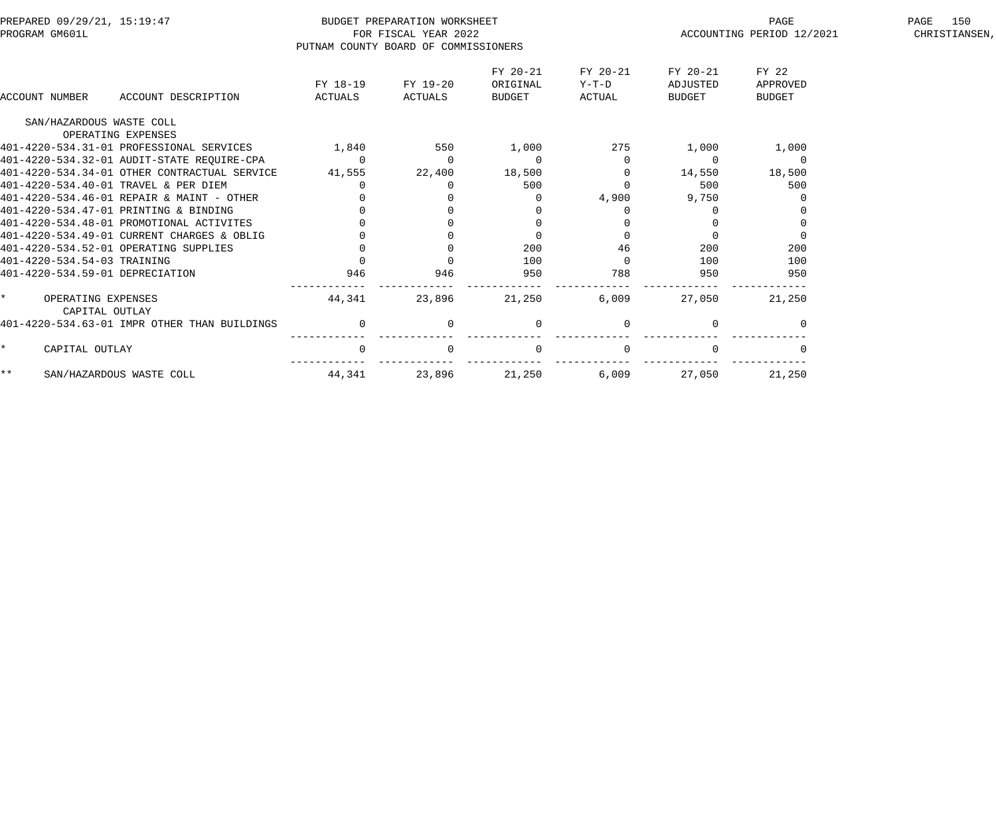|                     | PREPARED 09/29/21, 15:19:47<br>PROGRAM GM601L  |                                            |                                      | BUDGET PREPARATION WORKSHEET<br>FOR FISCAL YEAR 2022 |                                |                             |                                | PAGE<br>ACCOUNTING PERIOD 12/2021 | 150<br>PAGE<br>CHRISTIANSEN, |
|---------------------|------------------------------------------------|--------------------------------------------|--------------------------------------|------------------------------------------------------|--------------------------------|-----------------------------|--------------------------------|-----------------------------------|------------------------------|
|                     |                                                |                                            | PUTNAM COUNTY BOARD OF COMMISSIONERS |                                                      |                                |                             |                                |                                   |                              |
|                     | ACCOUNT NUMBER                                 | ACCOUNT DESCRIPTION                        | FY 18-19<br>ACTUALS                  | FY 19-20<br>ACTUALS                                  | FY 20-21<br>ORIGINAL<br>BUDGET | FY 20-21<br>Y-T-D<br>ACTUAL | FY 20-21<br>ADJUSTED<br>BUDGET | FY 22<br>APPROVED<br>BUDGET       |                              |
|                     |                                                |                                            |                                      |                                                      |                                |                             |                                |                                   |                              |
|                     | SAN/HAZARDOUS WASTE COLL<br>OPERATING EXPENSES |                                            |                                      |                                                      |                                |                             |                                |                                   |                              |
|                     | 401-4220-534.31-01 PROFESSIONAL SERVICES       |                                            | 1,840                                | 550                                                  | 1,000                          | 275                         | 1,000                          | 1,000                             |                              |
|                     |                                                | 401-4220-534.32-01 AUDIT-STATE REOUIRE-CPA | $\overline{0}$                       | $\overline{0}$                                       | $\overline{0}$                 |                             | $\overline{0}$                 | $\overline{0}$                    |                              |
|                     | 401-4220-534.34-01 OTHER CONTRACTUAL SERVICE   |                                            | 41,555                               | 22,400                                               | 18,500                         |                             | 14,550                         | 18,500                            |                              |
|                     | 401-4220-534.40-01 TRAVEL & PER DIEM           |                                            | $\overline{0}$                       |                                                      | 500                            |                             | 500                            | 500                               |                              |
|                     | 401-4220-534.46-01 REPAIR & MAINT - OTHER      |                                            |                                      |                                                      |                                | 4,900                       | 9,750                          |                                   |                              |
|                     | 401-4220-534.47-01 PRINTING & BINDING          |                                            |                                      |                                                      |                                |                             |                                |                                   |                              |
|                     | 401-4220-534.48-01 PROMOTIONAL ACTIVITES       |                                            |                                      |                                                      |                                |                             |                                |                                   |                              |
|                     | 401-4220-534.49-01 CURRENT CHARGES & OBLIG     |                                            |                                      |                                                      |                                |                             |                                |                                   |                              |
|                     | 401-4220-534.52-01 OPERATING SUPPLIES          |                                            |                                      |                                                      | 200                            | 46                          | 200                            | 200                               |                              |
|                     | 401-4220-534.54-03 TRAINING                    |                                            |                                      |                                                      | 100                            |                             | 100                            | 100                               |                              |
|                     | 401-4220-534.59-01 DEPRECIATION                |                                            | 946                                  | 946                                                  | 950                            | 788                         | 950                            | 950                               |                              |
| $\star$ and $\star$ | OPERATING EXPENSES<br>CAPITAL OUTLAY           |                                            | 44,341                               | 23,896                                               | 21,250                         | 6,009                       | 27,050                         | 21,250                            |                              |
|                     | 401-4220-534.63-01 IMPR OTHER THAN BUILDINGS   |                                            | $\overline{0}$                       |                                                      |                                |                             |                                |                                   |                              |
| $\star$             | CAPITAL OUTLAY                                 |                                            | $\Omega$                             |                                                      | $\Omega$                       |                             |                                |                                   |                              |
| $***$               | SAN/HAZARDOUS WASTE COLL                       |                                            | 44,341                               | 23,896                                               | 21,250                         | 6,009                       | 27,050                         | 21,250                            |                              |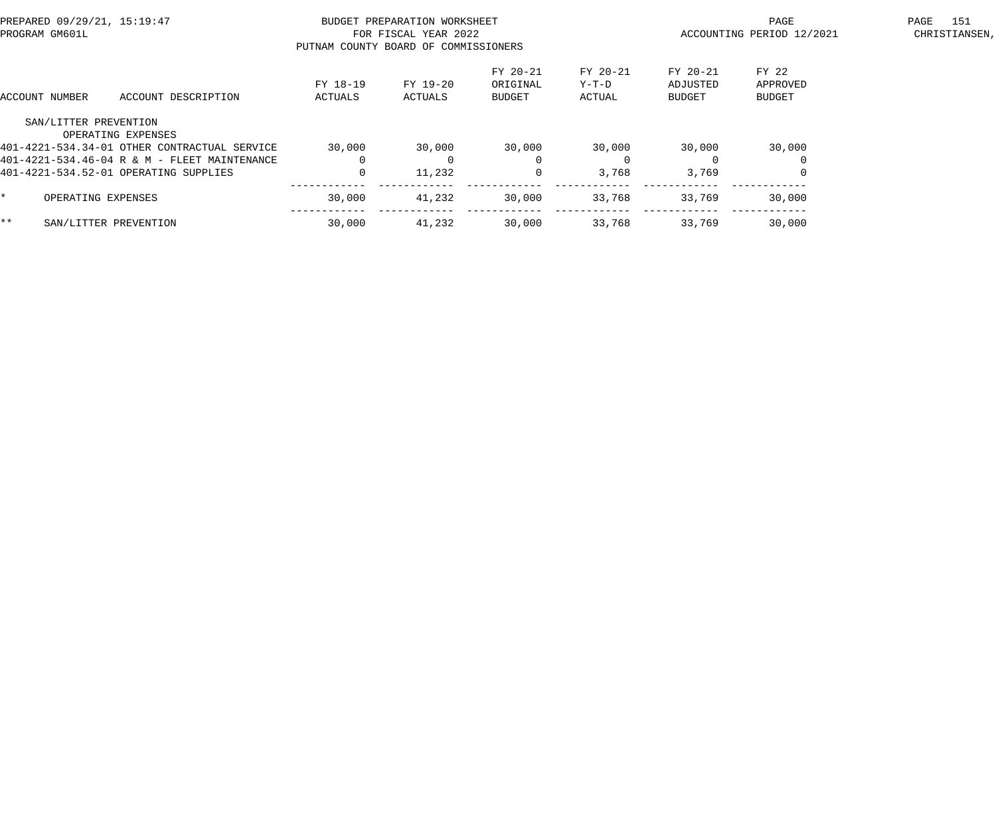| PREPARED 09/29/21, 15:19:47<br>PROGRAM GM601L |                                              | PUTNAM COUNTY BOARD OF COMMISSIONERS | BUDGET PREPARATION WORKSHEET<br>FOR FISCAL YEAR 2022 |                                |                             | PAGE<br>ACCOUNTING PERIOD 12/2021 | 151<br>PAGE<br>CHRISTIANSEN,       |  |
|-----------------------------------------------|----------------------------------------------|--------------------------------------|------------------------------------------------------|--------------------------------|-----------------------------|-----------------------------------|------------------------------------|--|
| ACCOUNT NUMBER                                | ACCOUNT DESCRIPTION                          | FY 18-19<br>ACTUALS                  | FY 19-20<br>ACTUALS                                  | FY 20-21<br>ORIGINAL<br>BUDGET | FY 20-21<br>Y-T-D<br>ACTUAL | FY 20-21<br>ADJUSTED<br>BUDGET    | FY 22<br>APPROVED<br><b>BUDGET</b> |  |
|                                               | SAN/LITTER PREVENTION<br>OPERATING EXPENSES  |                                      |                                                      |                                |                             |                                   |                                    |  |
|                                               | 401-4221-534.34-01 OTHER CONTRACTUAL SERVICE | 30,000                               | 30,000                                               | 30,000                         | 30,000                      | 30,000                            | 30,000                             |  |
|                                               | 401-4221-534.46-04 R & M - FLEET MAINTENANCE |                                      |                                                      | $\Omega$                       | $\Omega$                    |                                   |                                    |  |
|                                               | 401-4221-534.52-01 OPERATING SUPPLIES        |                                      | 11,232                                               | 0                              | 3,768                       | 3,769                             |                                    |  |
|                                               | OPERATING EXPENSES                           | 30,000                               | 41,232                                               | 30,000                         | 33,768                      | 33,769                            | 30,000                             |  |
| $***$                                         | SAN/LITTER PREVENTION                        | 30,000                               | 41,232                                               | 30,000                         | 33,768                      | 33,769                            | 30,000                             |  |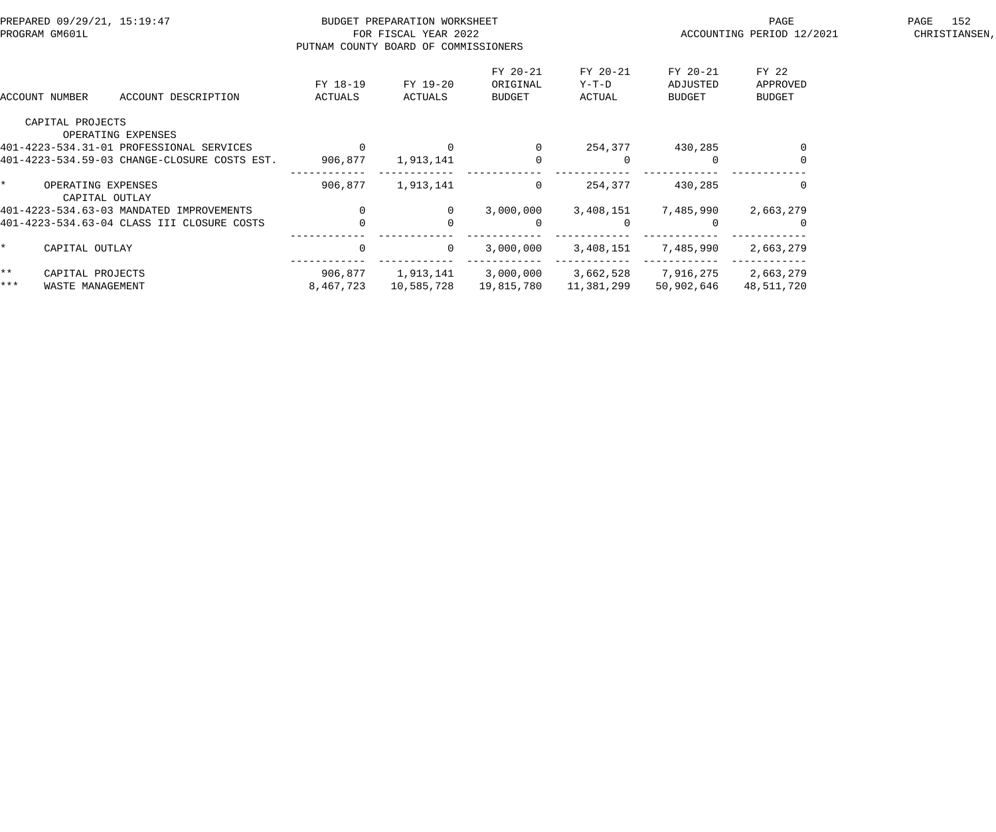| PREPARED 09/29/21, 15:19:47<br>PROGRAM GM601L |                                      |                                                                | BUDGET PREPARATION WORKSHEET<br>FOR FISCAL YEAR 2022<br>PUTNAM COUNTY BOARD OF COMMISSIONERS |                     |                                | PAGE<br>ACCOUNTING PERIOD 12/2021 | 152<br>PAGE<br>CHRISTIANSEN,   |                                    |  |
|-----------------------------------------------|--------------------------------------|----------------------------------------------------------------|----------------------------------------------------------------------------------------------|---------------------|--------------------------------|-----------------------------------|--------------------------------|------------------------------------|--|
|                                               | ACCOUNT NUMBER                       | ACCOUNT DESCRIPTION                                            | FY 18-19<br>ACTUALS                                                                          | FY 19-20<br>ACTUALS | FY 20-21<br>ORIGINAL<br>BUDGET | FY 20-21<br>Y-T-D<br>ACTUAL       | FY 20-21<br>ADJUSTED<br>BUDGET | FY 22<br>APPROVED<br><b>BUDGET</b> |  |
|                                               | CAPITAL PROJECTS                     |                                                                |                                                                                              |                     |                                |                                   |                                |                                    |  |
|                                               |                                      | OPERATING EXPENSES<br>401-4223-534.31-01 PROFESSIONAL SERVICES | $\overline{0}$                                                                               |                     | $\Omega$                       | 254,377                           | 430,285                        |                                    |  |
|                                               |                                      | 401-4223-534.59-03 CHANGE-CLOSURE COSTS EST.                   | 906,877                                                                                      | 1,913,141           | $\mathbf{0}$                   | $\Omega$                          |                                |                                    |  |
|                                               | OPERATING EXPENSES<br>CAPITAL OUTLAY |                                                                | 906,877                                                                                      | 1,913,141           | $\overline{0}$                 | 254,377                           | 430,285                        |                                    |  |
|                                               |                                      | 401-4223-534.63-03 MANDATED IMPROVEMENTS                       | $\overline{0}$                                                                               | $\overline{0}$      | 3,000,000                      | 3,408,151                         | 7,485,990                      | 2,663,279                          |  |
|                                               |                                      | 401-4223-534.63-04 CLASS III CLOSURE COSTS                     |                                                                                              |                     | 0                              | $\Omega$                          |                                |                                    |  |
|                                               | CAPITAL OUTLAY                       |                                                                | $\Omega$                                                                                     | $\overline{0}$      | 3,000,000                      | 3,408,151                         | 7,485,990                      | 2,663,279                          |  |
| $***$                                         | CAPITAL PROJECTS                     |                                                                | 906,877                                                                                      | 1,913,141           | 3,000,000                      | 3,662,528                         | 7,916,275                      | 2,663,279                          |  |
| $***$                                         | WASTE MANAGEMENT                     |                                                                | 8,467,723                                                                                    | 10,585,728          | 19,815,780                     | 11,381,299                        | 50,902,646                     | 48,511,720                         |  |
|                                               |                                      |                                                                |                                                                                              |                     |                                |                                   |                                |                                    |  |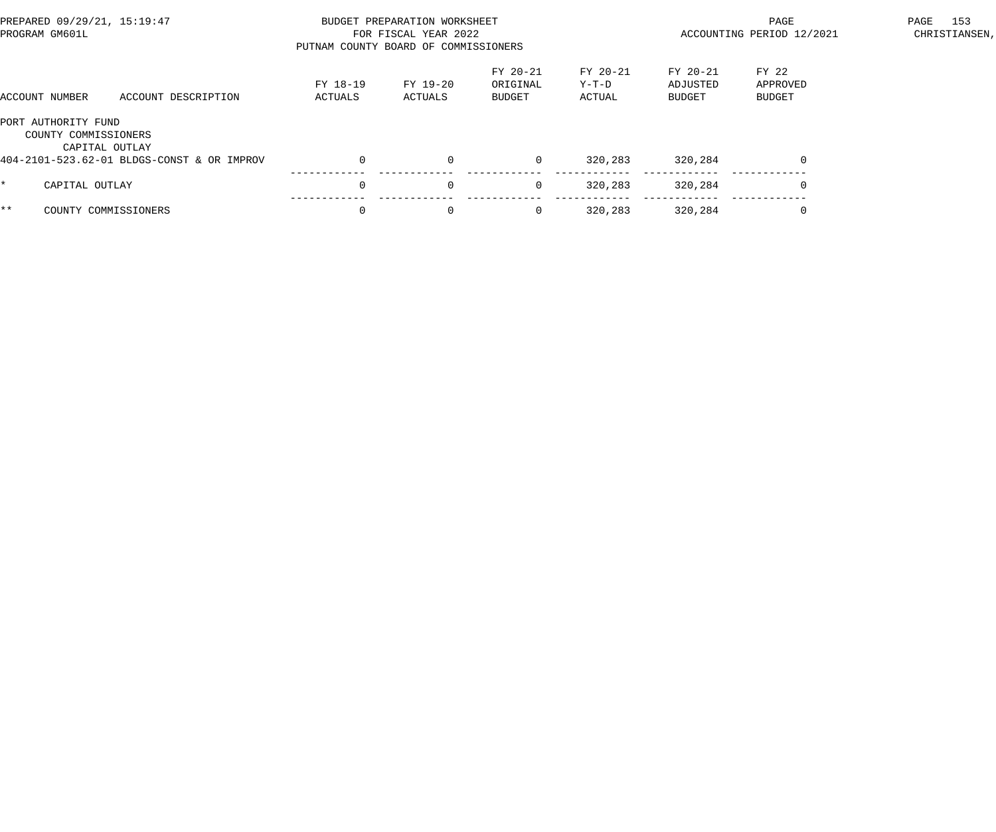| PREPARED 09/29/21, 15:19:47<br>PROGRAM GM601L                 |                     | BUDGET PREPARATION WORKSHEET<br>FOR FISCAL YEAR 2022<br>PUTNAM COUNTY BOARD OF COMMISSIONERS |                     |                                       |                             |                                | PAGE<br>ACCOUNTING PERIOD 12/2021 |  |  |
|---------------------------------------------------------------|---------------------|----------------------------------------------------------------------------------------------|---------------------|---------------------------------------|-----------------------------|--------------------------------|-----------------------------------|--|--|
| ACCOUNT NUMBER                                                | ACCOUNT DESCRIPTION | FY 18-19<br>ACTUALS                                                                          | FY 19-20<br>ACTUALS | FY 20-21<br>ORIGINAL<br><b>BUDGET</b> | FY 20-21<br>Y-T-D<br>ACTUAL | FY 20-21<br>ADJUSTED<br>BUDGET | FY 22<br>APPROVED<br>BUDGET       |  |  |
| PORT AUTHORITY FUND<br>COUNTY COMMISSIONERS<br>CAPITAL OUTLAY |                     |                                                                                              |                     |                                       |                             |                                |                                   |  |  |
| 404-2101-523.62-01 BLDGS-CONST & OR IMPROV                    |                     |                                                                                              | $\Omega$            | $\mathbf 0$                           | 320,283                     | 320,284                        | $\Omega$                          |  |  |
| CAPITAL OUTLAY<br>*.                                          |                     |                                                                                              | $\mathbf{0}$        | 0                                     | 320,283                     | 320,284                        |                                   |  |  |
| $***$<br>COUNTY COMMISSIONERS                                 |                     |                                                                                              | $\mathbf{0}$        | 0                                     | 320,283                     | 320,284                        |                                   |  |  |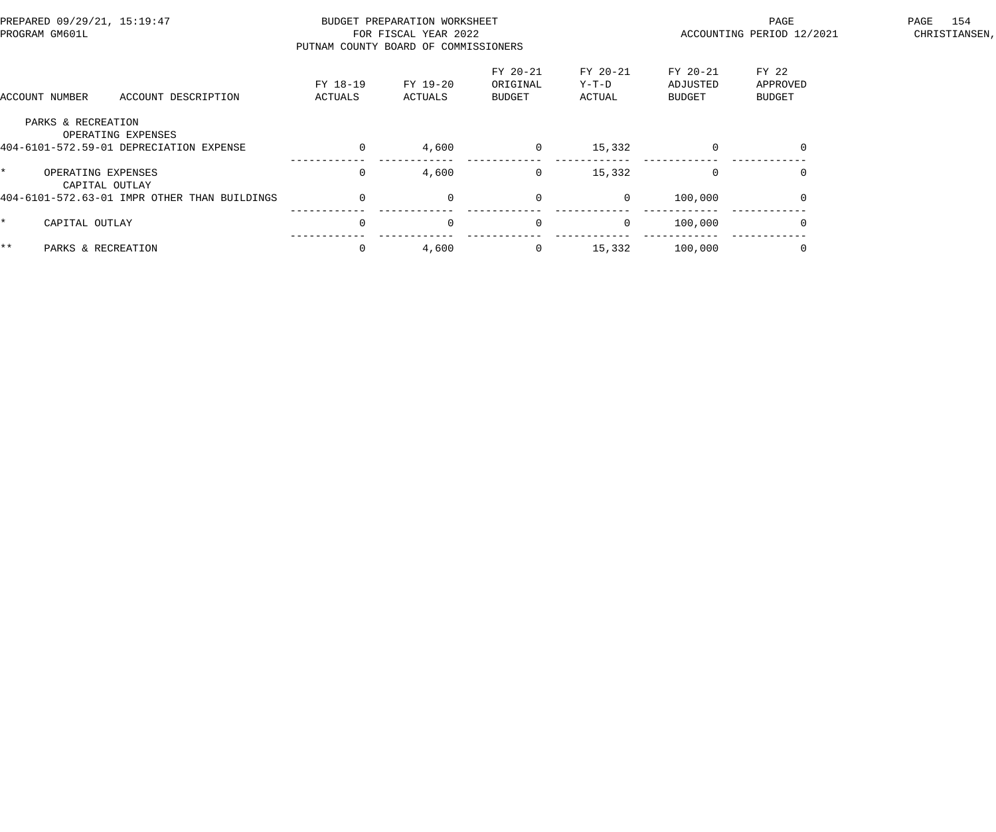| PREPARED 09/29/21, 15:19:47<br>PROGRAM GM601L                                       |                     | BUDGET PREPARATION WORKSHEET<br>FOR FISCAL YEAR 2022<br>PUTNAM COUNTY BOARD OF COMMISSIONERS |                                |                             | PAGE<br>ACCOUNTING PERIOD 12/2021 | 154<br>PAGE<br>CHRISTIANSEN, |  |
|-------------------------------------------------------------------------------------|---------------------|----------------------------------------------------------------------------------------------|--------------------------------|-----------------------------|-----------------------------------|------------------------------|--|
| ACCOUNT DESCRIPTION<br>ACCOUNT NUMBER                                               | FY 18-19<br>ACTUALS | FY 19-20<br>ACTUALS                                                                          | FY 20-21<br>ORIGINAL<br>BUDGET | FY 20-21<br>Y-T-D<br>ACTUAL | FY 20-21<br>ADJUSTED<br>BUDGET    | FY 22<br>APPROVED<br>BUDGET  |  |
| PARKS & RECREATION<br>OPERATING EXPENSES<br>404-6101-572.59-01 DEPRECIATION EXPENSE | $\Omega$            | 4,600                                                                                        | $\mathbf 0$                    | 15,332                      | $\Omega$                          | $\Omega$                     |  |
| $\star$<br>OPERATING EXPENSES<br>CAPITAL OUTLAY                                     | $\Omega$            | 4,600                                                                                        | $\mathbf 0$                    | 15,332                      | $\Omega$                          | $\Omega$                     |  |
| 404-6101-572.63-01 IMPR OTHER THAN BUILDINGS                                        | $\overline{0}$      | $\overline{0}$                                                                               | $\mathbf 0$                    | $\overline{0}$              | 100,000                           | $\overline{0}$               |  |
| $\star$<br>CAPITAL OUTLAY                                                           | $\Omega$            | $\mathbf 0$                                                                                  | $\overline{0}$                 | $\overline{0}$              | 100,000                           | 0                            |  |
| $***$<br>PARKS & RECREATION                                                         |                     | 4,600                                                                                        | $\overline{0}$                 | 15,332                      | 100,000                           |                              |  |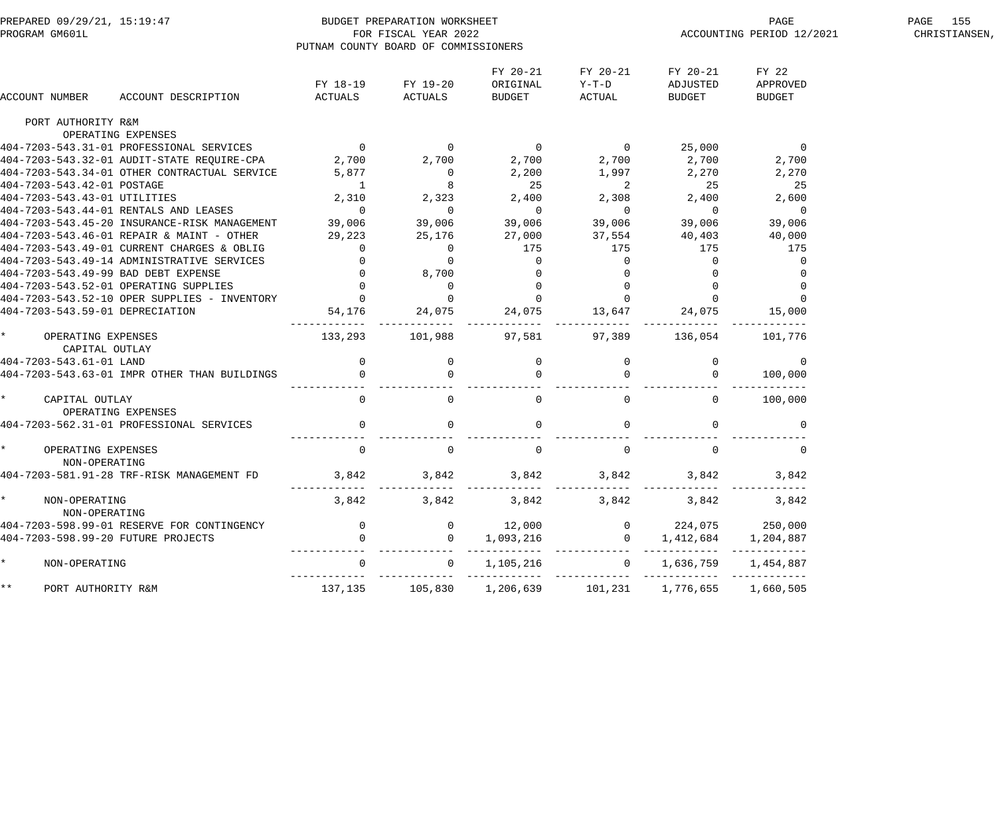| PREPARED 09/29/21, 15:19:47<br>PROGRAM GM601L |                                                                                                | PUTNAM COUNTY BOARD OF COMMISSIONERS | BUDGET PREPARATION WORKSHEET<br>FOR FISCAL YEAR 2022 |                                |                                         | ACCOUNTING PERIOD 12/2021      | PAGE 155<br>CHRISTIANSEN,          |  |
|-----------------------------------------------|------------------------------------------------------------------------------------------------|--------------------------------------|------------------------------------------------------|--------------------------------|-----------------------------------------|--------------------------------|------------------------------------|--|
| ACCOUNT NUMBER                                | ACCOUNT DESCRIPTION                                                                            | ACTUALS                              | FY 18-19 FY 19-20<br>ACTUALS                         | FY 20-21<br>ORIGINAL<br>BUDGET | FY 20-21<br>Y-T-D<br>ACTUAL             | FY 20-21<br>ADJUSTED<br>BUDGET | FY 22<br>APPROVED<br><b>BUDGET</b> |  |
| PORT AUTHORITY R&M                            |                                                                                                |                                      |                                                      |                                |                                         |                                |                                    |  |
| OPERATING EXPENSES                            |                                                                                                |                                      |                                                      |                                |                                         |                                | $\overline{0}$                     |  |
|                                               | 404-7203-543.31-01 PROFESSIONAL SERVICES 0<br>404-7203-543.32-01 AUDIT-STATE REQUIRE-CPA 2,700 |                                      |                                                      | $\overline{0}$                 | $\overline{0}$<br>2,700                 | 25,000                         |                                    |  |
|                                               |                                                                                                |                                      | 2,700                                                | 2,700                          |                                         | 2,700                          | 2,700                              |  |
|                                               | 404-7203-543.34-01 OTHER CONTRACTUAL SERVICE                                                   | 5,877                                | $\overline{0}$<br>$\overline{\phantom{a}}$ 8         | 2,200                          | $1,997$ 2,270                           |                                | 2,270                              |  |
| 404-7203-543.42-01 POSTAGE                    |                                                                                                | $\overline{1}$                       | 2,310 2,323                                          | 25<br>2,400                    | $\overline{\phantom{a}}$                | 25                             | 25                                 |  |
| 404-7203-543.43-01 UTILITIES                  |                                                                                                |                                      | $\overline{0}$                                       |                                | 2,308 2,400                             | $\overline{0}$                 | 2,600                              |  |
|                                               | 404-7203-543.44-01 RENTALS AND LEASES 0                                                        |                                      | 39,006                                               | $\overline{0}$                 | $\overline{0}$<br>ں<br>39,006           |                                | - 0                                |  |
|                                               | 404-7203-543.45-20 INSURANCE-RISK MANAGEMENT 39,006                                            |                                      |                                                      | 39,006                         |                                         | 39,006                         | 39,006                             |  |
|                                               | 404-7203-543.46-01 REPAIR & MAINT - OTHER                                                      | 29,223                               | 25,176                                               | 27,000                         | 37,554                                  | 40,403                         | 40,000                             |  |
|                                               | 404-7203-543.49-01 CURRENT CHARGES & OBLIG                                                     |                                      |                                                      | 175                            | 175                                     | 175                            | 175                                |  |
|                                               | 404-7203-543.49-14 ADMINISTRATIVE SERVICES                                                     |                                      |                                                      | $\mathbf{0}$                   |                                         | $\overline{0}$                 |                                    |  |
| 404-7203-543.49-99 BAD DEBT EXPENSE           |                                                                                                |                                      |                                                      |                                |                                         | 0                              |                                    |  |
| 404-7203-543.52-01 OPERATING SUPPLIES         |                                                                                                |                                      |                                                      |                                |                                         | - 0                            |                                    |  |
|                                               | 404-7203-543.52-10 OPER SUPPLIES - INVENTORY                                                   |                                      |                                                      |                                |                                         |                                |                                    |  |
| 404-7203-543.59-01 DEPRECIATION               |                                                                                                |                                      |                                                      | 24,075                         | 0<br>0<br>0<br>0<br>5<br>13,647<br>---- | 24,075                         | 15,000                             |  |
| * OPERATING EXPENSES<br>CAPITAL OUTLAY        |                                                                                                | 133, 293 101, 988                    |                                                      | 97,581                         |                                         | 97,389 136,054 101,776         |                                    |  |
| 404-7203-543.61-01 LAND                       |                                                                                                |                                      |                                                      |                                |                                         | 0                              | $\overline{0}$                     |  |
|                                               | 404-7203-543.63-01 IMPR OTHER THAN BUILDINGS                                                   |                                      |                                                      |                                |                                         |                                | 100,000                            |  |
|                                               |                                                                                                |                                      |                                                      |                                |                                         |                                |                                    |  |
| * CAPITAL OUTLAY<br>OPERATING EXPENSES        |                                                                                                | $\overline{0}$                       | $\overline{0}$                                       | $\mathbf 0$                    | $\Omega$                                | $\overline{0}$                 | 100,000                            |  |
|                                               | 404-7203-562.31-01 PROFESSIONAL SERVICES                                                       | $\overline{0}$                       | $\mathbf 0$                                          | $\overline{0}$                 |                                         | $\overline{0}$                 | 0                                  |  |
| * OPERATING EXPENSES<br>NON-OPERATING         |                                                                                                | $\overline{0}$                       | $\mathbf{0}$                                         | $\overline{0}$                 | $\Omega$                                | $\Omega$                       | 0                                  |  |
|                                               | 404-7203-581.91-28 TRF-RISK MANAGEMENT FD                                                      | 3,842                                | 3,842                                                | 3,842                          | 3,842                                   | 3,842                          | 3,842                              |  |
| NON-OPERATING<br>NON-OPERATING                |                                                                                                | 3,842                                | 3,842                                                | 3,842                          | 3,842                                   | 3,842                          | 3,842                              |  |
|                                               | 404-7203-598.99-01 RESERVE FOR CONTINGENCY                                                     | $\mathsf{O}$                         | $\overline{0}$                                       | 12,000                         | $\overline{0}$                          | 224,075                        | 250,000                            |  |
| 404-7203-598.99-20 FUTURE PROJECTS            |                                                                                                | $\mathbf{0}$                         | $\Omega$                                             | 1,093,216                      | $\Omega$                                | 1,412,684                      | 1,204,887                          |  |
| $\star$<br>NON-OPERATING                      |                                                                                                | $\mathbf 0$                          | $\overline{0}$                                       | 1,105,216                      | $\overline{0}$                          | 1,636,759                      | 1,454,887                          |  |
| * *<br>PORT AUTHORITY R&M                     |                                                                                                | 137,135                              | 105,830                                              | 1,206,639                      | 101,231                                 | 1,776,655                      | 1,660,505                          |  |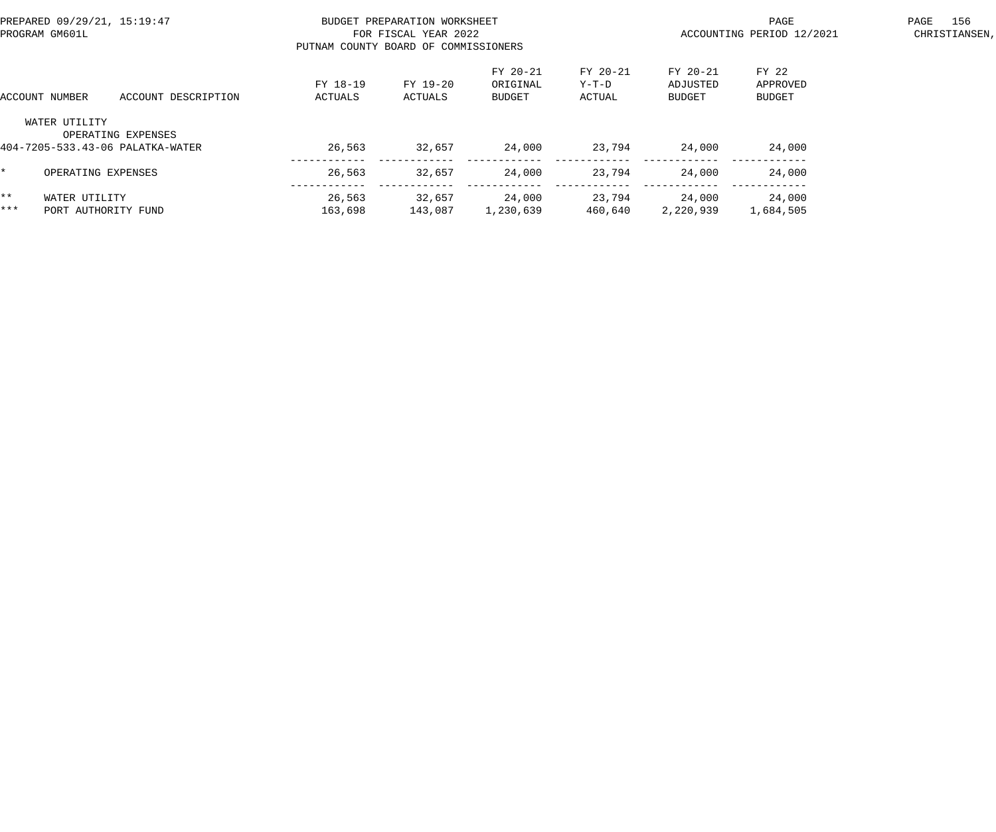| PREPARED 09/29/21, 15:19:47<br>PROGRAM GM601L |                                      |                                                        | PUTNAM COUNTY BOARD OF COMMISSIONERS | BUDGET PREPARATION WORKSHEET<br>FOR FISCAL YEAR 2022 |                                       |                             | PAGE<br>ACCOUNTING PERIOD 12/2021     | PAGE                               | 156<br>CHRISTIANSEN, |  |
|-----------------------------------------------|--------------------------------------|--------------------------------------------------------|--------------------------------------|------------------------------------------------------|---------------------------------------|-----------------------------|---------------------------------------|------------------------------------|----------------------|--|
| ACCOUNT DESCRIPTION<br>ACCOUNT NUMBER         |                                      |                                                        | FY 18-19<br>ACTUALS                  | FY 19-20<br>ACTUALS                                  | FY 20-21<br>ORIGINAL<br><b>BUDGET</b> | FY 20-21<br>Y-T-D<br>ACTUAL | FY 20-21<br>ADJUSTED<br><b>BUDGET</b> | FY 22<br>APPROVED<br><b>BUDGET</b> |                      |  |
|                                               | WATER UTILITY                        | OPERATING EXPENSES<br>404-7205-533.43-06 PALATKA-WATER | 26,563                               | 32,657                                               | 24,000                                | 23,794                      | 24,000                                | 24,000                             |                      |  |
|                                               | OPERATING EXPENSES                   |                                                        | 26,563                               | 32,657                                               | 24,000                                | 23,794                      | 24,000                                | 24,000                             |                      |  |
| * *<br>***                                    | WATER UTILITY<br>PORT AUTHORITY FUND |                                                        | 26,563<br>163,698                    | 32,657<br>143,087                                    | 24,000<br>1,230,639                   | 23,794<br>460,640           | 24,000<br>2,220,939                   | 24,000<br>1,684,505                |                      |  |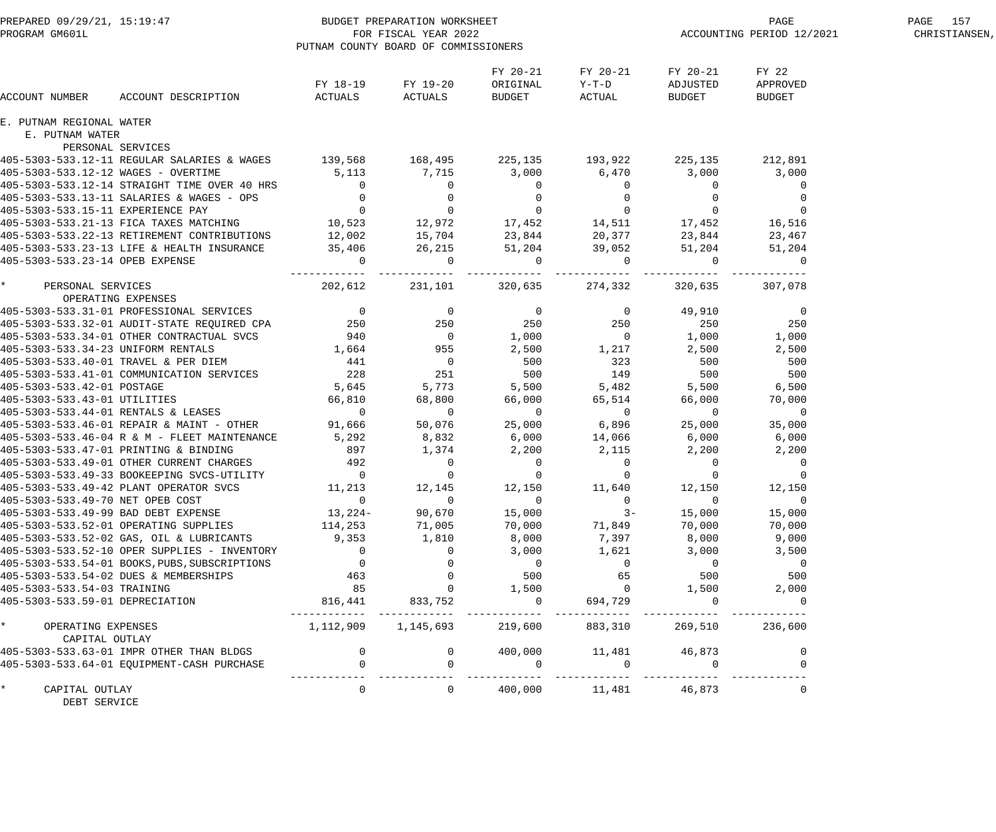| PREPARED 09/29/21, 15:19:47<br>PROGRAM GM601L |                                               | BUDGET PREPARATION WORKSHEET<br>FOR FISCAL YEAR 2022<br>PUTNAM COUNTY BOARD OF COMMISSIONERS      |                                            |                                                                                                      |                                    |                                | PAGE<br>ACCOUNTING PERIOD 12/2021  | PAGE 157<br>CHRISTIANSEN, |
|-----------------------------------------------|-----------------------------------------------|---------------------------------------------------------------------------------------------------|--------------------------------------------|------------------------------------------------------------------------------------------------------|------------------------------------|--------------------------------|------------------------------------|---------------------------|
| ACCOUNT NUMBER                                | ACCOUNT DESCRIPTION                           | FY 18-19<br>ACTUALS                                                                               | FY 19-20<br>ACTUALS                        | FY 20-21<br>ORIGINAL<br>BUDGET                                                                       | FY 20-21<br>$Y-T-D$<br>ACTUAL      | FY 20-21<br>ADJUSTED<br>BUDGET | FY 22<br>APPROVED<br><b>BUDGET</b> |                           |
| E. PUTNAM REGIONAL WATER                      |                                               |                                                                                                   |                                            |                                                                                                      |                                    |                                |                                    |                           |
| E. PUTNAM WATER                               |                                               |                                                                                                   |                                            |                                                                                                      |                                    |                                |                                    |                           |
| PERSONAL SERVICES                             |                                               |                                                                                                   |                                            |                                                                                                      |                                    |                                |                                    |                           |
|                                               | 405-5303-533.12-11 REGULAR SALARIES & WAGES   | 139,568 168,495                                                                                   |                                            | 225,135                                                                                              |                                    | 193,922 225,135                | 212,891                            |                           |
| 405-5303-533.12-12 WAGES - OVERTIME           |                                               | 5,113                                                                                             | 7,715                                      | 3,000                                                                                                | 6,470                              | 3,000                          | 3,000                              |                           |
|                                               | 405-5303-533.12-14 STRAIGHT TIME OVER 40 HRS  | $\overline{0}$                                                                                    | $\overline{0}$                             | $\overline{0}$                                                                                       | $\overline{0}$                     | - 0                            | $\overline{0}$                     |                           |
|                                               | 405-5303-533.13-11 SALARIES & WAGES - OPS     | $\overline{0}$<br>$\begin{array}{c}0\\0\\10\,,\,523\end{array}$                                   |                                            |                                                                                                      |                                    |                                | $\overline{0}$                     |                           |
| 405-5303-533.15-11 EXPERIENCE PAY             |                                               |                                                                                                   | $\begin{array}{c} 0 \\ 0 \end{array}$      |                                                                                                      |                                    |                                | $\overline{0}$                     |                           |
|                                               | 405-5303-533.21-13 FICA TAXES MATCHING        |                                                                                                   | $\begin{array}{c} 0 \\ 12,972 \end{array}$ | $\begin{array}{cccc} & 0 & & 0 & & 0 \\ & 0 & & 0 & & 0 \\ 17,452 & & 14,511 & & 17,452 \end{array}$ |                                    |                                | 16,516                             |                           |
|                                               | 405-5303-533.22-13 RETIREMENT CONTRIBUTIONS   | 12,002                                                                                            | 15,704                                     | 23,844                                                                                               | 20,377                             | 23,844                         | 23,467                             |                           |
|                                               | 405-5303-533.23-13 LIFE & HEALTH INSURANCE    | 35,406                                                                                            | 26,215                                     | 51,204                                                                                               | 39,052                             | 51,204                         | 51,204                             |                           |
| 405-5303-533.23-14 OPEB EXPENSE               |                                               | $\overline{0}$                                                                                    | $\Omega$                                   | $\overline{0}$                                                                                       | $\mathbf 0$                        | $\overline{0}$                 | $\overline{0}$                     |                           |
| $\star$<br>PERSONAL SERVICES                  |                                               | 202,612                                                                                           | 231,101                                    | 320,635                                                                                              | 274,332                            | 320,635                        | 307,078                            |                           |
| OPERATING EXPENSES                            |                                               |                                                                                                   |                                            |                                                                                                      |                                    |                                |                                    |                           |
|                                               | 405-5303-533.31-01 PROFESSIONAL SERVICES      | $\overline{0}$                                                                                    | $\overline{\phantom{0}}$                   | $\overline{0}$                                                                                       | $\overline{0}$                     | 49,910                         | $\overline{\phantom{0}}$           |                           |
|                                               | 405-5303-533.32-01 AUDIT-STATE REQUIRED CPA   | 250                                                                                               | 250                                        | 250                                                                                                  | 250                                | 250                            | 250                                |                           |
|                                               | 405-5303-533.34-01 OTHER CONTRACTUAL SVCS     | 940                                                                                               | $\overline{0}$                             | 1,000                                                                                                | $\overline{0}$                     | 1,000                          | 1,000                              |                           |
| 405-5303-533.34-23 UNIFORM RENTALS            |                                               | 1,664                                                                                             | 955                                        | 2,500                                                                                                | 1,217                              | 2,500                          | 2,500                              |                           |
| 405-5303-533.40-01 TRAVEL & PER DIEM          |                                               | 441                                                                                               | $\overline{0}$                             | 500                                                                                                  | 323                                | 500                            | 500                                |                           |
|                                               | 405-5303-533.41-01 COMMUNICATION SERVICES     | 228                                                                                               | 251                                        | 500                                                                                                  | 149                                | 500                            | 500                                |                           |
| 405-5303-533.42-01 POSTAGE                    |                                               | 5,645                                                                                             | 5,773                                      | 5,500                                                                                                | 5,482                              | 5,500                          | 6,500                              |                           |
| 405-5303-533.43-01 UTILITIES                  |                                               | 66,810                                                                                            | 68,800                                     | 66,000                                                                                               | 65,514                             | 66,000                         | 70,000                             |                           |
| 405-5303-533.44-01 RENTALS & LEASES           |                                               | $\overline{0}$                                                                                    | $\mathbf 0$                                | $\overline{0}$                                                                                       | $\overline{0}$                     | $\overline{0}$                 | $\overline{0}$                     |                           |
|                                               | 405-5303-533.46-01 REPAIR & MAINT - OTHER     | 91,666                                                                                            | 50,076                                     | 25,000                                                                                               | 6,896                              | 25,000                         | 35,000                             |                           |
|                                               | 405-5303-533.46-04 R & M - FLEET MAINTENANCE  | 5,292                                                                                             | 8,832                                      | 6,000                                                                                                | 14,066                             | 6,000                          | 6,000                              |                           |
| 405-5303-533.47-01 PRINTING & BINDING         |                                               | 897                                                                                               | 1,374                                      | 2,200                                                                                                | 2,115                              | 2,200                          | 2,200                              |                           |
|                                               | 405-5303-533.49-01 OTHER CURRENT CHARGES      | 492                                                                                               | $\overline{0}$                             | $\overline{0}$                                                                                       | $\overline{0}$                     | $\overline{0}$                 | 0                                  |                           |
|                                               | 405-5303-533.49-33 BOOKEEPING SVCS-UTILITY    | $\overline{0}$                                                                                    | $\overline{0}$                             | $\mathbf 0$                                                                                          | $\mathbf 0$                        | $\overline{0}$                 |                                    |                           |
|                                               | 405-5303-533.49-42 PLANT OPERATOR SVCS        | 11,213                                                                                            | 12,145                                     | 12,150                                                                                               | 11,640                             | 12,150                         | 12,150                             |                           |
| 405-5303-533.49-70 NET OPEB COST              |                                               | $\overline{0}$                                                                                    | $\overline{0}$                             | $\overline{0}$                                                                                       | $\overline{\phantom{a}}$           | $\overline{0}$                 | $\overline{0}$                     |                           |
|                                               | 405-5303-533.49-99 BAD DEBT EXPENSE           | $13,224-$                                                                                         | 90,670                                     | 15,000                                                                                               | $3-$                               | 15,000                         | 15,000                             |                           |
|                                               | 405-5303-533.52-01 OPERATING SUPPLIES         | 114,253                                                                                           | 71,005                                     |                                                                                                      | $70,000$ $71,849$                  | 70,000                         | 70,000                             |                           |
|                                               | 405-5303-533.52-02 GAS, OIL & LUBRICANTS      | 9,353                                                                                             | 1,810                                      | 8,000                                                                                                | 7,397                              | 8,000                          | 9,000                              |                           |
|                                               | 405-5303-533.52-10 OPER SUPPLIES - INVENTORY  | $\overline{0}$                                                                                    |                                            | 3,000                                                                                                | 1,621                              | 3,000                          | 3,500                              |                           |
|                                               | 405-5303-533.54-01 BOOKS, PUBS, SUBSCRIPTIONS |                                                                                                   |                                            |                                                                                                      |                                    | $\overline{0}$                 | $\overline{0}$                     |                           |
|                                               | 405-5303-533.54-02 DUES & MEMBERSHIPS         |                                                                                                   |                                            | $\begin{array}{c}0\\500\end{array}$                                                                  | $\begin{array}{c}0\\65\end{array}$ | 500                            | 500                                |                           |
| 405-5303-533.54-03 TRAINING                   |                                               |                                                                                                   |                                            | 1,500                                                                                                | $\overline{0}$                     | 1,500                          | 2,000                              |                           |
| 405-5303-533.59-01 DEPRECIATION               |                                               | $\begin{array}{cccc} & 0 & & 0 \\ & 463 & & 0 \\ & 85 & & 0 \\ & 816,441 & & 833,752 \end{array}$ |                                            | $\overline{0}$                                                                                       | 694,729                            | $\overline{0}$                 | $\overline{0}$                     |                           |
| * OPERATING EXPENSES                          |                                               | 1, 112, 909 1, 145, 693                                                                           |                                            |                                                                                                      |                                    | 219,600 883,310 269,510        | 236,600                            |                           |
| CAPITAL OUTLAY                                |                                               |                                                                                                   |                                            |                                                                                                      |                                    |                                |                                    |                           |
|                                               | 405-5303-533.63-01 IMPR OTHER THAN BLDGS      |                                                                                                   |                                            |                                                                                                      |                                    |                                |                                    |                           |
|                                               | 405-5303-533.64-01 EQUIPMENT-CASH PURCHASE    | $\begin{matrix} 0 \\ 0 \end{matrix}$                                                              |                                            | $\overline{0}$                                                                                       |                                    | $400,000$ 11, $481$ $46,873$ 0 |                                    |                           |
| CAPITAL OUTLAY<br>DEBT SERVICE                |                                               | $\overline{0}$                                                                                    | $\overline{0}$                             |                                                                                                      | 400,000   11,481   46,873          |                                | $\overline{0}$                     |                           |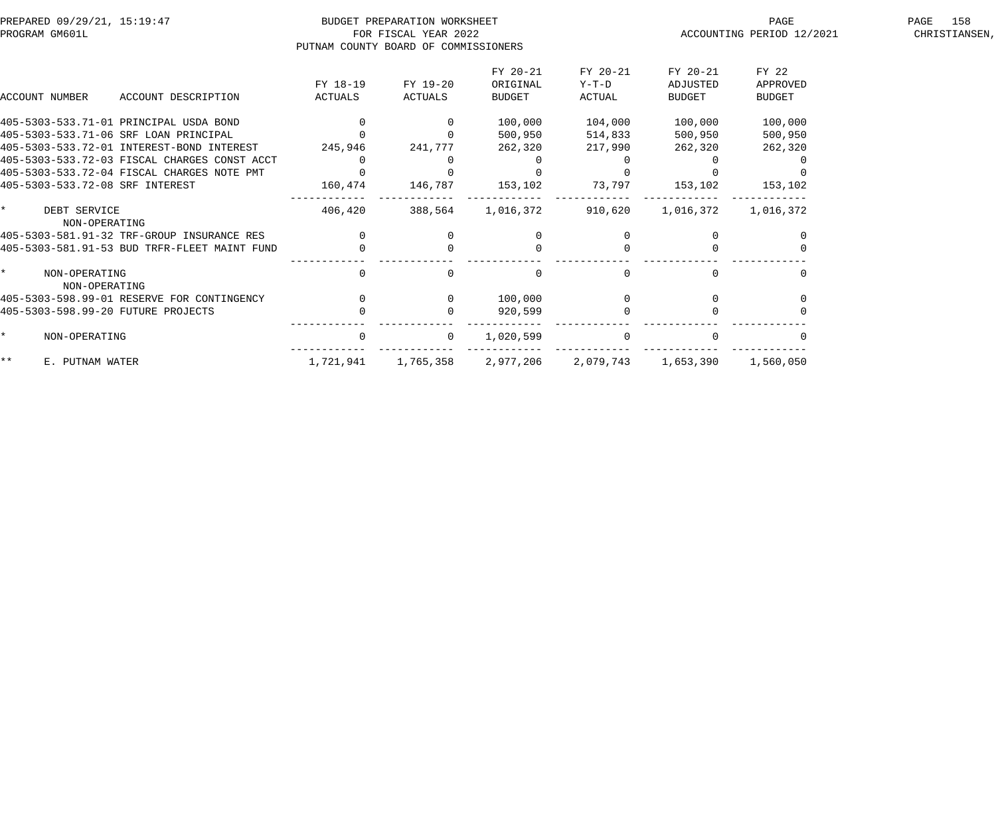| PREPARED 09/29/21, 15:19:47<br>PROGRAM GM601L |                     | BUDGET PREPARATION WORKSHEET<br>FOR FISCAL YEAR 2022<br>PUTNAM COUNTY BOARD OF COMMISSIONERS |                     |                                       | ACCOUNTING PERIOD 12/2021     | 158<br>PAGE<br>CHRISTIANSEN,          |                                    |  |
|-----------------------------------------------|---------------------|----------------------------------------------------------------------------------------------|---------------------|---------------------------------------|-------------------------------|---------------------------------------|------------------------------------|--|
| <b>ACCOUNT NUMBER</b>                         | ACCOUNT DESCRIPTION | FY 18-19<br>ACTUALS                                                                          | FY 19-20<br>ACTUALS | FY 20-21<br>ORIGINAL<br><b>BUDGET</b> | FY 20-21<br>$Y-T-D$<br>ACTUAL | FY 20-21<br>ADJUSTED<br><b>BUDGET</b> | FY 22<br>APPROVED<br><b>BUDGET</b> |  |
| 405-5303-533.71-01 PRINCIPAL USDA BOND        |                     |                                                                                              |                     | 100,000                               | 104,000                       | 100,000                               | 100,000                            |  |
| 405-5303-533.71-06 SRF LOAN PRINCIPAL         |                     |                                                                                              |                     | 500,950                               | 514,833                       | 500,950                               | 500,950                            |  |
| 405-5303-533.72-01 INTEREST-BOND INTEREST     |                     | 245,946                                                                                      | 241,777             | 262,320                               | 217,990                       | 262,320                               | 262,320                            |  |
| 405-5303-533.72-03 FISCAL CHARGES CONST ACCT  |                     | 0                                                                                            |                     |                                       | 0                             |                                       |                                    |  |
| 405-5303-533.72-04 FISCAL CHARGES NOTE PMT    |                     |                                                                                              |                     |                                       |                               |                                       |                                    |  |
| 405-5303-533.72-08 SRF INTEREST               |                     | 160,474                                                                                      | 146,787             | 153,102                               | 73,797                        | 153,102                               | 153,102                            |  |
| $\star$<br>DEBT SERVICE<br>NON-OPERATING      |                     | 406,420                                                                                      | 388,564             | 1,016,372                             | 910,620                       | 1,016,372                             | 1,016,372                          |  |
| 405-5303-581.91-32 TRF-GROUP INSURANCE RES    |                     |                                                                                              |                     | $\Omega$                              |                               |                                       |                                    |  |
| 405-5303-581.91-53 BUD TRFR-FLEET MAINT FUND  |                     | $\overline{0}$                                                                               |                     | $\Omega$                              |                               |                                       |                                    |  |
| $\star$<br>NON-OPERATING<br>NON-OPERATING     |                     | 0                                                                                            |                     | $\Omega$                              | $\Omega$                      |                                       |                                    |  |
| 405-5303-598.99-01 RESERVE FOR CONTINGENCY    |                     | $\overline{0}$                                                                               |                     | 100,000                               |                               |                                       |                                    |  |
| 405-5303-598.99-20 FUTURE PROJECTS            |                     |                                                                                              |                     | 920,599                               |                               |                                       |                                    |  |
| $\star$<br>NON-OPERATING                      |                     | $\overline{0}$                                                                               | $\Omega$            | 1,020,599                             | $\Omega$                      |                                       |                                    |  |
| $\star\star$<br>E. PUTNAM WATER               |                     | 1,721,941                                                                                    | 1,765,358           | 2,977,206                             | 2,079,743                     | 1,653,390                             | 1,560,050                          |  |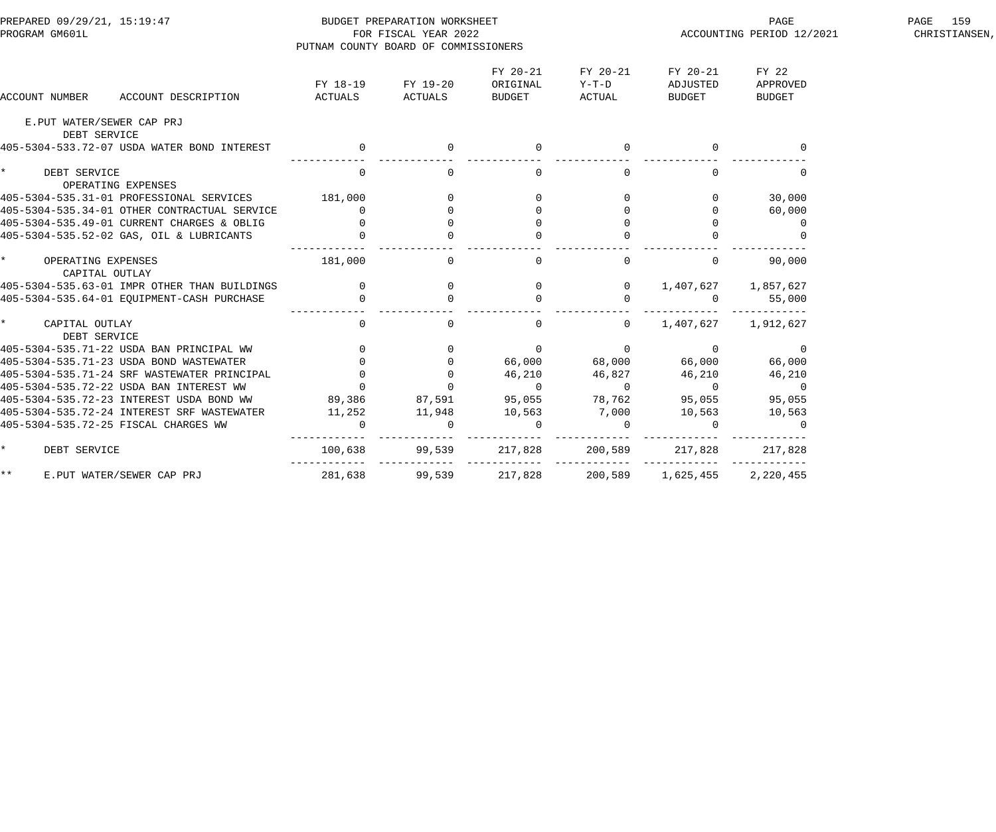| PREPARED 09/29/21, 15:19:47<br>PROGRAM GM601L    | PUTNAM COUNTY BOARD OF COMMISSIONERS | BUDGET PREPARATION WORKSHEET<br>FOR FISCAL YEAR 2022 |                                                      |                                            | PAGE<br>PAGE PAGE<br>ACCOUNTING PERIOD 12/2021 | PAGE 159<br>CHRISTIANSEN,   |  |
|--------------------------------------------------|--------------------------------------|------------------------------------------------------|------------------------------------------------------|--------------------------------------------|------------------------------------------------|-----------------------------|--|
| ACCOUNT DESCRIPTION<br>ACCOUNT NUMBER            | ACTUALS                              | FY 18-19 FY 19-20<br><b>ACTUALS</b>                  | FY 20-21<br>ORIGINAL<br><b>BUDGET</b>                | FY 20-21<br>$Y-T-D$<br>ACTUAL              | FY 20-21<br>ADJUSTED<br>BUDGET                 | FY 22<br>APPROVED<br>BUDGET |  |
| E.PUT WATER/SEWER CAP PRJ                        |                                      |                                                      |                                                      |                                            |                                                |                             |  |
| DEBT SERVICE                                     |                                      |                                                      |                                                      |                                            |                                                |                             |  |
| 405-5304-533.72-07 USDA WATER BOND INTEREST      | $\overline{0}$                       |                                                      |                                                      |                                            |                                                |                             |  |
| $\star$<br>DEBT SERVICE<br>OPERATING EXPENSES    | $\overline{0}$                       | $\overline{0}$                                       | $\overline{0}$                                       | $\overline{0}$                             | $\overline{0}$                                 | $\mathbf{0}$                |  |
| 405-5304-535.31-01 PROFESSIONAL SERVICES 181,000 |                                      |                                                      |                                                      | $\overline{0}$                             |                                                | 30,000                      |  |
| 405-5304-535.34-01 OTHER CONTRACTUAL SERVICE     | $\overline{0}$                       | $\begin{array}{c} 0 \\ 0 \end{array}$                |                                                      | $\begin{array}{c} 0 \\ 0 \\ 0 \end{array}$ | $\overline{0}$                                 | 60,000                      |  |
| 405-5304-535.49-01 CURRENT CHARGES & OBLIG       |                                      | $\overline{0}$                                       |                                                      |                                            | $\overline{0}$                                 | $\overline{0}$              |  |
| 405-5304-535.52-02 GAS, OIL & LUBRICANTS         | $\begin{matrix} 0 \\ 0 \end{matrix}$ |                                                      |                                                      |                                            |                                                |                             |  |
| $\star$<br>OPERATING EXPENSES<br>CAPITAL OUTLAY  | 181,000                              | $\Omega$                                             | $\overline{0}$                                       | $\overline{0}$                             | $\overline{0}$                                 | 90,000                      |  |
|                                                  |                                      |                                                      |                                                      |                                            | 1,407,627 1,857,627                            |                             |  |
|                                                  |                                      |                                                      | $\begin{matrix}0&&&&0\\&0&&&&0\\0&&&&&0\end{matrix}$ |                                            | $\overline{0}$                                 | 55,000                      |  |
| $\star$<br>CAPITAL OUTLAY<br>DEBT SERVICE        | $\overline{0}$                       | $\overline{0}$                                       | $\mathbf{0}$                                         | $\overline{0}$                             | 1,407,627 1,912,627                            |                             |  |
|                                                  |                                      |                                                      | $\overline{0}$                                       |                                            |                                                |                             |  |
|                                                  |                                      |                                                      |                                                      |                                            |                                                | 66,000                      |  |
|                                                  |                                      |                                                      | 46,210                                               |                                            |                                                | 46,210                      |  |
|                                                  |                                      |                                                      | $\overline{0}$                                       |                                            |                                                | $\overline{0}$              |  |
|                                                  |                                      | 87,591                                               | 95,055                                               | 46,827<br>0 0 0<br>78,762 95,055           |                                                | 95,055                      |  |
| 405-5304-535.72-24 INTEREST SRF WASTEWATER       | 11,252                               | 11,948                                               | 10,563                                               | 7,000                                      | 10,563                                         | 10,563                      |  |
| 405-5304-535.72-25 FISCAL CHARGES WW             |                                      |                                                      | $\mathbf 0$                                          |                                            |                                                | $\overline{0}$              |  |
| $\star$<br>DEBT SERVICE                          | 100,638                              | 99,539                                               | 217,828                                              | 200,589                                    | 217,828                                        | 217,828                     |  |
| $\star \star$<br>E.PUT WATER/SEWER CAP PRJ       |                                      | ------------<br>281,638 99,539                       | _____________<br>217,828                             | 200,589                                    | 1,625,455                                      | 2,220,455                   |  |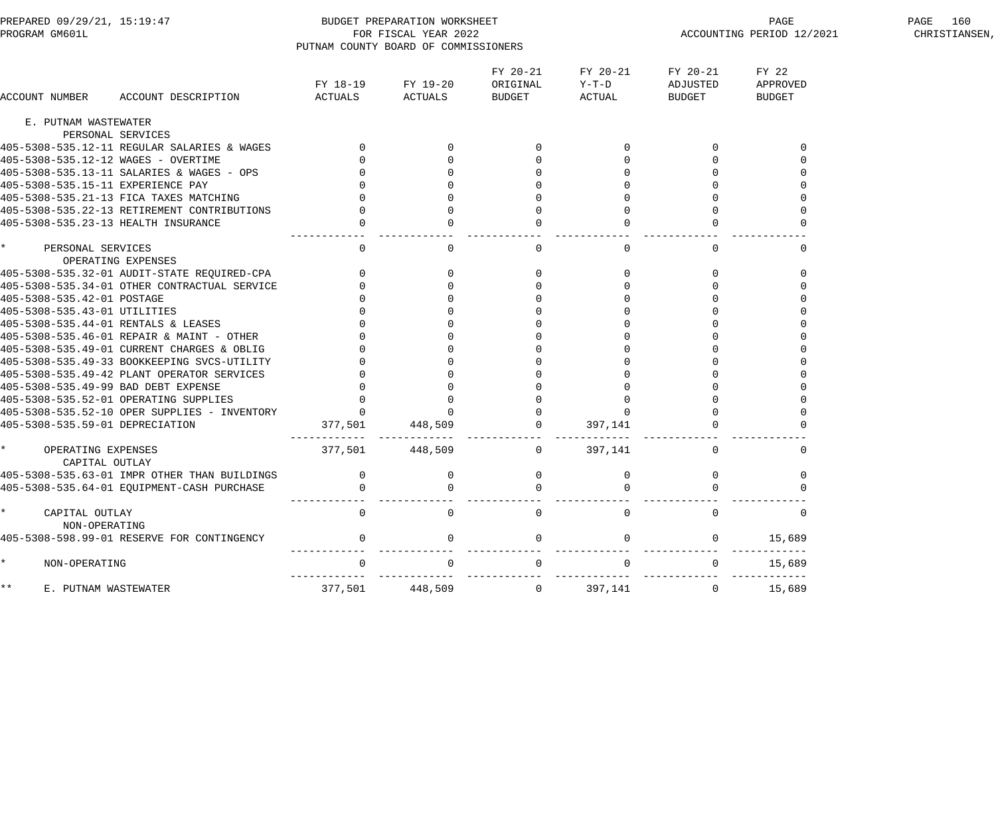| PREPARED 09/29/21, 15:19:47          |                                              |                                      | BUDGET PREPARATION WORKSHEET         |                                              |                               | PAGE                           | PAGE 160                           |               |
|--------------------------------------|----------------------------------------------|--------------------------------------|--------------------------------------|----------------------------------------------|-------------------------------|--------------------------------|------------------------------------|---------------|
| PROGRAM GM601L                       |                                              |                                      | FOR FISCAL YEAR 2022                 |                                              |                               |                                | ACCOUNTING PERIOD 12/2021          | CHRISTIANSEN, |
|                                      |                                              |                                      | PUTNAM COUNTY BOARD OF COMMISSIONERS |                                              |                               |                                |                                    |               |
| ACCOUNT NUMBER                       | ACCOUNT DESCRIPTION                          | FY 18-19<br>ACTUALS                  | FY 19-20<br><b>ACTUALS</b>           | FY 20-21<br>ORIGINAL<br>BUDGET               | FY 20-21<br>$Y-T-D$<br>ACTUAL | FY 20-21<br>ADJUSTED<br>BUDGET | FY 22<br>APPROVED<br><b>BUDGET</b> |               |
| E. PUTNAM WASTEWATER                 |                                              |                                      |                                      |                                              |                               |                                |                                    |               |
|                                      | PERSONAL SERVICES                            |                                      |                                      |                                              |                               |                                |                                    |               |
|                                      | 405-5308-535.12-11 REGULAR SALARIES & WAGES  |                                      | $\overline{0}$                       |                                              |                               |                                |                                    |               |
|                                      | 405-5308-535.12-12 WAGES - OVERTIME          |                                      |                                      |                                              | $\overline{0}$                |                                |                                    |               |
|                                      | 405-5308-535.13-11 SALARIES & WAGES - OPS    |                                      |                                      |                                              | $\overline{0}$                | $\mathbf{0}$                   |                                    |               |
| 405-5308-535.15-11 EXPERIENCE PAY    |                                              |                                      |                                      |                                              | $\overline{0}$                |                                |                                    |               |
|                                      | 405-5308-535.21-13 FICA TAXES MATCHING       |                                      |                                      |                                              |                               |                                |                                    |               |
|                                      | 405-5308-535.22-13 RETIREMENT CONTRIBUTIONS  |                                      |                                      |                                              | $\mathbf 0$                   |                                |                                    |               |
|                                      | 405-5308-535.23-13 HEALTH INSURANCE          |                                      |                                      |                                              |                               |                                |                                    |               |
| PERSONAL SERVICES                    | OPERATING EXPENSES                           | $\overline{0}$                       | $\Omega$                             | $\overline{0}$                               | $\overline{0}$                | $\Omega$                       |                                    |               |
|                                      | 405-5308-535.32-01 AUDIT-STATE REQUIRED-CPA  |                                      | $\mathsf{O}$                         | $\overline{0}$                               | $\mathbf{0}$                  | $\overline{0}$                 |                                    |               |
|                                      | 405-5308-535.34-01 OTHER CONTRACTUAL SERVICE |                                      |                                      |                                              | $\overline{0}$                | $\Omega$                       |                                    |               |
| 405-5308-535.42-01 POSTAGE           |                                              |                                      |                                      |                                              | $\overline{0}$                |                                |                                    |               |
| 405-5308-535.43-01 UTILITIES         |                                              |                                      |                                      |                                              | $\overline{0}$                | $\Omega$                       |                                    |               |
|                                      | 405-5308-535.44-01 RENTALS & LEASES          |                                      |                                      |                                              | $\overline{0}$                | $\Omega$                       |                                    |               |
|                                      | 405-5308-535.46-01 REPAIR & MAINT - OTHER    |                                      |                                      |                                              | $\overline{0}$                |                                |                                    |               |
|                                      | 405-5308-535.49-01 CURRENT CHARGES & OBLIG   |                                      |                                      |                                              |                               |                                |                                    |               |
|                                      | 405-5308-535.49-33 BOOKKEEPING SVCS-UTILITY  |                                      |                                      |                                              |                               |                                |                                    |               |
|                                      | 405-5308-535.49-42 PLANT OPERATOR SERVICES   |                                      |                                      |                                              |                               |                                |                                    |               |
|                                      | 405-5308-535.49-99 BAD DEBT EXPENSE          |                                      |                                      |                                              | $\overline{0}$                |                                |                                    |               |
|                                      | 405-5308-535.52-01 OPERATING SUPPLIES        |                                      | $\overline{0}$                       |                                              | $\mathbf{0}$                  | $\overline{0}$                 |                                    |               |
|                                      | 405-5308-535.52-10 OPER SUPPLIES - INVENTORY |                                      | $\Omega$                             |                                              | $\Omega$                      |                                |                                    |               |
| 405-5308-535.59-01 DEPRECIATION      |                                              | 377,501                              | 448,509                              |                                              | 397,141                       |                                |                                    |               |
| OPERATING EXPENSES<br>CAPITAL OUTLAY |                                              | ------------ ------------<br>377,501 | 448,509                              | __________________________<br>$\overline{0}$ | 397,141                       | $\overline{0}$                 |                                    |               |
|                                      | 405-5308-535.63-01 IMPR OTHER THAN BUILDINGS | $\mathbf{0}$                         | $\overline{0}$                       | $\mathbf 0$                                  | $\mathbf 0$                   | $\overline{0}$                 | 0                                  |               |
|                                      | 405-5308-535.64-01 EQUIPMENT-CASH PURCHASE   |                                      |                                      |                                              |                               |                                |                                    |               |
| CAPITAL OUTLAY<br>NON-OPERATING      |                                              | $\Omega$                             |                                      | 0                                            | $\mathbf 0$                   | $\Omega$                       |                                    |               |
|                                      | 405-5308-598.99-01 RESERVE FOR CONTINGENCY   | $\Omega$                             | $\Omega$                             | $\mathbf{0}$                                 | 0                             | $\Omega$                       | 15,689                             |               |
| NON-OPERATING                        |                                              | $\Omega$                             |                                      | $\mathbf 0$                                  | 0                             | $\mathbf{0}$                   | 15,689                             |               |
| k *<br>E. PUTNAM WASTEWATER          |                                              | 377,501                              | 448,509                              | $\overline{0}$                               | 397,141                       | $\overline{0}$                 | 15,689                             |               |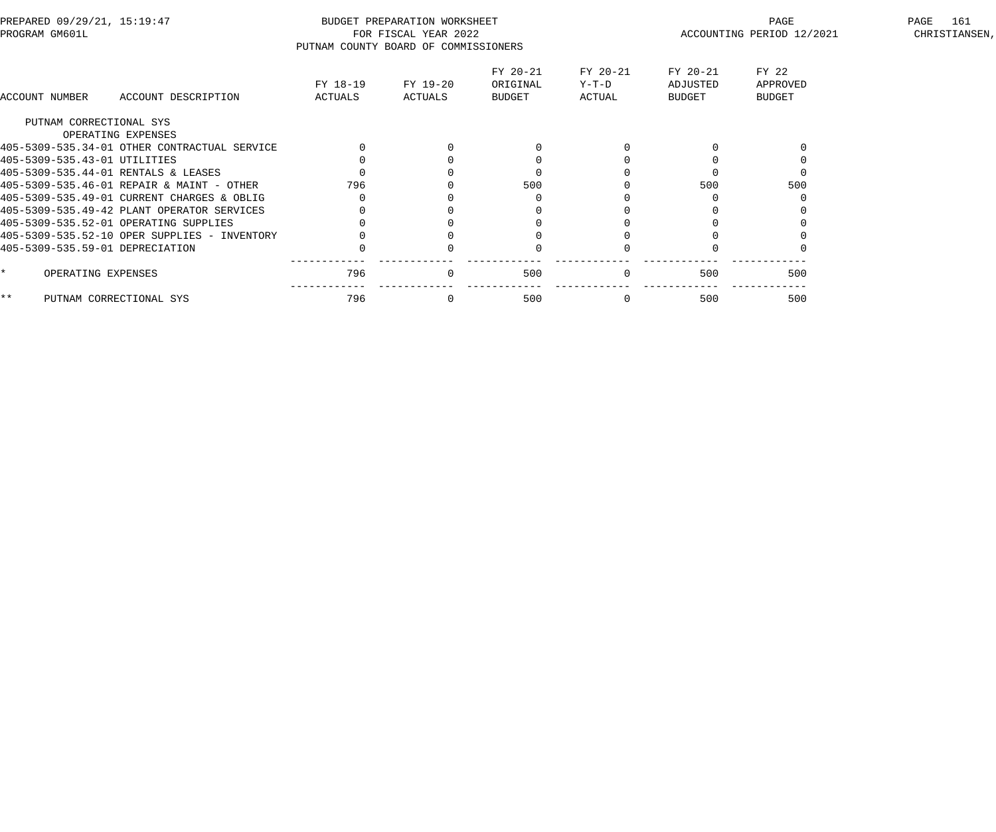| FY 22<br>FY 20-21<br>FY 20-21<br>FY 20-21<br>FY 19-20<br>ORIGINAL<br>FY 18-19<br>Y-T-D<br>ADJUSTED<br>APPROVED<br>ACTUALS<br><b>ACTUAL</b><br><b>BUDGET</b><br>ACCOUNT DESCRIPTION<br>ACTUALS<br>BUDGET<br><b>BUDGET</b><br>ACCOUNT NUMBER<br>PUTNAM CORRECTIONAL SYS<br>OPERATING EXPENSES<br>405-5309-535.34-01 OTHER CONTRACTUAL SERVICE<br>405-5309-535.43-01 UTILITIES<br>405-5309-535.44-01 RENTALS & LEASES<br>500<br>500<br>405-5309-535.46-01 REPAIR & MAINT - OTHER<br>796<br>500<br>405-5309-535.49-01 CURRENT CHARGES & OBLIG<br>405-5309-535.49-42 PLANT OPERATOR SERVICES<br>405-5309-535.52-01 OPERATING SUPPLIES<br>405-5309-535.52-10 OPER SUPPLIES - INVENTORY<br>405-5309-535.59-01 DEPRECIATION<br>796<br>500<br>500<br>500<br>OPERATING EXPENSES<br>$\overline{0}$<br>796<br>500<br>$***$<br>500<br>PUTNAM CORRECTIONAL SYS<br>500 | PREPARED 09/29/21, 15:19:47<br>PROGRAM GM601L | PUTNAM COUNTY BOARD OF COMMISSIONERS | BUDGET PREPARATION WORKSHEET<br>FOR FISCAL YEAR 2022 |  | PAGE<br>ACCOUNTING PERIOD 12/2021 | PAGE<br>161<br>CHRISTIANSEN, |
|---------------------------------------------------------------------------------------------------------------------------------------------------------------------------------------------------------------------------------------------------------------------------------------------------------------------------------------------------------------------------------------------------------------------------------------------------------------------------------------------------------------------------------------------------------------------------------------------------------------------------------------------------------------------------------------------------------------------------------------------------------------------------------------------------------------------------------------------------------|-----------------------------------------------|--------------------------------------|------------------------------------------------------|--|-----------------------------------|------------------------------|
|                                                                                                                                                                                                                                                                                                                                                                                                                                                                                                                                                                                                                                                                                                                                                                                                                                                         |                                               |                                      |                                                      |  |                                   |                              |
|                                                                                                                                                                                                                                                                                                                                                                                                                                                                                                                                                                                                                                                                                                                                                                                                                                                         |                                               |                                      |                                                      |  |                                   |                              |
|                                                                                                                                                                                                                                                                                                                                                                                                                                                                                                                                                                                                                                                                                                                                                                                                                                                         |                                               |                                      |                                                      |  |                                   |                              |
|                                                                                                                                                                                                                                                                                                                                                                                                                                                                                                                                                                                                                                                                                                                                                                                                                                                         |                                               |                                      |                                                      |  |                                   |                              |
|                                                                                                                                                                                                                                                                                                                                                                                                                                                                                                                                                                                                                                                                                                                                                                                                                                                         |                                               |                                      |                                                      |  |                                   |                              |
|                                                                                                                                                                                                                                                                                                                                                                                                                                                                                                                                                                                                                                                                                                                                                                                                                                                         |                                               |                                      |                                                      |  |                                   |                              |
|                                                                                                                                                                                                                                                                                                                                                                                                                                                                                                                                                                                                                                                                                                                                                                                                                                                         |                                               |                                      |                                                      |  |                                   |                              |
|                                                                                                                                                                                                                                                                                                                                                                                                                                                                                                                                                                                                                                                                                                                                                                                                                                                         |                                               |                                      |                                                      |  |                                   |                              |
|                                                                                                                                                                                                                                                                                                                                                                                                                                                                                                                                                                                                                                                                                                                                                                                                                                                         |                                               |                                      |                                                      |  |                                   |                              |
|                                                                                                                                                                                                                                                                                                                                                                                                                                                                                                                                                                                                                                                                                                                                                                                                                                                         |                                               |                                      |                                                      |  |                                   |                              |
|                                                                                                                                                                                                                                                                                                                                                                                                                                                                                                                                                                                                                                                                                                                                                                                                                                                         |                                               |                                      |                                                      |  |                                   |                              |
|                                                                                                                                                                                                                                                                                                                                                                                                                                                                                                                                                                                                                                                                                                                                                                                                                                                         |                                               |                                      |                                                      |  |                                   |                              |
|                                                                                                                                                                                                                                                                                                                                                                                                                                                                                                                                                                                                                                                                                                                                                                                                                                                         |                                               |                                      |                                                      |  |                                   |                              |
|                                                                                                                                                                                                                                                                                                                                                                                                                                                                                                                                                                                                                                                                                                                                                                                                                                                         |                                               |                                      |                                                      |  |                                   |                              |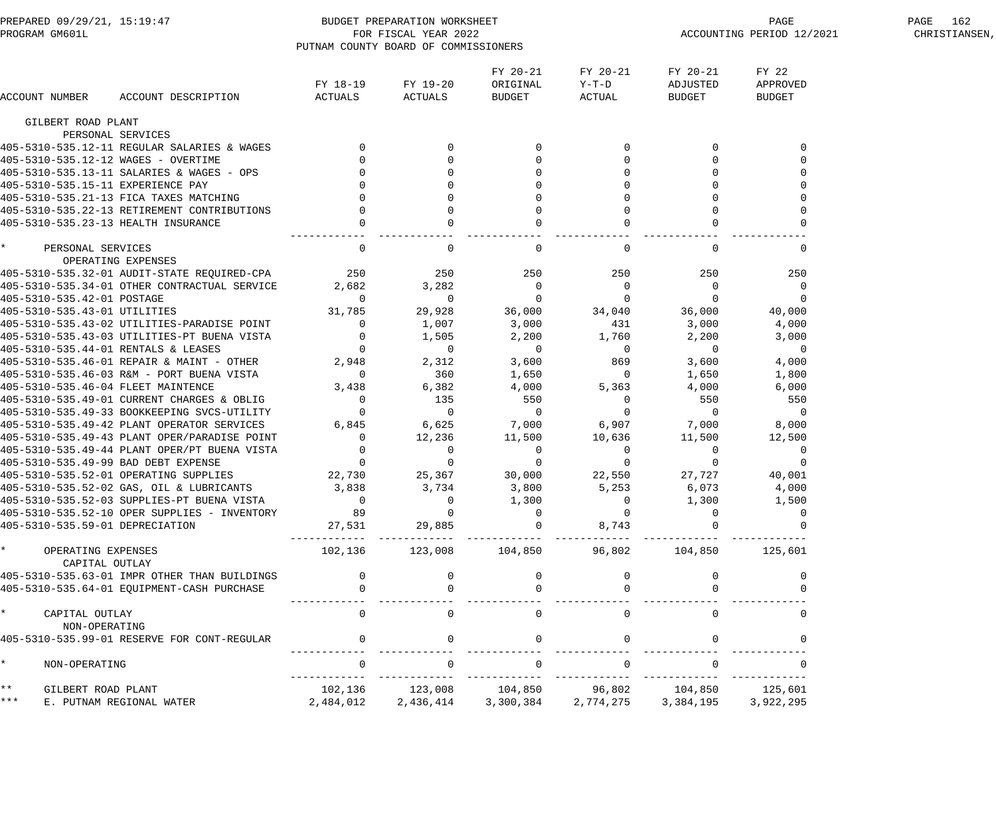| PREPARED 09/29/21, 15:19:47<br>PROGRAM GM601L |                                        |                                              | BUDGET PREPARATION WORKSHEET<br>FOR FISCAL YEAR 2022 |                                      |                                |                             | PAGE<br>ACCOUNTING PERIOD 12/2021                           | PAGE 162<br>CHRISTIANSEN,          |  |
|-----------------------------------------------|----------------------------------------|----------------------------------------------|------------------------------------------------------|--------------------------------------|--------------------------------|-----------------------------|-------------------------------------------------------------|------------------------------------|--|
|                                               |                                        |                                              |                                                      | PUTNAM COUNTY BOARD OF COMMISSIONERS |                                |                             |                                                             |                                    |  |
|                                               | ACCOUNT NUMBER                         | ACCOUNT DESCRIPTION                          | FY 18-19<br>ACTUALS                                  | FY 19-20<br>ACTUALS                  | FY 20-21<br>ORIGINAL<br>BUDGET | FY 20-21<br>Y-T-D<br>ACTUAL | FY 20-21<br>ADJUSTED<br>BUDGET                              | FY 22<br>APPROVED<br><b>BUDGET</b> |  |
|                                               | GILBERT ROAD PLANT                     |                                              |                                                      |                                      |                                |                             |                                                             |                                    |  |
|                                               |                                        | PERSONAL SERVICES                            |                                                      |                                      |                                |                             |                                                             |                                    |  |
|                                               |                                        | 405-5310-535.12-11 REGULAR SALARIES & WAGES  |                                                      | $\Omega$                             | $\Omega$                       | $\Omega$                    | $\overline{0}$                                              |                                    |  |
|                                               |                                        | 405-5310-535.12-12 WAGES - OVERTIME          |                                                      |                                      |                                |                             |                                                             |                                    |  |
|                                               |                                        | 405-5310-535.13-11 SALARIES & WAGES - OPS    |                                                      |                                      |                                |                             |                                                             |                                    |  |
|                                               |                                        | 405-5310-535.15-11 EXPERIENCE PAY            |                                                      |                                      |                                |                             |                                                             |                                    |  |
|                                               |                                        | 405-5310-535.21-13 FICA TAXES MATCHING       |                                                      |                                      |                                |                             |                                                             |                                    |  |
|                                               |                                        | 405-5310-535.22-13 RETIREMENT CONTRIBUTIONS  |                                                      |                                      |                                |                             |                                                             |                                    |  |
|                                               |                                        | 405-5310-535.23-13 HEALTH INSURANCE          |                                                      |                                      |                                |                             | $\Omega$                                                    |                                    |  |
| $\star$                                       | PERSONAL SERVICES                      | OPERATING EXPENSES                           | $\Omega$                                             | $\Omega$                             | $\overline{0}$                 | $\Omega$                    | $\Omega$                                                    | $\Omega$                           |  |
|                                               |                                        | 405-5310-535.32-01 AUDIT-STATE REQUIRED-CPA  | 250                                                  | 250                                  | 250                            | 250                         | 250                                                         | 250                                |  |
|                                               |                                        | 405-5310-535.34-01 OTHER CONTRACTUAL SERVICE | 2,682                                                | 3,282                                | 0                              | $\mathbf{0}$                | $\overline{0}$                                              | $\Omega$                           |  |
|                                               | 405-5310-535.42-01 POSTAGE             |                                              | $\Omega$                                             | $\overline{0}$                       | $\overline{0}$                 | $\overline{0}$              | 0                                                           | 0                                  |  |
|                                               | 405-5310-535.43-01 UTILITIES           |                                              | 31,785                                               | 29,928                               | 36,000                         | 34,040                      | 36,000                                                      | 40,000                             |  |
|                                               |                                        | 405-5310-535.43-02 UTILITIES-PARADISE POINT  | $\Omega$                                             | 1,007                                | 3,000                          | 431                         | 3,000                                                       | 4,000                              |  |
|                                               |                                        | 405-5310-535.43-03 UTILITIES-PT BUENA VISTA  |                                                      | 1,505                                | 2,200                          | 1,760                       | 2,200                                                       | 3,000                              |  |
|                                               |                                        | 405-5310-535.44-01 RENTALS & LEASES          |                                                      | $\overline{0}$                       | $\overline{0}$                 | $\overline{0}$              | $\overline{0}$                                              | $\overline{0}$                     |  |
|                                               |                                        | 405-5310-535.46-01 REPAIR & MAINT - OTHER    | 2,948                                                | 2,312                                | 3,600                          | 869                         | 3,600                                                       | 4,000                              |  |
|                                               |                                        | 405-5310-535.46-03 R&M - PORT BUENA VISTA    | $\Omega$                                             | 360                                  | 1,650                          | $\overline{0}$              | 1,650                                                       | 1,800                              |  |
|                                               |                                        | 405-5310-535.46-04 FLEET MAINTENCE           | 3,438                                                | 6,382                                | 4,000                          | 5,363                       | 4,000                                                       | 6,000                              |  |
|                                               |                                        | 405-5310-535.49-01 CURRENT CHARGES & OBLIG   | $\Omega$                                             | 135                                  | 550                            | $\mathbf{0}$                | 550                                                         | 550                                |  |
|                                               |                                        | 405-5310-535.49-33 BOOKKEEPING SVCS-UTILITY  | $\Omega$                                             | $\overline{0}$                       | $\overline{0}$                 | 0                           | $\overline{0}$                                              | $\overline{0}$                     |  |
|                                               |                                        | 405-5310-535.49-42 PLANT OPERATOR SERVICES   | 6,845                                                | 6,625                                | 7,000                          | 6,907                       | 7,000                                                       | 8,000                              |  |
|                                               |                                        | 405-5310-535.49-43 PLANT OPER/PARADISE POINT | $\Omega$                                             | 12,236                               | 11,500                         | 10,636                      | 11,500                                                      | 12,500                             |  |
|                                               |                                        | 405-5310-535.49-44 PLANT OPER/PT BUENA VISTA |                                                      | $\overline{0}$                       | $\overline{0}$                 | 0                           | $\overline{0}$                                              | $\Omega$                           |  |
|                                               |                                        | 405-5310-535.49-99 BAD DEBT EXPENSE          |                                                      | 0                                    | 0                              | $\Omega$                    | - 0                                                         |                                    |  |
|                                               |                                        | 405-5310-535.52-01 OPERATING SUPPLIES        | 22,730                                               | 25,367                               | 30,000                         | 22,550                      | 27,727                                                      | 40,001                             |  |
|                                               |                                        | 405-5310-535.52-02 GAS, OIL & LUBRICANTS     | 3,838                                                | 3,734                                | 3,800                          | 5,253                       | 6,073                                                       | 4,000                              |  |
|                                               |                                        | 405-5310-535.52-03 SUPPLIES-PT BUENA VISTA   | 0                                                    |                                      | 1,300                          | $\Omega$                    | 1,300                                                       | 1,500                              |  |
|                                               |                                        | 405-5310-535.52-10 OPER SUPPLIES - INVENTORY | 89                                                   | $\overline{0}$                       | $\Omega$                       | $\Omega$                    | $\Omega$                                                    | 0                                  |  |
|                                               |                                        | 405-5310-535.59-01 DEPRECIATION              |                                                      | 27,531 29,885                        |                                | 8,743                       |                                                             |                                    |  |
|                                               | * OPERATING EXPENSES<br>CAPITAL OUTLAY |                                              | 102,136                                              | 123,008 104,850 96,802               |                                |                             | 104,850 125,601                                             |                                    |  |
|                                               |                                        | 405-5310-535.63-01 IMPR OTHER THAN BUILDINGS |                                                      |                                      |                                |                             |                                                             |                                    |  |
|                                               |                                        | 405-5310-535.64-01 EQUIPMENT-CASH PURCHASE   |                                                      |                                      |                                |                             |                                                             |                                    |  |
|                                               |                                        |                                              |                                                      |                                      |                                |                             |                                                             |                                    |  |
| $\star$                                       | CAPITAL OUTLAY<br>NON-OPERATING        |                                              |                                                      |                                      | $\Omega$                       | $\Omega$                    |                                                             |                                    |  |
|                                               |                                        | 405-5310-535.99-01 RESERVE FOR CONT-REGULAR  |                                                      |                                      |                                |                             |                                                             |                                    |  |
| $\star$                                       | NON-OPERATING                          |                                              |                                                      |                                      |                                |                             |                                                             |                                    |  |
| $\star \star$                                 | GILBERT ROAD PLANT                     |                                              |                                                      |                                      |                                |                             | $102,136$ $123,008$ $104,850$ $96,802$ $104,850$ $125,601$  |                                    |  |
| ***                                           |                                        | E. PUTNAM REGIONAL WATER                     |                                                      |                                      |                                |                             | 2,484,012 2,436,414 3,300,384 2,774,275 3,384,195 3,922,295 |                                    |  |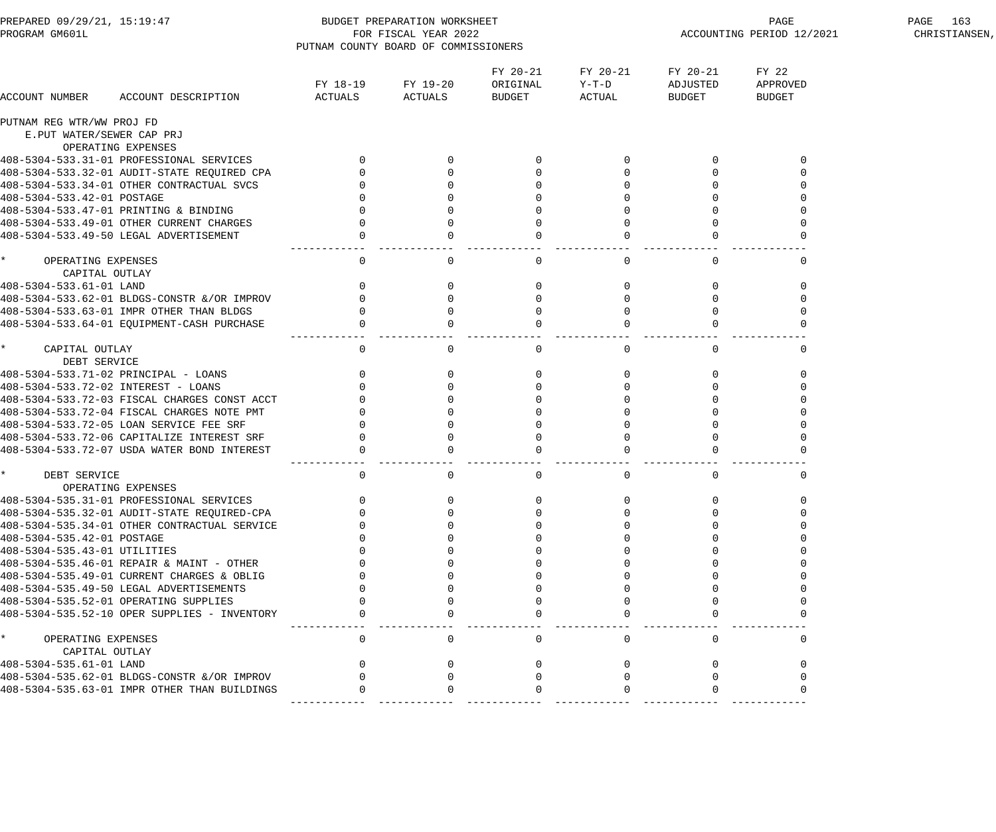| PREPARED 09/29/21, 15:19:47<br>PROGRAM GM601L   |                                              | PUTNAM COUNTY BOARD OF COMMISSIONERS | BUDGET PREPARATION WORKSHEET<br>FOR FISCAL YEAR 2022 |                                       |                             | PAGE<br>ACCOUNTING PERIOD 12/2021 | PAGE 163<br>CHRISTIANSEN,          |  |
|-------------------------------------------------|----------------------------------------------|--------------------------------------|------------------------------------------------------|---------------------------------------|-----------------------------|-----------------------------------|------------------------------------|--|
| ACCOUNT NUMBER                                  | ACCOUNT DESCRIPTION                          | FY 18-19<br>ACTUALS                  | FY 19-20<br>ACTUALS                                  | FY 20-21<br>ORIGINAL<br><b>BUDGET</b> | FY 20-21<br>Y-T-D<br>ACTUAL | FY 20-21<br>ADJUSTED<br>BUDGET    | FY 22<br>APPROVED<br><b>BUDGET</b> |  |
| PUTNAM REG WTR/WW PROJ FD                       |                                              |                                      |                                                      |                                       |                             |                                   |                                    |  |
| E.PUT WATER/SEWER CAP PRJ                       | OPERATING EXPENSES                           |                                      |                                                      |                                       |                             |                                   |                                    |  |
|                                                 | 408-5304-533.31-01 PROFESSIONAL SERVICES     | $\mathbf{0}$                         |                                                      |                                       |                             |                                   |                                    |  |
|                                                 | 408-5304-533.32-01 AUDIT-STATE REQUIRED CPA  |                                      | $\Omega$                                             |                                       | $\Omega$                    |                                   |                                    |  |
|                                                 | 408-5304-533.34-01 OTHER CONTRACTUAL SVCS    |                                      |                                                      |                                       |                             |                                   |                                    |  |
| 408-5304-533.42-01 POSTAGE                      |                                              |                                      |                                                      |                                       |                             |                                   |                                    |  |
|                                                 | 408-5304-533.47-01 PRINTING & BINDING        |                                      | $\Omega$                                             |                                       | $\Omega$                    | $\Omega$                          |                                    |  |
|                                                 | 408-5304-533.49-01 OTHER CURRENT CHARGES     | $\Omega$                             | $\Omega$                                             |                                       | $\Omega$                    | $\Omega$                          |                                    |  |
|                                                 | 408-5304-533.49-50 LEGAL ADVERTISEMENT       | $\Omega$                             |                                                      |                                       | $\Omega$                    |                                   |                                    |  |
| $\star$<br>OPERATING EXPENSES<br>CAPITAL OUTLAY |                                              | ---------<br>$\mathsf{O}$            | 0                                                    | 0                                     | 0                           | 0                                 | 0                                  |  |
| 408-5304-533.61-01 LAND                         |                                              | $\mathbf{0}$                         | $\Omega$                                             | 0                                     | 0                           | 0                                 | $\Omega$                           |  |
|                                                 | 408-5304-533.62-01 BLDGS-CONSTR &/OR IMPROV  | $\Omega$                             | $\Omega$                                             | $\Omega$                              | $\Omega$                    | $\Omega$                          |                                    |  |
|                                                 | 408-5304-533.63-01 IMPR OTHER THAN BLDGS     |                                      | $\Omega$                                             | $\Omega$                              | $\Omega$                    | $\Omega$                          |                                    |  |
|                                                 | 408-5304-533.64-01 EQUIPMENT-CASH PURCHASE   | $\mathbf 0$                          |                                                      |                                       | $\Omega$                    |                                   |                                    |  |
| $\star$<br>CAPITAL OUTLAY<br>DEBT SERVICE       |                                              | $\mathsf{O}$                         | 0                                                    | 0                                     | 0                           | $\mathbf{0}$                      | $\mathbf 0$                        |  |
|                                                 | 408-5304-533.71-02 PRINCIPAL - LOANS         | $\mathbf{0}$                         | $\Omega$                                             | 0                                     | 0                           | 0                                 | $\Omega$                           |  |
| 408-5304-533.72-02 INTEREST - LOANS             |                                              |                                      | $\mathbf{0}$                                         |                                       | $\overline{0}$              | $\mathbf 0$                       |                                    |  |
|                                                 | 408-5304-533.72-03 FISCAL CHARGES CONST ACCT |                                      | $\Omega$                                             |                                       | $\Omega$                    | $\Omega$                          |                                    |  |
|                                                 | 408-5304-533.72-04 FISCAL CHARGES NOTE PMT   |                                      |                                                      |                                       | $\Omega$                    |                                   |                                    |  |
|                                                 | 408-5304-533.72-05 LOAN SERVICE FEE SRF      |                                      |                                                      |                                       | $\Omega$                    |                                   |                                    |  |
|                                                 | 408-5304-533.72-06 CAPITALIZE INTEREST SRF   |                                      | $\Omega$                                             |                                       | $\Omega$                    | $\Omega$                          |                                    |  |
|                                                 | 408-5304-533.72-07 USDA WATER BOND INTEREST  |                                      |                                                      |                                       |                             |                                   |                                    |  |
| $\star$<br>DEBT SERVICE                         | OPERATING EXPENSES                           | $\mathsf{O}$                         | $\mathsf{O}$                                         | $\mathsf{O}$                          | $\overline{0}$              | $\overline{0}$                    | 0                                  |  |
|                                                 | 408-5304-535.31-01 PROFESSIONAL SERVICES     |                                      |                                                      |                                       |                             |                                   |                                    |  |
|                                                 | 408-5304-535.32-01 AUDIT-STATE REOUIRED-CPA  |                                      |                                                      |                                       |                             |                                   |                                    |  |
|                                                 | 408-5304-535.34-01 OTHER CONTRACTUAL SERVICE |                                      |                                                      |                                       |                             |                                   |                                    |  |
| 408-5304-535.42-01 POSTAGE                      |                                              |                                      |                                                      |                                       |                             |                                   |                                    |  |
| 408-5304-535.43-01 UTILITIES                    |                                              |                                      |                                                      |                                       |                             |                                   |                                    |  |
|                                                 | 408-5304-535.46-01 REPAIR & MAINT - OTHER    |                                      |                                                      |                                       |                             |                                   |                                    |  |
|                                                 | 408-5304-535.49-01 CURRENT CHARGES & OBLIG   |                                      |                                                      |                                       |                             |                                   |                                    |  |
|                                                 | 408-5304-535.49-50 LEGAL ADVERTISEMENTS      |                                      |                                                      |                                       |                             |                                   |                                    |  |
|                                                 | 408-5304-535.52-01 OPERATING SUPPLIES        |                                      |                                                      |                                       |                             |                                   |                                    |  |
|                                                 | 408-5304-535.52-10 OPER SUPPLIES - INVENTORY |                                      |                                                      |                                       |                             |                                   |                                    |  |
| $\star$<br>OPERATING EXPENSES                   |                                              | $\Omega$                             | $\Omega$                                             | $\Omega$                              | $\Omega$                    | $\Omega$                          | $\Omega$                           |  |
| CAPITAL OUTLAY                                  |                                              |                                      |                                                      |                                       |                             |                                   |                                    |  |
| 408-5304-535.61-01 LAND                         |                                              |                                      |                                                      |                                       |                             |                                   |                                    |  |
|                                                 | 408-5304-535.62-01 BLDGS-CONSTR & OR IMPROV  |                                      |                                                      |                                       |                             |                                   |                                    |  |
|                                                 | 408-5304-535.63-01 IMPR OTHER THAN BUILDINGS |                                      |                                                      |                                       |                             |                                   |                                    |  |
|                                                 |                                              |                                      |                                                      |                                       |                             |                                   |                                    |  |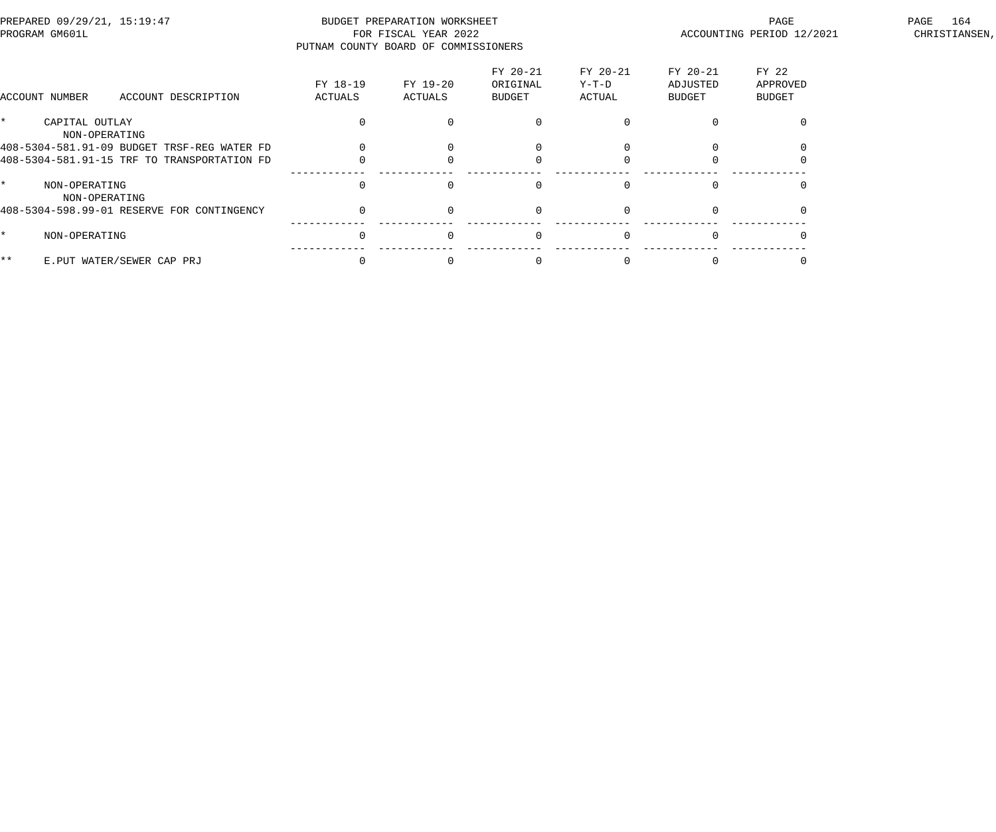| PREPARED 09/29/21, 15:19:47<br>PROGRAM GM601L |                                 |                                             |                     | BUDGET PREPARATION WORKSHEET<br>FOR FISCAL YEAR 2022<br>PUTNAM COUNTY BOARD OF COMMISSIONERS |                                       |                               | PAGE<br>ACCOUNTING PERIOD 12/2021     | 164<br>PAGE<br>CHRISTIANSEN,       |  |
|-----------------------------------------------|---------------------------------|---------------------------------------------|---------------------|----------------------------------------------------------------------------------------------|---------------------------------------|-------------------------------|---------------------------------------|------------------------------------|--|
|                                               | ACCOUNT NUMBER                  | ACCOUNT DESCRIPTION                         | FY 18-19<br>ACTUALS | FY 19-20<br>ACTUALS                                                                          | FY 20-21<br>ORIGINAL<br><b>BUDGET</b> | FY 20-21<br>$Y-T-D$<br>ACTUAL | FY 20-21<br>ADJUSTED<br><b>BUDGET</b> | FY 22<br>APPROVED<br><b>BUDGET</b> |  |
| $\star$                                       | CAPITAL OUTLAY<br>NON-OPERATING |                                             |                     |                                                                                              |                                       |                               |                                       |                                    |  |
|                                               |                                 | 408-5304-581.91-09 BUDGET TRSF-REG WATER FD |                     |                                                                                              |                                       |                               |                                       |                                    |  |
|                                               |                                 | 408-5304-581.91-15 TRF TO TRANSPORTATION FD |                     |                                                                                              |                                       |                               |                                       |                                    |  |
| $\star$                                       | NON-OPERATING<br>NON-OPERATING  |                                             | $\Omega$            |                                                                                              | $\Omega$                              |                               |                                       |                                    |  |
|                                               |                                 | 408-5304-598.99-01 RESERVE FOR CONTINGENCY  | $\Omega$            |                                                                                              | $\Omega$                              | $\Omega$                      | $\Omega$                              |                                    |  |
| $\star$                                       | NON-OPERATING                   |                                             | $\Omega$            |                                                                                              | $\Omega$                              |                               |                                       |                                    |  |
| * *                                           |                                 | E.PUT WATER/SEWER CAP PRJ                   |                     |                                                                                              |                                       |                               |                                       |                                    |  |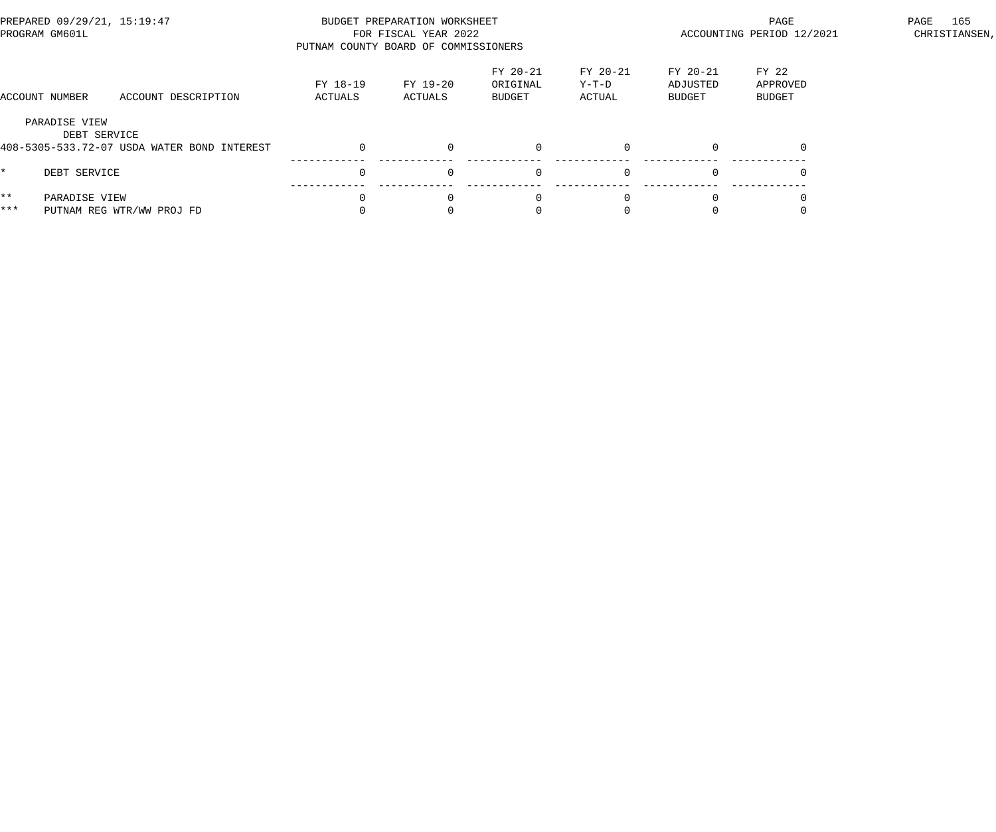|              | PREPARED 09/29/21, 15:19:47<br>PROGRAM GM601L                                |                     | BUDGET PREPARATION WORKSHEET<br>FOR FISCAL YEAR 2022<br>PUTNAM COUNTY BOARD OF COMMISSIONERS |                                |                             |                                | PAGE<br>ACCOUNTING PERIOD 12/2021  | 165<br>PAGE<br>CHRISTIANSEN, |
|--------------|------------------------------------------------------------------------------|---------------------|----------------------------------------------------------------------------------------------|--------------------------------|-----------------------------|--------------------------------|------------------------------------|------------------------------|
|              | ACCOUNT DESCRIPTION<br>ACCOUNT NUMBER                                        | FY 18-19<br>ACTUALS | FY 19-20<br>ACTUALS                                                                          | FY 20-21<br>ORIGINAL<br>BUDGET | FY 20-21<br>Y-T-D<br>ACTUAL | FY 20-21<br>ADJUSTED<br>BUDGET | FY 22<br>APPROVED<br><b>BUDGET</b> |                              |
|              | PARADISE VIEW<br>DEBT SERVICE<br>408-5305-533.72-07 USDA WATER BOND INTEREST |                     | $\Omega$                                                                                     |                                |                             |                                |                                    |                              |
| $^{\star}$   | DEBT SERVICE                                                                 |                     | $\Omega$                                                                                     | $\Omega$                       | $\Omega$                    | $\Omega$                       |                                    |                              |
| $***$<br>*** | PARADISE VIEW<br>PUTNAM REG WTR/WW PROJ FD                                   |                     | $\Omega$                                                                                     | $\Omega$                       |                             |                                |                                    |                              |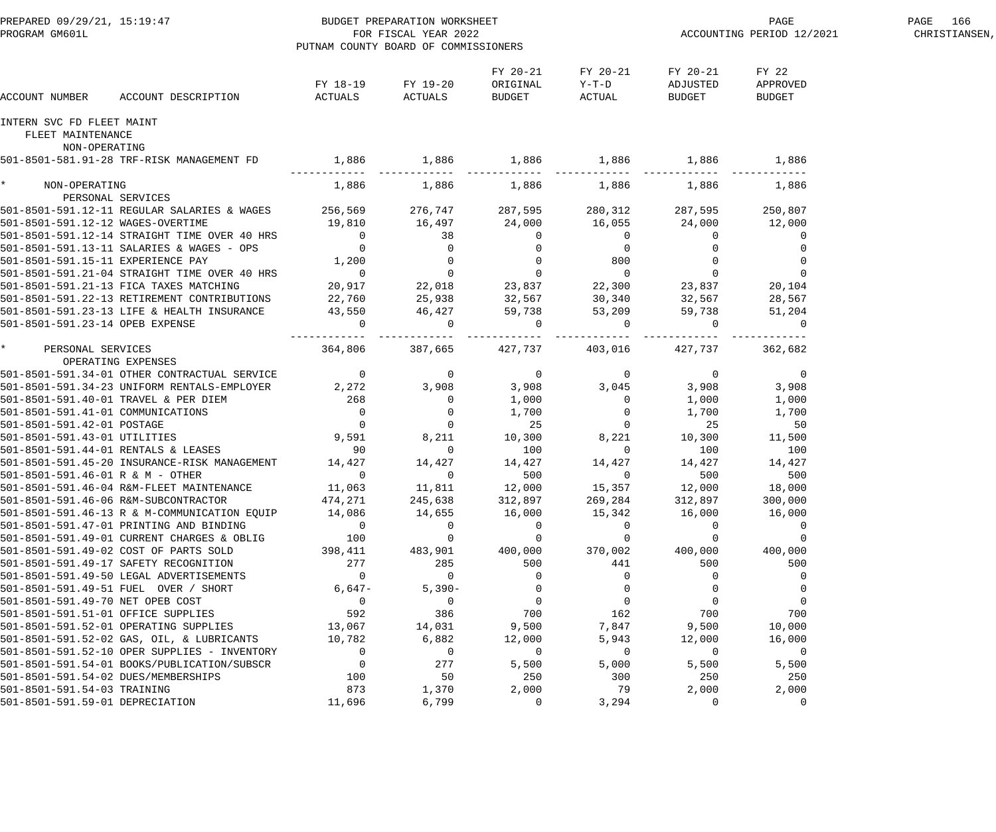| PREPARED 09/29/21, 15:19:47<br>PROGRAM GM601L                                               | PUTNAM COUNTY BOARD OF COMMISSIONERS            | BUDGET PREPARATION WORKSHEET<br>FOR FISCAL YEAR 2022        |                                       |                               |                                            | PAGE<br>ACCOUNTING PERIOD 12/2021 | PAGE 166<br>CHRISTIANSEN, |
|---------------------------------------------------------------------------------------------|-------------------------------------------------|-------------------------------------------------------------|---------------------------------------|-------------------------------|--------------------------------------------|-----------------------------------|---------------------------|
| ACCOUNT DESCRIPTION ACTUALS<br>ACCOUNT NUMBER                                               |                                                 | FY 18-19 FY 19-20<br>ACTUALS                                | FY 20-21<br>ORIGINAL<br><b>BUDGET</b> | FY 20-21<br>$Y-T-D$<br>ACTUAL | FY 20-21<br>ADJUSTED<br>BUDGET             | FY 22<br>APPROVED<br>BUDGET       |                           |
| INTERN SVC FD FLEET MAINT<br>FLEET MAINTENANCE                                              |                                                 |                                                             |                                       |                               |                                            |                                   |                           |
| NON-OPERATING                                                                               |                                                 |                                                             |                                       |                               |                                            |                                   |                           |
| 501-8501-581.91-28 TRF-RISK MANAGEMENT FD                                                   | 1,886 1,886 1,886 1,886 1,886 1,886 1,886 1,886 |                                                             |                                       |                               |                                            |                                   |                           |
| * NON-OPERATING<br>PERSONAL SERVICES                                                        |                                                 | $1,886$ $1,886$ $1,886$ $1,886$ $1,886$ $1,886$ $1,886$     |                                       |                               |                                            |                                   |                           |
| 501-8501-591.12-11 REGULAR SALARIES & WAGES 256,569 276,747 287,595 280,312 287,595 250,807 |                                                 |                                                             |                                       |                               |                                            |                                   |                           |
| 501-8501-591.12-12 WAGES-OVERTIME $19,810$ 16,497 24,000 16,055 24,000 12,000               |                                                 |                                                             |                                       |                               |                                            |                                   |                           |
| 501-8501-591.12-14 STRAIGHT TIME OVER 40 HRS 0                                              |                                                 |                                                             |                                       |                               | $\overline{0}$                             | $\Omega$                          |                           |
| 501-8501-591.13-11 SALARIES & WAGES - OPS                                                   |                                                 |                                                             |                                       |                               |                                            |                                   |                           |
| 501-8501-591.15-11 EXPERIENCE PAY                                                           |                                                 |                                                             |                                       |                               | $\begin{array}{c} 0 \\ 0 \\ 0 \end{array}$ | $\Omega$                          |                           |
| 501-8501-591.21-04 STRAIGHT TIME OVER 40 HRS                                                |                                                 |                                                             |                                       |                               |                                            | $\Omega$                          |                           |
| 501-8501-591.21-13 FICA TAXES MATCHING                                                      | 20,917                                          |                                                             |                                       |                               | 23,837                                     | 20,104                            |                           |
| 501-8501-591.22-13 RETIREMENT CONTRIBUTIONS 22,760 25,938 32,567                            |                                                 |                                                             |                                       | $30,340$ $32,567$ $28,567$    |                                            |                                   |                           |
| 501-8501-591.23-13 LIFE & HEALTH INSURANCE 43,550 46,427 59,738 53,209                      |                                                 |                                                             |                                       |                               |                                            | 59,738 51,204                     |                           |
| 501-8501-591.23-14 OPEB EXPENSE                                                             | $\overline{0}$                                  | $\overline{0}$                                              | $\overline{a}$                        | $\overline{0}$                | $\overline{0}$                             | $\overline{0}$                    |                           |
| * PERSONAL SERVICES                                                                         |                                                 | $364,806$ $387,665$ $427,737$ $403,016$ $427,737$ $362,682$ |                                       |                               |                                            |                                   |                           |
| OPERATING EXPENSES                                                                          |                                                 |                                                             |                                       |                               |                                            |                                   |                           |
| 501-8501-591.34-01 OTHER CONTRACTUAL SERVICE 0                                              |                                                 | $\overline{0}$                                              | $\overline{0}$                        | $\overline{0}$                | $\sim$ 0                                   | $\overline{0}$                    |                           |
| 501-8501-591.34-23 UNIFORM RENTALS-EMPLOYER 2,272 3,908 3,908 3,908 3,045 3,908 3,908 3,908 |                                                 |                                                             |                                       |                               |                                            |                                   |                           |
| 501-8501-591.40-01 TRAVEL & PER DIEM 268 268                                                |                                                 |                                                             | 1,000                                 |                               | $0 \t 1,000$                               | 1,000                             |                           |
|                                                                                             |                                                 |                                                             |                                       | $1,700$ 0 $1,700$ 25          |                                            | 1,700                             |                           |
|                                                                                             |                                                 |                                                             |                                       |                               |                                            | 50                                |                           |
| 501-8501-591.43-01 UTILITIES                                                                | $9,591$ 8,211 10,300 8,221 10,300 11,500        |                                                             |                                       |                               |                                            |                                   |                           |
| 501-8501-591.44-01 RENTALS & LEASES                                                         | 90                                              | $\overline{0}$                                              | 100                                   | $\overline{0}$                | 100                                        | 100                               |                           |
| 501-8501-591.45-20 INSURANCE-RISK MANAGEMENT 14,427                                         |                                                 | 14,427                                                      | 14,427                                | 14,427                        | 14,427                                     | 14,427                            |                           |
| 501-8501-591.46-01 R & M - OTHER                                                            | $\Omega$                                        | $\overline{0}$                                              | 500                                   | $\Omega$                      | 500                                        | 500                               |                           |
| 501-8501-591.46-04 R&M-FLEET MAINTENANCE                                                    | 11,063                                          | 11,811                                                      | 12,000                                | 15,357                        | 12,000                                     | 18,000                            |                           |
| 501-8501-591.46-06 R&M-SUBCONTRACTOR                                                        | 474,271                                         | 245,638                                                     | 312,897                               | 269,284                       | 312,897                                    | 300,000                           |                           |
| 501-8501-591.46-13 R & M-COMMUNICATION EQUIP                                                | 14,086                                          | 14,655                                                      | 16,000                                | 15,342                        | 16,000                                     | 16,000                            |                           |
| 501-8501-591.47-01 PRINTING AND BINDING                                                     | $\overline{0}$                                  | $\Omega$                                                    | $\mathbf 0$                           | $\overline{0}$                | $\Omega$                                   | $\overline{0}$                    |                           |
| 501-8501-591.49-01 CURRENT CHARGES & OBLIG                                                  | 100                                             | $\mathbf 0$                                                 | $\overline{0}$                        | $\Omega$                      | $\Omega$                                   | $\Omega$                          |                           |
| 501-8501-591.49-02 COST OF PARTS SOLD<br>501-8501-591.49-17 SAFETY RECOGNITION              | 398,411<br>277                                  | 483,901                                                     | 400,000<br>500                        | 370,002<br>441                | 400,000<br>500                             | 400,000<br>500                    |                           |
| 501-8501-591.49-50 LEGAL ADVERTISEMENTS                                                     | $\Omega$                                        | 285<br>$\Omega$                                             | $\Omega$                              | $\Omega$                      | $\Omega$                                   |                                   |                           |
| 501-8501-591.49-51 FUEL OVER / SHORT                                                        | $6,647-$                                        | $5,390-$                                                    | $\mathbf{0}$                          | $\Omega$                      | $\Omega$                                   |                                   |                           |
| 501-8501-591.49-70 NET OPEB COST                                                            | $\overline{0}$                                  | $\overline{0}$                                              | $\overline{0}$                        | $\Omega$                      | $\Omega$                                   | $\mathbf 0$                       |                           |
| 501-8501-591.51-01 OFFICE SUPPLIES                                                          | 592                                             | 386                                                         | 700                                   | 162                           | 700                                        | 700                               |                           |
| 501-8501-591.52-01 OPERATING SUPPLIES                                                       | 13,067                                          | 14,031                                                      | 9,500                                 | 7,847                         | 9,500                                      | 10,000                            |                           |
| 501-8501-591.52-02 GAS, OIL, & LUBRICANTS                                                   | 10,782                                          | 6,882                                                       | 12,000                                | 5,943                         | 12,000                                     | 16,000                            |                           |
| 501-8501-591.52-10 OPER SUPPLIES - INVENTORY                                                | $\overline{0}$                                  | $\overline{0}$                                              | $\overline{0}$                        | $\overline{0}$                | $\Omega$                                   | $\overline{0}$                    |                           |
| 501-8501-591.54-01 BOOKS/PUBLICATION/SUBSCR                                                 | $\overline{0}$                                  | 277                                                         | 5,500                                 | 5,000                         | 5,500                                      | 5,500                             |                           |
| 501-8501-591.54-02 DUES/MEMBERSHIPS                                                         | 100                                             | 50                                                          | 250                                   | 300                           | 250                                        | 250                               |                           |
| 501-8501-591.54-03 TRAINING                                                                 | 873                                             | 1,370                                                       | 2,000                                 | 79                            | 2,000                                      | 2,000                             |                           |
| 501-8501-591.59-01 DEPRECIATION                                                             | 11,696                                          | 6,799                                                       | $\mathbf 0$                           | 3,294                         | $\Omega$                                   | 0                                 |                           |
|                                                                                             |                                                 |                                                             |                                       |                               |                                            |                                   |                           |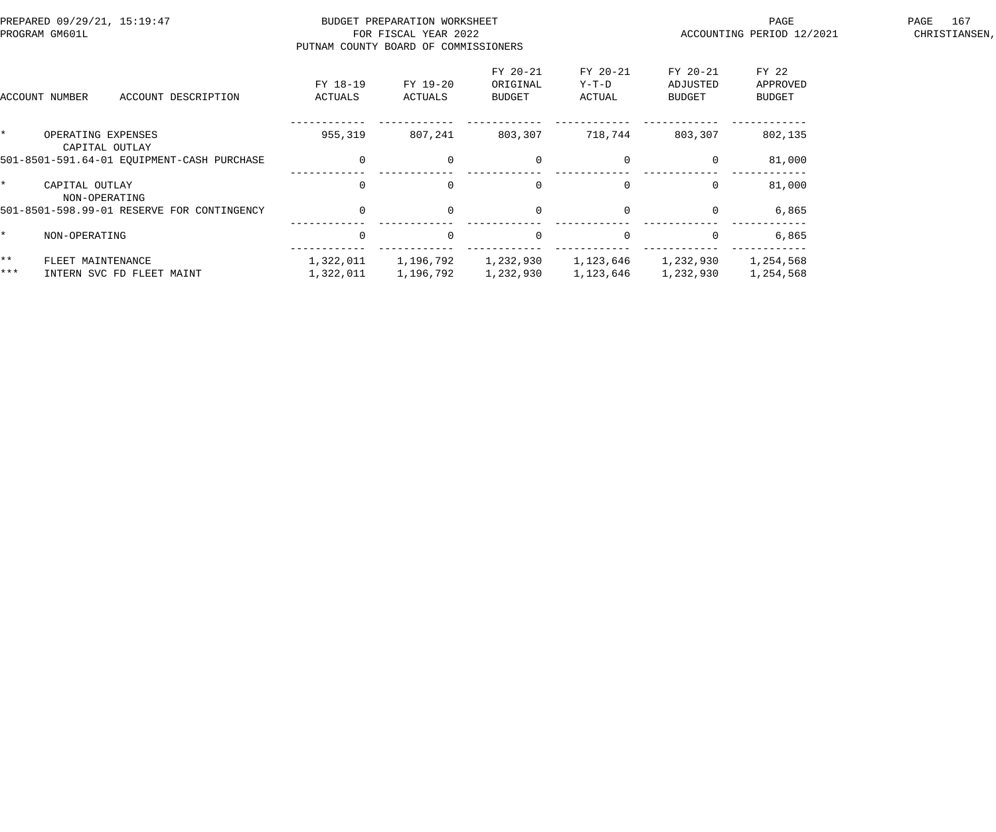|              | PREPARED 09/29/21, 15:19:47<br>PROGRAM GM601L                                      |                           | BUDGET PREPARATION WORKSHEET<br>FOR FISCAL YEAR 2022<br>PUTNAM COUNTY BOARD OF COMMISSIONERS |                                |                               | PAGE<br>ACCOUNTING PERIOD 12/2021 | 167<br>PAGE<br>CHRISTIANSEN, |  |
|--------------|------------------------------------------------------------------------------------|---------------------------|----------------------------------------------------------------------------------------------|--------------------------------|-------------------------------|-----------------------------------|------------------------------|--|
|              | ACCOUNT DESCRIPTION<br>ACCOUNT NUMBER                                              | FY 18-19<br>ACTUALS       | FY 19-20<br>ACTUALS                                                                          | FY 20-21<br>ORIGINAL<br>BUDGET | FY 20-21<br>$Y-T-D$<br>ACTUAL | FY 20-21<br>ADJUSTED<br>BUDGET    | FY 22<br>APPROVED<br>BUDGET  |  |
| $\star$      | OPERATING EXPENSES<br>CAPITAL OUTLAY<br>501-8501-591.64-01 EQUIPMENT-CASH PURCHASE | 955,319<br>$\overline{0}$ | 807,241<br>$\overline{0}$                                                                    | 803,307<br>$\overline{0}$      | 718,744<br>$\mathbf 0$        | 803,307<br>$\overline{0}$         | 802,135<br>81,000            |  |
| $\star$      | CAPITAL OUTLAY<br>NON-OPERATING                                                    | $\overline{0}$            | $\Omega$                                                                                     | $\mathbf 0$                    | $\Omega$                      | $\mathbf{0}$                      | 81,000                       |  |
|              | 501-8501-598.99-01 RESERVE FOR CONTINGENCY                                         | $\overline{0}$            | $\Omega$                                                                                     | $\mathbf 0$                    | $\mathbf 0$                   | $\overline{0}$                    | 6,865                        |  |
| $\star$      | NON-OPERATING                                                                      | $\overline{0}$            | $\Omega$                                                                                     | $\mathbf 0$                    | $\Omega$                      | $\Omega$                          | 6,865                        |  |
| $***$<br>*** | FLEET MAINTENANCE<br>INTERN SVC FD FLEET MAINT                                     | 1,322,011<br>1,322,011    | 1,196,792<br>1,196,792                                                                       | 1,232,930<br>1,232,930         | 1,123,646<br>1,123,646        | 1,232,930<br>1,232,930            | 1,254,568<br>1,254,568       |  |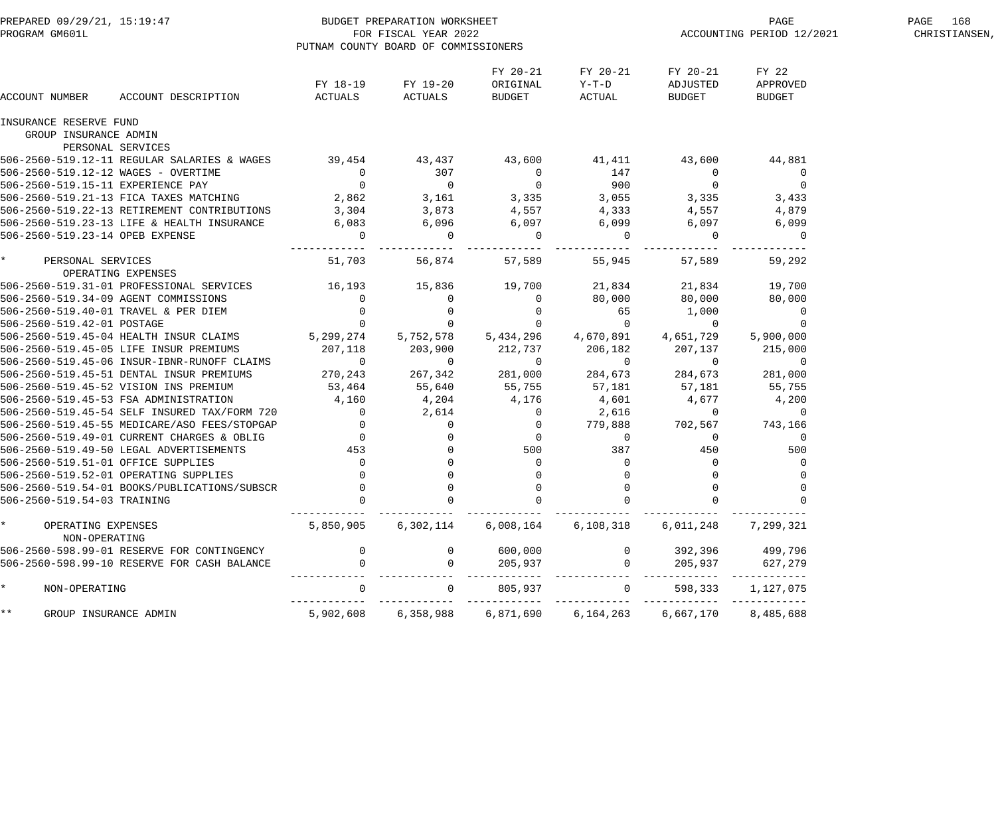| PREPARED 09/29/21, 15:19:47<br>PROGRAM GM601L |                                              |                          | BUDGET PREPARATION WORKSHEET<br>FOR FISCAL YEAR 2022<br>PUTNAM COUNTY BOARD OF COMMISSIONERS |                                |                             |                                | PAGE<br>ACCOUNTING PERIOD 12/2021  | PAGE 168<br>CHRISTIANSEN, |
|-----------------------------------------------|----------------------------------------------|--------------------------|----------------------------------------------------------------------------------------------|--------------------------------|-----------------------------|--------------------------------|------------------------------------|---------------------------|
| ACCOUNT NUMBER                                | ACCOUNT DESCRIPTION                          | FY 18-19<br>ACTUALS      | FY 19-20<br>ACTUALS                                                                          | FY 20-21<br>ORIGINAL<br>BUDGET | FY 20-21<br>Y-T-D<br>ACTUAL | FY 20-21<br>ADJUSTED<br>BUDGET | FY 22<br>APPROVED<br><b>BUDGET</b> |                           |
| INSURANCE RESERVE FUND                        |                                              |                          |                                                                                              |                                |                             |                                |                                    |                           |
| GROUP INSURANCE ADMIN                         |                                              |                          |                                                                                              |                                |                             |                                |                                    |                           |
|                                               | PERSONAL SERVICES                            |                          |                                                                                              |                                |                             |                                |                                    |                           |
|                                               | 506-2560-519.12-11 REGULAR SALARIES & WAGES  | 39,454                   | 43,437                                                                                       | 43,600                         | 41,411                      | 43,600                         | 44,881                             |                           |
| 506-2560-519.12-12 WAGES - OVERTIME           |                                              | $\overline{0}$           | 307                                                                                          | $\mathbf 0$                    | 147                         | $\overline{0}$                 | $\overline{0}$                     |                           |
| 506-2560-519.15-11 EXPERIENCE PAY             |                                              | $\overline{0}$           | $\overline{0}$                                                                               | $\overline{0}$                 | 900                         | $\overline{0}$                 | $\overline{0}$                     |                           |
|                                               | 506-2560-519.21-13 FICA TAXES MATCHING       | 2,862                    | 3,161                                                                                        | 3,335                          | 3,055                       | 3,335                          | 3,433                              |                           |
|                                               | 506-2560-519.22-13 RETIREMENT CONTRIBUTIONS  | 3,304                    | 3,873                                                                                        | 4,557                          | 4,333                       | 4,557                          | 4,879                              |                           |
|                                               | 506-2560-519.23-13 LIFE & HEALTH INSURANCE   | 6,083                    | 6,096                                                                                        | 6,097                          | 6,099                       | 6,097                          | 6,099                              |                           |
| 506-2560-519.23-14 OPEB EXPENSE               |                                              | $\overline{0}$           | $\Omega$                                                                                     | $\overline{0}$                 | $\Omega$                    | 0                              | $\overline{0}$                     |                           |
| $\star$<br>PERSONAL SERVICES                  |                                              | 51,703                   | 56,874                                                                                       | 57,589                         | 55,945                      | 57,589                         | 59,292                             |                           |
|                                               | OPERATING EXPENSES                           |                          |                                                                                              |                                |                             |                                |                                    |                           |
|                                               | 506-2560-519.31-01 PROFESSIONAL SERVICES     | 16,193                   | 15,836                                                                                       | 19,700                         | 21,834                      | 21,834                         | 19,700                             |                           |
| 506-2560-519.34-09 AGENT COMMISSIONS          |                                              | $\overline{0}$           |                                                                                              | $\overline{0}$                 | 80,000                      | 80,000                         | 80,000                             |                           |
|                                               | 506-2560-519.40-01 TRAVEL & PER DIEM         | $\overline{0}$           | $\overline{0}$                                                                               | $\overline{0}$                 | 65                          | 1,000                          | $\overline{0}$                     |                           |
| 506-2560-519.42-01 POSTAGE                    |                                              | $\overline{0}$           |                                                                                              | $\overline{0}$                 | $\overline{0}$              | $\sim$ 0                       | 0                                  |                           |
|                                               | 506-2560-519.45-04 HEALTH INSUR CLAIMS       | 5,299,274                | 5,752,578                                                                                    | 5,434,296                      | 4,670,891                   | 4,651,729                      | 5,900,000                          |                           |
|                                               | 506-2560-519.45-05 LIFE INSUR PREMIUMS       | 207,118                  | 203,900                                                                                      | 212,737                        | 206,182                     | 207,137                        | 215,000                            |                           |
|                                               | 506-2560-519.45-06 INSUR-IBNR-RUNOFF CLAIMS  | $\sim$ 0                 | 0                                                                                            | $\overline{0}$                 | $\overline{0}$              | - 0                            | 0                                  |                           |
|                                               | 506-2560-519.45-51 DENTAL INSUR PREMIUMS     | 270,243                  | 267,342                                                                                      | 281,000                        | 284,673                     | 284,673                        | 281,000                            |                           |
|                                               | 506-2560-519.45-52 VISION INS PREMIUM        | 53,464                   | 55,640                                                                                       | 55,755                         | 57,181                      | 57,181                         | 55,755                             |                           |
|                                               | 506-2560-519.45-53 FSA ADMINISTRATION        | 4,160                    | 4,204                                                                                        | 4,176                          | 4,601                       | 4,677                          | 4,200                              |                           |
|                                               | 506-2560-519.45-54 SELF INSURED TAX/FORM 720 | $\overline{0}$           | 2,614                                                                                        | $\overline{0}$                 | 2,616                       | $\sim$ 0                       | 0                                  |                           |
|                                               | 506-2560-519.45-55 MEDICARE/ASO FEES/STOPGAP | $\overline{0}$           | $\mathsf{O}$                                                                                 | $\cup$                         | 779,888                     | 702,567                        | 743,166                            |                           |
|                                               | 506-2560-519.49-01 CURRENT CHARGES & OBLIG   | $\overline{\phantom{a}}$ | 0                                                                                            | $\overline{0}$                 | $\overline{0}$              | $\overline{0}$                 | 0                                  |                           |
|                                               | 506-2560-519.49-50 LEGAL ADVERTISEMENTS      | 453                      |                                                                                              | 500                            | 387                         | 450                            | 500                                |                           |
| 506-2560-519.51-01 OFFICE SUPPLIES            |                                              | $\overline{0}$           |                                                                                              | 0                              | 0                           | $\overline{0}$                 |                                    |                           |
|                                               | 506-2560-519.52-01 OPERATING SUPPLIES        | $\Omega$                 | $\Omega$                                                                                     | $\overline{0}$                 | $\Omega$                    | $\Omega$                       |                                    |                           |
|                                               | 506-2560-519.54-01 BOOKS/PUBLICATIONS/SUBSCR |                          |                                                                                              | 0                              |                             | 0                              | 0                                  |                           |
| 506-2560-519.54-03 TRAINING                   |                                              |                          |                                                                                              | 0                              |                             |                                |                                    |                           |
| OPERATING EXPENSES<br>NON-OPERATING           |                                              | 5,850,905                | 6,302,114                                                                                    | 6,008,164                      | 6, 108, 318                 | 6,011,248                      | 7,299,321                          |                           |
|                                               | 506-2560-598.99-01 RESERVE FOR CONTINGENCY   |                          |                                                                                              | 600,000                        |                             | 392,396                        | 499,796                            |                           |
|                                               | 506-2560-598.99-10 RESERVE FOR CASH BALANCE  |                          |                                                                                              | 205,937                        |                             | 205,937                        | 627,279                            |                           |
| NON-OPERATING                                 |                                              | $\Omega$                 |                                                                                              | 805,937                        |                             | 598,333                        | 1,127,075                          |                           |
| * *<br>GROUP INSURANCE ADMIN                  |                                              | 5,902,608                | 6,358,988                                                                                    | 6,871,690                      | 6,164,263                   | 6,667,170                      | 8,485,688                          |                           |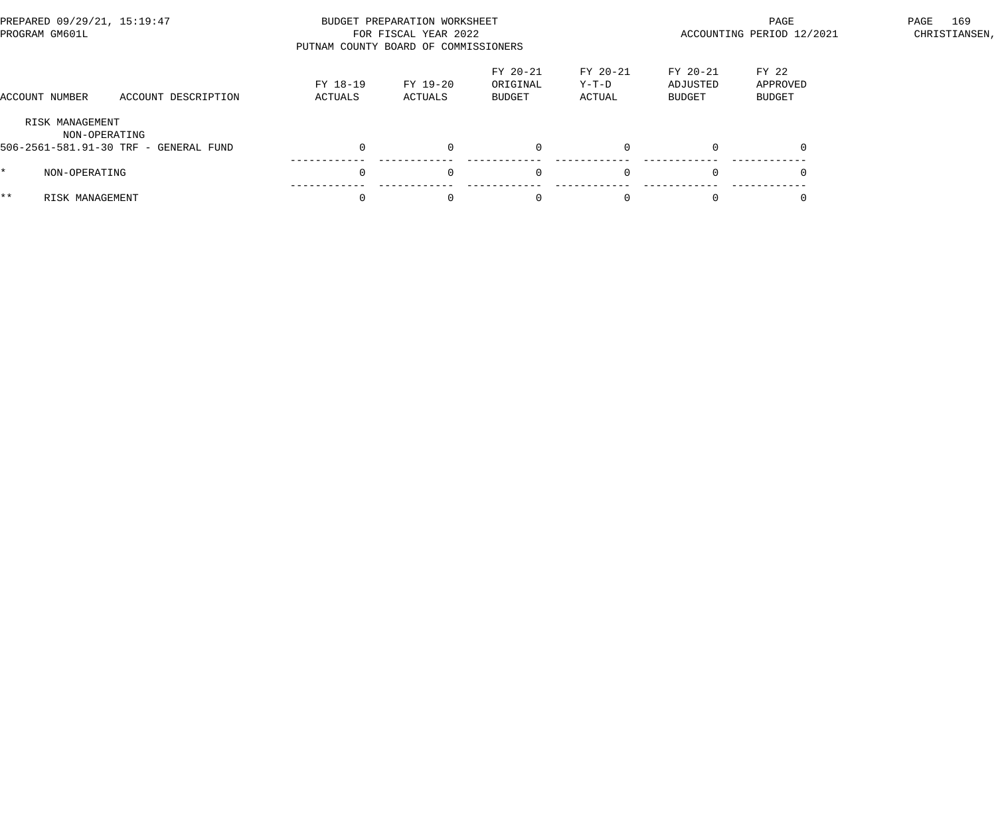| PREPARED 09/29/21, 15:19:47<br>PROGRAM GM601L |                                                        | PUTNAM COUNTY BOARD OF COMMISSIONERS | BUDGET PREPARATION WORKSHEET<br>FOR FISCAL YEAR 2022 |                                |                             | PAGE<br>PAGE<br>ACCOUNTING PERIOD 12/2021<br>CHRISTIANSEN, |                             |  |  |
|-----------------------------------------------|--------------------------------------------------------|--------------------------------------|------------------------------------------------------|--------------------------------|-----------------------------|------------------------------------------------------------|-----------------------------|--|--|
| ACCOUNT NUMBER                                | ACCOUNT DESCRIPTION                                    | FY 18-19<br>ACTUALS                  | FY 19-20<br>ACTUALS                                  | FY 20-21<br>ORIGINAL<br>BUDGET | FY 20-21<br>Y-T-D<br>ACTUAL | FY 20-21<br>ADJUSTED<br>BUDGET                             | FY 22<br>APPROVED<br>BUDGET |  |  |
| RISK MANAGEMENT                               | NON-OPERATING<br>506-2561-581.91-30 TRF - GENERAL FUND |                                      | $\Omega$                                             | $\mathbf{0}$                   | $\Omega$                    |                                                            | $\Omega$                    |  |  |
| NON-OPERATING                                 |                                                        | $\Omega$                             | $\Omega$                                             | $\mathbf 0$                    | $\Omega$                    |                                                            |                             |  |  |
| $***$<br>RISK MANAGEMENT                      |                                                        |                                      | $\Omega$                                             | $\Omega$                       |                             |                                                            |                             |  |  |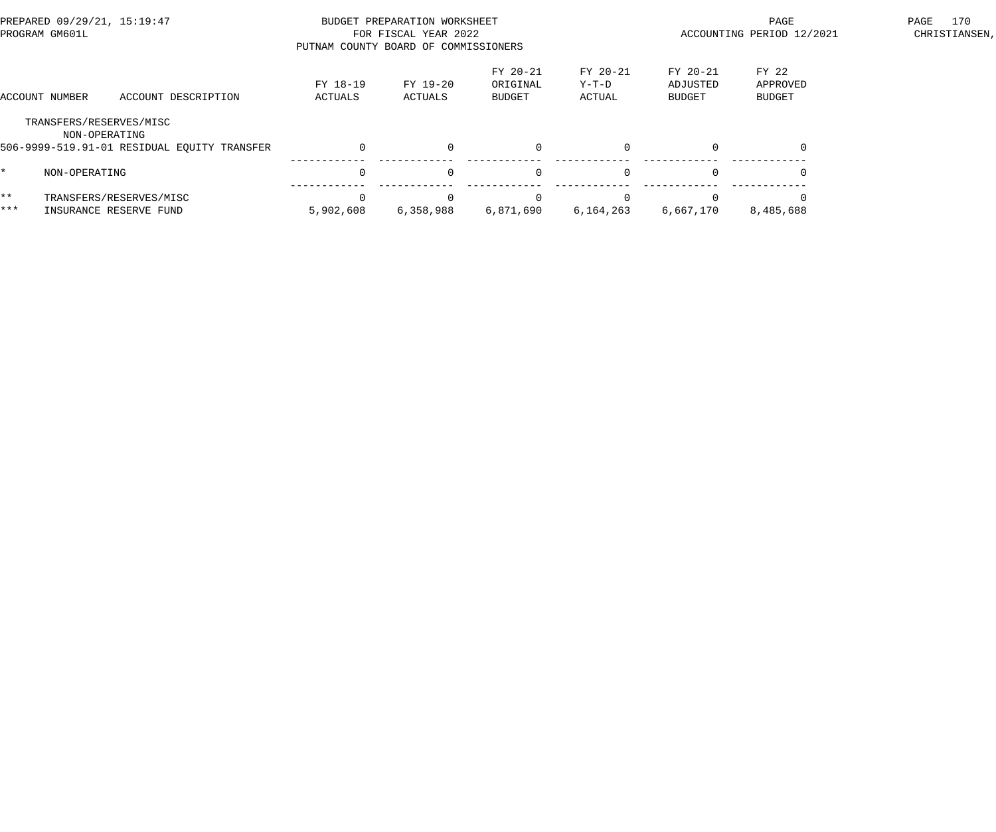| PREPARED 09/29/21, 15:19:47<br>PROGRAM GM601L |                                                   |                                             |                     | BUDGET PREPARATION WORKSHEET<br>FOR FISCAL YEAR 2022<br>PUTNAM COUNTY BOARD OF COMMISSIONERS |                                       |                             |                                       | 170<br>PAGE<br>PAGE<br>ACCOUNTING PERIOD 12/2021<br>CHRISTIANSEN, |  |  |  |
|-----------------------------------------------|---------------------------------------------------|---------------------------------------------|---------------------|----------------------------------------------------------------------------------------------|---------------------------------------|-----------------------------|---------------------------------------|-------------------------------------------------------------------|--|--|--|
|                                               | ACCOUNT NUMBER                                    | ACCOUNT DESCRIPTION                         | FY 18-19<br>ACTUALS | FY 19-20<br>ACTUALS                                                                          | FY 20-21<br>ORIGINAL<br><b>BUDGET</b> | FY 20-21<br>Y-T-D<br>ACTUAL | FY 20-21<br>ADJUSTED<br><b>BUDGET</b> | FY 22<br>APPROVED<br><b>BUDGET</b>                                |  |  |  |
|                                               | TRANSFERS/RESERVES/MISC<br>NON-OPERATING          | 506-9999-519.91-01 RESIDUAL EOUITY TRANSFER |                     | $\Omega$                                                                                     |                                       | $\Omega$                    |                                       |                                                                   |  |  |  |
|                                               | NON-OPERATING                                     |                                             | $\Omega$            | $\Omega$                                                                                     | $\Omega$                              | $\Omega$                    | $\Omega$                              |                                                                   |  |  |  |
| $***$<br>***                                  | TRANSFERS/RESERVES/MISC<br>INSURANCE RESERVE FUND |                                             | 5,902,608           | 6,358,988                                                                                    | 6,871,690                             | 6,164,263                   | 6,667,170                             | 8,485,688                                                         |  |  |  |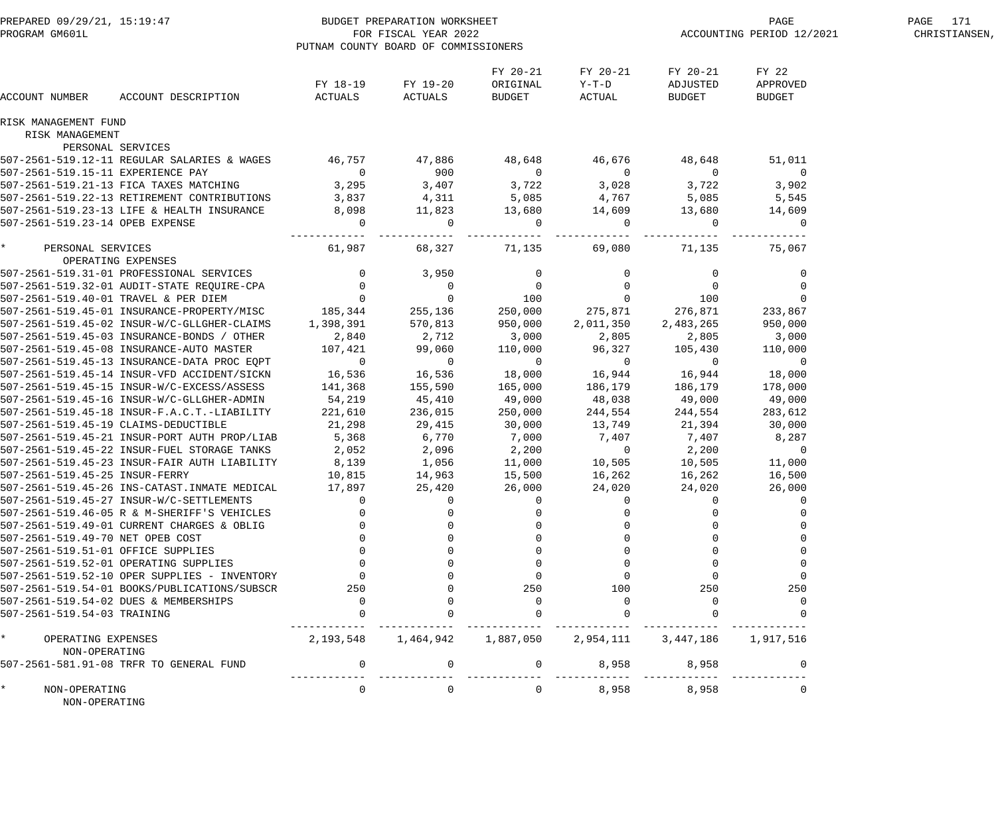| PREPARED 09/29/21, 15:19:47<br>PROGRAM GM601L |                                              | BUDGET PREPARATION WORKSHEET<br>FOR FISCAL YEAR 2022<br>PUTNAM COUNTY BOARD OF COMMISSIONERS |                     |                                |                               |                                | PAGE<br>ACCOUNTING PERIOD 12/2021  | PAGE 171<br>CHRISTIANSEN, |
|-----------------------------------------------|----------------------------------------------|----------------------------------------------------------------------------------------------|---------------------|--------------------------------|-------------------------------|--------------------------------|------------------------------------|---------------------------|
| ACCOUNT NUMBER                                | ACCOUNT DESCRIPTION                          | FY 18-19<br>ACTUALS                                                                          | FY 19-20<br>ACTUALS | FY 20-21<br>ORIGINAL<br>BUDGET | FY 20-21<br>$Y-T-D$<br>ACTUAL | FY 20-21<br>ADJUSTED<br>BUDGET | FY 22<br>APPROVED<br><b>BUDGET</b> |                           |
| RISK MANAGEMENT FUND                          |                                              |                                                                                              |                     |                                |                               |                                |                                    |                           |
| RISK MANAGEMENT                               |                                              |                                                                                              |                     |                                |                               |                                |                                    |                           |
|                                               | PERSONAL SERVICES                            |                                                                                              |                     |                                |                               |                                |                                    |                           |
|                                               | 507-2561-519.12-11 REGULAR SALARIES & WAGES  | 46,757                                                                                       | 47,886              | 48,648                         | 46,676                        | 48,648                         | 51,011                             |                           |
| 507-2561-519.15-11 EXPERIENCE PAY             |                                              | $\overline{0}$                                                                               | 900                 | $\overline{0}$                 | $\overline{0}$                | $\overline{0}$                 | $\overline{0}$                     |                           |
|                                               | 507-2561-519.21-13 FICA TAXES MATCHING       | 3,295                                                                                        | 3,407               | 3,722                          | 3,028                         | 3,722                          | 3,902                              |                           |
|                                               | 507-2561-519.22-13 RETIREMENT CONTRIBUTIONS  | 3,837                                                                                        | 4,311               | 5,085                          | 4,767                         | 5,085                          | 5,545                              |                           |
|                                               | 507-2561-519.23-13 LIFE & HEALTH INSURANCE   | 8,098                                                                                        | 11,823              | 13,680                         | 14,609                        | 13,680                         | 14,609                             |                           |
| 507-2561-519.23-14 OPEB EXPENSE               |                                              | $\overline{0}$                                                                               | $\mathbf 0$         | $\overline{0}$                 | $\overline{0}$                | $\mathbf{0}$                   | $\mathbf 0$                        |                           |
| $\star$<br>PERSONAL SERVICES                  | OPERATING EXPENSES                           | . _ _ _ _ _ _ _ _ _<br>61,987                                                                | 68,327              | -------<br>71,135              | ------<br>69,080              | 71,135                         | 75,067                             |                           |
|                                               | 507-2561-519.31-01 PROFESSIONAL SERVICES     | $\overline{0}$                                                                               | 3,950               | $\mathbf 0$                    | $\mathbf 0$                   | $\overline{0}$                 | $\mathbf 0$                        |                           |
|                                               | 507-2561-519.32-01 AUDIT-STATE REQUIRE-CPA   | $\overline{0}$                                                                               | $\overline{0}$      | $\overline{0}$                 | $\overline{0}$                | $\overline{0}$                 | $\mathsf{O}$                       |                           |
|                                               | 507-2561-519.40-01 TRAVEL & PER DIEM         | $\overline{0}$                                                                               | $\overline{0}$      | 100                            | $\overline{0}$                | 100                            | $\mathbf 0$                        |                           |
|                                               | 507-2561-519.45-01 INSURANCE-PROPERTY/MISC   | 185,344                                                                                      | 255,136             | 250,000                        | 275,871                       | 276,871                        | 233,867                            |                           |
|                                               | 507-2561-519.45-02 INSUR-W/C-GLLGHER-CLAIMS  | 1,398,391                                                                                    | 570,813             | 950,000                        | 2,011,350                     | 2,483,265                      | 950,000                            |                           |
|                                               | 507-2561-519.45-03 INSURANCE-BONDS / OTHER   | 2,840                                                                                        | 2,712               | 3,000                          | 2,805                         | 2,805                          | 3,000                              |                           |
|                                               | 507-2561-519.45-08 INSURANCE-AUTO MASTER     | 107,421                                                                                      | 99,060              | 110,000                        | 96,327                        | 105,430                        | 110,000                            |                           |
|                                               | 507-2561-519.45-13 INSURANCE-DATA PROC EQPT  | $\overline{0}$                                                                               | $\overline{0}$      | $\overline{0}$                 | $\sim$ 0                      | $\overline{0}$                 | $\overline{0}$                     |                           |
|                                               | 507-2561-519.45-14 INSUR-VFD ACCIDENT/SICKN  | 16,536                                                                                       | 16,536              | 18,000                         | 16,944                        | 16,944                         | 18,000                             |                           |
|                                               |                                              | 141,368                                                                                      | 155,590             | 165,000                        | 186,179                       | 186,179                        | 178,000                            |                           |
|                                               | 507-2561-519.45-16 INSUR-W/C-GLLGHER-ADMIN   | 54,219                                                                                       | 45,410              | 49,000                         | 48,038                        | 49,000                         | 49,000                             |                           |
|                                               | 507-2561-519.45-18 INSUR-F.A.C.T.-LIABILITY  | 221,610                                                                                      | 236,015             | 250,000                        | 244,554                       | 244,554                        | 283,612                            |                           |
| 507-2561-519.45-19 CLAIMS-DEDUCTIBLE          |                                              | 21,298                                                                                       | 29,415              | 30,000                         | 13,749                        | 21,394                         | 30,000                             |                           |
|                                               | 507-2561-519.45-21 INSUR-PORT AUTH PROP/LIAB | 5,368                                                                                        | 6,770               | 7,000                          | 7,407                         | 7,407                          | 8,287                              |                           |
|                                               | 507-2561-519.45-22 INSUR-FUEL STORAGE TANKS  | 2,052                                                                                        | 2,096               | 2,200                          | $\overline{0}$                | 2,200                          | $\overline{0}$                     |                           |
|                                               | 507-2561-519.45-23 INSUR-FAIR AUTH LIABILITY | 8,139                                                                                        | 1,056               | 11,000                         | 10,505                        | 10,505                         | 11,000                             |                           |
| 507-2561-519.45-25 INSUR-FERRY                |                                              | 10,815                                                                                       | 14,963              | 15,500                         | 16,262                        | 16,262                         | 16,500                             |                           |
|                                               | 507-2561-519.45-26 INS-CATAST.INMATE MEDICAL | 17,897                                                                                       | 25,420              | 26,000                         | 24,020                        | 24,020                         | 26,000                             |                           |
|                                               |                                              |                                                                                              |                     |                                |                               |                                |                                    |                           |
|                                               | 507-2561-519.46-05 R & M-SHERIFF'S VEHICLES  |                                                                                              |                     |                                |                               |                                |                                    |                           |
|                                               | 507-2561-519.49-01 CURRENT CHARGES & OBLIG   |                                                                                              |                     |                                |                               |                                |                                    |                           |
| 507-2561-519.49-70 NET OPEB COST              |                                              |                                                                                              |                     |                                |                               |                                |                                    |                           |
| 507-2561-519.51-01 OFFICE SUPPLIES            |                                              |                                                                                              |                     |                                |                               |                                |                                    |                           |
|                                               | 507-2561-519.52-01 OPERATING SUPPLIES        |                                                                                              |                     |                                |                               |                                |                                    |                           |
|                                               | 507-2561-519.52-10 OPER SUPPLIES - INVENTORY |                                                                                              |                     |                                |                               |                                |                                    |                           |
|                                               | 507-2561-519.54-01 BOOKS/PUBLICATIONS/SUBSCR | 250                                                                                          |                     | 250                            | 100                           | 250                            | 250                                |                           |
|                                               | 507-2561-519.54-02 DUES & MEMBERSHIPS        |                                                                                              |                     | $\Omega$                       |                               |                                | $\Omega$                           |                           |
| 507-2561-519.54-03 TRAINING                   |                                              |                                                                                              |                     |                                |                               |                                |                                    |                           |
| $\star$<br>OPERATING EXPENSES                 |                                              | 2,193,548                                                                                    | 1,464,942           | 1,887,050                      | 2,954,111                     | 3,447,186                      | 1,917,516                          |                           |
| NON-OPERATING                                 | 507-2561-581.91-08 TRFR TO GENERAL FUND      | $\mathbf{0}$                                                                                 |                     | $\Omega$                       | 8,958                         | 8,958                          |                                    |                           |
|                                               |                                              |                                                                                              |                     |                                |                               |                                |                                    |                           |
| NON-OPERATING<br>NON-OPERATING                |                                              | $\mathbf{0}$                                                                                 |                     | $\Omega$                       | 8,958                         | 8,958                          |                                    |                           |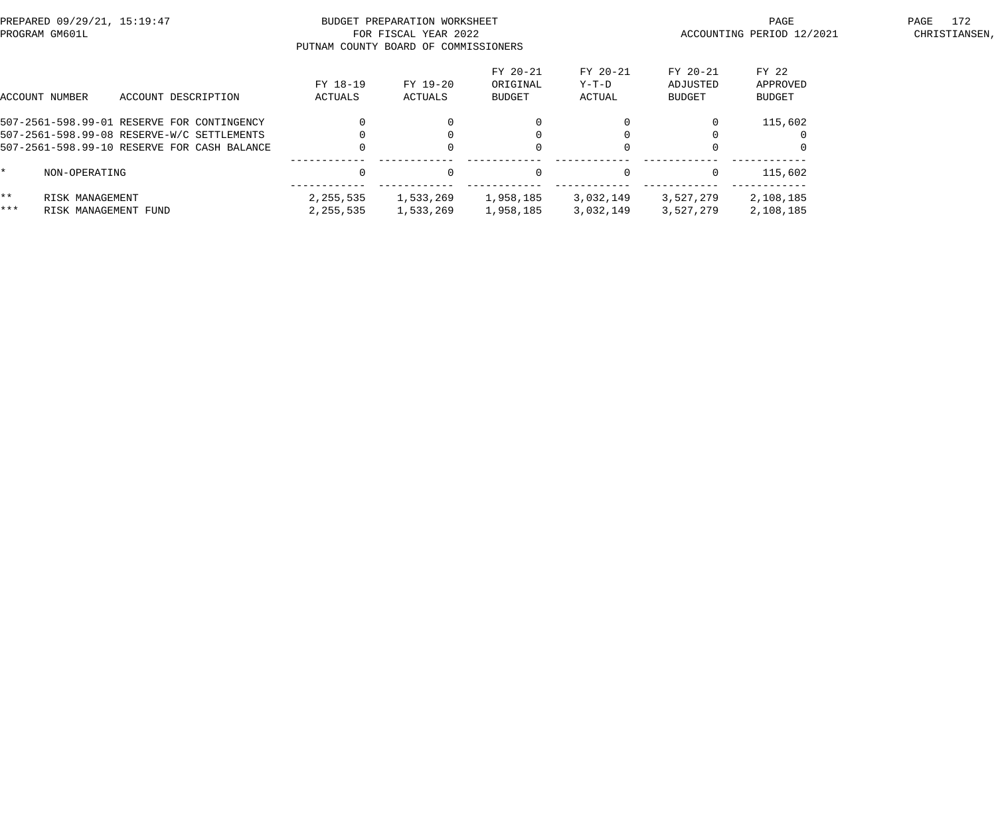| PREPARED 09/29/21, 15:19:47<br>PROGRAM GM601L |                      |                                             |                     | BUDGET PREPARATION WORKSHEET<br>FOR FISCAL YEAR 2022<br>PUTNAM COUNTY BOARD OF COMMISSIONERS |                                       |                             |                                       | PAGE<br>ACCOUNTING PERIOD 12/2021  | 172<br>PAGE<br>CHRISTIANSEN, |
|-----------------------------------------------|----------------------|---------------------------------------------|---------------------|----------------------------------------------------------------------------------------------|---------------------------------------|-----------------------------|---------------------------------------|------------------------------------|------------------------------|
|                                               | ACCOUNT NUMBER       | ACCOUNT DESCRIPTION                         | FY 18-19<br>ACTUALS | FY 19-20<br>ACTUALS                                                                          | FY 20-21<br>ORIGINAL<br><b>BUDGET</b> | FY 20-21<br>Y-T-D<br>ACTUAL | FY 20-21<br>ADJUSTED<br><b>BUDGET</b> | FY 22<br>APPROVED<br><b>BUDGET</b> |                              |
|                                               |                      | 507-2561-598.99-01 RESERVE FOR CONTINGENCY  |                     |                                                                                              |                                       |                             | $\Omega$                              | 115,602                            |                              |
|                                               |                      | 507-2561-598.99-08 RESERVE-W/C SETTLEMENTS  |                     |                                                                                              |                                       |                             |                                       |                                    |                              |
|                                               |                      | 507-2561-598.99-10 RESERVE FOR CASH BALANCE |                     |                                                                                              |                                       |                             |                                       |                                    |                              |
|                                               | NON-OPERATING        |                                             |                     | $\Omega$                                                                                     | $\Omega$                              | $\Omega$                    | $\Omega$                              | 115,602                            |                              |
| $***$                                         | RISK MANAGEMENT      |                                             | 2,255,535           | 1,533,269                                                                                    | 1,958,185                             | 3,032,149                   | 3,527,279                             | 2,108,185                          |                              |
| ***                                           | RISK MANAGEMENT FUND |                                             | 2,255,535           | 1,533,269                                                                                    | 1,958,185                             | 3,032,149                   | 3,527,279                             | 2,108,185                          |                              |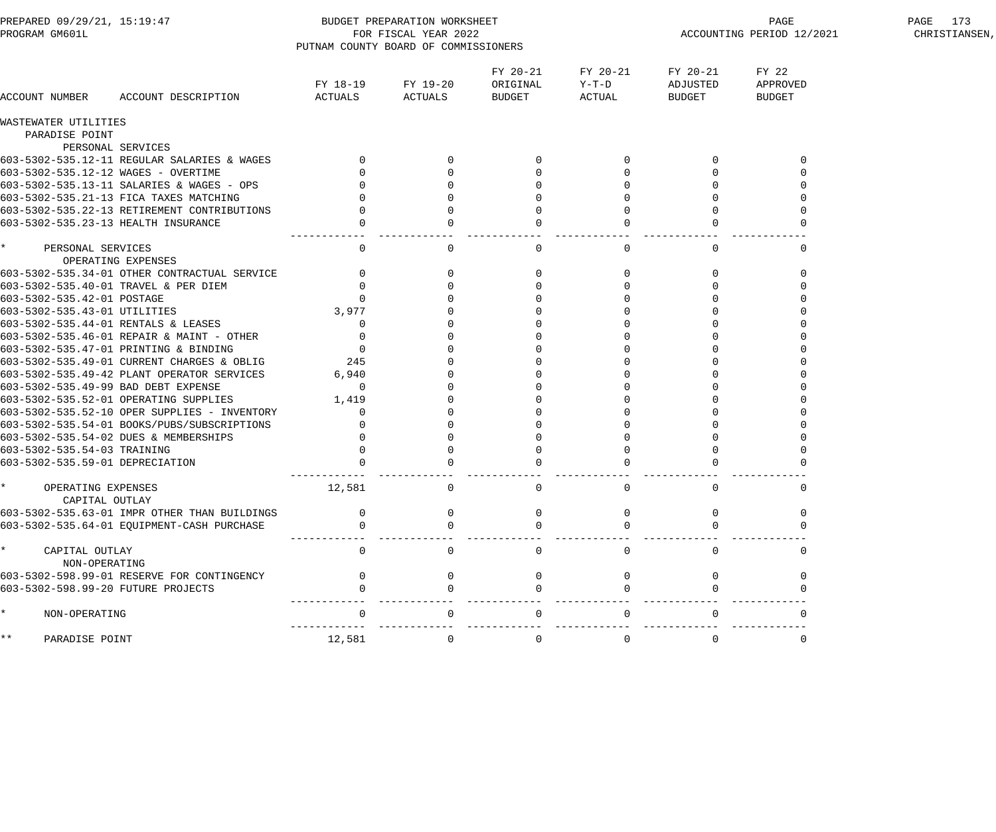| PREPARED 09/29/21, 15:19:47<br>PROGRAM GM601L |                                              |                        | BUDGET PREPARATION WORKSHEET<br>PAGE<br>FOR FISCAL YEAR 2022<br>ACCOUNTING PERIOD 12/2021<br>PUTNAM COUNTY BOARD OF COMMISSIONERS |                                |                             |                                |                                    |  |
|-----------------------------------------------|----------------------------------------------|------------------------|-----------------------------------------------------------------------------------------------------------------------------------|--------------------------------|-----------------------------|--------------------------------|------------------------------------|--|
| ACCOUNT NUMBER                                | ACCOUNT DESCRIPTION                          | ACTUALS                | FY 18-19 FY 19-20<br>ACTUALS                                                                                                      | FY 20-21<br>ORIGINAL<br>BUDGET | FY 20-21<br>Y-T-D<br>ACTUAL | FY 20-21<br>ADJUSTED<br>BUDGET | FY 22<br>APPROVED<br><b>BUDGET</b> |  |
| WASTEWATER UTILITIES                          |                                              |                        |                                                                                                                                   |                                |                             |                                |                                    |  |
| PARADISE POINT                                |                                              |                        |                                                                                                                                   |                                |                             |                                |                                    |  |
|                                               | PERSONAL SERVICES                            |                        |                                                                                                                                   |                                |                             |                                |                                    |  |
|                                               | 603-5302-535.12-11 REGULAR SALARIES & WAGES  |                        |                                                                                                                                   | $\Omega$                       |                             | $\Omega$                       | $\Omega$                           |  |
| 603-5302-535.12-12 WAGES - OVERTIME           |                                              |                        |                                                                                                                                   |                                |                             |                                |                                    |  |
|                                               | 603-5302-535.13-11 SALARIES & WAGES - OPS    |                        |                                                                                                                                   |                                |                             |                                |                                    |  |
|                                               | 603-5302-535.21-13 FICA TAXES MATCHING       |                        |                                                                                                                                   |                                |                             |                                |                                    |  |
|                                               | 603-5302-535.22-13 RETIREMENT CONTRIBUTIONS  |                        |                                                                                                                                   |                                |                             |                                |                                    |  |
| 603-5302-535.23-13 HEALTH INSURANCE           |                                              |                        |                                                                                                                                   |                                |                             |                                |                                    |  |
| $\star$<br>PERSONAL SERVICES                  |                                              | $\mathbf 0$            | 0                                                                                                                                 | $\mathbf 0$                    | $\mathbf{0}$                | $\mathbf{0}$                   | $\Omega$                           |  |
|                                               | OPERATING EXPENSES                           |                        |                                                                                                                                   |                                |                             |                                |                                    |  |
|                                               | 603-5302-535.34-01 OTHER CONTRACTUAL SERVICE | $\mathbf{0}$           |                                                                                                                                   |                                |                             | 0                              |                                    |  |
|                                               | 603-5302-535.40-01 TRAVEL & PER DIEM         |                        |                                                                                                                                   |                                |                             |                                |                                    |  |
| 603-5302-535.42-01 POSTAGE                    |                                              | $\Omega$               |                                                                                                                                   |                                |                             |                                |                                    |  |
| 603-5302-535.43-01 UTILITIES                  |                                              | 3,977                  |                                                                                                                                   |                                |                             |                                |                                    |  |
| 603-5302-535.44-01 RENTALS & LEASES           |                                              | $\overline{0}$         |                                                                                                                                   |                                |                             |                                |                                    |  |
|                                               | 603-5302-535.46-01 REPAIR & MAINT - OTHER    | $\Omega$               |                                                                                                                                   |                                |                             |                                |                                    |  |
|                                               | 603-5302-535.47-01 PRINTING & BINDING        | $\overline{0}$         |                                                                                                                                   |                                |                             |                                |                                    |  |
|                                               | 603-5302-535.49-01 CURRENT CHARGES & OBLIG   | 245                    |                                                                                                                                   |                                |                             |                                |                                    |  |
|                                               | 603-5302-535.49-42 PLANT OPERATOR SERVICES   | 6,940                  |                                                                                                                                   |                                |                             |                                |                                    |  |
| 603-5302-535.49-99 BAD DEBT EXPENSE           |                                              | $\overline{0}$         |                                                                                                                                   |                                |                             |                                |                                    |  |
|                                               | 603-5302-535.52-01 OPERATING SUPPLIES        | 1,419                  |                                                                                                                                   |                                |                             |                                |                                    |  |
|                                               | 603-5302-535.52-10 OPER SUPPLIES - INVENTORY | $\Omega$               |                                                                                                                                   |                                |                             |                                |                                    |  |
|                                               | 603-5302-535.54-01 BOOKS/PUBS/SUBSCRIPTIONS  | $\Omega$               |                                                                                                                                   |                                |                             |                                |                                    |  |
|                                               | 603-5302-535.54-02 DUES & MEMBERSHIPS        |                        |                                                                                                                                   |                                |                             |                                |                                    |  |
| 603-5302-535.54-03 TRAINING                   |                                              |                        |                                                                                                                                   |                                |                             |                                |                                    |  |
| 603-5302-535.59-01 DEPRECIATION               |                                              |                        |                                                                                                                                   |                                |                             |                                |                                    |  |
| OPERATING EXPENSES<br>CAPITAL OUTLAY          |                                              | ------------<br>12,581 |                                                                                                                                   |                                |                             |                                |                                    |  |
|                                               | 603-5302-535.63-01 IMPR OTHER THAN BUILDINGS |                        |                                                                                                                                   |                                |                             |                                |                                    |  |
|                                               | 603-5302-535.64-01 EQUIPMENT-CASH PURCHASE   |                        |                                                                                                                                   |                                |                             |                                |                                    |  |
|                                               |                                              |                        |                                                                                                                                   |                                |                             |                                |                                    |  |
| CAPITAL OUTLAY<br>NON-OPERATING               |                                              | $\Omega$               |                                                                                                                                   | 0                              |                             |                                |                                    |  |
|                                               | 603-5302-598.99-01 RESERVE FOR CONTINGENCY   |                        |                                                                                                                                   |                                |                             |                                |                                    |  |
| 603-5302-598.99-20 FUTURE PROJECTS            |                                              |                        |                                                                                                                                   |                                |                             |                                |                                    |  |
| NON-OPERATING                                 |                                              |                        |                                                                                                                                   |                                |                             |                                |                                    |  |
| * *<br>PARADISE POINT                         |                                              | 12,581                 | $\Omega$                                                                                                                          | 0                              | 0                           | $\overline{0}$                 | 0                                  |  |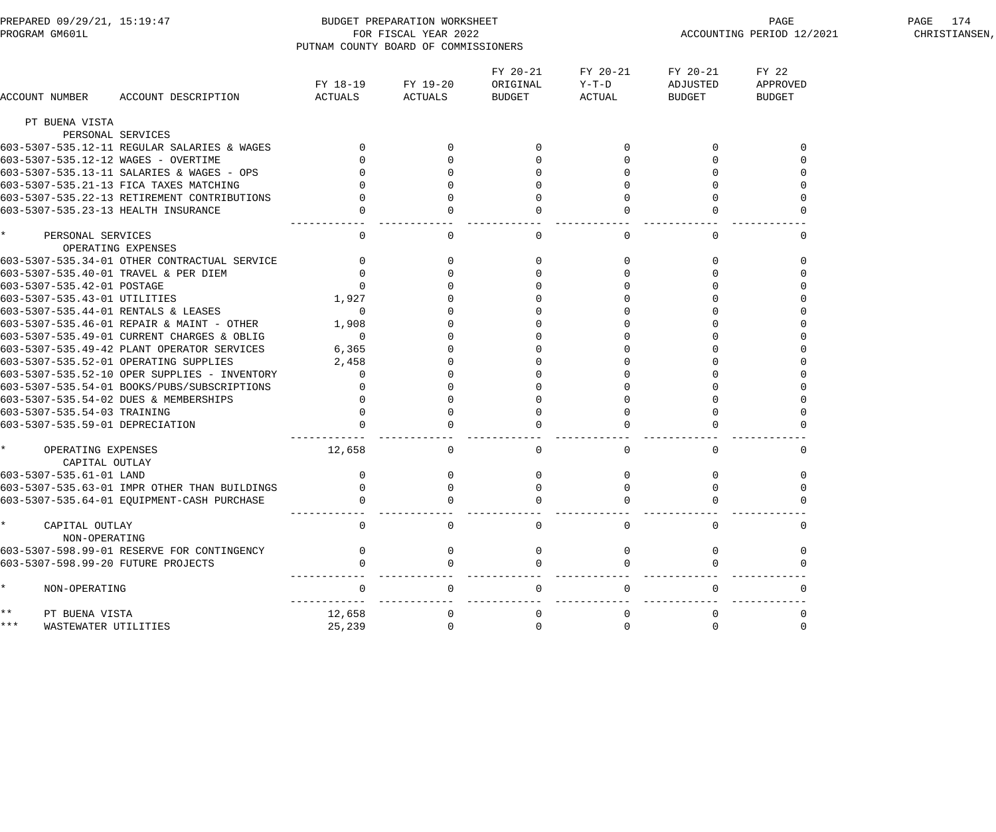| PREPARED 09/29/21, 15:19:47<br>PROGRAM GM601L      |                                                 | PUTNAM COUNTY BOARD OF COMMISSIONERS | BUDGET PREPARATION WORKSHEET<br>FOR FISCAL YEAR 2022 |                                |                             |                                | PAGE<br>ACCOUNTING PERIOD 12/2021  | PAGE 174<br>CHRISTIANSEN, |
|----------------------------------------------------|-------------------------------------------------|--------------------------------------|------------------------------------------------------|--------------------------------|-----------------------------|--------------------------------|------------------------------------|---------------------------|
| ACCOUNT NUMBER                                     | ACCOUNT DESCRIPTION                             | FY 18-19<br>ACTUALS                  | FY 19-20<br>ACTUALS                                  | FY 20-21<br>ORIGINAL<br>BUDGET | FY 20-21<br>Y-T-D<br>ACTUAL | FY 20-21<br>ADJUSTED<br>BUDGET | FY 22<br>APPROVED<br><b>BUDGET</b> |                           |
| PT BUENA VISTA                                     |                                                 |                                      |                                                      |                                |                             |                                |                                    |                           |
| PERSONAL SERVICES                                  |                                                 |                                      |                                                      |                                |                             |                                |                                    |                           |
|                                                    | 603-5307-535.12-11 REGULAR SALARIES & WAGES     |                                      |                                                      | $\overline{0}$                 |                             |                                |                                    |                           |
| 603-5307-535.12-12 WAGES - OVERTIME                |                                                 |                                      |                                                      |                                |                             |                                |                                    |                           |
|                                                    | 603-5307-535.13-11 SALARIES & WAGES - OPS       |                                      |                                                      |                                |                             |                                |                                    |                           |
| 603-5307-535.21-13 FICA TAXES MATCHING             |                                                 |                                      |                                                      |                                |                             |                                |                                    |                           |
|                                                    | 603-5307-535.22-13 RETIREMENT CONTRIBUTIONS     |                                      |                                                      |                                |                             |                                |                                    |                           |
| 603-5307-535.23-13 HEALTH INSURANCE                |                                                 |                                      |                                                      |                                |                             |                                |                                    |                           |
| $\star$<br>PERSONAL SERVICES<br>OPERATING EXPENSES |                                                 | $\overline{0}$                       | $\mathbf{0}$                                         | $\mathsf{O}$                   | 0                           | $\Omega$                       |                                    |                           |
|                                                    | 603-5307-535.34-01 OTHER CONTRACTUAL SERVICE    | $\overline{0}$                       | 0                                                    | $\overline{0}$                 |                             | $\Omega$                       |                                    |                           |
| 603-5307-535.40-01 TRAVEL & PER DIEM               |                                                 |                                      |                                                      |                                |                             |                                |                                    |                           |
| 603-5307-535.42-01 POSTAGE                         |                                                 | $\Omega$                             |                                                      |                                |                             |                                |                                    |                           |
| 603-5307-535.43-01 UTILITIES                       |                                                 | 1,927                                |                                                      |                                |                             |                                |                                    |                           |
| 603-5307-535.44-01 RENTALS & LEASES                |                                                 | $\overline{0}$                       |                                                      |                                |                             |                                |                                    |                           |
|                                                    | 603-5307-535.46-01 REPAIR & MAINT - OTHER 1,908 |                                      |                                                      |                                |                             |                                |                                    |                           |
|                                                    | 603-5307-535.49-01 CURRENT CHARGES & OBLIG      | $\overline{0}$                       |                                                      |                                |                             |                                |                                    |                           |
|                                                    | 603-5307-535.49-42 PLANT OPERATOR SERVICES      | 6,365                                |                                                      |                                |                             |                                |                                    |                           |
| 603-5307-535.52-01 OPERATING SUPPLIES              |                                                 | 2,458                                |                                                      |                                |                             |                                |                                    |                           |
|                                                    | 603-5307-535.52-10 OPER SUPPLIES - INVENTORY    | $\mathbf{0}$                         |                                                      |                                |                             |                                |                                    |                           |
|                                                    | 603-5307-535.54-01 BOOKS/PUBS/SUBSCRIPTIONS     |                                      |                                                      |                                |                             |                                |                                    |                           |
| 603-5307-535.54-02 DUES & MEMBERSHIPS              |                                                 |                                      |                                                      |                                |                             |                                |                                    |                           |
| 603-5307-535.54-03 TRAINING                        |                                                 |                                      |                                                      |                                |                             |                                |                                    |                           |
| 603-5307-535.59-01 DEPRECIATION                    |                                                 |                                      |                                                      |                                |                             |                                |                                    |                           |
| $\star$<br>OPERATING EXPENSES<br>CAPITAL OUTLAY    |                                                 | 12,658                               | $\mathbf{0}$                                         | $\mathsf{O}$                   | 0                           | 0                              | 0                                  |                           |
| 603-5307-535.61-01 LAND                            |                                                 | $\overline{0}$                       | $\mathsf{O}$                                         | $\overline{0}$                 | $\overline{0}$              | $\mathbf 0$                    | 0                                  |                           |
|                                                    | 603-5307-535.63-01 IMPR OTHER THAN BUILDINGS    |                                      |                                                      |                                |                             |                                |                                    |                           |
|                                                    | 603-5307-535.64-01 EQUIPMENT-CASH PURCHASE      |                                      |                                                      |                                |                             |                                |                                    |                           |
| $\star$<br>CAPITAL OUTLAY<br>NON-OPERATING         |                                                 | $\Omega$                             |                                                      | $\Omega$                       |                             |                                |                                    |                           |
|                                                    | 603-5307-598.99-01 RESERVE FOR CONTINGENCY      |                                      |                                                      |                                |                             |                                |                                    |                           |
| 603-5307-598.99-20 FUTURE PROJECTS                 |                                                 |                                      |                                                      |                                |                             |                                |                                    |                           |
| NON-OPERATING                                      |                                                 |                                      |                                                      |                                |                             |                                |                                    |                           |
| $\star\star$<br>PT BUENA VISTA                     |                                                 | 12,658                               |                                                      |                                |                             |                                |                                    |                           |
| * * *<br>WASTEWATER UTILITIES                      |                                                 | 25,239                               |                                                      |                                |                             |                                |                                    |                           |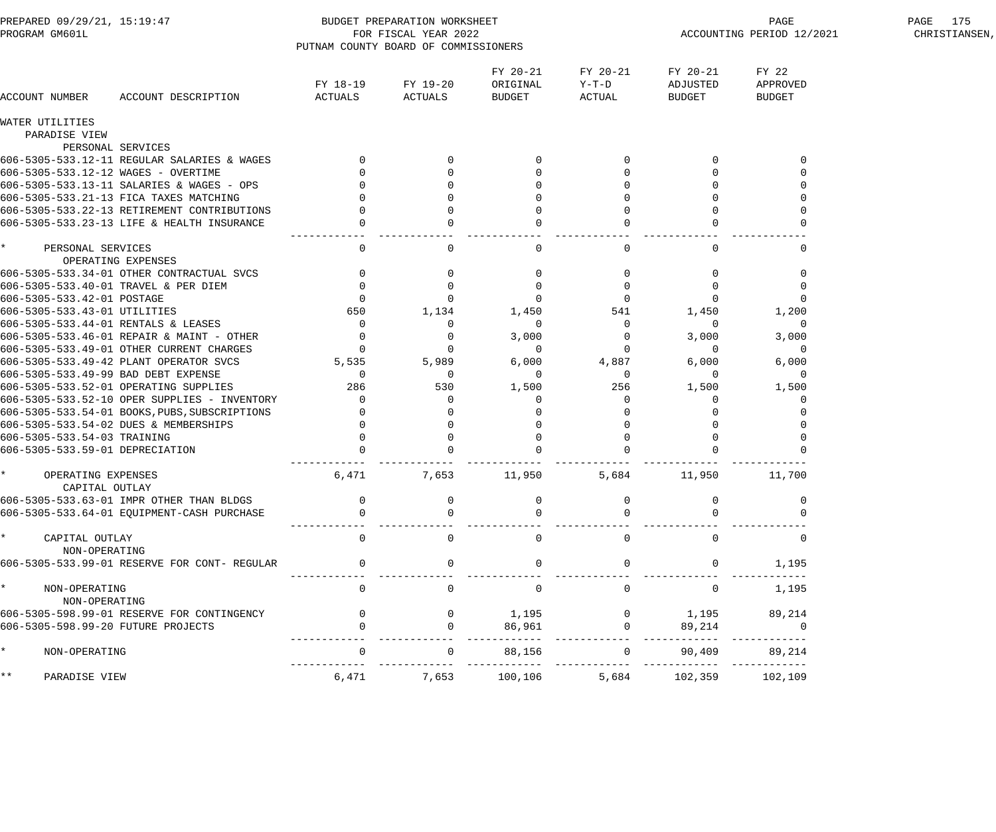| PREPARED 09/29/21, 15:19:47<br>PROGRAM GM601L   |                                               | PUTNAM COUNTY BOARD OF COMMISSIONERS | BUDGET PREPARATION WORKSHEET<br>FOR FISCAL YEAR 2022 |                                | PAGE 175<br>CHRISTIANSEN,   |                                |                                    |  |
|-------------------------------------------------|-----------------------------------------------|--------------------------------------|------------------------------------------------------|--------------------------------|-----------------------------|--------------------------------|------------------------------------|--|
| ACCOUNT NUMBER                                  | ACCOUNT DESCRIPTION                           | FY 18-19<br>ACTUALS                  | FY 19-20<br>ACTUALS                                  | FY 20-21<br>ORIGINAL<br>BUDGET | FY 20-21<br>Y-T-D<br>ACTUAL | FY 20-21<br>ADJUSTED<br>BUDGET | FY 22<br>APPROVED<br><b>BUDGET</b> |  |
| WATER UTILITIES                                 |                                               |                                      |                                                      |                                |                             |                                |                                    |  |
| PARADISE VIEW                                   |                                               |                                      |                                                      |                                |                             |                                |                                    |  |
|                                                 | PERSONAL SERVICES                             |                                      |                                                      |                                |                             |                                |                                    |  |
|                                                 | 606-5305-533.12-11 REGULAR SALARIES & WAGES   |                                      | $\mathbf{0}$                                         | $\Omega$                       |                             | $\Omega$                       |                                    |  |
| 606-5305-533.12-12 WAGES - OVERTIME             |                                               |                                      | $\mathbf 0$                                          |                                |                             |                                |                                    |  |
|                                                 | 606-5305-533.13-11 SALARIES & WAGES - OPS     |                                      | $\Omega$                                             |                                |                             |                                |                                    |  |
|                                                 | 606-5305-533.21-13 FICA TAXES MATCHING        |                                      |                                                      |                                |                             |                                |                                    |  |
|                                                 | 606-5305-533.22-13 RETIREMENT CONTRIBUTIONS   |                                      | $\mathbf 0$                                          |                                |                             | $\overline{0}$                 |                                    |  |
|                                                 | 606-5305-533.23-13 LIFE & HEALTH INSURANCE    | $\overline{0}$                       | $\Omega$                                             | $\Omega$                       |                             |                                |                                    |  |
| $\star$<br>PERSONAL SERVICES                    |                                               | $\mathbf 0$                          | $\Omega$                                             | $\mathbf{0}$                   | $\Omega$                    | $\Omega$                       |                                    |  |
|                                                 | OPERATING EXPENSES                            |                                      |                                                      |                                |                             |                                |                                    |  |
|                                                 | 606-5305-533.34-01 OTHER CONTRACTUAL SVCS     | $\mathbf 0$                          | 0                                                    | $\mathbf{0}$                   |                             |                                |                                    |  |
|                                                 | 606-5305-533.40-01 TRAVEL & PER DIEM          | $\mathbf 0$                          | 0                                                    | $\mathbf 0$                    | 0                           | $\Omega$                       |                                    |  |
| 606-5305-533.42-01 POSTAGE                      |                                               | $\mathbf 0$                          | $\mathbf 0$                                          | $\mathbf 0$                    | $\mathbf{0}$                | 0                              | $\Omega$                           |  |
| 606-5305-533.43-01 UTILITIES                    |                                               | 650                                  | 1,134                                                | 1,450                          | 541                         | 1,450                          | 1,200                              |  |
| 606-5305-533.44-01 RENTALS & LEASES             |                                               | 0                                    | $\Omega$                                             | $\mathbf 0$                    | $\overline{0}$              | $\mathbf 0$                    | $\mathbf 0$                        |  |
|                                                 | 606-5305-533.46-01 REPAIR & MAINT - OTHER     | 0                                    | 0                                                    | 3,000                          | $\overline{0}$              | 3,000                          | 3,000                              |  |
|                                                 | 606-5305-533.49-01 OTHER CURRENT CHARGES      | $\mathbf 0$                          | $\mathbf 0$                                          | $\overline{0}$                 | $\mathbf{0}$                | $\overline{0}$                 | $\mathbf 0$                        |  |
|                                                 | 606-5305-533.49-42 PLANT OPERATOR SVCS        | 5,535                                | 5,989                                                | 6,000                          | 4,887                       | 6,000                          | 6,000                              |  |
| 606-5305-533.49-99 BAD DEBT EXPENSE             |                                               | $\mathsf{O}$                         | $\mathbf 0$                                          | $\mathbf 0$                    | 0                           | $\mathbf 0$                    | $\mathbf{0}$                       |  |
|                                                 | 606-5305-533.52-01 OPERATING SUPPLIES         | 286                                  | 530                                                  | 1,500                          | 256                         | 1,500                          | 1,500                              |  |
|                                                 | 606-5305-533.52-10 OPER SUPPLIES - INVENTORY  | $\mathbf 0$                          | 0                                                    | $\mathbf 0$                    | 0                           | $\Omega$                       |                                    |  |
|                                                 | 606-5305-533.54-01 BOOKS, PUBS, SUBSCRIPTIONS |                                      | 0                                                    |                                |                             |                                |                                    |  |
|                                                 | 606-5305-533.54-02 DUES & MEMBERSHIPS         |                                      | $\mathbf 0$                                          |                                |                             |                                |                                    |  |
| 606-5305-533.54-03 TRAINING                     |                                               | $\mathbf 0$                          | 0                                                    |                                | $\Omega$                    | $\overline{0}$                 |                                    |  |
| 606-5305-533.59-01 DEPRECIATION                 |                                               |                                      |                                                      | $\mathbf 0$                    |                             |                                |                                    |  |
| $\star$<br>OPERATING EXPENSES<br>CAPITAL OUTLAY |                                               | 6,471                                | 7,653                                                | 11,950                         | 5,684                       | 11,950                         | 11,700                             |  |
|                                                 | 606-5305-533.63-01 IMPR OTHER THAN BLDGS      |                                      |                                                      |                                |                             |                                |                                    |  |
|                                                 | 606-5305-533.64-01 EQUIPMENT-CASH PURCHASE    |                                      |                                                      |                                |                             |                                |                                    |  |
| $\star$<br>CAPITAL OUTLAY<br>NON-OPERATING      |                                               | $\Omega$                             | $\Omega$                                             | $\mathbf 0$                    | $\Omega$                    |                                |                                    |  |
|                                                 | 606-5305-533.99-01 RESERVE FOR CONT- REGULAR  | $\Omega$                             | $\overline{0}$                                       | $\mathbf{0}$                   |                             | $\mathbf 0$                    | 1,195                              |  |
| $\star$<br>NON-OPERATING<br>NON-OPERATING       |                                               | $\mathbf 0$                          | $\Omega$                                             | $\overline{0}$                 | $\overline{0}$              | $\overline{0}$                 | 1,195                              |  |
|                                                 | 606-5305-598.99-01 RESERVE FOR CONTINGENCY    | $\overline{0}$                       | $\overline{0}$                                       | 1,195                          |                             | $0 \t 1,195$                   | 89,214                             |  |
| 606-5305-598.99-20 FUTURE PROJECTS              |                                               |                                      | $\overline{0}$                                       | 86,961                         | $\Omega$                    | 89,214                         | $\overline{0}$                     |  |
| $\star$<br>NON-OPERATING                        |                                               |                                      | $\overline{0}$                                       | 88,156                         | $\overline{0}$              | 90,409                         | 89,214                             |  |
| $***$<br>PARADISE VIEW                          |                                               | 6,471                                |                                                      | 7,653 100,106                  | 5,684                       |                                | 102,359 102,109                    |  |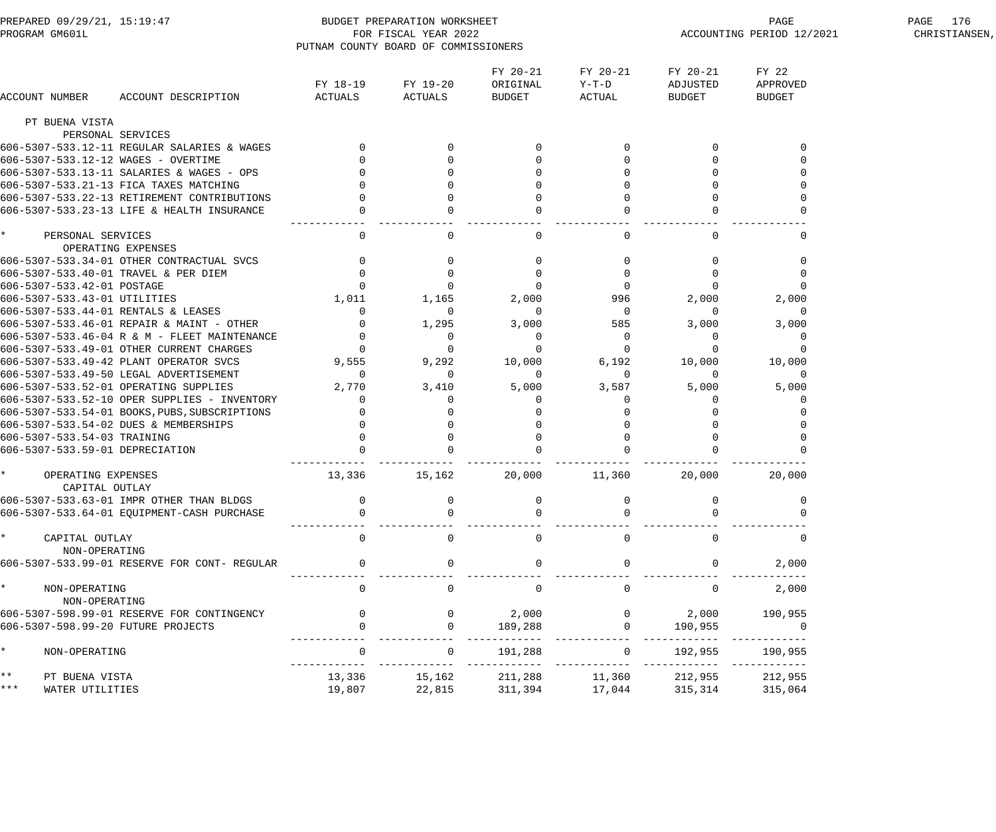| PREPARED 09/29/21, 15:19:47<br>PROGRAM GM601L |                                      |                                               | PUTNAM COUNTY BOARD OF COMMISSIONERS | BUDGET PREPARATION WORKSHEET<br>FOR FISCAL YEAR 2022 |                                       |                                       | ACCOUNTING PERIOD 12/2021             | PAGE 176<br>CHRISTIANSEN,          |  |
|-----------------------------------------------|--------------------------------------|-----------------------------------------------|--------------------------------------|------------------------------------------------------|---------------------------------------|---------------------------------------|---------------------------------------|------------------------------------|--|
|                                               | ACCOUNT NUMBER                       | ACCOUNT DESCRIPTION                           | FY 18-19<br>ACTUALS                  | FY 19-20<br>ACTUALS                                  | FY 20-21<br>ORIGINAL<br><b>BUDGET</b> | FY 20-21<br>Y-T-D<br>ACTUAL           | FY 20-21<br>ADJUSTED<br><b>BUDGET</b> | FY 22<br>APPROVED<br><b>BUDGET</b> |  |
|                                               | PT BUENA VISTA                       |                                               |                                      |                                                      |                                       |                                       |                                       |                                    |  |
|                                               |                                      | PERSONAL SERVICES                             |                                      |                                                      |                                       |                                       |                                       |                                    |  |
|                                               |                                      | 606-5307-533.12-11 REGULAR SALARIES & WAGES   |                                      | $\mathbf{0}$                                         |                                       | 0                                     | $\mathbf 0$                           |                                    |  |
|                                               |                                      | 606-5307-533.12-12 WAGES - OVERTIME           |                                      |                                                      |                                       | $\mathbf 0$                           | 0                                     |                                    |  |
|                                               |                                      | 606-5307-533.13-11 SALARIES & WAGES - OPS     |                                      |                                                      |                                       | $\mathbf 0$                           |                                       |                                    |  |
|                                               |                                      | 606-5307-533.21-13 FICA TAXES MATCHING        |                                      |                                                      |                                       |                                       |                                       |                                    |  |
|                                               |                                      | 606-5307-533.22-13 RETIREMENT CONTRIBUTIONS   |                                      |                                                      |                                       | $\mathbf 0$                           |                                       |                                    |  |
|                                               |                                      | 606-5307-533.23-13 LIFE & HEALTH INSURANCE    |                                      |                                                      |                                       |                                       |                                       |                                    |  |
|                                               | PERSONAL SERVICES                    | OPERATING EXPENSES                            | $\mathbf 0$                          | $\Omega$                                             | $\mathbf 0$                           | $\mathbf 0$                           | $\Omega$                              |                                    |  |
|                                               |                                      | 606-5307-533.34-01 OTHER CONTRACTUAL SVCS     |                                      |                                                      |                                       | $\mathbf 0$                           |                                       |                                    |  |
|                                               |                                      | 606-5307-533.40-01 TRAVEL & PER DIEM          |                                      |                                                      | 0                                     | $\mathbf 0$                           | 0                                     |                                    |  |
|                                               | 606-5307-533.42-01 POSTAGE           |                                               |                                      | 0                                                    | $\Omega$                              | $\mathbf 0$                           | 0                                     |                                    |  |
|                                               | 606-5307-533.43-01 UTILITIES         |                                               | 1,011                                | 1,165                                                | 2,000                                 | 996                                   | 2,000                                 | 2,000                              |  |
|                                               |                                      | 606-5307-533.44-01 RENTALS & LEASES           | $\mathbf 0$                          | $\overline{0}$                                       | $\overline{0}$                        | $\overline{\phantom{0}}$              | $\overline{0}$                        | $\overline{0}$                     |  |
|                                               |                                      | 606-5307-533.46-01 REPAIR & MAINT - OTHER     | $\overline{0}$                       | 1,295                                                | 3,000                                 | 585                                   | 3,000                                 | 3,000                              |  |
|                                               |                                      | 606-5307-533.46-04 R & M - FLEET MAINTENANCE  |                                      | 0                                                    | 0                                     | $\overline{0}$                        | 0                                     | $\Omega$                           |  |
|                                               |                                      | 606-5307-533.49-01 OTHER CURRENT CHARGES      | $\overline{0}$                       |                                                      | $\Omega$                              | $\mathbf 0$                           | -0                                    |                                    |  |
|                                               |                                      | 606-5307-533.49-42 PLANT OPERATOR SVCS        | 9,555                                | 9,292                                                | 10,000                                | 6,192                                 | 10,000                                | 10,000                             |  |
|                                               |                                      | 606-5307-533.49-50 LEGAL ADVERTISEMENT        | $\overline{0}$                       | $\overline{0}$                                       | $\overline{0}$                        | $\mathbf 0$                           | $\overline{0}$                        | $\overline{0}$                     |  |
|                                               |                                      | 606-5307-533.52-01 OPERATING SUPPLIES         | 2,770                                | 3,410                                                | 5,000                                 | 3,587                                 | 5,000                                 | 5,000                              |  |
|                                               |                                      | 606-5307-533.52-10 OPER SUPPLIES - INVENTORY  | 0                                    |                                                      | $\Omega$                              | 0                                     | $\Omega$                              |                                    |  |
|                                               |                                      | 606-5307-533.54-01 BOOKS, PUBS, SUBSCRIPTIONS |                                      |                                                      |                                       |                                       |                                       |                                    |  |
|                                               |                                      | 606-5307-533.54-02 DUES & MEMBERSHIPS         |                                      |                                                      |                                       |                                       |                                       |                                    |  |
|                                               | 606-5307-533.54-03 TRAINING          |                                               |                                      | $\mathbf 0$                                          |                                       | $\mathbf 0$                           |                                       |                                    |  |
|                                               |                                      | 606-5307-533.59-01 DEPRECIATION               |                                      | $\mathbf 0$                                          |                                       | $\mathbf 0$                           |                                       |                                    |  |
|                                               |                                      |                                               |                                      |                                                      |                                       |                                       |                                       |                                    |  |
|                                               | OPERATING EXPENSES<br>CAPITAL OUTLAY |                                               | 13,336                               | 15,162                                               | 20,000                                | 11,360                                | 20,000                                | 20,000                             |  |
|                                               |                                      | 606-5307-533.63-01 IMPR OTHER THAN BLDGS      |                                      |                                                      |                                       |                                       |                                       |                                    |  |
|                                               |                                      | 606-5307-533.64-01 EQUIPMENT-CASH PURCHASE    |                                      |                                                      |                                       |                                       |                                       |                                    |  |
|                                               |                                      |                                               |                                      |                                                      |                                       |                                       |                                       |                                    |  |
|                                               | CAPITAL OUTLAY<br>NON-OPERATING      |                                               | $\mathbf 0$                          | $\Omega$                                             | $\overline{0}$                        | $\mathsf{O}$                          | $\mathbf{0}$                          | 0                                  |  |
|                                               |                                      | 606-5307-533.99-01 RESERVE FOR CONT- REGULAR  |                                      | 0                                                    | $\mathbf 0$                           |                                       |                                       | 2,000                              |  |
|                                               | NON-OPERATING<br>NON-OPERATING       |                                               | $\mathbf{0}$                         | $\mathbf 0$                                          | $\overline{0}$                        | $\overline{0}$                        | $\mathbf 0$                           | 2,000                              |  |
|                                               |                                      | 606-5307-598.99-01 RESERVE FOR CONTINGENCY    |                                      |                                                      | 2,000                                 |                                       | 2,000                                 | 190,955                            |  |
|                                               |                                      | 606-5307-598.99-20 FUTURE PROJECTS            |                                      | $\mathbf 0$                                          | 189,288                               | $\begin{array}{c} 0 \\ 0 \end{array}$ | 190,955                               | 0                                  |  |
|                                               |                                      |                                               |                                      |                                                      |                                       |                                       |                                       |                                    |  |
|                                               | NON-OPERATING                        |                                               | $\mathbf 0$                          | $\overline{0}$                                       | 191,288                               | $\overline{0}$                        | 192,955                               | 190,955                            |  |
| $***$                                         | PT BUENA VISTA                       |                                               | 13,336                               | 15,162                                               | 211,288                               | 11,360 212,955                        |                                       | 212,955                            |  |
| * * *                                         | WATER UTILITIES                      |                                               | 19,807                               | 22,815                                               | 311,394                               | 17,044                                | 315,314                               | 315,064                            |  |